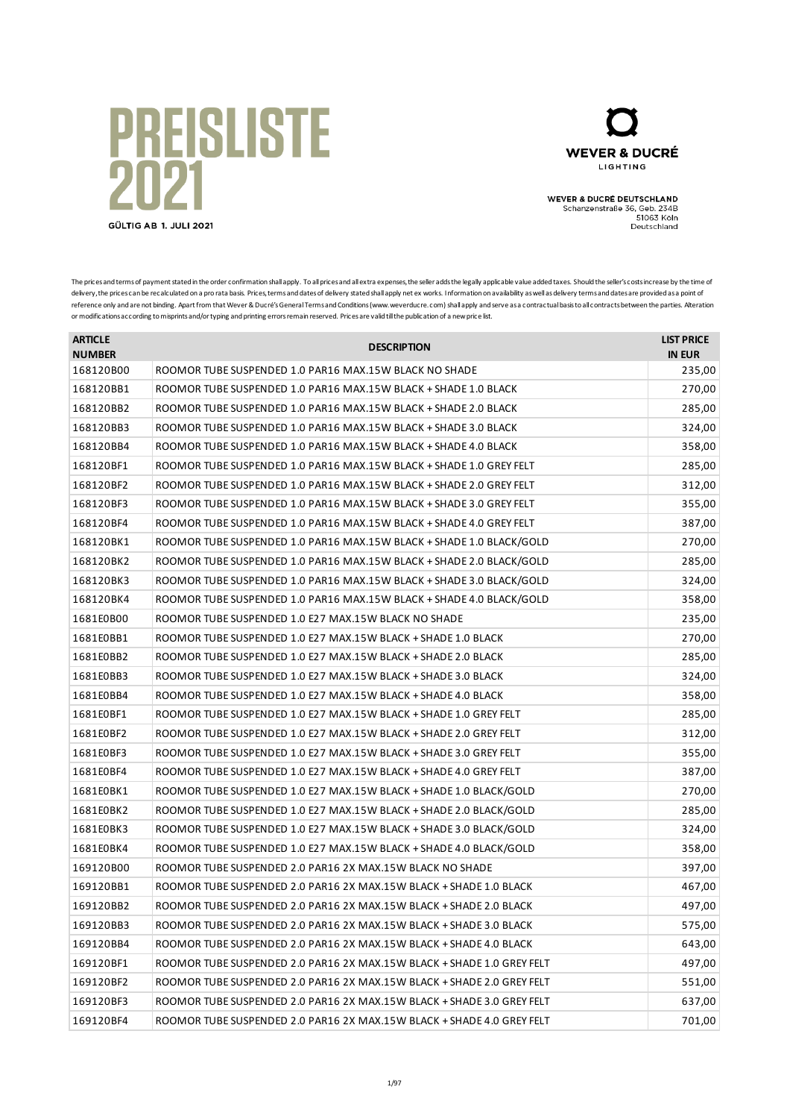## **PREISLISTE** 2021 GÜLTIG AB 1. JULI 2021



**WEVER & DUCRÉ DEUTSCHLAND** Schanzenstraße 36, Geb. 234B<br>Schanzenstraße 36, Geb. 234B Deutschland

The prices and terms of payment stated in the order confirmation shall apply. To all prices and all extra expenses, the seller adds the legally applicable value added taxes. Should the seller's costs increase by the time of delivery, the prices can be recalculated on a pro rata basis. Prices, terms and dates of delivery stated shall apply net ex works. Information on availability as well as delivery terms and dates are provided as a point of reference only and are not binding. Apart from that Wever & Ducré's General Terms and Conditions (www.weverducre.com) shall apply and serve as a contractual basis to all contracts between the parties. Alteration or modifications according to misprints and/or typing and printing errors remain reserved. Prices are valid till the publication of a new price list.

| <b>ARTICLE</b><br><b>NUMBER</b> | <b>DESCRIPTION</b>                                                     | <b>LIST PRICE</b><br><b>IN EUR</b> |
|---------------------------------|------------------------------------------------------------------------|------------------------------------|
| 168120B00                       | ROOMOR TUBE SUSPENDED 1.0 PAR16 MAX.15W BLACK NO SHADE                 | 235,00                             |
| 168120BB1                       | ROOMOR TUBE SUSPENDED 1.0 PAR16 MAX.15W BLACK + SHADE 1.0 BLACK        | 270,00                             |
| 168120BB2                       | ROOMOR TUBE SUSPENDED 1.0 PAR16 MAX.15W BLACK + SHADE 2.0 BLACK        | 285,00                             |
| 168120BB3                       | ROOMOR TUBE SUSPENDED 1.0 PAR16 MAX.15W BLACK + SHADE 3.0 BLACK        | 324,00                             |
| 168120BB4                       | ROOMOR TUBE SUSPENDED 1.0 PAR16 MAX.15W BLACK + SHADE 4.0 BLACK        | 358,00                             |
| 168120BF1                       | ROOMOR TUBE SUSPENDED 1.0 PAR16 MAX.15W BLACK + SHADE 1.0 GREY FELT    | 285,00                             |
| 168120BF2                       | ROOMOR TUBE SUSPENDED 1.0 PAR16 MAX.15W BLACK + SHADE 2.0 GREY FELT    | 312,00                             |
| 168120BF3                       | ROOMOR TUBE SUSPENDED 1.0 PAR16 MAX.15W BLACK + SHADE 3.0 GREY FELT    | 355,00                             |
| 168120BF4                       | ROOMOR TUBE SUSPENDED 1.0 PAR16 MAX.15W BLACK + SHADE 4.0 GREY FELT    | 387,00                             |
| 168120BK1                       | ROOMOR TUBE SUSPENDED 1.0 PAR16 MAX.15W BLACK + SHADE 1.0 BLACK/GOLD   | 270,00                             |
| 168120BK2                       | ROOMOR TUBE SUSPENDED 1.0 PAR16 MAX.15W BLACK + SHADE 2.0 BLACK/GOLD   | 285,00                             |
| 168120BK3                       | ROOMOR TUBE SUSPENDED 1.0 PAR16 MAX.15W BLACK + SHADE 3.0 BLACK/GOLD   | 324,00                             |
| 168120BK4                       | ROOMOR TUBE SUSPENDED 1.0 PAR16 MAX.15W BLACK + SHADE 4.0 BLACK/GOLD   | 358,00                             |
| 1681E0B00                       | ROOMOR TUBE SUSPENDED 1.0 E27 MAX.15W BLACK NO SHADE                   | 235,00                             |
| 1681E0BB1                       | ROOMOR TUBE SUSPENDED 1.0 E27 MAX.15W BLACK + SHADE 1.0 BLACK          | 270,00                             |
| 1681E0BB2                       | ROOMOR TUBE SUSPENDED 1.0 E27 MAX.15W BLACK + SHADE 2.0 BLACK          | 285,00                             |
| 1681E0BB3                       | ROOMOR TUBE SUSPENDED 1.0 E27 MAX.15W BLACK + SHADE 3.0 BLACK          | 324,00                             |
| 1681E0BB4                       | ROOMOR TUBE SUSPENDED 1.0 E27 MAX.15W BLACK + SHADE 4.0 BLACK          | 358,00                             |
| 1681E0BF1                       | ROOMOR TUBE SUSPENDED 1.0 E27 MAX.15W BLACK + SHADE 1.0 GREY FELT      | 285,00                             |
| 1681E0BF2                       | ROOMOR TUBE SUSPENDED 1.0 E27 MAX.15W BLACK + SHADE 2.0 GREY FELT      | 312,00                             |
| 1681E0BF3                       | ROOMOR TUBE SUSPENDED 1.0 E27 MAX.15W BLACK + SHADE 3.0 GREY FELT      | 355,00                             |
| 1681E0BF4                       | ROOMOR TUBE SUSPENDED 1.0 E27 MAX.15W BLACK + SHADE 4.0 GREY FELT      | 387,00                             |
| 1681E0BK1                       | ROOMOR TUBE SUSPENDED 1.0 E27 MAX.15W BLACK + SHADE 1.0 BLACK/GOLD     | 270,00                             |
| 1681E0BK2                       | ROOMOR TUBE SUSPENDED 1.0 E27 MAX.15W BLACK + SHADE 2.0 BLACK/GOLD     | 285,00                             |
| 1681E0BK3                       | ROOMOR TUBE SUSPENDED 1.0 E27 MAX.15W BLACK + SHADE 3.0 BLACK/GOLD     | 324,00                             |
| 1681E0BK4                       | ROOMOR TUBE SUSPENDED 1.0 E27 MAX.15W BLACK + SHADE 4.0 BLACK/GOLD     | 358,00                             |
| 169120B00                       | ROOMOR TUBE SUSPENDED 2.0 PAR16 2X MAX.15W BLACK NO SHADE              | 397,00                             |
| 169120BB1                       | ROOMOR TUBE SUSPENDED 2.0 PAR16 2X MAX.15W BLACK + SHADE 1.0 BLACK     | 467,00                             |
| 169120BB2                       | ROOMOR TUBE SUSPENDED 2.0 PAR16 2X MAX.15W BLACK + SHADE 2.0 BLACK     | 497,00                             |
| 169120BB3                       | ROOMOR TUBE SUSPENDED 2.0 PAR16 2X MAX.15W BLACK + SHADE 3.0 BLACK     | 575,00                             |
| 169120BB4                       | ROOMOR TUBE SUSPENDED 2.0 PAR16 2X MAX.15W BLACK + SHADE 4.0 BLACK     | 643,00                             |
| 169120BF1                       | ROOMOR TUBE SUSPENDED 2.0 PAR16 2X MAX.15W BLACK + SHADE 1.0 GREY FELT | 497,00                             |
| 169120BF2                       | ROOMOR TUBE SUSPENDED 2.0 PAR16 2X MAX.15W BLACK + SHADE 2.0 GREY FELT | 551,00                             |
| 169120BF3                       | ROOMOR TUBE SUSPENDED 2.0 PAR16 2X MAX.15W BLACK + SHADE 3.0 GREY FELT | 637,00                             |
| 169120BF4                       | ROOMOR TUBE SUSPENDED 2.0 PAR16 2X MAX.15W BLACK + SHADE 4.0 GREY FELT | 701,00                             |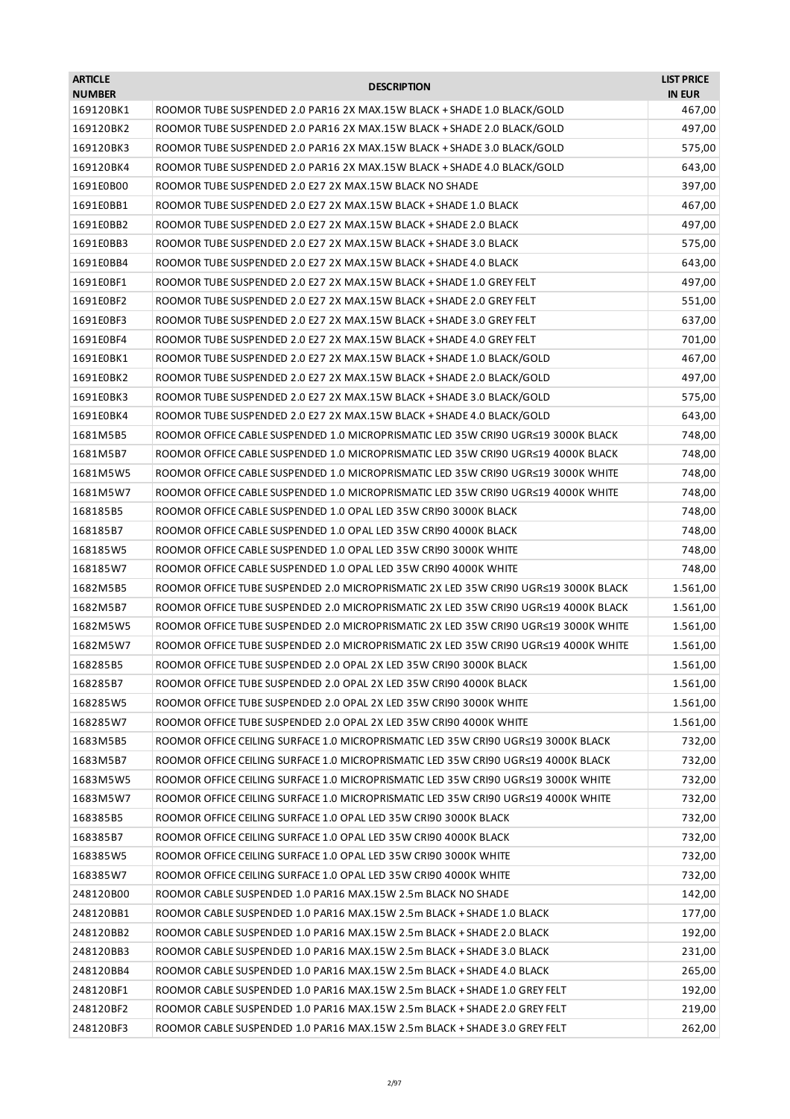| <b>ARTICLE</b><br><b>NUMBER</b> | <b>DESCRIPTION</b>                                                                  | <b>LIST PRICE</b><br><b>IN EUR</b> |
|---------------------------------|-------------------------------------------------------------------------------------|------------------------------------|
| 169120BK1                       | ROOMOR TUBE SUSPENDED 2.0 PAR16 2X MAX.15W BLACK + SHADE 1.0 BLACK/GOLD             | 467,00                             |
| 169120BK2                       | ROOMOR TUBE SUSPENDED 2.0 PAR16 2X MAX.15W BLACK + SHADE 2.0 BLACK/GOLD             | 497,00                             |
| 169120BK3                       | ROOMOR TUBE SUSPENDED 2.0 PAR16 2X MAX.15W BLACK + SHADE 3.0 BLACK/GOLD             | 575,00                             |
| 169120BK4                       | ROOMOR TUBE SUSPENDED 2.0 PAR16 2X MAX.15W BLACK + SHADE 4.0 BLACK/GOLD             | 643,00                             |
| 1691E0B00                       | ROOMOR TUBE SUSPENDED 2.0 E27 2X MAX.15W BLACK NO SHADE                             | 397,00                             |
| 1691E0BB1                       | ROOMOR TUBE SUSPENDED 2.0 E27 2X MAX.15W BLACK + SHADE 1.0 BLACK                    | 467,00                             |
| 1691E0BB2                       | ROOMOR TUBE SUSPENDED 2.0 E27 2X MAX.15W BLACK + SHADE 2.0 BLACK                    | 497,00                             |
| 1691E0BB3                       | ROOMOR TUBE SUSPENDED 2.0 E27 2X MAX.15W BLACK + SHADE 3.0 BLACK                    | 575,00                             |
| 1691E0BB4                       | ROOMOR TUBE SUSPENDED 2.0 E27 2X MAX.15W BLACK + SHADE 4.0 BLACK                    | 643,00                             |
| 1691E0BF1                       | ROOMOR TUBE SUSPENDED 2.0 E27 2X MAX.15W BLACK + SHADE 1.0 GREY FELT                | 497,00                             |
| 1691E0BF2                       | ROOMOR TUBE SUSPENDED 2.0 E27 2X MAX.15W BLACK + SHADE 2.0 GREY FELT                | 551,00                             |
| 1691E0BF3                       | ROOMOR TUBE SUSPENDED 2.0 E27 2X MAX.15W BLACK + SHADE 3.0 GREY FELT                | 637,00                             |
| 1691E0BF4                       | ROOMOR TUBE SUSPENDED 2.0 E27 2X MAX.15W BLACK + SHADE 4.0 GREY FELT                | 701,00                             |
| 1691E0BK1                       | ROOMOR TUBE SUSPENDED 2.0 E27 2X MAX.15W BLACK + SHADE 1.0 BLACK/GOLD               | 467,00                             |
| 1691E0BK2                       | ROOMOR TUBE SUSPENDED 2.0 E27 2X MAX.15W BLACK + SHADE 2.0 BLACK/GOLD               | 497,00                             |
| 1691E0BK3                       | ROOMOR TUBE SUSPENDED 2.0 E27 2X MAX.15W BLACK + SHADE 3.0 BLACK/GOLD               | 575,00                             |
| 1691E0BK4                       | ROOMOR TUBE SUSPENDED 2.0 E27 2X MAX.15W BLACK + SHADE 4.0 BLACK/GOLD               | 643,00                             |
| 1681M5B5                        | ROOMOR OFFICE CABLE SUSPENDED 1.0 MICROPRISMATIC LED 35W CRI90 UGR≤19 3000K BLACK   | 748,00                             |
| 1681M5B7                        | ROOMOR OFFICE CABLE SUSPENDED 1.0 MICROPRISMATIC LED 35W CRI90 UGR≤19 4000K BLACK   | 748,00                             |
| 1681M5W5                        | ROOMOR OFFICE CABLE SUSPENDED 1.0 MICROPRISMATIC LED 35W CRI90 UGR≤19 3000K WHITE   | 748,00                             |
| 1681M5W7                        | ROOMOR OFFICE CABLE SUSPENDED 1.0 MICROPRISMATIC LED 35W CRI90 UGR≤19 4000K WHITE   | 748,00                             |
| 168185B5                        | ROOMOR OFFICE CABLE SUSPENDED 1.0 OPAL LED 35W CRI90 3000K BLACK                    | 748,00                             |
| 168185B7                        | ROOMOR OFFICE CABLE SUSPENDED 1.0 OPAL LED 35W CRI90 4000K BLACK                    | 748,00                             |
| 168185W5                        | ROOMOR OFFICE CABLE SUSPENDED 1.0 OPAL LED 35W CRI90 3000K WHITE                    | 748,00                             |
| 168185W7                        | ROOMOR OFFICE CABLE SUSPENDED 1.0 OPAL LED 35W CRI90 4000K WHITE                    | 748,00                             |
| 1682M5B5                        | ROOMOR OFFICE TUBE SUSPENDED 2.0 MICROPRISMATIC 2X LED 35W CRI90 UGR≤19 3000K BLACK | 1.561,00                           |
| 1682M5B7                        | ROOMOR OFFICE TUBE SUSPENDED 2.0 MICROPRISMATIC 2X LED 35W CRI90 UGR≤19 4000K BLACK | 1.561,00                           |
| 1682M5W5                        | ROOMOR OFFICE TUBE SUSPENDED 2.0 MICROPRISMATIC 2X LED 35W CRI90 UGR≤19 3000K WHITE | 1.561,00                           |
| 1682M5W7                        | ROOMOR OFFICE TUBE SUSPENDED 2.0 MICROPRISMATIC 2X LED 35W CRI90 UGR≤19 4000K WHITE | 1.561,00                           |
| 168285B5                        | ROOMOR OFFICE TUBE SUSPENDED 2.0 OPAL 2X LED 35W CRI90 3000K BLACK                  | 1.561,00                           |
| 168285B7                        | ROOMOR OFFICE TUBE SUSPENDED 2.0 OPAL 2X LED 35W CRI90 4000K BLACK                  | 1.561,00                           |
| 168285W5                        | ROOMOR OFFICE TUBE SUSPENDED 2.0 OPAL 2X LED 35W CRI90 3000K WHITE                  | 1.561,00                           |
| 168285W7                        | ROOMOR OFFICE TUBE SUSPENDED 2.0 OPAL 2X LED 35W CRI90 4000K WHITE                  | 1.561,00                           |
| 1683M5B5                        | ROOMOR OFFICE CEILING SURFACE 1.0 MICROPRISMATIC LED 35W CRI90 UGR≤19 3000K BLACK   | 732,00                             |
| 1683M5B7                        | ROOMOR OFFICE CEILING SURFACE 1.0 MICROPRISMATIC LED 35W CRI90 UGR≤19 4000K BLACK   | 732,00                             |
| 1683M5W5                        | ROOMOR OFFICE CEILING SURFACE 1.0 MICROPRISMATIC LED 35W CRI90 UGR≤19 3000K WHITE   | 732,00                             |
| 1683M5W7                        | ROOMOR OFFICE CEILING SURFACE 1.0 MICROPRISMATIC LED 35W CRI90 UGR≤19 4000K WHITE   | 732,00                             |
| 168385B5                        | ROOMOR OFFICE CEILING SURFACE 1.0 OPAL LED 35W CRI90 3000K BLACK                    | 732,00                             |
| 168385B7                        | ROOMOR OFFICE CEILING SURFACE 1.0 OPAL LED 35W CRI90 4000K BLACK                    | 732,00                             |
| 168385W5                        | ROOMOR OFFICE CEILING SURFACE 1.0 OPAL LED 35W CRI90 3000K WHITE                    | 732,00                             |
| 168385W7                        | ROOMOR OFFICE CEILING SURFACE 1.0 OPAL LED 35W CRI90 4000K WHITE                    | 732,00                             |
| 248120B00                       | ROOMOR CABLE SUSPENDED 1.0 PAR16 MAX.15W 2.5m BLACK NO SHADE                        | 142,00                             |
| 248120BB1                       | ROOMOR CABLE SUSPENDED 1.0 PAR16 MAX.15W 2.5m BLACK + SHADE 1.0 BLACK               | 177,00                             |
| 248120BB2                       | ROOMOR CABLE SUSPENDED 1.0 PAR16 MAX.15W 2.5m BLACK + SHADE 2.0 BLACK               | 192,00                             |
| 248120BB3                       | ROOMOR CABLE SUSPENDED 1.0 PAR16 MAX.15W 2.5m BLACK + SHADE 3.0 BLACK               | 231,00                             |
| 248120BB4                       | ROOMOR CABLE SUSPENDED 1.0 PAR16 MAX.15W 2.5m BLACK + SHADE 4.0 BLACK               | 265,00                             |
| 248120BF1                       | ROOMOR CABLE SUSPENDED 1.0 PAR16 MAX.15W 2.5m BLACK + SHADE 1.0 GREY FELT           | 192,00                             |
| 248120BF2                       | ROOMOR CABLE SUSPENDED 1.0 PAR16 MAX.15W 2.5m BLACK + SHADE 2.0 GREY FELT           | 219,00                             |
| 248120BF3                       | ROOMOR CABLE SUSPENDED 1.0 PAR16 MAX.15W 2.5m BLACK + SHADE 3.0 GREY FELT           | 262,00                             |
|                                 |                                                                                     |                                    |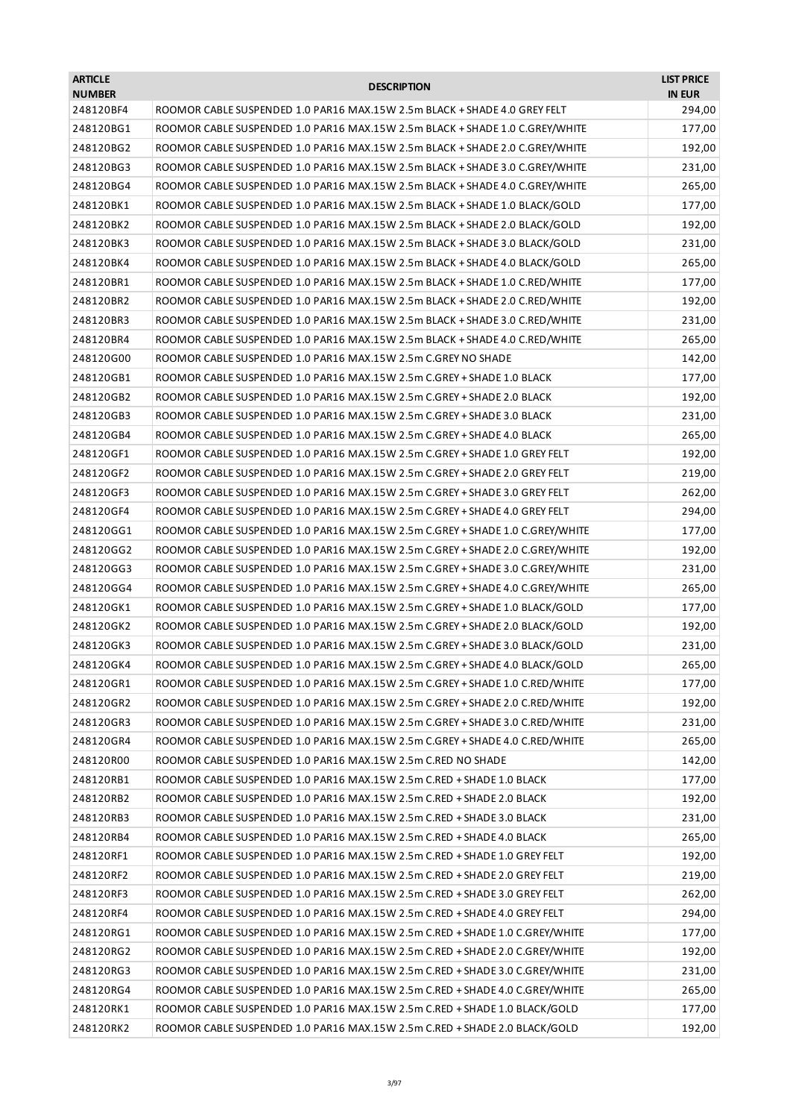| <b>ARTICLE</b><br><b>NUMBER</b> | <b>DESCRIPTION</b>                                                            | <b>LIST PRICE</b><br><b>IN EUR</b> |
|---------------------------------|-------------------------------------------------------------------------------|------------------------------------|
| 248120BF4                       | ROOMOR CABLE SUSPENDED 1.0 PAR16 MAX.15W 2.5m BLACK + SHADE 4.0 GREY FELT     | 294,00                             |
| 248120BG1                       | ROOMOR CABLE SUSPENDED 1.0 PAR16 MAX.15W 2.5m BLACK + SHADE 1.0 C.GREY/WHITE  | 177,00                             |
| 248120BG2                       | ROOMOR CABLE SUSPENDED 1.0 PAR16 MAX.15W 2.5m BLACK + SHADE 2.0 C.GREY/WHITE  | 192,00                             |
| 248120BG3                       | ROOMOR CABLE SUSPENDED 1.0 PAR16 MAX.15W 2.5m BLACK + SHADE 3.0 C.GREY/WHITE  | 231,00                             |
| 248120BG4                       | ROOMOR CABLE SUSPENDED 1.0 PAR16 MAX.15W 2.5m BLACK + SHADE 4.0 C.GREY/WHITE  | 265,00                             |
| 248120BK1                       | ROOMOR CABLE SUSPENDED 1.0 PAR16 MAX.15W 2.5m BLACK + SHADE 1.0 BLACK/GOLD    | 177,00                             |
| 248120BK2                       | ROOMOR CABLE SUSPENDED 1.0 PAR16 MAX.15W 2.5m BLACK + SHADE 2.0 BLACK/GOLD    | 192,00                             |
| 248120BK3                       | ROOMOR CABLE SUSPENDED 1.0 PAR16 MAX.15W 2.5m BLACK + SHADE 3.0 BLACK/GOLD    | 231,00                             |
| 248120BK4                       | ROOMOR CABLE SUSPENDED 1.0 PAR16 MAX.15W 2.5m BLACK + SHADE 4.0 BLACK/GOLD    | 265,00                             |
| 248120BR1                       | ROOMOR CABLE SUSPENDED 1.0 PAR16 MAX.15W 2.5m BLACK + SHADE 1.0 C.RED/WHITE   | 177,00                             |
| 248120BR2                       | ROOMOR CABLE SUSPENDED 1.0 PAR16 MAX.15W 2.5m BLACK + SHADE 2.0 C.RED/WHITE   | 192,00                             |
| 248120BR3                       | ROOMOR CABLE SUSPENDED 1.0 PAR16 MAX.15W 2.5m BLACK + SHADE 3.0 C.RED/WHITE   | 231,00                             |
| 248120BR4                       | ROOMOR CABLE SUSPENDED 1.0 PAR16 MAX.15W 2.5m BLACK + SHADE 4.0 C.RED/WHITE   | 265,00                             |
| 248120G00                       | ROOMOR CABLE SUSPENDED 1.0 PAR16 MAX.15W 2.5m C.GREY NO SHADE                 | 142,00                             |
| 248120GB1                       | ROOMOR CABLE SUSPENDED 1.0 PAR16 MAX.15W 2.5m C.GREY + SHADE 1.0 BLACK        | 177,00                             |
| 248120GB2                       | ROOMOR CABLE SUSPENDED 1.0 PAR16 MAX.15W 2.5m C.GREY + SHADE 2.0 BLACK        | 192,00                             |
| 248120GB3                       | ROOMOR CABLE SUSPENDED 1.0 PAR16 MAX.15W 2.5m C.GREY + SHADE 3.0 BLACK        | 231,00                             |
| 248120GB4                       | ROOMOR CABLE SUSPENDED 1.0 PAR16 MAX.15W 2.5m C.GREY + SHADE 4.0 BLACK        | 265,00                             |
| 248120GF1                       | ROOMOR CABLE SUSPENDED 1.0 PAR16 MAX.15W 2.5m C.GREY + SHADE 1.0 GREY FELT    | 192,00                             |
| 248120GF2                       | ROOMOR CABLE SUSPENDED 1.0 PAR16 MAX.15W 2.5m C.GREY + SHADE 2.0 GREY FELT    | 219,00                             |
| 248120GF3                       | ROOMOR CABLE SUSPENDED 1.0 PAR16 MAX.15W 2.5m C.GREY + SHADE 3.0 GREY FELT    | 262,00                             |
| 248120GF4                       | ROOMOR CABLE SUSPENDED 1.0 PAR16 MAX.15W 2.5m C.GREY + SHADE 4.0 GREY FELT    | 294,00                             |
| 248120GG1                       | ROOMOR CABLE SUSPENDED 1.0 PAR16 MAX.15W 2.5m C.GREY + SHADE 1.0 C.GREY/WHITE | 177,00                             |
| 248120GG2                       | ROOMOR CABLE SUSPENDED 1.0 PAR16 MAX.15W 2.5m C.GREY + SHADE 2.0 C.GREY/WHITE | 192,00                             |
| 248120GG3                       | ROOMOR CABLE SUSPENDED 1.0 PAR16 MAX.15W 2.5m C.GREY + SHADE 3.0 C.GREY/WHITE | 231,00                             |
| 248120GG4                       | ROOMOR CABLE SUSPENDED 1.0 PAR16 MAX.15W 2.5m C.GREY + SHADE 4.0 C.GREY/WHITE | 265,00                             |
| 248120GK1                       | ROOMOR CABLE SUSPENDED 1.0 PAR16 MAX.15W 2.5m C.GREY + SHADE 1.0 BLACK/GOLD   | 177,00                             |
| 248120GK2                       | ROOMOR CABLE SUSPENDED 1.0 PAR16 MAX.15W 2.5m C.GREY + SHADE 2.0 BLACK/GOLD   | 192,00                             |
| 248120GK3                       | ROOMOR CABLE SUSPENDED 1.0 PAR16 MAX.15W 2.5m C.GREY + SHADE 3.0 BLACK/GOLD   | 231,00                             |
| 248120GK4                       | ROOMOR CABLE SUSPENDED 1.0 PAR16 MAX.15W 2.5m C.GREY + SHADE 4.0 BLACK/GOLD   | 265,00                             |
| 248120GR1                       | ROOMOR CABLE SUSPENDED 1.0 PAR16 MAX.15W 2.5m C.GREY + SHADE 1.0 C.RED/WHITE  | 177,00                             |
| 248120GR2                       | ROOMOR CABLE SUSPENDED 1.0 PAR16 MAX.15W 2.5m C.GREY + SHADE 2.0 C.RED/WHITE  | 192,00                             |
| 248120GR3                       | ROOMOR CABLE SUSPENDED 1.0 PAR16 MAX.15W 2.5m C.GREY + SHADE 3.0 C.RED/WHITE  | 231,00                             |
| 248120GR4                       | ROOMOR CABLE SUSPENDED 1.0 PAR16 MAX.15W 2.5m C.GREY + SHADE 4.0 C.RED/WHITE  | 265,00                             |
| 248120R00                       | ROOMOR CABLE SUSPENDED 1.0 PAR16 MAX.15W 2.5m C.RED NO SHADE                  | 142,00                             |
| 248120RB1                       | ROOMOR CABLE SUSPENDED 1.0 PAR16 MAX.15W 2.5m C.RED + SHADE 1.0 BLACK         | 177,00                             |
| 248120RB2                       | ROOMOR CABLE SUSPENDED 1.0 PAR16 MAX.15W 2.5m C.RED + SHADE 2.0 BLACK         | 192,00                             |
| 248120RB3                       | ROOMOR CABLE SUSPENDED 1.0 PAR16 MAX.15W 2.5m C.RED + SHADE 3.0 BLACK         | 231,00                             |
| 248120RB4                       | ROOMOR CABLE SUSPENDED 1.0 PAR16 MAX.15W 2.5m C.RED + SHADE 4.0 BLACK         | 265,00                             |
| 248120RF1                       | ROOMOR CABLE SUSPENDED 1.0 PAR16 MAX.15W 2.5m C.RED + SHADE 1.0 GREY FELT     | 192,00                             |
| 248120RF2                       | ROOMOR CABLE SUSPENDED 1.0 PAR16 MAX.15W 2.5m C.RED + SHADE 2.0 GREY FELT     | 219,00                             |
| 248120RF3                       | ROOMOR CABLE SUSPENDED 1.0 PAR16 MAX.15W 2.5m C.RED + SHADE 3.0 GREY FELT     | 262,00                             |
| 248120RF4                       | ROOMOR CABLE SUSPENDED 1.0 PAR16 MAX.15W 2.5m C.RED + SHADE 4.0 GREY FELT     | 294,00                             |
| 248120RG1                       | ROOMOR CABLE SUSPENDED 1.0 PAR16 MAX.15W 2.5m C.RED + SHADE 1.0 C.GREY/WHITE  | 177,00                             |
| 248120RG2                       | ROOMOR CABLE SUSPENDED 1.0 PAR16 MAX.15W 2.5m C.RED + SHADE 2.0 C.GREY/WHITE  | 192,00                             |
| 248120RG3                       | ROOMOR CABLE SUSPENDED 1.0 PAR16 MAX.15W 2.5m C.RED + SHADE 3.0 C.GREY/WHITE  | 231,00                             |
| 248120RG4                       | ROOMOR CABLE SUSPENDED 1.0 PAR16 MAX.15W 2.5m C.RED + SHADE 4.0 C.GREY/WHITE  | 265,00                             |
| 248120RK1                       | ROOMOR CABLE SUSPENDED 1.0 PAR16 MAX.15W 2.5m C.RED + SHADE 1.0 BLACK/GOLD    | 177,00                             |
| 248120RK2                       | ROOMOR CABLE SUSPENDED 1.0 PAR16 MAX.15W 2.5m C.RED + SHADE 2.0 BLACK/GOLD    | 192,00                             |
|                                 |                                                                               |                                    |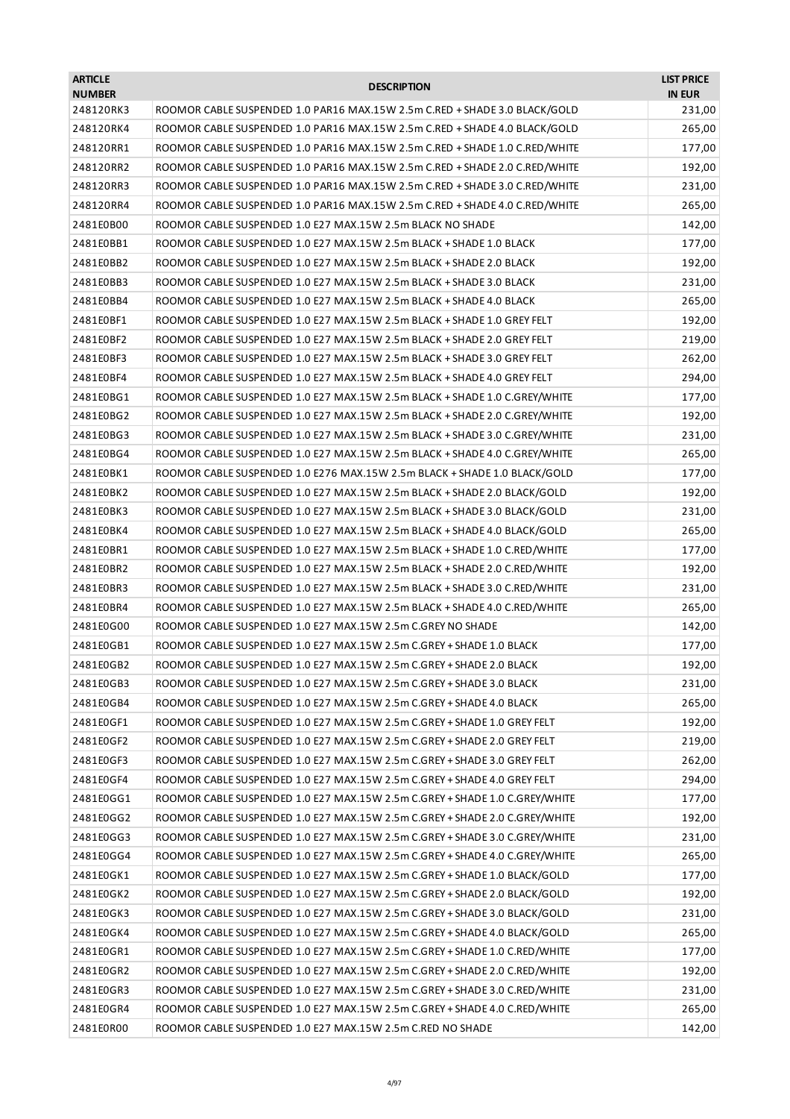| <b>ARTICLE</b><br><b>NUMBER</b> | <b>DESCRIPTION</b>                                                          | <b>LIST PRICE</b><br><b>IN EUR</b> |
|---------------------------------|-----------------------------------------------------------------------------|------------------------------------|
| 248120RK3                       | ROOMOR CABLE SUSPENDED 1.0 PAR16 MAX.15W 2.5m C.RED + SHADE 3.0 BLACK/GOLD  | 231,00                             |
| 248120RK4                       | ROOMOR CABLE SUSPENDED 1.0 PAR16 MAX.15W 2.5m C.RED + SHADE 4.0 BLACK/GOLD  | 265,00                             |
| 248120RR1                       | ROOMOR CABLE SUSPENDED 1.0 PAR16 MAX.15W 2.5m C.RED + SHADE 1.0 C.RED/WHITE | 177,00                             |
| 248120RR2                       | ROOMOR CABLE SUSPENDED 1.0 PAR16 MAX.15W 2.5m C.RED + SHADE 2.0 C.RED/WHITE | 192,00                             |
| 248120RR3                       | ROOMOR CABLE SUSPENDED 1.0 PAR16 MAX.15W 2.5m C.RED + SHADE 3.0 C.RED/WHITE | 231,00                             |
| 248120RR4                       | ROOMOR CABLE SUSPENDED 1.0 PAR16 MAX.15W 2.5m C.RED + SHADE 4.0 C.RED/WHITE | 265,00                             |
| 2481E0B00                       | ROOMOR CABLE SUSPENDED 1.0 E27 MAX.15W 2.5m BLACK NO SHADE                  | 142,00                             |
| 2481E0BB1                       | ROOMOR CABLE SUSPENDED 1.0 E27 MAX.15W 2.5m BLACK + SHADE 1.0 BLACK         | 177,00                             |
| 2481E0BB2                       | ROOMOR CABLE SUSPENDED 1.0 E27 MAX.15W 2.5m BLACK + SHADE 2.0 BLACK         | 192,00                             |
| 2481E0BB3                       | ROOMOR CABLE SUSPENDED 1.0 E27 MAX.15W 2.5m BLACK + SHADE 3.0 BLACK         | 231,00                             |
| 2481E0BB4                       | ROOMOR CABLE SUSPENDED 1.0 E27 MAX.15W 2.5m BLACK + SHADE 4.0 BLACK         | 265,00                             |
| 2481E0BF1                       | ROOMOR CABLE SUSPENDED 1.0 E27 MAX.15W 2.5m BLACK + SHADE 1.0 GREY FELT     | 192,00                             |
| 2481E0BF2                       | ROOMOR CABLE SUSPENDED 1.0 E27 MAX.15W 2.5m BLACK + SHADE 2.0 GREY FELT     | 219,00                             |
| 2481E0BF3                       | ROOMOR CABLE SUSPENDED 1.0 E27 MAX.15W 2.5m BLACK + SHADE 3.0 GREY FELT     | 262,00                             |
| 2481E0BF4                       | ROOMOR CABLE SUSPENDED 1.0 E27 MAX.15W 2.5m BLACK + SHADE 4.0 GREY FELT     | 294,00                             |
| 2481E0BG1                       | ROOMOR CABLE SUSPENDED 1.0 E27 MAX.15W 2.5m BLACK + SHADE 1.0 C.GREY/WHITE  | 177,00                             |
| 2481E0BG2                       | ROOMOR CABLE SUSPENDED 1.0 E27 MAX.15W 2.5m BLACK + SHADE 2.0 C.GREY/WHITE  | 192,00                             |
| 2481E0BG3                       | ROOMOR CABLE SUSPENDED 1.0 E27 MAX.15W 2.5m BLACK + SHADE 3.0 C.GREY/WHITE  | 231,00                             |
| 2481E0BG4                       | ROOMOR CABLE SUSPENDED 1.0 E27 MAX.15W 2.5m BLACK + SHADE 4.0 C.GREY/WHITE  | 265,00                             |
| 2481E0BK1                       | ROOMOR CABLE SUSPENDED 1.0 E276 MAX.15W 2.5m BLACK + SHADE 1.0 BLACK/GOLD   | 177,00                             |
| 2481E0BK2                       | ROOMOR CABLE SUSPENDED 1.0 E27 MAX.15W 2.5m BLACK + SHADE 2.0 BLACK/GOLD    | 192,00                             |
| 2481E0BK3                       | ROOMOR CABLE SUSPENDED 1.0 E27 MAX.15W 2.5m BLACK + SHADE 3.0 BLACK/GOLD    | 231,00                             |
| 2481E0BK4                       | ROOMOR CABLE SUSPENDED 1.0 E27 MAX.15W 2.5m BLACK + SHADE 4.0 BLACK/GOLD    | 265,00                             |
| 2481E0BR1                       | ROOMOR CABLE SUSPENDED 1.0 E27 MAX.15W 2.5m BLACK + SHADE 1.0 C.RED/WHITE   | 177,00                             |
| 2481E0BR2                       | ROOMOR CABLE SUSPENDED 1.0 E27 MAX.15W 2.5m BLACK + SHADE 2.0 C.RED/WHITE   | 192,00                             |
| 2481E0BR3                       | ROOMOR CABLE SUSPENDED 1.0 E27 MAX.15W 2.5m BLACK + SHADE 3.0 C.RED/WHITE   | 231,00                             |
| 2481E0BR4                       | ROOMOR CABLE SUSPENDED 1.0 E27 MAX.15W 2.5m BLACK + SHADE 4.0 C.RED/WHITE   | 265,00                             |
| 2481E0G00                       | ROOMOR CABLE SUSPENDED 1.0 E27 MAX.15W 2.5m C.GREY NO SHADE                 | 142,00                             |
| 2481E0GB1                       | ROOMOR CABLE SUSPENDED 1.0 E27 MAX.15W 2.5m C.GREY + SHADE 1.0 BLACK        | 177,00                             |
| 2481E0GB2                       | ROOMOR CABLE SUSPENDED 1.0 E27 MAX.15W 2.5m C.GREY + SHADE 2.0 BLACK        | 192,00                             |
| 2481E0GB3                       | ROOMOR CABLE SUSPENDED 1.0 E27 MAX.15W 2.5m C.GREY + SHADE 3.0 BLACK        | 231,00                             |
| 2481E0GB4                       | ROOMOR CABLE SUSPENDED 1.0 E27 MAX.15W 2.5m C.GREY + SHADE 4.0 BLACK        | 265,00                             |
| 2481E0GF1                       | ROOMOR CABLE SUSPENDED 1.0 E27 MAX.15W 2.5m C.GREY + SHADE 1.0 GREY FELT    | 192,00                             |
| 2481E0GF2                       | ROOMOR CABLE SUSPENDED 1.0 E27 MAX.15W 2.5m C.GREY + SHADE 2.0 GREY FELT    | 219,00                             |
| 2481E0GF3                       | ROOMOR CABLE SUSPENDED 1.0 E27 MAX.15W 2.5m C.GREY + SHADE 3.0 GREY FELT    | 262,00                             |
| 2481E0GF4                       | ROOMOR CABLE SUSPENDED 1.0 E27 MAX.15W 2.5m C.GREY + SHADE 4.0 GREY FELT    | 294,00                             |
| 2481E0GG1                       | ROOMOR CABLE SUSPENDED 1.0 E27 MAX.15W 2.5m C.GREY + SHADE 1.0 C.GREY/WHITE | 177,00                             |
| 2481E0GG2                       | ROOMOR CABLE SUSPENDED 1.0 E27 MAX.15W 2.5m C.GREY + SHADE 2.0 C.GREY/WHITE | 192,00                             |
| 2481E0GG3                       | ROOMOR CABLE SUSPENDED 1.0 E27 MAX.15W 2.5m C.GREY + SHADE 3.0 C.GREY/WHITE | 231,00                             |
| 2481E0GG4                       | ROOMOR CABLE SUSPENDED 1.0 E27 MAX.15W 2.5m C.GREY + SHADE 4.0 C.GREY/WHITE | 265,00                             |
| 2481E0GK1                       | ROOMOR CABLE SUSPENDED 1.0 E27 MAX.15W 2.5m C.GREY + SHADE 1.0 BLACK/GOLD   | 177,00                             |
| 2481E0GK2                       | ROOMOR CABLE SUSPENDED 1.0 E27 MAX.15W 2.5m C.GREY + SHADE 2.0 BLACK/GOLD   | 192,00                             |
| 2481E0GK3                       | ROOMOR CABLE SUSPENDED 1.0 E27 MAX.15W 2.5m C.GREY + SHADE 3.0 BLACK/GOLD   | 231,00                             |
| 2481E0GK4                       | ROOMOR CABLE SUSPENDED 1.0 E27 MAX.15W 2.5m C.GREY + SHADE 4.0 BLACK/GOLD   | 265,00                             |
| 2481E0GR1                       | ROOMOR CABLE SUSPENDED 1.0 E27 MAX.15W 2.5m C.GREY + SHADE 1.0 C.RED/WHITE  | 177,00                             |
| 2481E0GR2                       | ROOMOR CABLE SUSPENDED 1.0 E27 MAX.15W 2.5m C.GREY + SHADE 2.0 C.RED/WHITE  | 192,00                             |
| 2481E0GR3                       | ROOMOR CABLE SUSPENDED 1.0 E27 MAX.15W 2.5m C.GREY + SHADE 3.0 C.RED/WHITE  | 231,00                             |
| 2481E0GR4                       | ROOMOR CABLE SUSPENDED 1.0 E27 MAX.15W 2.5m C.GREY + SHADE 4.0 C.RED/WHITE  | 265,00                             |
| 2481E0R00                       | ROOMOR CABLE SUSPENDED 1.0 E27 MAX.15W 2.5m C.RED NO SHADE                  | 142,00                             |
|                                 |                                                                             |                                    |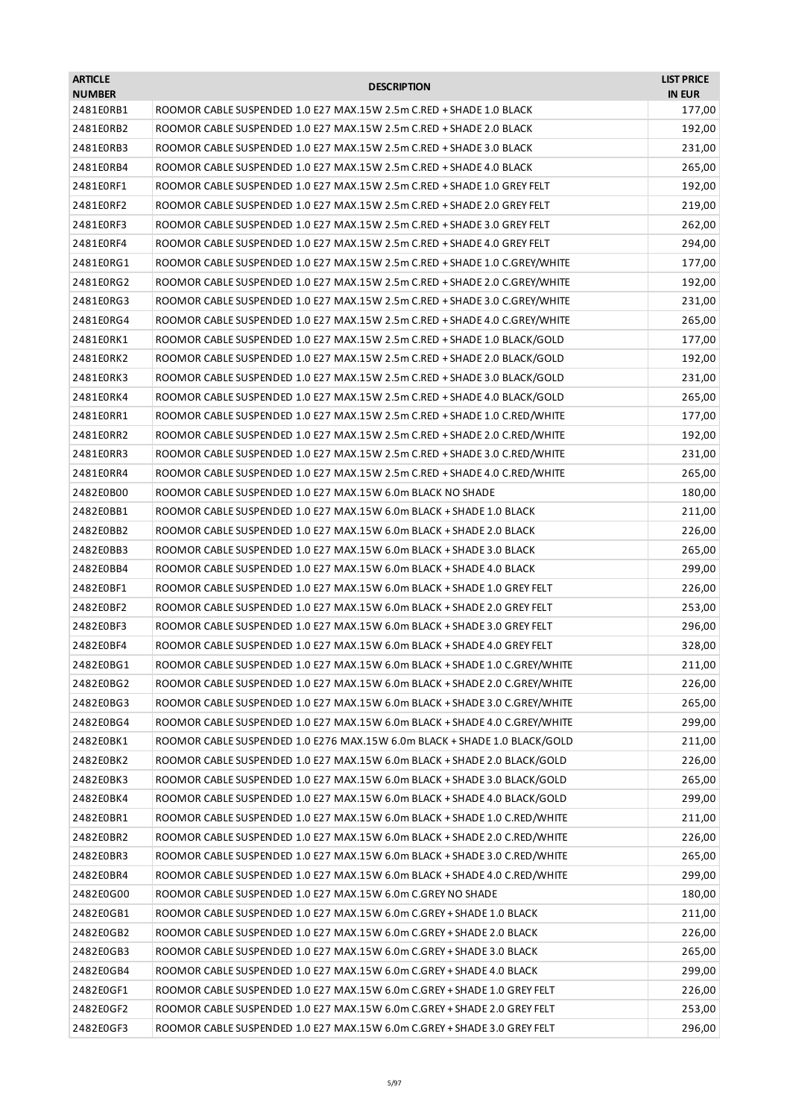| ROOMOR CABLE SUSPENDED 1.0 E27 MAX.15W 2.5m C.RED + SHADE 1.0 BLACK<br>2481E0RB1<br>177,00<br>192,00<br>2481E0RB2<br>ROOMOR CABLE SUSPENDED 1.0 E27 MAX.15W 2.5m C.RED + SHADE 2.0 BLACK<br>231,00<br>2481E0RB3<br>ROOMOR CABLE SUSPENDED 1.0 E27 MAX.15W 2.5m C.RED + SHADE 3.0 BLACK<br>2481E0RB4<br>265,00<br>ROOMOR CABLE SUSPENDED 1.0 E27 MAX.15W 2.5m C.RED + SHADE 4.0 BLACK<br>2481E0RF1<br>ROOMOR CABLE SUSPENDED 1.0 E27 MAX.15W 2.5m C.RED + SHADE 1.0 GREY FELT<br>192,00<br>2481E0RF2<br>ROOMOR CABLE SUSPENDED 1.0 E27 MAX.15W 2.5m C.RED + SHADE 2.0 GREY FELT<br>219,00<br>262,00<br>2481E0RF3<br>ROOMOR CABLE SUSPENDED 1.0 E27 MAX.15W 2.5m C.RED + SHADE 3.0 GREY FELT<br>294,00<br>2481E0RF4<br>ROOMOR CABLE SUSPENDED 1.0 E27 MAX.15W 2.5m C.RED + SHADE 4.0 GREY FELT<br>177,00<br>2481E0RG1<br>ROOMOR CABLE SUSPENDED 1.0 E27 MAX.15W 2.5m C.RED + SHADE 1.0 C.GREY/WHITE<br>2481E0RG2<br>ROOMOR CABLE SUSPENDED 1.0 E27 MAX.15W 2.5m C.RED + SHADE 2.0 C.GREY/WHITE<br>192,00<br>2481E0RG3<br>ROOMOR CABLE SUSPENDED 1.0 E27 MAX.15W 2.5m C.RED + SHADE 3.0 C.GREY/WHITE<br>231,00<br>265,00<br>2481E0RG4<br>ROOMOR CABLE SUSPENDED 1.0 E27 MAX.15W 2.5m C.RED + SHADE 4.0 C.GREY/WHITE<br>177,00<br>2481E0RK1<br>ROOMOR CABLE SUSPENDED 1.0 E27 MAX.15W 2.5m C.RED + SHADE 1.0 BLACK/GOLD<br>192,00<br>2481E0RK2<br>ROOMOR CABLE SUSPENDED 1.0 E27 MAX.15W 2.5m C.RED + SHADE 2.0 BLACK/GOLD<br>2481E0RK3<br>ROOMOR CABLE SUSPENDED 1.0 E27 MAX.15W 2.5m C.RED + SHADE 3.0 BLACK/GOLD<br>231,00<br>265,00<br>2481E0RK4<br>ROOMOR CABLE SUSPENDED 1.0 E27 MAX.15W 2.5m C.RED + SHADE 4.0 BLACK/GOLD<br>177,00<br>2481E0RR1<br>ROOMOR CABLE SUSPENDED 1.0 E27 MAX.15W 2.5m C.RED + SHADE 1.0 C.RED/WHITE<br>ROOMOR CABLE SUSPENDED 1.0 E27 MAX.15W 2.5m C.RED + SHADE 2.0 C.RED/WHITE<br>192,00<br>2481E0RR2<br>231,00<br>2481E0RR3<br>ROOMOR CABLE SUSPENDED 1.0 E27 MAX.15W 2.5m C.RED + SHADE 3.0 C.RED/WHITE<br>2481E0RR4<br>ROOMOR CABLE SUSPENDED 1.0 E27 MAX.15W 2.5m C.RED + SHADE 4.0 C.RED/WHITE<br>265,00<br>2482E0B00<br>ROOMOR CABLE SUSPENDED 1.0 E27 MAX.15W 6.0m BLACK NO SHADE<br>180,00<br>211,00<br>2482E0BB1<br>ROOMOR CABLE SUSPENDED 1.0 E27 MAX.15W 6.0m BLACK + SHADE 1.0 BLACK<br>226,00<br>2482E0BB2<br>ROOMOR CABLE SUSPENDED 1.0 E27 MAX.15W 6.0m BLACK + SHADE 2.0 BLACK<br>265,00<br>2482E0BB3<br>ROOMOR CABLE SUSPENDED 1.0 E27 MAX.15W 6.0m BLACK + SHADE 3.0 BLACK<br>2482E0BB4<br>ROOMOR CABLE SUSPENDED 1.0 E27 MAX.15W 6.0m BLACK + SHADE 4.0 BLACK<br>299,00<br>2482E0BF1<br>ROOMOR CABLE SUSPENDED 1.0 E27 MAX.15W 6.0m BLACK + SHADE 1.0 GREY FELT<br>226,00<br>253,00<br>2482E0BF2<br>ROOMOR CABLE SUSPENDED 1.0 E27 MAX.15W 6.0m BLACK + SHADE 2.0 GREY FELT<br>296,00<br>2482E0BF3<br>ROOMOR CABLE SUSPENDED 1.0 E27 MAX.15W 6.0m BLACK + SHADE 3.0 GREY FELT<br>328,00<br>2482E0BF4<br>ROOMOR CABLE SUSPENDED 1.0 E27 MAX.15W 6.0m BLACK + SHADE 4.0 GREY FELT<br>2482E0BG1<br>ROOMOR CABLE SUSPENDED 1.0 E27 MAX.15W 6.0m BLACK + SHADE 1.0 C.GREY/WHITE<br>211,00<br>2482E0BG2<br>ROOMOR CABLE SUSPENDED 1.0 E27 MAX.15W 6.0m BLACK + SHADE 2.0 C.GREY/WHITE<br>226,00<br>2482E0BG3<br>ROOMOR CABLE SUSPENDED 1.0 E27 MAX.15W 6.0m BLACK + SHADE 3.0 C.GREY/WHITE<br>265,00<br>2482E0BG4<br>ROOMOR CABLE SUSPENDED 1.0 E27 MAX.15W 6.0m BLACK + SHADE 4.0 C.GREY/WHITE<br>299,00<br>ROOMOR CABLE SUSPENDED 1.0 E276 MAX.15W 6.0m BLACK + SHADE 1.0 BLACK/GOLD<br>211,00<br>2482E0BK1<br>226,00<br>2482E0BK2<br>ROOMOR CABLE SUSPENDED 1.0 E27 MAX.15W 6.0m BLACK + SHADE 2.0 BLACK/GOLD<br>2482E0BK3<br>ROOMOR CABLE SUSPENDED 1.0 E27 MAX.15W 6.0m BLACK + SHADE 3.0 BLACK/GOLD<br>265,00<br>299,00<br>2482E0BK4<br>ROOMOR CABLE SUSPENDED 1.0 E27 MAX.15W 6.0m BLACK + SHADE 4.0 BLACK/GOLD<br>2482E0BR1<br>ROOMOR CABLE SUSPENDED 1.0 E27 MAX.15W 6.0m BLACK + SHADE 1.0 C.RED/WHITE<br>211,00<br>ROOMOR CABLE SUSPENDED 1.0 E27 MAX.15W 6.0m BLACK + SHADE 2.0 C.RED/WHITE<br>226,00<br>2482E0BR2<br>2482E0BR3<br>ROOMOR CABLE SUSPENDED 1.0 E27 MAX.15W 6.0m BLACK + SHADE 3.0 C.RED/WHITE<br>265,00<br>2482E0BR4<br>ROOMOR CABLE SUSPENDED 1.0 E27 MAX.15W 6.0m BLACK + SHADE 4.0 C.RED/WHITE<br>299,00<br>180,00<br>2482E0G00<br>ROOMOR CABLE SUSPENDED 1.0 E27 MAX.15W 6.0m C.GREY NO SHADE<br>2482E0GB1<br>ROOMOR CABLE SUSPENDED 1.0 E27 MAX.15W 6.0m C.GREY + SHADE 1.0 BLACK<br>211,00<br>2482E0GB2<br>ROOMOR CABLE SUSPENDED 1.0 E27 MAX.15W 6.0m C.GREY + SHADE 2.0 BLACK<br>226,00<br>2482E0GB3<br>ROOMOR CABLE SUSPENDED 1.0 E27 MAX.15W 6.0m C.GREY + SHADE 3.0 BLACK<br>265,00<br>2482E0GB4<br>ROOMOR CABLE SUSPENDED 1.0 E27 MAX.15W 6.0m C.GREY + SHADE 4.0 BLACK<br>299,00<br>2482E0GF1<br>226,00<br>ROOMOR CABLE SUSPENDED 1.0 E27 MAX.15W 6.0m C.GREY + SHADE 1.0 GREY FELT<br>2482E0GF2<br>ROOMOR CABLE SUSPENDED 1.0 E27 MAX.15W 6.0m C.GREY + SHADE 2.0 GREY FELT<br>253,00<br>296,00<br>2482E0GF3<br>ROOMOR CABLE SUSPENDED 1.0 E27 MAX.15W 6.0m C.GREY + SHADE 3.0 GREY FELT | <b>ARTICLE</b><br><b>NUMBER</b> | <b>DESCRIPTION</b> | <b>LIST PRICE</b><br><b>IN EUR</b> |
|-------------------------------------------------------------------------------------------------------------------------------------------------------------------------------------------------------------------------------------------------------------------------------------------------------------------------------------------------------------------------------------------------------------------------------------------------------------------------------------------------------------------------------------------------------------------------------------------------------------------------------------------------------------------------------------------------------------------------------------------------------------------------------------------------------------------------------------------------------------------------------------------------------------------------------------------------------------------------------------------------------------------------------------------------------------------------------------------------------------------------------------------------------------------------------------------------------------------------------------------------------------------------------------------------------------------------------------------------------------------------------------------------------------------------------------------------------------------------------------------------------------------------------------------------------------------------------------------------------------------------------------------------------------------------------------------------------------------------------------------------------------------------------------------------------------------------------------------------------------------------------------------------------------------------------------------------------------------------------------------------------------------------------------------------------------------------------------------------------------------------------------------------------------------------------------------------------------------------------------------------------------------------------------------------------------------------------------------------------------------------------------------------------------------------------------------------------------------------------------------------------------------------------------------------------------------------------------------------------------------------------------------------------------------------------------------------------------------------------------------------------------------------------------------------------------------------------------------------------------------------------------------------------------------------------------------------------------------------------------------------------------------------------------------------------------------------------------------------------------------------------------------------------------------------------------------------------------------------------------------------------------------------------------------------------------------------------------------------------------------------------------------------------------------------------------------------------------------------------------------------------------------------------------------------------------------------------------------------------------------------------------------------------------------------------------------------------------------------------------------------------------------------------------------------------------------------------------------------------------------------------------------------------------------------------------------------------------------------------------------------------------------------------------------------------------------------------------------------------------------------------------------------------------------------------------------------------------------------------------------------------------------------------------------------------------------------------------------------------------------------------------------------------------------------------------------------------------------------------------------------------------------------------------------------------------------------------------------------------------------------------------------------------------------------------------------------------------------------------------------------------------------------------------------------------------------------------------------------------------------------------------------------------------------------------------------------------------------------------|---------------------------------|--------------------|------------------------------------|
|                                                                                                                                                                                                                                                                                                                                                                                                                                                                                                                                                                                                                                                                                                                                                                                                                                                                                                                                                                                                                                                                                                                                                                                                                                                                                                                                                                                                                                                                                                                                                                                                                                                                                                                                                                                                                                                                                                                                                                                                                                                                                                                                                                                                                                                                                                                                                                                                                                                                                                                                                                                                                                                                                                                                                                                                                                                                                                                                                                                                                                                                                                                                                                                                                                                                                                                                                                                                                                                                                                                                                                                                                                                                                                                                                                                                                                                                                                                                                                                                                                                                                                                                                                                                                                                                                                                                                                                                                                                                                                                                                                                                                                                                                                                                                                                                                                                                                                                                                                               |                                 |                    |                                    |
|                                                                                                                                                                                                                                                                                                                                                                                                                                                                                                                                                                                                                                                                                                                                                                                                                                                                                                                                                                                                                                                                                                                                                                                                                                                                                                                                                                                                                                                                                                                                                                                                                                                                                                                                                                                                                                                                                                                                                                                                                                                                                                                                                                                                                                                                                                                                                                                                                                                                                                                                                                                                                                                                                                                                                                                                                                                                                                                                                                                                                                                                                                                                                                                                                                                                                                                                                                                                                                                                                                                                                                                                                                                                                                                                                                                                                                                                                                                                                                                                                                                                                                                                                                                                                                                                                                                                                                                                                                                                                                                                                                                                                                                                                                                                                                                                                                                                                                                                                                               |                                 |                    |                                    |
|                                                                                                                                                                                                                                                                                                                                                                                                                                                                                                                                                                                                                                                                                                                                                                                                                                                                                                                                                                                                                                                                                                                                                                                                                                                                                                                                                                                                                                                                                                                                                                                                                                                                                                                                                                                                                                                                                                                                                                                                                                                                                                                                                                                                                                                                                                                                                                                                                                                                                                                                                                                                                                                                                                                                                                                                                                                                                                                                                                                                                                                                                                                                                                                                                                                                                                                                                                                                                                                                                                                                                                                                                                                                                                                                                                                                                                                                                                                                                                                                                                                                                                                                                                                                                                                                                                                                                                                                                                                                                                                                                                                                                                                                                                                                                                                                                                                                                                                                                                               |                                 |                    |                                    |
|                                                                                                                                                                                                                                                                                                                                                                                                                                                                                                                                                                                                                                                                                                                                                                                                                                                                                                                                                                                                                                                                                                                                                                                                                                                                                                                                                                                                                                                                                                                                                                                                                                                                                                                                                                                                                                                                                                                                                                                                                                                                                                                                                                                                                                                                                                                                                                                                                                                                                                                                                                                                                                                                                                                                                                                                                                                                                                                                                                                                                                                                                                                                                                                                                                                                                                                                                                                                                                                                                                                                                                                                                                                                                                                                                                                                                                                                                                                                                                                                                                                                                                                                                                                                                                                                                                                                                                                                                                                                                                                                                                                                                                                                                                                                                                                                                                                                                                                                                                               |                                 |                    |                                    |
|                                                                                                                                                                                                                                                                                                                                                                                                                                                                                                                                                                                                                                                                                                                                                                                                                                                                                                                                                                                                                                                                                                                                                                                                                                                                                                                                                                                                                                                                                                                                                                                                                                                                                                                                                                                                                                                                                                                                                                                                                                                                                                                                                                                                                                                                                                                                                                                                                                                                                                                                                                                                                                                                                                                                                                                                                                                                                                                                                                                                                                                                                                                                                                                                                                                                                                                                                                                                                                                                                                                                                                                                                                                                                                                                                                                                                                                                                                                                                                                                                                                                                                                                                                                                                                                                                                                                                                                                                                                                                                                                                                                                                                                                                                                                                                                                                                                                                                                                                                               |                                 |                    |                                    |
|                                                                                                                                                                                                                                                                                                                                                                                                                                                                                                                                                                                                                                                                                                                                                                                                                                                                                                                                                                                                                                                                                                                                                                                                                                                                                                                                                                                                                                                                                                                                                                                                                                                                                                                                                                                                                                                                                                                                                                                                                                                                                                                                                                                                                                                                                                                                                                                                                                                                                                                                                                                                                                                                                                                                                                                                                                                                                                                                                                                                                                                                                                                                                                                                                                                                                                                                                                                                                                                                                                                                                                                                                                                                                                                                                                                                                                                                                                                                                                                                                                                                                                                                                                                                                                                                                                                                                                                                                                                                                                                                                                                                                                                                                                                                                                                                                                                                                                                                                                               |                                 |                    |                                    |
|                                                                                                                                                                                                                                                                                                                                                                                                                                                                                                                                                                                                                                                                                                                                                                                                                                                                                                                                                                                                                                                                                                                                                                                                                                                                                                                                                                                                                                                                                                                                                                                                                                                                                                                                                                                                                                                                                                                                                                                                                                                                                                                                                                                                                                                                                                                                                                                                                                                                                                                                                                                                                                                                                                                                                                                                                                                                                                                                                                                                                                                                                                                                                                                                                                                                                                                                                                                                                                                                                                                                                                                                                                                                                                                                                                                                                                                                                                                                                                                                                                                                                                                                                                                                                                                                                                                                                                                                                                                                                                                                                                                                                                                                                                                                                                                                                                                                                                                                                                               |                                 |                    |                                    |
|                                                                                                                                                                                                                                                                                                                                                                                                                                                                                                                                                                                                                                                                                                                                                                                                                                                                                                                                                                                                                                                                                                                                                                                                                                                                                                                                                                                                                                                                                                                                                                                                                                                                                                                                                                                                                                                                                                                                                                                                                                                                                                                                                                                                                                                                                                                                                                                                                                                                                                                                                                                                                                                                                                                                                                                                                                                                                                                                                                                                                                                                                                                                                                                                                                                                                                                                                                                                                                                                                                                                                                                                                                                                                                                                                                                                                                                                                                                                                                                                                                                                                                                                                                                                                                                                                                                                                                                                                                                                                                                                                                                                                                                                                                                                                                                                                                                                                                                                                                               |                                 |                    |                                    |
|                                                                                                                                                                                                                                                                                                                                                                                                                                                                                                                                                                                                                                                                                                                                                                                                                                                                                                                                                                                                                                                                                                                                                                                                                                                                                                                                                                                                                                                                                                                                                                                                                                                                                                                                                                                                                                                                                                                                                                                                                                                                                                                                                                                                                                                                                                                                                                                                                                                                                                                                                                                                                                                                                                                                                                                                                                                                                                                                                                                                                                                                                                                                                                                                                                                                                                                                                                                                                                                                                                                                                                                                                                                                                                                                                                                                                                                                                                                                                                                                                                                                                                                                                                                                                                                                                                                                                                                                                                                                                                                                                                                                                                                                                                                                                                                                                                                                                                                                                                               |                                 |                    |                                    |
|                                                                                                                                                                                                                                                                                                                                                                                                                                                                                                                                                                                                                                                                                                                                                                                                                                                                                                                                                                                                                                                                                                                                                                                                                                                                                                                                                                                                                                                                                                                                                                                                                                                                                                                                                                                                                                                                                                                                                                                                                                                                                                                                                                                                                                                                                                                                                                                                                                                                                                                                                                                                                                                                                                                                                                                                                                                                                                                                                                                                                                                                                                                                                                                                                                                                                                                                                                                                                                                                                                                                                                                                                                                                                                                                                                                                                                                                                                                                                                                                                                                                                                                                                                                                                                                                                                                                                                                                                                                                                                                                                                                                                                                                                                                                                                                                                                                                                                                                                                               |                                 |                    |                                    |
|                                                                                                                                                                                                                                                                                                                                                                                                                                                                                                                                                                                                                                                                                                                                                                                                                                                                                                                                                                                                                                                                                                                                                                                                                                                                                                                                                                                                                                                                                                                                                                                                                                                                                                                                                                                                                                                                                                                                                                                                                                                                                                                                                                                                                                                                                                                                                                                                                                                                                                                                                                                                                                                                                                                                                                                                                                                                                                                                                                                                                                                                                                                                                                                                                                                                                                                                                                                                                                                                                                                                                                                                                                                                                                                                                                                                                                                                                                                                                                                                                                                                                                                                                                                                                                                                                                                                                                                                                                                                                                                                                                                                                                                                                                                                                                                                                                                                                                                                                                               |                                 |                    |                                    |
|                                                                                                                                                                                                                                                                                                                                                                                                                                                                                                                                                                                                                                                                                                                                                                                                                                                                                                                                                                                                                                                                                                                                                                                                                                                                                                                                                                                                                                                                                                                                                                                                                                                                                                                                                                                                                                                                                                                                                                                                                                                                                                                                                                                                                                                                                                                                                                                                                                                                                                                                                                                                                                                                                                                                                                                                                                                                                                                                                                                                                                                                                                                                                                                                                                                                                                                                                                                                                                                                                                                                                                                                                                                                                                                                                                                                                                                                                                                                                                                                                                                                                                                                                                                                                                                                                                                                                                                                                                                                                                                                                                                                                                                                                                                                                                                                                                                                                                                                                                               |                                 |                    |                                    |
|                                                                                                                                                                                                                                                                                                                                                                                                                                                                                                                                                                                                                                                                                                                                                                                                                                                                                                                                                                                                                                                                                                                                                                                                                                                                                                                                                                                                                                                                                                                                                                                                                                                                                                                                                                                                                                                                                                                                                                                                                                                                                                                                                                                                                                                                                                                                                                                                                                                                                                                                                                                                                                                                                                                                                                                                                                                                                                                                                                                                                                                                                                                                                                                                                                                                                                                                                                                                                                                                                                                                                                                                                                                                                                                                                                                                                                                                                                                                                                                                                                                                                                                                                                                                                                                                                                                                                                                                                                                                                                                                                                                                                                                                                                                                                                                                                                                                                                                                                                               |                                 |                    |                                    |
|                                                                                                                                                                                                                                                                                                                                                                                                                                                                                                                                                                                                                                                                                                                                                                                                                                                                                                                                                                                                                                                                                                                                                                                                                                                                                                                                                                                                                                                                                                                                                                                                                                                                                                                                                                                                                                                                                                                                                                                                                                                                                                                                                                                                                                                                                                                                                                                                                                                                                                                                                                                                                                                                                                                                                                                                                                                                                                                                                                                                                                                                                                                                                                                                                                                                                                                                                                                                                                                                                                                                                                                                                                                                                                                                                                                                                                                                                                                                                                                                                                                                                                                                                                                                                                                                                                                                                                                                                                                                                                                                                                                                                                                                                                                                                                                                                                                                                                                                                                               |                                 |                    |                                    |
|                                                                                                                                                                                                                                                                                                                                                                                                                                                                                                                                                                                                                                                                                                                                                                                                                                                                                                                                                                                                                                                                                                                                                                                                                                                                                                                                                                                                                                                                                                                                                                                                                                                                                                                                                                                                                                                                                                                                                                                                                                                                                                                                                                                                                                                                                                                                                                                                                                                                                                                                                                                                                                                                                                                                                                                                                                                                                                                                                                                                                                                                                                                                                                                                                                                                                                                                                                                                                                                                                                                                                                                                                                                                                                                                                                                                                                                                                                                                                                                                                                                                                                                                                                                                                                                                                                                                                                                                                                                                                                                                                                                                                                                                                                                                                                                                                                                                                                                                                                               |                                 |                    |                                    |
|                                                                                                                                                                                                                                                                                                                                                                                                                                                                                                                                                                                                                                                                                                                                                                                                                                                                                                                                                                                                                                                                                                                                                                                                                                                                                                                                                                                                                                                                                                                                                                                                                                                                                                                                                                                                                                                                                                                                                                                                                                                                                                                                                                                                                                                                                                                                                                                                                                                                                                                                                                                                                                                                                                                                                                                                                                                                                                                                                                                                                                                                                                                                                                                                                                                                                                                                                                                                                                                                                                                                                                                                                                                                                                                                                                                                                                                                                                                                                                                                                                                                                                                                                                                                                                                                                                                                                                                                                                                                                                                                                                                                                                                                                                                                                                                                                                                                                                                                                                               |                                 |                    |                                    |
|                                                                                                                                                                                                                                                                                                                                                                                                                                                                                                                                                                                                                                                                                                                                                                                                                                                                                                                                                                                                                                                                                                                                                                                                                                                                                                                                                                                                                                                                                                                                                                                                                                                                                                                                                                                                                                                                                                                                                                                                                                                                                                                                                                                                                                                                                                                                                                                                                                                                                                                                                                                                                                                                                                                                                                                                                                                                                                                                                                                                                                                                                                                                                                                                                                                                                                                                                                                                                                                                                                                                                                                                                                                                                                                                                                                                                                                                                                                                                                                                                                                                                                                                                                                                                                                                                                                                                                                                                                                                                                                                                                                                                                                                                                                                                                                                                                                                                                                                                                               |                                 |                    |                                    |
|                                                                                                                                                                                                                                                                                                                                                                                                                                                                                                                                                                                                                                                                                                                                                                                                                                                                                                                                                                                                                                                                                                                                                                                                                                                                                                                                                                                                                                                                                                                                                                                                                                                                                                                                                                                                                                                                                                                                                                                                                                                                                                                                                                                                                                                                                                                                                                                                                                                                                                                                                                                                                                                                                                                                                                                                                                                                                                                                                                                                                                                                                                                                                                                                                                                                                                                                                                                                                                                                                                                                                                                                                                                                                                                                                                                                                                                                                                                                                                                                                                                                                                                                                                                                                                                                                                                                                                                                                                                                                                                                                                                                                                                                                                                                                                                                                                                                                                                                                                               |                                 |                    |                                    |
|                                                                                                                                                                                                                                                                                                                                                                                                                                                                                                                                                                                                                                                                                                                                                                                                                                                                                                                                                                                                                                                                                                                                                                                                                                                                                                                                                                                                                                                                                                                                                                                                                                                                                                                                                                                                                                                                                                                                                                                                                                                                                                                                                                                                                                                                                                                                                                                                                                                                                                                                                                                                                                                                                                                                                                                                                                                                                                                                                                                                                                                                                                                                                                                                                                                                                                                                                                                                                                                                                                                                                                                                                                                                                                                                                                                                                                                                                                                                                                                                                                                                                                                                                                                                                                                                                                                                                                                                                                                                                                                                                                                                                                                                                                                                                                                                                                                                                                                                                                               |                                 |                    |                                    |
|                                                                                                                                                                                                                                                                                                                                                                                                                                                                                                                                                                                                                                                                                                                                                                                                                                                                                                                                                                                                                                                                                                                                                                                                                                                                                                                                                                                                                                                                                                                                                                                                                                                                                                                                                                                                                                                                                                                                                                                                                                                                                                                                                                                                                                                                                                                                                                                                                                                                                                                                                                                                                                                                                                                                                                                                                                                                                                                                                                                                                                                                                                                                                                                                                                                                                                                                                                                                                                                                                                                                                                                                                                                                                                                                                                                                                                                                                                                                                                                                                                                                                                                                                                                                                                                                                                                                                                                                                                                                                                                                                                                                                                                                                                                                                                                                                                                                                                                                                                               |                                 |                    |                                    |
|                                                                                                                                                                                                                                                                                                                                                                                                                                                                                                                                                                                                                                                                                                                                                                                                                                                                                                                                                                                                                                                                                                                                                                                                                                                                                                                                                                                                                                                                                                                                                                                                                                                                                                                                                                                                                                                                                                                                                                                                                                                                                                                                                                                                                                                                                                                                                                                                                                                                                                                                                                                                                                                                                                                                                                                                                                                                                                                                                                                                                                                                                                                                                                                                                                                                                                                                                                                                                                                                                                                                                                                                                                                                                                                                                                                                                                                                                                                                                                                                                                                                                                                                                                                                                                                                                                                                                                                                                                                                                                                                                                                                                                                                                                                                                                                                                                                                                                                                                                               |                                 |                    |                                    |
|                                                                                                                                                                                                                                                                                                                                                                                                                                                                                                                                                                                                                                                                                                                                                                                                                                                                                                                                                                                                                                                                                                                                                                                                                                                                                                                                                                                                                                                                                                                                                                                                                                                                                                                                                                                                                                                                                                                                                                                                                                                                                                                                                                                                                                                                                                                                                                                                                                                                                                                                                                                                                                                                                                                                                                                                                                                                                                                                                                                                                                                                                                                                                                                                                                                                                                                                                                                                                                                                                                                                                                                                                                                                                                                                                                                                                                                                                                                                                                                                                                                                                                                                                                                                                                                                                                                                                                                                                                                                                                                                                                                                                                                                                                                                                                                                                                                                                                                                                                               |                                 |                    |                                    |
|                                                                                                                                                                                                                                                                                                                                                                                                                                                                                                                                                                                                                                                                                                                                                                                                                                                                                                                                                                                                                                                                                                                                                                                                                                                                                                                                                                                                                                                                                                                                                                                                                                                                                                                                                                                                                                                                                                                                                                                                                                                                                                                                                                                                                                                                                                                                                                                                                                                                                                                                                                                                                                                                                                                                                                                                                                                                                                                                                                                                                                                                                                                                                                                                                                                                                                                                                                                                                                                                                                                                                                                                                                                                                                                                                                                                                                                                                                                                                                                                                                                                                                                                                                                                                                                                                                                                                                                                                                                                                                                                                                                                                                                                                                                                                                                                                                                                                                                                                                               |                                 |                    |                                    |
|                                                                                                                                                                                                                                                                                                                                                                                                                                                                                                                                                                                                                                                                                                                                                                                                                                                                                                                                                                                                                                                                                                                                                                                                                                                                                                                                                                                                                                                                                                                                                                                                                                                                                                                                                                                                                                                                                                                                                                                                                                                                                                                                                                                                                                                                                                                                                                                                                                                                                                                                                                                                                                                                                                                                                                                                                                                                                                                                                                                                                                                                                                                                                                                                                                                                                                                                                                                                                                                                                                                                                                                                                                                                                                                                                                                                                                                                                                                                                                                                                                                                                                                                                                                                                                                                                                                                                                                                                                                                                                                                                                                                                                                                                                                                                                                                                                                                                                                                                                               |                                 |                    |                                    |
|                                                                                                                                                                                                                                                                                                                                                                                                                                                                                                                                                                                                                                                                                                                                                                                                                                                                                                                                                                                                                                                                                                                                                                                                                                                                                                                                                                                                                                                                                                                                                                                                                                                                                                                                                                                                                                                                                                                                                                                                                                                                                                                                                                                                                                                                                                                                                                                                                                                                                                                                                                                                                                                                                                                                                                                                                                                                                                                                                                                                                                                                                                                                                                                                                                                                                                                                                                                                                                                                                                                                                                                                                                                                                                                                                                                                                                                                                                                                                                                                                                                                                                                                                                                                                                                                                                                                                                                                                                                                                                                                                                                                                                                                                                                                                                                                                                                                                                                                                                               |                                 |                    |                                    |
|                                                                                                                                                                                                                                                                                                                                                                                                                                                                                                                                                                                                                                                                                                                                                                                                                                                                                                                                                                                                                                                                                                                                                                                                                                                                                                                                                                                                                                                                                                                                                                                                                                                                                                                                                                                                                                                                                                                                                                                                                                                                                                                                                                                                                                                                                                                                                                                                                                                                                                                                                                                                                                                                                                                                                                                                                                                                                                                                                                                                                                                                                                                                                                                                                                                                                                                                                                                                                                                                                                                                                                                                                                                                                                                                                                                                                                                                                                                                                                                                                                                                                                                                                                                                                                                                                                                                                                                                                                                                                                                                                                                                                                                                                                                                                                                                                                                                                                                                                                               |                                 |                    |                                    |
|                                                                                                                                                                                                                                                                                                                                                                                                                                                                                                                                                                                                                                                                                                                                                                                                                                                                                                                                                                                                                                                                                                                                                                                                                                                                                                                                                                                                                                                                                                                                                                                                                                                                                                                                                                                                                                                                                                                                                                                                                                                                                                                                                                                                                                                                                                                                                                                                                                                                                                                                                                                                                                                                                                                                                                                                                                                                                                                                                                                                                                                                                                                                                                                                                                                                                                                                                                                                                                                                                                                                                                                                                                                                                                                                                                                                                                                                                                                                                                                                                                                                                                                                                                                                                                                                                                                                                                                                                                                                                                                                                                                                                                                                                                                                                                                                                                                                                                                                                                               |                                 |                    |                                    |
|                                                                                                                                                                                                                                                                                                                                                                                                                                                                                                                                                                                                                                                                                                                                                                                                                                                                                                                                                                                                                                                                                                                                                                                                                                                                                                                                                                                                                                                                                                                                                                                                                                                                                                                                                                                                                                                                                                                                                                                                                                                                                                                                                                                                                                                                                                                                                                                                                                                                                                                                                                                                                                                                                                                                                                                                                                                                                                                                                                                                                                                                                                                                                                                                                                                                                                                                                                                                                                                                                                                                                                                                                                                                                                                                                                                                                                                                                                                                                                                                                                                                                                                                                                                                                                                                                                                                                                                                                                                                                                                                                                                                                                                                                                                                                                                                                                                                                                                                                                               |                                 |                    |                                    |
|                                                                                                                                                                                                                                                                                                                                                                                                                                                                                                                                                                                                                                                                                                                                                                                                                                                                                                                                                                                                                                                                                                                                                                                                                                                                                                                                                                                                                                                                                                                                                                                                                                                                                                                                                                                                                                                                                                                                                                                                                                                                                                                                                                                                                                                                                                                                                                                                                                                                                                                                                                                                                                                                                                                                                                                                                                                                                                                                                                                                                                                                                                                                                                                                                                                                                                                                                                                                                                                                                                                                                                                                                                                                                                                                                                                                                                                                                                                                                                                                                                                                                                                                                                                                                                                                                                                                                                                                                                                                                                                                                                                                                                                                                                                                                                                                                                                                                                                                                                               |                                 |                    |                                    |
|                                                                                                                                                                                                                                                                                                                                                                                                                                                                                                                                                                                                                                                                                                                                                                                                                                                                                                                                                                                                                                                                                                                                                                                                                                                                                                                                                                                                                                                                                                                                                                                                                                                                                                                                                                                                                                                                                                                                                                                                                                                                                                                                                                                                                                                                                                                                                                                                                                                                                                                                                                                                                                                                                                                                                                                                                                                                                                                                                                                                                                                                                                                                                                                                                                                                                                                                                                                                                                                                                                                                                                                                                                                                                                                                                                                                                                                                                                                                                                                                                                                                                                                                                                                                                                                                                                                                                                                                                                                                                                                                                                                                                                                                                                                                                                                                                                                                                                                                                                               |                                 |                    |                                    |
|                                                                                                                                                                                                                                                                                                                                                                                                                                                                                                                                                                                                                                                                                                                                                                                                                                                                                                                                                                                                                                                                                                                                                                                                                                                                                                                                                                                                                                                                                                                                                                                                                                                                                                                                                                                                                                                                                                                                                                                                                                                                                                                                                                                                                                                                                                                                                                                                                                                                                                                                                                                                                                                                                                                                                                                                                                                                                                                                                                                                                                                                                                                                                                                                                                                                                                                                                                                                                                                                                                                                                                                                                                                                                                                                                                                                                                                                                                                                                                                                                                                                                                                                                                                                                                                                                                                                                                                                                                                                                                                                                                                                                                                                                                                                                                                                                                                                                                                                                                               |                                 |                    |                                    |
|                                                                                                                                                                                                                                                                                                                                                                                                                                                                                                                                                                                                                                                                                                                                                                                                                                                                                                                                                                                                                                                                                                                                                                                                                                                                                                                                                                                                                                                                                                                                                                                                                                                                                                                                                                                                                                                                                                                                                                                                                                                                                                                                                                                                                                                                                                                                                                                                                                                                                                                                                                                                                                                                                                                                                                                                                                                                                                                                                                                                                                                                                                                                                                                                                                                                                                                                                                                                                                                                                                                                                                                                                                                                                                                                                                                                                                                                                                                                                                                                                                                                                                                                                                                                                                                                                                                                                                                                                                                                                                                                                                                                                                                                                                                                                                                                                                                                                                                                                                               |                                 |                    |                                    |
|                                                                                                                                                                                                                                                                                                                                                                                                                                                                                                                                                                                                                                                                                                                                                                                                                                                                                                                                                                                                                                                                                                                                                                                                                                                                                                                                                                                                                                                                                                                                                                                                                                                                                                                                                                                                                                                                                                                                                                                                                                                                                                                                                                                                                                                                                                                                                                                                                                                                                                                                                                                                                                                                                                                                                                                                                                                                                                                                                                                                                                                                                                                                                                                                                                                                                                                                                                                                                                                                                                                                                                                                                                                                                                                                                                                                                                                                                                                                                                                                                                                                                                                                                                                                                                                                                                                                                                                                                                                                                                                                                                                                                                                                                                                                                                                                                                                                                                                                                                               |                                 |                    |                                    |
|                                                                                                                                                                                                                                                                                                                                                                                                                                                                                                                                                                                                                                                                                                                                                                                                                                                                                                                                                                                                                                                                                                                                                                                                                                                                                                                                                                                                                                                                                                                                                                                                                                                                                                                                                                                                                                                                                                                                                                                                                                                                                                                                                                                                                                                                                                                                                                                                                                                                                                                                                                                                                                                                                                                                                                                                                                                                                                                                                                                                                                                                                                                                                                                                                                                                                                                                                                                                                                                                                                                                                                                                                                                                                                                                                                                                                                                                                                                                                                                                                                                                                                                                                                                                                                                                                                                                                                                                                                                                                                                                                                                                                                                                                                                                                                                                                                                                                                                                                                               |                                 |                    |                                    |
|                                                                                                                                                                                                                                                                                                                                                                                                                                                                                                                                                                                                                                                                                                                                                                                                                                                                                                                                                                                                                                                                                                                                                                                                                                                                                                                                                                                                                                                                                                                                                                                                                                                                                                                                                                                                                                                                                                                                                                                                                                                                                                                                                                                                                                                                                                                                                                                                                                                                                                                                                                                                                                                                                                                                                                                                                                                                                                                                                                                                                                                                                                                                                                                                                                                                                                                                                                                                                                                                                                                                                                                                                                                                                                                                                                                                                                                                                                                                                                                                                                                                                                                                                                                                                                                                                                                                                                                                                                                                                                                                                                                                                                                                                                                                                                                                                                                                                                                                                                               |                                 |                    |                                    |
|                                                                                                                                                                                                                                                                                                                                                                                                                                                                                                                                                                                                                                                                                                                                                                                                                                                                                                                                                                                                                                                                                                                                                                                                                                                                                                                                                                                                                                                                                                                                                                                                                                                                                                                                                                                                                                                                                                                                                                                                                                                                                                                                                                                                                                                                                                                                                                                                                                                                                                                                                                                                                                                                                                                                                                                                                                                                                                                                                                                                                                                                                                                                                                                                                                                                                                                                                                                                                                                                                                                                                                                                                                                                                                                                                                                                                                                                                                                                                                                                                                                                                                                                                                                                                                                                                                                                                                                                                                                                                                                                                                                                                                                                                                                                                                                                                                                                                                                                                                               |                                 |                    |                                    |
|                                                                                                                                                                                                                                                                                                                                                                                                                                                                                                                                                                                                                                                                                                                                                                                                                                                                                                                                                                                                                                                                                                                                                                                                                                                                                                                                                                                                                                                                                                                                                                                                                                                                                                                                                                                                                                                                                                                                                                                                                                                                                                                                                                                                                                                                                                                                                                                                                                                                                                                                                                                                                                                                                                                                                                                                                                                                                                                                                                                                                                                                                                                                                                                                                                                                                                                                                                                                                                                                                                                                                                                                                                                                                                                                                                                                                                                                                                                                                                                                                                                                                                                                                                                                                                                                                                                                                                                                                                                                                                                                                                                                                                                                                                                                                                                                                                                                                                                                                                               |                                 |                    |                                    |
|                                                                                                                                                                                                                                                                                                                                                                                                                                                                                                                                                                                                                                                                                                                                                                                                                                                                                                                                                                                                                                                                                                                                                                                                                                                                                                                                                                                                                                                                                                                                                                                                                                                                                                                                                                                                                                                                                                                                                                                                                                                                                                                                                                                                                                                                                                                                                                                                                                                                                                                                                                                                                                                                                                                                                                                                                                                                                                                                                                                                                                                                                                                                                                                                                                                                                                                                                                                                                                                                                                                                                                                                                                                                                                                                                                                                                                                                                                                                                                                                                                                                                                                                                                                                                                                                                                                                                                                                                                                                                                                                                                                                                                                                                                                                                                                                                                                                                                                                                                               |                                 |                    |                                    |
|                                                                                                                                                                                                                                                                                                                                                                                                                                                                                                                                                                                                                                                                                                                                                                                                                                                                                                                                                                                                                                                                                                                                                                                                                                                                                                                                                                                                                                                                                                                                                                                                                                                                                                                                                                                                                                                                                                                                                                                                                                                                                                                                                                                                                                                                                                                                                                                                                                                                                                                                                                                                                                                                                                                                                                                                                                                                                                                                                                                                                                                                                                                                                                                                                                                                                                                                                                                                                                                                                                                                                                                                                                                                                                                                                                                                                                                                                                                                                                                                                                                                                                                                                                                                                                                                                                                                                                                                                                                                                                                                                                                                                                                                                                                                                                                                                                                                                                                                                                               |                                 |                    |                                    |
|                                                                                                                                                                                                                                                                                                                                                                                                                                                                                                                                                                                                                                                                                                                                                                                                                                                                                                                                                                                                                                                                                                                                                                                                                                                                                                                                                                                                                                                                                                                                                                                                                                                                                                                                                                                                                                                                                                                                                                                                                                                                                                                                                                                                                                                                                                                                                                                                                                                                                                                                                                                                                                                                                                                                                                                                                                                                                                                                                                                                                                                                                                                                                                                                                                                                                                                                                                                                                                                                                                                                                                                                                                                                                                                                                                                                                                                                                                                                                                                                                                                                                                                                                                                                                                                                                                                                                                                                                                                                                                                                                                                                                                                                                                                                                                                                                                                                                                                                                                               |                                 |                    |                                    |
|                                                                                                                                                                                                                                                                                                                                                                                                                                                                                                                                                                                                                                                                                                                                                                                                                                                                                                                                                                                                                                                                                                                                                                                                                                                                                                                                                                                                                                                                                                                                                                                                                                                                                                                                                                                                                                                                                                                                                                                                                                                                                                                                                                                                                                                                                                                                                                                                                                                                                                                                                                                                                                                                                                                                                                                                                                                                                                                                                                                                                                                                                                                                                                                                                                                                                                                                                                                                                                                                                                                                                                                                                                                                                                                                                                                                                                                                                                                                                                                                                                                                                                                                                                                                                                                                                                                                                                                                                                                                                                                                                                                                                                                                                                                                                                                                                                                                                                                                                                               |                                 |                    |                                    |
|                                                                                                                                                                                                                                                                                                                                                                                                                                                                                                                                                                                                                                                                                                                                                                                                                                                                                                                                                                                                                                                                                                                                                                                                                                                                                                                                                                                                                                                                                                                                                                                                                                                                                                                                                                                                                                                                                                                                                                                                                                                                                                                                                                                                                                                                                                                                                                                                                                                                                                                                                                                                                                                                                                                                                                                                                                                                                                                                                                                                                                                                                                                                                                                                                                                                                                                                                                                                                                                                                                                                                                                                                                                                                                                                                                                                                                                                                                                                                                                                                                                                                                                                                                                                                                                                                                                                                                                                                                                                                                                                                                                                                                                                                                                                                                                                                                                                                                                                                                               |                                 |                    |                                    |
|                                                                                                                                                                                                                                                                                                                                                                                                                                                                                                                                                                                                                                                                                                                                                                                                                                                                                                                                                                                                                                                                                                                                                                                                                                                                                                                                                                                                                                                                                                                                                                                                                                                                                                                                                                                                                                                                                                                                                                                                                                                                                                                                                                                                                                                                                                                                                                                                                                                                                                                                                                                                                                                                                                                                                                                                                                                                                                                                                                                                                                                                                                                                                                                                                                                                                                                                                                                                                                                                                                                                                                                                                                                                                                                                                                                                                                                                                                                                                                                                                                                                                                                                                                                                                                                                                                                                                                                                                                                                                                                                                                                                                                                                                                                                                                                                                                                                                                                                                                               |                                 |                    |                                    |
|                                                                                                                                                                                                                                                                                                                                                                                                                                                                                                                                                                                                                                                                                                                                                                                                                                                                                                                                                                                                                                                                                                                                                                                                                                                                                                                                                                                                                                                                                                                                                                                                                                                                                                                                                                                                                                                                                                                                                                                                                                                                                                                                                                                                                                                                                                                                                                                                                                                                                                                                                                                                                                                                                                                                                                                                                                                                                                                                                                                                                                                                                                                                                                                                                                                                                                                                                                                                                                                                                                                                                                                                                                                                                                                                                                                                                                                                                                                                                                                                                                                                                                                                                                                                                                                                                                                                                                                                                                                                                                                                                                                                                                                                                                                                                                                                                                                                                                                                                                               |                                 |                    |                                    |
|                                                                                                                                                                                                                                                                                                                                                                                                                                                                                                                                                                                                                                                                                                                                                                                                                                                                                                                                                                                                                                                                                                                                                                                                                                                                                                                                                                                                                                                                                                                                                                                                                                                                                                                                                                                                                                                                                                                                                                                                                                                                                                                                                                                                                                                                                                                                                                                                                                                                                                                                                                                                                                                                                                                                                                                                                                                                                                                                                                                                                                                                                                                                                                                                                                                                                                                                                                                                                                                                                                                                                                                                                                                                                                                                                                                                                                                                                                                                                                                                                                                                                                                                                                                                                                                                                                                                                                                                                                                                                                                                                                                                                                                                                                                                                                                                                                                                                                                                                                               |                                 |                    |                                    |
|                                                                                                                                                                                                                                                                                                                                                                                                                                                                                                                                                                                                                                                                                                                                                                                                                                                                                                                                                                                                                                                                                                                                                                                                                                                                                                                                                                                                                                                                                                                                                                                                                                                                                                                                                                                                                                                                                                                                                                                                                                                                                                                                                                                                                                                                                                                                                                                                                                                                                                                                                                                                                                                                                                                                                                                                                                                                                                                                                                                                                                                                                                                                                                                                                                                                                                                                                                                                                                                                                                                                                                                                                                                                                                                                                                                                                                                                                                                                                                                                                                                                                                                                                                                                                                                                                                                                                                                                                                                                                                                                                                                                                                                                                                                                                                                                                                                                                                                                                                               |                                 |                    |                                    |
|                                                                                                                                                                                                                                                                                                                                                                                                                                                                                                                                                                                                                                                                                                                                                                                                                                                                                                                                                                                                                                                                                                                                                                                                                                                                                                                                                                                                                                                                                                                                                                                                                                                                                                                                                                                                                                                                                                                                                                                                                                                                                                                                                                                                                                                                                                                                                                                                                                                                                                                                                                                                                                                                                                                                                                                                                                                                                                                                                                                                                                                                                                                                                                                                                                                                                                                                                                                                                                                                                                                                                                                                                                                                                                                                                                                                                                                                                                                                                                                                                                                                                                                                                                                                                                                                                                                                                                                                                                                                                                                                                                                                                                                                                                                                                                                                                                                                                                                                                                               |                                 |                    |                                    |
|                                                                                                                                                                                                                                                                                                                                                                                                                                                                                                                                                                                                                                                                                                                                                                                                                                                                                                                                                                                                                                                                                                                                                                                                                                                                                                                                                                                                                                                                                                                                                                                                                                                                                                                                                                                                                                                                                                                                                                                                                                                                                                                                                                                                                                                                                                                                                                                                                                                                                                                                                                                                                                                                                                                                                                                                                                                                                                                                                                                                                                                                                                                                                                                                                                                                                                                                                                                                                                                                                                                                                                                                                                                                                                                                                                                                                                                                                                                                                                                                                                                                                                                                                                                                                                                                                                                                                                                                                                                                                                                                                                                                                                                                                                                                                                                                                                                                                                                                                                               |                                 |                    |                                    |
|                                                                                                                                                                                                                                                                                                                                                                                                                                                                                                                                                                                                                                                                                                                                                                                                                                                                                                                                                                                                                                                                                                                                                                                                                                                                                                                                                                                                                                                                                                                                                                                                                                                                                                                                                                                                                                                                                                                                                                                                                                                                                                                                                                                                                                                                                                                                                                                                                                                                                                                                                                                                                                                                                                                                                                                                                                                                                                                                                                                                                                                                                                                                                                                                                                                                                                                                                                                                                                                                                                                                                                                                                                                                                                                                                                                                                                                                                                                                                                                                                                                                                                                                                                                                                                                                                                                                                                                                                                                                                                                                                                                                                                                                                                                                                                                                                                                                                                                                                                               |                                 |                    |                                    |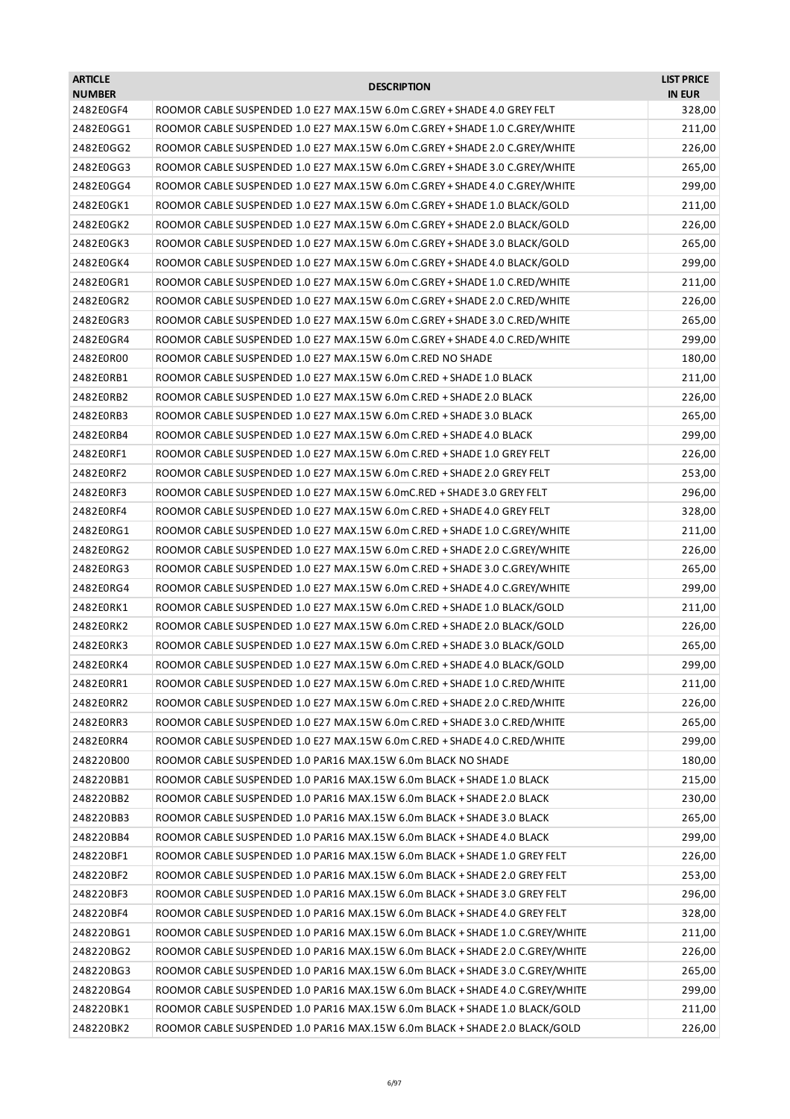| <b>ARTICLE</b><br><b>NUMBER</b> | <b>DESCRIPTION</b>                                                           | <b>LIST PRICE</b><br><b>IN EUR</b> |
|---------------------------------|------------------------------------------------------------------------------|------------------------------------|
| 2482E0GF4                       | ROOMOR CABLE SUSPENDED 1.0 E27 MAX.15W 6.0m C.GREY + SHADE 4.0 GREY FELT     | 328,00                             |
| 2482E0GG1                       | ROOMOR CABLE SUSPENDED 1.0 E27 MAX.15W 6.0m C.GREY + SHADE 1.0 C.GREY/WHITE  | 211,00                             |
| 2482E0GG2                       | ROOMOR CABLE SUSPENDED 1.0 E27 MAX.15W 6.0m C.GREY + SHADE 2.0 C.GREY/WHITE  | 226,00                             |
| 2482E0GG3                       | ROOMOR CABLE SUSPENDED 1.0 E27 MAX.15W 6.0m C.GREY + SHADE 3.0 C.GREY/WHITE  | 265,00                             |
| 2482E0GG4                       | ROOMOR CABLE SUSPENDED 1.0 E27 MAX.15W 6.0m C.GREY + SHADE 4.0 C.GREY/WHITE  | 299,00                             |
| 2482E0GK1                       | ROOMOR CABLE SUSPENDED 1.0 E27 MAX.15W 6.0m C.GREY + SHADE 1.0 BLACK/GOLD    | 211,00                             |
| 2482E0GK2                       | ROOMOR CABLE SUSPENDED 1.0 E27 MAX.15W 6.0m C.GREY + SHADE 2.0 BLACK/GOLD    | 226,00                             |
| 2482E0GK3                       | ROOMOR CABLE SUSPENDED 1.0 E27 MAX.15W 6.0m C.GREY + SHADE 3.0 BLACK/GOLD    | 265,00                             |
| 2482E0GK4                       | ROOMOR CABLE SUSPENDED 1.0 E27 MAX.15W 6.0m C.GREY + SHADE 4.0 BLACK/GOLD    | 299,00                             |
| 2482E0GR1                       | ROOMOR CABLE SUSPENDED 1.0 E27 MAX.15W 6.0m C.GREY + SHADE 1.0 C.RED/WHITE   | 211,00                             |
| 2482E0GR2                       | ROOMOR CABLE SUSPENDED 1.0 E27 MAX.15W 6.0m C.GREY + SHADE 2.0 C.RED/WHITE   | 226,00                             |
| 2482E0GR3                       | ROOMOR CABLE SUSPENDED 1.0 E27 MAX.15W 6.0m C.GREY + SHADE 3.0 C.RED/WHITE   | 265,00                             |
| 2482E0GR4                       | ROOMOR CABLE SUSPENDED 1.0 E27 MAX.15W 6.0m C.GREY + SHADE 4.0 C.RED/WHITE   | 299,00                             |
| 2482E0R00                       | ROOMOR CABLE SUSPENDED 1.0 E27 MAX.15W 6.0m C.RED NO SHADE                   | 180,00                             |
| 2482E0RB1                       | ROOMOR CABLE SUSPENDED 1.0 E27 MAX.15W 6.0m C.RED + SHADE 1.0 BLACK          | 211,00                             |
| 2482E0RB2                       | ROOMOR CABLE SUSPENDED 1.0 E27 MAX.15W 6.0m C.RED + SHADE 2.0 BLACK          | 226,00                             |
| 2482E0RB3                       | ROOMOR CABLE SUSPENDED 1.0 E27 MAX.15W 6.0m C.RED + SHADE 3.0 BLACK          | 265,00                             |
| 2482E0RB4                       | ROOMOR CABLE SUSPENDED 1.0 E27 MAX.15W 6.0m C.RED + SHADE 4.0 BLACK          | 299,00                             |
| 2482E0RF1                       | ROOMOR CABLE SUSPENDED 1.0 E27 MAX.15W 6.0m C.RED + SHADE 1.0 GREY FELT      | 226,00                             |
| 2482E0RF2                       | ROOMOR CABLE SUSPENDED 1.0 E27 MAX.15W 6.0m C.RED + SHADE 2.0 GREY FELT      | 253,00                             |
| 2482E0RF3                       | ROOMOR CABLE SUSPENDED 1.0 E27 MAX.15W 6.0mC.RED + SHADE 3.0 GREY FELT       | 296,00                             |
| 2482E0RF4                       | ROOMOR CABLE SUSPENDED 1.0 E27 MAX.15W 6.0m C.RED + SHADE 4.0 GREY FELT      | 328,00                             |
| 2482E0RG1                       | ROOMOR CABLE SUSPENDED 1.0 E27 MAX.15W 6.0m C.RED + SHADE 1.0 C.GREY/WHITE   | 211,00                             |
| 2482E0RG2                       | ROOMOR CABLE SUSPENDED 1.0 E27 MAX.15W 6.0m C.RED + SHADE 2.0 C.GREY/WHITE   | 226,00                             |
| 2482E0RG3                       | ROOMOR CABLE SUSPENDED 1.0 E27 MAX.15W 6.0m C.RED + SHADE 3.0 C.GREY/WHITE   | 265,00                             |
| 2482E0RG4                       | ROOMOR CABLE SUSPENDED 1.0 E27 MAX.15W 6.0m C.RED + SHADE 4.0 C.GREY/WHITE   | 299,00                             |
| 2482E0RK1                       | ROOMOR CABLE SUSPENDED 1.0 E27 MAX.15W 6.0m C.RED + SHADE 1.0 BLACK/GOLD     | 211,00                             |
| 2482E0RK2                       | ROOMOR CABLE SUSPENDED 1.0 E27 MAX.15W 6.0m C.RED + SHADE 2.0 BLACK/GOLD     | 226,00                             |
| 2482E0RK3                       | ROOMOR CABLE SUSPENDED 1.0 E27 MAX.15W 6.0m C.RED + SHADE 3.0 BLACK/GOLD     | 265,00                             |
| 2482E0RK4                       | ROOMOR CABLE SUSPENDED 1.0 E27 MAX.15W 6.0m C.RED + SHADE 4.0 BLACK/GOLD     | 299,00                             |
| 2482E0RR1                       | ROOMOR CABLE SUSPENDED 1.0 E27 MAX.15W 6.0m C.RED + SHADE 1.0 C.RED/WHITE    | 211,00                             |
| 2482E0RR2                       | ROOMOR CABLE SUSPENDED 1.0 E27 MAX.15W 6.0m C.RED + SHADE 2.0 C.RED/WHITE    | 226,00                             |
| 2482E0RR3                       | ROOMOR CABLE SUSPENDED 1.0 E27 MAX.15W 6.0m C.RED + SHADE 3.0 C.RED/WHITE    | 265,00                             |
| 2482E0RR4                       | ROOMOR CABLE SUSPENDED 1.0 E27 MAX.15W 6.0m C.RED + SHADE 4.0 C.RED/WHITE    | 299,00                             |
| 248220B00                       | ROOMOR CABLE SUSPENDED 1.0 PAR16 MAX.15W 6.0m BLACK NO SHADE                 | 180,00                             |
| 248220BB1                       | ROOMOR CABLE SUSPENDED 1.0 PAR16 MAX.15W 6.0m BLACK + SHADE 1.0 BLACK        | 215,00                             |
| 248220BB2                       | ROOMOR CABLE SUSPENDED 1.0 PAR16 MAX.15W 6.0m BLACK + SHADE 2.0 BLACK        | 230,00                             |
| 248220BB3                       | ROOMOR CABLE SUSPENDED 1.0 PAR16 MAX.15W 6.0m BLACK + SHADE 3.0 BLACK        | 265,00                             |
| 248220BB4                       | ROOMOR CABLE SUSPENDED 1.0 PAR16 MAX.15W 6.0m BLACK + SHADE 4.0 BLACK        | 299,00                             |
| 248220BF1                       | ROOMOR CABLE SUSPENDED 1.0 PAR16 MAX.15W 6.0m BLACK + SHADE 1.0 GREY FELT    | 226,00                             |
|                                 |                                                                              |                                    |
| 248220BF2                       | ROOMOR CABLE SUSPENDED 1.0 PAR16 MAX.15W 6.0m BLACK + SHADE 2.0 GREY FELT    | 253,00                             |
| 248220BF3                       | ROOMOR CABLE SUSPENDED 1.0 PAR16 MAX.15W 6.0m BLACK + SHADE 3.0 GREY FELT    | 296,00                             |
| 248220BF4                       | ROOMOR CABLE SUSPENDED 1.0 PAR16 MAX.15W 6.0m BLACK + SHADE 4.0 GREY FELT    | 328,00                             |
| 248220BG1                       | ROOMOR CABLE SUSPENDED 1.0 PAR16 MAX.15W 6.0m BLACK + SHADE 1.0 C.GREY/WHITE | 211,00                             |
| 248220BG2                       | ROOMOR CABLE SUSPENDED 1.0 PAR16 MAX.15W 6.0m BLACK + SHADE 2.0 C.GREY/WHITE | 226,00                             |
| 248220BG3                       | ROOMOR CABLE SUSPENDED 1.0 PAR16 MAX.15W 6.0m BLACK + SHADE 3.0 C.GREY/WHITE | 265,00                             |
| 248220BG4                       | ROOMOR CABLE SUSPENDED 1.0 PAR16 MAX.15W 6.0m BLACK + SHADE 4.0 C.GREY/WHITE | 299,00                             |
| 248220BK1                       | ROOMOR CABLE SUSPENDED 1.0 PAR16 MAX.15W 6.0m BLACK + SHADE 1.0 BLACK/GOLD   | 211,00                             |
| 248220BK2                       | ROOMOR CABLE SUSPENDED 1.0 PAR16 MAX.15W 6.0m BLACK + SHADE 2.0 BLACK/GOLD   | 226,00                             |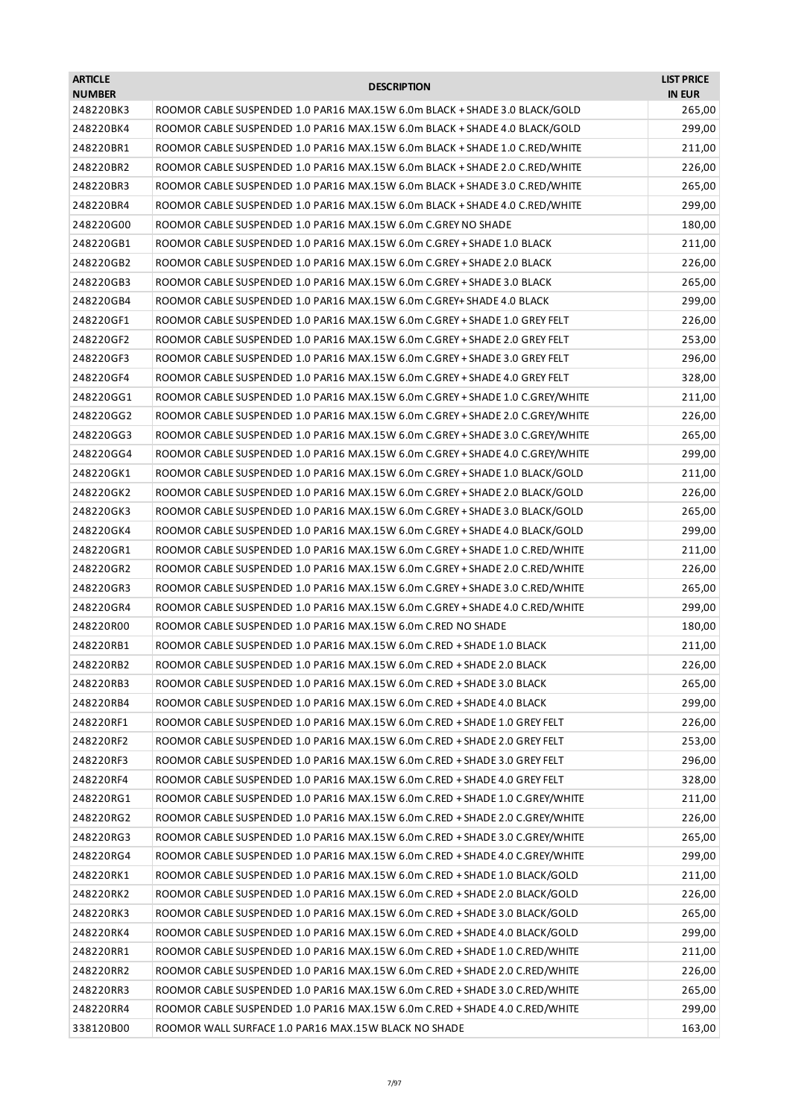| <b>ARTICLE</b><br><b>NUMBER</b> | <b>DESCRIPTION</b>                                                                                                                                        | <b>LIST PRICE</b><br><b>IN EUR</b> |
|---------------------------------|-----------------------------------------------------------------------------------------------------------------------------------------------------------|------------------------------------|
| 248220BK3                       | ROOMOR CABLE SUSPENDED 1.0 PAR16 MAX.15W 6.0m BLACK + SHADE 3.0 BLACK/GOLD                                                                                | 265,00                             |
| 248220BK4                       | ROOMOR CABLE SUSPENDED 1.0 PAR16 MAX.15W 6.0m BLACK + SHADE 4.0 BLACK/GOLD                                                                                | 299,00                             |
| 248220BR1                       | ROOMOR CABLE SUSPENDED 1.0 PAR16 MAX.15W 6.0m BLACK + SHADE 1.0 C.RED/WHITE                                                                               | 211,00                             |
| 248220BR2                       | ROOMOR CABLE SUSPENDED 1.0 PAR16 MAX.15W 6.0m BLACK + SHADE 2.0 C.RED/WHITE                                                                               | 226,00                             |
| 248220BR3                       | ROOMOR CABLE SUSPENDED 1.0 PAR16 MAX.15W 6.0m BLACK + SHADE 3.0 C.RED/WHITE                                                                               | 265,00                             |
| 248220BR4                       | ROOMOR CABLE SUSPENDED 1.0 PAR16 MAX.15W 6.0m BLACK + SHADE 4.0 C.RED/WHITE                                                                               | 299,00                             |
| 248220G00                       | ROOMOR CABLE SUSPENDED 1.0 PAR16 MAX.15W 6.0m C.GREY NO SHADE                                                                                             | 180,00                             |
| 248220GB1                       | ROOMOR CABLE SUSPENDED 1.0 PAR16 MAX.15W 6.0m C.GREY + SHADE 1.0 BLACK                                                                                    | 211,00                             |
| 248220GB2                       | ROOMOR CABLE SUSPENDED 1.0 PAR16 MAX.15W 6.0m C.GREY + SHADE 2.0 BLACK                                                                                    | 226,00                             |
| 248220GB3                       | ROOMOR CABLE SUSPENDED 1.0 PAR16 MAX.15W 6.0m C.GREY + SHADE 3.0 BLACK                                                                                    | 265,00                             |
| 248220GB4                       | ROOMOR CABLE SUSPENDED 1.0 PAR16 MAX.15W 6.0m C.GREY+ SHADE 4.0 BLACK                                                                                     | 299,00                             |
| 248220GF1                       | ROOMOR CABLE SUSPENDED 1.0 PAR16 MAX.15W 6.0m C.GREY + SHADE 1.0 GREY FELT                                                                                | 226,00                             |
| 248220GF2                       | ROOMOR CABLE SUSPENDED 1.0 PAR16 MAX.15W 6.0m C.GREY + SHADE 2.0 GREY FELT                                                                                | 253,00                             |
| 248220GF3                       | ROOMOR CABLE SUSPENDED 1.0 PAR16 MAX.15W 6.0m C.GREY + SHADE 3.0 GREY FELT                                                                                | 296,00                             |
| 248220GF4                       | ROOMOR CABLE SUSPENDED 1.0 PAR16 MAX.15W 6.0m C.GREY + SHADE 4.0 GREY FELT                                                                                | 328,00                             |
| 248220GG1                       | ROOMOR CABLE SUSPENDED 1.0 PAR16 MAX.15W 6.0m C.GREY + SHADE 1.0 C.GREY/WHITE                                                                             | 211,00                             |
| 248220GG2                       | ROOMOR CABLE SUSPENDED 1.0 PAR16 MAX.15W 6.0m C.GREY + SHADE 2.0 C.GREY/WHITE                                                                             | 226,00                             |
| 248220GG3                       | ROOMOR CABLE SUSPENDED 1.0 PAR16 MAX.15W 6.0m C.GREY + SHADE 3.0 C.GREY/WHITE                                                                             | 265,00                             |
| 248220GG4                       | ROOMOR CABLE SUSPENDED 1.0 PAR16 MAX.15W 6.0m C.GREY + SHADE 4.0 C.GREY/WHITE                                                                             | 299,00                             |
| 248220GK1                       | ROOMOR CABLE SUSPENDED 1.0 PAR16 MAX.15W 6.0m C.GREY + SHADE 1.0 BLACK/GOLD                                                                               | 211,00                             |
| 248220GK2                       | ROOMOR CABLE SUSPENDED 1.0 PAR16 MAX.15W 6.0m C.GREY + SHADE 2.0 BLACK/GOLD                                                                               | 226,00                             |
| 248220GK3                       | ROOMOR CABLE SUSPENDED 1.0 PAR16 MAX.15W 6.0m C.GREY + SHADE 3.0 BLACK/GOLD                                                                               | 265,00                             |
| 248220GK4                       | ROOMOR CABLE SUSPENDED 1.0 PAR16 MAX.15W 6.0m C.GREY + SHADE 4.0 BLACK/GOLD                                                                               | 299,00                             |
| 248220GR1                       | ROOMOR CABLE SUSPENDED 1.0 PAR16 MAX.15W 6.0m C.GREY + SHADE 1.0 C.RED/WHITE                                                                              | 211,00                             |
| 248220GR2                       | ROOMOR CABLE SUSPENDED 1.0 PAR16 MAX.15W 6.0m C.GREY + SHADE 2.0 C.RED/WHITE                                                                              | 226,00                             |
| 248220GR3                       | ROOMOR CABLE SUSPENDED 1.0 PAR16 MAX.15W 6.0m C.GREY + SHADE 3.0 C.RED/WHITE                                                                              | 265,00                             |
| 248220GR4                       | ROOMOR CABLE SUSPENDED 1.0 PAR16 MAX.15W 6.0m C.GREY + SHADE 4.0 C.RED/WHITE                                                                              | 299,00                             |
| 248220R00                       | ROOMOR CABLE SUSPENDED 1.0 PAR16 MAX.15W 6.0m C.RED NO SHADE                                                                                              | 180,00                             |
| 248220RB1                       | ROOMOR CABLE SUSPENDED 1.0 PAR16 MAX.15W 6.0m C.RED + SHADE 1.0 BLACK                                                                                     | 211,00                             |
| 248220RB2                       | ROOMOR CABLE SUSPENDED 1.0 PAR16 MAX.15W 6.0m C.RED + SHADE 2.0 BLACK                                                                                     | 226,00                             |
| 248220RB3                       | ROOMOR CABLE SUSPENDED 1.0 PAR16 MAX.15W 6.0m C.RED + SHADE 3.0 BLACK                                                                                     | 265,00                             |
| 248220RB4                       | ROOMOR CABLE SUSPENDED 1.0 PAR16 MAX.15W 6.0m C.RED + SHADE 4.0 BLACK                                                                                     |                                    |
| 248220RF1                       |                                                                                                                                                           | 299,00                             |
| 248220RF2                       | ROOMOR CABLE SUSPENDED 1.0 PAR16 MAX.15W 6.0m            C.RED + SHADE 1.0 GREY FELT                                                                      | 226,00<br>253,00                   |
|                                 | ROOMOR CABLE SUSPENDED 1.0 PAR16 MAX.15W 6.0m C.RED + SHADE 2.0 GREY FELT                                                                                 |                                    |
| 248220RF3<br>248220RF4          | ROOMOR CABLE SUSPENDED 1.0 PAR16 MAX.15W 6.0m C.RED + SHADE 3.0 GREY FELT                                                                                 | 296,00                             |
| 248220RG1                       | ROOMOR CABLE SUSPENDED 1.0 PAR16 MAX.15W 6.0m C.RED + SHADE 4.0 GREY FELT<br>ROOMOR CABLE SUSPENDED 1.0 PAR16 MAX.15W 6.0m C.RED + SHADE 1.0 C.GREY/WHITE | 328,00                             |
|                                 |                                                                                                                                                           | 211,00                             |
| 248220RG2                       | ROOMOR CABLE SUSPENDED 1.0 PAR16 MAX.15W 6.0m C.RED + SHADE 2.0 C.GREY/WHITE                                                                              | 226,00                             |
| 248220RG3                       | ROOMOR CABLE SUSPENDED 1.0 PAR16 MAX.15W 6.0m C.RED + SHADE 3.0 C.GREY/WHITE                                                                              | 265,00                             |
| 248220RG4                       | ROOMOR CABLE SUSPENDED 1.0 PAR16 MAX.15W 6.0m C.RED + SHADE 4.0 C.GREY/WHITE                                                                              | 299,00                             |
| 248220RK1                       | ROOMOR CABLE SUSPENDED 1.0 PAR16 MAX.15W 6.0m C.RED + SHADE 1.0 BLACK/GOLD                                                                                | 211,00                             |
| 248220RK2                       | ROOMOR CABLE SUSPENDED 1.0 PAR16 MAX.15W 6.0m C.RED + SHADE 2.0 BLACK/GOLD                                                                                | 226,00                             |
| 248220RK3                       | ROOMOR CABLE SUSPENDED 1.0 PAR16 MAX.15W 6.0m C.RED + SHADE 3.0 BLACK/GOLD                                                                                | 265,00                             |
| 248220RK4                       | ROOMOR CABLE SUSPENDED 1.0 PAR16 MAX.15W 6.0m C.RED + SHADE 4.0 BLACK/GOLD                                                                                | 299,00                             |
| 248220RR1                       | ROOMOR CABLE SUSPENDED 1.0 PAR16 MAX.15W 6.0m C.RED + SHADE 1.0 C.RED/WHITE                                                                               | 211,00                             |
| 248220RR2                       | ROOMOR CABLE SUSPENDED 1.0 PAR16 MAX.15W 6.0m C.RED + SHADE 2.0 C.RED/WHITE                                                                               | 226,00                             |
| 248220RR3                       | ROOMOR CABLE SUSPENDED 1.0 PAR16 MAX.15W 6.0m C.RED + SHADE 3.0 C.RED/WHITE                                                                               | 265,00                             |
| 248220RR4                       | ROOMOR CABLE SUSPENDED 1.0 PAR16 MAX.15W 6.0m C.RED + SHADE 4.0 C.RED/WHITE                                                                               | 299,00                             |
| 338120B00                       | ROOMOR WALL SURFACE 1.0 PAR16 MAX.15W BLACK NO SHADE                                                                                                      | 163,00                             |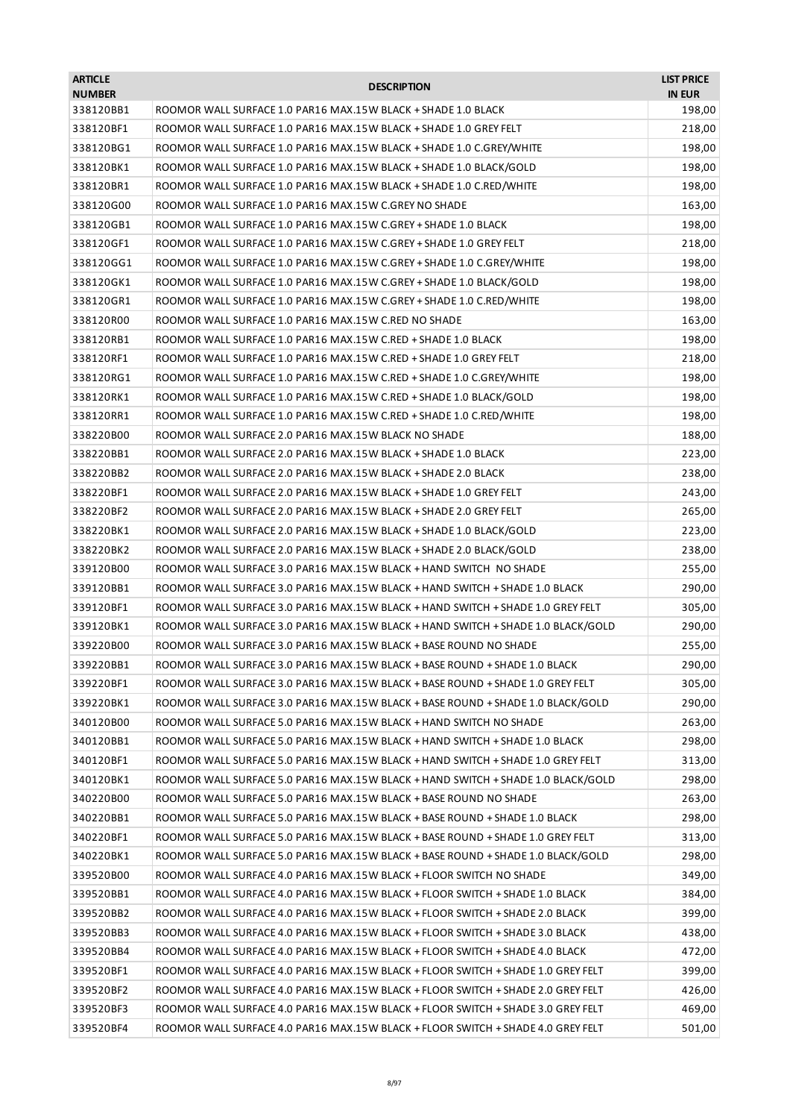| <b>ARTICLE</b><br><b>NUMBER</b> | <b>DESCRIPTION</b>                                                               | <b>LIST PRICE</b><br><b>IN EUR</b> |
|---------------------------------|----------------------------------------------------------------------------------|------------------------------------|
| 338120BB1                       | ROOMOR WALL SURFACE 1.0 PAR16 MAX.15W BLACK + SHADE 1.0 BLACK                    | 198,00                             |
| 338120BF1                       | ROOMOR WALL SURFACE 1.0 PAR16 MAX.15W BLACK + SHADE 1.0 GREY FELT                | 218,00                             |
| 338120BG1                       | ROOMOR WALL SURFACE 1.0 PAR16 MAX.15W BLACK + SHADE 1.0 C.GREY/WHITE             | 198,00                             |
| 338120BK1                       | ROOMOR WALL SURFACE 1.0 PAR16 MAX.15W BLACK + SHADE 1.0 BLACK/GOLD               | 198,00                             |
| 338120BR1                       | ROOMOR WALL SURFACE 1.0 PAR16 MAX.15W BLACK + SHADE 1.0 C.RED/WHITE              | 198,00                             |
| 338120G00                       | ROOMOR WALL SURFACE 1.0 PAR16 MAX.15W C.GREY NO SHADE                            | 163,00                             |
| 338120GB1                       | ROOMOR WALL SURFACE 1.0 PAR16 MAX.15W C.GREY + SHADE 1.0 BLACK                   | 198,00                             |
| 338120GF1                       | ROOMOR WALL SURFACE 1.0 PAR16 MAX.15W C.GREY + SHADE 1.0 GREY FELT               | 218,00                             |
| 338120GG1                       | ROOMOR WALL SURFACE 1.0 PAR16 MAX.15W C.GREY + SHADE 1.0 C.GREY/WHITE            | 198,00                             |
| 338120GK1                       | ROOMOR WALL SURFACE 1.0 PAR16 MAX.15W C.GREY + SHADE 1.0 BLACK/GOLD              | 198,00                             |
| 338120GR1                       | ROOMOR WALL SURFACE 1.0 PAR16 MAX.15W C.GREY + SHADE 1.0 C.RED/WHITE             | 198,00                             |
| 338120R00                       | ROOMOR WALL SURFACE 1.0 PAR16 MAX.15W C.RED NO SHADE                             | 163,00                             |
| 338120RB1                       | ROOMOR WALL SURFACE 1.0 PAR16 MAX.15W C.RED + SHADE 1.0 BLACK                    | 198,00                             |
| 338120RF1                       | ROOMOR WALL SURFACE 1.0 PAR16 MAX.15W C.RED + SHADE 1.0 GREY FELT                | 218,00                             |
| 338120RG1                       | ROOMOR WALL SURFACE 1.0 PAR16 MAX.15W C.RED + SHADE 1.0 C.GREY/WHITE             | 198,00                             |
| 338120RK1                       | ROOMOR WALL SURFACE 1.0 PAR16 MAX.15W C.RED + SHADE 1.0 BLACK/GOLD               | 198,00                             |
| 338120RR1                       | ROOMOR WALL SURFACE 1.0 PAR16 MAX.15W C.RED + SHADE 1.0 C.RED/WHITE              | 198,00                             |
| 338220B00                       | ROOMOR WALL SURFACE 2.0 PAR16 MAX.15W BLACK NO SHADE                             | 188,00                             |
| 338220BB1                       | ROOMOR WALL SURFACE 2.0 PAR16 MAX.15W BLACK + SHADE 1.0 BLACK                    | 223,00                             |
| 338220BB2                       | ROOMOR WALL SURFACE 2.0 PAR16 MAX.15W BLACK + SHADE 2.0 BLACK                    | 238,00                             |
| 338220BF1                       | ROOMOR WALL SURFACE 2.0 PAR16 MAX.15W BLACK + SHADE 1.0 GREY FELT                | 243,00                             |
| 338220BF2                       | ROOMOR WALL SURFACE 2.0 PAR16 MAX.15W BLACK + SHADE 2.0 GREY FELT                | 265,00                             |
| 338220BK1                       | ROOMOR WALL SURFACE 2.0 PAR16 MAX.15W BLACK + SHADE 1.0 BLACK/GOLD               | 223,00                             |
| 338220BK2                       | ROOMOR WALL SURFACE 2.0 PAR16 MAX.15W BLACK + SHADE 2.0 BLACK/GOLD               | 238,00                             |
| 339120B00                       | ROOMOR WALL SURFACE 3.0 PAR16 MAX.15W BLACK + HAND SWITCH NO SHADE               | 255,00                             |
| 339120BB1                       | ROOMOR WALL SURFACE 3.0 PAR16 MAX.15W BLACK + HAND SWITCH + SHADE 1.0 BLACK      | 290,00                             |
| 339120BF1                       | ROOMOR WALL SURFACE 3.0 PAR16 MAX.15W BLACK + HAND SWITCH + SHADE 1.0 GREY FELT  | 305,00                             |
| 339120BK1                       | ROOMOR WALL SURFACE 3.0 PAR16 MAX.15W BLACK + HAND SWITCH + SHADE 1.0 BLACK/GOLD | 290,00                             |
| 339220B00                       | ROOMOR WALL SURFACE 3.0 PAR16 MAX.15W BLACK + BASE ROUND NO SHADE                | 255,00                             |
| 339220BB1                       | ROOMOR WALL SURFACE 3.0 PAR16 MAX.15W BLACK + BASE ROUND + SHADE 1.0 BLACK       | 290,00                             |
| 339220BF1                       | ROOMOR WALL SURFACE 3.0 PAR16 MAX.15W BLACK + BASE ROUND + SHADE 1.0 GREY FELT   | 305,00                             |
| 339220BK1                       | ROOMOR WALL SURFACE 3.0 PAR16 MAX.15W BLACK + BASE ROUND + SHADE 1.0 BLACK/GOLD  | 290,00                             |
| 340120B00                       | ROOMOR WALL SURFACE 5.0 PAR16 MAX.15W BLACK + HAND SWITCH NO SHADE               | 263,00                             |
| 340120BB1                       | ROOMOR WALL SURFACE 5.0 PAR16 MAX.15W BLACK + HAND SWITCH + SHADE 1.0 BLACK      | 298,00                             |
| 340120BF1                       | ROOMOR WALL SURFACE 5.0 PAR16 MAX.15W BLACK + HAND SWITCH + SHADE 1.0 GREY FELT  | 313,00                             |
| 340120BK1                       | ROOMOR WALL SURFACE 5.0 PAR16 MAX.15W BLACK + HAND SWITCH + SHADE 1.0 BLACK/GOLD | 298,00                             |
| 340220B00                       | ROOMOR WALL SURFACE 5.0 PAR16 MAX.15W BLACK + BASE ROUND NO SHADE                | 263,00                             |
| 340220BB1                       | ROOMOR WALL SURFACE 5.0 PAR16 MAX.15W BLACK + BASE ROUND + SHADE 1.0 BLACK       | 298,00                             |
| 340220BF1                       | ROOMOR WALL SURFACE 5.0 PAR16 MAX.15W BLACK + BASE ROUND + SHADE 1.0 GREY FELT   | 313,00                             |
| 340220BK1                       | ROOMOR WALL SURFACE 5.0 PAR16 MAX.15W BLACK + BASE ROUND + SHADE 1.0 BLACK/GOLD  | 298,00                             |
| 339520B00                       | ROOMOR WALL SURFACE 4.0 PAR16 MAX.15W BLACK + FLOOR SWITCH NO SHADE              | 349,00                             |
| 339520BB1                       | ROOMOR WALL SURFACE 4.0 PAR16 MAX.15W BLACK + FLOOR SWITCH + SHADE 1.0 BLACK     | 384,00                             |
| 339520BB2                       | ROOMOR WALL SURFACE 4.0 PAR16 MAX.15W BLACK + FLOOR SWITCH + SHADE 2.0 BLACK     | 399,00                             |
| 339520BB3                       | ROOMOR WALL SURFACE 4.0 PAR16 MAX.15W BLACK + FLOOR SWITCH + SHADE 3.0 BLACK     | 438,00                             |
| 339520BB4                       | ROOMOR WALL SURFACE 4.0 PAR16 MAX.15W BLACK + FLOOR SWITCH + SHADE 4.0 BLACK     | 472,00                             |
| 339520BF1                       | ROOMOR WALL SURFACE 4.0 PAR16 MAX.15W BLACK + FLOOR SWITCH + SHADE 1.0 GREY FELT | 399,00                             |
| 339520BF2                       | ROOMOR WALL SURFACE 4.0 PAR16 MAX.15W BLACK + FLOOR SWITCH + SHADE 2.0 GREY FELT | 426,00                             |
| 339520BF3                       | ROOMOR WALL SURFACE 4.0 PAR16 MAX.15W BLACK + FLOOR SWITCH + SHADE 3.0 GREY FELT | 469,00                             |
| 339520BF4                       | ROOMOR WALL SURFACE 4.0 PAR16 MAX.15W BLACK + FLOOR SWITCH + SHADE 4.0 GREY FELT | 501,00                             |
|                                 |                                                                                  |                                    |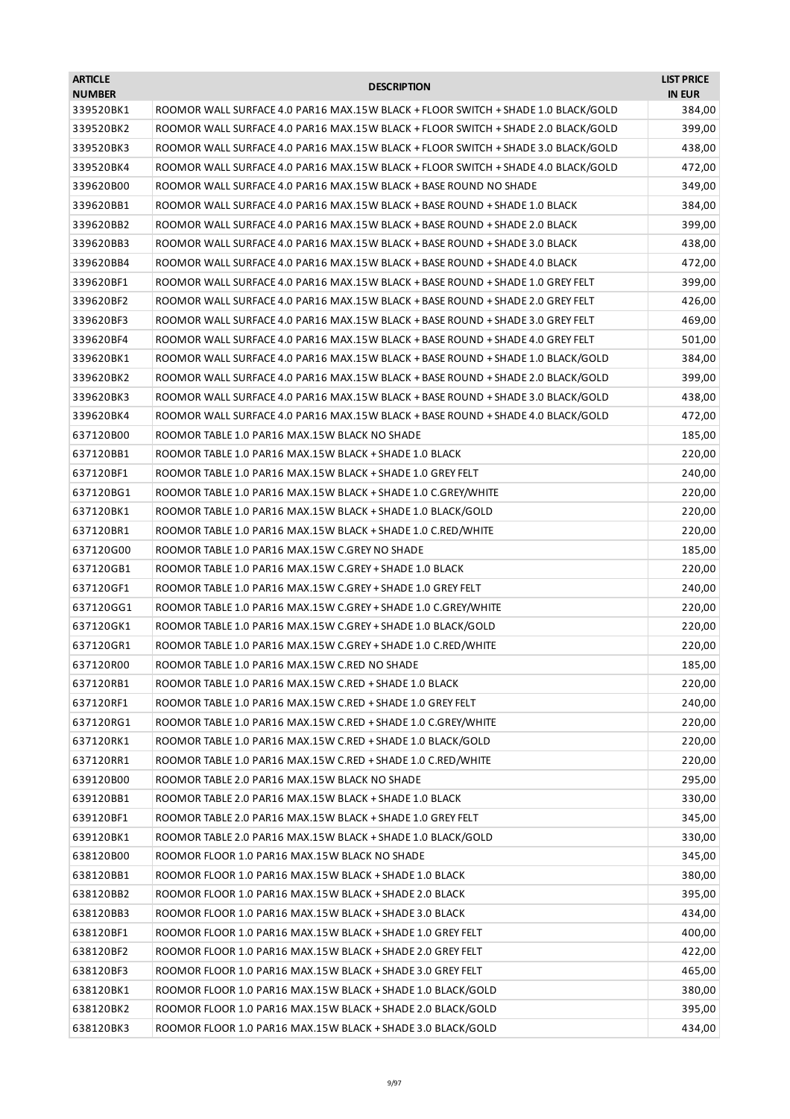| <b>ARTICLE</b><br><b>NUMBER</b> | <b>DESCRIPTION</b>                                                                | <b>LIST PRICE</b><br><b>IN EUR</b> |
|---------------------------------|-----------------------------------------------------------------------------------|------------------------------------|
| 339520BK1                       | ROOMOR WALL SURFACE 4.0 PAR16 MAX.15W BLACK + FLOOR SWITCH + SHADE 1.0 BLACK/GOLD | 384,00                             |
| 339520BK2                       | ROOMOR WALL SURFACE 4.0 PAR16 MAX.15W BLACK + FLOOR SWITCH + SHADE 2.0 BLACK/GOLD | 399,00                             |
| 339520BK3                       | ROOMOR WALL SURFACE 4.0 PAR16 MAX.15W BLACK + FLOOR SWITCH + SHADE 3.0 BLACK/GOLD | 438,00                             |
| 339520BK4                       | ROOMOR WALL SURFACE 4.0 PAR16 MAX.15W BLACK + FLOOR SWITCH + SHADE 4.0 BLACK/GOLD | 472,00                             |
| 339620B00                       | ROOMOR WALL SURFACE 4.0 PAR16 MAX.15W BLACK + BASE ROUND NO SHADE                 | 349,00                             |
| 339620BB1                       | ROOMOR WALL SURFACE 4.0 PAR16 MAX.15W BLACK + BASE ROUND + SHADE 1.0 BLACK        | 384,00                             |
| 339620BB2                       | ROOMOR WALL SURFACE 4.0 PAR16 MAX.15W BLACK + BASE ROUND + SHADE 2.0 BLACK        | 399,00                             |
| 339620BB3                       | ROOMOR WALL SURFACE 4.0 PAR16 MAX.15W BLACK + BASE ROUND + SHADE 3.0 BLACK        | 438,00                             |
| 339620BB4                       | ROOMOR WALL SURFACE 4.0 PAR16 MAX.15W BLACK + BASE ROUND + SHADE 4.0 BLACK        | 472,00                             |
| 339620BF1                       | ROOMOR WALL SURFACE 4.0 PAR16 MAX.15W BLACK + BASE ROUND + SHADE 1.0 GREY FELT    | 399,00                             |
| 339620BF2                       | ROOMOR WALL SURFACE 4.0 PAR16 MAX.15W BLACK + BASE ROUND + SHADE 2.0 GREY FELT    | 426,00                             |
| 339620BF3                       | ROOMOR WALL SURFACE 4.0 PAR16 MAX.15W BLACK + BASE ROUND + SHADE 3.0 GREY FELT    | 469,00                             |
| 339620BF4                       | ROOMOR WALL SURFACE 4.0 PAR16 MAX.15W BLACK + BASE ROUND + SHADE 4.0 GREY FELT    | 501,00                             |
| 339620BK1                       | ROOMOR WALL SURFACE 4.0 PAR16 MAX.15W BLACK + BASE ROUND + SHADE 1.0 BLACK/GOLD   | 384,00                             |
| 339620BK2                       | ROOMOR WALL SURFACE 4.0 PAR16 MAX.15W BLACK + BASE ROUND + SHADE 2.0 BLACK/GOLD   | 399,00                             |
| 339620BK3                       | ROOMOR WALL SURFACE 4.0 PAR16 MAX.15W BLACK + BASE ROUND + SHADE 3.0 BLACK/GOLD   | 438,00                             |
| 339620BK4                       | ROOMOR WALL SURFACE 4.0 PAR16 MAX.15W BLACK + BASE ROUND + SHADE 4.0 BLACK/GOLD   | 472,00                             |
| 637120B00                       | ROOMOR TABLE 1.0 PAR16 MAX.15W BLACK NO SHADE                                     | 185,00                             |
| 637120BB1                       | ROOMOR TABLE 1.0 PAR16 MAX.15W BLACK + SHADE 1.0 BLACK                            | 220,00                             |
| 637120BF1                       | ROOMOR TABLE 1.0 PAR16 MAX.15W BLACK + SHADE 1.0 GREY FELT                        | 240,00                             |
| 637120BG1                       | ROOMOR TABLE 1.0 PAR16 MAX.15W BLACK + SHADE 1.0 C.GREY/WHITE                     | 220,00                             |
| 637120BK1                       | ROOMOR TABLE 1.0 PAR16 MAX.15W BLACK + SHADE 1.0 BLACK/GOLD                       | 220,00                             |
| 637120BR1                       | ROOMOR TABLE 1.0 PAR16 MAX.15W BLACK + SHADE 1.0 C.RED/WHITE                      | 220,00                             |
| 637120G00                       | ROOMOR TABLE 1.0 PAR16 MAX.15W C.GREY NO SHADE                                    | 185,00                             |
| 637120GB1                       | ROOMOR TABLE 1.0 PAR16 MAX.15W C.GREY + SHADE 1.0 BLACK                           | 220,00                             |
| 637120GF1                       | ROOMOR TABLE 1.0 PAR16 MAX.15W C.GREY + SHADE 1.0 GREY FELT                       | 240,00                             |
| 637120GG1                       | ROOMOR TABLE 1.0 PAR16 MAX.15W C.GREY + SHADE 1.0 C.GREY/WHITE                    | 220,00                             |
| 637120GK1                       | ROOMOR TABLE 1.0 PAR16 MAX.15W C.GREY + SHADE 1.0 BLACK/GOLD                      | 220,00                             |
| 637120GR1                       | ROOMOR TABLE 1.0 PAR16 MAX.15W C.GREY + SHADE 1.0 C.RED/WHITE                     | 220,00                             |
| 637120R00                       | ROOMOR TABLE 1.0 PAR16 MAX.15W C.RED NO SHADE                                     | 185,00                             |
| 637120RB1                       | ROOMOR TABLE 1.0 PAR16 MAX.15W C.RED + SHADE 1.0 BLACK                            | 220,00                             |
| 637120RF1                       | ROOMOR TABLE 1.0 PAR16 MAX.15W C.RED + SHADE 1.0 GREY FELT                        | 240,00                             |
| 637120RG1                       | ROOMOR TABLE 1.0 PAR16 MAX.15W C.RED + SHADE 1.0 C.GREY/WHITE                     | 220,00                             |
| 637120RK1                       | ROOMOR TABLE 1.0 PAR16 MAX.15W C.RED + SHADE 1.0 BLACK/GOLD                       | 220,00                             |
| 637120RR1                       | ROOMOR TABLE 1.0 PAR16 MAX.15W C.RED + SHADE 1.0 C.RED/WHITE                      | 220,00                             |
| 639120B00                       | ROOMOR TABLE 2.0 PAR16 MAX.15W BLACK NO SHADE                                     | 295,00                             |
| 639120BB1                       | ROOMOR TABLE 2.0 PAR16 MAX.15W BLACK + SHADE 1.0 BLACK                            | 330,00                             |
| 639120BF1                       | ROOMOR TABLE 2.0 PAR16 MAX.15W BLACK + SHADE 1.0 GREY FELT                        | 345,00                             |
| 639120BK1                       | ROOMOR TABLE 2.0 PAR16 MAX.15W BLACK + SHADE 1.0 BLACK/GOLD                       | 330,00                             |
| 638120B00                       | ROOMOR FLOOR 1.0 PAR16 MAX.15W BLACK NO SHADE                                     | 345,00                             |
| 638120BB1                       | ROOMOR FLOOR 1.0 PAR16 MAX.15W BLACK + SHADE 1.0 BLACK                            | 380,00                             |
| 638120BB2                       | ROOMOR FLOOR 1.0 PAR16 MAX.15W BLACK + SHADE 2.0 BLACK                            | 395,00                             |
| 638120BB3                       | ROOMOR FLOOR 1.0 PAR16 MAX.15W BLACK + SHADE 3.0 BLACK                            | 434,00                             |
| 638120BF1                       | ROOMOR FLOOR 1.0 PAR16 MAX.15W BLACK + SHADE 1.0 GREY FELT                        | 400,00                             |
| 638120BF2                       | ROOMOR FLOOR 1.0 PAR16 MAX.15W BLACK + SHADE 2.0 GREY FELT                        | 422,00                             |
| 638120BF3                       | ROOMOR FLOOR 1.0 PAR16 MAX.15W BLACK + SHADE 3.0 GREY FELT                        | 465,00                             |
| 638120BK1                       | ROOMOR FLOOR 1.0 PAR16 MAX.15W BLACK + SHADE 1.0 BLACK/GOLD                       | 380,00                             |
| 638120BK2                       | ROOMOR FLOOR 1.0 PAR16 MAX.15W BLACK + SHADE 2.0 BLACK/GOLD                       | 395,00                             |
| 638120BK3                       | ROOMOR FLOOR 1.0 PAR16 MAX.15W BLACK + SHADE 3.0 BLACK/GOLD                       | 434,00                             |
|                                 |                                                                                   |                                    |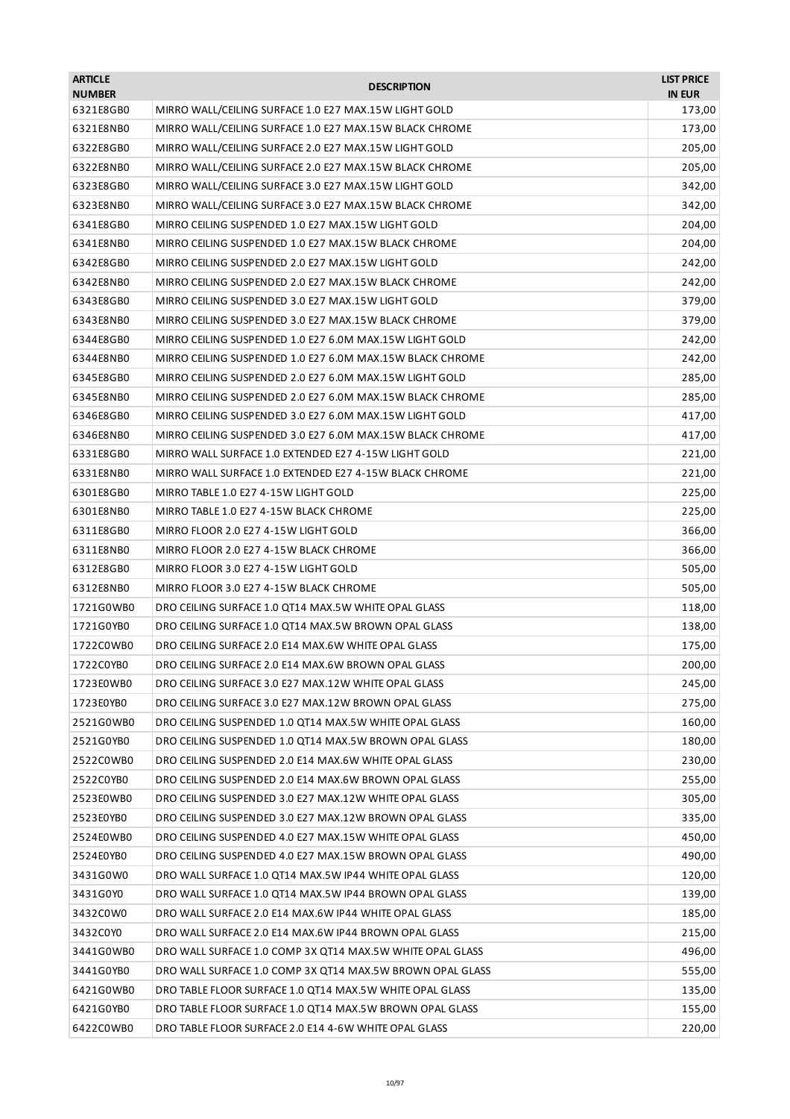| <b>ARTICLE</b><br><b>NUMBER</b> | <b>DESCRIPTION</b>                                        | <b>LIST PRICE</b><br><b>IN EUR</b> |
|---------------------------------|-----------------------------------------------------------|------------------------------------|
| 6321E8GB0                       | MIRRO WALL/CEILING SURFACE 1.0 E27 MAX.15W LIGHT GOLD     | 173,00                             |
| 6321E8NB0                       | MIRRO WALL/CEILING SURFACE 1.0 E27 MAX.15W BLACK CHROME   | 173,00                             |
| 6322E8GB0                       | MIRRO WALL/CEILING SURFACE 2.0 E27 MAX.15W LIGHT GOLD     | 205,00                             |
| 6322E8NB0                       | MIRRO WALL/CEILING SURFACE 2.0 E27 MAX.15W BLACK CHROME   | 205,00                             |
| 6323E8GB0                       | MIRRO WALL/CEILING SURFACE 3.0 E27 MAX.15W LIGHT GOLD     | 342,00                             |
| 6323E8NB0                       | MIRRO WALL/CEILING SURFACE 3.0 E27 MAX.15W BLACK CHROME   | 342,00                             |
| 6341E8GB0                       | MIRRO CEILING SUSPENDED 1.0 E27 MAX.15W LIGHT GOLD        | 204,00                             |
| 6341E8NB0                       | MIRRO CEILING SUSPENDED 1.0 E27 MAX.15W BLACK CHROME      | 204,00                             |
| 6342E8GB0                       | MIRRO CEILING SUSPENDED 2.0 E27 MAX.15W LIGHT GOLD        | 242,00                             |
| 6342E8NB0                       | MIRRO CEILING SUSPENDED 2.0 E27 MAX.15W BLACK CHROME      | 242,00                             |
| 6343E8GB0                       | MIRRO CEILING SUSPENDED 3.0 E27 MAX.15W LIGHT GOLD        | 379,00                             |
| 6343E8NB0                       | MIRRO CEILING SUSPENDED 3.0 E27 MAX.15W BLACK CHROME      | 379,00                             |
| 6344E8GB0                       | MIRRO CEILING SUSPENDED 1.0 E27 6.0M MAX.15W LIGHT GOLD   | 242,00                             |
| 6344E8NB0                       | MIRRO CEILING SUSPENDED 1.0 E27 6.0M MAX.15W BLACK CHROME | 242,00                             |
| 6345E8GB0                       | MIRRO CEILING SUSPENDED 2.0 E27 6.0M MAX.15W LIGHT GOLD   | 285,00                             |
| 6345E8NB0                       | MIRRO CEILING SUSPENDED 2.0 E27 6.0M MAX.15W BLACK CHROME | 285,00                             |
| 6346E8GB0                       | MIRRO CEILING SUSPENDED 3.0 E27 6.0M MAX.15W LIGHT GOLD   | 417,00                             |
| 6346E8NB0                       | MIRRO CEILING SUSPENDED 3.0 E27 6.0M MAX.15W BLACK CHROME | 417,00                             |
| 6331E8GB0                       | MIRRO WALL SURFACE 1.0 EXTENDED E27 4-15W LIGHT GOLD      | 221,00                             |
| 6331E8NB0                       | MIRRO WALL SURFACE 1.0 EXTENDED E27 4-15W BLACK CHROME    | 221,00                             |
| 6301E8GB0                       | MIRRO TABLE 1.0 E27 4-15W LIGHT GOLD                      | 225,00                             |
| 6301E8NB0                       | MIRRO TABLE 1.0 E27 4-15W BLACK CHROME                    | 225,00                             |
| 6311E8GB0                       | MIRRO FLOOR 2.0 E27 4-15W LIGHT GOLD                      | 366,00                             |
| 6311E8NB0                       | MIRRO FLOOR 2.0 E27 4-15W BLACK CHROME                    | 366,00                             |
| 6312E8GB0                       | MIRRO FLOOR 3.0 E27 4-15W LIGHT GOLD                      | 505,00                             |
| 6312E8NB0                       | MIRRO FLOOR 3.0 E27 4-15W BLACK CHROME                    | 505,00                             |
| 1721G0WB0                       | DRO CEILING SURFACE 1.0 QT14 MAX.5W WHITE OPAL GLASS      | 118,00                             |
| 1721G0YB0                       | DRO CEILING SURFACE 1.0 QT14 MAX.5W BROWN OPAL GLASS      | 138,00                             |
| 1722C0WB0                       | DRO CEILING SURFACE 2.0 E14 MAX.6W WHITE OPAL GLASS       | 175,00                             |
| 1722C0YB0                       | DRO CEILING SURFACE 2.0 E14 MAX.6W BROWN OPAL GLASS       | 200,00                             |
| 1723E0WB0                       | DRO CEILING SURFACE 3.0 E27 MAX.12W WHITE OPAL GLASS      | 245,00                             |
| 1723E0YB0                       | DRO CEILING SURFACE 3.0 E27 MAX.12W BROWN OPAL GLASS      | 275,00                             |
| 2521G0WB0                       | DRO CEILING SUSPENDED 1.0 QT14 MAX.5W WHITE OPAL GLASS    | 160,00                             |
| 2521G0YB0                       | DRO CEILING SUSPENDED 1.0 QT14 MAX.5W BROWN OPAL GLASS    | 180,00                             |
| 2522C0WB0                       | DRO CEILING SUSPENDED 2.0 E14 MAX.6W WHITE OPAL GLASS     | 230,00                             |
| 2522C0YB0                       | DRO CEILING SUSPENDED 2.0 E14 MAX.6W BROWN OPAL GLASS     | 255,00                             |
| 2523E0WB0                       | DRO CEILING SUSPENDED 3.0 E27 MAX.12W WHITE OPAL GLASS    | 305,00                             |
| 2523E0YB0                       | DRO CEILING SUSPENDED 3.0 E27 MAX.12W BROWN OPAL GLASS    | 335,00                             |
| 2524E0WB0                       | DRO CEILING SUSPENDED 4.0 E27 MAX.15W WHITE OPAL GLASS    | 450,00                             |
| 2524E0YB0                       | DRO CEILING SUSPENDED 4.0 E27 MAX.15W BROWN OPAL GLASS    | 490,00                             |
| 3431G0W0                        | DRO WALL SURFACE 1.0 QT14 MAX.5W IP44 WHITE OPAL GLASS    | 120,00                             |
| 3431G0Y0                        | DRO WALL SURFACE 1.0 QT14 MAX.5W IP44 BROWN OPAL GLASS    | 139,00                             |
| 3432C0W0                        | DRO WALL SURFACE 2.0 E14 MAX.6W IP44 WHITE OPAL GLASS     | 185,00                             |
| 3432C0Y0                        | DRO WALL SURFACE 2.0 E14 MAX.6W IP44 BROWN OPAL GLASS     | 215,00                             |
| 3441G0WB0                       | DRO WALL SURFACE 1.0 COMP 3X QT14 MAX.5W WHITE OPAL GLASS | 496,00                             |
| 3441G0YB0                       | DRO WALL SURFACE 1.0 COMP 3X QT14 MAX.5W BROWN OPAL GLASS | 555,00                             |
| 6421G0WB0                       | DRO TABLE FLOOR SURFACE 1.0 QT14 MAX.5W WHITE OPAL GLASS  | 135,00                             |
| 6421G0YB0                       | DRO TABLE FLOOR SURFACE 1.0 QT14 MAX.5W BROWN OPAL GLASS  | 155,00                             |
| 6422C0WB0                       | DRO TABLE FLOOR SURFACE 2.0 E14 4-6W WHITE OPAL GLASS     | 220,00                             |
|                                 |                                                           |                                    |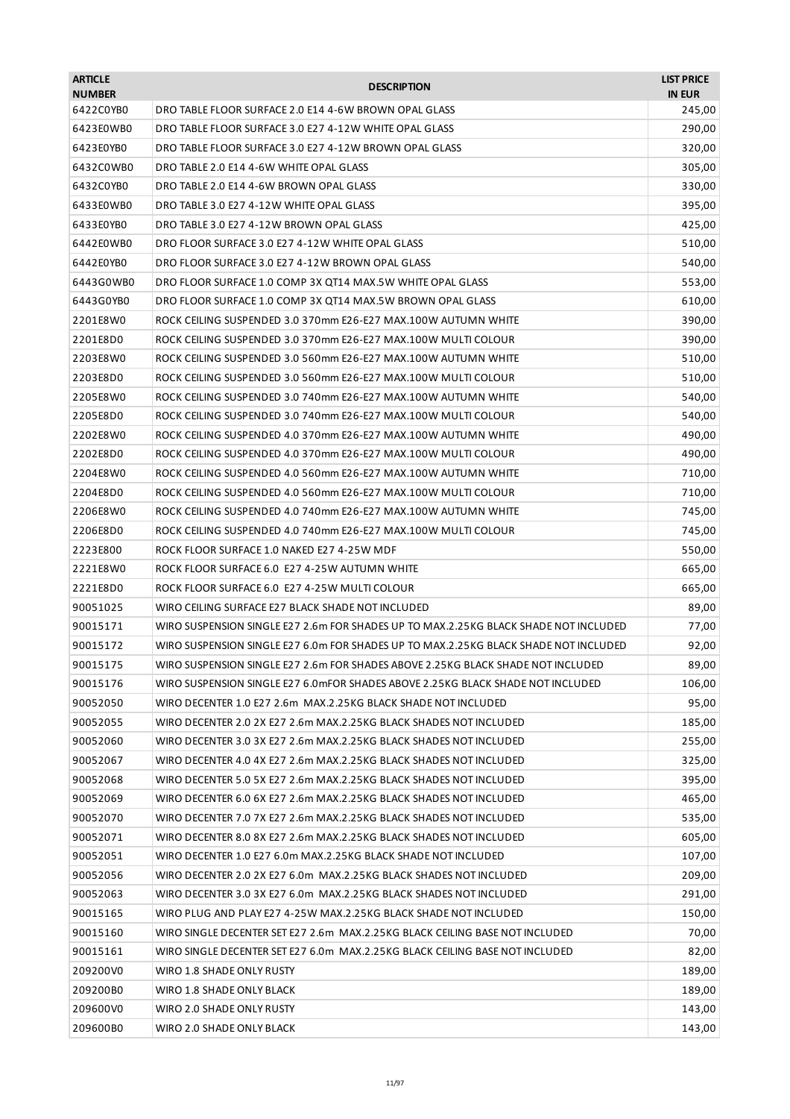| <b>ARTICLE</b><br><b>NUMBER</b> | <b>DESCRIPTION</b>                                                                   | <b>LIST PRICE</b><br><b>IN EUR</b> |
|---------------------------------|--------------------------------------------------------------------------------------|------------------------------------|
| 6422C0YB0                       | DRO TABLE FLOOR SURFACE 2.0 E14 4-6W BROWN OPAL GLASS                                | 245,00                             |
| 6423E0WB0                       | DRO TABLE FLOOR SURFACE 3.0 E27 4-12W WHITE OPAL GLASS                               | 290,00                             |
| 6423E0YB0                       | DRO TABLE FLOOR SURFACE 3.0 E27 4-12W BROWN OPAL GLASS                               | 320,00                             |
| 6432C0WB0                       | DRO TABLE 2.0 E14 4-6W WHITE OPAL GLASS                                              | 305,00                             |
| 6432C0YB0                       | DRO TABLE 2.0 E14 4-6W BROWN OPAL GLASS                                              | 330,00                             |
| 6433E0WB0                       | DRO TABLE 3.0 E27 4-12W WHITE OPAL GLASS                                             | 395,00                             |
| 6433E0YB0                       | DRO TABLE 3.0 E27 4-12W BROWN OPAL GLASS                                             | 425,00                             |
| 6442E0WB0                       | DRO FLOOR SURFACE 3.0 E27 4-12W WHITE OPAL GLASS                                     | 510,00                             |
| 6442E0YB0                       | DRO FLOOR SURFACE 3.0 E27 4-12W BROWN OPAL GLASS                                     | 540,00                             |
| 6443G0WB0                       | DRO FLOOR SURFACE 1.0 COMP 3X QT14 MAX.5W WHITE OPAL GLASS                           | 553,00                             |
| 6443G0YB0                       | DRO FLOOR SURFACE 1.0 COMP 3X QT14 MAX.5W BROWN OPAL GLASS                           | 610,00                             |
| 2201E8W0                        | ROCK CEILING SUSPENDED 3.0 370mm E26-E27 MAX.100W AUTUMN WHITE                       | 390,00                             |
| 2201E8D0                        | ROCK CEILING SUSPENDED 3.0 370mm E26-E27 MAX.100W MULTI COLOUR                       | 390,00                             |
| 2203E8W0                        | ROCK CEILING SUSPENDED 3.0 560mm E26-E27 MAX.100W AUTUMN WHITE                       | 510,00                             |
| 2203E8D0                        | ROCK CEILING SUSPENDED 3.0 560mm E26-E27 MAX.100W MULTI COLOUR                       | 510,00                             |
| 2205E8W0                        | ROCK CEILING SUSPENDED 3.0 740mm E26-E27 MAX.100W AUTUMN WHITE                       | 540,00                             |
| 2205E8D0                        | ROCK CEILING SUSPENDED 3.0 740mm E26-E27 MAX.100W MULTI COLOUR                       | 540,00                             |
| 2202E8W0                        | ROCK CEILING SUSPENDED 4.0 370mm E26-E27 MAX.100W AUTUMN WHITE                       | 490,00                             |
| 2202E8D0                        | ROCK CEILING SUSPENDED 4.0 370mm E26-E27 MAX.100W MULTI COLOUR                       | 490,00                             |
| 2204E8W0                        | ROCK CEILING SUSPENDED 4.0 560mm E26-E27 MAX.100W AUTUMN WHITE                       | 710,00                             |
| 2204E8D0                        | ROCK CEILING SUSPENDED 4.0 560mm E26-E27 MAX.100W MULTI COLOUR                       | 710,00                             |
| 2206E8W0                        | ROCK CEILING SUSPENDED 4.0 740mm E26-E27 MAX.100W AUTUMN WHITE                       | 745,00                             |
| 2206E8D0                        | ROCK CEILING SUSPENDED 4.0 740mm E26-E27 MAX.100W MULTI COLOUR                       | 745,00                             |
| 2223E800                        | ROCK FLOOR SURFACE 1.0 NAKED E27 4-25W MDF                                           | 550,00                             |
| 2221E8W0                        | ROCK FLOOR SURFACE 6.0 E27 4-25W AUTUMN WHITE                                        | 665,00                             |
| 2221E8D0                        | ROCK FLOOR SURFACE 6.0 E27 4-25W MULTI COLOUR                                        | 665,00                             |
| 90051025                        | WIRO CEILING SURFACE E27 BLACK SHADE NOT INCLUDED                                    | 89,00                              |
| 90015171                        | WIRO SUSPENSION SINGLE E27 2.6m FOR SHADES UP TO MAX.2.25KG BLACK SHADE NOT INCLUDED | 77,00                              |
| 90015172                        | WIRO SUSPENSION SINGLE E27 6.0m FOR SHADES UP TO MAX.2.25KG BLACK SHADE NOT INCLUDED | 92,00                              |
| 90015175                        | WIRO SUSPENSION SINGLE E27 2.6m FOR SHADES ABOVE 2.25KG BLACK SHADE NOT INCLUDED     | 89,00                              |
| 90015176                        | WIRO SUSPENSION SINGLE E27 6.0 mFOR SHADES ABOVE 2.25KG BLACK SHADE NOT INCLUDED     | 106,00                             |
| 90052050                        | WIRO DECENTER 1.0 E27 2.6m MAX.2.25KG BLACK SHADE NOT INCLUDED                       | 95,00                              |
| 90052055                        | WIRO DECENTER 2.0 2X E27 2.6m MAX.2.25KG BLACK SHADES NOT INCLUDED                   | 185,00                             |
| 90052060                        | WIRO DECENTER 3.0 3X E27 2.6m MAX.2.25KG BLACK SHADES NOT INCLUDED                   | 255,00                             |
| 90052067                        | WIRO DECENTER 4.0 4X E27 2.6m MAX.2.25KG BLACK SHADES NOT INCLUDED                   | 325,00                             |
| 90052068                        | WIRO DECENTER 5.0 5X E27 2.6m MAX.2.25KG BLACK SHADES NOT INCLUDED                   | 395,00                             |
| 90052069                        | WIRO DECENTER 6.0 6X E27 2.6m MAX.2.25KG BLACK SHADES NOT INCLUDED                   | 465,00                             |
| 90052070                        | WIRO DECENTER 7.0 7X E27 2.6m MAX.2.25KG BLACK SHADES NOT INCLUDED                   | 535,00                             |
| 90052071                        | WIRO DECENTER 8.0 8X E27 2.6m MAX.2.25KG BLACK SHADES NOT INCLUDED                   | 605,00                             |
| 90052051                        | WIRO DECENTER 1.0 E27 6.0m MAX.2.25KG BLACK SHADE NOT INCLUDED                       | 107,00                             |
| 90052056                        | WIRO DECENTER 2.0 2X E27 6.0m MAX.2.25KG BLACK SHADES NOT INCLUDED                   | 209,00                             |
| 90052063                        | WIRO DECENTER 3.0 3X E27 6.0m MAX.2.25KG BLACK SHADES NOT INCLUDED                   | 291,00                             |
| 90015165                        | WIRO PLUG AND PLAY E27 4-25W MAX.2.25KG BLACK SHADE NOT INCLUDED                     | 150,00                             |
| 90015160                        | WIRO SINGLE DECENTER SET E27 2.6m MAX.2.25KG BLACK CEILING BASE NOT INCLUDED         | 70,00                              |
| 90015161                        | WIRO SINGLE DECENTER SET E27 6.0m MAX.2.25KG BLACK CEILING BASE NOT INCLUDED         | 82,00                              |
| 209200V0                        | WIRO 1.8 SHADE ONLY RUSTY                                                            | 189,00                             |
| 209200B0                        | WIRO 1.8 SHADE ONLY BLACK                                                            | 189,00                             |
| 209600V0                        | WIRO 2.0 SHADE ONLY RUSTY                                                            | 143,00                             |
| 209600B0                        | WIRO 2.0 SHADE ONLY BLACK                                                            | 143,00                             |
|                                 |                                                                                      |                                    |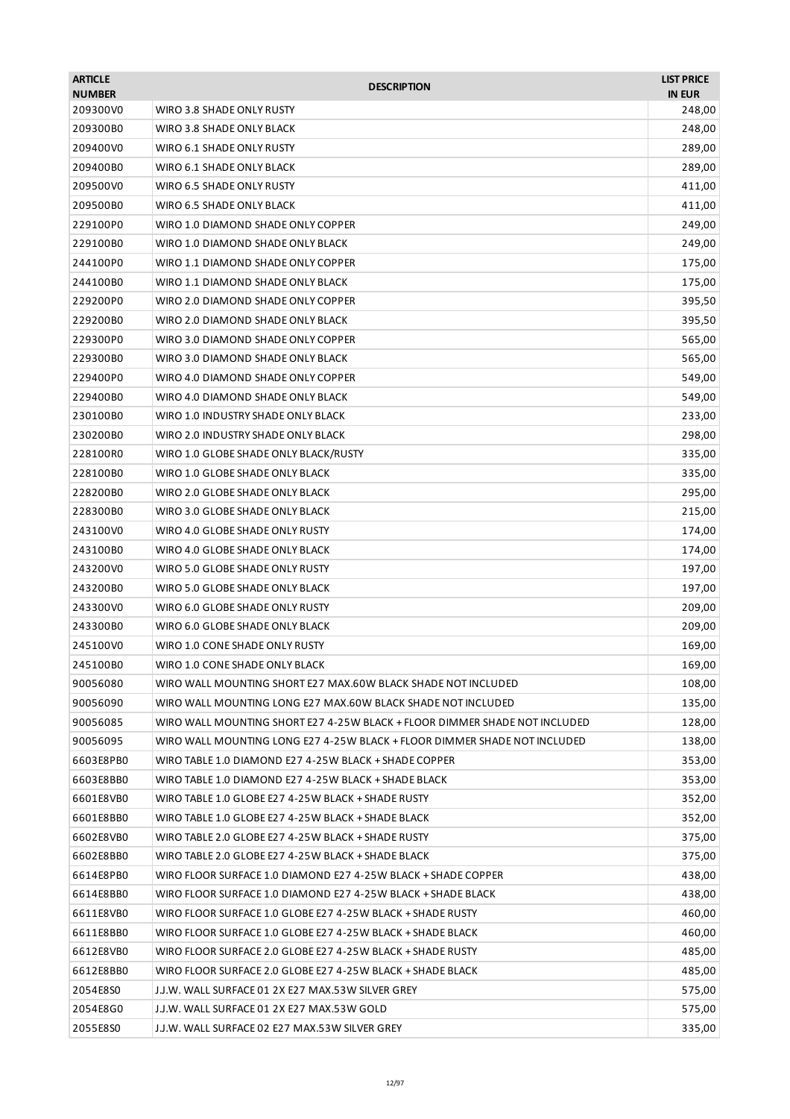| <b>ARTICLE</b>            | <b>DESCRIPTION</b>                                                         | <b>LIST PRICE</b> |
|---------------------------|----------------------------------------------------------------------------|-------------------|
| <b>NUMBER</b><br>209300V0 | WIRO 3.8 SHADE ONLY RUSTY                                                  | <b>IN EUR</b>     |
|                           |                                                                            | 248,00            |
| 209300B0                  | WIRO 3.8 SHADE ONLY BLACK                                                  | 248,00            |
| 209400V0                  | WIRO 6.1 SHADE ONLY RUSTY                                                  | 289,00            |
| 209400B0                  | WIRO 6.1 SHADE ONLY BLACK                                                  | 289,00            |
| 209500V0                  | WIRO 6.5 SHADE ONLY RUSTY                                                  | 411,00            |
| 209500B0                  | WIRO 6.5 SHADE ONLY BLACK                                                  | 411,00            |
| 229100P0                  | WIRO 1.0 DIAMOND SHADE ONLY COPPER                                         | 249,00            |
| 229100B0                  | WIRO 1.0 DIAMOND SHADE ONLY BLACK                                          | 249,00            |
| 244100P0                  | WIRO 1.1 DIAMOND SHADE ONLY COPPER                                         | 175,00            |
| 244100B0                  | WIRO 1.1 DIAMOND SHADE ONLY BLACK                                          | 175,00            |
| 229200P0                  | WIRO 2.0 DIAMOND SHADE ONLY COPPER                                         | 395,50            |
| 229200B0                  | WIRO 2.0 DIAMOND SHADE ONLY BLACK                                          | 395,50            |
| 229300P0                  | WIRO 3.0 DIAMOND SHADE ONLY COPPER                                         | 565,00            |
| 229300B0                  | WIRO 3.0 DIAMOND SHADE ONLY BLACK                                          | 565,00            |
| 229400P0                  | WIRO 4.0 DIAMOND SHADE ONLY COPPER                                         | 549,00            |
| 229400B0                  | WIRO 4.0 DIAMOND SHADE ONLY BLACK                                          | 549,00            |
| 230100B0                  | WIRO 1.0 INDUSTRY SHADE ONLY BLACK                                         | 233,00            |
| 230200B0                  | WIRO 2.0 INDUSTRY SHADE ONLY BLACK                                         | 298,00            |
| 228100R0                  | WIRO 1.0 GLOBE SHADE ONLY BLACK/RUSTY                                      | 335,00            |
| 228100B0                  | WIRO 1.0 GLOBE SHADE ONLY BLACK                                            | 335,00            |
| 228200B0                  | WIRO 2.0 GLOBE SHADE ONLY BLACK                                            | 295,00            |
| 228300B0                  | WIRO 3.0 GLOBE SHADE ONLY BLACK                                            | 215,00            |
| 243100V0                  | WIRO 4.0 GLOBE SHADE ONLY RUSTY                                            | 174,00            |
| 243100B0                  | WIRO 4.0 GLOBE SHADE ONLY BLACK                                            | 174,00            |
| 243200V0                  | WIRO 5.0 GLOBE SHADE ONLY RUSTY                                            | 197,00            |
| 243200B0                  | WIRO 5.0 GLOBE SHADE ONLY BLACK                                            | 197,00            |
| 243300V0                  | WIRO 6.0 GLOBE SHADE ONLY RUSTY                                            | 209,00            |
| 243300B0                  | WIRO 6.0 GLOBE SHADE ONLY BLACK                                            | 209,00            |
| 245100V0                  | WIRO 1.0 CONE SHADE ONLY RUSTY                                             | 169,00            |
| 245100B0                  | WIRO 1.0 CONE SHADE ONLY BLACK                                             | 169,00            |
| 90056080                  | WIRO WALL MOUNTING SHORT E27 MAX.60W BLACK SHADE NOT INCLUDED              | 108,00            |
| 90056090                  | WIRO WALL MOUNTING LONG E27 MAX.60W BLACK SHADE NOT INCLUDED               | 135,00            |
| 90056085                  | WIRO WALL MOUNTING SHORT E27 4-25W BLACK + FLOOR DIMMER SHADE NOT INCLUDED | 128,00            |
| 90056095                  | WIRO WALL MOUNTING LONG E27 4-25W BLACK + FLOOR DIMMER SHADE NOT INCLUDED  | 138,00            |
| 6603E8PB0                 | WIRO TABLE 1.0 DIAMOND E27 4-25W BLACK + SHADE COPPER                      | 353,00            |
| 6603E8BB0                 | WIRO TABLE 1.0 DIAMOND E27 4-25W BLACK + SHADE BLACK                       | 353,00            |
| 6601E8VB0                 | WIRO TABLE 1.0 GLOBE E27 4-25W BLACK + SHADE RUSTY                         | 352,00            |
| 6601E8BB0                 | WIRO TABLE 1.0 GLOBE E27 4-25W BLACK + SHADE BLACK                         | 352,00            |
| 6602E8VB0                 | WIRO TABLE 2.0 GLOBE E27 4-25W BLACK + SHADE RUSTY                         | 375,00            |
| 6602E8BB0                 | WIRO TABLE 2.0 GLOBE E27 4-25W BLACK + SHADE BLACK                         | 375,00            |
| 6614E8PB0                 | WIRO FLOOR SURFACE 1.0 DIAMOND E27 4-25W BLACK + SHADE COPPER              | 438,00            |
| 6614E8BB0                 | WIRO FLOOR SURFACE 1.0 DIAMOND E27 4-25W BLACK + SHADE BLACK               | 438,00            |
| 6611E8VB0                 | WIRO FLOOR SURFACE 1.0 GLOBE E27 4-25W BLACK + SHADE RUSTY                 | 460,00            |
| 6611E8BB0                 | WIRO FLOOR SURFACE 1.0 GLOBE E27 4-25W BLACK + SHADE BLACK                 | 460,00            |
| 6612E8VB0                 | WIRO FLOOR SURFACE 2.0 GLOBE E27 4-25W BLACK + SHADE RUSTY                 | 485,00            |
| 6612E8BB0                 | WIRO FLOOR SURFACE 2.0 GLOBE E27 4-25W BLACK + SHADE BLACK                 | 485,00            |
| 2054E8S0                  | J.J.W. WALL SURFACE 01 2X E27 MAX.53W SILVER GREY                          | 575,00            |
| 2054E8G0                  | J.J.W. WALL SURFACE 01 2X E27 MAX.53W GOLD                                 | 575,00            |
| 2055E8S0                  | J.J.W. WALL SURFACE 02 E27 MAX.53W SILVER GREY                             | 335,00            |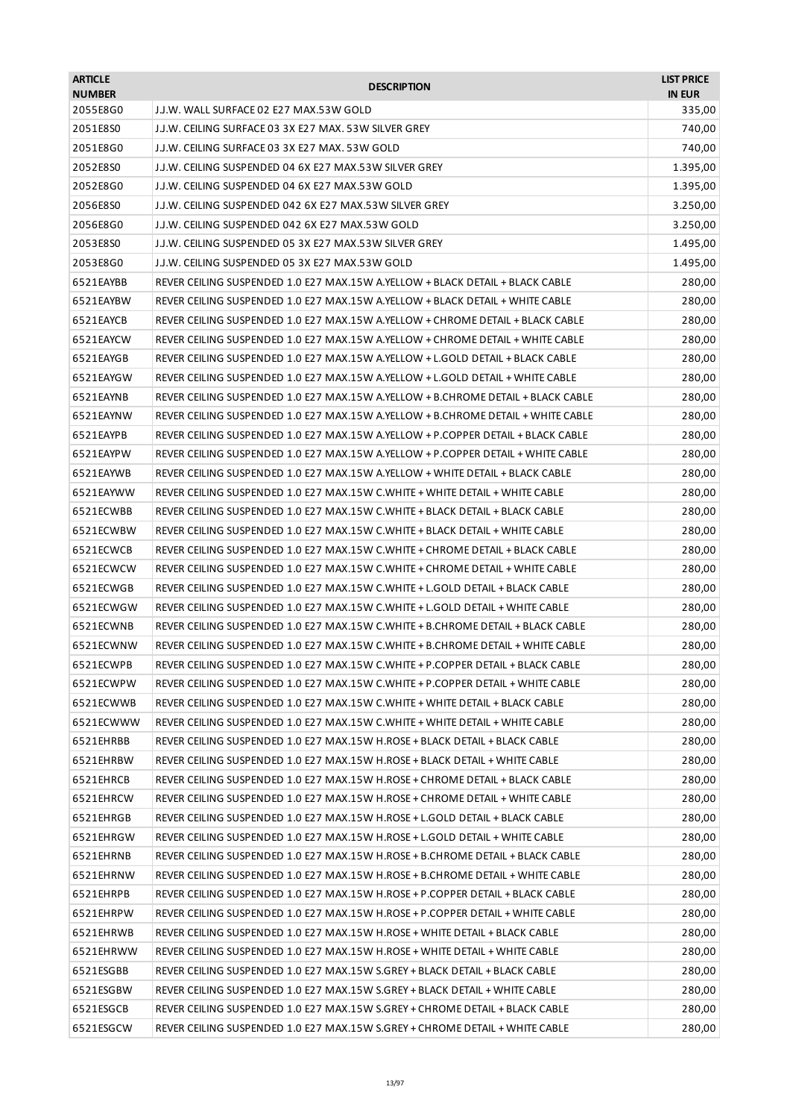| <b>ARTICLE</b><br><b>NUMBER</b> | <b>DESCRIPTION</b>                                                               | <b>LIST PRICE</b><br><b>IN EUR</b> |
|---------------------------------|----------------------------------------------------------------------------------|------------------------------------|
| 2055E8G0                        | J.J.W. WALL SURFACE 02 E27 MAX.53W GOLD                                          | 335,00                             |
| 2051E8S0                        | J.J.W. CEILING SURFACE 03 3X E27 MAX. 53W SILVER GREY                            | 740,00                             |
| 2051E8G0                        | J.J.W. CEILING SURFACE 03 3X E27 MAX. 53W GOLD                                   | 740,00                             |
| 2052E8S0                        | J.J.W. CEILING SUSPENDED 04 6X E27 MAX.53W SILVER GREY                           | 1.395,00                           |
| 2052E8G0                        | J.J.W. CEILING SUSPENDED 04 6X E27 MAX.53W GOLD                                  | 1.395,00                           |
| 2056E8S0                        | J.J.W. CEILING SUSPENDED 042 6X E27 MAX.53W SILVER GREY                          | 3.250,00                           |
| 2056E8G0                        | J.J.W. CEILING SUSPENDED 042 6X E27 MAX.53W GOLD                                 | 3.250,00                           |
| 2053E8S0                        | J.J.W. CEILING SUSPENDED 05 3X E27 MAX.53W SILVER GREY                           | 1.495,00                           |
| 2053E8G0                        | J.J.W. CEILING SUSPENDED 05 3X E27 MAX.53W GOLD                                  | 1.495,00                           |
| 6521EAYBB                       | REVER CEILING SUSPENDED 1.0 E27 MAX.15W A.YELLOW + BLACK DETAIL + BLACK CABLE    | 280,00                             |
| 6521EAYBW                       | REVER CEILING SUSPENDED 1.0 E27 MAX.15W A.YELLOW + BLACK DETAIL + WHITE CABLE    | 280,00                             |
| 6521EAYCB                       | REVER CEILING SUSPENDED 1.0 E27 MAX.15W A.YELLOW + CHROME DETAIL + BLACK CABLE   | 280,00                             |
| 6521EAYCW                       | REVER CEILING SUSPENDED 1.0 E27 MAX.15W A.YELLOW + CHROME DETAIL + WHITE CABLE   | 280,00                             |
| 6521EAYGB                       | REVER CEILING SUSPENDED 1.0 E27 MAX.15W A.YELLOW + L.GOLD DETAIL + BLACK CABLE   | 280,00                             |
| 6521EAYGW                       | REVER CEILING SUSPENDED 1.0 E27 MAX.15W A.YELLOW + L.GOLD DETAIL + WHITE CABLE   | 280,00                             |
| 6521EAYNB                       | REVER CEILING SUSPENDED 1.0 E27 MAX.15W A.YELLOW + B.CHROME DETAIL + BLACK CABLE | 280,00                             |
| 6521EAYNW                       | REVER CEILING SUSPENDED 1.0 E27 MAX.15W A.YELLOW + B.CHROME DETAIL + WHITE CABLE | 280,00                             |
| 6521EAYPB                       | REVER CEILING SUSPENDED 1.0 E27 MAX.15W A.YELLOW + P.COPPER DETAIL + BLACK CABLE | 280,00                             |
| 6521EAYPW                       | REVER CEILING SUSPENDED 1.0 E27 MAX.15W A.YELLOW + P.COPPER DETAIL + WHITE CABLE | 280,00                             |
| 6521EAYWB                       | REVER CEILING SUSPENDED 1.0 E27 MAX.15W A.YELLOW + WHITE DETAIL + BLACK CABLE    | 280,00                             |
| 6521EAYWW                       | REVER CEILING SUSPENDED 1.0 E27 MAX.15W C.WHITE + WHITE DETAIL + WHITE CABLE     | 280,00                             |
| 6521ECWBB                       | REVER CEILING SUSPENDED 1.0 E27 MAX.15W C.WHITE + BLACK DETAIL + BLACK CABLE     | 280,00                             |
| 6521ECWBW                       | REVER CEILING SUSPENDED 1.0 E27 MAX.15W C.WHITE + BLACK DETAIL + WHITE CABLE     | 280,00                             |
| 6521ECWCB                       | REVER CEILING SUSPENDED 1.0 E27 MAX.15W C.WHITE + CHROME DETAIL + BLACK CABLE    | 280,00                             |
| 6521ECWCW                       | REVER CEILING SUSPENDED 1.0 E27 MAX.15W C.WHITE + CHROME DETAIL + WHITE CABLE    | 280,00                             |
| 6521ECWGB                       | REVER CEILING SUSPENDED 1.0 E27 MAX.15W C.WHITE + L.GOLD DETAIL + BLACK CABLE    | 280,00                             |
| 6521ECWGW                       | REVER CEILING SUSPENDED 1.0 E27 MAX.15W C.WHITE + L.GOLD DETAIL + WHITE CABLE    | 280,00                             |
| 6521ECWNB                       | REVER CEILING SUSPENDED 1.0 E27 MAX.15W C.WHITE + B.CHROME DETAIL + BLACK CABLE  | 280,00                             |
| 6521ECWNW                       | REVER CEILING SUSPENDED 1.0 E27 MAX.15W C.WHITE + B.CHROME DETAIL + WHITE CABLE  | 280,00                             |
| 6521ECWPB                       | REVER CEILING SUSPENDED 1.0 E27 MAX.15W C.WHITE + P.COPPER DETAIL + BLACK CABLE  | 280,00                             |
| 6521ECWPW                       | REVER CEILING SUSPENDED 1.0 E27 MAX.15W C.WHITE + P.COPPER DETAIL + WHITE CABLE  | 280,00                             |
| 6521ECWWB                       | REVER CEILING SUSPENDED 1.0 E27 MAX.15W C.WHITE + WHITE DETAIL + BLACK CABLE     | 280,00                             |
| 6521ECWWW                       | REVER CEILING SUSPENDED 1.0 E27 MAX.15W C.WHITE + WHITE DETAIL + WHITE CABLE     | 280,00                             |
| 6521EHRBB                       | REVER CEILING SUSPENDED 1.0 E27 MAX.15W H.ROSE + BLACK DETAIL + BLACK CABLE      | 280,00                             |
| 6521EHRBW                       | REVER CEILING SUSPENDED 1.0 E27 MAX.15W H.ROSE + BLACK DETAIL + WHITE CABLE      | 280,00                             |
| 6521EHRCB                       | REVER CEILING SUSPENDED 1.0 E27 MAX.15W H.ROSE + CHROME DETAIL + BLACK CABLE     | 280,00                             |
| 6521EHRCW                       | REVER CEILING SUSPENDED 1.0 E27 MAX.15W H.ROSE + CHROME DETAIL + WHITE CABLE     | 280,00                             |
| 6521EHRGB                       | REVER CEILING SUSPENDED 1.0 E27 MAX.15W H.ROSE + L.GOLD DETAIL + BLACK CABLE     | 280,00                             |
| 6521EHRGW                       | REVER CEILING SUSPENDED 1.0 E27 MAX.15W H.ROSE + L.GOLD DETAIL + WHITE CABLE     | 280,00                             |
| 6521EHRNB                       | REVER CEILING SUSPENDED 1.0 E27 MAX.15W H.ROSE + B.CHROME DETAIL + BLACK CABLE   | 280,00                             |
| 6521EHRNW                       | REVER CEILING SUSPENDED 1.0 E27 MAX.15W H.ROSE + B.CHROME DETAIL + WHITE CABLE   | 280,00                             |
| 6521EHRPB                       | REVER CEILING SUSPENDED 1.0 E27 MAX.15W H.ROSE + P.COPPER DETAIL + BLACK CABLE   | 280,00                             |
| 6521EHRPW                       | REVER CEILING SUSPENDED 1.0 E27 MAX.15W H.ROSE + P.COPPER DETAIL + WHITE CABLE   | 280,00                             |
| 6521EHRWB                       | REVER CEILING SUSPENDED 1.0 E27 MAX.15W H.ROSE + WHITE DETAIL + BLACK CABLE      | 280,00                             |
| 6521EHRWW                       | REVER CEILING SUSPENDED 1.0 E27 MAX.15W H.ROSE + WHITE DETAIL + WHITE CABLE      | 280,00                             |
| 6521ESGBB                       | REVER CEILING SUSPENDED 1.0 E27 MAX.15W S.GREY + BLACK DETAIL + BLACK CABLE      | 280,00                             |
| 6521ESGBW                       | REVER CEILING SUSPENDED 1.0 E27 MAX.15W S.GREY + BLACK DETAIL + WHITE CABLE      | 280,00                             |
| 6521ESGCB                       | REVER CEILING SUSPENDED 1.0 E27 MAX.15W S.GREY + CHROME DETAIL + BLACK CABLE     | 280,00                             |
| 6521ESGCW                       | REVER CEILING SUSPENDED 1.0 E27 MAX.15W S.GREY + CHROME DETAIL + WHITE CABLE     | 280,00                             |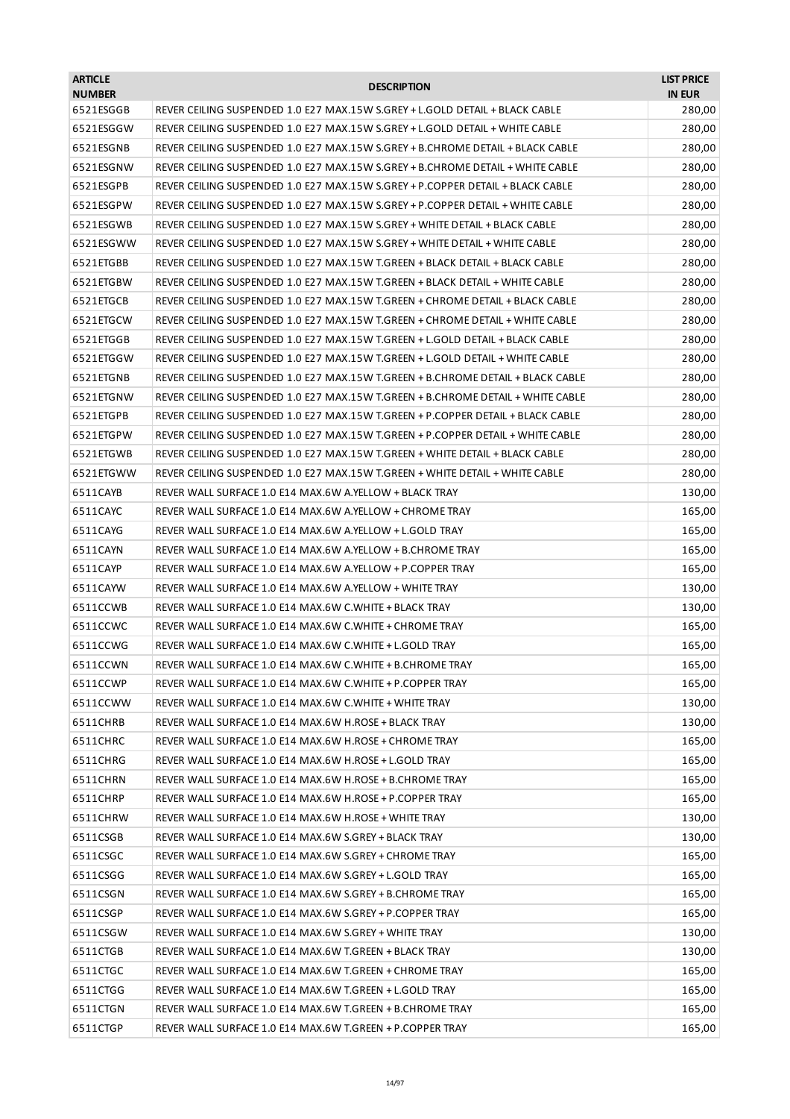| 6521ESGGB<br>REVER CEILING SUSPENDED 1.0 E27 MAX.15W S.GREY + L.GOLD DETAIL + BLACK CABLE<br>6521ESGGW<br>REVER CEILING SUSPENDED 1.0 E27 MAX.15W S.GREY + L.GOLD DETAIL + WHITE CABLE<br>6521ESGNB<br>REVER CEILING SUSPENDED 1.0 E27 MAX.15W S.GREY + B.CHROME DETAIL + BLACK CABLE<br>6521ESGNW<br>REVER CEILING SUSPENDED 1.0 E27 MAX.15W S.GREY + B.CHROME DETAIL + WHITE CABLE<br>6521ESGPB<br>REVER CEILING SUSPENDED 1.0 E27 MAX.15W S.GREY + P.COPPER DETAIL + BLACK CABLE<br>6521ESGPW<br>REVER CEILING SUSPENDED 1.0 E27 MAX.15W S.GREY + P.COPPER DETAIL + WHITE CABLE<br>6521ESGWB<br>REVER CEILING SUSPENDED 1.0 E27 MAX.15W S.GREY + WHITE DETAIL + BLACK CABLE | 280,00<br>280,00<br>280,00<br>280,00<br>280,00<br>280,00<br>280,00<br>280,00<br>280,00<br>280,00<br>280,00<br>280,00<br>280,00 |
|--------------------------------------------------------------------------------------------------------------------------------------------------------------------------------------------------------------------------------------------------------------------------------------------------------------------------------------------------------------------------------------------------------------------------------------------------------------------------------------------------------------------------------------------------------------------------------------------------------------------------------------------------------------------------------|--------------------------------------------------------------------------------------------------------------------------------|
|                                                                                                                                                                                                                                                                                                                                                                                                                                                                                                                                                                                                                                                                                |                                                                                                                                |
|                                                                                                                                                                                                                                                                                                                                                                                                                                                                                                                                                                                                                                                                                |                                                                                                                                |
|                                                                                                                                                                                                                                                                                                                                                                                                                                                                                                                                                                                                                                                                                |                                                                                                                                |
|                                                                                                                                                                                                                                                                                                                                                                                                                                                                                                                                                                                                                                                                                |                                                                                                                                |
|                                                                                                                                                                                                                                                                                                                                                                                                                                                                                                                                                                                                                                                                                |                                                                                                                                |
|                                                                                                                                                                                                                                                                                                                                                                                                                                                                                                                                                                                                                                                                                |                                                                                                                                |
|                                                                                                                                                                                                                                                                                                                                                                                                                                                                                                                                                                                                                                                                                |                                                                                                                                |
| 6521ESGWW<br>REVER CEILING SUSPENDED 1.0 E27 MAX.15W S.GREY + WHITE DETAIL + WHITE CABLE                                                                                                                                                                                                                                                                                                                                                                                                                                                                                                                                                                                       |                                                                                                                                |
| 6521ETGBB<br>REVER CEILING SUSPENDED 1.0 E27 MAX.15W T.GREEN + BLACK DETAIL + BLACK CABLE                                                                                                                                                                                                                                                                                                                                                                                                                                                                                                                                                                                      |                                                                                                                                |
| 6521ETGBW<br>REVER CEILING SUSPENDED 1.0 E27 MAX.15W T.GREEN + BLACK DETAIL + WHITE CABLE                                                                                                                                                                                                                                                                                                                                                                                                                                                                                                                                                                                      |                                                                                                                                |
| 6521ETGCB<br>REVER CEILING SUSPENDED 1.0 E27 MAX.15W T.GREEN + CHROME DETAIL + BLACK CABLE                                                                                                                                                                                                                                                                                                                                                                                                                                                                                                                                                                                     |                                                                                                                                |
| 6521ETGCW<br>REVER CEILING SUSPENDED 1.0 E27 MAX.15W T.GREEN + CHROME DETAIL + WHITE CABLE                                                                                                                                                                                                                                                                                                                                                                                                                                                                                                                                                                                     |                                                                                                                                |
| 6521ETGGB<br>REVER CEILING SUSPENDED 1.0 E27 MAX.15W T.GREEN + L.GOLD DETAIL + BLACK CABLE                                                                                                                                                                                                                                                                                                                                                                                                                                                                                                                                                                                     |                                                                                                                                |
| 6521ETGGW<br>REVER CEILING SUSPENDED 1.0 E27 MAX.15W T.GREEN + L.GOLD DETAIL + WHITE CABLE                                                                                                                                                                                                                                                                                                                                                                                                                                                                                                                                                                                     | 280,00                                                                                                                         |
| 6521ETGNB<br>REVER CEILING SUSPENDED 1.0 E27 MAX.15W T.GREEN + B.CHROME DETAIL + BLACK CABLE                                                                                                                                                                                                                                                                                                                                                                                                                                                                                                                                                                                   | 280,00                                                                                                                         |
| 6521ETGNW<br>REVER CEILING SUSPENDED 1.0 E27 MAX.15W T.GREEN + B.CHROME DETAIL + WHITE CABLE                                                                                                                                                                                                                                                                                                                                                                                                                                                                                                                                                                                   | 280,00                                                                                                                         |
| 6521ETGPB<br>REVER CEILING SUSPENDED 1.0 E27 MAX.15W T.GREEN + P.COPPER DETAIL + BLACK CABLE                                                                                                                                                                                                                                                                                                                                                                                                                                                                                                                                                                                   | 280,00                                                                                                                         |
| 6521ETGPW<br>REVER CEILING SUSPENDED 1.0 E27 MAX.15W T.GREEN + P.COPPER DETAIL + WHITE CABLE                                                                                                                                                                                                                                                                                                                                                                                                                                                                                                                                                                                   | 280,00                                                                                                                         |
| 6521ETGWB<br>REVER CEILING SUSPENDED 1.0 E27 MAX.15W T.GREEN + WHITE DETAIL + BLACK CABLE                                                                                                                                                                                                                                                                                                                                                                                                                                                                                                                                                                                      | 280,00                                                                                                                         |
| 6521ETGWW<br>REVER CEILING SUSPENDED 1.0 E27 MAX.15W T.GREEN + WHITE DETAIL + WHITE CABLE                                                                                                                                                                                                                                                                                                                                                                                                                                                                                                                                                                                      | 280,00                                                                                                                         |
| 6511CAYB<br>REVER WALL SURFACE 1.0 E14 MAX.6W A.YELLOW + BLACK TRAY                                                                                                                                                                                                                                                                                                                                                                                                                                                                                                                                                                                                            | 130,00                                                                                                                         |
| 6511CAYC<br>REVER WALL SURFACE 1.0 E14 MAX.6W A.YELLOW + CHROME TRAY                                                                                                                                                                                                                                                                                                                                                                                                                                                                                                                                                                                                           | 165,00                                                                                                                         |
| 6511CAYG<br>REVER WALL SURFACE 1.0 E14 MAX.6W A.YELLOW + L.GOLD TRAY                                                                                                                                                                                                                                                                                                                                                                                                                                                                                                                                                                                                           | 165,00                                                                                                                         |
| 6511CAYN<br>REVER WALL SURFACE 1.0 E14 MAX.6W A.YELLOW + B.CHROME TRAY                                                                                                                                                                                                                                                                                                                                                                                                                                                                                                                                                                                                         | 165,00                                                                                                                         |
| 6511CAYP<br>REVER WALL SURFACE 1.0 E14 MAX.6W A.YELLOW + P.COPPER TRAY                                                                                                                                                                                                                                                                                                                                                                                                                                                                                                                                                                                                         | 165,00                                                                                                                         |
| 6511CAYW<br>REVER WALL SURFACE 1.0 E14 MAX.6W A.YELLOW + WHITE TRAY                                                                                                                                                                                                                                                                                                                                                                                                                                                                                                                                                                                                            | 130,00                                                                                                                         |
| 6511CCWB<br>REVER WALL SURFACE 1.0 E14 MAX.6W C.WHITE + BLACK TRAY                                                                                                                                                                                                                                                                                                                                                                                                                                                                                                                                                                                                             | 130,00                                                                                                                         |
| 6511CCWC<br>REVER WALL SURFACE 1.0 E14 MAX.6W C.WHITE + CHROME TRAY                                                                                                                                                                                                                                                                                                                                                                                                                                                                                                                                                                                                            | 165,00                                                                                                                         |
| 6511CCWG<br>REVER WALL SURFACE 1.0 E14 MAX.6W C.WHITE + L.GOLD TRAY                                                                                                                                                                                                                                                                                                                                                                                                                                                                                                                                                                                                            | 165,00                                                                                                                         |
| 6511CCWN<br>REVER WALL SURFACE 1.0 E14 MAX.6W C.WHITE + B.CHROME TRAY                                                                                                                                                                                                                                                                                                                                                                                                                                                                                                                                                                                                          | 165,00                                                                                                                         |
| REVER WALL SURFACE 1.0 E14 MAX.6W C.WHITE + P.COPPER TRAY<br>6511CCWP                                                                                                                                                                                                                                                                                                                                                                                                                                                                                                                                                                                                          | 165,00                                                                                                                         |
| 6511CCWW<br>REVER WALL SURFACE 1.0 E14 MAX.6W C.WHITE + WHITE TRAY                                                                                                                                                                                                                                                                                                                                                                                                                                                                                                                                                                                                             | 130,00                                                                                                                         |
| 6511CHRB<br>REVER WALL SURFACE 1.0 E14 MAX.6W H.ROSE + BLACK TRAY                                                                                                                                                                                                                                                                                                                                                                                                                                                                                                                                                                                                              | 130,00                                                                                                                         |
| 6511CHRC<br>REVER WALL SURFACE 1.0 E14 MAX.6W H.ROSE + CHROME TRAY                                                                                                                                                                                                                                                                                                                                                                                                                                                                                                                                                                                                             | 165,00                                                                                                                         |
| 6511CHRG<br>REVER WALL SURFACE 1.0 E14 MAX.6W H.ROSE + L.GOLD TRAY                                                                                                                                                                                                                                                                                                                                                                                                                                                                                                                                                                                                             | 165,00                                                                                                                         |
| 6511CHRN<br>REVER WALL SURFACE 1.0 E14 MAX.6W H.ROSE + B.CHROME TRAY                                                                                                                                                                                                                                                                                                                                                                                                                                                                                                                                                                                                           | 165,00                                                                                                                         |
| 6511CHRP<br>REVER WALL SURFACE 1.0 E14 MAX.6W H.ROSE + P.COPPER TRAY                                                                                                                                                                                                                                                                                                                                                                                                                                                                                                                                                                                                           | 165,00                                                                                                                         |
| 6511CHRW<br>REVER WALL SURFACE 1.0 E14 MAX.6W H.ROSE + WHITE TRAY                                                                                                                                                                                                                                                                                                                                                                                                                                                                                                                                                                                                              | 130,00                                                                                                                         |
| 6511CSGB<br>REVER WALL SURFACE 1.0 E14 MAX.6W S.GREY + BLACK TRAY                                                                                                                                                                                                                                                                                                                                                                                                                                                                                                                                                                                                              | 130,00                                                                                                                         |
| 6511CSGC<br>REVER WALL SURFACE 1.0 E14 MAX.6W S.GREY + CHROME TRAY                                                                                                                                                                                                                                                                                                                                                                                                                                                                                                                                                                                                             | 165,00                                                                                                                         |
| 6511CSGG<br>REVER WALL SURFACE 1.0 E14 MAX.6W S.GREY + L.GOLD TRAY                                                                                                                                                                                                                                                                                                                                                                                                                                                                                                                                                                                                             | 165,00                                                                                                                         |
| 6511CSGN<br>REVER WALL SURFACE 1.0 E14 MAX.6W S.GREY + B.CHROME TRAY                                                                                                                                                                                                                                                                                                                                                                                                                                                                                                                                                                                                           | 165,00                                                                                                                         |
| 6511CSGP<br>REVER WALL SURFACE 1.0 E14 MAX.6W S.GREY + P.COPPER TRAY                                                                                                                                                                                                                                                                                                                                                                                                                                                                                                                                                                                                           | 165,00                                                                                                                         |
| 6511CSGW<br>REVER WALL SURFACE 1.0 E14 MAX.6W S.GREY + WHITE TRAY                                                                                                                                                                                                                                                                                                                                                                                                                                                                                                                                                                                                              | 130,00                                                                                                                         |
| 6511CTGB<br>REVER WALL SURFACE 1.0 E14 MAX.6W T.GREEN + BLACK TRAY                                                                                                                                                                                                                                                                                                                                                                                                                                                                                                                                                                                                             | 130,00                                                                                                                         |
| 6511CTGC<br>REVER WALL SURFACE 1.0 E14 MAX.6W T.GREEN + CHROME TRAY                                                                                                                                                                                                                                                                                                                                                                                                                                                                                                                                                                                                            | 165,00                                                                                                                         |
| 6511CTGG<br>REVER WALL SURFACE 1.0 E14 MAX.6W T.GREEN + L.GOLD TRAY                                                                                                                                                                                                                                                                                                                                                                                                                                                                                                                                                                                                            | 165,00                                                                                                                         |
| 6511CTGN<br>REVER WALL SURFACE 1.0 E14 MAX.6W T.GREEN + B.CHROME TRAY                                                                                                                                                                                                                                                                                                                                                                                                                                                                                                                                                                                                          | 165,00                                                                                                                         |
| 6511CTGP<br>REVER WALL SURFACE 1.0 E14 MAX.6W T.GREEN + P.COPPER TRAY                                                                                                                                                                                                                                                                                                                                                                                                                                                                                                                                                                                                          | 165,00                                                                                                                         |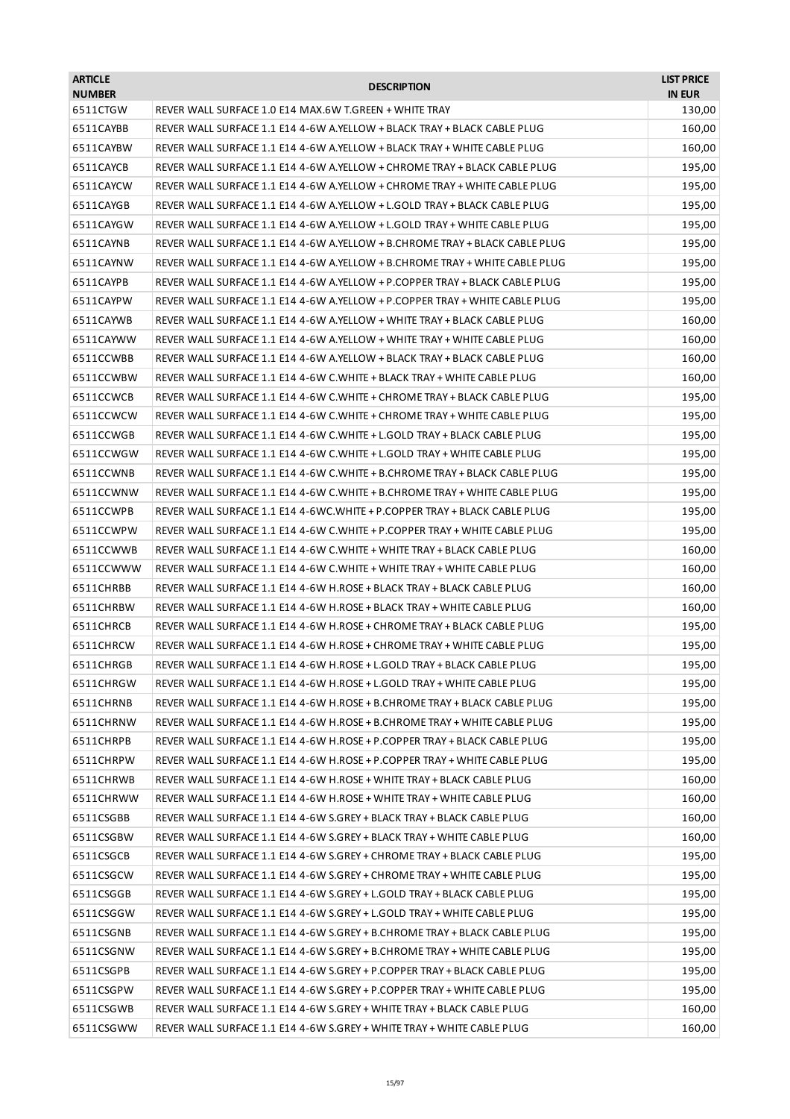| <b>ARTICLE</b><br><b>NUMBER</b> | <b>DESCRIPTION</b>                                                          | <b>LIST PRICE</b><br><b>IN EUR</b> |
|---------------------------------|-----------------------------------------------------------------------------|------------------------------------|
| 6511CTGW                        | REVER WALL SURFACE 1.0 E14 MAX.6W T.GREEN + WHITE TRAY                      | 130,00                             |
| 6511CAYBB                       | REVER WALL SURFACE 1.1 E14 4-6W A.YELLOW + BLACK TRAY + BLACK CABLE PLUG    | 160,00                             |
| 6511CAYBW                       | REVER WALL SURFACE 1.1 E14 4-6W A.YELLOW + BLACK TRAY + WHITE CABLE PLUG    | 160,00                             |
| 6511CAYCB                       | REVER WALL SURFACE 1.1 E14 4-6W A.YELLOW + CHROME TRAY + BLACK CABLE PLUG   | 195,00                             |
| 6511CAYCW                       | REVER WALL SURFACE 1.1 E14 4-6W A.YELLOW + CHROME TRAY + WHITE CABLE PLUG   | 195,00                             |
| 6511CAYGB                       | REVER WALL SURFACE 1.1 E14 4-6W A.YELLOW + L.GOLD TRAY + BLACK CABLE PLUG   | 195,00                             |
| 6511CAYGW                       | REVER WALL SURFACE 1.1 E14 4-6W A.YELLOW + L.GOLD TRAY + WHITE CABLE PLUG   | 195,00                             |
| 6511CAYNB                       | REVER WALL SURFACE 1.1 E14 4-6W A.YELLOW + B.CHROME TRAY + BLACK CABLE PLUG | 195,00                             |
| 6511CAYNW                       | REVER WALL SURFACE 1.1 E14 4-6W A.YELLOW + B.CHROME TRAY + WHITE CABLE PLUG | 195,00                             |
| 6511CAYPB                       | REVER WALL SURFACE 1.1 E14 4-6W A.YELLOW + P.COPPER TRAY + BLACK CABLE PLUG | 195,00                             |
| 6511CAYPW                       | REVER WALL SURFACE 1.1 E14 4-6W A.YELLOW + P.COPPER TRAY + WHITE CABLE PLUG | 195,00                             |
| 6511CAYWB                       | REVER WALL SURFACE 1.1 E14 4-6W A.YELLOW + WHITE TRAY + BLACK CABLE PLUG    | 160,00                             |
| 6511CAYWW                       | REVER WALL SURFACE 1.1 E14 4-6W A.YELLOW + WHITE TRAY + WHITE CABLE PLUG    | 160,00                             |
| 6511CCWBB                       | REVER WALL SURFACE 1.1 E14 4-6W A.YELLOW + BLACK TRAY + BLACK CABLE PLUG    | 160,00                             |
| 6511CCWBW                       | REVER WALL SURFACE 1.1 E14 4-6W C.WHITE + BLACK TRAY + WHITE CABLE PLUG     | 160,00                             |
| 6511CCWCB                       | REVER WALL SURFACE 1.1 E14 4-6W C.WHITE + CHROME TRAY + BLACK CABLE PLUG    | 195,00                             |
| 6511CCWCW                       | REVER WALL SURFACE 1.1 E14 4-6W C.WHITE + CHROME TRAY + WHITE CABLE PLUG    | 195,00                             |
| 6511CCWGB                       | REVER WALL SURFACE 1.1 E14 4-6W C.WHITE + L.GOLD TRAY + BLACK CABLE PLUG    | 195,00                             |
| 6511CCWGW                       | REVER WALL SURFACE 1.1 E14 4-6W C.WHITE + L.GOLD TRAY + WHITE CABLE PLUG    | 195,00                             |
| 6511CCWNB                       | REVER WALL SURFACE 1.1 E14 4-6W C.WHITE + B.CHROME TRAY + BLACK CABLE PLUG  | 195,00                             |
| 6511CCWNW                       | REVER WALL SURFACE 1.1 E14 4-6W C.WHITE + B.CHROME TRAY + WHITE CABLE PLUG  | 195,00                             |
| 6511CCWPB                       | REVER WALL SURFACE 1.1 E14 4-6WC.WHITE + P.COPPER TRAY + BLACK CABLE PLUG   | 195,00                             |
| 6511CCWPW                       | REVER WALL SURFACE 1.1 E14 4-6W C.WHITE + P.COPPER TRAY + WHITE CABLE PLUG  | 195,00                             |
| 6511CCWWB                       | REVER WALL SURFACE 1.1 E14 4-6W C.WHITE + WHITE TRAY + BLACK CABLE PLUG     | 160,00                             |
| 6511CCWWW                       | REVER WALL SURFACE 1.1 E14 4-6W C.WHITE + WHITE TRAY + WHITE CABLE PLUG     | 160,00                             |
| 6511CHRBB                       | REVER WALL SURFACE 1.1 E14 4-6W H.ROSE + BLACK TRAY + BLACK CABLE PLUG      | 160,00                             |
| 6511CHRBW                       | REVER WALL SURFACE 1.1 E14 4-6W H.ROSE + BLACK TRAY + WHITE CABLE PLUG      | 160,00                             |
| 6511CHRCB                       | REVER WALL SURFACE 1.1 E14 4-6W H.ROSE + CHROME TRAY + BLACK CABLE PLUG     | 195,00                             |
| 6511CHRCW                       | REVER WALL SURFACE 1.1 E14 4-6W H.ROSE + CHROME TRAY + WHITE CABLE PLUG     | 195,00                             |
| 6511CHRGB                       |                                                                             |                                    |
|                                 | REVER WALL SURFACE 1.1 E14 4-6W H.ROSE + L.GOLD TRAY + BLACK CABLE PLUG     | 195,00                             |
| 6511CHRGW                       | REVER WALL SURFACE 1.1 E14 4-6W H.ROSE + L.GOLD TRAY + WHITE CABLE PLUG     | 195,00                             |
| 6511CHRNB                       | REVER WALL SURFACE 1.1 E14 4-6W H.ROSE + B.CHROME TRAY + BLACK CABLE PLUG   | 195,00                             |
| 6511CHRNW                       | REVER WALL SURFACE 1.1 E14 4-6W H.ROSE + B.CHROME TRAY + WHITE CABLE PLUG   | 195,00                             |
| 6511CHRPB                       | REVER WALL SURFACE 1.1 E14 4-6W H.ROSE + P.COPPER TRAY + BLACK CABLE PLUG   | 195,00                             |
| 6511CHRPW                       | REVER WALL SURFACE 1.1 E14 4-6W H.ROSE + P.COPPER TRAY + WHITE CABLE PLUG   | 195,00                             |
| 6511CHRWB                       | REVER WALL SURFACE 1.1 E14 4-6W H.ROSE + WHITE TRAY + BLACK CABLE PLUG      | 160,00                             |
| 6511CHRWW                       | REVER WALL SURFACE 1.1 E14 4-6W H.ROSE + WHITE TRAY + WHITE CABLE PLUG      | 160,00                             |
| 6511CSGBB                       | REVER WALL SURFACE 1.1 E14 4-6W S.GREY + BLACK TRAY + BLACK CABLE PLUG      | 160,00                             |
| 6511CSGBW                       | REVER WALL SURFACE 1.1 E14 4-6W S.GREY + BLACK TRAY + WHITE CABLE PLUG      | 160,00                             |
| 6511CSGCB                       | REVER WALL SURFACE 1.1 E14 4-6W S.GREY + CHROME TRAY + BLACK CABLE PLUG     | 195,00                             |
| 6511CSGCW                       | REVER WALL SURFACE 1.1 E14 4-6W S.GREY + CHROME TRAY + WHITE CABLE PLUG     | 195,00                             |
| 6511CSGGB                       | REVER WALL SURFACE 1.1 E14 4-6W S.GREY + L.GOLD TRAY + BLACK CABLE PLUG     | 195,00                             |
| 6511CSGGW                       | REVER WALL SURFACE 1.1 E14 4-6W S.GREY + L.GOLD TRAY + WHITE CABLE PLUG     | 195,00                             |
| 6511CSGNB                       | REVER WALL SURFACE 1.1 E14 4-6W S.GREY + B.CHROME TRAY + BLACK CABLE PLUG   | 195,00                             |
| 6511CSGNW                       | REVER WALL SURFACE 1.1 E14 4-6W S.GREY + B.CHROME TRAY + WHITE CABLE PLUG   | 195,00                             |
| 6511CSGPB                       | REVER WALL SURFACE 1.1 E14 4-6W S.GREY + P.COPPER TRAY + BLACK CABLE PLUG   | 195,00                             |
| 6511CSGPW                       | REVER WALL SURFACE 1.1 E14 4-6W S.GREY + P.COPPER TRAY + WHITE CABLE PLUG   | 195,00                             |
| 6511CSGWB                       | REVER WALL SURFACE 1.1 E14 4-6W S.GREY + WHITE TRAY + BLACK CABLE PLUG      | 160,00                             |
| 6511CSGWW                       | REVER WALL SURFACE 1.1 E14 4-6W S.GREY + WHITE TRAY + WHITE CABLE PLUG      | 160,00                             |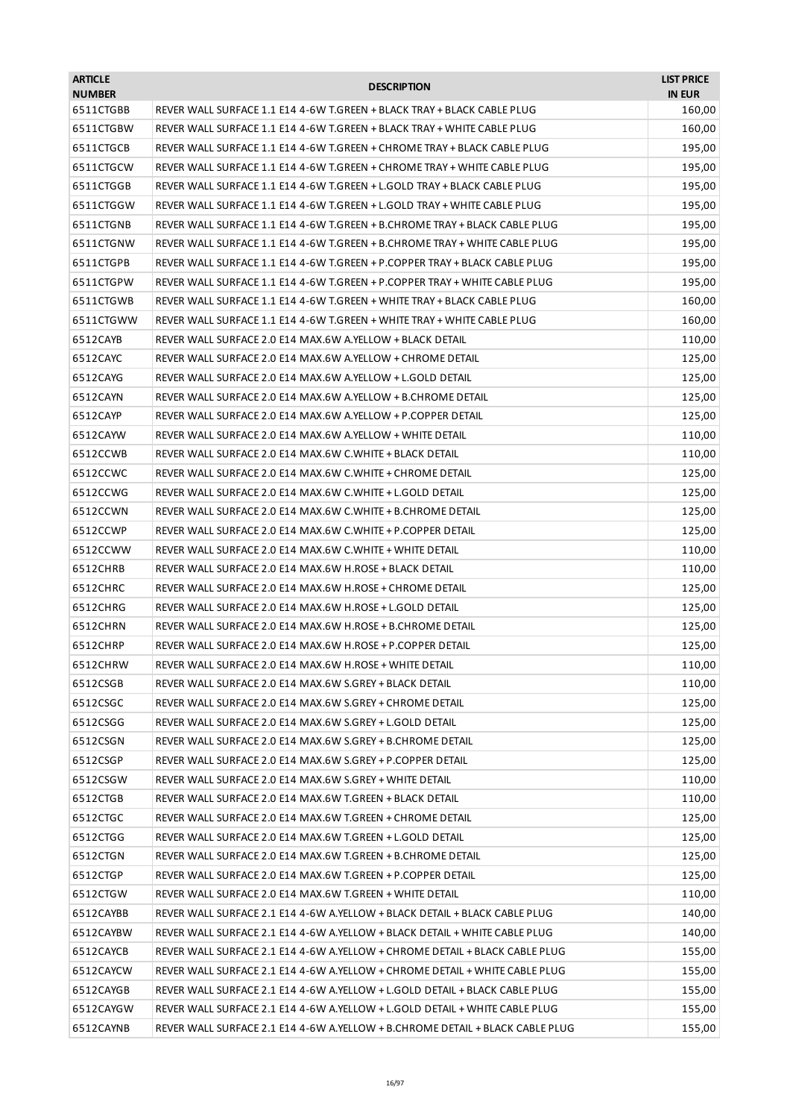| <b>ARTICLE</b><br><b>NUMBER</b> | <b>DESCRIPTION</b>                                                            | <b>LIST PRICE</b><br><b>IN EUR</b> |
|---------------------------------|-------------------------------------------------------------------------------|------------------------------------|
| 6511CTGBB                       | REVER WALL SURFACE 1.1 E14 4-6W T.GREEN + BLACK TRAY + BLACK CABLE PLUG       | 160,00                             |
| 6511CTGBW                       | REVER WALL SURFACE 1.1 E14 4-6W T.GREEN + BLACK TRAY + WHITE CABLE PLUG       | 160,00                             |
| 6511CTGCB                       | REVER WALL SURFACE 1.1 E14 4-6W T.GREEN + CHROME TRAY + BLACK CABLE PLUG      | 195,00                             |
| 6511CTGCW                       | REVER WALL SURFACE 1.1 E14 4-6W T.GREEN + CHROME TRAY + WHITE CABLE PLUG      | 195,00                             |
| 6511CTGGB                       | REVER WALL SURFACE 1.1 E14 4-6W T.GREEN + L.GOLD TRAY + BLACK CABLE PLUG      | 195,00                             |
| 6511CTGGW                       | REVER WALL SURFACE 1.1 E14   4-6W T.GREEN + L.GOLD TRAY + WHITE CABLE PLUG    | 195,00                             |
| 6511CTGNB                       | REVER WALL SURFACE 1.1 E14 4-6W T.GREEN + B.CHROME TRAY + BLACK CABLE PLUG    | 195,00                             |
| 6511CTGNW                       | REVER WALL SURFACE 1.1 E14 4-6W T.GREEN + B.CHROME TRAY + WHITE CABLE PLUG    | 195,00                             |
| 6511CTGPB                       | REVER WALL SURFACE 1.1 E14 4-6W T.GREEN + P.COPPER TRAY + BLACK CABLE PLUG    | 195,00                             |
| 6511CTGPW                       | REVER WALL SURFACE 1.1 E14 4-6W T.GREEN + P.COPPER TRAY + WHITE CABLE PLUG    | 195,00                             |
| 6511CTGWB                       | REVER WALL SURFACE 1.1 E14 4-6W T.GREEN + WHITE TRAY + BLACK CABLE PLUG       | 160,00                             |
| 6511CTGWW                       | REVER WALL SURFACE 1.1 E14 4-6W T.GREEN + WHITE TRAY + WHITE CABLE PLUG       | 160,00                             |
| 6512CAYB                        | REVER WALL SURFACE 2.0 E14 MAX.6W A.YELLOW + BLACK DETAIL                     | 110,00                             |
| 6512CAYC                        | REVER WALL SURFACE 2.0 E14 MAX.6W A.YELLOW + CHROME DETAIL                    | 125,00                             |
| 6512CAYG                        | REVER WALL SURFACE 2.0 E14 MAX.6W A.YELLOW + L.GOLD DETAIL                    | 125,00                             |
| 6512CAYN                        | REVER WALL SURFACE 2.0 E14 MAX.6W A.YELLOW + B.CHROME DETAIL                  | 125,00                             |
| 6512CAYP                        | REVER WALL SURFACE 2.0 E14 MAX.6W A.YELLOW + P.COPPER DETAIL                  | 125,00                             |
| 6512CAYW                        | REVER WALL SURFACE 2.0 E14 MAX.6W A.YELLOW + WHITE DETAIL                     | 110,00                             |
| 6512CCWB                        | REVER WALL SURFACE 2.0 E14 MAX.6W C.WHITE + BLACK DETAIL                      | 110,00                             |
| 6512CCWC                        | REVER WALL SURFACE 2.0 E14 MAX.6W C.WHITE + CHROME DETAIL                     | 125,00                             |
| 6512CCWG                        | REVER WALL SURFACE 2.0 E14 MAX.6W C.WHITE + L.GOLD DETAIL                     | 125,00                             |
| 6512CCWN                        | REVER WALL SURFACE 2.0 E14 MAX.6W C.WHITE + B.CHROME DETAIL                   | 125,00                             |
| 6512CCWP                        | REVER WALL SURFACE 2.0 E14 MAX.6W C.WHITE + P.COPPER DETAIL                   | 125,00                             |
| 6512CCWW                        | REVER WALL SURFACE 2.0 E14 MAX.6W C.WHITE + WHITE DETAIL                      | 110,00                             |
| 6512CHRB                        | REVER WALL SURFACE 2.0 E14 MAX.6W H.ROSE + BLACK DETAIL                       | 110,00                             |
| 6512CHRC                        | REVER WALL SURFACE 2.0 E14 MAX.6W H.ROSE + CHROME DETAIL                      | 125,00                             |
| 6512CHRG                        | REVER WALL SURFACE 2.0 E14 MAX.6W H.ROSE + L.GOLD DETAIL                      | 125,00                             |
| 6512CHRN                        | REVER WALL SURFACE 2.0 E14 MAX.6W H.ROSE + B.CHROME DETAIL                    | 125,00                             |
| 6512CHRP                        | REVER WALL SURFACE 2.0 E14 MAX.6W H.ROSE + P.COPPER DETAIL                    | 125,00                             |
| 6512CHRW                        | REVER WALL SURFACE 2.0 E14 MAX.6W H.ROSE + WHITE DETAIL                       | 110,00                             |
| 6512CSGB                        | REVER WALL SURFACE 2.0 E14 MAX.6W S.GREY + BLACK DETAIL                       | 110,00                             |
| 6512CSGC                        | REVER WALL SURFACE 2.0 E14 MAX.6W S.GREY + CHROME DETAIL                      | 125,00                             |
| 6512CSGG                        | REVER WALL SURFACE 2.0 E14 MAX.6W S.GREY + L.GOLD DETAIL                      | 125,00                             |
| 6512CSGN                        | REVER WALL SURFACE 2.0 E14 MAX.6W S.GREY + B.CHROME DETAIL                    | 125,00                             |
| 6512CSGP                        | REVER WALL SURFACE 2.0 E14 MAX.6W S.GREY + P.COPPER DETAIL                    | 125,00                             |
| 6512CSGW                        | REVER WALL SURFACE 2.0 E14 MAX.6W S.GREY + WHITE DETAIL                       | 110,00                             |
| 6512CTGB                        | REVER WALL SURFACE 2.0 E14 MAX.6W T.GREEN + BLACK DETAIL                      | 110,00                             |
| 6512CTGC                        | REVER WALL SURFACE 2.0 E14 MAX.6W T.GREEN + CHROME DETAIL                     | 125,00                             |
| 6512CTGG                        | REVER WALL SURFACE 2.0 E14 MAX.6W T.GREEN + L.GOLD DETAIL                     | 125,00                             |
| 6512CTGN                        | REVER WALL SURFACE 2.0 E14 MAX.6W T.GREEN + B.CHROME DETAIL                   | 125,00                             |
| 6512CTGP                        | REVER WALL SURFACE 2.0 E14 MAX.6W T.GREEN + P.COPPER DETAIL                   | 125,00                             |
| 6512CTGW                        | REVER WALL SURFACE 2.0 E14 MAX.6W T.GREEN + WHITE DETAIL                      | 110,00                             |
| 6512CAYBB                       | REVER WALL SURFACE 2.1 E14 4-6W A.YELLOW + BLACK DETAIL + BLACK CABLE PLUG    | 140,00                             |
| 6512CAYBW                       | REVER WALL SURFACE 2.1 E14 4-6W A.YELLOW + BLACK DETAIL + WHITE CABLE PLUG    | 140,00                             |
| 6512CAYCB                       | REVER WALL SURFACE 2.1 E14 4-6W A.YELLOW + CHROME DETAIL + BLACK CABLE PLUG   | 155,00                             |
| 6512CAYCW                       | REVER WALL SURFACE 2.1 E14 4-6W A.YELLOW + CHROME DETAIL + WHITE CABLE PLUG   | 155,00                             |
| 6512CAYGB                       | REVER WALL SURFACE 2.1 E14 4-6W A.YELLOW + L.GOLD DETAIL + BLACK CABLE PLUG   | 155,00                             |
| 6512CAYGW                       | REVER WALL SURFACE 2.1 E14 4-6W A.YELLOW + L.GOLD DETAIL + WHITE CABLE PLUG   | 155,00                             |
| 6512CAYNB                       | REVER WALL SURFACE 2.1 E14 4-6W A.YELLOW + B.CHROME DETAIL + BLACK CABLE PLUG | 155,00                             |
|                                 |                                                                               |                                    |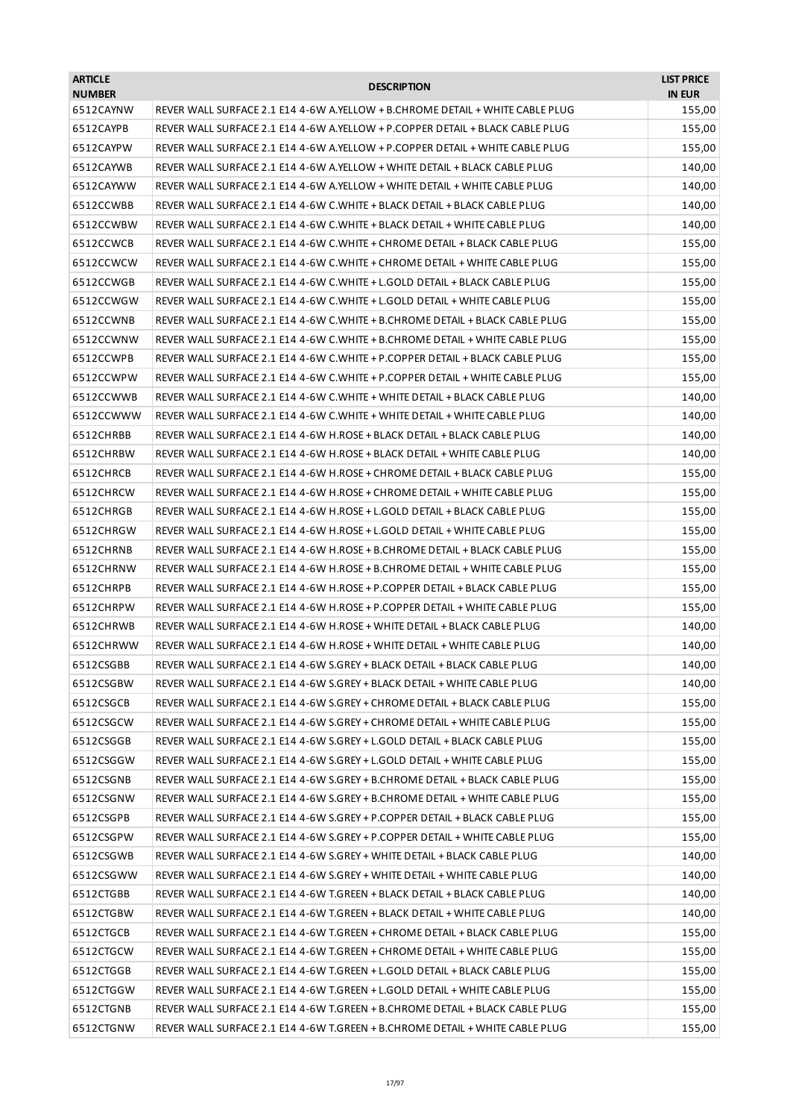| <b>ARTICLE</b><br><b>NUMBER</b> | <b>DESCRIPTION</b>                                                            | <b>LIST PRICE</b><br><b>IN EUR</b> |
|---------------------------------|-------------------------------------------------------------------------------|------------------------------------|
| 6512CAYNW                       | REVER WALL SURFACE 2.1 E14 4-6W A.YELLOW + B.CHROME DETAIL + WHITE CABLE PLUG | 155,00                             |
| 6512CAYPB                       | REVER WALL SURFACE 2.1 E14 4-6W A.YELLOW + P.COPPER DETAIL + BLACK CABLE PLUG | 155,00                             |
| 6512CAYPW                       | REVER WALL SURFACE 2.1 E14 4-6W A.YELLOW + P.COPPER DETAIL + WHITE CABLE PLUG | 155,00                             |
| 6512CAYWB                       | REVER WALL SURFACE 2.1 E14 4-6W A.YELLOW + WHITE DETAIL + BLACK CABLE PLUG    | 140,00                             |
| 6512CAYWW                       | REVER WALL SURFACE 2.1 E14 4-6W A.YELLOW + WHITE DETAIL + WHITE CABLE PLUG    | 140,00                             |
| 6512CCWBB                       | REVER WALL SURFACE 2.1 E14 4-6W C.WHITE + BLACK DETAIL + BLACK CABLE PLUG     | 140,00                             |
| 6512CCWBW                       | REVER WALL SURFACE 2.1 E14 4-6W C.WHITE + BLACK DETAIL + WHITE CABLE PLUG     | 140,00                             |
| 6512CCWCB                       | REVER WALL SURFACE 2.1 E14 4-6W C.WHITE + CHROME DETAIL + BLACK CABLE PLUG    | 155,00                             |
| 6512CCWCW                       | REVER WALL SURFACE 2.1 E14 4-6W C.WHITE + CHROME DETAIL + WHITE CABLE PLUG    | 155,00                             |
| 6512CCWGB                       | REVER WALL SURFACE 2.1 E14 4-6W C.WHITE + L.GOLD DETAIL + BLACK CABLE PLUG    | 155,00                             |
| 6512CCWGW                       | REVER WALL SURFACE 2.1 E14 4-6W C.WHITE + L.GOLD DETAIL + WHITE CABLE PLUG    | 155,00                             |
| 6512CCWNB                       | REVER WALL SURFACE 2.1 E14 4-6W C.WHITE + B.CHROME DETAIL + BLACK CABLE PLUG  | 155,00                             |
| 6512CCWNW                       | REVER WALL SURFACE 2.1 E14 4-6W C.WHITE + B.CHROME DETAIL + WHITE CABLE PLUG  | 155,00                             |
| 6512CCWPB                       | REVER WALL SURFACE 2.1 E14 4-6W C.WHITE + P.COPPER DETAIL + BLACK CABLE PLUG  | 155,00                             |
| 6512CCWPW                       | REVER WALL SURFACE 2.1 E14 4-6W C.WHITE + P.COPPER DETAIL + WHITE CABLE PLUG  | 155,00                             |
| 6512CCWWB                       | REVER WALL SURFACE 2.1 E14 4-6W C.WHITE + WHITE DETAIL + BLACK CABLE PLUG     | 140,00                             |
| 6512CCWWW                       | REVER WALL SURFACE 2.1 E14 4-6W C.WHITE + WHITE DETAIL + WHITE CABLE PLUG     | 140,00                             |
| 6512CHRBB                       | REVER WALL SURFACE 2.1 E14 4-6W H.ROSE + BLACK DETAIL + BLACK CABLE PLUG      | 140,00                             |
| 6512CHRBW                       | REVER WALL SURFACE 2.1 E14 4-6W H.ROSE + BLACK DETAIL + WHITE CABLE PLUG      | 140,00                             |
| 6512CHRCB                       | REVER WALL SURFACE 2.1 E14 4-6W H.ROSE + CHROME DETAIL + BLACK CABLE PLUG     | 155,00                             |
| 6512CHRCW                       | REVER WALL SURFACE 2.1 E14 4-6W H.ROSE + CHROME DETAIL + WHITE CABLE PLUG     | 155,00                             |
| 6512CHRGB                       | REVER WALL SURFACE 2.1 E14 4-6W H.ROSE + L.GOLD DETAIL + BLACK CABLE PLUG     | 155,00                             |
| 6512CHRGW                       | REVER WALL SURFACE 2.1 E14 4-6W H.ROSE + L.GOLD DETAIL + WHITE CABLE PLUG     | 155,00                             |
| 6512CHRNB                       | REVER WALL SURFACE 2.1 E14 4-6W H.ROSE + B.CHROME DETAIL + BLACK CABLE PLUG   | 155,00                             |
| 6512CHRNW                       | REVER WALL SURFACE 2.1 E14 4-6W H.ROSE + B.CHROME DETAIL + WHITE CABLE PLUG   | 155,00                             |
| 6512CHRPB                       | REVER WALL SURFACE 2.1 E14 4-6W H.ROSE + P.COPPER DETAIL + BLACK CABLE PLUG   | 155,00                             |
| 6512CHRPW                       | REVER WALL SURFACE 2.1 E14 4-6W H.ROSE + P.COPPER DETAIL + WHITE CABLE PLUG   | 155,00                             |
| 6512CHRWB                       | REVER WALL SURFACE 2.1 E14 4-6W H.ROSE + WHITE DETAIL + BLACK CABLE PLUG      | 140,00                             |
| 6512CHRWW                       | REVER WALL SURFACE 2.1 E14 4-6W H.ROSE + WHITE DETAIL + WHITE CABLE PLUG      | 140,00                             |
| 6512CSGBB                       | REVER WALL SURFACE 2.1 E14 4-6W S.GREY + BLACK DETAIL + BLACK CABLE PLUG      | 140,00                             |
| 6512CSGBW                       | REVER WALL SURFACE 2.1 E14 4-6W S.GREY + BLACK DETAIL + WHITE CABLE PLUG      | 140,00                             |
| 6512CSGCB                       | REVER WALL SURFACE 2.1 E14 4-6W S.GREY + CHROME DETAIL + BLACK CABLE PLUG     | 155,00                             |
| 6512CSGCW                       | REVER WALL SURFACE 2.1 E14 4-6W S.GREY + CHROME DETAIL + WHITE CABLE PLUG     | 155,00                             |
| 6512CSGGB                       | REVER WALL SURFACE 2.1 E14 4-6W S.GREY + L.GOLD DETAIL + BLACK CABLE PLUG     | 155,00                             |
| 6512CSGGW                       | REVER WALL SURFACE 2.1 E14 4-6W S.GREY + L.GOLD DETAIL + WHITE CABLE PLUG     | 155,00                             |
| 6512CSGNB                       | REVER WALL SURFACE 2.1 E14 4-6W S.GREY + B.CHROME DETAIL + BLACK CABLE PLUG   | 155,00                             |
| 6512CSGNW                       | REVER WALL SURFACE 2.1 E14 4-6W S.GREY + B.CHROME DETAIL + WHITE CABLE PLUG   | 155,00                             |
| 6512CSGPB                       | REVER WALL SURFACE 2.1 E14 4-6W S.GREY + P.COPPER DETAIL + BLACK CABLE PLUG   | 155,00                             |
| 6512CSGPW                       | REVER WALL SURFACE 2.1 E14 4-6W S.GREY + P.COPPER DETAIL + WHITE CABLE PLUG   | 155,00                             |
| 6512CSGWB                       | REVER WALL SURFACE 2.1 E14 4-6W S.GREY + WHITE DETAIL + BLACK CABLE PLUG      | 140,00                             |
| 6512CSGWW                       | REVER WALL SURFACE 2.1 E14 4-6W S.GREY + WHITE DETAIL + WHITE CABLE PLUG      | 140,00                             |
| 6512CTGBB                       | REVER WALL SURFACE 2.1 E14 4-6W T.GREEN + BLACK DETAIL + BLACK CABLE PLUG     | 140,00                             |
| 6512CTGBW                       | REVER WALL SURFACE 2.1 E14 4-6W T.GREEN + BLACK DETAIL + WHITE CABLE PLUG     | 140,00                             |
| 6512CTGCB                       | REVER WALL SURFACE 2.1 E14 4-6W T.GREEN + CHROME DETAIL + BLACK CABLE PLUG    | 155,00                             |
| 6512CTGCW                       | REVER WALL SURFACE 2.1 E14 4-6W T.GREEN + CHROME DETAIL + WHITE CABLE PLUG    | 155,00                             |
| 6512CTGGB                       | REVER WALL SURFACE 2.1 E14 4-6W T.GREEN + L.GOLD DETAIL + BLACK CABLE PLUG    | 155,00                             |
| 6512CTGGW                       | REVER WALL SURFACE 2.1 E14 4-6W T.GREEN + L.GOLD DETAIL + WHITE CABLE PLUG    | 155,00                             |
| 6512CTGNB                       | REVER WALL SURFACE 2.1 E14 4-6W T.GREEN + B.CHROME DETAIL + BLACK CABLE PLUG  | 155,00                             |
| 6512CTGNW                       | REVER WALL SURFACE 2.1 E14 4-6W T.GREEN + B.CHROME DETAIL + WHITE CABLE PLUG  | 155,00                             |
|                                 |                                                                               |                                    |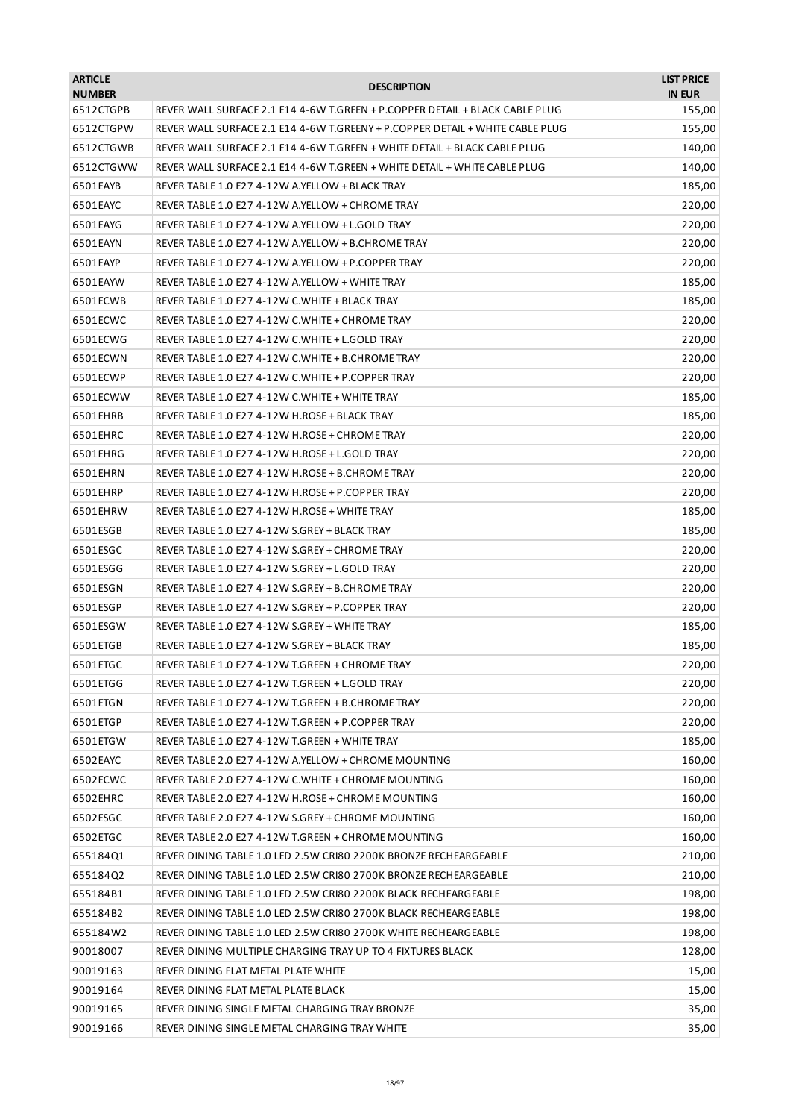| <b>ARTICLE</b><br><b>NUMBER</b> | <b>DESCRIPTION</b>                                                            | <b>LIST PRICE</b><br><b>IN EUR</b> |
|---------------------------------|-------------------------------------------------------------------------------|------------------------------------|
| 6512CTGPB                       | REVER WALL SURFACE 2.1 E14 4-6W T.GREEN + P.COPPER DETAIL + BLACK CABLE PLUG  | 155,00                             |
| 6512CTGPW                       | REVER WALL SURFACE 2.1 E14 4-6W T.GREENY + P.COPPER DETAIL + WHITE CABLE PLUG | 155,00                             |
| 6512CTGWB                       | REVER WALL SURFACE 2.1 E14 4-6W T.GREEN + WHITE DETAIL + BLACK CABLE PLUG     | 140,00                             |
| 6512CTGWW                       | REVER WALL SURFACE 2.1 E14 4-6W T.GREEN + WHITE DETAIL + WHITE CABLE PLUG     | 140,00                             |
| 6501EAYB                        | REVER TABLE 1.0 E27 4-12W A.YELLOW + BLACK TRAY                               | 185,00                             |
| 6501EAYC                        | REVER TABLE 1.0 E27 4-12W A.YELLOW + CHROME TRAY                              | 220,00                             |
| 6501EAYG                        | REVER TABLE 1.0 E27 4-12W A.YELLOW + L.GOLD TRAY                              | 220,00                             |
| 6501EAYN                        | REVER TABLE 1.0 E27 4-12W A.YELLOW + B.CHROME TRAY                            | 220,00                             |
| 6501EAYP                        | REVER TABLE 1.0 E27 4-12W A.YELLOW + P.COPPER TRAY                            | 220,00                             |
| 6501EAYW                        | REVER TABLE 1.0 E27 4-12W A.YELLOW + WHITE TRAY                               | 185,00                             |
| 6501ECWB                        | REVER TABLE 1.0 E27 4-12W C.WHITE + BLACK TRAY                                | 185,00                             |
| 6501ECWC                        | REVER TABLE 1.0 E27 4-12W C.WHITE + CHROME TRAY                               | 220,00                             |
| 6501ECWG                        | REVER TABLE 1.0 E27 4-12W C.WHITE + L.GOLD TRAY                               | 220,00                             |
| 6501ECWN                        | REVER TABLE 1.0 E27 4-12W C.WHITE + B.CHROME TRAY                             | 220,00                             |
| 6501ECWP                        | REVER TABLE 1.0 E27 4-12W C.WHITE + P.COPPER TRAY                             | 220,00                             |
| 6501ECWW                        | REVER TABLE 1.0 E27 4-12W C.WHITE + WHITE TRAY                                | 185,00                             |
| 6501EHRB                        | REVER TABLE 1.0 E27 4-12W H.ROSE + BLACK TRAY                                 | 185,00                             |
| 6501EHRC                        | REVER TABLE 1.0 E27 4-12W H.ROSE + CHROME TRAY                                | 220,00                             |
| 6501EHRG                        | REVER TABLE 1.0 E27 4-12W H.ROSE + L.GOLD TRAY                                | 220,00                             |
| 6501EHRN                        | REVER TABLE 1.0 E27 4-12W H.ROSE + B.CHROME TRAY                              | 220,00                             |
| 6501EHRP                        | REVER TABLE 1.0 E27 4-12W H.ROSE + P.COPPER TRAY                              | 220,00                             |
| 6501EHRW                        | REVER TABLE 1.0 E27 4-12W H.ROSE + WHITE TRAY                                 | 185,00                             |
| 6501ESGB                        | REVER TABLE 1.0 E27 4-12W S.GREY + BLACK TRAY                                 | 185,00                             |
| 6501ESGC                        | REVER TABLE 1.0 E27 4-12W S.GREY + CHROME TRAY                                | 220,00                             |
| 6501ESGG                        | REVER TABLE 1.0 E27 4-12W S.GREY + L.GOLD TRAY                                |                                    |
|                                 | REVER TABLE 1.0 E27 4-12W S.GREY + B.CHROME TRAY                              | 220,00<br>220,00                   |
| 6501ESGN                        |                                                                               |                                    |
| 6501ESGP                        | REVER TABLE 1.0 E27 4-12W S.GREY + P.COPPER TRAY                              | 220,00                             |
| 6501ESGW                        | REVER TABLE 1.0 E27 4-12W S.GREY + WHITE TRAY                                 | 185,00                             |
| 6501ETGB                        | REVER TABLE 1.0 E27 4-12W S.GREY + BLACK TRAY                                 | 185,00                             |
| 6501ETGC                        | REVER TABLE 1.0 E27 4-12W T.GREEN + CHROME TRAY                               | 220,00                             |
| 6501ETGG                        | REVER TABLE 1.0 E27 4-12W T.GREEN + L.GOLD TRAY                               | 220,00                             |
| 6501ETGN                        | REVER TABLE 1.0 E27 4-12W T.GREEN + B.CHROME TRAY                             | 220,00                             |
| 6501ETGP                        | REVER TABLE 1.0 E27 4-12W T.GREEN + P.COPPER TRAY                             | 220,00                             |
| 6501ETGW                        | REVER TABLE 1.0 E27 4-12W T.GREEN + WHITE TRAY                                | 185,00                             |
| 6502EAYC                        | REVER TABLE 2.0 E27 4-12W A.YELLOW + CHROME MOUNTING                          | 160,00                             |
| 6502ECWC                        | REVER TABLE 2.0 E27 4-12W C.WHITE + CHROME MOUNTING                           | 160,00                             |
| 6502EHRC                        | REVER TABLE 2.0 E27 4-12W H.ROSE + CHROME MOUNTING                            | 160,00                             |
| 6502ESGC                        | REVER TABLE 2.0 E27 4-12W S.GREY + CHROME MOUNTING                            | 160,00                             |
| 6502ETGC                        | REVER TABLE 2.0 E27 4-12W T.GREEN + CHROME MOUNTING                           | 160,00                             |
| 655184Q1                        | REVER DINING TABLE 1.0 LED 2.5W CRI80 2200K BRONZE RECHEARGEABLE              | 210,00                             |
| 655184Q2                        | REVER DINING TABLE 1.0 LED 2.5W CRI80 2700K BRONZE RECHEARGEABLE              | 210,00                             |
| 655184B1                        | REVER DINING TABLE 1.0 LED 2.5W CRI80 2200K BLACK RECHEARGEABLE               | 198,00                             |
| 655184B2                        | REVER DINING TABLE 1.0 LED 2.5W CRI80 2700K BLACK RECHEARGEABLE               | 198,00                             |
| 655184W2                        | REVER DINING TABLE 1.0 LED 2.5W CRI80 2700K WHITE RECHEARGEABLE               | 198,00                             |
| 90018007                        | REVER DINING MULTIPLE CHARGING TRAY UP TO 4 FIXTURES BLACK                    | 128,00                             |
| 90019163                        | REVER DINING FLAT METAL PLATE WHITE                                           | 15,00                              |
| 90019164                        | REVER DINING FLAT METAL PLATE BLACK                                           | 15,00                              |
| 90019165                        | REVER DINING SINGLE METAL CHARGING TRAY BRONZE                                | 35,00                              |
| 90019166                        | REVER DINING SINGLE METAL CHARGING TRAY WHITE                                 | 35,00                              |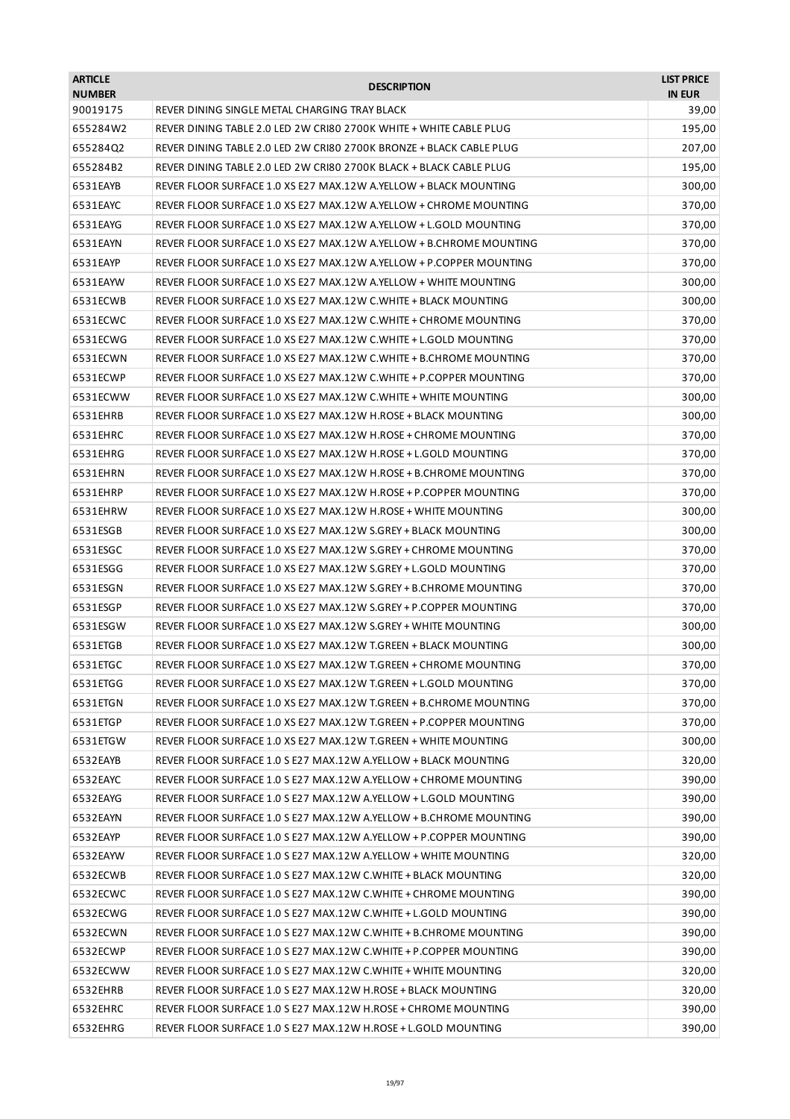| <b>ARTICLE</b><br><b>NUMBER</b> | <b>DESCRIPTION</b>                                                  | <b>LIST PRICE</b><br><b>IN EUR</b> |
|---------------------------------|---------------------------------------------------------------------|------------------------------------|
| 90019175                        | REVER DINING SINGLE METAL CHARGING TRAY BLACK                       | 39,00                              |
| 655284W2                        | REVER DINING TABLE 2.0 LED 2W CRI80 2700K WHITE + WHITE CABLE PLUG  | 195,00                             |
| 655284Q2                        | REVER DINING TABLE 2.0 LED 2W CRI80 2700K BRONZE + BLACK CABLE PLUG | 207,00                             |
| 655284B2                        | REVER DINING TABLE 2.0 LED 2W CRI80 2700K BLACK + BLACK CABLE PLUG  | 195,00                             |
| 6531EAYB                        | REVER FLOOR SURFACE 1.0 XS E27 MAX.12W A.YELLOW + BLACK MOUNTING    | 300,00                             |
| 6531EAYC                        | REVER FLOOR SURFACE 1.0 XS E27 MAX.12W A.YELLOW + CHROME MOUNTING   | 370,00                             |
| 6531EAYG                        | REVER FLOOR SURFACE 1.0 XS E27 MAX.12W A.YELLOW + L.GOLD MOUNTING   | 370,00                             |
| 6531EAYN                        | REVER FLOOR SURFACE 1.0 XS E27 MAX.12W A.YELLOW + B.CHROME MOUNTING | 370,00                             |
| 6531EAYP                        | REVER FLOOR SURFACE 1.0 XS E27 MAX.12W A.YELLOW + P.COPPER MOUNTING | 370,00                             |
| 6531EAYW                        | REVER FLOOR SURFACE 1.0 XS E27 MAX.12W A.YELLOW + WHITE MOUNTING    | 300,00                             |
| 6531ECWB                        | REVER FLOOR SURFACE 1.0 XS E27 MAX.12W C.WHITE + BLACK MOUNTING     | 300,00                             |
| 6531ECWC                        | REVER FLOOR SURFACE 1.0 XS E27 MAX.12W C.WHITE + CHROME MOUNTING    | 370,00                             |
| 6531ECWG                        | REVER FLOOR SURFACE 1.0 XS E27 MAX.12W C.WHITE + L.GOLD MOUNTING    | 370,00                             |
| 6531ECWN                        | REVER FLOOR SURFACE 1.0 XS E27 MAX.12W C.WHITE + B.CHROME MOUNTING  | 370,00                             |
| 6531ECWP                        | REVER FLOOR SURFACE 1.0 XS E27 MAX.12W C.WHITE + P.COPPER MOUNTING  | 370,00                             |
| 6531ECWW                        | REVER FLOOR SURFACE 1.0 XS E27 MAX.12W C.WHITE + WHITE MOUNTING     | 300,00                             |
| 6531EHRB                        | REVER FLOOR SURFACE 1.0 XS E27 MAX.12W H.ROSE + BLACK MOUNTING      | 300,00                             |
| 6531EHRC                        | REVER FLOOR SURFACE 1.0 XS E27 MAX.12W H.ROSE + CHROME MOUNTING     | 370,00                             |
| 6531EHRG                        | REVER FLOOR SURFACE 1.0 XS E27 MAX.12W H.ROSE + L.GOLD MOUNTING     | 370,00                             |
| 6531EHRN                        | REVER FLOOR SURFACE 1.0 XS E27 MAX.12W H.ROSE + B.CHROME MOUNTING   | 370,00                             |
| 6531EHRP                        | REVER FLOOR SURFACE 1.0 XS E27 MAX.12W H.ROSE + P.COPPER MOUNTING   | 370,00                             |
| 6531EHRW                        | REVER FLOOR SURFACE 1.0 XS E27 MAX.12W H.ROSE + WHITE MOUNTING      | 300,00                             |
| 6531ESGB                        | REVER FLOOR SURFACE 1.0 XS E27 MAX.12W S.GREY + BLACK MOUNTING      | 300,00                             |
| 6531ESGC                        | REVER FLOOR SURFACE 1.0 XS E27 MAX.12W S.GREY + CHROME MOUNTING     | 370,00                             |
| 6531ESGG                        | REVER FLOOR SURFACE 1.0 XS E27 MAX.12W S.GREY + L.GOLD MOUNTING     | 370,00                             |
| 6531ESGN                        | REVER FLOOR SURFACE 1.0 XS E27 MAX.12W S.GREY + B.CHROME MOUNTING   | 370,00                             |
| 6531ESGP                        | REVER FLOOR SURFACE 1.0 XS E27 MAX.12W S.GREY + P.COPPER MOUNTING   | 370,00                             |
| 6531ESGW                        | REVER FLOOR SURFACE 1.0 XS E27 MAX.12W S.GREY + WHITE MOUNTING      | 300,00                             |
| 6531ETGB                        | REVER FLOOR SURFACE 1.0 XS E27 MAX.12W T.GREEN + BLACK MOUNTING     | 300,00                             |
| 6531ETGC                        | REVER FLOOR SURFACE 1.0 XS E27 MAX.12W T.GREEN + CHROME MOUNTING    | 370,00                             |
| 6531ETGG                        | REVER FLOOR SURFACE 1.0 XS E27 MAX.12W T.GREEN + L.GOLD MOUNTING    | 370,00                             |
| 6531ETGN                        | REVER FLOOR SURFACE 1.0 XS E27 MAX.12W T.GREEN + B.CHROME MOUNTING  | 370,00                             |
| 6531ETGP                        | REVER FLOOR SURFACE 1.0 XS E27 MAX.12W T.GREEN + P.COPPER MOUNTING  | 370,00                             |
| 6531ETGW                        | REVER FLOOR SURFACE 1.0 XS E27 MAX.12W T.GREEN + WHITE MOUNTING     | 300,00                             |
| 6532EAYB                        | REVER FLOOR SURFACE 1.0 S E27 MAX.12W A.YELLOW + BLACK MOUNTING     | 320,00                             |
| 6532EAYC                        | REVER FLOOR SURFACE 1.0 S E27 MAX.12W A.YELLOW + CHROME MOUNTING    | 390,00                             |
| 6532EAYG                        | REVER FLOOR SURFACE 1.0 S E27 MAX.12W A.YELLOW + L.GOLD MOUNTING    | 390,00                             |
| 6532EAYN                        | REVER FLOOR SURFACE 1.0 S E27 MAX.12W A.YELLOW + B.CHROME MOUNTING  | 390,00                             |
| 6532EAYP                        | REVER FLOOR SURFACE 1.0 S E27 MAX.12W A.YELLOW + P.COPPER MOUNTING  | 390,00                             |
| 6532EAYW                        | REVER FLOOR SURFACE 1.0 S E27 MAX.12W A.YELLOW + WHITE MOUNTING     | 320,00                             |
| 6532ECWB                        | REVER FLOOR SURFACE 1.0 S E27 MAX.12W C.WHITE + BLACK MOUNTING      | 320,00                             |
| 6532ECWC                        | REVER FLOOR SURFACE 1.0 S E27 MAX.12W C.WHITE + CHROME MOUNTING     | 390,00                             |
| 6532ECWG                        | REVER FLOOR SURFACE 1.0 S E27 MAX.12W C.WHITE + L.GOLD MOUNTING     | 390,00                             |
| 6532ECWN                        | REVER FLOOR SURFACE 1.0 S E27 MAX.12W C.WHITE + B.CHROME MOUNTING   | 390,00                             |
| 6532ECWP                        | REVER FLOOR SURFACE 1.0 S E27 MAX.12W C.WHITE + P.COPPER MOUNTING   | 390,00                             |
| 6532ECWW                        | REVER FLOOR SURFACE 1.0 S E27 MAX.12W C.WHITE + WHITE MOUNTING      | 320,00                             |
| 6532EHRB                        | REVER FLOOR SURFACE 1.0 S E27 MAX.12W H.ROSE + BLACK MOUNTING       | 320,00                             |
| 6532EHRC                        | REVER FLOOR SURFACE 1.0 S E27 MAX.12W H.ROSE + CHROME MOUNTING      | 390,00                             |
| 6532EHRG                        | REVER FLOOR SURFACE 1.0 S E27 MAX.12W H.ROSE + L.GOLD MOUNTING      | 390,00                             |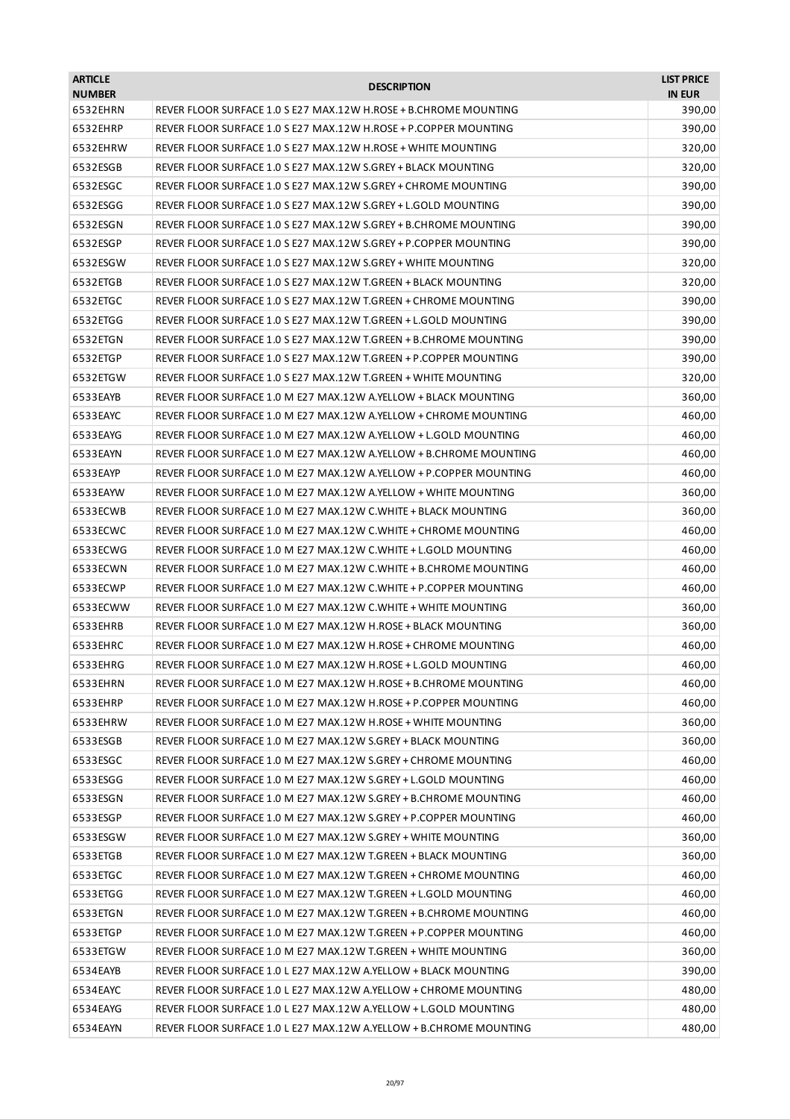| <b>ARTICLE</b><br><b>NUMBER</b> | <b>DESCRIPTION</b>                                                 | <b>LIST PRICE</b><br><b>IN EUR</b> |
|---------------------------------|--------------------------------------------------------------------|------------------------------------|
| 6532EHRN                        | REVER FLOOR SURFACE 1.0 S E27 MAX.12W H.ROSE + B.CHROME MOUNTING   | 390,00                             |
| 6532EHRP                        | REVER FLOOR SURFACE 1.0 S E27 MAX.12W H.ROSE + P.COPPER MOUNTING   | 390,00                             |
| 6532EHRW                        | REVER FLOOR SURFACE 1.0 S E27 MAX.12W H.ROSE + WHITE MOUNTING      | 320,00                             |
| 6532ESGB                        | REVER FLOOR SURFACE 1.0 S E27 MAX.12W S.GREY + BLACK MOUNTING      | 320,00                             |
| 6532ESGC                        | REVER FLOOR SURFACE 1.0 S E27 MAX.12W S.GREY + CHROME MOUNTING     | 390,00                             |
| 6532ESGG                        | REVER FLOOR SURFACE 1.0 S E27 MAX.12W S.GREY + L.GOLD MOUNTING     | 390,00                             |
| 6532ESGN                        | REVER FLOOR SURFACE 1.0 S E27 MAX.12W S.GREY + B.CHROME MOUNTING   | 390,00                             |
| 6532ESGP                        | REVER FLOOR SURFACE 1.0 S E27 MAX.12W S.GREY + P.COPPER MOUNTING   | 390,00                             |
| 6532ESGW                        | REVER FLOOR SURFACE 1.0 S E27 MAX.12W S.GREY + WHITE MOUNTING      | 320,00                             |
| 6532ETGB                        | REVER FLOOR SURFACE 1.0 S E27 MAX.12W T.GREEN + BLACK MOUNTING     | 320,00                             |
| 6532ETGC                        | REVER FLOOR SURFACE 1.0 S E27 MAX.12W T.GREEN + CHROME MOUNTING    | 390,00                             |
| 6532ETGG                        | REVER FLOOR SURFACE 1.0 S E27 MAX.12W T.GREEN + L.GOLD MOUNTING    | 390,00                             |
| 6532ETGN                        | REVER FLOOR SURFACE 1.0 S E27 MAX.12W T.GREEN + B.CHROME MOUNTING  | 390,00                             |
| 6532ETGP                        | REVER FLOOR SURFACE 1.0 S E27 MAX.12W T.GREEN + P.COPPER MOUNTING  | 390,00                             |
| 6532ETGW                        | REVER FLOOR SURFACE 1.0 S E27 MAX.12W T.GREEN + WHITE MOUNTING     | 320,00                             |
| 6533EAYB                        | REVER FLOOR SURFACE 1.0 M E27 MAX.12W A.YELLOW + BLACK MOUNTING    | 360,00                             |
| 6533EAYC                        | REVER FLOOR SURFACE 1.0 M E27 MAX.12W A.YELLOW + CHROME MOUNTING   | 460,00                             |
| 6533EAYG                        | REVER FLOOR SURFACE 1.0 M E27 MAX.12W A.YELLOW + L.GOLD MOUNTING   | 460,00                             |
| 6533EAYN                        | REVER FLOOR SURFACE 1.0 M E27 MAX.12W A.YELLOW + B.CHROME MOUNTING | 460,00                             |
| 6533EAYP                        | REVER FLOOR SURFACE 1.0 M E27 MAX.12W A.YELLOW + P.COPPER MOUNTING | 460,00                             |
| 6533EAYW                        | REVER FLOOR SURFACE 1.0 M E27 MAX.12W A.YELLOW + WHITE MOUNTING    | 360,00                             |
| 6533ECWB                        | REVER FLOOR SURFACE 1.0 M E27 MAX.12W C.WHITE + BLACK MOUNTING     | 360,00                             |
| 6533ECWC                        | REVER FLOOR SURFACE 1.0 M E27 MAX.12W C.WHITE + CHROME MOUNTING    | 460,00                             |
| 6533ECWG                        | REVER FLOOR SURFACE 1.0 M E27 MAX.12W C.WHITE + L.GOLD MOUNTING    | 460,00                             |
| 6533ECWN                        | REVER FLOOR SURFACE 1.0 M E27 MAX.12W C.WHITE + B.CHROME MOUNTING  | 460,00                             |
| 6533ECWP                        | REVER FLOOR SURFACE 1.0 M E27 MAX.12W C.WHITE + P.COPPER MOUNTING  | 460,00                             |
| 6533ECWW                        | REVER FLOOR SURFACE 1.0 M E27 MAX.12W C.WHITE + WHITE MOUNTING     | 360,00                             |
| 6533EHRB                        | REVER FLOOR SURFACE 1.0 M E27 MAX.12W H.ROSE + BLACK MOUNTING      | 360,00                             |
| 6533EHRC                        | REVER FLOOR SURFACE 1.0 M E27 MAX.12W H.ROSE + CHROME MOUNTING     | 460,00                             |
| 6533EHRG                        | REVER FLOOR SURFACE 1.0 M E27 MAX.12W H.ROSE + L.GOLD MOUNTING     | 460,00                             |
| 6533EHRN                        | REVER FLOOR SURFACE 1.0 M E27 MAX.12W H.ROSE + B.CHROME MOUNTING   | 460,00                             |
| 6533EHRP                        | REVER FLOOR SURFACE 1.0 M E27 MAX.12W H.ROSE + P.COPPER MOUNTING   | 460,00                             |
| 6533EHRW                        | REVER FLOOR SURFACE 1.0 M E27 MAX.12W H.ROSE + WHITE MOUNTING      | 360,00                             |
| 6533ESGB                        | REVER FLOOR SURFACE 1.0 M E27 MAX.12W S.GREY + BLACK MOUNTING      | 360,00                             |
| 6533ESGC                        | REVER FLOOR SURFACE 1.0 M E27 MAX.12W S.GREY + CHROME MOUNTING     | 460,00                             |
| 6533ESGG                        | REVER FLOOR SURFACE 1.0 M E27 MAX.12W S.GREY + L.GOLD MOUNTING     | 460,00                             |
| 6533ESGN                        | REVER FLOOR SURFACE 1.0 M E27 MAX.12W S.GREY + B.CHROME MOUNTING   | 460,00                             |
| 6533ESGP                        | REVER FLOOR SURFACE 1.0 M E27 MAX.12W S.GREY + P.COPPER MOUNTING   | 460,00                             |
| 6533ESGW                        | REVER FLOOR SURFACE 1.0 M E27 MAX.12W S.GREY + WHITE MOUNTING      | 360,00                             |
| 6533ETGB                        | REVER FLOOR SURFACE 1.0 M E27 MAX.12W T.GREEN + BLACK MOUNTING     | 360,00                             |
| 6533ETGC                        | REVER FLOOR SURFACE 1.0 M E27 MAX.12W T.GREEN + CHROME MOUNTING    | 460,00                             |
| 6533ETGG                        | REVER FLOOR SURFACE 1.0 M E27 MAX.12W T.GREEN + L.GOLD MOUNTING    | 460,00                             |
| 6533ETGN                        | REVER FLOOR SURFACE 1.0 M E27 MAX.12W T.GREEN + B.CHROME MOUNTING  | 460,00                             |
| 6533ETGP                        | REVER FLOOR SURFACE 1.0 M E27 MAX.12W T.GREEN + P.COPPER MOUNTING  | 460,00                             |
| 6533ETGW                        | REVER FLOOR SURFACE 1.0 M E27 MAX.12W T.GREEN + WHITE MOUNTING     | 360,00                             |
| 6534EAYB                        | REVER FLOOR SURFACE 1.0 L E27 MAX.12W A.YELLOW + BLACK MOUNTING    | 390,00                             |
| 6534EAYC                        | REVER FLOOR SURFACE 1.0 L E27 MAX.12W A.YELLOW + CHROME MOUNTING   | 480,00                             |
| 6534EAYG                        | REVER FLOOR SURFACE 1.0 L E27 MAX.12W A.YELLOW + L.GOLD MOUNTING   | 480,00                             |
| 6534EAYN                        | REVER FLOOR SURFACE 1.0 L E27 MAX.12W A.YELLOW + B.CHROME MOUNTING | 480,00                             |
|                                 |                                                                    |                                    |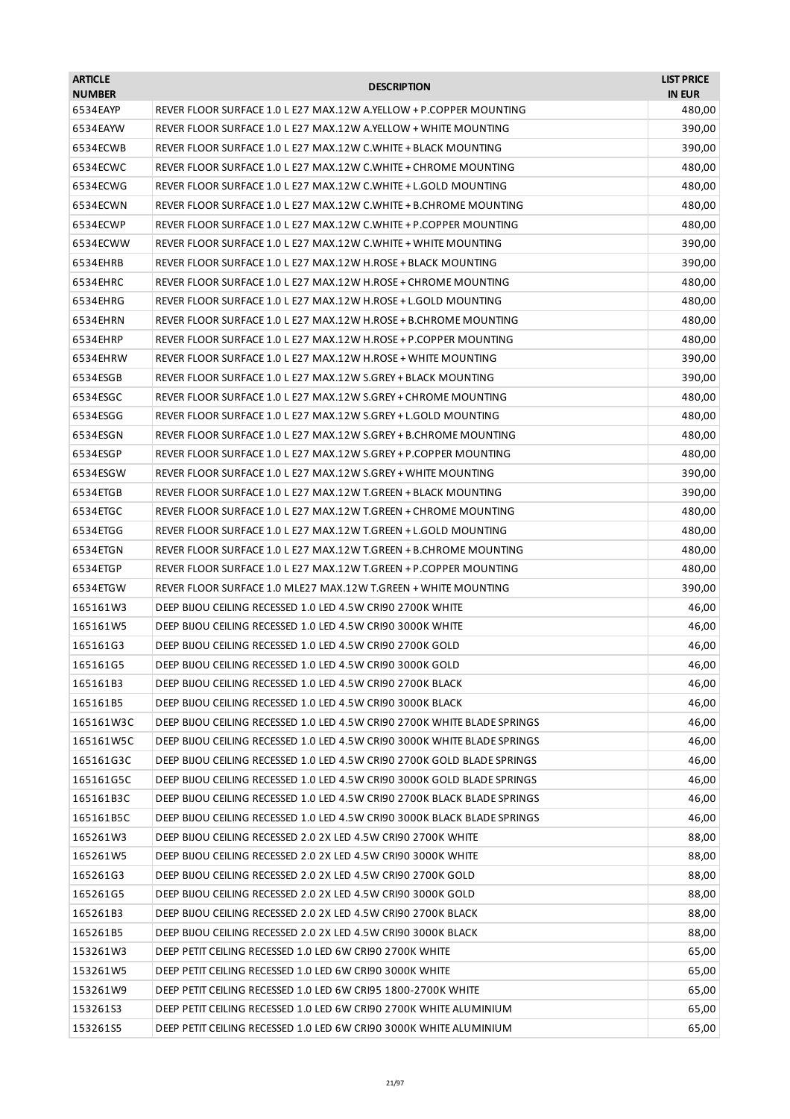| <b>ARTICLE</b><br><b>NUMBER</b> | <b>DESCRIPTION</b>                                                       | <b>LIST PRICE</b><br><b>IN EUR</b> |
|---------------------------------|--------------------------------------------------------------------------|------------------------------------|
| 6534EAYP                        | REVER FLOOR SURFACE 1.0 L E27 MAX.12W A.YELLOW + P.COPPER MOUNTING       | 480,00                             |
| 6534EAYW                        | REVER FLOOR SURFACE 1.0 L E27 MAX.12W A.YELLOW + WHITE MOUNTING          | 390,00                             |
| 6534ECWB                        | REVER FLOOR SURFACE 1.0 L E27 MAX.12W C.WHITE + BLACK MOUNTING           | 390,00                             |
| 6534ECWC                        | REVER FLOOR SURFACE 1.0 L E27 MAX.12W C.WHITE + CHROME MOUNTING          | 480,00                             |
| 6534ECWG                        | REVER FLOOR SURFACE 1.0 L E27 MAX.12W C.WHITE + L.GOLD MOUNTING          | 480,00                             |
| 6534ECWN                        | REVER FLOOR SURFACE 1.0 L E27 MAX.12W C.WHITE + B.CHROME MOUNTING        | 480,00                             |
| 6534ECWP                        | REVER FLOOR SURFACE 1.0 L E27 MAX.12W C.WHITE + P.COPPER MOUNTING        | 480,00                             |
| 6534ECWW                        | REVER FLOOR SURFACE 1.0 L E27 MAX.12W C.WHITE + WHITE MOUNTING           | 390,00                             |
| 6534EHRB                        | REVER FLOOR SURFACE 1.0 L E27 MAX.12W H.ROSE + BLACK MOUNTING            | 390,00                             |
| 6534EHRC                        | REVER FLOOR SURFACE 1.0 L E27 MAX.12W H.ROSE + CHROME MOUNTING           | 480,00                             |
| 6534EHRG                        | REVER FLOOR SURFACE 1.0 L E27 MAX.12W H.ROSE + L.GOLD MOUNTING           | 480,00                             |
| 6534EHRN                        | REVER FLOOR SURFACE 1.0 L E27 MAX.12W H.ROSE + B.CHROME MOUNTING         | 480,00                             |
| 6534EHRP                        | REVER FLOOR SURFACE 1.0 L E27 MAX.12W H.ROSE + P.COPPER MOUNTING         | 480,00                             |
| 6534EHRW                        | REVER FLOOR SURFACE 1.0 L E27 MAX.12W H.ROSE + WHITE MOUNTING            | 390,00                             |
| 6534ESGB                        | REVER FLOOR SURFACE 1.0 L E27 MAX.12W S.GREY + BLACK MOUNTING            | 390,00                             |
| 6534ESGC                        | REVER FLOOR SURFACE 1.0 L E27 MAX.12W S.GREY + CHROME MOUNTING           | 480,00                             |
| 6534ESGG                        | REVER FLOOR SURFACE 1.0 L E27 MAX.12W S.GREY + L.GOLD MOUNTING           | 480,00                             |
| 6534ESGN                        | REVER FLOOR SURFACE 1.0 L E27 MAX.12W S.GREY + B.CHROME MOUNTING         | 480,00                             |
| 6534ESGP                        | REVER FLOOR SURFACE 1.0 L E27 MAX.12W S.GREY + P.COPPER MOUNTING         | 480,00                             |
| 6534ESGW                        | REVER FLOOR SURFACE 1.0 L E27 MAX.12W S.GREY + WHITE MOUNTING            | 390,00                             |
| 6534ETGB                        | REVER FLOOR SURFACE 1.0 L E27 MAX.12W T.GREEN + BLACK MOUNTING           | 390,00                             |
| 6534ETGC                        | REVER FLOOR SURFACE 1.0 L E27 MAX.12W T.GREEN + CHROME MOUNTING          | 480,00                             |
| 6534ETGG                        | REVER FLOOR SURFACE 1.0 L E27 MAX.12W T.GREEN + L.GOLD MOUNTING          | 480,00                             |
| 6534ETGN                        | REVER FLOOR SURFACE 1.0 L E27 MAX.12W T.GREEN + B.CHROME MOUNTING        | 480,00                             |
| 6534ETGP                        | REVER FLOOR SURFACE 1.0 L E27 MAX.12W T.GREEN + P.COPPER MOUNTING        | 480,00                             |
| 6534ETGW                        | REVER FLOOR SURFACE 1.0 MLE27 MAX.12W T.GREEN + WHITE MOUNTING           | 390,00                             |
| 165161W3                        | DEEP BIJOU CEILING RECESSED 1.0 LED 4.5W CRI90 2700K WHITE               | 46,00                              |
| 165161W5                        | DEEP BIJOU CEILING RECESSED 1.0 LED 4.5W CRI90 3000K WHITE               | 46,00                              |
| 165161G3                        | DEEP BIJOU CEILING RECESSED 1.0 LED 4.5W CRI90 2700K GOLD                | 46,00                              |
| 165161G5                        | DEEP BIJOU CEILING RECESSED 1.0 LED 4.5W CRI90 3000K GOLD                | 46,00                              |
| 165161B3                        | DEEP BIJOU CEILING RECESSED 1.0 LED 4.5W CRI90 2700K BLACK               | 46,00                              |
| 165161B5                        | DEEP BIJOU CEILING RECESSED 1.0 LED 4.5W CRI90 3000K BLACK               | 46,00                              |
| 165161W3C                       | DEEP BIJOU CEILING RECESSED 1.0 LED 4.5W CRI90 2700K WHITE BLADE SPRINGS | 46,00                              |
| 165161W5C                       | DEEP BIJOU CEILING RECESSED 1.0 LED 4.5W CRI90 3000K WHITE BLADE SPRINGS | 46,00                              |
| 165161G3C                       | DEEP BIJOU CEILING RECESSED 1.0 LED 4.5W CRI90 2700K GOLD BLADE SPRINGS  | 46,00                              |
| 165161G5C                       | DEEP BIJOU CEILING RECESSED 1.0 LED 4.5W CRI90 3000K GOLD BLADE SPRINGS  | 46,00                              |
| 165161B3C                       | DEEP BIJOU CEILING RECESSED 1.0 LED 4.5W CRI90 2700K BLACK BLADE SPRINGS | 46,00                              |
| 165161B5C                       | DEEP BIJOU CEILING RECESSED 1.0 LED 4.5W CRI90 3000K BLACK BLADE SPRINGS | 46,00                              |
| 165261W3                        | DEEP BIJOU CEILING RECESSED 2.0 2X LED 4.5W CRI90 2700K WHITE            | 88,00                              |
| 165261W5                        | DEEP BIJOU CEILING RECESSED 2.0 2X LED 4.5W CRI90 3000K WHITE            | 88,00                              |
| 165261G3                        | DEEP BIJOU CEILING RECESSED 2.0 2X LED 4.5W CRI90 2700K GOLD             | 88,00                              |
| 165261G5                        | DEEP BIJOU CEILING RECESSED 2.0 2X LED 4.5W CRI90 3000K GOLD             | 88,00                              |
| 165261B3                        | DEEP BIJOU CEILING RECESSED 2.0 2X LED 4.5W CRI90 2700K BLACK            | 88,00                              |
| 165261B5                        | DEEP BIJOU CEILING RECESSED 2.0 2X LED 4.5W CRI90 3000K BLACK            | 88,00                              |
| 153261W3                        | DEEP PETIT CEILING RECESSED 1.0 LED 6W CRI90 2700K WHITE                 | 65,00                              |
| 153261W5                        | DEEP PETIT CEILING RECESSED 1.0 LED 6W CRI90 3000K WHITE                 | 65,00                              |
| 153261W9                        | DEEP PETIT CEILING RECESSED 1.0 LED 6W CRI95 1800-2700K WHITE            | 65,00                              |
| 15326153                        | DEEP PETIT CEILING RECESSED 1.0 LED 6W CRI90 2700K WHITE ALUMINIUM       | 65,00                              |
| 153261S5                        | DEEP PETIT CEILING RECESSED 1.0 LED 6W CRI90 3000K WHITE ALUMINIUM       | 65,00                              |
|                                 |                                                                          |                                    |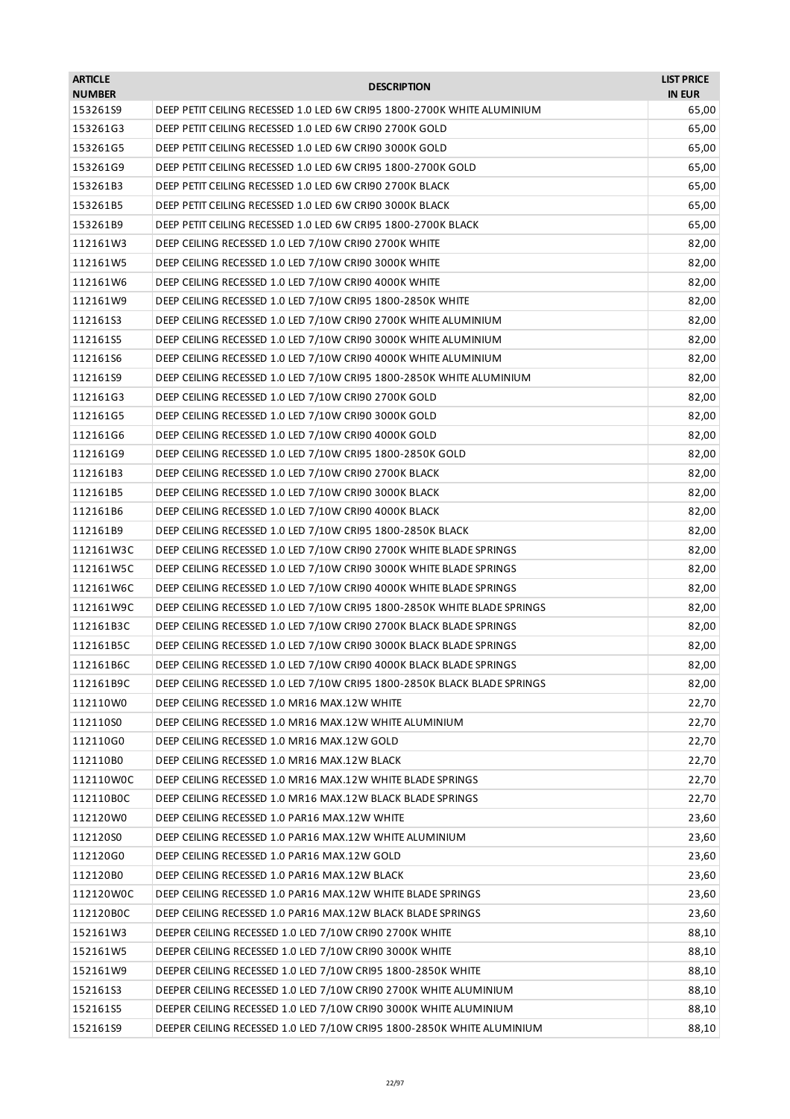| <b>ARTICLE</b><br><b>NUMBER</b> | <b>DESCRIPTION</b>                                                       | <b>LIST PRICE</b><br><b>IN EUR</b> |
|---------------------------------|--------------------------------------------------------------------------|------------------------------------|
| 153261S9                        | DEEP PETIT CEILING RECESSED 1.0 LED 6W CRI95 1800-2700K WHITE ALUMINIUM  | 65,00                              |
| 153261G3                        | DEEP PETIT CEILING RECESSED 1.0 LED 6W CRI90 2700K GOLD                  | 65,00                              |
| 153261G5                        | DEEP PETIT CEILING RECESSED 1.0 LED 6W CRI90 3000K GOLD                  | 65,00                              |
| 153261G9                        | DEEP PETIT CEILING RECESSED 1.0 LED 6W CRI95 1800-2700K GOLD             | 65,00                              |
| 153261B3                        | DEEP PETIT CEILING RECESSED 1.0 LED 6W CRI90 2700K BLACK                 | 65,00                              |
| 153261B5                        | DEEP PETIT CEILING RECESSED 1.0 LED 6W CRI90 3000K BLACK                 | 65,00                              |
| 153261B9                        | DEEP PETIT CEILING RECESSED 1.0 LED 6W CRI95 1800-2700K BLACK            | 65,00                              |
| 112161W3                        | DEEP CEILING RECESSED 1.0 LED 7/10W CRI90 2700K WHITE                    | 82,00                              |
| 112161W5                        | DEEP CEILING RECESSED 1.0 LED 7/10W CRI90 3000K WHITE                    | 82,00                              |
| 112161W6                        | DEEP CEILING RECESSED 1.0 LED 7/10W CRI90 4000K WHITE                    | 82,00                              |
| 112161W9                        | DEEP CEILING RECESSED 1.0 LED 7/10W CRI95 1800-2850K WHITE               | 82,00                              |
| 11216153                        | DEEP CEILING RECESSED 1.0 LED 7/10W CRI90 2700K WHITE ALUMINIUM          | 82,00                              |
| 112161S5                        | DEEP CEILING RECESSED 1.0 LED 7/10W CRI90 3000K WHITE ALUMINIUM          | 82,00                              |
| 112161S6                        | DEEP CEILING RECESSED 1.0 LED 7/10W CRI90 4000K WHITE ALUMINIUM          | 82,00                              |
| 112161S9                        | DEEP CEILING RECESSED 1.0 LED 7/10W CRI95 1800-2850K WHITE ALUMINIUM     | 82,00                              |
| 112161G3                        | DEEP CEILING RECESSED 1.0 LED 7/10W CRI90 2700K GOLD                     | 82,00                              |
| 112161G5                        | DEEP CEILING RECESSED 1.0 LED 7/10W CRI90 3000K GOLD                     | 82,00                              |
| 112161G6                        | DEEP CEILING RECESSED 1.0 LED 7/10W CRI90 4000K GOLD                     | 82,00                              |
| 112161G9                        | DEEP CEILING RECESSED 1.0 LED 7/10W CRI95 1800-2850K GOLD                | 82,00                              |
| 112161B3                        | DEEP CEILING RECESSED 1.0 LED 7/10W CRI90 2700K BLACK                    | 82,00                              |
| 112161B5                        | DEEP CEILING RECESSED 1.0 LED 7/10W CRI90 3000K BLACK                    | 82,00                              |
| 112161B6                        | DEEP CEILING RECESSED 1.0 LED 7/10W CRI90 4000K BLACK                    | 82,00                              |
| 112161B9                        | DEEP CEILING RECESSED 1.0 LED 7/10W CRI95 1800-2850K BLACK               | 82,00                              |
| 112161W3C                       | DEEP CEILING RECESSED 1.0 LED 7/10W CRI90 2700K WHITE BLADE SPRINGS      | 82,00                              |
| 112161W5C                       | DEEP CEILING RECESSED 1.0 LED 7/10W CRI90 3000K WHITE BLADE SPRINGS      | 82,00                              |
| 112161W6C                       | DEEP CEILING RECESSED 1.0 LED 7/10W CRI90 4000K WHITE BLADE SPRINGS      | 82,00                              |
| 112161W9C                       | DEEP CEILING RECESSED 1.0 LED 7/10W CRI95 1800-2850K WHITE BLADE SPRINGS | 82,00                              |
| 112161B3C                       | DEEP CEILING RECESSED 1.0 LED 7/10W CRI90 2700K BLACK BLADE SPRINGS      | 82,00                              |
| 112161B5C                       | DEEP CEILING RECESSED 1.0 LED 7/10W CRI90 3000K BLACK BLADE SPRINGS      | 82,00                              |
| 112161B6C                       | DEEP CEILING RECESSED 1.0 LED 7/10W CRI90 4000K BLACK BLADE SPRINGS      |                                    |
|                                 | DEEP CEILING RECESSED 1.0 LED 7/10W CRI95 1800-2850K BLACK BLADE SPRINGS | 82,00<br>82,00                     |
| 112161B9C                       | DEEP CEILING RECESSED 1.0 MR16 MAX.12W WHITE                             | 22,70                              |
| 112110W0                        |                                                                          | 22,70                              |
| 112110S0                        | DEEP CEILING RECESSED 1.0 MR16 MAX.12W WHITE ALUMINIUM                   |                                    |
| 112110G0<br>112110B0            | DEEP CEILING RECESSED 1.0 MR16 MAX.12W GOLD                              | 22,70                              |
|                                 | DEEP CEILING RECESSED 1.0 MR16 MAX.12W BLACK                             | 22,70<br>22,70                     |
| 112110W0C                       | DEEP CEILING RECESSED 1.0 MR16 MAX.12W WHITE BLADE SPRINGS               |                                    |
| 112110B0C<br>112120W0           | DEEP CEILING RECESSED 1.0 MR16 MAX.12W BLACK BLADE SPRINGS               | 22,70                              |
|                                 | DEEP CEILING RECESSED 1.0 PAR16 MAX.12W WHITE                            | 23,60                              |
| 11212050                        | DEEP CEILING RECESSED 1.0 PAR16 MAX.12W WHITE ALUMINIUM                  | 23,60                              |
| 112120G0                        | DEEP CEILING RECESSED 1.0 PAR16 MAX.12W GOLD                             | 23,60                              |
| 112120B0                        | DEEP CEILING RECESSED 1.0 PAR16 MAX.12W BLACK                            | 23,60                              |
| 112120W0C                       | DEEP CEILING RECESSED 1.0 PAR16 MAX.12W WHITE BLADE SPRINGS              | 23,60                              |
| 112120B0C                       | DEEP CEILING RECESSED 1.0 PAR16 MAX.12W BLACK BLADE SPRINGS              | 23,60                              |
| 152161W3                        | DEEPER CEILING RECESSED 1.0 LED 7/10W CRI90 2700K WHITE                  | 88,10                              |
| 152161W5                        | DEEPER CEILING RECESSED 1.0 LED 7/10W CRI90 3000K WHITE                  | 88,10                              |
| 152161W9                        | DEEPER CEILING RECESSED 1.0 LED 7/10W CRI95 1800-2850K WHITE             | 88,10                              |
| 15216153                        | DEEPER CEILING RECESSED 1.0 LED 7/10W CRI90 2700K WHITE ALUMINIUM        | 88,10                              |
| 152161S5                        | DEEPER CEILING RECESSED 1.0 LED 7/10W CRI90 3000K WHITE ALUMINIUM        | 88,10                              |
| 152161S9                        | DEEPER CEILING RECESSED 1.0 LED 7/10W CRI95 1800-2850K WHITE ALUMINIUM   | 88,10                              |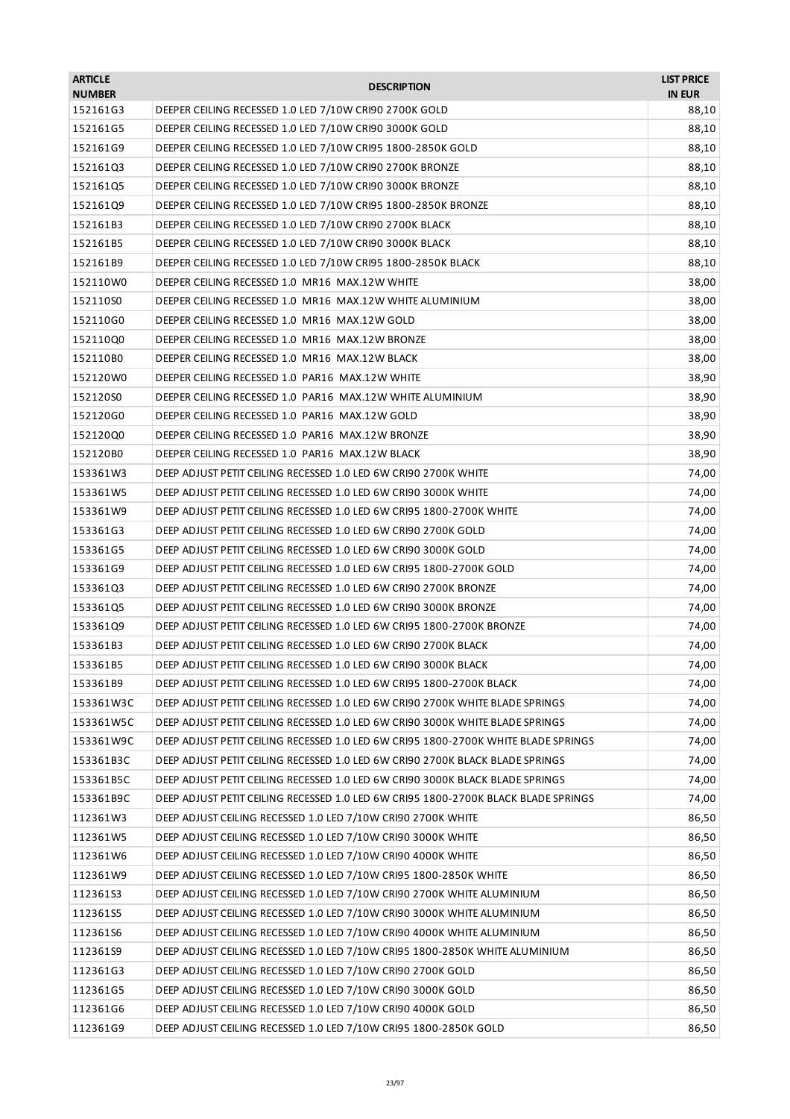| <b>ARTICLE</b><br><b>NUMBER</b> | <b>DESCRIPTION</b>                                                                 | <b>LIST PRICE</b><br><b>IN EUR</b> |
|---------------------------------|------------------------------------------------------------------------------------|------------------------------------|
| 152161G3                        | DEEPER CEILING RECESSED 1.0 LED 7/10W CRI90 2700K GOLD                             | 88,10                              |
| 152161G5                        | DEEPER CEILING RECESSED 1.0 LED 7/10W CRI90 3000K GOLD                             | 88,10                              |
| 152161G9                        | DEEPER CEILING RECESSED 1.0 LED 7/10W CRI95 1800-2850K GOLD                        | 88,10                              |
| 152161Q3                        | DEEPER CEILING RECESSED 1.0 LED 7/10W CRI90 2700K BRONZE                           | 88,10                              |
| 152161Q5                        | DEEPER CEILING RECESSED 1.0 LED 7/10W CRI90 3000K BRONZE                           | 88,10                              |
| 152161Q9                        | DEEPER CEILING RECESSED 1.0 LED 7/10W CRI95 1800-2850K BRONZE                      | 88,10                              |
| 152161B3                        | DEEPER CEILING RECESSED 1.0 LED 7/10W CRI90 2700K BLACK                            | 88,10                              |
| 152161B5                        | DEEPER CEILING RECESSED 1.0 LED 7/10W CRI90 3000K BLACK                            | 88,10                              |
| 152161B9                        | DEEPER CEILING RECESSED 1.0 LED 7/10W CRI95 1800-2850K BLACK                       | 88,10                              |
| 152110W0                        | DEEPER CEILING RECESSED 1.0 MR16 MAX.12W WHITE                                     | 38,00                              |
| 152110S0                        | DEEPER CEILING RECESSED 1.0 MR16 MAX.12W WHITE ALUMINIUM                           | 38,00                              |
| 152110G0                        | DEEPER CEILING RECESSED 1.0 MR16 MAX.12W GOLD                                      | 38,00                              |
| 15211000                        | DEEPER CEILING RECESSED 1.0 MR16 MAX.12W BRONZE                                    | 38,00                              |
| 152110B0                        | DEEPER CEILING RECESSED 1.0 MR16 MAX.12W BLACK                                     | 38,00                              |
| 152120W0                        | DEEPER CEILING RECESSED 1.0 PAR16 MAX.12W WHITE                                    | 38,90                              |
| 152120S0                        | DEEPER CEILING RECESSED 1.0 PAR16 MAX.12W WHITE ALUMINIUM                          | 38,90                              |
| 152120G0                        | DEEPER CEILING RECESSED 1.0 PAR16 MAX.12W GOLD                                     | 38,90                              |
| 152120Q0                        | DEEPER CEILING RECESSED 1.0 PAR16 MAX.12W BRONZE                                   | 38,90                              |
| 152120B0                        | DEEPER CEILING RECESSED 1.0 PAR16 MAX.12W BLACK                                    | 38,90                              |
| 153361W3                        | DEEP ADJUST PETIT CEILING RECESSED 1.0 LED 6W CRI90 2700K WHITE                    | 74,00                              |
| 153361W5                        | DEEP ADJUST PETIT CEILING RECESSED 1.0 LED 6W CRI90 3000K WHITE                    | 74,00                              |
| 153361W9                        | DEEP ADJUST PETIT CEILING RECESSED 1.0 LED 6W CRI95 1800-2700K WHITE               | 74,00                              |
| 153361G3                        | DEEP ADJUST PETIT CEILING RECESSED 1.0 LED 6W CRI90 2700K GOLD                     | 74,00                              |
| 153361G5                        | DEEP ADJUST PETIT CEILING RECESSED 1.0 LED 6W CRI90 3000K GOLD                     | 74,00                              |
| 153361G9                        | DEEP ADJUST PETIT CEILING RECESSED 1.0 LED 6W CRI95 1800-2700K GOLD                | 74,00                              |
| 153361Q3                        | DEEP ADJUST PETIT CEILING RECESSED 1.0 LED 6W CRI90 2700K BRONZE                   | 74,00                              |
| 153361Q5                        | DEEP ADJUST PETIT CEILING RECESSED 1.0 LED 6W CRI90 3000K BRONZE                   | 74,00                              |
| 153361Q9                        | DEEP ADJUST PETIT CEILING RECESSED 1.0 LED 6W CRI95 1800-2700K BRONZE              | 74,00                              |
| 153361B3                        | DEEP ADJUST PETIT CEILING RECESSED 1.0 LED 6W CRI90 2700K BLACK                    | 74,00                              |
| 153361B5                        | DEEP ADJUST PETIT CEILING RECESSED 1.0 LED 6W CRI90 3000K BLACK                    | 74,00                              |
| 153361B9                        | DEEP ADJUST PETIT CEILING RECESSED 1.0 LED 6W CRI95 1800-2700K BLACK               | 74,00                              |
| 153361W3C                       | DEEP ADJUST PETIT CEILING RECESSED 1.0 LED 6W CRI90 2700K WHITE BLADE SPRINGS      | 74,00                              |
| 153361W5C                       | DEEP ADJUST PETIT CEILING RECESSED 1.0 LED 6W CRI90 3000K WHITE BLADE SPRINGS      | 74,00                              |
| 153361W9C                       | DEEP ADJUST PETIT CEILING RECESSED 1.0 LED 6W CRI95 1800-2700K WHITE BLADE SPRINGS | 74,00                              |
| 153361B3C                       | DEEP ADJUST PETIT CEILING RECESSED 1.0 LED 6W CRI90 2700K BLACK BLADE SPRINGS      | 74,00                              |
| 153361B5C                       | DEEP ADJUST PETIT CEILING RECESSED 1.0 LED 6W CRI90 3000K BLACK BLADE SPRINGS      | 74,00                              |
| 153361B9C                       | DEEP ADJUST PETIT CEILING RECESSED 1.0 LED 6W CRI95 1800-2700K BLACK BLADE SPRINGS | 74,00                              |
| 112361W3                        | DEEP ADJUST CEILING RECESSED 1.0 LED 7/10W CRI90 2700K WHITE                       | 86,50                              |
| 112361W5                        | DEEP ADJUST CEILING RECESSED 1.0 LED 7/10W CRI90 3000K WHITE                       | 86,50                              |
| 112361W6                        | DEEP ADJUST CEILING RECESSED 1.0 LED 7/10W CRI90 4000K WHITE                       | 86,50                              |
| 112361W9                        | DEEP ADJUST CEILING RECESSED 1.0 LED 7/10W CRI95 1800-2850K WHITE                  | 86,50                              |
| 112361S3                        | DEEP ADJUST CEILING RECESSED 1.0 LED 7/10W CRI90 2700K WHITE ALUMINIUM             | 86,50                              |
| 112361S5                        | DEEP ADJUST CEILING RECESSED 1.0 LED 7/10W CRI90 3000K WHITE ALUMINIUM             | 86,50                              |
| 112361S6                        | DEEP ADJUST CEILING RECESSED 1.0 LED 7/10W CRI90 4000K WHITE ALUMINIUM             | 86,50                              |
| 112361S9                        | DEEP ADJUST CEILING RECESSED 1.0 LED 7/10W CRI95 1800-2850K WHITE ALUMINIUM        | 86,50                              |
| 112361G3                        | DEEP ADJUST CEILING RECESSED 1.0 LED 7/10W CRI90 2700K GOLD                        | 86,50                              |
| 112361G5                        | DEEP ADJUST CEILING RECESSED 1.0 LED 7/10W CRI90 3000K GOLD                        | 86,50                              |
| 112361G6                        | DEEP ADJUST CEILING RECESSED 1.0 LED 7/10W CRI90 4000K GOLD                        | 86,50                              |
| 112361G9                        | DEEP ADJUST CEILING RECESSED 1.0 LED 7/10W CRI95 1800-2850K GOLD                   | 86,50                              |
|                                 |                                                                                    |                                    |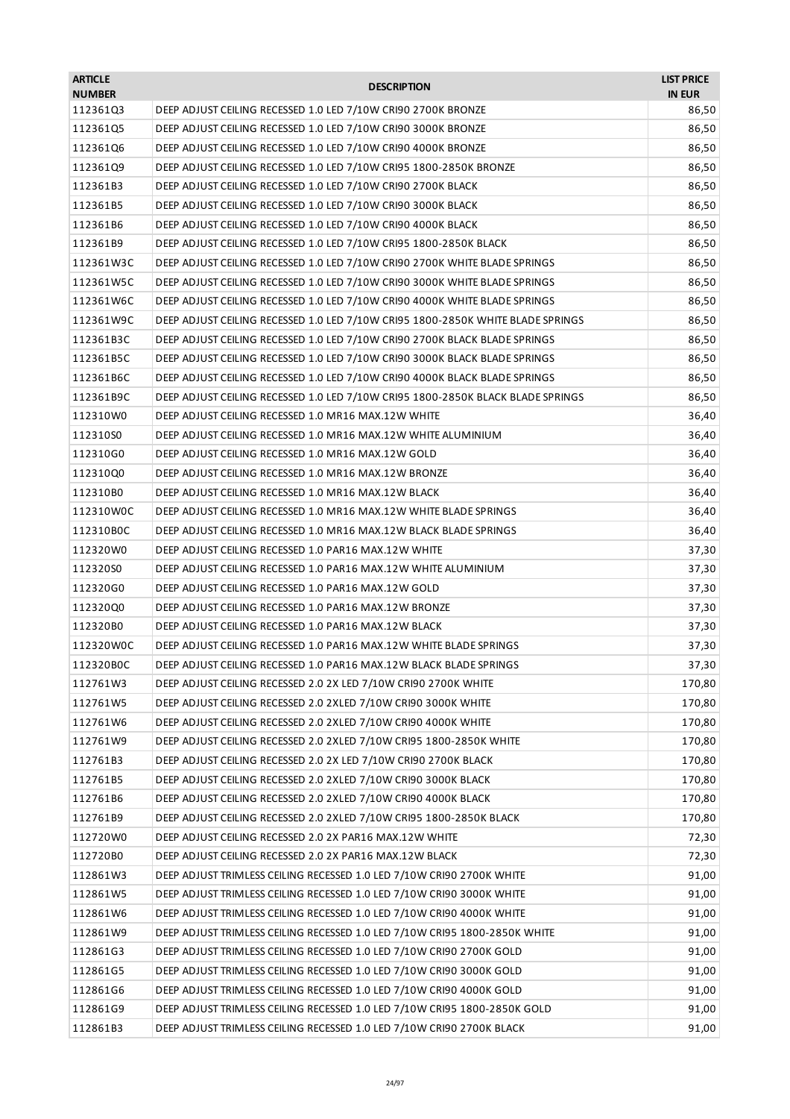| <b>ARTICLE</b><br><b>NUMBER</b> | <b>DESCRIPTION</b>                                                              | <b>LIST PRICE</b><br><b>IN EUR</b> |
|---------------------------------|---------------------------------------------------------------------------------|------------------------------------|
| 112361Q3                        | DEEP ADJUST CEILING RECESSED 1.0 LED 7/10W CRI90 2700K BRONZE                   | 86,50                              |
| 112361Q5                        | DEEP ADJUST CEILING RECESSED 1.0 LED 7/10W CRI90 3000K BRONZE                   | 86,50                              |
| 112361Q6                        | DEEP ADJUST CEILING RECESSED 1.0 LED 7/10W CRI90 4000K BRONZE                   | 86,50                              |
| 112361Q9                        | DEEP ADJUST CEILING RECESSED 1.0 LED 7/10W CRI95 1800-2850K BRONZE              | 86,50                              |
| 112361B3                        | DEEP ADJUST CEILING RECESSED 1.0 LED 7/10W CRI90 2700K BLACK                    | 86,50                              |
| 112361B5                        | DEEP ADJUST CEILING RECESSED 1.0 LED 7/10W CRI90 3000K BLACK                    | 86,50                              |
| 112361B6                        | DEEP ADJUST CEILING RECESSED 1.0 LED 7/10W CRI90 4000K BLACK                    | 86,50                              |
| 112361B9                        | DEEP ADJUST CEILING RECESSED 1.0 LED 7/10W CRI95 1800-2850K BLACK               | 86,50                              |
| 112361W3C                       | DEEP ADJUST CEILING RECESSED 1.0 LED 7/10W CRI90 2700K WHITE BLADE SPRINGS      | 86,50                              |
| 112361W5C                       | DEEP ADJUST CEILING RECESSED 1.0 LED 7/10W CRI90 3000K WHITE BLADE SPRINGS      | 86,50                              |
| 112361W6C                       | DEEP ADJUST CEILING RECESSED 1.0 LED 7/10W CRI90 4000K WHITE BLADE SPRINGS      | 86,50                              |
| 112361W9C                       | DEEP ADJUST CEILING RECESSED 1.0 LED 7/10W CRI95 1800-2850K WHITE BLADE SPRINGS | 86,50                              |
| 112361B3C                       | DEEP ADJUST CEILING RECESSED 1.0 LED 7/10W CRI90 2700K BLACK BLADE SPRINGS      | 86,50                              |
| 112361B5C                       | DEEP ADJUST CEILING RECESSED 1.0 LED 7/10W CRI90 3000K BLACK BLADE SPRINGS      | 86,50                              |
| 112361B6C                       | DEEP ADJUST CEILING RECESSED 1.0 LED 7/10W CRI90 4000K BLACK BLADE SPRINGS      | 86,50                              |
| 112361B9C                       | DEEP ADJUST CEILING RECESSED 1.0 LED 7/10W CRI95 1800-2850K BLACK BLADE SPRINGS | 86,50                              |
| 112310W0                        | DEEP ADJUST CEILING RECESSED 1.0 MR16 MAX.12W WHITE                             | 36,40                              |
| 112310S0                        | DEEP ADJUST CEILING RECESSED 1.0 MR16 MAX.12W WHITE ALUMINIUM                   | 36,40                              |
| 112310G0                        | DEEP ADJUST CEILING RECESSED 1.0 MR16 MAX.12W GOLD                              | 36,40                              |
| 112310Q0                        | DEEP ADJUST CEILING RECESSED 1.0 MR16 MAX.12W BRONZE                            | 36,40                              |
| 112310B0                        | DEEP ADJUST CEILING RECESSED 1.0 MR16 MAX.12W BLACK                             | 36,40                              |
| 112310W0C                       | DEEP ADJUST CEILING RECESSED 1.0 MR16 MAX.12W WHITE BLADE SPRINGS               | 36,40                              |
| 112310B0C                       | DEEP ADJUST CEILING RECESSED 1.0 MR16 MAX.12W BLACK BLADE SPRINGS               | 36,40                              |
| 112320W0                        | DEEP ADJUST CEILING RECESSED 1.0 PAR16 MAX.12W WHITE                            | 37,30                              |
| 11232050                        | DEEP ADJUST CEILING RECESSED 1.0 PAR16 MAX.12W WHITE ALUMINIUM                  | 37,30                              |
| 112320G0                        | DEEP ADJUST CEILING RECESSED 1.0 PAR16 MAX.12W GOLD                             | 37,30                              |
| 112320Q0                        | DEEP ADJUST CEILING RECESSED 1.0 PAR16 MAX.12W BRONZE                           | 37,30                              |
| 112320B0                        | DEEP ADJUST CEILING RECESSED 1.0 PAR16 MAX.12W BLACK                            | 37,30                              |
| 112320W0C                       | DEEP ADJUST CEILING RECESSED 1.0 PAR16 MAX.12W WHITE BLADE SPRINGS              | 37,30                              |
| 112320B0C                       | DEEP ADJUST CEILING RECESSED 1.0 PAR16 MAX.12W BLACK BLADE SPRINGS              | 37,30                              |
| 112761W3                        | DEEP ADJUST CEILING RECESSED 2.0 2X LED 7/10W CRI90 2700K WHITE                 | 170,80                             |
| 112761W5                        | DEEP ADJUST CEILING RECESSED 2.0 2XLED 7/10W CRI90 3000K WHITE                  | 170,80                             |
| 112761W6                        | DEEP ADJUST CEILING RECESSED 2.0 2XLED 7/10W CRI90 4000K WHITE                  | 170,80                             |
| 112761W9                        | DEEP ADJUST CEILING RECESSED 2.0 2XLED 7/10W CRI95 1800-2850K WHITE             | 170,80                             |
| 112761B3                        | DEEP ADJUST CEILING RECESSED 2.0 2X LED 7/10W CRI90 2700K BLACK                 | 170,80                             |
| 112761B5                        | DEEP ADJUST CEILING RECESSED 2.0 2XLED 7/10W CRI90 3000K BLACK                  | 170,80                             |
| 112761B6                        | DEEP ADJUST CEILING RECESSED 2.0 2XLED 7/10W CRI90 4000K BLACK                  | 170,80                             |
| 112761B9                        | DEEP ADJUST CEILING RECESSED 2.0 2XLED 7/10W CRI95 1800-2850K BLACK             | 170,80                             |
| 112720W0                        | DEEP ADJUST CEILING RECESSED 2.0 2X PAR16 MAX.12W WHITE                         | 72,30                              |
| 112720B0                        | DEEP ADJUST CEILING RECESSED 2.0 2X PAR16 MAX.12W BLACK                         | 72,30                              |
| 112861W3                        | DEEP ADJUST TRIMLESS CEILING RECESSED 1.0 LED 7/10W CRI90 2700K WHITE           | 91,00                              |
| 112861W5                        | DEEP ADJUST TRIMLESS CEILING RECESSED 1.0 LED 7/10W CRI90 3000K WHITE           | 91,00                              |
| 112861W6                        | DEEP ADJUST TRIMLESS CEILING RECESSED 1.0 LED 7/10W CRI90 4000K WHITE           | 91,00                              |
| 112861W9                        | DEEP ADJUST TRIMLESS CEILING RECESSED 1.0 LED 7/10W CRI95 1800-2850K WHITE      | 91,00                              |
| 112861G3                        | DEEP ADJUST TRIMLESS CEILING RECESSED 1.0 LED 7/10W CRI90 2700K GOLD            | 91,00                              |
| 112861G5                        | DEEP ADJUST TRIMLESS CEILING RECESSED 1.0 LED 7/10W CRI90 3000K GOLD            | 91,00                              |
| 112861G6                        | DEEP ADJUST TRIMLESS CEILING RECESSED 1.0 LED 7/10W CRI90 4000K GOLD            | 91,00                              |
| 112861G9                        | DEEP ADJUST TRIMLESS CEILING RECESSED 1.0 LED 7/10W CRI95 1800-2850K GOLD       | 91,00                              |
| 112861B3                        | DEEP ADJUST TRIMLESS CEILING RECESSED 1.0 LED 7/10W CRI90 2700K BLACK           | 91,00                              |
|                                 |                                                                                 |                                    |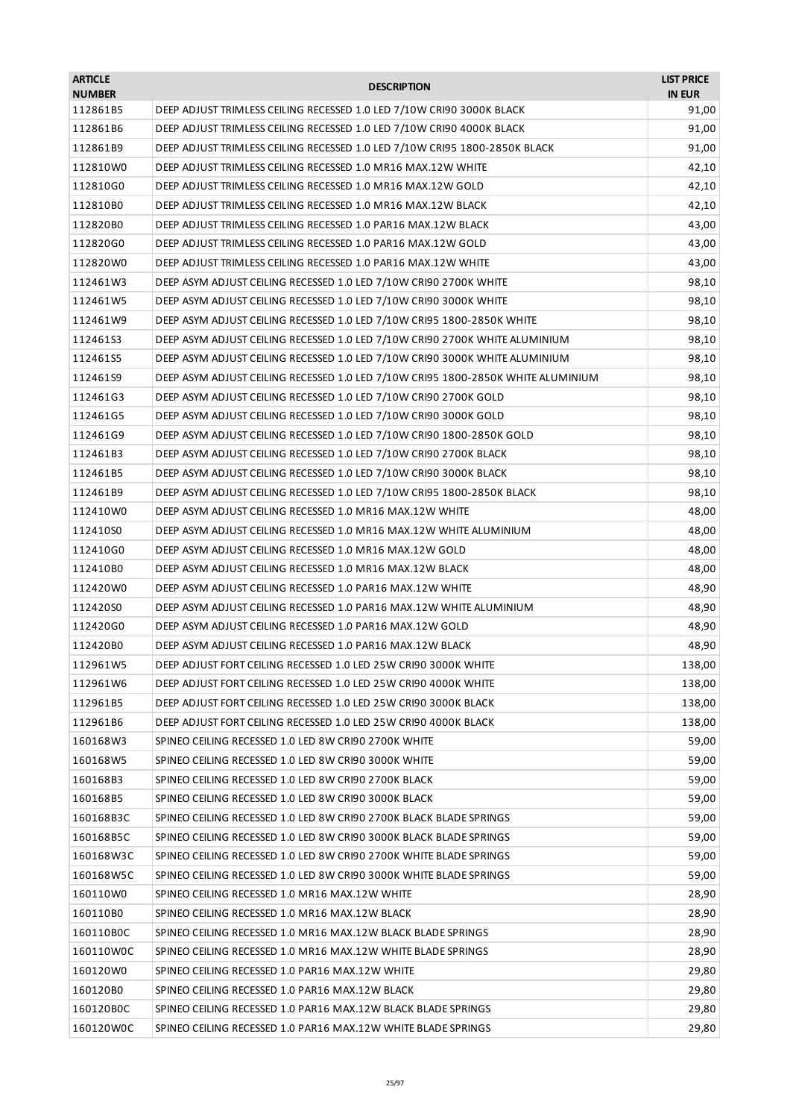| <b>ARTICLE</b><br><b>NUMBER</b> | <b>DESCRIPTION</b>                                                               | <b>LIST PRICE</b><br><b>IN EUR</b> |
|---------------------------------|----------------------------------------------------------------------------------|------------------------------------|
| 112861B5                        | DEEP ADJUST TRIMLESS CEILING RECESSED 1.0 LED 7/10W CRI90 3000K BLACK            | 91,00                              |
| 112861B6                        | DEEP ADJUST TRIMLESS CEILING RECESSED 1.0 LED 7/10W CRI90 4000K BLACK            | 91,00                              |
| 112861B9                        | DEEP ADJUST TRIMLESS CEILING RECESSED 1.0 LED 7/10W CRI95 1800-2850K BLACK       | 91,00                              |
| 112810W0                        | DEEP ADJUST TRIMLESS CEILING RECESSED 1.0 MR16 MAX.12W WHITE                     | 42,10                              |
| 112810G0                        | DEEP ADJUST TRIMLESS CEILING RECESSED 1.0 MR16 MAX.12W GOLD                      | 42,10                              |
| 112810B0                        | DEEP ADJUST TRIMLESS CEILING RECESSED 1.0 MR16 MAX.12W BLACK                     | 42,10                              |
| 112820B0                        | DEEP ADJUST TRIMLESS CEILING RECESSED 1.0 PAR16 MAX.12W BLACK                    | 43,00                              |
| 112820G0                        | DEEP ADJUST TRIMLESS CEILING RECESSED 1.0 PAR16 MAX.12W GOLD                     | 43,00                              |
| 112820W0                        | DEEP ADJUST TRIMLESS CEILING RECESSED 1.0 PAR16 MAX.12W WHITE                    | 43,00                              |
| 112461W3                        | DEEP ASYM ADJUST CEILING RECESSED 1.0 LED 7/10W CRI90 2700K WHITE                | 98,10                              |
| 112461W5                        | DEEP ASYM ADJUST CEILING RECESSED 1.0 LED 7/10W CRI90 3000K WHITE                | 98,10                              |
| 112461W9                        | DEEP ASYM ADJUST CEILING RECESSED 1.0 LED 7/10W CRI95 1800-2850K WHITE           | 98,10                              |
| 112461S3                        | DEEP ASYM ADJUST CEILING RECESSED 1.0 LED 7/10W CRI90 2700K WHITE ALUMINIUM      | 98,10                              |
| 112461S5                        | DEEP ASYM ADJUST CEILING RECESSED 1.0 LED 7/10W CRI90 3000K WHITE ALUMINIUM      | 98,10                              |
| 112461S9                        | DEEP ASYM ADJUST CEILING RECESSED 1.0 LED 7/10W CRI95 1800-2850K WHITE ALUMINIUM | 98,10                              |
| 112461G3                        | DEEP ASYM ADJUST CEILING RECESSED 1.0 LED 7/10W CRI90 2700K GOLD                 | 98,10                              |
| 112461G5                        | DEEP ASYM ADJUST CEILING RECESSED 1.0 LED 7/10W CRI90 3000K GOLD                 | 98,10                              |
| 112461G9                        | DEEP ASYM ADJUST CEILING RECESSED 1.0 LED 7/10W CRI90 1800-2850K GOLD            | 98,10                              |
| 112461B3                        | DEEP ASYM ADJUST CEILING RECESSED 1.0 LED 7/10W CRI90 2700K BLACK                | 98,10                              |
| 112461B5                        | DEEP ASYM ADJUST CEILING RECESSED 1.0 LED 7/10W CRI90 3000K BLACK                | 98,10                              |
| 112461B9                        | DEEP ASYM ADJUST CEILING RECESSED 1.0 LED 7/10W CRI95 1800-2850K BLACK           | 98,10                              |
| 112410W0                        | DEEP ASYM ADJUST CEILING RECESSED 1.0 MR16 MAX.12W WHITE                         | 48,00                              |
| 112410S0                        | DEEP ASYM ADJUST CEILING RECESSED 1.0 MR16 MAX.12W WHITE ALUMINIUM               | 48,00                              |
| 112410G0                        | DEEP ASYM ADJUST CEILING RECESSED 1.0 MR16 MAX.12W GOLD                          | 48,00                              |
| 112410B0                        | DEEP ASYM ADJUST CEILING RECESSED 1.0 MR16 MAX.12W BLACK                         | 48,00                              |
| 112420W0                        | DEEP ASYM ADJUST CEILING RECESSED 1.0 PAR16 MAX.12W WHITE                        | 48,90                              |
| 11242050                        | DEEP ASYM ADJUST CEILING RECESSED 1.0 PAR16 MAX.12W WHITE ALUMINIUM              | 48,90                              |
| 112420G0                        | DEEP ASYM ADJUST CEILING RECESSED 1.0 PAR16 MAX.12W GOLD                         | 48,90                              |
| 112420B0                        | DEEP ASYM ADJUST CEILING RECESSED 1.0 PAR16 MAX.12W BLACK                        | 48,90                              |
| 112961W5                        | DEEP ADJUST FORT CEILING RECESSED 1.0 LED 25W CRI90 3000K WHITE                  | 138,00                             |
| 112961W6                        | DEEP ADJUST FORT CEILING RECESSED 1.0 LED 25W CRI90 4000K WHITE                  | 138,00                             |
| 112961B5                        | DEEP ADJUST FORT CEILING RECESSED 1.0 LED 25W CRI90 3000K BLACK                  | 138,00                             |
| 112961B6                        | DEEP ADJUST FORT CEILING RECESSED 1.0 LED 25W CRI90 4000K BLACK                  | 138,00                             |
| 160168W3                        | SPINEO CEILING RECESSED 1.0 LED 8W CRI90 2700K WHITE                             | 59,00                              |
| 160168W5                        | SPINEO CEILING RECESSED 1.0 LED 8W CRI90 3000K WHITE                             | 59,00                              |
| 160168B3                        | SPINEO CEILING RECESSED 1.0 LED 8W CRI90 2700K BLACK                             | 59,00                              |
| 160168B5                        | SPINEO CEILING RECESSED 1.0 LED 8W CRI90 3000K BLACK                             | 59,00                              |
| 160168B3C                       | SPINEO CEILING RECESSED 1.0 LED 8W CRI90 2700K BLACK BLADE SPRINGS               | 59,00                              |
| 160168B5C                       | SPINEO CEILING RECESSED 1.0 LED 8W CRI90 3000K BLACK BLADE SPRINGS               | 59,00                              |
| 160168W3C                       | SPINEO CEILING RECESSED 1.0 LED 8W CRI90 2700K WHITE BLADE SPRINGS               | 59,00                              |
| 160168W5C                       | SPINEO CEILING RECESSED 1.0 LED 8W CRI90 3000K WHITE BLADE SPRINGS               | 59,00                              |
| 160110W0                        | SPINEO CEILING RECESSED 1.0 MR16 MAX.12W WHITE                                   | 28,90                              |
| 160110B0                        | SPINEO CEILING RECESSED 1.0 MR16 MAX.12W BLACK                                   | 28,90                              |
| 160110B0C                       | SPINEO CEILING RECESSED 1.0 MR16 MAX.12W BLACK BLADE SPRINGS                     | 28,90                              |
| 160110W0C                       | SPINEO CEILING RECESSED 1.0 MR16 MAX.12W WHITE BLADE SPRINGS                     | 28,90                              |
| 160120W0                        | SPINEO CEILING RECESSED 1.0 PAR16 MAX.12W WHITE                                  | 29,80                              |
| 160120B0                        | SPINEO CEILING RECESSED 1.0 PAR16 MAX.12W BLACK                                  | 29,80                              |
| 160120B0C                       | SPINEO CEILING RECESSED 1.0 PAR16 MAX.12W BLACK BLADE SPRINGS                    | 29,80                              |
| 160120W0C                       | SPINEO CEILING RECESSED 1.0 PAR16 MAX.12W WHITE BLADE SPRINGS                    | 29,80                              |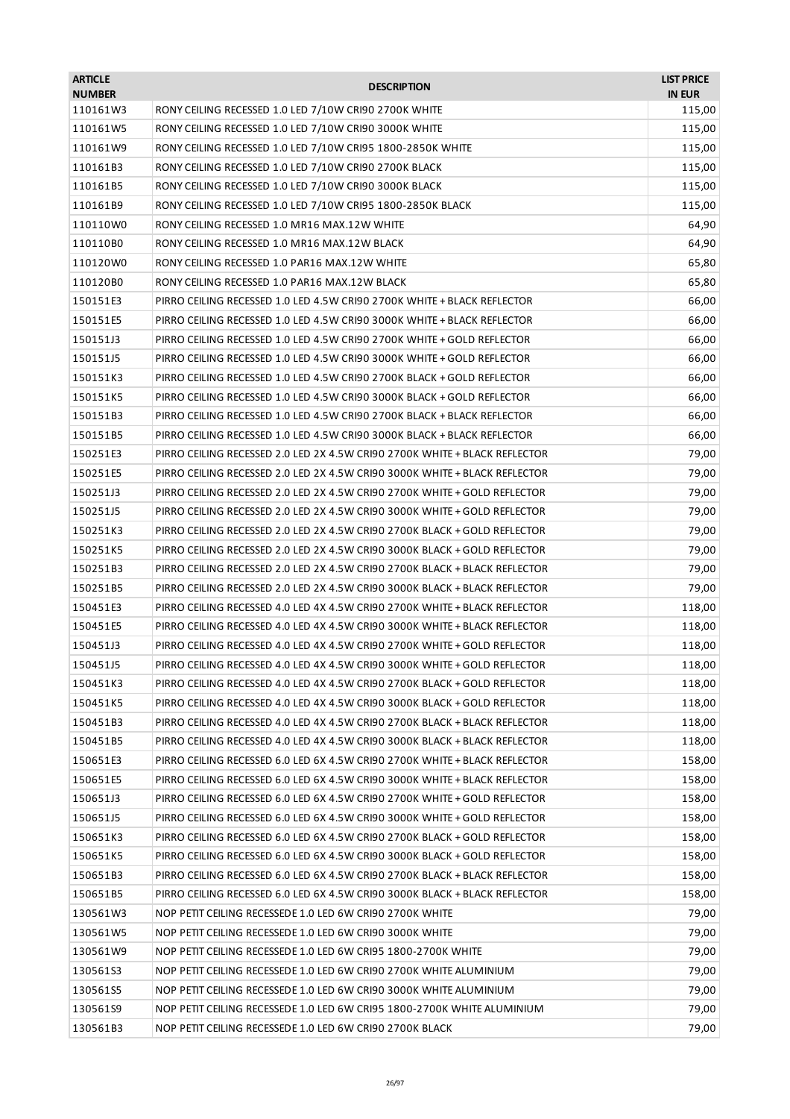| <b>ARTICLE</b><br><b>NUMBER</b> | <b>DESCRIPTION</b>                                                         | <b>LIST PRICE</b><br><b>IN EUR</b> |
|---------------------------------|----------------------------------------------------------------------------|------------------------------------|
| 110161W3                        | RONY CEILING RECESSED 1.0 LED 7/10W CRI90 2700K WHITE                      | 115,00                             |
| 110161W5                        | RONY CEILING RECESSED 1.0 LED 7/10W CRI90 3000K WHITE                      | 115,00                             |
| 110161W9                        | RONY CEILING RECESSED 1.0 LED 7/10W CRI95 1800-2850K WHITE                 | 115,00                             |
| 110161B3                        | RONY CEILING RECESSED 1.0 LED 7/10W CRI90 2700K BLACK                      | 115,00                             |
| 110161B5                        | RONY CEILING RECESSED 1.0 LED 7/10W CRI90 3000K BLACK                      | 115,00                             |
| 110161B9                        | RONY CEILING RECESSED 1.0 LED 7/10W CRI95 1800-2850K BLACK                 | 115,00                             |
| 110110W0                        | RONY CEILING RECESSED 1.0 MR16 MAX.12W WHITE                               | 64,90                              |
| 110110B0                        | RONY CEILING RECESSED 1.0 MR16 MAX.12W BLACK                               | 64,90                              |
| 110120W0                        | RONY CEILING RECESSED 1.0 PAR16 MAX.12W WHITE                              | 65,80                              |
| 110120B0                        | RONY CEILING RECESSED 1.0 PAR16 MAX.12W BLACK                              | 65,80                              |
| 150151E3                        | PIRRO CEILING RECESSED 1.0 LED 4.5W CRI90 2700K WHITE + BLACK REFLECTOR    | 66,00                              |
| 150151E5                        | PIRRO CEILING RECESSED 1.0 LED 4.5W CRI90 3000K WHITE + BLACK REFLECTOR    | 66,00                              |
| 150151J3                        | PIRRO CEILING RECESSED 1.0 LED 4.5W CRI90 2700K WHITE + GOLD REFLECTOR     | 66,00                              |
| 150151J5                        | PIRRO CEILING RECESSED 1.0 LED 4.5W CRI90 3000K WHITE + GOLD REFLECTOR     | 66,00                              |
| 150151K3                        | PIRRO CEILING RECESSED 1.0 LED 4.5W CRI90 2700K BLACK + GOLD REFLECTOR     | 66,00                              |
| 150151K5                        | PIRRO CEILING RECESSED 1.0 LED 4.5W CRI90 3000K BLACK + GOLD REFLECTOR     | 66,00                              |
| 150151B3                        | PIRRO CEILING RECESSED 1.0 LED 4.5W CRI90 2700K BLACK + BLACK REFLECTOR    | 66,00                              |
| 150151B5                        | PIRRO CEILING RECESSED 1.0 LED 4.5W CRI90 3000K BLACK + BLACK REFLECTOR    | 66,00                              |
| 150251E3                        | PIRRO CEILING RECESSED 2.0 LED 2X 4.5W CRI90 2700K WHITE + BLACK REFLECTOR | 79,00                              |
| 150251E5                        | PIRRO CEILING RECESSED 2.0 LED 2X 4.5W CRI90 3000K WHITE + BLACK REFLECTOR | 79,00                              |
| 150251J3                        | PIRRO CEILING RECESSED 2.0 LED 2X 4.5W CRI90 2700K WHITE + GOLD REFLECTOR  | 79,00                              |
| 150251J5                        | PIRRO CEILING RECESSED 2.0 LED 2X 4.5W CRI90 3000K WHITE + GOLD REFLECTOR  | 79,00                              |
| 150251K3                        | PIRRO CEILING RECESSED 2.0 LED 2X 4.5W CRI90 2700K BLACK + GOLD REFLECTOR  | 79,00                              |
| 150251K5                        | PIRRO CEILING RECESSED 2.0 LED 2X 4.5W CRI90 3000K BLACK + GOLD REFLECTOR  | 79,00                              |
| 150251B3                        | PIRRO CEILING RECESSED 2.0 LED 2X 4.5W CRI90 2700K BLACK + BLACK REFLECTOR | 79,00                              |
| 150251B5                        | PIRRO CEILING RECESSED 2.0 LED 2X 4.5W CRI90 3000K BLACK + BLACK REFLECTOR | 79,00                              |
| 150451E3                        | PIRRO CEILING RECESSED 4.0 LED 4X 4.5W CRI90 2700K WHITE + BLACK REFLECTOR | 118,00                             |
| 150451E5                        | PIRRO CEILING RECESSED 4.0 LED 4X 4.5W CRI90 3000K WHITE + BLACK REFLECTOR | 118,00                             |
| 150451J3                        | PIRRO CEILING RECESSED 4.0 LED 4X 4.5W CRI90 2700K WHITE + GOLD REFLECTOR  | 118,00                             |
| 150451J5                        | PIRRO CEILING RECESSED 4.0 LED 4X 4.5W CRI90 3000K WHITE + GOLD REFLECTOR  | 118,00                             |
| 150451K3                        | PIRRO CEILING RECESSED 4.0 LED 4X 4.5W CRI90 2700K BLACK + GOLD REFLECTOR  | 118,00                             |
| 150451K5                        | PIRRO CEILING RECESSED 4.0 LED 4X 4.5W CRI90 3000K BLACK + GOLD REFLECTOR  | 118,00                             |
| 150451B3                        | PIRRO CEILING RECESSED 4.0 LED 4X 4.5W CRI90 2700K BLACK + BLACK REFLECTOR | 118,00                             |
| 150451B5                        | PIRRO CEILING RECESSED 4.0 LED 4X 4.5W CRI90 3000K BLACK + BLACK REFLECTOR | 118,00                             |
| 150651E3                        | PIRRO CEILING RECESSED 6.0 LED 6X 4.5W CRI90 2700K WHITE + BLACK REFLECTOR | 158,00                             |
| 150651E5                        | PIRRO CEILING RECESSED 6.0 LED 6X 4.5W CRI90 3000K WHITE + BLACK REFLECTOR | 158,00                             |
| 150651J3                        | PIRRO CEILING RECESSED 6.0 LED 6X 4.5W CRI90 2700K WHITE + GOLD REFLECTOR  | 158,00                             |
| 150651J5                        | PIRRO CEILING RECESSED 6.0 LED 6X 4.5W CRI90 3000K WHITE + GOLD REFLECTOR  | 158,00                             |
| 150651K3                        | PIRRO CEILING RECESSED 6.0 LED 6X 4.5W CRI90 2700K BLACK + GOLD REFLECTOR  | 158,00                             |
| 150651K5                        | PIRRO CEILING RECESSED 6.0 LED 6X 4.5W CRI90 3000K BLACK + GOLD REFLECTOR  | 158,00                             |
| 150651B3                        | PIRRO CEILING RECESSED 6.0 LED 6X 4.5W CRI90 2700K BLACK + BLACK REFLECTOR | 158,00                             |
| 150651B5                        | PIRRO CEILING RECESSED 6.0 LED 6X 4.5W CRI90 3000K BLACK + BLACK REFLECTOR | 158,00                             |
| 130561W3                        | NOP PETIT CEILING RECESSEDE 1.0 LED 6W CRI90 2700K WHITE                   | 79,00                              |
| 130561W5                        | NOP PETIT CEILING RECESSEDE 1.0 LED 6W CRI90 3000K WHITE                   | 79,00                              |
| 130561W9                        | NOP PETIT CEILING RECESSEDE 1.0 LED 6W CRI95 1800-2700K WHITE              | 79,00                              |
| 13056153                        | NOP PETIT CEILING RECESSEDE 1.0 LED 6W CRI90 2700K WHITE ALUMINIUM         | 79,00                              |
| 130561S5                        | NOP PETIT CEILING RECESSEDE 1.0 LED 6W CRI90 3000K WHITE ALUMINIUM         | 79,00                              |
| 130561S9                        | NOP PETIT CEILING RECESSEDE 1.0 LED 6W CRI95 1800-2700K WHITE ALUMINIUM    | 79,00                              |
| 130561B3                        | NOP PETIT CEILING RECESSEDE 1.0 LED 6W CRI90 2700K BLACK                   | 79,00                              |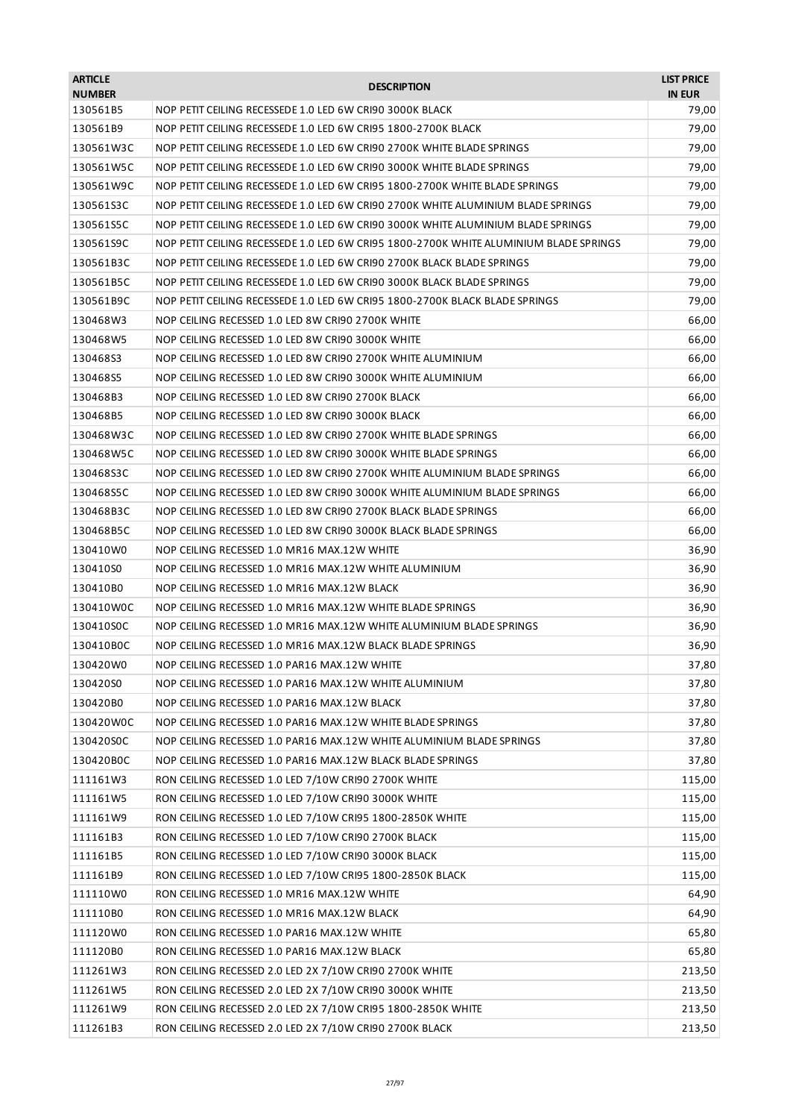| <b>ARTICLE</b><br><b>NUMBER</b> | <b>DESCRIPTION</b>                                                                    | <b>LIST PRICE</b><br><b>IN EUR</b> |
|---------------------------------|---------------------------------------------------------------------------------------|------------------------------------|
| 130561B5                        | NOP PETIT CEILING RECESSEDE 1.0 LED 6W CRI90 3000K BLACK                              | 79,00                              |
| 130561B9                        | NOP PETIT CEILING RECESSEDE 1.0 LED 6W CRI95 1800-2700K BLACK                         | 79,00                              |
| 130561W3C                       | NOP PETIT CEILING RECESSEDE 1.0 LED 6W CRI90 2700K WHITE BLADE SPRINGS                | 79,00                              |
| 130561W5C                       | NOP PETIT CEILING RECESSEDE 1.0 LED 6W CRI90 3000K WHITE BLADE SPRINGS                | 79,00                              |
| 130561W9C                       | NOP PETIT CEILING RECESSEDE 1.0 LED 6W CRI95 1800-2700K WHITE BLADE SPRINGS           | 79,00                              |
| 130561S3C                       | NOP PETIT CEILING RECESSEDE 1.0 LED 6W CRI90 2700K WHITE ALUMINIUM BLADE SPRINGS      | 79,00                              |
| 130561S5C                       | NOP PETIT CEILING RECESSEDE 1.0 LED 6W CRI90 3000K WHITE ALUMINIUM BLADE SPRINGS      | 79,00                              |
| 130561S9C                       | NOP PETIT CEILING RECESSEDE 1.0 LED 6W CRI95 1800-2700K WHITE ALUMINIUM BLADE SPRINGS | 79,00                              |
| 130561B3C                       | NOP PETIT CEILING RECESSEDE 1.0 LED 6W CRI90 2700K BLACK BLADE SPRINGS                | 79,00                              |
| 130561B5C                       | NOP PETIT CEILING RECESSEDE 1.0 LED 6W CRI90 3000K BLACK BLADE SPRINGS                | 79,00                              |
| 130561B9C                       | NOP PETIT CEILING RECESSEDE 1.0 LED 6W CRI95 1800-2700K BLACK BLADE SPRINGS           | 79,00                              |
| 130468W3                        | NOP CEILING RECESSED 1.0 LED 8W CRI90 2700K WHITE                                     | 66,00                              |
| 130468W5                        | NOP CEILING RECESSED 1.0 LED 8W CRI90 3000K WHITE                                     | 66,00                              |
| 13046853                        | NOP CEILING RECESSED 1.0 LED 8W CRI90 2700K WHITE ALUMINIUM                           | 66,00                              |
| 130468S5                        | NOP CEILING RECESSED 1.0 LED 8W CRI90 3000K WHITE ALUMINIUM                           | 66,00                              |
| 130468B3                        | NOP CEILING RECESSED 1.0 LED 8W CRI90 2700K BLACK                                     | 66,00                              |
| 130468B5                        | NOP CEILING RECESSED 1.0 LED 8W CRI90 3000K BLACK                                     | 66,00                              |
| 130468W3C                       | NOP CEILING RECESSED 1.0 LED 8W CRI90 2700K WHITE BLADE SPRINGS                       | 66,00                              |
| 130468W5C                       | NOP CEILING RECESSED 1.0 LED 8W CRI90 3000K WHITE BLADE SPRINGS                       | 66,00                              |
| 130468S3C                       | NOP CEILING RECESSED 1.0 LED 8W CRI90 2700K WHITE ALUMINIUM BLADE SPRINGS             | 66,00                              |
| 130468S5C                       | NOP CEILING RECESSED 1.0 LED 8W CRI90 3000K WHITE ALUMINIUM BLADE SPRINGS             | 66,00                              |
| 130468B3C                       | NOP CEILING RECESSED 1.0 LED 8W CRI90 2700K BLACK BLADE SPRINGS                       | 66,00                              |
| 130468B5C                       | NOP CEILING RECESSED 1.0 LED 8W CRI90 3000K BLACK BLADE SPRINGS                       | 66,00                              |
| 130410W0                        | NOP CEILING RECESSED 1.0 MR16 MAX.12W WHITE                                           | 36,90                              |
| 130410S0                        | NOP CEILING RECESSED 1.0 MR16 MAX.12W WHITE ALUMINIUM                                 | 36,90                              |
| 130410B0                        | NOP CEILING RECESSED 1.0 MR16 MAX.12W BLACK                                           | 36,90                              |
| 130410W0C                       | NOP CEILING RECESSED 1.0 MR16 MAX.12W WHITE BLADE SPRINGS                             | 36,90                              |
| 130410SOC                       | NOP CEILING RECESSED 1.0 MR16 MAX.12W WHITE ALUMINIUM BLADE SPRINGS                   | 36,90                              |
| 130410B0C                       | NOP CEILING RECESSED 1.0 MR16 MAX.12W BLACK BLADE SPRINGS                             | 36,90                              |
| 130420W0                        | NOP CEILING RECESSED 1.0 PAR16 MAX.12W WHITE                                          | 37,80                              |
| 130420S0                        | NOP CEILING RECESSED 1.0 PAR16 MAX.12W WHITE ALUMINIUM                                | 37,80                              |
| 130420B0                        | NOP CEILING RECESSED 1.0 PAR16 MAX.12W BLACK                                          | 37,80                              |
| 130420W0C                       | NOP CEILING RECESSED 1.0 PAR16 MAX.12W WHITE BLADE SPRINGS                            | 37,80                              |
| 130420S0C                       | NOP CEILING RECESSED 1.0 PAR16 MAX.12W WHITE ALUMINIUM BLADE SPRINGS                  | 37,80                              |
| 130420B0C                       | NOP CEILING RECESSED 1.0 PAR16 MAX.12W BLACK BLADE SPRINGS                            | 37,80                              |
| 111161W3                        | RON CEILING RECESSED 1.0 LED 7/10W CRI90 2700K WHITE                                  | 115,00                             |
| 111161W5                        | RON CEILING RECESSED 1.0 LED 7/10W CRI90 3000K WHITE                                  | 115,00                             |
| 111161W9                        | RON CEILING RECESSED 1.0 LED 7/10W CRI95 1800-2850K WHITE                             | 115,00                             |
| 111161B3                        | RON CEILING RECESSED 1.0 LED 7/10W CRI90 2700K BLACK                                  | 115,00                             |
| 111161B5                        | RON CEILING RECESSED 1.0 LED 7/10W CRI90 3000K BLACK                                  | 115,00                             |
| 111161B9                        | RON CEILING RECESSED 1.0 LED 7/10W CRI95 1800-2850K BLACK                             | 115,00                             |
| 111110W0                        | RON CEILING RECESSED 1.0 MR16 MAX.12W WHITE                                           | 64,90                              |
| 111110B0                        | RON CEILING RECESSED 1.0 MR16 MAX.12W BLACK                                           | 64,90                              |
| 111120W0                        | RON CEILING RECESSED 1.0 PAR16 MAX.12W WHITE                                          | 65,80                              |
| 111120B0                        | RON CEILING RECESSED 1.0 PAR16 MAX.12W BLACK                                          | 65,80                              |
| 111261W3                        | RON CEILING RECESSED 2.0 LED 2X 7/10W CRI90 2700K WHITE                               | 213,50                             |
| 111261W5                        | RON CEILING RECESSED 2.0 LED 2X 7/10W CRI90 3000K WHITE                               | 213,50                             |
| 111261W9                        | RON CEILING RECESSED 2.0 LED 2X 7/10W CRI95 1800-2850K WHITE                          | 213,50                             |
| 111261B3                        | RON CEILING RECESSED 2.0 LED 2X 7/10W CRI90 2700K BLACK                               | 213,50                             |
|                                 |                                                                                       |                                    |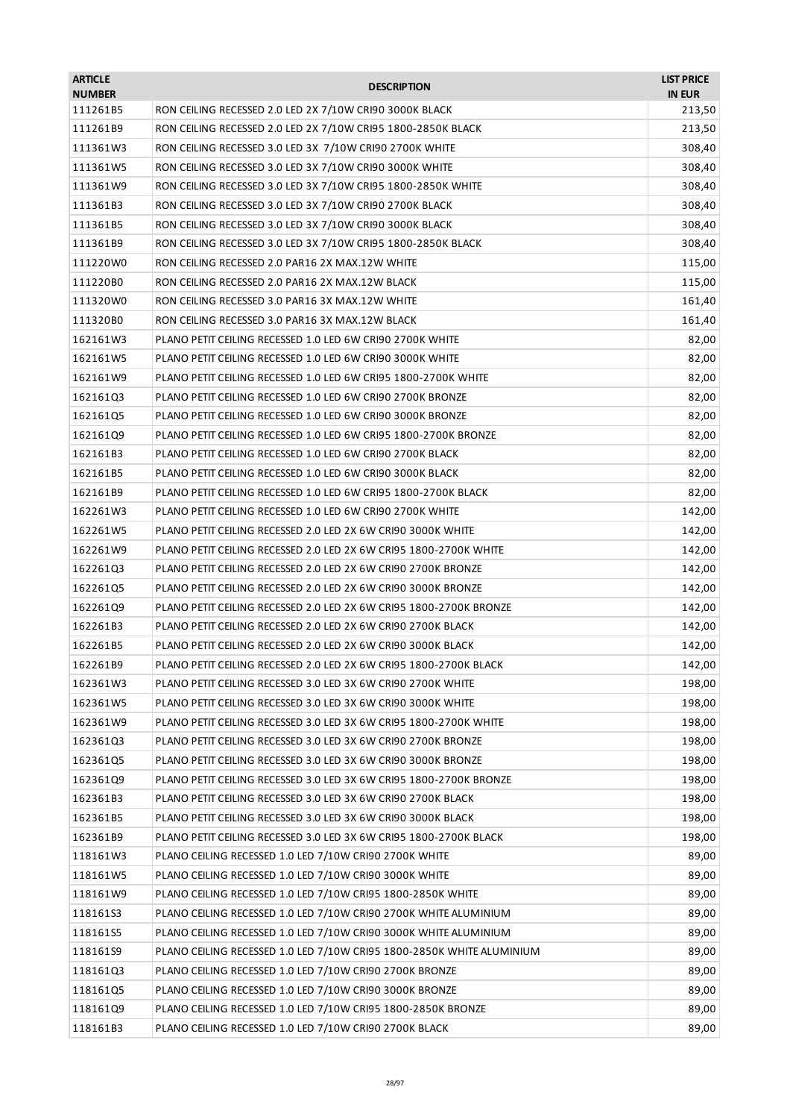| <b>ARTICLE</b><br><b>NUMBER</b> | <b>DESCRIPTION</b>                                                    | <b>LIST PRICE</b><br><b>IN EUR</b> |
|---------------------------------|-----------------------------------------------------------------------|------------------------------------|
| 111261B5                        | RON CEILING RECESSED 2.0 LED 2X 7/10W CRI90 3000K BLACK               | 213,50                             |
| 111261B9                        | RON CEILING RECESSED 2.0 LED 2X 7/10W CRI95 1800-2850K BLACK          | 213,50                             |
| 111361W3                        | RON CEILING RECESSED 3.0 LED 3X 7/10W CRI90 2700K WHITE               | 308,40                             |
| 111361W5                        | RON CEILING RECESSED 3.0 LED 3X 7/10W CRI90 3000K WHITE               | 308,40                             |
| 111361W9                        | RON CEILING RECESSED 3.0 LED 3X 7/10W CRI95 1800-2850K WHITE          | 308,40                             |
| 111361B3                        | RON CEILING RECESSED 3.0 LED 3X 7/10W CRI90 2700K BLACK               | 308,40                             |
| 111361B5                        | RON CEILING RECESSED 3.0 LED 3X 7/10W CRI90 3000K BLACK               | 308,40                             |
| 111361B9                        | RON CEILING RECESSED 3.0 LED 3X 7/10W CRI95 1800-2850K BLACK          | 308,40                             |
| 111220W0                        | RON CEILING RECESSED 2.0 PAR16 2X MAX.12W WHITE                       | 115,00                             |
| 111220B0                        | RON CEILING RECESSED 2.0 PAR16 2X MAX.12W BLACK                       | 115,00                             |
| 111320W0                        | RON CEILING RECESSED 3.0 PAR16 3X MAX.12W WHITE                       | 161,40                             |
| 111320B0                        | RON CEILING RECESSED 3.0 PAR16 3X MAX.12W BLACK                       | 161,40                             |
| 162161W3                        | PLANO PETIT CEILING RECESSED 1.0 LED 6W CRI90 2700K WHITE             | 82,00                              |
| 162161W5                        | PLANO PETIT CEILING RECESSED 1.0 LED 6W CRI90 3000K WHITE             | 82,00                              |
| 162161W9                        | PLANO PETIT CEILING RECESSED 1.0 LED 6W CRI95 1800-2700K WHITE        | 82,00                              |
| 162161Q3                        | PLANO PETIT CEILING RECESSED 1.0 LED 6W CRI90 2700K BRONZE            | 82,00                              |
| 162161Q5                        | PLANO PETIT CEILING RECESSED 1.0 LED 6W CRI90 3000K BRONZE            | 82,00                              |
| 162161Q9                        | PLANO PETIT CEILING RECESSED 1.0 LED 6W CRI95 1800-2700K BRONZE       | 82,00                              |
| 162161B3                        | PLANO PETIT CEILING RECESSED 1.0 LED 6W CRI90 2700K BLACK             | 82,00                              |
| 162161B5                        | PLANO PETIT CEILING RECESSED 1.0 LED 6W CRI90 3000K BLACK             | 82,00                              |
| 162161B9                        | PLANO PETIT CEILING RECESSED 1.0 LED 6W CRI95 1800-2700K BLACK        | 82,00                              |
| 162261W3                        | PLANO PETIT CEILING RECESSED 1.0 LED 6W CRI90 2700K WHITE             | 142,00                             |
| 162261W5                        | PLANO PETIT CEILING RECESSED 2.0 LED 2X 6W CRI90 3000K WHITE          | 142,00                             |
| 162261W9                        | PLANO PETIT CEILING RECESSED 2.0 LED 2X 6W CRI95 1800-2700K WHITE     | 142,00                             |
| 162261Q3                        | PLANO PETIT CEILING RECESSED 2.0 LED 2X 6W CRI90 2700K BRONZE         | 142,00                             |
| 162261Q5                        | PLANO PETIT CEILING RECESSED 2.0 LED 2X 6W CRI90 3000K BRONZE         | 142,00                             |
| 162261Q9                        | PLANO PETIT CEILING RECESSED 2.0 LED 2X 6W CRI95 1800-2700K BRONZE    | 142,00                             |
| 162261B3                        | PLANO PETIT CEILING RECESSED 2.0 LED 2X 6W CRI90 2700K BLACK          | 142,00                             |
| 162261B5                        | PLANO PETIT CEILING RECESSED 2.0 LED 2X 6W CRI90 3000K BLACK          | 142,00                             |
| 162261B9                        |                                                                       |                                    |
|                                 | PLANO PETIT CEILING RECESSED 2.0 LED 2X 6W CRI95 1800-2700K BLACK     | 142,00                             |
| 162361W3                        | PLANO PETIT CEILING RECESSED 3.0 LED 3X 6W CRI90 2700K WHITE          | 198,00                             |
| 162361W5                        | PLANO PETIT CEILING RECESSED 3.0 LED 3X 6W CRI90 3000K WHITE          | 198,00                             |
| 162361W9                        | PLANO PETIT CEILING RECESSED 3.0 LED 3X 6W CRI95 1800-2700K WHITE     | 198,00                             |
| 162361Q3                        | PLANO PETIT CEILING RECESSED 3.0 LED 3X 6W CRI90 2700K BRONZE         | 198,00                             |
| 162361Q5                        | PLANO PETIT CEILING RECESSED 3.0 LED 3X 6W CRI90 3000K BRONZE         | 198,00                             |
| 162361Q9                        | PLANO PETIT CEILING RECESSED 3.0 LED 3X 6W CRI95 1800-2700K BRONZE    | 198,00                             |
| 162361B3                        | PLANO PETIT CEILING RECESSED 3.0 LED 3X 6W CRI90 2700K BLACK          | 198,00                             |
| 162361B5                        | PLANO PETIT CEILING RECESSED 3.0 LED 3X 6W CRI90 3000K BLACK          | 198,00                             |
| 162361B9                        | PLANO PETIT CEILING RECESSED 3.0 LED 3X 6W CRI95 1800-2700K BLACK     | 198,00                             |
| 118161W3                        | PLANO CEILING RECESSED 1.0 LED 7/10W CRI90 2700K WHITE                | 89,00                              |
| 118161W5                        | PLANO CEILING RECESSED 1.0 LED 7/10W CRI90 3000K WHITE                | 89,00                              |
| 118161W9                        | PLANO CEILING RECESSED 1.0 LED 7/10W CRI95 1800-2850K WHITE           | 89,00                              |
| 11816153                        | PLANO CEILING RECESSED 1.0 LED 7/10W CRI90 2700K WHITE ALUMINIUM      | 89,00                              |
| 118161S5                        | PLANO CEILING RECESSED 1.0 LED 7/10W CRI90 3000K WHITE ALUMINIUM      | 89,00                              |
| 118161S9                        | PLANO CEILING RECESSED 1.0 LED 7/10W CRI95 1800-2850K WHITE ALUMINIUM | 89,00                              |
| 118161Q3                        | PLANO CEILING RECESSED 1.0 LED 7/10W CRI90 2700K BRONZE               | 89,00                              |
| 118161Q5                        | PLANO CEILING RECESSED 1.0 LED 7/10W CRI90 3000K BRONZE               | 89,00                              |
| 118161Q9                        | PLANO CEILING RECESSED 1.0 LED 7/10W CRI95 1800-2850K BRONZE          | 89,00                              |
| 118161B3                        | PLANO CEILING RECESSED 1.0 LED 7/10W CRI90 2700K BLACK                | 89,00                              |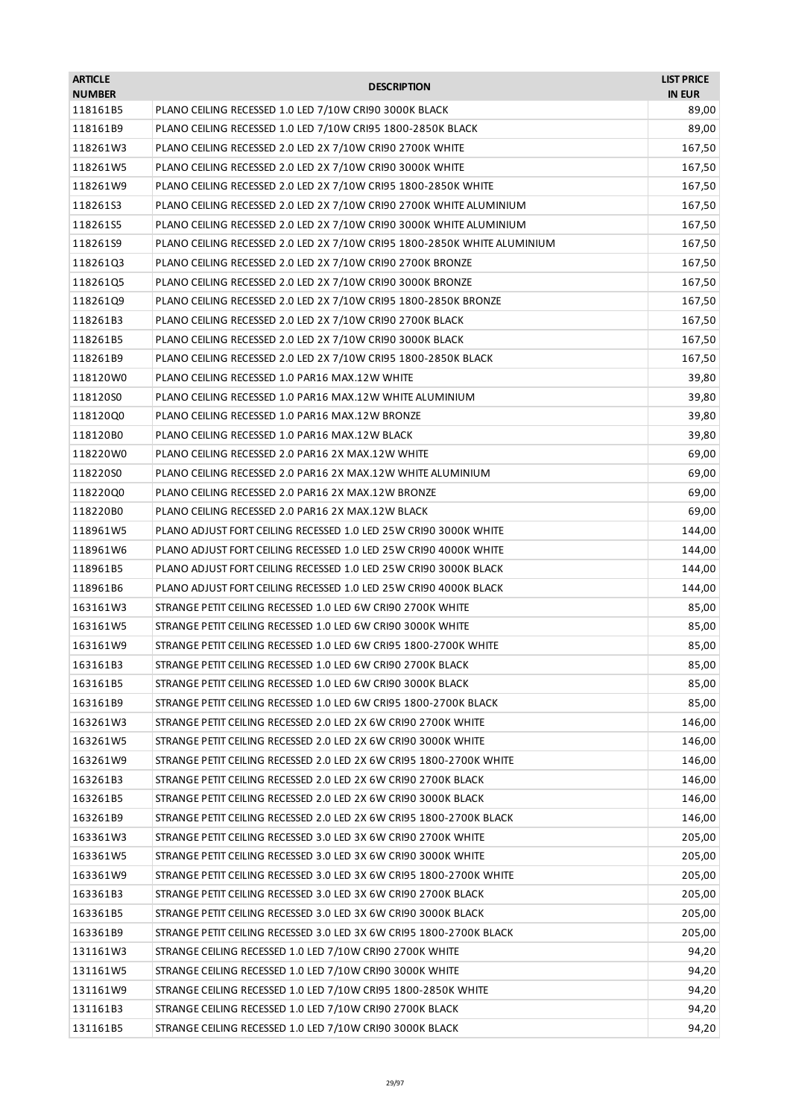| <b>ARTICLE</b><br><b>NUMBER</b> | <b>DESCRIPTION</b>                                                       | <b>LIST PRICE</b><br><b>IN EUR</b> |
|---------------------------------|--------------------------------------------------------------------------|------------------------------------|
| 118161B5                        | PLANO CEILING RECESSED 1.0 LED 7/10W CRI90 3000K BLACK                   | 89,00                              |
| 118161B9                        | PLANO CEILING RECESSED 1.0 LED 7/10W CRI95 1800-2850K BLACK              | 89,00                              |
| 118261W3                        | PLANO CEILING RECESSED 2.0 LED 2X 7/10W CRI90 2700K WHITE                | 167,50                             |
| 118261W5                        | PLANO CEILING RECESSED 2.0 LED 2X 7/10W CRI90 3000K WHITE                | 167,50                             |
| 118261W9                        | PLANO CEILING RECESSED 2.0 LED 2X 7/10W CRI95 1800-2850K WHITE           | 167,50                             |
| 11826153                        | PLANO CEILING RECESSED 2.0 LED 2X 7/10W CRI90 2700K WHITE ALUMINIUM      | 167,50                             |
| 118261S5                        | PLANO CEILING RECESSED 2.0 LED 2X 7/10W CRI90 3000K WHITE ALUMINIUM      | 167,50                             |
| 118261S9                        | PLANO CEILING RECESSED 2.0 LED 2X 7/10W CRI95 1800-2850K WHITE ALUMINIUM | 167,50                             |
| 118261Q3                        | PLANO CEILING RECESSED 2.0 LED 2X 7/10W CRI90 2700K BRONZE               | 167,50                             |
| 118261Q5                        | PLANO CEILING RECESSED 2.0 LED 2X 7/10W CRI90 3000K BRONZE               | 167,50                             |
| 118261Q9                        | PLANO CEILING RECESSED 2.0 LED 2X 7/10W CRI95 1800-2850K BRONZE          | 167,50                             |
| 118261B3                        | PLANO CEILING RECESSED 2.0 LED 2X 7/10W CRI90 2700K BLACK                | 167,50                             |
| 118261B5                        | PLANO CEILING RECESSED 2.0 LED 2X 7/10W CRI90 3000K BLACK                | 167,50                             |
| 118261B9                        | PLANO CEILING RECESSED 2.0 LED 2X 7/10W CRI95 1800-2850K BLACK           | 167,50                             |
| 118120W0                        | PLANO CEILING RECESSED 1.0 PAR16 MAX.12W WHITE                           | 39,80                              |
| 11812050                        | PLANO CEILING RECESSED 1.0 PAR16 MAX.12W WHITE ALUMINIUM                 | 39,80                              |
| 118120Q0                        | PLANO CEILING RECESSED 1.0 PAR16 MAX.12W BRONZE                          | 39,80                              |
| 118120B0                        | PLANO CEILING RECESSED 1.0 PAR16 MAX.12W BLACK                           | 39,80                              |
| 118220W0                        | PLANO CEILING RECESSED 2.0 PAR16 2X MAX.12W WHITE                        | 69,00                              |
| 118220S0                        | PLANO CEILING RECESSED 2.0 PAR16 2X MAX.12W WHITE ALUMINIUM              | 69,00                              |
| 118220Q0                        | PLANO CEILING RECESSED 2.0 PAR16 2X MAX.12W BRONZE                       | 69,00                              |
| 118220B0                        | PLANO CEILING RECESSED 2.0 PAR16 2X MAX.12W BLACK                        | 69,00                              |
| 118961W5                        | PLANO ADJUST FORT CEILING RECESSED 1.0 LED 25W CRI90 3000K WHITE         | 144,00                             |
| 118961W6                        | PLANO ADJUST FORT CEILING RECESSED 1.0 LED 25W CRI90 4000K WHITE         | 144,00                             |
| 118961B5                        | PLANO ADJUST FORT CEILING RECESSED 1.0 LED 25W CRI90 3000K BLACK         | 144,00                             |
| 118961B6                        | PLANO ADJUST FORT CEILING RECESSED 1.0 LED 25W CRI90 4000K BLACK         | 144,00                             |
| 163161W3                        | STRANGE PETIT CEILING RECESSED 1.0 LED 6W CRI90 2700K WHITE              | 85,00                              |
| 163161W5                        | STRANGE PETIT CEILING RECESSED 1.0 LED 6W CRI90 3000K WHITE              | 85,00                              |
| 163161W9                        | STRANGE PETIT CEILING RECESSED 1.0 LED 6W CRI95 1800-2700K WHITE         | 85,00                              |
| 163161B3                        | STRANGE PETIT CEILING RECESSED 1.0 LED 6W CRI90 2700K BLACK              | 85,00                              |
| 163161B5                        | STRANGE PETIT CEILING RECESSED 1.0 LED 6W CRI90 3000K BLACK              | 85,00                              |
| 163161B9                        | STRANGE PETIT CEILING RECESSED 1.0 LED 6W CRI95 1800-2700K BLACK         | 85,00                              |
| 163261W3                        | STRANGE PETIT CEILING RECESSED 2.0 LED 2X 6W CRI90 2700K WHITE           | 146,00                             |
| 163261W5                        | STRANGE PETIT CEILING RECESSED 2.0 LED 2X 6W CRI90 3000K WHITE           | 146,00                             |
| 163261W9                        | STRANGE PETIT CEILING RECESSED 2.0 LED 2X 6W CRI95 1800-2700K WHITE      | 146,00                             |
| 163261B3                        | STRANGE PETIT CEILING RECESSED 2.0 LED 2X 6W CRI90 2700K BLACK           | 146,00                             |
| 163261B5                        | STRANGE PETIT CEILING RECESSED 2.0 LED 2X 6W CRI90 3000K BLACK           | 146,00                             |
| 163261B9                        | STRANGE PETIT CEILING RECESSED 2.0 LED 2X 6W CRI95 1800-2700K BLACK      | 146,00                             |
| 163361W3                        | STRANGE PETIT CEILING RECESSED 3.0 LED 3X 6W CRI90 2700K WHITE           | 205,00                             |
| 163361W5                        | STRANGE PETIT CEILING RECESSED 3.0 LED 3X 6W CRI90 3000K WHITE           | 205,00                             |
| 163361W9                        | STRANGE PETIT CEILING RECESSED 3.0 LED 3X 6W CRI95 1800-2700K WHITE      | 205,00                             |
| 163361B3                        | STRANGE PETIT CEILING RECESSED 3.0 LED 3X 6W CRI90 2700K BLACK           | 205,00                             |
| 163361B5                        | STRANGE PETIT CEILING RECESSED 3.0 LED 3X 6W CRI90 3000K BLACK           | 205,00                             |
| 163361B9                        | STRANGE PETIT CEILING RECESSED 3.0 LED 3X 6W CRI95 1800-2700K BLACK      | 205,00                             |
| 131161W3                        | STRANGE CEILING RECESSED 1.0 LED 7/10W CRI90 2700K WHITE                 | 94,20                              |
| 131161W5                        | STRANGE CEILING RECESSED 1.0 LED 7/10W CRI90 3000K WHITE                 | 94,20                              |
| 131161W9                        | STRANGE CEILING RECESSED 1.0 LED 7/10W CRI95 1800-2850K WHITE            | 94,20                              |
| 131161B3                        | STRANGE CEILING RECESSED 1.0 LED 7/10W CRI90 2700K BLACK                 | 94,20                              |
| 131161B5                        | STRANGE CEILING RECESSED 1.0 LED 7/10W CRI90 3000K BLACK                 | 94,20                              |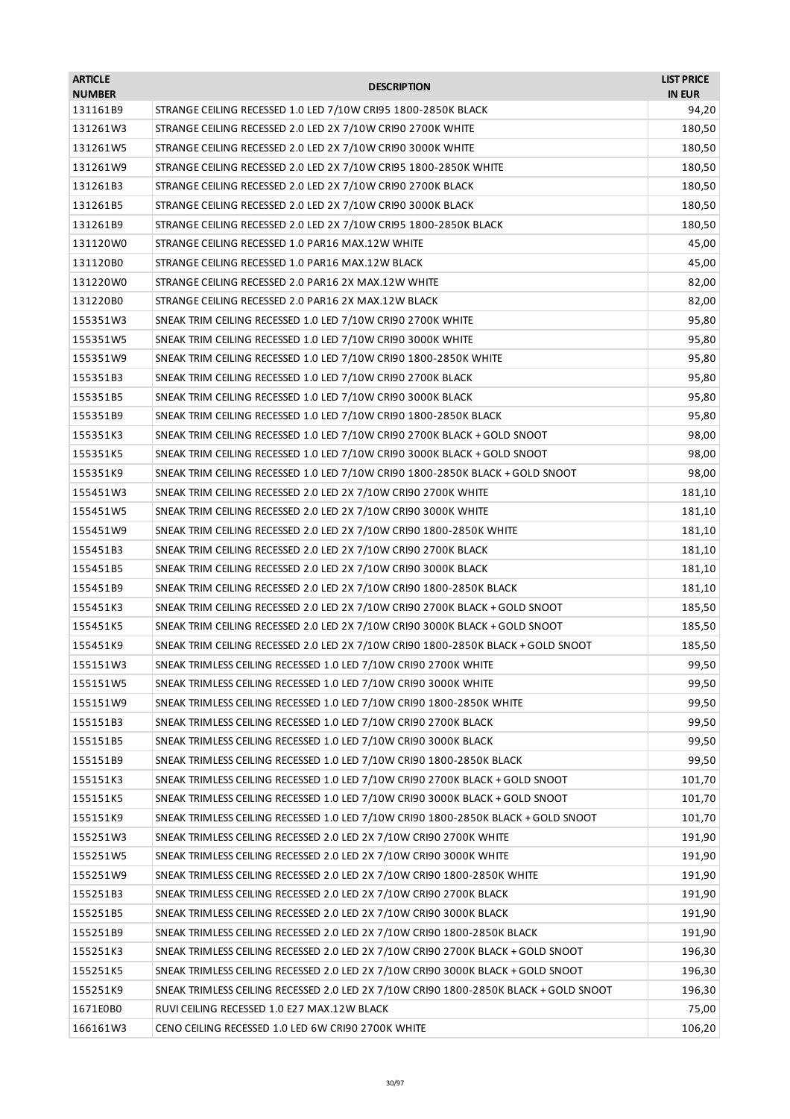| <b>ARTICLE</b><br><b>NUMBER</b> | <b>DESCRIPTION</b>                                                                   | <b>LIST PRICE</b><br><b>IN EUR</b> |
|---------------------------------|--------------------------------------------------------------------------------------|------------------------------------|
| 131161B9                        | STRANGE CEILING RECESSED 1.0 LED 7/10W CRI95 1800-2850K BLACK                        | 94,20                              |
| 131261W3                        | STRANGE CEILING RECESSED 2.0 LED 2X 7/10W CRI90 2700K WHITE                          | 180,50                             |
| 131261W5                        | STRANGE CEILING RECESSED 2.0 LED 2X 7/10W CRI90 3000K WHITE                          | 180,50                             |
| 131261W9                        | STRANGE CEILING RECESSED 2.0 LED 2X 7/10W CRI95 1800-2850K WHITE                     | 180,50                             |
| 131261B3                        | STRANGE CEILING RECESSED 2.0 LED 2X 7/10W CRI90 2700K BLACK                          | 180,50                             |
| 131261B5                        | STRANGE CEILING RECESSED 2.0 LED 2X 7/10W CRI90 3000K BLACK                          | 180,50                             |
| 131261B9                        | STRANGE CEILING RECESSED 2.0 LED 2X 7/10W CRI95 1800-2850K BLACK                     | 180,50                             |
| 131120W0                        | STRANGE CEILING RECESSED 1.0 PAR16 MAX.12W WHITE                                     | 45,00                              |
| 131120B0                        | STRANGE CEILING RECESSED 1.0 PAR16 MAX.12W BLACK                                     | 45,00                              |
| 131220W0                        | STRANGE CEILING RECESSED 2.0 PAR16 2X MAX.12W WHITE                                  | 82,00                              |
| 131220B0                        | STRANGE CEILING RECESSED 2.0 PAR16 2X MAX.12W BLACK                                  | 82,00                              |
| 155351W3                        | SNEAK TRIM CEILING RECESSED 1.0 LED 7/10W CRI90 2700K WHITE                          | 95,80                              |
| 155351W5                        | SNEAK TRIM CEILING RECESSED 1.0 LED 7/10W CRI90 3000K WHITE                          | 95,80                              |
| 155351W9                        | SNEAK TRIM CEILING RECESSED 1.0 LED 7/10W CRI90 1800-2850K WHITE                     | 95,80                              |
| 155351B3                        | SNEAK TRIM CEILING RECESSED 1.0 LED 7/10W CRI90 2700K BLACK                          | 95,80                              |
| 155351B5                        | SNEAK TRIM CEILING RECESSED 1.0 LED 7/10W CRI90 3000K BLACK                          | 95,80                              |
| 155351B9                        | SNEAK TRIM CEILING RECESSED 1.0 LED 7/10W CRI90 1800-2850K BLACK                     | 95,80                              |
| 155351K3                        | SNEAK TRIM CEILING RECESSED 1.0 LED 7/10W CRI90 2700K BLACK + GOLD SNOOT             | 98,00                              |
| 155351K5                        | SNEAK TRIM CEILING RECESSED 1.0 LED 7/10W CRI90 3000K BLACK + GOLD SNOOT             | 98,00                              |
| 155351K9                        | SNEAK TRIM CEILING RECESSED 1.0 LED 7/10W CRI90 1800-2850K BLACK + GOLD SNOOT        | 98,00                              |
| 155451W3                        | SNEAK TRIM CEILING RECESSED 2.0 LED 2X 7/10W CRI90 2700K WHITE                       | 181,10                             |
|                                 |                                                                                      |                                    |
| 155451W5                        | SNEAK TRIM CEILING RECESSED 2.0 LED 2X 7/10W CRI90 3000K WHITE                       | 181,10                             |
| 155451W9                        | SNEAK TRIM CEILING RECESSED 2.0 LED 2X 7/10W CRI90 1800-2850K WHITE                  | 181,10                             |
| 155451B3                        | SNEAK TRIM CEILING RECESSED 2.0 LED 2X 7/10W CRI90 2700K BLACK                       | 181,10                             |
| 155451B5                        | SNEAK TRIM CEILING RECESSED 2.0 LED 2X 7/10W CRI90 3000K BLACK                       | 181,10                             |
| 155451B9                        | SNEAK TRIM CEILING RECESSED 2.0 LED 2X 7/10W CRI90 1800-2850K BLACK                  | 181,10                             |
| 155451K3                        | SNEAK TRIM CEILING RECESSED 2.0 LED 2X 7/10W CRI90 2700K BLACK + GOLD SNOOT          | 185,50                             |
| 155451K5                        | SNEAK TRIM CEILING RECESSED 2.0 LED 2X 7/10W CRI90 3000K BLACK + GOLD SNOOT          | 185,50                             |
| 155451K9                        | SNEAK TRIM CEILING RECESSED 2.0 LED 2X 7/10W CRI90 1800-2850K BLACK + GOLD SNOOT     | 185,50                             |
| 155151W3                        | SNEAK TRIMLESS CEILING RECESSED 1.0 LED 7/10W CRI90 2700K WHITE                      | 99,50                              |
| 155151W5                        | SNEAK TRIMLESS CEILING RECESSED 1.0 LED 7/10W CRI90 3000K WHITE                      | 99,50                              |
| 155151W9                        | SNEAK TRIMLESS CEILING RECESSED 1.0 LED 7/10W CRI90 1800-2850K WHITE                 | 99,50                              |
| 155151B3                        | SNEAK TRIMLESS CEILING RECESSED 1.0 LED 7/10W CRI90 2700K BLACK                      | 99,50                              |
| 155151B5                        | SNEAK TRIMLESS CEILING RECESSED 1.0 LED 7/10W CRI90 3000K BLACK                      | 99,50                              |
| 155151B9                        | SNEAK TRIMLESS CEILING RECESSED 1.0 LED 7/10W CRI90 1800-2850K BLACK                 | 99,50                              |
| 155151K3                        | SNEAK TRIMLESS CEILING RECESSED 1.0 LED 7/10W CRI90 2700K BLACK + GOLD SNOOT         | 101,70                             |
| 155151K5                        | SNEAK TRIMLESS CEILING RECESSED 1.0 LED 7/10W CRI90 3000K BLACK + GOLD SNOOT         | 101,70                             |
| 155151K9                        | SNEAK TRIMLESS CEILING RECESSED 1.0 LED 7/10W CRI90 1800-2850K BLACK + GOLD SNOOT    | 101,70                             |
| 155251W3                        | SNEAK TRIMLESS CEILING RECESSED 2.0 LED 2X 7/10W CRI90 2700K WHITE                   | 191,90                             |
| 155251W5                        | SNEAK TRIMLESS CEILING RECESSED 2.0 LED 2X 7/10W CRI90 3000K WHITE                   | 191,90                             |
| 155251W9                        | SNEAK TRIMLESS CEILING RECESSED 2.0 LED 2X 7/10W CRI90 1800-2850K WHITE              | 191,90                             |
| 155251B3                        | SNEAK TRIMLESS CEILING RECESSED 2.0 LED 2X 7/10W CRI90 2700K BLACK                   | 191,90                             |
| 155251B5                        | SNEAK TRIMLESS CEILING RECESSED 2.0 LED 2X 7/10W CRI90 3000K BLACK                   | 191,90                             |
| 155251B9                        | SNEAK TRIMLESS CEILING RECESSED 2.0 LED 2X 7/10W CRI90 1800-2850K BLACK              | 191,90                             |
| 155251K3                        | SNEAK TRIMLESS CEILING RECESSED 2.0 LED 2X 7/10W CRI90 2700K BLACK + GOLD SNOOT      | 196,30                             |
| 155251K5                        | SNEAK TRIMLESS CEILING RECESSED 2.0 LED 2X 7/10W CRI90 3000K BLACK + GOLD SNOOT      | 196,30                             |
| 155251K9                        | SNEAK TRIMLESS CEILING RECESSED 2.0 LED 2X 7/10W CRI90 1800-2850K BLACK + GOLD SNOOT | 196,30                             |
| 1671E0B0                        | RUVI CEILING RECESSED 1.0 E27 MAX.12W BLACK                                          | 75,00                              |
| 166161W3                        | CENO CEILING RECESSED 1.0 LED 6W CRI90 2700K WHITE                                   | 106,20                             |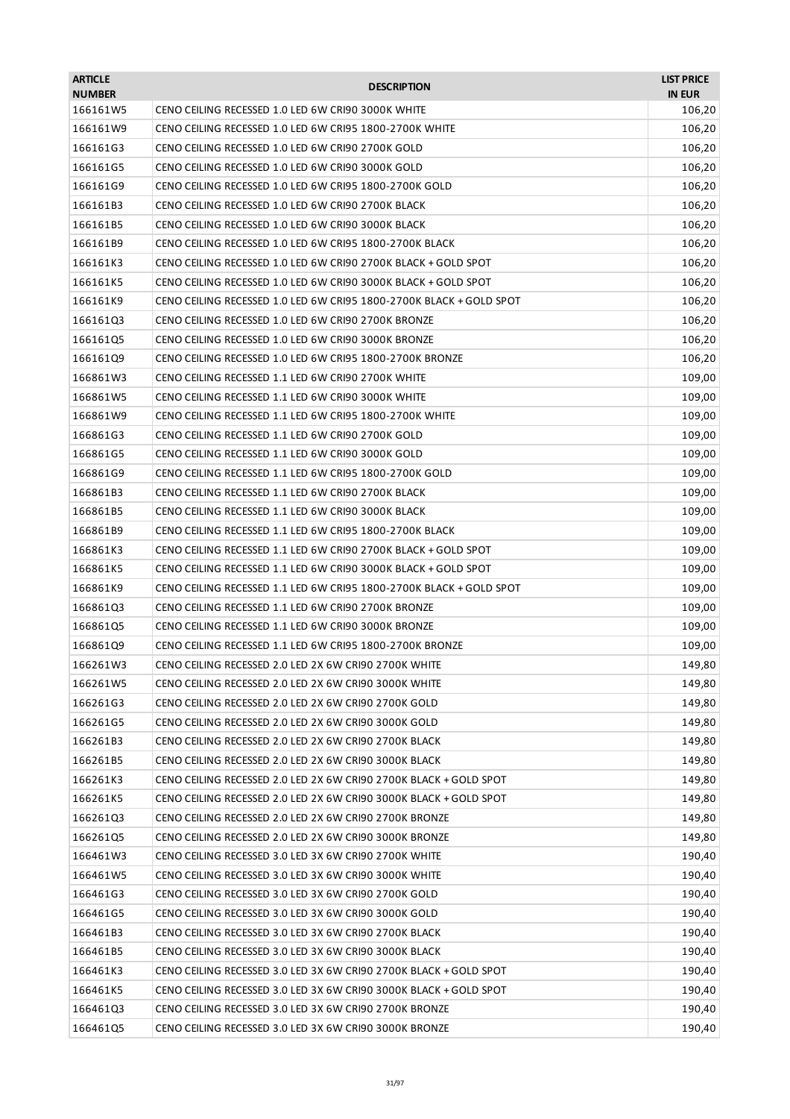| <b>ARTICLE</b><br><b>NUMBER</b> | <b>DESCRIPTION</b>                                                  | <b>LIST PRICE</b><br><b>IN EUR</b> |
|---------------------------------|---------------------------------------------------------------------|------------------------------------|
| 166161W5                        | CENO CEILING RECESSED 1.0 LED 6W CRI90 3000K WHITE                  | 106,20                             |
| 166161W9                        | CENO CEILING RECESSED 1.0 LED 6W CRI95 1800-2700K WHITE             | 106,20                             |
| 166161G3                        | CENO CEILING RECESSED 1.0 LED 6W CRI90 2700K GOLD                   | 106,20                             |
| 166161G5                        | CENO CEILING RECESSED 1.0 LED 6W CRI90 3000K GOLD                   | 106,20                             |
| 166161G9                        | CENO CEILING RECESSED 1.0 LED 6W CRI95 1800-2700K GOLD              | 106,20                             |
| 166161B3                        | CENO CEILING RECESSED 1.0 LED 6W CRI90 2700K BLACK                  | 106,20                             |
| 166161B5                        | CENO CEILING RECESSED 1.0 LED 6W CRI90 3000K BLACK                  | 106,20                             |
| 166161B9                        | CENO CEILING RECESSED 1.0 LED 6W CRI95 1800-2700K BLACK             | 106,20                             |
| 166161K3                        | CENO CEILING RECESSED 1.0 LED 6W CRI90 2700K BLACK + GOLD SPOT      | 106,20                             |
| 166161K5                        | CENO CEILING RECESSED 1.0 LED 6W CRI90 3000K BLACK + GOLD SPOT      | 106,20                             |
| 166161K9                        | CENO CEILING RECESSED 1.0 LED 6W CRI95 1800-2700K BLACK + GOLD SPOT | 106,20                             |
| 166161Q3                        | CENO CEILING RECESSED 1.0 LED 6W CRI90 2700K BRONZE                 | 106,20                             |
| 166161Q5                        | CENO CEILING RECESSED 1.0 LED 6W CRI90 3000K BRONZE                 | 106,20                             |
| 166161Q9                        | CENO CEILING RECESSED 1.0 LED 6W CRI95 1800-2700K BRONZE            | 106,20                             |
| 166861W3                        | CENO CEILING RECESSED 1.1 LED 6W CRI90 2700K WHITE                  | 109,00                             |
| 166861W5                        | CENO CEILING RECESSED 1.1 LED 6W CRI90 3000K WHITE                  | 109,00                             |
| 166861W9                        | CENO CEILING RECESSED 1.1 LED 6W CRI95 1800-2700K WHITE             | 109,00                             |
| 166861G3                        | CENO CEILING RECESSED 1.1 LED 6W CRI90 2700K GOLD                   | 109,00                             |
| 166861G5                        | CENO CEILING RECESSED 1.1 LED 6W CRI90 3000K GOLD                   | 109,00                             |
| 166861G9                        | CENO CEILING RECESSED 1.1 LED 6W CRI95 1800-2700K GOLD              | 109,00                             |
| 166861B3                        | CENO CEILING RECESSED 1.1 LED 6W CRI90 2700K BLACK                  | 109,00                             |
|                                 |                                                                     |                                    |
| 166861B5                        | CENO CEILING RECESSED 1.1 LED 6W CRI90 3000K BLACK                  | 109,00                             |
| 166861B9                        | CENO CEILING RECESSED 1.1 LED 6W CRI95 1800-2700K BLACK             | 109,00                             |
| 166861K3                        | CENO CEILING RECESSED 1.1 LED 6W CRI90 2700K BLACK + GOLD SPOT      | 109,00                             |
| 166861K5                        | CENO CEILING RECESSED 1.1 LED 6W CRI90 3000K BLACK + GOLD SPOT      | 109,00                             |
| 166861K9                        | CENO CEILING RECESSED 1.1 LED 6W CRI95 1800-2700K BLACK + GOLD SPOT | 109,00                             |
| 166861Q3                        | CENO CEILING RECESSED 1.1 LED 6W CRI90 2700K BRONZE                 | 109,00                             |
| 166861Q5                        | CENO CEILING RECESSED 1.1 LED 6W CRI90 3000K BRONZE                 | 109,00                             |
| 166861Q9                        | CENO CEILING RECESSED 1.1 LED 6W CRI95 1800-2700K BRONZE            | 109,00                             |
| 166261W3                        | CENO CEILING RECESSED 2.0 LED 2X 6W CRI90 2700K WHITE               | 149,80                             |
| 166261W5                        | CENO CEILING RECESSED 2.0 LED 2X 6W CRI90 3000K WHITE               | 149,80                             |
| 166261G3                        | CENO CEILING RECESSED 2.0 LED 2X 6W CRI90 2700K GOLD                | 149,80                             |
| 166261G5                        | CENO CEILING RECESSED 2.0 LED 2X 6W CRI90 3000K GOLD                | 149,80                             |
| 166261B3                        | CENO CEILING RECESSED 2.0 LED 2X 6W CRI90 2700K BLACK               | 149,80                             |
| 166261B5                        | CENO CEILING RECESSED 2.0 LED 2X 6W CRI90 3000K BLACK               | 149,80                             |
| 166261K3                        | CENO CEILING RECESSED 2.0 LED 2X 6W CRI90 2700K BLACK + GOLD SPOT   | 149,80                             |
| 166261K5                        | CENO CEILING RECESSED 2.0 LED 2X 6W CRI90 3000K BLACK + GOLD SPOT   | 149,80                             |
| 166261Q3                        | CENO CEILING RECESSED 2.0 LED 2X 6W CRI90 2700K BRONZE              | 149,80                             |
| 166261Q5                        | CENO CEILING RECESSED 2.0 LED 2X 6W CRI90 3000K BRONZE              | 149,80                             |
| 166461W3                        | CENO CEILING RECESSED 3.0 LED 3X 6W CRI90 2700K WHITE               | 190,40                             |
| 166461W5                        | CENO CEILING RECESSED 3.0 LED 3X 6W CRI90 3000K WHITE               | 190,40                             |
| 166461G3                        | CENO CEILING RECESSED 3.0 LED 3X 6W CRI90 2700K GOLD                | 190,40                             |
| 166461G5                        | CENO CEILING RECESSED 3.0 LED 3X 6W CRI90 3000K GOLD                | 190,40                             |
| 166461B3                        | CENO CEILING RECESSED 3.0 LED 3X 6W CRI90 2700K BLACK               | 190,40                             |
| 166461B5                        | CENO CEILING RECESSED 3.0 LED 3X 6W CRI90 3000K BLACK               | 190,40                             |
| 166461K3                        | CENO CEILING RECESSED 3.0 LED 3X 6W CRI90 2700K BLACK + GOLD SPOT   | 190,40                             |
| 166461K5                        | CENO CEILING RECESSED 3.0 LED 3X 6W CRI90 3000K BLACK + GOLD SPOT   | 190,40                             |
| 166461Q3                        | CENO CEILING RECESSED 3.0 LED 3X 6W CRI90 2700K BRONZE              | 190,40                             |
| 166461Q5                        | CENO CEILING RECESSED 3.0 LED 3X 6W CRI90 3000K BRONZE              | 190,40                             |
|                                 |                                                                     |                                    |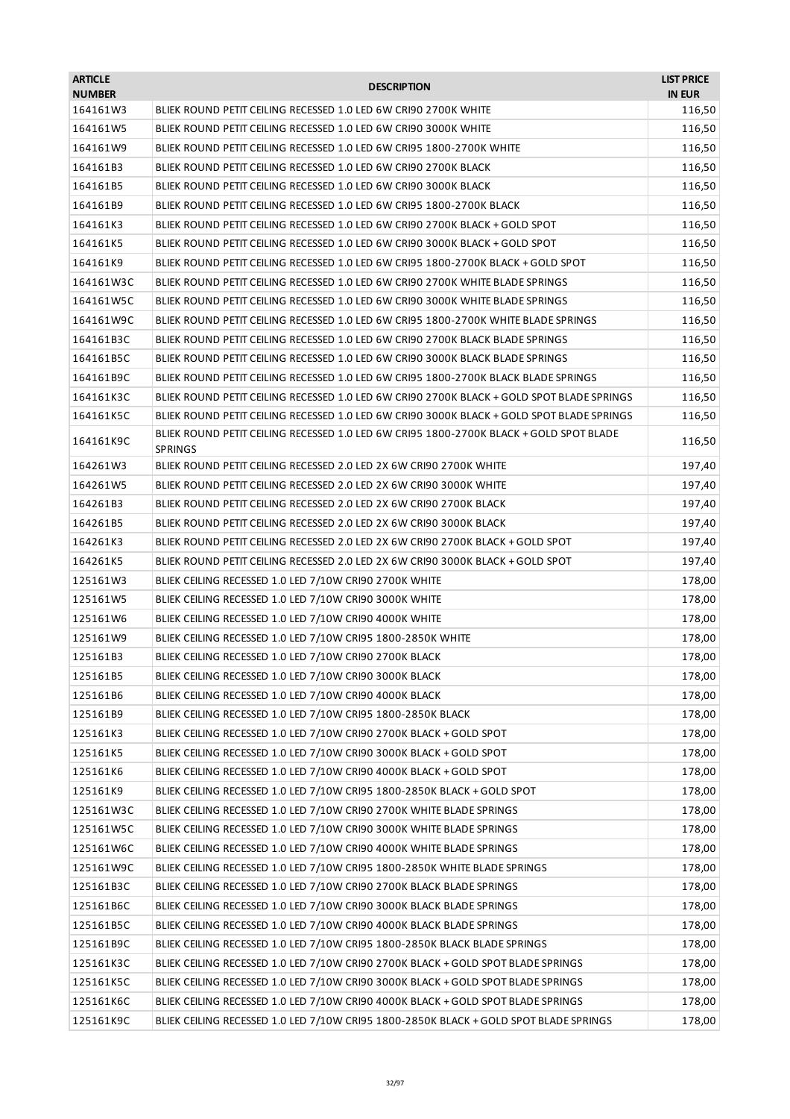| <b>ARTICLE</b><br><b>NUMBER</b> | <b>DESCRIPTION</b>                                                                                       | <b>LIST PRICE</b><br><b>IN EUR</b> |
|---------------------------------|----------------------------------------------------------------------------------------------------------|------------------------------------|
| 164161W3                        | BLIEK ROUND PETIT CEILING RECESSED 1.0 LED 6W CRI90 2700K WHITE                                          | 116,50                             |
| 164161W5                        | BLIEK ROUND PETIT CEILING RECESSED 1.0 LED 6W CRI90 3000K WHITE                                          | 116,50                             |
| 164161W9                        | BLIEK ROUND PETIT CEILING RECESSED 1.0 LED 6W CRI95 1800-2700K WHITE                                     | 116,50                             |
| 164161B3                        | BLIEK ROUND PETIT CEILING RECESSED 1.0 LED 6W CRI90 2700K BLACK                                          | 116,50                             |
| 164161B5                        | BLIEK ROUND PETIT CEILING RECESSED 1.0 LED 6W CRI90 3000K BLACK                                          | 116,50                             |
| 164161B9                        | BLIEK ROUND PETIT CEILING RECESSED 1.0 LED 6W CRI95 1800-2700K BLACK                                     | 116,50                             |
| 164161K3                        | BLIEK ROUND PETIT CEILING RECESSED 1.0 LED 6W CRI90 2700K BLACK + GOLD SPOT                              | 116,50                             |
| 164161K5                        | BLIEK ROUND PETIT CEILING RECESSED 1.0 LED 6W CRI90 3000K BLACK + GOLD SPOT                              | 116,50                             |
| 164161K9                        | BLIEK ROUND PETIT CEILING RECESSED 1.0 LED 6W CRI95 1800-2700K BLACK + GOLD SPOT                         | 116,50                             |
| 164161W3C                       | BLIEK ROUND PETIT CEILING RECESSED 1.0 LED 6W CRI90 2700K WHITE BLADE SPRINGS                            | 116,50                             |
| 164161W5C                       | BLIEK ROUND PETIT CEILING RECESSED 1.0 LED 6W CRI90 3000K WHITE BLADE SPRINGS                            | 116,50                             |
| 164161W9C                       | BLIEK ROUND PETIT CEILING RECESSED 1.0 LED 6W CRI95 1800-2700K WHITE BLADE SPRINGS                       | 116,50                             |
| 164161B3C                       | BLIEK ROUND PETIT CEILING RECESSED 1.0 LED 6W CRI90 2700K BLACK BLADE SPRINGS                            | 116,50                             |
| 164161B5C                       | BLIEK ROUND PETIT CEILING RECESSED 1.0 LED 6W CRI90 3000K BLACK BLADE SPRINGS                            | 116,50                             |
| 164161B9C                       | BLIEK ROUND PETIT CEILING RECESSED 1.0 LED 6W CRI95 1800-2700K BLACK BLADE SPRINGS                       | 116,50                             |
| 164161K3C                       | BLIEK ROUND PETIT CEILING RECESSED 1.0 LED 6W CRI90 2700K BLACK + GOLD SPOT BLADE SPRINGS                | 116,50                             |
| 164161K5C                       | BLIEK ROUND PETIT CEILING RECESSED 1.0 LED 6W CRI90 3000K BLACK + GOLD SPOT BLADE SPRINGS                | 116,50                             |
| 164161K9C                       | BLIEK ROUND PETIT CEILING RECESSED 1.0 LED 6W CRI95 1800-2700K BLACK + GOLD SPOT BLADE<br><b>SPRINGS</b> | 116,50                             |
| 164261W3                        | BLIEK ROUND PETIT CEILING RECESSED 2.0 LED 2X 6W CRI90 2700K WHITE                                       | 197,40                             |
| 164261W5                        | BLIEK ROUND PETIT CEILING RECESSED 2.0 LED 2X 6W CRI90 3000K WHITE                                       | 197,40                             |
| 164261B3                        | BLIEK ROUND PETIT CEILING RECESSED 2.0 LED 2X 6W CRI90 2700K BLACK                                       | 197,40                             |
| 164261B5                        | BLIEK ROUND PETIT CEILING RECESSED 2.0 LED 2X 6W CRI90 3000K BLACK                                       | 197,40                             |
| 164261K3                        | BLIEK ROUND PETIT CEILING RECESSED 2.0 LED 2X 6W CRI90 2700K BLACK + GOLD SPOT                           | 197,40                             |
| 164261K5                        | BLIEK ROUND PETIT CEILING RECESSED 2.0 LED 2X 6W CRI90 3000K BLACK + GOLD SPOT                           | 197,40                             |
| 125161W3                        | BLIEK CEILING RECESSED 1.0 LED 7/10W CRI90 2700K WHITE                                                   | 178,00                             |
| 125161W5                        | BLIEK CEILING RECESSED 1.0 LED 7/10W CRI90 3000K WHITE                                                   | 178,00                             |
| 125161W6                        | BLIEK CEILING RECESSED 1.0 LED 7/10W CRI90 4000K WHITE                                                   | 178,00                             |
| 125161W9                        | BLIEK CEILING RECESSED 1.0 LED 7/10W CRI95 1800-2850K WHITE                                              | 178,00                             |
| 125161B3                        | BLIEK CEILING RECESSED 1.0 LED 7/10W CRI90 2700K BLACK                                                   | 178,00                             |
| 125161B5                        | BLIEK CEILING RECESSED 1.0 LED 7/10W CRI90 3000K BLACK                                                   | 178,00                             |
| 125161B6                        | BLIEK CEILING RECESSED 1.0 LED 7/10W CRI90 4000K BLACK                                                   | 178,00                             |
| 125161B9                        | BLIEK CEILING RECESSED 1.0 LED 7/10W CRI95 1800-2850K BLACK                                              | 178,00                             |
| 125161K3                        | BLIEK CEILING RECESSED 1.0 LED 7/10W CRI90 2700K BLACK + GOLD SPOT                                       | 178,00                             |
| 125161K5                        | BLIEK CEILING RECESSED 1.0 LED 7/10W CRI90 3000K BLACK + GOLD SPOT                                       | 178,00                             |
| 125161K6                        | BLIEK CEILING RECESSED 1.0 LED 7/10W CRI90 4000K BLACK + GOLD SPOT                                       | 178,00                             |
| 125161K9                        | BLIEK CEILING RECESSED 1.0 LED 7/10W CRI95 1800-2850K BLACK + GOLD SPOT                                  | 178,00                             |
| 125161W3C                       | BLIEK CEILING RECESSED 1.0 LED 7/10W CRI90 2700K WHITE BLADE SPRINGS                                     | 178,00                             |
| 125161W5C                       | BLIEK CEILING RECESSED 1.0 LED 7/10W CRI90 3000K WHITE BLADE SPRINGS                                     | 178,00                             |
| 125161W6C                       | BLIEK CEILING RECESSED 1.0 LED 7/10W CRI90 4000K WHITE BLADE SPRINGS                                     | 178,00                             |
| 125161W9C                       | BLIEK CEILING RECESSED 1.0 LED 7/10W CRI95 1800-2850K WHITE BLADE SPRINGS                                | 178,00                             |
| 125161B3C                       | BLIEK CEILING RECESSED 1.0 LED 7/10W CRI90 2700K BLACK BLADE SPRINGS                                     | 178,00                             |
| 125161B6C                       | BLIEK CEILING RECESSED 1.0 LED 7/10W CRI90 3000K BLACK BLADE SPRINGS                                     | 178,00                             |
| 125161B5C                       | BLIEK CEILING RECESSED 1.0 LED 7/10W CRI90 4000K BLACK BLADE SPRINGS                                     | 178,00                             |
| 125161B9C                       | BLIEK CEILING RECESSED 1.0 LED 7/10W CRI95 1800-2850K BLACK BLADE SPRINGS                                | 178,00                             |
| 125161K3C                       | BLIEK CEILING RECESSED 1.0 LED 7/10W CRI90 2700K BLACK + GOLD SPOT BLADE SPRINGS                         | 178,00                             |
| 125161K5C                       | BLIEK CEILING RECESSED 1.0 LED 7/10W CRI90 3000K BLACK + GOLD SPOT BLADE SPRINGS                         | 178,00                             |
|                                 |                                                                                                          |                                    |
| 125161K6C                       | BLIEK CEILING RECESSED 1.0 LED 7/10W CRI90 4000K BLACK + GOLD SPOT BLADE SPRINGS                         | 178,00                             |
| 125161K9C                       | BLIEK CEILING RECESSED 1.0 LED 7/10W CRI95 1800-2850K BLACK + GOLD SPOT BLADE SPRINGS                    | 178,00                             |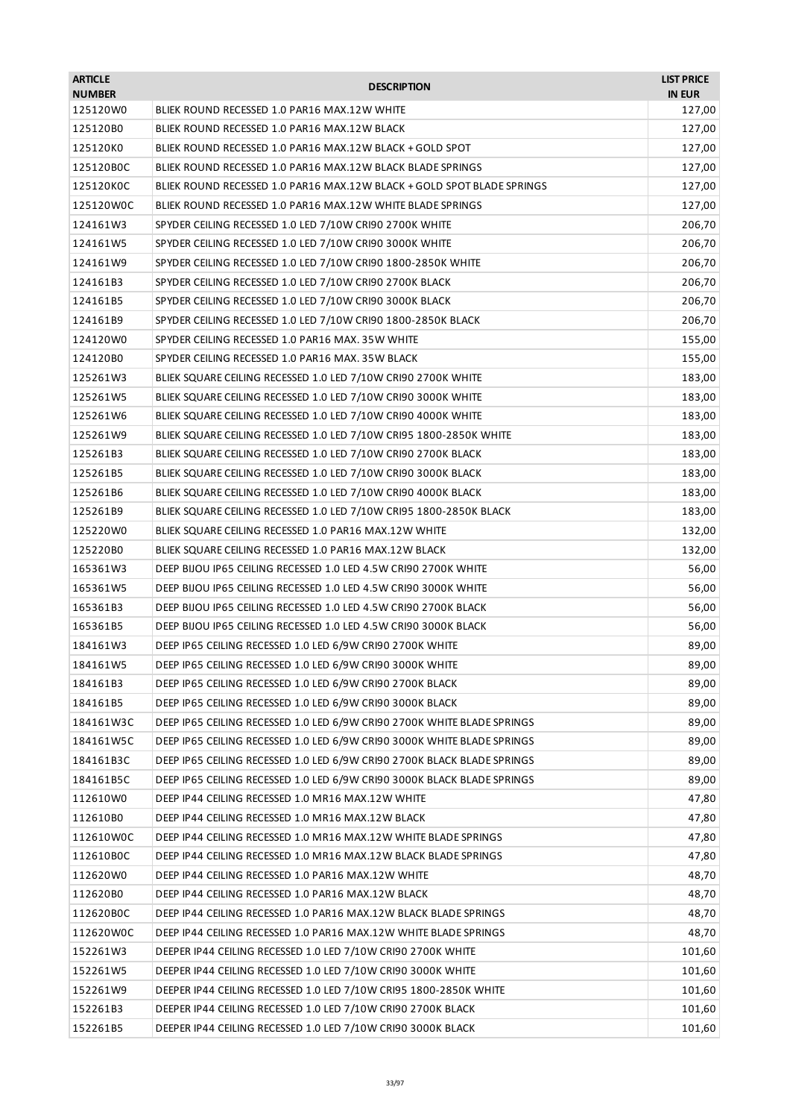| <b>ARTICLE</b><br><b>NUMBER</b> | <b>DESCRIPTION</b>                                                                                                                                 | <b>LIST PRICE</b><br><b>IN EUR</b> |
|---------------------------------|----------------------------------------------------------------------------------------------------------------------------------------------------|------------------------------------|
| 125120W0                        | BLIEK ROUND RECESSED 1.0 PAR16 MAX.12W WHITE                                                                                                       | 127,00                             |
| 125120B0                        | BLIEK ROUND RECESSED 1.0 PAR16 MAX.12W BLACK                                                                                                       | 127,00                             |
| 125120K0                        | BLIEK ROUND RECESSED 1.0 PAR16 MAX.12W BLACK + GOLD SPOT                                                                                           | 127,00                             |
| 125120B0C                       | BLIEK ROUND RECESSED 1.0 PAR16 MAX.12W BLACK BLADE SPRINGS                                                                                         | 127,00                             |
| 125120K0C                       | BLIEK ROUND RECESSED 1.0 PAR16 MAX.12W BLACK + GOLD SPOT BLADE SPRINGS                                                                             | 127,00                             |
| 125120W0C                       | BLIEK ROUND RECESSED 1.0 PAR16 MAX.12W WHITE BLADE SPRINGS                                                                                         | 127,00                             |
| 124161W3                        | SPYDER CEILING RECESSED 1.0 LED 7/10W CRI90 2700K WHITE                                                                                            | 206,70                             |
| 124161W5                        | SPYDER CEILING RECESSED 1.0 LED 7/10W CRI90 3000K WHITE                                                                                            | 206,70                             |
| 124161W9                        | SPYDER CEILING RECESSED 1.0 LED 7/10W CRI90 1800-2850K WHITE                                                                                       | 206,70                             |
| 124161B3                        | SPYDER CEILING RECESSED 1.0 LED 7/10W CRI90 2700K BLACK                                                                                            | 206,70                             |
| 124161B5                        | SPYDER CEILING RECESSED 1.0 LED 7/10W CRI90 3000K BLACK                                                                                            | 206,70                             |
| 124161B9                        | SPYDER CEILING RECESSED 1.0 LED 7/10W CRI90 1800-2850K BLACK                                                                                       | 206,70                             |
| 124120W0                        | SPYDER CEILING RECESSED 1.0 PAR16 MAX. 35W WHITE                                                                                                   | 155,00                             |
| 124120B0                        | SPYDER CEILING RECESSED 1.0 PAR16 MAX, 35W BLACK                                                                                                   | 155,00                             |
| 125261W3                        | BLIEK SQUARE CEILING RECESSED 1.0 LED 7/10W CRI90 2700K WHITE                                                                                      | 183,00                             |
| 125261W5                        | BLIEK SQUARE CEILING RECESSED 1.0 LED 7/10W CRI90 3000K WHITE                                                                                      | 183,00                             |
| 125261W6                        | BLIEK SQUARE CEILING RECESSED 1.0 LED 7/10W CRI90 4000K WHITE                                                                                      | 183,00                             |
| 125261W9                        | BLIEK SQUARE CEILING RECESSED 1.0 LED 7/10W CRI95 1800-2850K WHITE                                                                                 | 183,00                             |
| 125261B3                        | BLIEK SQUARE CEILING RECESSED 1.0 LED 7/10W CRI90 2700K BLACK                                                                                      | 183,00                             |
| 125261B5                        | BLIEK SQUARE CEILING RECESSED 1.0 LED 7/10W CRI90 3000K BLACK                                                                                      | 183,00                             |
| 125261B6                        | BLIEK SQUARE CEILING RECESSED 1.0 LED 7/10W CRI90 4000K BLACK                                                                                      | 183,00                             |
| 125261B9                        | BLIEK SQUARE CEILING RECESSED 1.0 LED 7/10W CRI95 1800-2850K BLACK                                                                                 | 183,00                             |
| 125220W0                        | BLIEK SQUARE CEILING RECESSED 1.0 PAR16 MAX.12W WHITE                                                                                              | 132,00                             |
| 125220B0                        | BLIEK SQUARE CEILING RECESSED 1.0 PAR16 MAX.12W BLACK                                                                                              | 132,00                             |
| 165361W3                        | DEEP BIJOU IP65 CEILING RECESSED 1.0 LED 4.5W CRI90 2700K WHITE                                                                                    | 56,00                              |
| 165361W5                        | DEEP BIJOU IP65 CEILING RECESSED 1.0 LED 4.5W CRI90 3000K WHITE                                                                                    | 56,00                              |
| 165361B3                        | DEEP BIJOU IP65 CEILING RECESSED 1.0 LED 4.5W CRI90 2700K BLACK                                                                                    | 56,00                              |
| 165361B5                        | DEEP BIJOU IP65 CEILING RECESSED 1.0 LED 4.5W CRI90 3000K BLACK                                                                                    | 56,00                              |
| 184161W3                        | DEEP IP65 CEILING RECESSED 1.0 LED 6/9W CRI90 2700K WHITE                                                                                          | 89,00                              |
| 184161W5                        |                                                                                                                                                    | 89,00                              |
| 184161B3                        | DEEP IP65 CEILING RECESSED 1.0 LED 6/9W CRI90 3000K WHITE<br>DEEP IP65 CEILING RECESSED 1.0 LED 6/9W CRI90 2700K BLACK                             | 89,00                              |
| 184161B5                        | DEEP IP65 CEILING RECESSED 1.0 LED 6/9W CRI90 3000K BLACK                                                                                          |                                    |
| 184161W3C                       | DEEP IP65 CEILING RECESSED 1.0 LED 6/9W CRI90 2700K WHITE BLADE SPRINGS                                                                            | 89,00<br>89,00                     |
| 184161W5C                       |                                                                                                                                                    |                                    |
|                                 | DEEP IP65 CEILING RECESSED 1.0 LED 6/9W CRI90 3000K WHITE BLADE SPRINGS                                                                            | 89,00<br>89,00                     |
| 184161B3C                       | DEEP IP65 CEILING RECESSED 1.0 LED 6/9W CRI90 2700K BLACK BLADE SPRINGS<br>DEEP IP65 CEILING RECESSED 1.0 LED 6/9W CRI90 3000K BLACK BLADE SPRINGS |                                    |
| 184161B5C                       |                                                                                                                                                    | 89,00                              |
| 112610W0                        | DEEP IP44 CEILING RECESSED 1.0 MR16 MAX.12W WHITE                                                                                                  | 47,80                              |
| 112610B0                        | DEEP IP44 CEILING RECESSED 1.0 MR16 MAX.12W BLACK                                                                                                  | 47,80                              |
| 112610W0C                       | DEEP IP44 CEILING RECESSED 1.0 MR16 MAX.12W WHITE BLADE SPRINGS                                                                                    | 47,80                              |
| 112610B0C                       | DEEP IP44 CEILING RECESSED 1.0 MR16 MAX.12W BLACK BLADE SPRINGS                                                                                    | 47,80                              |
| 112620W0                        | DEEP IP44 CEILING RECESSED 1.0 PAR16 MAX.12W WHITE                                                                                                 | 48,70                              |
| 112620B0                        | DEEP IP44 CEILING RECESSED 1.0 PAR16 MAX.12W BLACK                                                                                                 | 48,70                              |
| 112620B0C                       | DEEP IP44 CEILING RECESSED 1.0 PAR16 MAX.12W BLACK BLADE SPRINGS                                                                                   | 48,70                              |
| 112620W0C                       | DEEP IP44 CEILING RECESSED 1.0 PAR16 MAX.12W WHITE BLADE SPRINGS                                                                                   | 48,70                              |
| 152261W3                        | DEEPER IP44 CEILING RECESSED 1.0 LED 7/10W CRI90 2700K WHITE                                                                                       | 101,60                             |
| 152261W5                        | DEEPER IP44 CEILING RECESSED 1.0 LED 7/10W CRI90 3000K WHITE                                                                                       | 101,60                             |
| 152261W9                        | DEEPER IP44 CEILING RECESSED 1.0 LED 7/10W CRI95 1800-2850K WHITE                                                                                  | 101,60                             |
| 152261B3                        | DEEPER IP44 CEILING RECESSED 1.0 LED 7/10W CRI90 2700K BLACK                                                                                       | 101,60                             |
| 152261B5                        | DEEPER IP44 CEILING RECESSED 1.0 LED 7/10W CRI90 3000K BLACK                                                                                       | 101,60                             |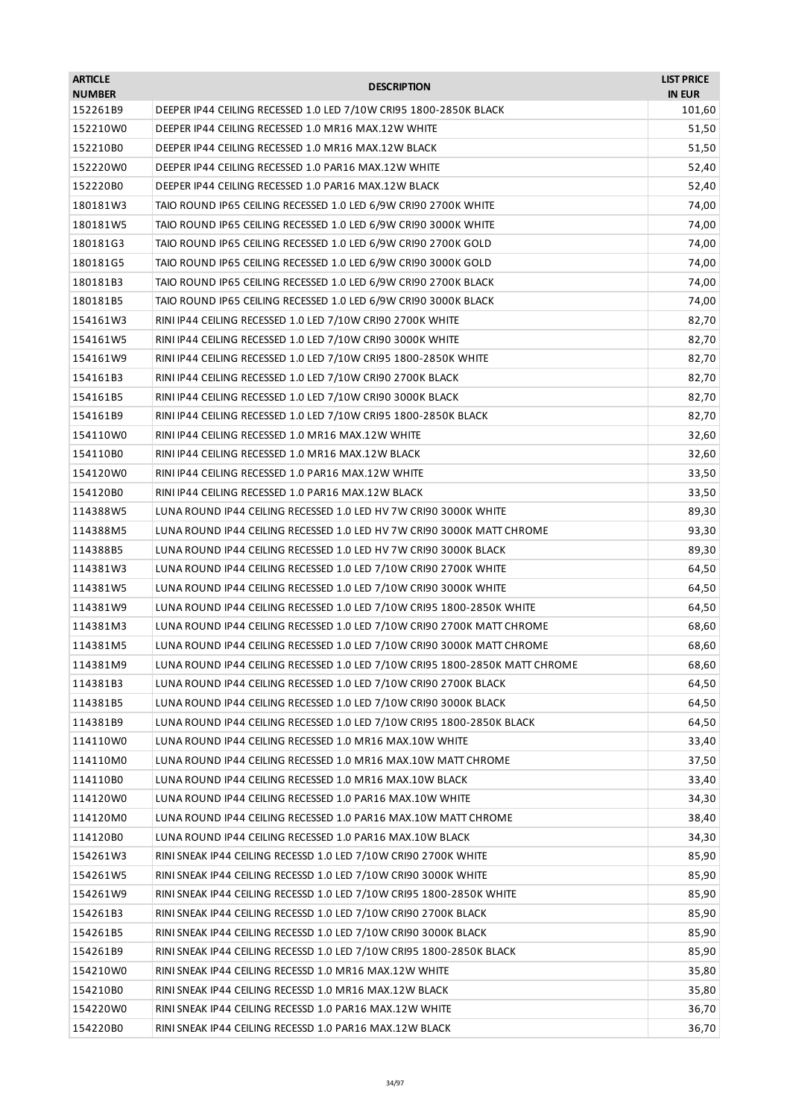| <b>ARTICLE</b><br><b>NUMBER</b> | <b>DESCRIPTION</b>                                                          | <b>LIST PRICE</b><br><b>IN EUR</b> |
|---------------------------------|-----------------------------------------------------------------------------|------------------------------------|
| 152261B9                        | DEEPER IP44 CEILING RECESSED 1.0 LED 7/10W CRI95 1800-2850K BLACK           | 101,60                             |
| 152210W0                        | DEEPER IP44 CEILING RECESSED 1.0 MR16 MAX.12W WHITE                         | 51,50                              |
| 152210B0                        | DEEPER IP44 CEILING RECESSED 1.0 MR16 MAX.12W BLACK                         | 51,50                              |
| 152220W0                        | DEEPER IP44 CEILING RECESSED 1.0 PAR16 MAX.12W WHITE                        | 52,40                              |
| 152220B0                        | DEEPER IP44 CEILING RECESSED 1.0 PAR16 MAX.12W BLACK                        | 52,40                              |
| 180181W3                        | TAIO ROUND IP65 CEILING RECESSED 1.0 LED 6/9W CRI90 2700K WHITE             | 74,00                              |
| 180181W5                        | TAIO ROUND IP65 CEILING RECESSED 1.0 LED 6/9W CRI90 3000K WHITE             | 74,00                              |
| 180181G3                        | TAIO ROUND IP65 CEILING RECESSED 1.0 LED 6/9W CRI90 2700K GOLD              | 74,00                              |
| 180181G5                        | TAIO ROUND IP65 CEILING RECESSED 1.0 LED 6/9W CRI90 3000K GOLD              | 74,00                              |
| 180181B3                        | TAIO ROUND IP65 CEILING RECESSED 1.0 LED 6/9W CRI90 2700K BLACK             | 74,00                              |
| 180181B5                        | TAIO ROUND IP65 CEILING RECESSED 1.0 LED 6/9W CRI90 3000K BLACK             | 74,00                              |
| 154161W3                        | RINI IP44 CEILING RECESSED 1.0 LED 7/10W CRI90 2700K WHITE                  | 82,70                              |
| 154161W5                        | RINI IP44 CEILING RECESSED 1.0 LED 7/10W CRI90 3000K WHITE                  | 82,70                              |
| 154161W9                        | RINI IP44 CEILING RECESSED 1.0 LED 7/10W CRI95 1800-2850K WHITE             | 82,70                              |
| 154161B3                        | RINI IP44 CEILING RECESSED 1.0 LED 7/10W CRI90 2700K BLACK                  | 82,70                              |
| 154161B5                        | RINI IP44 CEILING RECESSED 1.0 LED 7/10W CRI90 3000K BLACK                  | 82,70                              |
| 154161B9                        | RINI IP44 CEILING RECESSED 1.0 LED 7/10W CRI95 1800-2850K BLACK             | 82,70                              |
| 154110W0                        | RINI IP44 CEILING RECESSED 1.0 MR16 MAX.12W WHITE                           | 32,60                              |
| 154110B0                        | RINI IP44 CEILING RECESSED 1.0 MR16 MAX.12W BLACK                           | 32,60                              |
| 154120W0                        | RINI IP44 CEILING RECESSED 1.0 PAR16 MAX.12W WHITE                          | 33,50                              |
| 154120B0                        | RINI IP44 CEILING RECESSED 1.0 PAR16 MAX.12W BLACK                          | 33,50                              |
| 114388W5                        | LUNA ROUND IP44 CEILING RECESSED 1.0 LED HV 7W CRI90 3000K WHITE            | 89,30                              |
| 114388M5                        | LUNA ROUND IP44 CEILING RECESSED 1.0 LED HV 7W CRI90 3000K MATT CHROME      | 93,30                              |
| 114388B5                        | LUNA ROUND IP44 CEILING RECESSED 1.0 LED HV 7W CRI90 3000K BLACK            | 89,30                              |
| 114381W3                        | LUNA ROUND IP44 CEILING RECESSED 1.0 LED 7/10W CRI90 2700K WHITE            | 64,50                              |
| 114381W5                        | LUNA ROUND IP44 CEILING RECESSED 1.0 LED 7/10W CRI90 3000K WHITE            | 64,50                              |
| 114381W9                        | LUNA ROUND IP44 CEILING RECESSED 1.0 LED 7/10W CRI95 1800-2850K WHITE       | 64,50                              |
| 114381M3                        | LUNA ROUND IP44 CEILING RECESSED 1.0 LED 7/10W CRI90 2700K MATT CHROME      | 68,60                              |
| 114381M5                        | LUNA ROUND IP44 CEILING RECESSED 1.0 LED 7/10W CRI90 3000K MATT CHROME      | 68,60                              |
| 114381M9                        | LUNA ROUND IP44 CEILING RECESSED 1.0 LED 7/10W CRI95 1800-2850K MATT CHROME | 68,60                              |
| 114381B3                        | LUNA ROUND IP44 CEILING RECESSED 1.0 LED 7/10W CRI90 2700K BLACK            | 64,50                              |
| 114381B5                        | LUNA ROUND IP44 CEILING RECESSED 1.0 LED 7/10W CRI90 3000K BLACK            | 64,50                              |
| 114381B9                        | LUNA ROUND IP44 CEILING RECESSED 1.0 LED 7/10W CRI95 1800-2850K BLACK       | 64,50                              |
| 114110W0                        | LUNA ROUND IP44 CEILING RECESSED 1.0 MR16 MAX.10W WHITE                     | 33,40                              |
| 114110M0                        | LUNA ROUND IP44 CEILING RECESSED 1.0 MR16 MAX.10W MATT CHROME               | 37,50                              |
| 114110B0                        | LUNA ROUND IP44 CEILING RECESSED 1.0 MR16 MAX.10W BLACK                     | 33,40                              |
| 114120W0                        | LUNA ROUND IP44 CEILING RECESSED 1.0 PAR16 MAX.10W WHITE                    | 34,30                              |
| 114120M0                        | LUNA ROUND IP44 CEILING RECESSED 1.0 PAR16 MAX.10W MATT CHROME              | 38,40                              |
| 114120B0                        | LUNA ROUND IP44 CEILING RECESSED 1.0 PAR16 MAX.10W BLACK                    | 34,30                              |
| 154261W3                        | RINI SNEAK IP44 CEILING RECESSD 1.0 LED 7/10W CRI90 2700K WHITE             | 85,90                              |
| 154261W5                        | RINI SNEAK IP44 CEILING RECESSD 1.0 LED 7/10W CRI90 3000K WHITE             | 85,90                              |
| 154261W9                        | RINI SNEAK IP44 CEILING RECESSD 1.0 LED 7/10W CRI95 1800-2850K WHITE        | 85,90                              |
| 154261B3                        | RINI SNEAK IP44 CEILING RECESSD 1.0 LED 7/10W CRI90 2700K BLACK             | 85,90                              |
| 154261B5                        | RINI SNEAK IP44 CEILING RECESSD 1.0 LED 7/10W CRI90 3000K BLACK             | 85,90                              |
| 154261B9                        | RINI SNEAK IP44 CEILING RECESSD 1.0 LED 7/10W CRI95 1800-2850K BLACK        | 85,90                              |
| 154210W0                        | RINI SNEAK IP44 CEILING RECESSD 1.0 MR16 MAX.12W WHITE                      | 35,80                              |
| 154210B0                        | RINI SNEAK IP44 CEILING RECESSD 1.0 MR16 MAX.12W BLACK                      | 35,80                              |
| 154220W0                        | RINI SNEAK IP44 CEILING RECESSD 1.0 PAR16 MAX.12W WHITE                     | 36,70                              |
| 154220B0                        | RINI SNEAK IP44 CEILING RECESSD 1.0 PAR16 MAX.12W BLACK                     | 36,70                              |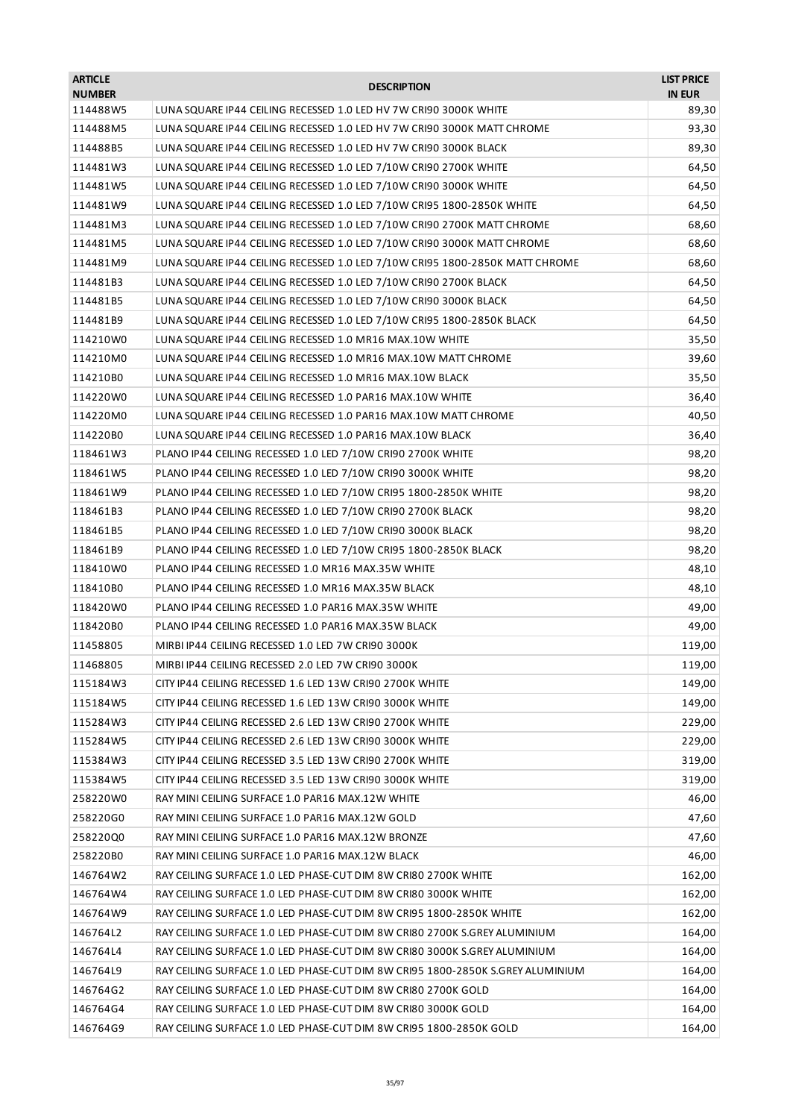| <b>ARTICLE</b><br><b>NUMBER</b> | <b>DESCRIPTION</b>                                                             | <b>LIST PRICE</b><br><b>IN EUR</b> |
|---------------------------------|--------------------------------------------------------------------------------|------------------------------------|
| 114488W5                        | LUNA SQUARE IP44 CEILING RECESSED 1.0 LED HV 7W CRI90 3000K WHITE              | 89,30                              |
| 114488M5                        | LUNA SQUARE IP44 CEILING RECESSED 1.0 LED HV 7W CRI90 3000K MATT CHROME        | 93,30                              |
| 114488B5                        | LUNA SQUARE IP44 CEILING RECESSED 1.0 LED HV 7W CRI90 3000K BLACK              | 89,30                              |
| 114481W3                        | LUNA SQUARE IP44 CEILING RECESSED 1.0 LED 7/10W CRI90 2700K WHITE              | 64,50                              |
| 114481W5                        | LUNA SQUARE IP44 CEILING RECESSED 1.0 LED 7/10W CRI90 3000K WHITE              | 64,50                              |
| 114481W9                        | LUNA SQUARE IP44 CEILING RECESSED 1.0 LED 7/10W CRI95 1800-2850K WHITE         | 64,50                              |
| 114481M3                        | LUNA SQUARE IP44 CEILING RECESSED 1.0 LED 7/10W CRI90 2700K MATT CHROME        | 68,60                              |
| 114481M5                        | LUNA SQUARE IP44 CEILING RECESSED 1.0 LED 7/10W CRI90 3000K MATT CHROME        | 68,60                              |
| 114481M9                        | LUNA SQUARE IP44 CEILING RECESSED 1.0 LED 7/10W CRI95 1800-2850K MATT CHROME   | 68,60                              |
| 114481B3                        | LUNA SQUARE IP44 CEILING RECESSED 1.0 LED 7/10W CRI90 2700K BLACK              | 64,50                              |
| 114481B5                        | LUNA SQUARE IP44 CEILING RECESSED 1.0 LED 7/10W CRI90 3000K BLACK              | 64,50                              |
| 114481B9                        | LUNA SQUARE IP44 CEILING RECESSED 1.0 LED 7/10W CRI95 1800-2850K BLACK         | 64,50                              |
| 114210W0                        | LUNA SQUARE IP44 CEILING RECESSED 1.0 MR16 MAX.10W WHITE                       | 35,50                              |
| 114210M0                        | LUNA SQUARE IP44 CEILING RECESSED 1.0 MR16 MAX.10W MATT CHROME                 | 39,60                              |
| 114210B0                        | LUNA SQUARE IP44 CEILING RECESSED 1.0 MR16 MAX.10W BLACK                       | 35,50                              |
| 114220W0                        | LUNA SQUARE IP44 CEILING RECESSED 1.0 PAR16 MAX.10W WHITE                      | 36,40                              |
| 114220M0                        | LUNA SQUARE IP44 CEILING RECESSED 1.0 PAR16 MAX.10W MATT CHROME                | 40,50                              |
| 114220B0                        | LUNA SQUARE IP44 CEILING RECESSED 1.0 PAR16 MAX.10W BLACK                      | 36,40                              |
| 118461W3                        | PLANO IP44 CEILING RECESSED 1.0 LED 7/10W CRI90 2700K WHITE                    | 98,20                              |
| 118461W5                        | PLANO IP44 CEILING RECESSED 1.0 LED 7/10W CRI90 3000K WHITE                    | 98,20                              |
| 118461W9                        | PLANO IP44 CEILING RECESSED 1.0 LED 7/10W CRI95 1800-2850K WHITE               | 98,20                              |
| 118461B3                        | PLANO IP44 CEILING RECESSED 1.0 LED 7/10W CRI90 2700K BLACK                    | 98,20                              |
| 118461B5                        | PLANO IP44 CEILING RECESSED 1.0 LED 7/10W CRI90 3000K BLACK                    | 98,20                              |
| 118461B9                        | PLANO IP44 CEILING RECESSED 1.0 LED 7/10W CRI95 1800-2850K BLACK               | 98,20                              |
| 118410W0                        | PLANO IP44 CEILING RECESSED 1.0 MR16 MAX.35W WHITE                             | 48,10                              |
| 118410B0                        | PLANO IP44 CEILING RECESSED 1.0 MR16 MAX.35W BLACK                             | 48,10                              |
| 118420W0                        | PLANO IP44 CEILING RECESSED 1.0 PAR16 MAX.35W WHITE                            | 49,00                              |
| 118420B0                        | PLANO IP44 CEILING RECESSED 1.0 PAR16 MAX.35W BLACK                            | 49,00                              |
| 11458805                        | MIRBI IP44 CEILING RECESSED 1.0 LED 7W CRI90 3000K                             | 119,00                             |
| 11468805                        | MIRBI IP44 CEILING RECESSED 2.0 LED 7W CRI90 3000K                             | 119,00                             |
| 115184W3                        | CITY IP44 CEILING RECESSED 1.6 LED 13W CRI90 2700K WHITE                       | 149,00                             |
| 115184W5                        | CITY IP44 CEILING RECESSED 1.6 LED 13W CRI90 3000K WHITE                       | 149,00                             |
| 115284W3                        | CITY IP44 CEILING RECESSED 2.6 LED 13W CRI90 2700K WHITE                       | 229,00                             |
| 115284W5                        | CITY IP44 CEILING RECESSED 2.6 LED 13W CRI90 3000K WHITE                       | 229,00                             |
| 115384W3                        | CITY IP44 CEILING RECESSED 3.5 LED 13W CRI90 2700K WHITE                       | 319,00                             |
| 115384W5                        | CITY IP44 CEILING RECESSED 3.5 LED 13W CRI90 3000K WHITE                       | 319,00                             |
| 258220W0                        | RAY MINI CEILING SURFACE 1.0 PAR16 MAX.12W WHITE                               | 46,00                              |
| 258220G0                        | RAY MINI CEILING SURFACE 1.0 PAR16 MAX.12W GOLD                                | 47,60                              |
| 258220Q0                        | RAY MINI CEILING SURFACE 1.0 PAR16 MAX.12W BRONZE                              | 47,60                              |
| 258220B0                        | RAY MINI CEILING SURFACE 1.0 PAR16 MAX.12W BLACK                               | 46,00                              |
| 146764W2                        | RAY CEILING SURFACE 1.0 LED PHASE-CUT DIM 8W CRI80 2700K WHITE                 | 162,00                             |
| 146764W4                        | RAY CEILING SURFACE 1.0 LED PHASE-CUT DIM 8W CRI80 3000K WHITE                 | 162,00                             |
| 146764W9                        | RAY CEILING SURFACE 1.0 LED PHASE-CUT DIM 8W CRI95 1800-2850K WHITE            | 162,00                             |
| 146764L2                        | RAY CEILING SURFACE 1.0 LED PHASE-CUT DIM 8W CRI80 2700K S.GREY ALUMINIUM      | 164,00                             |
| 146764L4                        | RAY CEILING SURFACE 1.0 LED PHASE-CUT DIM 8W CRI80 3000K S.GREY ALUMINIUM      | 164,00                             |
| 146764L9                        | RAY CEILING SURFACE 1.0 LED PHASE-CUT DIM 8W CRI95 1800-2850K S.GREY ALUMINIUM | 164,00                             |
| 146764G2                        | RAY CEILING SURFACE 1.0 LED PHASE-CUT DIM 8W CRI80 2700K GOLD                  | 164,00                             |
| 146764G4                        | RAY CEILING SURFACE 1.0 LED PHASE-CUT DIM 8W CRI80 3000K GOLD                  | 164,00                             |
| 146764G9                        | RAY CEILING SURFACE 1.0 LED PHASE-CUT DIM 8W CRI95 1800-2850K GOLD             | 164,00                             |
|                                 |                                                                                |                                    |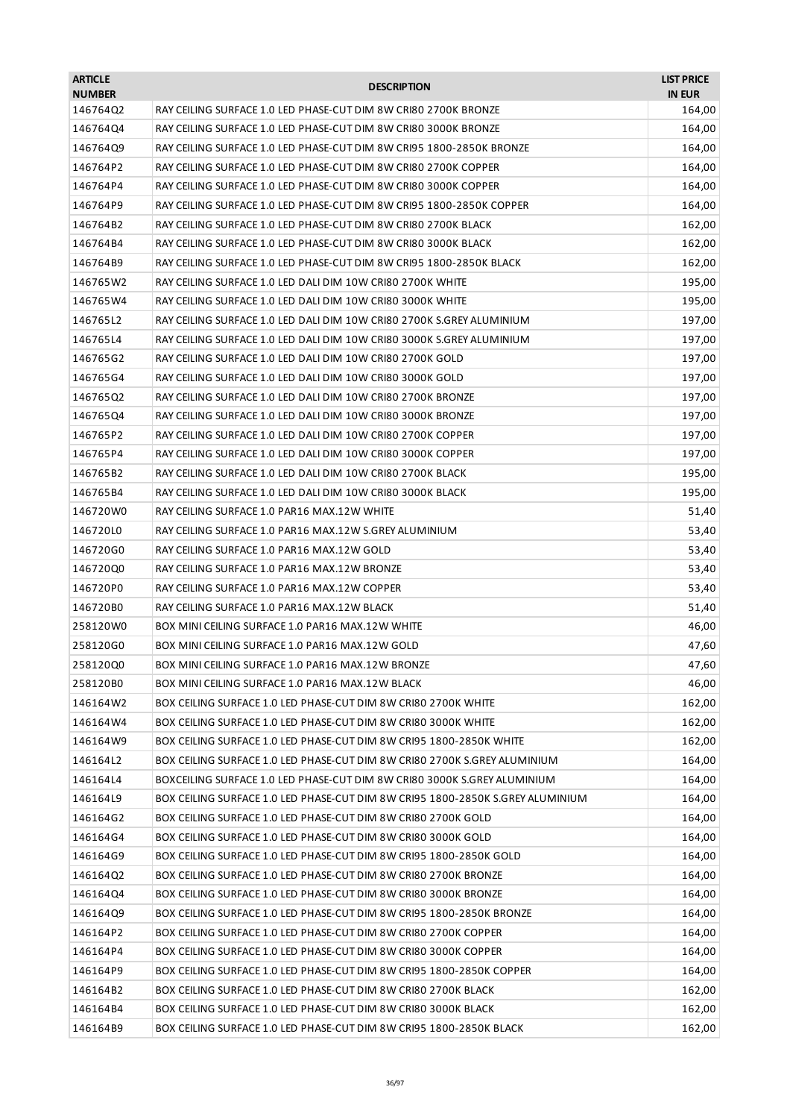| RAY CEILING SURFACE 1.0 LED PHASE-CUT DIM 8W CRI80 2700K BRONZE<br>146764Q2<br>164,00<br>146764Q4<br>RAY CEILING SURFACE 1.0 LED PHASE-CUT DIM 8W CRI80 3000K BRONZE<br>164,00<br>RAY CEILING SURFACE 1.0 LED PHASE-CUT DIM 8W CRI95 1800-2850K BRONZE<br>164,00<br>146764Q9<br>146764P2<br>RAY CEILING SURFACE 1.0 LED PHASE-CUT DIM 8W CRI80 2700K COPPER<br>164,00<br>146764P4<br>RAY CEILING SURFACE 1.0 LED PHASE-CUT DIM 8W CRI80 3000K COPPER<br>164,00<br>RAY CEILING SURFACE 1.0 LED PHASE-CUT DIM 8W CRI95 1800-2850K COPPER<br>164,00<br>146764P9<br>146764B2<br>RAY CEILING SURFACE 1.0 LED PHASE-CUT DIM 8W CRI80 2700K BLACK<br>162,00<br>146764B4<br>RAY CEILING SURFACE 1.0 LED PHASE-CUT DIM 8W CRI80 3000K BLACK<br>162,00<br>146764B9<br>RAY CEILING SURFACE 1.0 LED PHASE-CUT DIM 8W CRI95 1800-2850K BLACK<br>162,00<br>146765W2<br>RAY CEILING SURFACE 1.0 LED DALI DIM 10W CRI80 2700K WHITE<br>195,00<br>RAY CEILING SURFACE 1.0 LED DALI DIM 10W CRI80 3000K WHITE<br>195,00<br>146765W4<br>146765L2<br>RAY CEILING SURFACE 1.0 LED DALI DIM 10W CRI80 2700K S.GREY ALUMINIUM<br>197,00<br>146765L4<br>197,00<br>RAY CEILING SURFACE 1.0 LED DALI DIM 10W CRI80 3000K S.GREY ALUMINIUM<br>146765G2<br>RAY CEILING SURFACE 1.0 LED DALI DIM 10W CRI80 2700K GOLD<br>197,00<br>146765G4<br>RAY CEILING SURFACE 1.0 LED DALI DIM 10W CRI80 3000K GOLD<br>197,00<br>RAY CEILING SURFACE 1.0 LED DALI DIM 10W CRI80 2700K BRONZE<br>197,00<br>146765Q2<br>14676504<br>RAY CEILING SURFACE 1.0 LED DALI DIM 10W CRI80 3000K BRONZE<br>197,00<br>146765P2<br>RAY CEILING SURFACE 1.0 LED DALI DIM 10W CRI80 2700K COPPER<br>197,00<br>146765P4<br>RAY CEILING SURFACE 1.0 LED DALI DIM 10W CRI80 3000K COPPER<br>197,00<br>146765B2<br>RAY CEILING SURFACE 1.0 LED DALI DIM 10W CRI80 2700K BLACK<br>195,00<br>RAY CEILING SURFACE 1.0 LED DALI DIM 10W CRI80 3000K BLACK<br>195,00<br>146765B4<br>146720W0<br>RAY CEILING SURFACE 1.0 PAR16 MAX.12W WHITE<br>51,40<br>146720L0<br>RAY CEILING SURFACE 1.0 PAR16 MAX.12W S.GREY ALUMINIUM<br>53,40<br>146720G0<br>RAY CEILING SURFACE 1.0 PAR16 MAX.12W GOLD<br>53,40<br>RAY CEILING SURFACE 1.0 PAR16 MAX.12W BRONZE<br>146720Q0<br>53,40<br>146720P0<br>53,40<br>RAY CEILING SURFACE 1.0 PAR16 MAX.12W COPPER<br>146720B0<br>RAY CEILING SURFACE 1.0 PAR16 MAX.12W BLACK<br>51,40<br>46,00<br>258120W0<br>BOX MINI CEILING SURFACE 1.0 PAR16 MAX.12W WHITE<br>258120G0<br>BOX MINI CEILING SURFACE 1.0 PAR16 MAX.12W GOLD<br>47,60<br>258120Q0<br>BOX MINI CEILING SURFACE 1.0 PAR16 MAX.12W BRONZE<br>47,60<br>BOX MINI CEILING SURFACE 1.0 PAR16 MAX.12W BLACK<br>46,00<br>258120B0<br>146164W2<br>BOX CEILING SURFACE 1.0 LED PHASE-CUT DIM 8W CRI80 2700K WHITE<br>162,00<br>146164W4<br>BOX CEILING SURFACE 1.0 LED PHASE-CUT DIM 8W CRI80 3000K WHITE<br>162,00<br>BOX CEILING SURFACE 1.0 LED PHASE-CUT DIM 8W CRI95 1800-2850K WHITE<br>162,00<br>146164W9<br>164,00<br>146164L2<br>BOX CEILING SURFACE 1.0 LED PHASE-CUT DIM 8W CRI80 2700K S.GREY ALUMINIUM<br>146164L4<br>BOXCEILING SURFACE 1.0 LED PHASE-CUT DIM 8W CRI80 3000K S.GREY ALUMINIUM<br>164,00<br>BOX CEILING SURFACE 1.0 LED PHASE-CUT DIM 8W CRI95 1800-2850K S.GREY ALUMINIUM<br>164,00<br>146164L9<br>146164G2<br>BOX CEILING SURFACE 1.0 LED PHASE-CUT DIM 8W CRI80 2700K GOLD<br>164,00<br>146164G4<br>BOX CEILING SURFACE 1.0 LED PHASE-CUT DIM 8W CRI80 3000K GOLD<br>164,00<br>164,00<br>146164G9<br>BOX CEILING SURFACE 1.0 LED PHASE-CUT DIM 8W CRI95 1800-2850K GOLD<br>146164Q2<br>BOX CEILING SURFACE 1.0 LED PHASE-CUT DIM 8W CRI80 2700K BRONZE<br>164,00<br>BOX CEILING SURFACE 1.0 LED PHASE-CUT DIM 8W CRI80 3000K BRONZE<br>146164Q4<br>164,00<br>146164Q9<br>BOX CEILING SURFACE 1.0 LED PHASE-CUT DIM 8W CRI95 1800-2850K BRONZE<br>164,00<br>146164P2<br>BOX CEILING SURFACE 1.0 LED PHASE-CUT DIM 8W CRI80 2700K COPPER<br>164,00<br>146164P4<br>BOX CEILING SURFACE 1.0 LED PHASE-CUT DIM 8W CRI80 3000K COPPER<br>164,00<br>146164P9<br>BOX CEILING SURFACE 1.0 LED PHASE-CUT DIM 8W CRI95 1800-2850K COPPER<br>164,00<br>BOX CEILING SURFACE 1.0 LED PHASE-CUT DIM 8W CRI80 2700K BLACK<br>162,00<br>146164B2<br>146164B4<br>BOX CEILING SURFACE 1.0 LED PHASE-CUT DIM 8W CRI80 3000K BLACK<br>162,00 | <b>ARTICLE</b><br><b>NUMBER</b> | <b>DESCRIPTION</b>                                                  | <b>LIST PRICE</b><br><b>IN EUR</b> |
|-------------------------------------------------------------------------------------------------------------------------------------------------------------------------------------------------------------------------------------------------------------------------------------------------------------------------------------------------------------------------------------------------------------------------------------------------------------------------------------------------------------------------------------------------------------------------------------------------------------------------------------------------------------------------------------------------------------------------------------------------------------------------------------------------------------------------------------------------------------------------------------------------------------------------------------------------------------------------------------------------------------------------------------------------------------------------------------------------------------------------------------------------------------------------------------------------------------------------------------------------------------------------------------------------------------------------------------------------------------------------------------------------------------------------------------------------------------------------------------------------------------------------------------------------------------------------------------------------------------------------------------------------------------------------------------------------------------------------------------------------------------------------------------------------------------------------------------------------------------------------------------------------------------------------------------------------------------------------------------------------------------------------------------------------------------------------------------------------------------------------------------------------------------------------------------------------------------------------------------------------------------------------------------------------------------------------------------------------------------------------------------------------------------------------------------------------------------------------------------------------------------------------------------------------------------------------------------------------------------------------------------------------------------------------------------------------------------------------------------------------------------------------------------------------------------------------------------------------------------------------------------------------------------------------------------------------------------------------------------------------------------------------------------------------------------------------------------------------------------------------------------------------------------------------------------------------------------------------------------------------------------------------------------------------------------------------------------------------------------------------------------------------------------------------------------------------------------------------------------------------------------------------------------------------------------------------------------------------------------------------------------------------------------------------------------------------------------------------------------------------------------------------------------------------------------------------------------------------------------------------------------------------------------------------------------------------------------------------------------------------------------------------------------------------------------------------------------------------------------------------------------------------------------------------------------------------------------------------------------------------------------------------------|---------------------------------|---------------------------------------------------------------------|------------------------------------|
|                                                                                                                                                                                                                                                                                                                                                                                                                                                                                                                                                                                                                                                                                                                                                                                                                                                                                                                                                                                                                                                                                                                                                                                                                                                                                                                                                                                                                                                                                                                                                                                                                                                                                                                                                                                                                                                                                                                                                                                                                                                                                                                                                                                                                                                                                                                                                                                                                                                                                                                                                                                                                                                                                                                                                                                                                                                                                                                                                                                                                                                                                                                                                                                                                                                                                                                                                                                                                                                                                                                                                                                                                                                                                                                                                                                                                                                                                                                                                                                                                                                                                                                                                                                                                                                                               |                                 |                                                                     |                                    |
|                                                                                                                                                                                                                                                                                                                                                                                                                                                                                                                                                                                                                                                                                                                                                                                                                                                                                                                                                                                                                                                                                                                                                                                                                                                                                                                                                                                                                                                                                                                                                                                                                                                                                                                                                                                                                                                                                                                                                                                                                                                                                                                                                                                                                                                                                                                                                                                                                                                                                                                                                                                                                                                                                                                                                                                                                                                                                                                                                                                                                                                                                                                                                                                                                                                                                                                                                                                                                                                                                                                                                                                                                                                                                                                                                                                                                                                                                                                                                                                                                                                                                                                                                                                                                                                                               |                                 |                                                                     |                                    |
|                                                                                                                                                                                                                                                                                                                                                                                                                                                                                                                                                                                                                                                                                                                                                                                                                                                                                                                                                                                                                                                                                                                                                                                                                                                                                                                                                                                                                                                                                                                                                                                                                                                                                                                                                                                                                                                                                                                                                                                                                                                                                                                                                                                                                                                                                                                                                                                                                                                                                                                                                                                                                                                                                                                                                                                                                                                                                                                                                                                                                                                                                                                                                                                                                                                                                                                                                                                                                                                                                                                                                                                                                                                                                                                                                                                                                                                                                                                                                                                                                                                                                                                                                                                                                                                                               |                                 |                                                                     |                                    |
|                                                                                                                                                                                                                                                                                                                                                                                                                                                                                                                                                                                                                                                                                                                                                                                                                                                                                                                                                                                                                                                                                                                                                                                                                                                                                                                                                                                                                                                                                                                                                                                                                                                                                                                                                                                                                                                                                                                                                                                                                                                                                                                                                                                                                                                                                                                                                                                                                                                                                                                                                                                                                                                                                                                                                                                                                                                                                                                                                                                                                                                                                                                                                                                                                                                                                                                                                                                                                                                                                                                                                                                                                                                                                                                                                                                                                                                                                                                                                                                                                                                                                                                                                                                                                                                                               |                                 |                                                                     |                                    |
|                                                                                                                                                                                                                                                                                                                                                                                                                                                                                                                                                                                                                                                                                                                                                                                                                                                                                                                                                                                                                                                                                                                                                                                                                                                                                                                                                                                                                                                                                                                                                                                                                                                                                                                                                                                                                                                                                                                                                                                                                                                                                                                                                                                                                                                                                                                                                                                                                                                                                                                                                                                                                                                                                                                                                                                                                                                                                                                                                                                                                                                                                                                                                                                                                                                                                                                                                                                                                                                                                                                                                                                                                                                                                                                                                                                                                                                                                                                                                                                                                                                                                                                                                                                                                                                                               |                                 |                                                                     |                                    |
|                                                                                                                                                                                                                                                                                                                                                                                                                                                                                                                                                                                                                                                                                                                                                                                                                                                                                                                                                                                                                                                                                                                                                                                                                                                                                                                                                                                                                                                                                                                                                                                                                                                                                                                                                                                                                                                                                                                                                                                                                                                                                                                                                                                                                                                                                                                                                                                                                                                                                                                                                                                                                                                                                                                                                                                                                                                                                                                                                                                                                                                                                                                                                                                                                                                                                                                                                                                                                                                                                                                                                                                                                                                                                                                                                                                                                                                                                                                                                                                                                                                                                                                                                                                                                                                                               |                                 |                                                                     |                                    |
|                                                                                                                                                                                                                                                                                                                                                                                                                                                                                                                                                                                                                                                                                                                                                                                                                                                                                                                                                                                                                                                                                                                                                                                                                                                                                                                                                                                                                                                                                                                                                                                                                                                                                                                                                                                                                                                                                                                                                                                                                                                                                                                                                                                                                                                                                                                                                                                                                                                                                                                                                                                                                                                                                                                                                                                                                                                                                                                                                                                                                                                                                                                                                                                                                                                                                                                                                                                                                                                                                                                                                                                                                                                                                                                                                                                                                                                                                                                                                                                                                                                                                                                                                                                                                                                                               |                                 |                                                                     |                                    |
|                                                                                                                                                                                                                                                                                                                                                                                                                                                                                                                                                                                                                                                                                                                                                                                                                                                                                                                                                                                                                                                                                                                                                                                                                                                                                                                                                                                                                                                                                                                                                                                                                                                                                                                                                                                                                                                                                                                                                                                                                                                                                                                                                                                                                                                                                                                                                                                                                                                                                                                                                                                                                                                                                                                                                                                                                                                                                                                                                                                                                                                                                                                                                                                                                                                                                                                                                                                                                                                                                                                                                                                                                                                                                                                                                                                                                                                                                                                                                                                                                                                                                                                                                                                                                                                                               |                                 |                                                                     |                                    |
|                                                                                                                                                                                                                                                                                                                                                                                                                                                                                                                                                                                                                                                                                                                                                                                                                                                                                                                                                                                                                                                                                                                                                                                                                                                                                                                                                                                                                                                                                                                                                                                                                                                                                                                                                                                                                                                                                                                                                                                                                                                                                                                                                                                                                                                                                                                                                                                                                                                                                                                                                                                                                                                                                                                                                                                                                                                                                                                                                                                                                                                                                                                                                                                                                                                                                                                                                                                                                                                                                                                                                                                                                                                                                                                                                                                                                                                                                                                                                                                                                                                                                                                                                                                                                                                                               |                                 |                                                                     |                                    |
|                                                                                                                                                                                                                                                                                                                                                                                                                                                                                                                                                                                                                                                                                                                                                                                                                                                                                                                                                                                                                                                                                                                                                                                                                                                                                                                                                                                                                                                                                                                                                                                                                                                                                                                                                                                                                                                                                                                                                                                                                                                                                                                                                                                                                                                                                                                                                                                                                                                                                                                                                                                                                                                                                                                                                                                                                                                                                                                                                                                                                                                                                                                                                                                                                                                                                                                                                                                                                                                                                                                                                                                                                                                                                                                                                                                                                                                                                                                                                                                                                                                                                                                                                                                                                                                                               |                                 |                                                                     |                                    |
|                                                                                                                                                                                                                                                                                                                                                                                                                                                                                                                                                                                                                                                                                                                                                                                                                                                                                                                                                                                                                                                                                                                                                                                                                                                                                                                                                                                                                                                                                                                                                                                                                                                                                                                                                                                                                                                                                                                                                                                                                                                                                                                                                                                                                                                                                                                                                                                                                                                                                                                                                                                                                                                                                                                                                                                                                                                                                                                                                                                                                                                                                                                                                                                                                                                                                                                                                                                                                                                                                                                                                                                                                                                                                                                                                                                                                                                                                                                                                                                                                                                                                                                                                                                                                                                                               |                                 |                                                                     |                                    |
|                                                                                                                                                                                                                                                                                                                                                                                                                                                                                                                                                                                                                                                                                                                                                                                                                                                                                                                                                                                                                                                                                                                                                                                                                                                                                                                                                                                                                                                                                                                                                                                                                                                                                                                                                                                                                                                                                                                                                                                                                                                                                                                                                                                                                                                                                                                                                                                                                                                                                                                                                                                                                                                                                                                                                                                                                                                                                                                                                                                                                                                                                                                                                                                                                                                                                                                                                                                                                                                                                                                                                                                                                                                                                                                                                                                                                                                                                                                                                                                                                                                                                                                                                                                                                                                                               |                                 |                                                                     |                                    |
|                                                                                                                                                                                                                                                                                                                                                                                                                                                                                                                                                                                                                                                                                                                                                                                                                                                                                                                                                                                                                                                                                                                                                                                                                                                                                                                                                                                                                                                                                                                                                                                                                                                                                                                                                                                                                                                                                                                                                                                                                                                                                                                                                                                                                                                                                                                                                                                                                                                                                                                                                                                                                                                                                                                                                                                                                                                                                                                                                                                                                                                                                                                                                                                                                                                                                                                                                                                                                                                                                                                                                                                                                                                                                                                                                                                                                                                                                                                                                                                                                                                                                                                                                                                                                                                                               |                                 |                                                                     |                                    |
|                                                                                                                                                                                                                                                                                                                                                                                                                                                                                                                                                                                                                                                                                                                                                                                                                                                                                                                                                                                                                                                                                                                                                                                                                                                                                                                                                                                                                                                                                                                                                                                                                                                                                                                                                                                                                                                                                                                                                                                                                                                                                                                                                                                                                                                                                                                                                                                                                                                                                                                                                                                                                                                                                                                                                                                                                                                                                                                                                                                                                                                                                                                                                                                                                                                                                                                                                                                                                                                                                                                                                                                                                                                                                                                                                                                                                                                                                                                                                                                                                                                                                                                                                                                                                                                                               |                                 |                                                                     |                                    |
|                                                                                                                                                                                                                                                                                                                                                                                                                                                                                                                                                                                                                                                                                                                                                                                                                                                                                                                                                                                                                                                                                                                                                                                                                                                                                                                                                                                                                                                                                                                                                                                                                                                                                                                                                                                                                                                                                                                                                                                                                                                                                                                                                                                                                                                                                                                                                                                                                                                                                                                                                                                                                                                                                                                                                                                                                                                                                                                                                                                                                                                                                                                                                                                                                                                                                                                                                                                                                                                                                                                                                                                                                                                                                                                                                                                                                                                                                                                                                                                                                                                                                                                                                                                                                                                                               |                                 |                                                                     |                                    |
|                                                                                                                                                                                                                                                                                                                                                                                                                                                                                                                                                                                                                                                                                                                                                                                                                                                                                                                                                                                                                                                                                                                                                                                                                                                                                                                                                                                                                                                                                                                                                                                                                                                                                                                                                                                                                                                                                                                                                                                                                                                                                                                                                                                                                                                                                                                                                                                                                                                                                                                                                                                                                                                                                                                                                                                                                                                                                                                                                                                                                                                                                                                                                                                                                                                                                                                                                                                                                                                                                                                                                                                                                                                                                                                                                                                                                                                                                                                                                                                                                                                                                                                                                                                                                                                                               |                                 |                                                                     |                                    |
|                                                                                                                                                                                                                                                                                                                                                                                                                                                                                                                                                                                                                                                                                                                                                                                                                                                                                                                                                                                                                                                                                                                                                                                                                                                                                                                                                                                                                                                                                                                                                                                                                                                                                                                                                                                                                                                                                                                                                                                                                                                                                                                                                                                                                                                                                                                                                                                                                                                                                                                                                                                                                                                                                                                                                                                                                                                                                                                                                                                                                                                                                                                                                                                                                                                                                                                                                                                                                                                                                                                                                                                                                                                                                                                                                                                                                                                                                                                                                                                                                                                                                                                                                                                                                                                                               |                                 |                                                                     |                                    |
|                                                                                                                                                                                                                                                                                                                                                                                                                                                                                                                                                                                                                                                                                                                                                                                                                                                                                                                                                                                                                                                                                                                                                                                                                                                                                                                                                                                                                                                                                                                                                                                                                                                                                                                                                                                                                                                                                                                                                                                                                                                                                                                                                                                                                                                                                                                                                                                                                                                                                                                                                                                                                                                                                                                                                                                                                                                                                                                                                                                                                                                                                                                                                                                                                                                                                                                                                                                                                                                                                                                                                                                                                                                                                                                                                                                                                                                                                                                                                                                                                                                                                                                                                                                                                                                                               |                                 |                                                                     |                                    |
|                                                                                                                                                                                                                                                                                                                                                                                                                                                                                                                                                                                                                                                                                                                                                                                                                                                                                                                                                                                                                                                                                                                                                                                                                                                                                                                                                                                                                                                                                                                                                                                                                                                                                                                                                                                                                                                                                                                                                                                                                                                                                                                                                                                                                                                                                                                                                                                                                                                                                                                                                                                                                                                                                                                                                                                                                                                                                                                                                                                                                                                                                                                                                                                                                                                                                                                                                                                                                                                                                                                                                                                                                                                                                                                                                                                                                                                                                                                                                                                                                                                                                                                                                                                                                                                                               |                                 |                                                                     |                                    |
|                                                                                                                                                                                                                                                                                                                                                                                                                                                                                                                                                                                                                                                                                                                                                                                                                                                                                                                                                                                                                                                                                                                                                                                                                                                                                                                                                                                                                                                                                                                                                                                                                                                                                                                                                                                                                                                                                                                                                                                                                                                                                                                                                                                                                                                                                                                                                                                                                                                                                                                                                                                                                                                                                                                                                                                                                                                                                                                                                                                                                                                                                                                                                                                                                                                                                                                                                                                                                                                                                                                                                                                                                                                                                                                                                                                                                                                                                                                                                                                                                                                                                                                                                                                                                                                                               |                                 |                                                                     |                                    |
|                                                                                                                                                                                                                                                                                                                                                                                                                                                                                                                                                                                                                                                                                                                                                                                                                                                                                                                                                                                                                                                                                                                                                                                                                                                                                                                                                                                                                                                                                                                                                                                                                                                                                                                                                                                                                                                                                                                                                                                                                                                                                                                                                                                                                                                                                                                                                                                                                                                                                                                                                                                                                                                                                                                                                                                                                                                                                                                                                                                                                                                                                                                                                                                                                                                                                                                                                                                                                                                                                                                                                                                                                                                                                                                                                                                                                                                                                                                                                                                                                                                                                                                                                                                                                                                                               |                                 |                                                                     |                                    |
|                                                                                                                                                                                                                                                                                                                                                                                                                                                                                                                                                                                                                                                                                                                                                                                                                                                                                                                                                                                                                                                                                                                                                                                                                                                                                                                                                                                                                                                                                                                                                                                                                                                                                                                                                                                                                                                                                                                                                                                                                                                                                                                                                                                                                                                                                                                                                                                                                                                                                                                                                                                                                                                                                                                                                                                                                                                                                                                                                                                                                                                                                                                                                                                                                                                                                                                                                                                                                                                                                                                                                                                                                                                                                                                                                                                                                                                                                                                                                                                                                                                                                                                                                                                                                                                                               |                                 |                                                                     |                                    |
|                                                                                                                                                                                                                                                                                                                                                                                                                                                                                                                                                                                                                                                                                                                                                                                                                                                                                                                                                                                                                                                                                                                                                                                                                                                                                                                                                                                                                                                                                                                                                                                                                                                                                                                                                                                                                                                                                                                                                                                                                                                                                                                                                                                                                                                                                                                                                                                                                                                                                                                                                                                                                                                                                                                                                                                                                                                                                                                                                                                                                                                                                                                                                                                                                                                                                                                                                                                                                                                                                                                                                                                                                                                                                                                                                                                                                                                                                                                                                                                                                                                                                                                                                                                                                                                                               |                                 |                                                                     |                                    |
|                                                                                                                                                                                                                                                                                                                                                                                                                                                                                                                                                                                                                                                                                                                                                                                                                                                                                                                                                                                                                                                                                                                                                                                                                                                                                                                                                                                                                                                                                                                                                                                                                                                                                                                                                                                                                                                                                                                                                                                                                                                                                                                                                                                                                                                                                                                                                                                                                                                                                                                                                                                                                                                                                                                                                                                                                                                                                                                                                                                                                                                                                                                                                                                                                                                                                                                                                                                                                                                                                                                                                                                                                                                                                                                                                                                                                                                                                                                                                                                                                                                                                                                                                                                                                                                                               |                                 |                                                                     |                                    |
|                                                                                                                                                                                                                                                                                                                                                                                                                                                                                                                                                                                                                                                                                                                                                                                                                                                                                                                                                                                                                                                                                                                                                                                                                                                                                                                                                                                                                                                                                                                                                                                                                                                                                                                                                                                                                                                                                                                                                                                                                                                                                                                                                                                                                                                                                                                                                                                                                                                                                                                                                                                                                                                                                                                                                                                                                                                                                                                                                                                                                                                                                                                                                                                                                                                                                                                                                                                                                                                                                                                                                                                                                                                                                                                                                                                                                                                                                                                                                                                                                                                                                                                                                                                                                                                                               |                                 |                                                                     |                                    |
|                                                                                                                                                                                                                                                                                                                                                                                                                                                                                                                                                                                                                                                                                                                                                                                                                                                                                                                                                                                                                                                                                                                                                                                                                                                                                                                                                                                                                                                                                                                                                                                                                                                                                                                                                                                                                                                                                                                                                                                                                                                                                                                                                                                                                                                                                                                                                                                                                                                                                                                                                                                                                                                                                                                                                                                                                                                                                                                                                                                                                                                                                                                                                                                                                                                                                                                                                                                                                                                                                                                                                                                                                                                                                                                                                                                                                                                                                                                                                                                                                                                                                                                                                                                                                                                                               |                                 |                                                                     |                                    |
|                                                                                                                                                                                                                                                                                                                                                                                                                                                                                                                                                                                                                                                                                                                                                                                                                                                                                                                                                                                                                                                                                                                                                                                                                                                                                                                                                                                                                                                                                                                                                                                                                                                                                                                                                                                                                                                                                                                                                                                                                                                                                                                                                                                                                                                                                                                                                                                                                                                                                                                                                                                                                                                                                                                                                                                                                                                                                                                                                                                                                                                                                                                                                                                                                                                                                                                                                                                                                                                                                                                                                                                                                                                                                                                                                                                                                                                                                                                                                                                                                                                                                                                                                                                                                                                                               |                                 |                                                                     |                                    |
|                                                                                                                                                                                                                                                                                                                                                                                                                                                                                                                                                                                                                                                                                                                                                                                                                                                                                                                                                                                                                                                                                                                                                                                                                                                                                                                                                                                                                                                                                                                                                                                                                                                                                                                                                                                                                                                                                                                                                                                                                                                                                                                                                                                                                                                                                                                                                                                                                                                                                                                                                                                                                                                                                                                                                                                                                                                                                                                                                                                                                                                                                                                                                                                                                                                                                                                                                                                                                                                                                                                                                                                                                                                                                                                                                                                                                                                                                                                                                                                                                                                                                                                                                                                                                                                                               |                                 |                                                                     |                                    |
|                                                                                                                                                                                                                                                                                                                                                                                                                                                                                                                                                                                                                                                                                                                                                                                                                                                                                                                                                                                                                                                                                                                                                                                                                                                                                                                                                                                                                                                                                                                                                                                                                                                                                                                                                                                                                                                                                                                                                                                                                                                                                                                                                                                                                                                                                                                                                                                                                                                                                                                                                                                                                                                                                                                                                                                                                                                                                                                                                                                                                                                                                                                                                                                                                                                                                                                                                                                                                                                                                                                                                                                                                                                                                                                                                                                                                                                                                                                                                                                                                                                                                                                                                                                                                                                                               |                                 |                                                                     |                                    |
|                                                                                                                                                                                                                                                                                                                                                                                                                                                                                                                                                                                                                                                                                                                                                                                                                                                                                                                                                                                                                                                                                                                                                                                                                                                                                                                                                                                                                                                                                                                                                                                                                                                                                                                                                                                                                                                                                                                                                                                                                                                                                                                                                                                                                                                                                                                                                                                                                                                                                                                                                                                                                                                                                                                                                                                                                                                                                                                                                                                                                                                                                                                                                                                                                                                                                                                                                                                                                                                                                                                                                                                                                                                                                                                                                                                                                                                                                                                                                                                                                                                                                                                                                                                                                                                                               |                                 |                                                                     |                                    |
|                                                                                                                                                                                                                                                                                                                                                                                                                                                                                                                                                                                                                                                                                                                                                                                                                                                                                                                                                                                                                                                                                                                                                                                                                                                                                                                                                                                                                                                                                                                                                                                                                                                                                                                                                                                                                                                                                                                                                                                                                                                                                                                                                                                                                                                                                                                                                                                                                                                                                                                                                                                                                                                                                                                                                                                                                                                                                                                                                                                                                                                                                                                                                                                                                                                                                                                                                                                                                                                                                                                                                                                                                                                                                                                                                                                                                                                                                                                                                                                                                                                                                                                                                                                                                                                                               |                                 |                                                                     |                                    |
|                                                                                                                                                                                                                                                                                                                                                                                                                                                                                                                                                                                                                                                                                                                                                                                                                                                                                                                                                                                                                                                                                                                                                                                                                                                                                                                                                                                                                                                                                                                                                                                                                                                                                                                                                                                                                                                                                                                                                                                                                                                                                                                                                                                                                                                                                                                                                                                                                                                                                                                                                                                                                                                                                                                                                                                                                                                                                                                                                                                                                                                                                                                                                                                                                                                                                                                                                                                                                                                                                                                                                                                                                                                                                                                                                                                                                                                                                                                                                                                                                                                                                                                                                                                                                                                                               |                                 |                                                                     |                                    |
|                                                                                                                                                                                                                                                                                                                                                                                                                                                                                                                                                                                                                                                                                                                                                                                                                                                                                                                                                                                                                                                                                                                                                                                                                                                                                                                                                                                                                                                                                                                                                                                                                                                                                                                                                                                                                                                                                                                                                                                                                                                                                                                                                                                                                                                                                                                                                                                                                                                                                                                                                                                                                                                                                                                                                                                                                                                                                                                                                                                                                                                                                                                                                                                                                                                                                                                                                                                                                                                                                                                                                                                                                                                                                                                                                                                                                                                                                                                                                                                                                                                                                                                                                                                                                                                                               |                                 |                                                                     |                                    |
|                                                                                                                                                                                                                                                                                                                                                                                                                                                                                                                                                                                                                                                                                                                                                                                                                                                                                                                                                                                                                                                                                                                                                                                                                                                                                                                                                                                                                                                                                                                                                                                                                                                                                                                                                                                                                                                                                                                                                                                                                                                                                                                                                                                                                                                                                                                                                                                                                                                                                                                                                                                                                                                                                                                                                                                                                                                                                                                                                                                                                                                                                                                                                                                                                                                                                                                                                                                                                                                                                                                                                                                                                                                                                                                                                                                                                                                                                                                                                                                                                                                                                                                                                                                                                                                                               |                                 |                                                                     |                                    |
|                                                                                                                                                                                                                                                                                                                                                                                                                                                                                                                                                                                                                                                                                                                                                                                                                                                                                                                                                                                                                                                                                                                                                                                                                                                                                                                                                                                                                                                                                                                                                                                                                                                                                                                                                                                                                                                                                                                                                                                                                                                                                                                                                                                                                                                                                                                                                                                                                                                                                                                                                                                                                                                                                                                                                                                                                                                                                                                                                                                                                                                                                                                                                                                                                                                                                                                                                                                                                                                                                                                                                                                                                                                                                                                                                                                                                                                                                                                                                                                                                                                                                                                                                                                                                                                                               |                                 |                                                                     |                                    |
|                                                                                                                                                                                                                                                                                                                                                                                                                                                                                                                                                                                                                                                                                                                                                                                                                                                                                                                                                                                                                                                                                                                                                                                                                                                                                                                                                                                                                                                                                                                                                                                                                                                                                                                                                                                                                                                                                                                                                                                                                                                                                                                                                                                                                                                                                                                                                                                                                                                                                                                                                                                                                                                                                                                                                                                                                                                                                                                                                                                                                                                                                                                                                                                                                                                                                                                                                                                                                                                                                                                                                                                                                                                                                                                                                                                                                                                                                                                                                                                                                                                                                                                                                                                                                                                                               |                                 |                                                                     |                                    |
|                                                                                                                                                                                                                                                                                                                                                                                                                                                                                                                                                                                                                                                                                                                                                                                                                                                                                                                                                                                                                                                                                                                                                                                                                                                                                                                                                                                                                                                                                                                                                                                                                                                                                                                                                                                                                                                                                                                                                                                                                                                                                                                                                                                                                                                                                                                                                                                                                                                                                                                                                                                                                                                                                                                                                                                                                                                                                                                                                                                                                                                                                                                                                                                                                                                                                                                                                                                                                                                                                                                                                                                                                                                                                                                                                                                                                                                                                                                                                                                                                                                                                                                                                                                                                                                                               |                                 |                                                                     |                                    |
|                                                                                                                                                                                                                                                                                                                                                                                                                                                                                                                                                                                                                                                                                                                                                                                                                                                                                                                                                                                                                                                                                                                                                                                                                                                                                                                                                                                                                                                                                                                                                                                                                                                                                                                                                                                                                                                                                                                                                                                                                                                                                                                                                                                                                                                                                                                                                                                                                                                                                                                                                                                                                                                                                                                                                                                                                                                                                                                                                                                                                                                                                                                                                                                                                                                                                                                                                                                                                                                                                                                                                                                                                                                                                                                                                                                                                                                                                                                                                                                                                                                                                                                                                                                                                                                                               |                                 |                                                                     |                                    |
|                                                                                                                                                                                                                                                                                                                                                                                                                                                                                                                                                                                                                                                                                                                                                                                                                                                                                                                                                                                                                                                                                                                                                                                                                                                                                                                                                                                                                                                                                                                                                                                                                                                                                                                                                                                                                                                                                                                                                                                                                                                                                                                                                                                                                                                                                                                                                                                                                                                                                                                                                                                                                                                                                                                                                                                                                                                                                                                                                                                                                                                                                                                                                                                                                                                                                                                                                                                                                                                                                                                                                                                                                                                                                                                                                                                                                                                                                                                                                                                                                                                                                                                                                                                                                                                                               |                                 |                                                                     |                                    |
|                                                                                                                                                                                                                                                                                                                                                                                                                                                                                                                                                                                                                                                                                                                                                                                                                                                                                                                                                                                                                                                                                                                                                                                                                                                                                                                                                                                                                                                                                                                                                                                                                                                                                                                                                                                                                                                                                                                                                                                                                                                                                                                                                                                                                                                                                                                                                                                                                                                                                                                                                                                                                                                                                                                                                                                                                                                                                                                                                                                                                                                                                                                                                                                                                                                                                                                                                                                                                                                                                                                                                                                                                                                                                                                                                                                                                                                                                                                                                                                                                                                                                                                                                                                                                                                                               |                                 |                                                                     |                                    |
|                                                                                                                                                                                                                                                                                                                                                                                                                                                                                                                                                                                                                                                                                                                                                                                                                                                                                                                                                                                                                                                                                                                                                                                                                                                                                                                                                                                                                                                                                                                                                                                                                                                                                                                                                                                                                                                                                                                                                                                                                                                                                                                                                                                                                                                                                                                                                                                                                                                                                                                                                                                                                                                                                                                                                                                                                                                                                                                                                                                                                                                                                                                                                                                                                                                                                                                                                                                                                                                                                                                                                                                                                                                                                                                                                                                                                                                                                                                                                                                                                                                                                                                                                                                                                                                                               |                                 |                                                                     |                                    |
|                                                                                                                                                                                                                                                                                                                                                                                                                                                                                                                                                                                                                                                                                                                                                                                                                                                                                                                                                                                                                                                                                                                                                                                                                                                                                                                                                                                                                                                                                                                                                                                                                                                                                                                                                                                                                                                                                                                                                                                                                                                                                                                                                                                                                                                                                                                                                                                                                                                                                                                                                                                                                                                                                                                                                                                                                                                                                                                                                                                                                                                                                                                                                                                                                                                                                                                                                                                                                                                                                                                                                                                                                                                                                                                                                                                                                                                                                                                                                                                                                                                                                                                                                                                                                                                                               |                                 |                                                                     |                                    |
|                                                                                                                                                                                                                                                                                                                                                                                                                                                                                                                                                                                                                                                                                                                                                                                                                                                                                                                                                                                                                                                                                                                                                                                                                                                                                                                                                                                                                                                                                                                                                                                                                                                                                                                                                                                                                                                                                                                                                                                                                                                                                                                                                                                                                                                                                                                                                                                                                                                                                                                                                                                                                                                                                                                                                                                                                                                                                                                                                                                                                                                                                                                                                                                                                                                                                                                                                                                                                                                                                                                                                                                                                                                                                                                                                                                                                                                                                                                                                                                                                                                                                                                                                                                                                                                                               |                                 |                                                                     |                                    |
|                                                                                                                                                                                                                                                                                                                                                                                                                                                                                                                                                                                                                                                                                                                                                                                                                                                                                                                                                                                                                                                                                                                                                                                                                                                                                                                                                                                                                                                                                                                                                                                                                                                                                                                                                                                                                                                                                                                                                                                                                                                                                                                                                                                                                                                                                                                                                                                                                                                                                                                                                                                                                                                                                                                                                                                                                                                                                                                                                                                                                                                                                                                                                                                                                                                                                                                                                                                                                                                                                                                                                                                                                                                                                                                                                                                                                                                                                                                                                                                                                                                                                                                                                                                                                                                                               |                                 |                                                                     |                                    |
|                                                                                                                                                                                                                                                                                                                                                                                                                                                                                                                                                                                                                                                                                                                                                                                                                                                                                                                                                                                                                                                                                                                                                                                                                                                                                                                                                                                                                                                                                                                                                                                                                                                                                                                                                                                                                                                                                                                                                                                                                                                                                                                                                                                                                                                                                                                                                                                                                                                                                                                                                                                                                                                                                                                                                                                                                                                                                                                                                                                                                                                                                                                                                                                                                                                                                                                                                                                                                                                                                                                                                                                                                                                                                                                                                                                                                                                                                                                                                                                                                                                                                                                                                                                                                                                                               |                                 |                                                                     |                                    |
|                                                                                                                                                                                                                                                                                                                                                                                                                                                                                                                                                                                                                                                                                                                                                                                                                                                                                                                                                                                                                                                                                                                                                                                                                                                                                                                                                                                                                                                                                                                                                                                                                                                                                                                                                                                                                                                                                                                                                                                                                                                                                                                                                                                                                                                                                                                                                                                                                                                                                                                                                                                                                                                                                                                                                                                                                                                                                                                                                                                                                                                                                                                                                                                                                                                                                                                                                                                                                                                                                                                                                                                                                                                                                                                                                                                                                                                                                                                                                                                                                                                                                                                                                                                                                                                                               |                                 |                                                                     |                                    |
|                                                                                                                                                                                                                                                                                                                                                                                                                                                                                                                                                                                                                                                                                                                                                                                                                                                                                                                                                                                                                                                                                                                                                                                                                                                                                                                                                                                                                                                                                                                                                                                                                                                                                                                                                                                                                                                                                                                                                                                                                                                                                                                                                                                                                                                                                                                                                                                                                                                                                                                                                                                                                                                                                                                                                                                                                                                                                                                                                                                                                                                                                                                                                                                                                                                                                                                                                                                                                                                                                                                                                                                                                                                                                                                                                                                                                                                                                                                                                                                                                                                                                                                                                                                                                                                                               |                                 |                                                                     |                                    |
|                                                                                                                                                                                                                                                                                                                                                                                                                                                                                                                                                                                                                                                                                                                                                                                                                                                                                                                                                                                                                                                                                                                                                                                                                                                                                                                                                                                                                                                                                                                                                                                                                                                                                                                                                                                                                                                                                                                                                                                                                                                                                                                                                                                                                                                                                                                                                                                                                                                                                                                                                                                                                                                                                                                                                                                                                                                                                                                                                                                                                                                                                                                                                                                                                                                                                                                                                                                                                                                                                                                                                                                                                                                                                                                                                                                                                                                                                                                                                                                                                                                                                                                                                                                                                                                                               |                                 |                                                                     |                                    |
|                                                                                                                                                                                                                                                                                                                                                                                                                                                                                                                                                                                                                                                                                                                                                                                                                                                                                                                                                                                                                                                                                                                                                                                                                                                                                                                                                                                                                                                                                                                                                                                                                                                                                                                                                                                                                                                                                                                                                                                                                                                                                                                                                                                                                                                                                                                                                                                                                                                                                                                                                                                                                                                                                                                                                                                                                                                                                                                                                                                                                                                                                                                                                                                                                                                                                                                                                                                                                                                                                                                                                                                                                                                                                                                                                                                                                                                                                                                                                                                                                                                                                                                                                                                                                                                                               |                                 |                                                                     |                                    |
|                                                                                                                                                                                                                                                                                                                                                                                                                                                                                                                                                                                                                                                                                                                                                                                                                                                                                                                                                                                                                                                                                                                                                                                                                                                                                                                                                                                                                                                                                                                                                                                                                                                                                                                                                                                                                                                                                                                                                                                                                                                                                                                                                                                                                                                                                                                                                                                                                                                                                                                                                                                                                                                                                                                                                                                                                                                                                                                                                                                                                                                                                                                                                                                                                                                                                                                                                                                                                                                                                                                                                                                                                                                                                                                                                                                                                                                                                                                                                                                                                                                                                                                                                                                                                                                                               | 146164B9                        | BOX CEILING SURFACE 1.0 LED PHASE-CUT DIM 8W CRI95 1800-2850K BLACK | 162,00                             |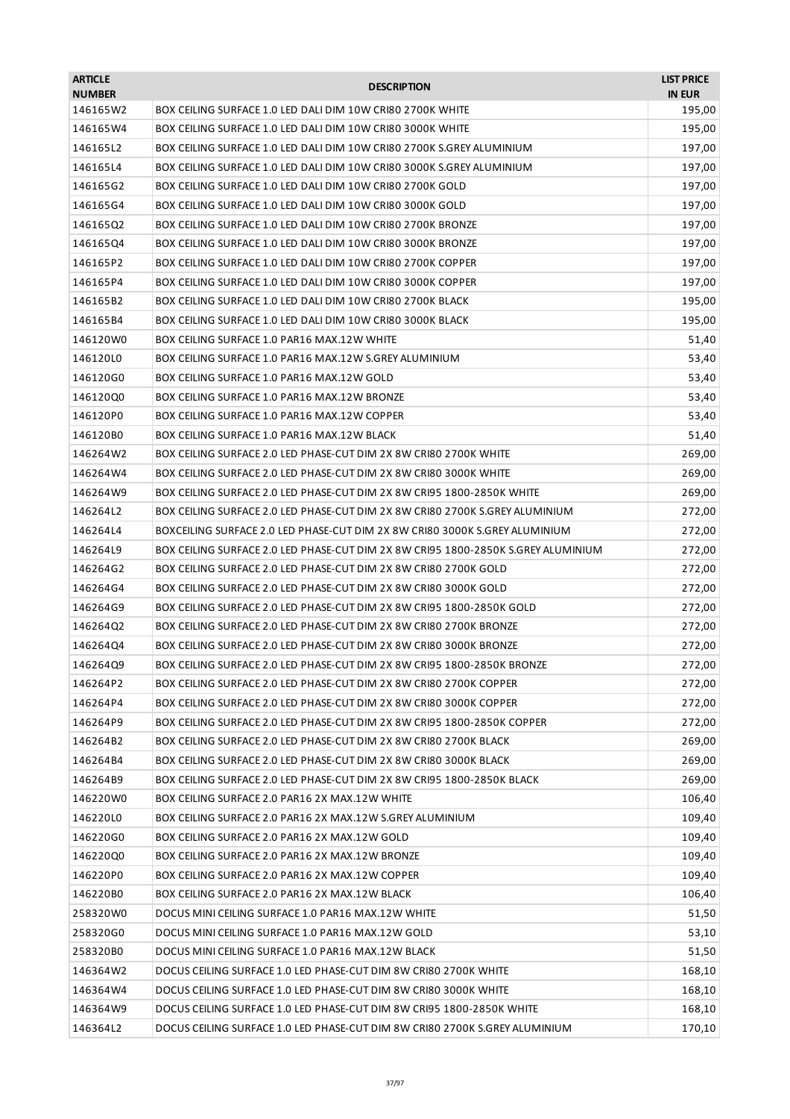| <b>ARTICLE</b><br><b>NUMBER</b> | <b>DESCRIPTION</b>                                                                | <b>LIST PRICE</b><br><b>IN EUR</b> |
|---------------------------------|-----------------------------------------------------------------------------------|------------------------------------|
| 146165W2                        | BOX CEILING SURFACE 1.0 LED DALI DIM 10W CRI80 2700K WHITE                        | 195,00                             |
| 146165W4                        | BOX CEILING SURFACE 1.0 LED DALI DIM 10W CRI80 3000K WHITE                        | 195,00                             |
| 146165L2                        | BOX CEILING SURFACE 1.0 LED DALI DIM 10W CRI80 2700K S.GREY ALUMINIUM             | 197,00                             |
| 146165L4                        | BOX CEILING SURFACE 1.0 LED DALI DIM 10W CRI80 3000K S.GREY ALUMINIUM             | 197,00                             |
| 146165G2                        | BOX CEILING SURFACE 1.0 LED DALI DIM 10W CRI80 2700K GOLD                         | 197,00                             |
| 146165G4                        | BOX CEILING SURFACE 1.0 LED DALI DIM 10W CRI80 3000K GOLD                         | 197,00                             |
| 146165Q2                        | BOX CEILING SURFACE 1.0 LED DALI DIM 10W CRI80 2700K BRONZE                       | 197,00                             |
| 146165Q4                        | BOX CEILING SURFACE 1.0 LED DALI DIM 10W CRI80 3000K BRONZE                       | 197,00                             |
| 146165P2                        | BOX CEILING SURFACE 1.0 LED DALI DIM 10W CRI80 2700K COPPER                       | 197,00                             |
| 146165P4                        | BOX CEILING SURFACE 1.0 LED DALI DIM 10W CRI80 3000K COPPER                       | 197,00                             |
| 146165B2                        | BOX CEILING SURFACE 1.0 LED DALI DIM 10W CRI80 2700K BLACK                        | 195,00                             |
| 146165B4                        | BOX CEILING SURFACE 1.0 LED DALI DIM 10W CRI80 3000K BLACK                        | 195,00                             |
| 146120W0                        | BOX CEILING SURFACE 1.0 PAR16 MAX.12W WHITE                                       | 51,40                              |
| 146120L0                        | BOX CEILING SURFACE 1.0 PAR16 MAX.12W S.GREY ALUMINIUM                            | 53,40                              |
| 146120G0                        | BOX CEILING SURFACE 1.0 PAR16 MAX.12W GOLD                                        | 53,40                              |
| 14612000                        | BOX CEILING SURFACE 1.0 PAR16 MAX.12W BRONZE                                      | 53,40                              |
| 146120P0                        | BOX CEILING SURFACE 1.0 PAR16 MAX.12W COPPER                                      | 53,40                              |
| 146120B0                        | BOX CEILING SURFACE 1.0 PAR16 MAX.12W BLACK                                       | 51,40                              |
| 146264W2                        | BOX CEILING SURFACE 2.0 LED PHASE-CUT DIM 2X 8W CRI80 2700K WHITE                 | 269,00                             |
| 146264W4                        | BOX CEILING SURFACE 2.0 LED PHASE-CUT DIM 2X 8W CRI80 3000K WHITE                 | 269,00                             |
| 146264W9                        | BOX CEILING SURFACE 2.0 LED PHASE-CUT DIM 2X 8W CRI95 1800-2850K WHITE            | 269,00                             |
| 146264L2                        | BOX CEILING SURFACE 2.0 LED PHASE-CUT DIM 2X 8W CRI80 2700K S.GREY ALUMINIUM      | 272,00                             |
| 146264L4                        | BOXCEILING SURFACE 2.0 LED PHASE-CUT DIM 2X 8W CRI80 3000K S.GREY ALUMINIUM       | 272,00                             |
| 146264L9                        | BOX CEILING SURFACE 2.0 LED PHASE-CUT DIM 2X 8W CRI95 1800-2850K S.GREY ALUMINIUM | 272,00                             |
| 146264G2                        | BOX CEILING SURFACE 2.0 LED PHASE-CUT DIM 2X 8W CRI80 2700K GOLD                  |                                    |
|                                 |                                                                                   | 272,00                             |
| 146264G4                        | BOX CEILING SURFACE 2.0 LED PHASE-CUT DIM 2X 8W CRI80 3000K GOLD                  | 272,00                             |
| 146264G9                        | BOX CEILING SURFACE 2.0 LED PHASE-CUT DIM 2X 8W CRI95 1800-2850K GOLD             | 272,00                             |
| 146264Q2                        | BOX CEILING SURFACE 2.0 LED PHASE-CUT DIM 2X 8W CRI80 2700K BRONZE                | 272,00                             |
| 146264Q4                        | BOX CEILING SURFACE 2.0 LED PHASE-CUT DIM 2X 8W CRI80 3000K BRONZE                | 272,00                             |
| 146264Q9                        | BOX CEILING SURFACE 2.0 LED PHASE-CUT DIM 2X 8W CRI95 1800-2850K BRONZE           | 272,00                             |
| 146264P2                        | BOX CEILING SURFACE 2.0 LED PHASE-CUT DIM 2X 8W CRI80 2700K COPPER                | 272,00                             |
| 146264P4                        | BOX CEILING SURFACE 2.0 LED PHASE-CUT DIM 2X 8W CRI80 3000K COPPER                | 272,00                             |
| 146264P9                        | BOX CEILING SURFACE 2.0 LED PHASE-CUT DIM 2X 8W CRI95 1800-2850K COPPER           | 272,00                             |
| 146264B2                        | BOX CEILING SURFACE 2.0 LED PHASE-CUT DIM 2X 8W CRI80 2700K BLACK                 | 269,00                             |
| 146264B4                        | BOX CEILING SURFACE 2.0 LED PHASE-CUT DIM 2X 8W CRI80 3000K BLACK                 | 269,00                             |
| 146264B9                        | BOX CEILING SURFACE 2.0 LED PHASE-CUT DIM 2X 8W CRI95 1800-2850K BLACK            | 269,00                             |
| 146220W0                        | BOX CEILING SURFACE 2.0 PAR16 2X MAX.12W WHITE                                    | 106,40                             |
| 146220L0                        | BOX CEILING SURFACE 2.0 PAR16 2X MAX.12W S.GREY ALUMINIUM                         | 109,40                             |
| 146220G0                        | BOX CEILING SURFACE 2.0 PAR16 2X MAX.12W GOLD                                     | 109,40                             |
| 146220Q0                        | BOX CEILING SURFACE 2.0 PAR16 2X MAX.12W BRONZE                                   | 109,40                             |
| 146220P0                        | BOX CEILING SURFACE 2.0 PAR16 2X MAX.12W COPPER                                   | 109,40                             |
| 146220B0                        | BOX CEILING SURFACE 2.0 PAR16 2X MAX.12W BLACK                                    | 106,40                             |
| 258320W0                        | DOCUS MINI CEILING SURFACE 1.0 PAR16 MAX.12W WHITE                                | 51,50                              |
| 258320G0                        | DOCUS MINI CEILING SURFACE 1.0 PAR16 MAX.12W GOLD                                 | 53,10                              |
| 258320B0                        | DOCUS MINI CEILING SURFACE 1.0 PAR16 MAX.12W BLACK                                | 51,50                              |
| 146364W2                        | DOCUS CEILING SURFACE 1.0 LED PHASE-CUT DIM 8W CRI80 2700K WHITE                  | 168,10                             |
| 146364W4                        | DOCUS CEILING SURFACE 1.0 LED PHASE-CUT DIM 8W CRI80 3000K WHITE                  | 168,10                             |
| 146364W9                        | DOCUS CEILING SURFACE 1.0 LED PHASE-CUT DIM 8W CRI95 1800-2850K WHITE             | 168,10                             |
| 146364L2                        | DOCUS CEILING SURFACE 1.0 LED PHASE-CUT DIM 8W CRI80 2700K S.GREY ALUMINIUM       | 170,10                             |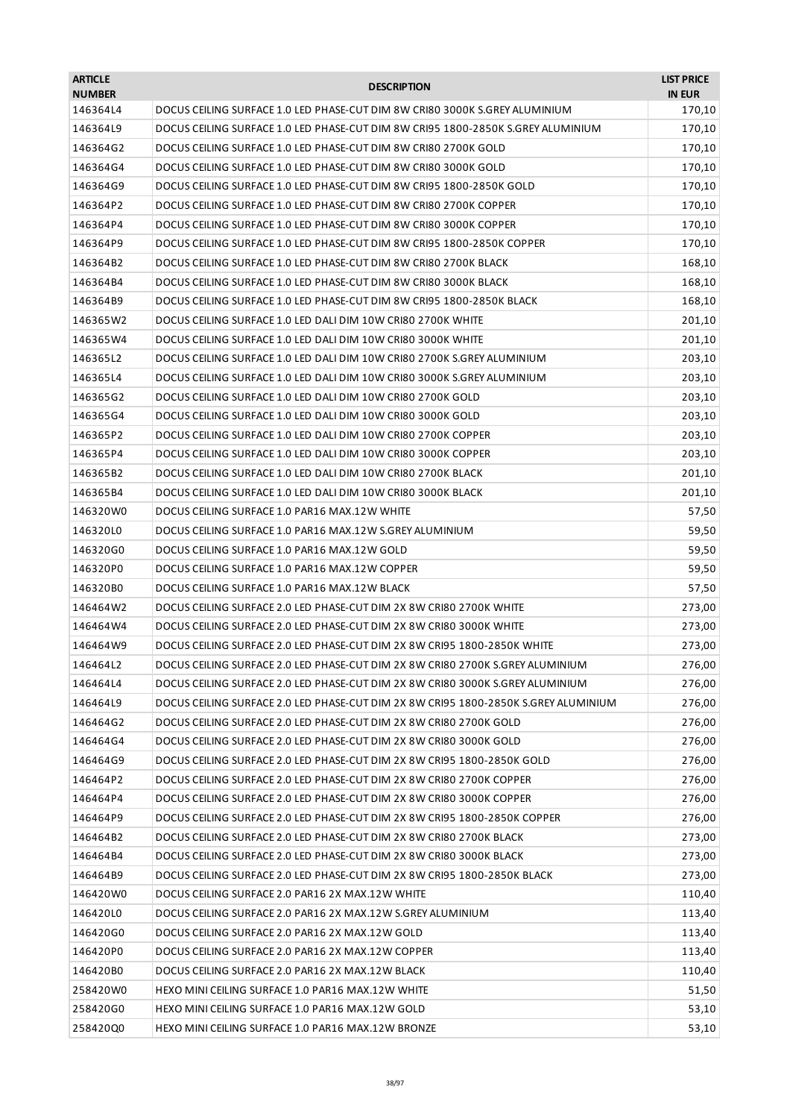| <b>ARTICLE</b><br><b>NUMBER</b> | <b>DESCRIPTION</b>                                                                  | <b>LIST PRICE</b><br><b>IN EUR</b> |
|---------------------------------|-------------------------------------------------------------------------------------|------------------------------------|
| 146364L4                        | DOCUS CEILING SURFACE 1.0 LED PHASE-CUT DIM 8W CRI80 3000K S.GREY ALUMINIUM         | 170,10                             |
| 146364L9                        | DOCUS CEILING SURFACE 1.0 LED PHASE-CUT DIM 8W CRI95 1800-2850K S.GREY ALUMINIUM    | 170,10                             |
| 146364G2                        | DOCUS CEILING SURFACE 1.0 LED PHASE-CUT DIM 8W CRI80 2700K GOLD                     | 170,10                             |
| 146364G4                        | DOCUS CEILING SURFACE 1.0 LED PHASE-CUT DIM 8W CRI80 3000K GOLD                     | 170,10                             |
| 146364G9                        | DOCUS CEILING SURFACE 1.0 LED PHASE-CUT DIM 8W CRI95 1800-2850K GOLD                | 170,10                             |
| 146364P2                        | DOCUS CEILING SURFACE 1.0 LED PHASE-CUT DIM 8W CRI80 2700K COPPER                   | 170,10                             |
| 146364P4                        | DOCUS CEILING SURFACE 1.0 LED PHASE-CUT DIM 8W CRI80 3000K COPPER                   | 170,10                             |
| 146364P9                        | DOCUS CEILING SURFACE 1.0 LED PHASE-CUT DIM 8W CRI95 1800-2850K COPPER              | 170,10                             |
| 146364B2                        | DOCUS CEILING SURFACE 1.0 LED PHASE-CUT DIM 8W CRI80 2700K BLACK                    | 168,10                             |
| 146364B4                        | DOCUS CEILING SURFACE 1.0 LED PHASE-CUT DIM 8W CRI80 3000K BLACK                    | 168,10                             |
| 146364B9                        | DOCUS CEILING SURFACE 1.0 LED PHASE-CUT DIM 8W CRI95 1800-2850K BLACK               | 168,10                             |
| 146365W2                        | DOCUS CEILING SURFACE 1.0 LED DALI DIM 10W CRI80 2700K WHITE                        | 201,10                             |
| 146365W4                        | DOCUS CEILING SURFACE 1.0 LED DALI DIM 10W CRI80 3000K WHITE                        | 201,10                             |
| 146365L2                        | DOCUS CEILING SURFACE 1.0 LED DALI DIM 10W CRI80 2700K S.GREY ALUMINIUM             | 203,10                             |
| 146365L4                        | DOCUS CEILING SURFACE 1.0 LED DALI DIM 10W CRI80 3000K S.GREY ALUMINIUM             | 203,10                             |
| 146365G2                        | DOCUS CEILING SURFACE 1.0 LED DALI DIM 10W CRI80 2700K GOLD                         | 203,10                             |
| 146365G4                        | DOCUS CEILING SURFACE 1.0 LED DALI DIM 10W CRI80 3000K GOLD                         | 203,10                             |
| 146365P2                        | DOCUS CEILING SURFACE 1.0 LED DALI DIM 10W CRI80 2700K COPPER                       | 203,10                             |
| 146365P4                        | DOCUS CEILING SURFACE 1.0 LED DALI DIM 10W CRI80 3000K COPPER                       | 203,10                             |
| 146365B2                        | DOCUS CEILING SURFACE 1.0 LED DALI DIM 10W CRI80 2700K BLACK                        | 201,10                             |
| 146365B4                        | DOCUS CEILING SURFACE 1.0 LED DALI DIM 10W CRI80 3000K BLACK                        | 201,10                             |
| 146320W0                        | DOCUS CEILING SURFACE 1.0 PAR16 MAX.12W WHITE                                       | 57,50                              |
| 146320L0                        | DOCUS CEILING SURFACE 1.0 PAR16 MAX.12W S.GREY ALUMINIUM                            | 59,50                              |
| 146320G0                        | DOCUS CEILING SURFACE 1.0 PAR16 MAX.12W GOLD                                        | 59,50                              |
| 146320P0                        | DOCUS CEILING SURFACE 1.0 PAR16 MAX.12W COPPER                                      | 59,50                              |
| 146320B0                        | DOCUS CEILING SURFACE 1.0 PAR16 MAX.12W BLACK                                       | 57,50                              |
| 146464W2                        | DOCUS CEILING SURFACE 2.0 LED PHASE-CUT DIM 2X 8W CRI80 2700K WHITE                 | 273,00                             |
| 146464W4                        | DOCUS CEILING SURFACE 2.0 LED PHASE-CUT DIM 2X 8W CRI80 3000K WHITE                 | 273,00                             |
| 146464W9                        | DOCUS CEILING SURFACE 2.0 LED PHASE-CUT DIM 2X 8W CRI95 1800-2850K WHITE            | 273,00                             |
| 146464L2                        | DOCUS CEILING SURFACE 2.0 LED PHASE-CUT DIM 2X 8W CRI80 2700K S.GREY ALUMINIUM      | 276,00                             |
| 146464L4                        | DOCUS CEILING SURFACE 2.0 LED PHASE-CUT DIM 2X 8W CRI80 3000K S.GREY ALUMINIUM      | 276,00                             |
| 146464L9                        | DOCUS CEILING SURFACE 2.0 LED PHASE-CUT DIM 2X 8W CRI95 1800-2850K S.GREY ALUMINIUM | 276,00                             |
| 146464G2                        | DOCUS CEILING SURFACE 2.0 LED PHASE-CUT DIM 2X 8W CRI80 2700K GOLD                  | 276,00                             |
| 146464G4                        | DOCUS CEILING SURFACE 2.0 LED PHASE-CUT DIM 2X 8W CRI80 3000K GOLD                  | 276,00                             |
| 146464G9                        | DOCUS CEILING SURFACE 2.0 LED PHASE-CUT DIM 2X 8W CRI95 1800-2850K GOLD             | 276,00                             |
| 146464P2                        | DOCUS CEILING SURFACE 2.0 LED PHASE-CUT DIM 2X 8W CRI80 2700K COPPER                | 276,00                             |
| 146464P4                        | DOCUS CEILING SURFACE 2.0 LED PHASE-CUT DIM 2X 8W CRI80 3000K COPPER                | 276,00                             |
| 146464P9                        | DOCUS CEILING SURFACE 2.0 LED PHASE-CUT DIM 2X 8W CRI95 1800-2850K COPPER           | 276,00                             |
| 146464B2                        | DOCUS CEILING SURFACE 2.0 LED PHASE-CUT DIM 2X 8W CRI80 2700K BLACK                 | 273,00                             |
| 146464B4                        | DOCUS CEILING SURFACE 2.0 LED PHASE-CUT DIM 2X 8W CRI80 3000K BLACK                 | 273,00                             |
| 146464B9                        | DOCUS CEILING SURFACE 2.0 LED PHASE-CUT DIM 2X 8W CRI95 1800-2850K BLACK            | 273,00                             |
| 146420W0                        | DOCUS CEILING SURFACE 2.0 PAR16 2X MAX.12W WHITE                                    | 110,40                             |
| 146420L0                        | DOCUS CEILING SURFACE 2.0 PAR16 2X MAX.12W S.GREY ALUMINIUM                         | 113,40                             |
| 146420G0                        | DOCUS CEILING SURFACE 2.0 PAR16 2X MAX.12W GOLD                                     | 113,40                             |
| 146420P0                        | DOCUS CEILING SURFACE 2.0 PAR16 2X MAX.12W COPPER                                   | 113,40                             |
| 146420B0                        | DOCUS CEILING SURFACE 2.0 PAR16 2X MAX.12W BLACK                                    | 110,40                             |
| 258420W0                        | HEXO MINI CEILING SURFACE 1.0 PAR16 MAX.12W WHITE                                   | 51,50                              |
| 258420G0                        | HEXO MINI CEILING SURFACE 1.0 PAR16 MAX.12W GOLD                                    | 53,10                              |
| 258420Q0                        | HEXO MINI CEILING SURFACE 1.0 PAR16 MAX.12W BRONZE                                  | 53,10                              |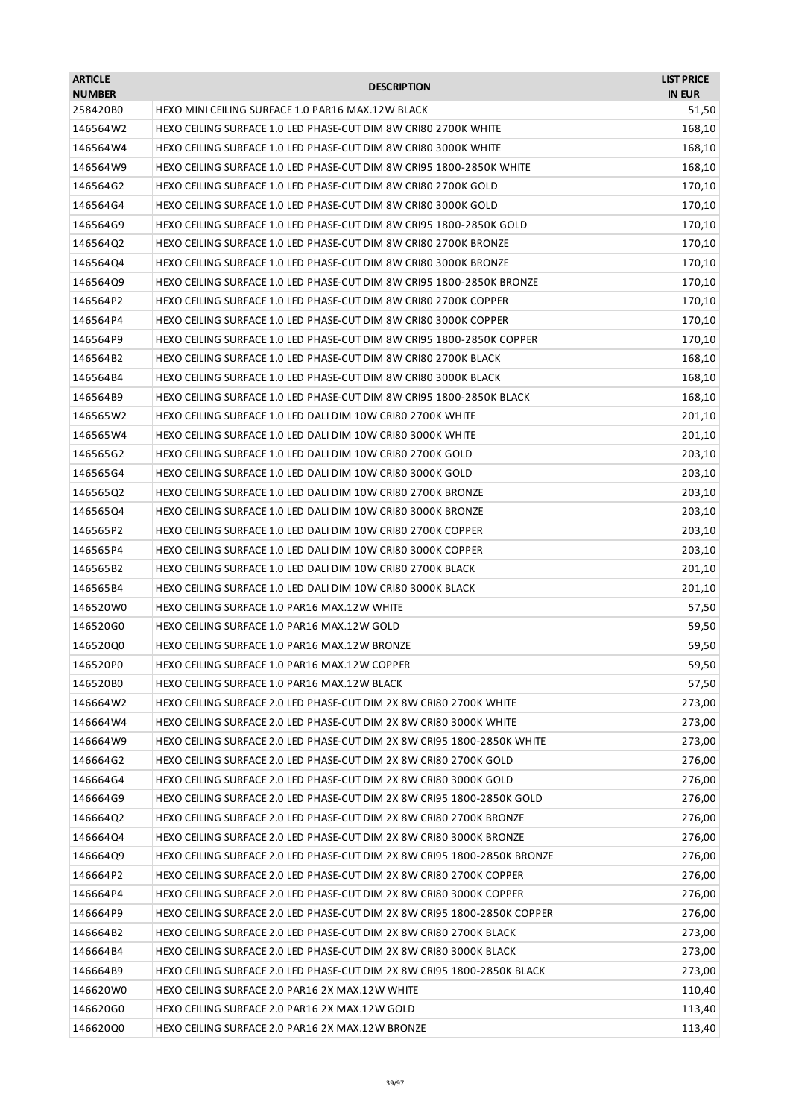| <b>ARTICLE</b><br><b>NUMBER</b> | <b>DESCRIPTION</b>                                                       | <b>LIST PRICE</b><br><b>IN EUR</b> |
|---------------------------------|--------------------------------------------------------------------------|------------------------------------|
| 258420B0                        | HEXO MINI CEILING SURFACE 1.0 PAR16 MAX.12W BLACK                        | 51,50                              |
| 146564W2                        | HEXO CEILING SURFACE 1.0 LED PHASE-CUT DIM 8W CRI80 2700K WHITE          | 168,10                             |
| 146564W4                        | HEXO CEILING SURFACE 1.0 LED PHASE-CUT DIM 8W CRI80 3000K WHITE          | 168,10                             |
| 146564W9                        | HEXO CEILING SURFACE 1.0 LED PHASE-CUT DIM 8W CRI95 1800-2850K WHITE     | 168,10                             |
| 146564G2                        | HEXO CEILING SURFACE 1.0 LED PHASE-CUT DIM 8W CRI80 2700K GOLD           | 170,10                             |
| 146564G4                        | HEXO CEILING SURFACE 1.0 LED PHASE-CUT DIM 8W CRI80 3000K GOLD           | 170,10                             |
| 146564G9                        | HEXO CEILING SURFACE 1.0 LED PHASE-CUT DIM 8W CRI95 1800-2850K GOLD      | 170,10                             |
| 14656402                        | HEXO CEILING SURFACE 1.0 LED PHASE-CUT DIM 8W CRI80 2700K BRONZE         | 170,10                             |
| 146564Q4                        | HEXO CEILING SURFACE 1.0 LED PHASE-CUT DIM 8W CRI80 3000K BRONZE         | 170,10                             |
| 146564Q9                        | HEXO CEILING SURFACE 1.0 LED PHASE-CUT DIM 8W CRI95 1800-2850K BRONZE    | 170,10                             |
| 146564P2                        | HEXO CEILING SURFACE 1.0 LED PHASE-CUT DIM 8W CRI80 2700K COPPER         | 170,10                             |
| 146564P4                        | HEXO CEILING SURFACE 1.0 LED PHASE-CUT DIM 8W CRI80 3000K COPPER         | 170,10                             |
| 146564P9                        | HEXO CEILING SURFACE 1.0 LED PHASE-CUT DIM 8W CRI95 1800-2850K COPPER    | 170,10                             |
| 146564B2                        | HEXO CEILING SURFACE 1.0 LED PHASE-CUT DIM 8W CRI80 2700K BLACK          | 168,10                             |
| 146564B4                        | HEXO CEILING SURFACE 1.0 LED PHASE-CUT DIM 8W CRI80 3000K BLACK          | 168,10                             |
| 146564B9                        | HEXO CEILING SURFACE 1.0 LED PHASE-CUT DIM 8W CRI95 1800-2850K BLACK     | 168,10                             |
| 146565W2                        | HEXO CEILING SURFACE 1.0 LED DALI DIM 10W CRI80 2700K WHITE              | 201,10                             |
| 146565W4                        | HEXO CEILING SURFACE 1.0 LED DALI DIM 10W CRI80 3000K WHITE              | 201,10                             |
| 146565G2                        | HEXO CEILING SURFACE 1.0 LED DALI DIM 10W CRI80 2700K GOLD               | 203,10                             |
| 146565G4                        | HEXO CEILING SURFACE 1.0 LED DALI DIM 10W CRI80 3000K GOLD               | 203,10                             |
| 146565Q2                        | HEXO CEILING SURFACE 1.0 LED DALI DIM 10W CRI80 2700K BRONZE             | 203,10                             |
| 146565Q4                        | HEXO CEILING SURFACE 1.0 LED DALI DIM 10W CRI80 3000K BRONZE             | 203,10                             |
| 146565P2                        | HEXO CEILING SURFACE 1.0 LED DALI DIM 10W CRI80 2700K COPPER             | 203,10                             |
| 146565P4                        | HEXO CEILING SURFACE 1.0 LED DALI DIM 10W CRI80 3000K COPPER             | 203,10                             |
| 146565B2                        |                                                                          |                                    |
|                                 | HEXO CEILING SURFACE 1.0 LED DALI DIM 10W CRI80 2700K BLACK              | 201,10                             |
| 146565B4                        | HEXO CEILING SURFACE 1.0 LED DALI DIM 10W CRI80 3000K BLACK              | 201,10                             |
| 146520W0                        | HEXO CEILING SURFACE 1.0 PAR16 MAX.12W WHITE                             | 57,50                              |
| 146520G0                        | HEXO CEILING SURFACE 1.0 PAR16 MAX.12W GOLD                              | 59,50                              |
| 146520Q0                        | HEXO CEILING SURFACE 1.0 PAR16 MAX.12W BRONZE                            | 59,50                              |
| 146520P0                        | HEXO CEILING SURFACE 1.0 PAR16 MAX.12W COPPER                            | 59,50                              |
| 146520B0                        | HEXO CEILING SURFACE 1.0 PAR16 MAX.12W BLACK                             | 57,50                              |
| 146664W2                        | HEXO CEILING SURFACE 2.0 LED PHASE-CUT DIM 2X 8W CRI80 2700K WHITE       | 273,00                             |
| 146664W4                        | HEXO CEILING SURFACE 2.0 LED PHASE-CUT DIM 2X 8W CRI80 3000K WHITE       | 273,00                             |
| 146664W9                        | HEXO CEILING SURFACE 2.0 LED PHASE-CUT DIM 2X 8W CRI95 1800-2850K WHITE  | 273,00                             |
| 146664G2                        | HEXO CEILING SURFACE 2.0 LED PHASE-CUT DIM 2X 8W CRI80 2700K GOLD        | 276,00                             |
| 146664G4                        | HEXO CEILING SURFACE 2.0 LED PHASE-CUT DIM 2X 8W CRI80 3000K GOLD        | 276,00                             |
| 146664G9                        | HEXO CEILING SURFACE 2.0 LED PHASE-CUT DIM 2X 8W CRI95 1800-2850K GOLD   | 276,00                             |
| 146664Q2                        | HEXO CEILING SURFACE 2.0 LED PHASE-CUT DIM 2X 8W CRI80 2700K BRONZE      | 276,00                             |
| 146664Q4                        | HEXO CEILING SURFACE 2.0 LED PHASE-CUT DIM 2X 8W CRI80 3000K BRONZE      | 276,00                             |
| 146664Q9                        | HEXO CEILING SURFACE 2.0 LED PHASE-CUT DIM 2X 8W CRI95 1800-2850K BRONZE | 276,00                             |
| 146664P2                        | HEXO CEILING SURFACE 2.0 LED PHASE-CUT DIM 2X 8W CRI80 2700K COPPER      | 276,00                             |
| 146664P4                        | HEXO CEILING SURFACE 2.0 LED PHASE-CUT DIM 2X 8W CRI80 3000K COPPER      | 276,00                             |
| 146664P9                        | HEXO CEILING SURFACE 2.0 LED PHASE-CUT DIM 2X 8W CRI95 1800-2850K COPPER | 276,00                             |
| 146664B2                        | HEXO CEILING SURFACE 2.0 LED PHASE-CUT DIM 2X 8W CRI80 2700K BLACK       | 273,00                             |
| 146664B4                        | HEXO CEILING SURFACE 2.0 LED PHASE-CUT DIM 2X 8W CRI80 3000K BLACK       | 273,00                             |
| 146664B9                        | HEXO CEILING SURFACE 2.0 LED PHASE-CUT DIM 2X 8W CRI95 1800-2850K BLACK  | 273,00                             |
| 146620W0                        | HEXO CEILING SURFACE 2.0 PAR16 2X MAX.12W WHITE                          | 110,40                             |
| 146620G0                        | HEXO CEILING SURFACE 2.0 PAR16 2X MAX.12W GOLD                           | 113,40                             |
| 146620Q0                        | HEXO CEILING SURFACE 2.0 PAR16 2X MAX.12W BRONZE                         | 113,40                             |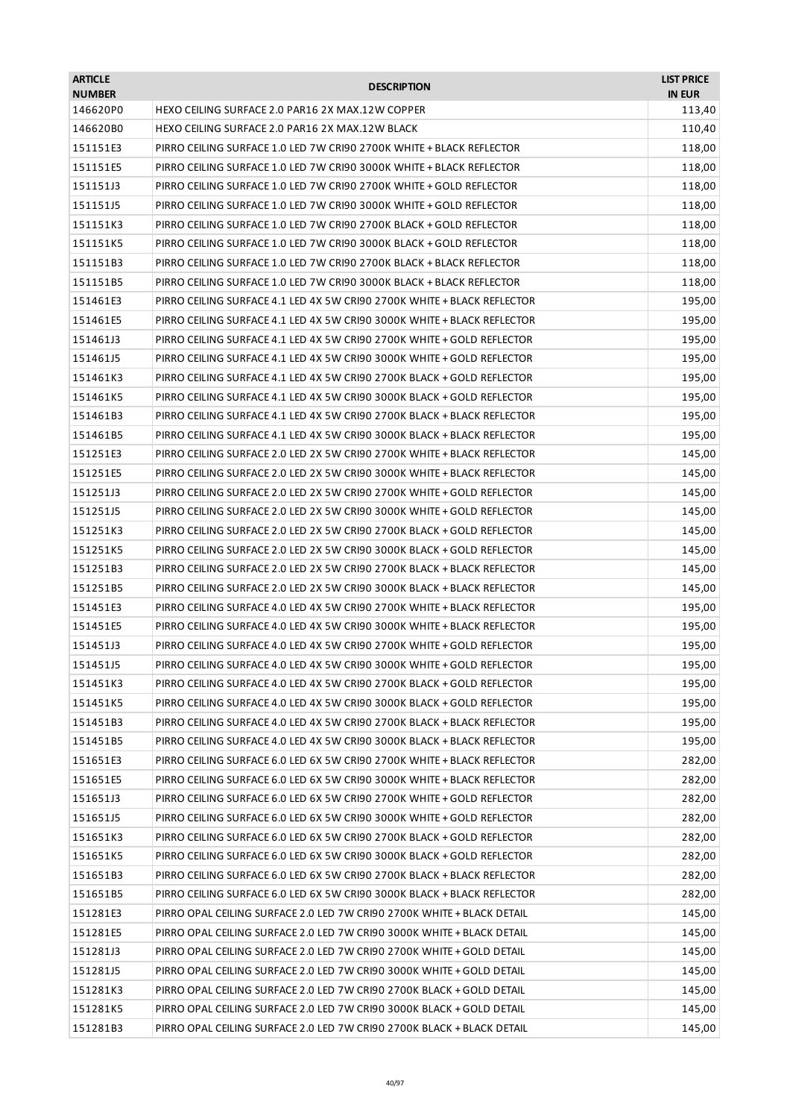| <b>ARTICLE</b><br><b>NUMBER</b> | <b>DESCRIPTION</b>                                                                                                                                 | <b>LIST PRICE</b><br><b>IN EUR</b> |
|---------------------------------|----------------------------------------------------------------------------------------------------------------------------------------------------|------------------------------------|
| 146620P0                        | HEXO CEILING SURFACE 2.0 PAR16 2X MAX.12W COPPER                                                                                                   | 113,40                             |
| 146620B0                        | HEXO CEILING SURFACE 2.0 PAR16 2X MAX.12W BLACK                                                                                                    | 110,40                             |
| 151151E3                        | PIRRO CEILING SURFACE 1.0 LED 7W CRI90 2700K WHITE + BLACK REFLECTOR                                                                               | 118,00                             |
| 151151E5                        | PIRRO CEILING SURFACE 1.0 LED 7W CRI90 3000K WHITE + BLACK REFLECTOR                                                                               | 118,00                             |
| 151151J3                        | PIRRO CEILING SURFACE 1.0 LED 7W CRI90 2700K WHITE + GOLD REFLECTOR                                                                                | 118,00                             |
| 151151J5                        | PIRRO CEILING SURFACE 1.0 LED 7W CRI90 3000K WHITE + GOLD REFLECTOR                                                                                | 118,00                             |
| 151151K3                        | PIRRO CEILING SURFACE 1.0 LED 7W CRI90 2700K BLACK + GOLD REFLECTOR                                                                                | 118,00                             |
| 151151K5                        | PIRRO CEILING SURFACE 1.0 LED 7W CRI90 3000K BLACK + GOLD REFLECTOR                                                                                | 118,00                             |
| 151151B3                        | PIRRO CEILING SURFACE 1.0 LED 7W CRI90 2700K BLACK + BLACK REFLECTOR                                                                               | 118,00                             |
| 151151B5                        | PIRRO CEILING SURFACE 1.0 LED 7W CRI90 3000K BLACK + BLACK REFLECTOR                                                                               | 118,00                             |
| 151461E3                        | PIRRO CEILING SURFACE 4.1 LED 4X 5W CRI90 2700K WHITE + BLACK REFLECTOR                                                                            | 195,00                             |
| 151461E5                        | PIRRO CEILING SURFACE 4.1 LED 4X 5W CRI90 3000K WHITE + BLACK REFLECTOR                                                                            | 195,00                             |
| 151461J3                        | PIRRO CEILING SURFACE 4.1 LED 4X 5W CRI90 2700K WHITE + GOLD REFLECTOR                                                                             | 195,00                             |
| 151461J5                        | PIRRO CEILING SURFACE 4.1 LED 4X 5W CRI90 3000K WHITE + GOLD REFLECTOR                                                                             | 195,00                             |
| 151461K3                        | PIRRO CEILING SURFACE 4.1 LED 4X 5W CRI90 2700K BLACK + GOLD REFLECTOR                                                                             | 195,00                             |
| 151461K5                        | PIRRO CEILING SURFACE 4.1 LED 4X 5W CRI90 3000K BLACK + GOLD REFLECTOR                                                                             | 195,00                             |
| 151461B3                        | PIRRO CEILING SURFACE 4.1 LED 4X 5W CRI90 2700K BLACK + BLACK REFLECTOR                                                                            | 195,00                             |
| 151461B5                        | PIRRO CEILING SURFACE 4.1 LED 4X 5W CRI90 3000K BLACK + BLACK REFLECTOR                                                                            | 195,00                             |
| 151251E3                        | PIRRO CEILING SURFACE 2.0 LED 2X 5W CRI90 2700K WHITE + BLACK REFLECTOR                                                                            | 145,00                             |
| 151251E5                        | PIRRO CEILING SURFACE 2.0 LED 2X 5W CRI90 3000K WHITE + BLACK REFLECTOR                                                                            | 145,00                             |
| 151251J3                        | PIRRO CEILING SURFACE 2.0 LED 2X 5W CRI90 2700K WHITE + GOLD REFLECTOR                                                                             | 145,00                             |
| 151251J5                        | PIRRO CEILING SURFACE 2.0 LED 2X 5W CRI90 3000K WHITE + GOLD REFLECTOR                                                                             | 145,00                             |
| 151251K3                        | PIRRO CEILING SURFACE 2.0 LED 2X 5W CRI90 2700K BLACK + GOLD REFLECTOR                                                                             | 145,00                             |
| 151251K5                        | PIRRO CEILING SURFACE 2.0 LED 2X 5W CRI90 3000K BLACK + GOLD REFLECTOR                                                                             | 145,00                             |
| 151251B3                        | PIRRO CEILING SURFACE 2.0 LED 2X 5W CRI90 2700K BLACK + BLACK REFLECTOR                                                                            | 145,00                             |
| 151251B5                        | PIRRO CEILING SURFACE 2.0 LED 2X 5W CRI90 3000K BLACK + BLACK REFLECTOR                                                                            |                                    |
|                                 |                                                                                                                                                    | 145,00                             |
| 151451E3<br>151451E5            | PIRRO CEILING SURFACE 4.0 LED 4X 5W CRI90 2700K WHITE + BLACK REFLECTOR<br>PIRRO CEILING SURFACE 4.0 LED 4X 5W CRI90 3000K WHITE + BLACK REFLECTOR | 195,00                             |
| 151451J3                        | PIRRO CEILING SURFACE 4.0 LED 4X 5W CRI90 2700K WHITE + GOLD REFLECTOR                                                                             | 195,00                             |
|                                 |                                                                                                                                                    | 195,00                             |
| 151451J5                        | PIRRO CEILING SURFACE 4.0 LED 4X 5W CRI90 3000K WHITE + GOLD REFLECTOR                                                                             | 195,00                             |
| 151451K3                        | PIRRO CEILING SURFACE 4.0 LED 4X 5W CRI90 2700K BLACK + GOLD REFLECTOR                                                                             | 195,00                             |
| 151451K5                        | PIRRO CEILING SURFACE 4.0 LED 4X 5W CRI90 3000K BLACK + GOLD REFLECTOR                                                                             | 195,00                             |
| 151451B3                        | PIRRO CEILING SURFACE 4.0 LED 4X 5W CRI90 2700K BLACK + BLACK REFLECTOR                                                                            | 195,00                             |
| 151451B5                        | PIRRO CEILING SURFACE 4.0 LED 4X 5W CRI90 3000K BLACK + BLACK REFLECTOR                                                                            | 195,00                             |
| 151651E3                        | PIRRO CEILING SURFACE 6.0 LED 6X 5W CRI90 2700K WHITE + BLACK REFLECTOR                                                                            | 282,00                             |
| 151651E5                        | PIRRO CEILING SURFACE 6.0 LED 6X 5W CRI90 3000K WHITE + BLACK REFLECTOR                                                                            | 282,00                             |
| 151651J3                        | PIRRO CEILING SURFACE 6.0 LED 6X 5W CRI90 2700K WHITE + GOLD REFLECTOR                                                                             | 282,00                             |
| 151651J5                        | PIRRO CEILING SURFACE 6.0 LED 6X 5W CRI90 3000K WHITE + GOLD REFLECTOR                                                                             | 282,00                             |
| 151651K3                        | PIRRO CEILING SURFACE 6.0 LED 6X 5W CRI90 2700K BLACK + GOLD REFLECTOR                                                                             | 282,00                             |
| 151651K5                        | PIRRO CEILING SURFACE 6.0 LED 6X 5W CRI90 3000K BLACK + GOLD REFLECTOR                                                                             | 282,00                             |
| 151651B3                        | PIRRO CEILING SURFACE 6.0 LED 6X 5W CRI90 2700K BLACK + BLACK REFLECTOR                                                                            | 282,00                             |
| 151651B5                        | PIRRO CEILING SURFACE 6.0 LED 6X 5W CRI90 3000K BLACK + BLACK REFLECTOR                                                                            | 282,00                             |
| 151281E3                        | PIRRO OPAL CEILING SURFACE 2.0 LED 7W CRI90 2700K WHITE + BLACK DETAIL                                                                             | 145,00                             |
| 151281E5                        | PIRRO OPAL CEILING SURFACE 2.0 LED 7W CRI90 3000K WHITE + BLACK DETAIL                                                                             | 145,00                             |
| 151281J3                        | PIRRO OPAL CEILING SURFACE 2.0 LED 7W CRI90 2700K WHITE + GOLD DETAIL                                                                              | 145,00                             |
| 151281J5                        | PIRRO OPAL CEILING SURFACE 2.0 LED 7W CRI90 3000K WHITE + GOLD DETAIL                                                                              | 145,00                             |
| 151281K3                        | PIRRO OPAL CEILING SURFACE 2.0 LED 7W CRI90 2700K BLACK + GOLD DETAIL                                                                              | 145,00                             |
| 151281K5                        | PIRRO OPAL CEILING SURFACE 2.0 LED 7W CRI90 3000K BLACK + GOLD DETAIL                                                                              | 145,00                             |
| 151281B3                        | PIRRO OPAL CEILING SURFACE 2.0 LED 7W CRI90 2700K BLACK + BLACK DETAIL                                                                             | 145,00                             |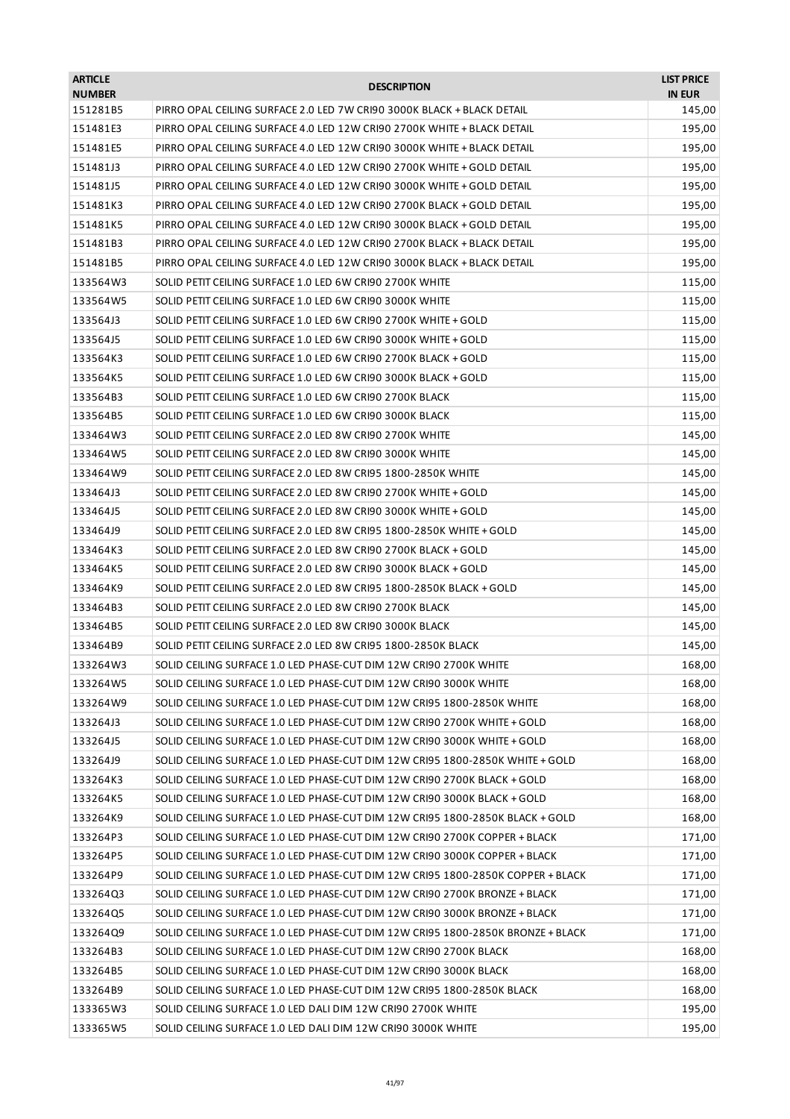| <b>ARTICLE</b><br><b>NUMBER</b> | <b>DESCRIPTION</b>                                                              | <b>LIST PRICE</b><br><b>IN EUR</b> |
|---------------------------------|---------------------------------------------------------------------------------|------------------------------------|
| 151281B5                        | PIRRO OPAL CEILING SURFACE 2.0 LED 7W CRI90 3000K BLACK + BLACK DETAIL          | 145,00                             |
| 151481E3                        | PIRRO OPAL CEILING SURFACE 4.0 LED 12W CRI90 2700K WHITE + BLACK DETAIL         | 195,00                             |
| 151481E5                        | PIRRO OPAL CEILING SURFACE 4.0 LED 12W CRI90 3000K WHITE + BLACK DETAIL         | 195,00                             |
| 151481J3                        | PIRRO OPAL CEILING SURFACE 4.0 LED 12W CRI90 2700K WHITE + GOLD DETAIL          | 195,00                             |
| 151481J5                        | PIRRO OPAL CEILING SURFACE 4.0 LED 12W CRI90 3000K WHITE + GOLD DETAIL          | 195,00                             |
| 151481K3                        | PIRRO OPAL CEILING SURFACE 4.0 LED 12W CRI90 2700K BLACK + GOLD DETAIL          | 195,00                             |
| 151481K5                        | PIRRO OPAL CEILING SURFACE 4.0 LED 12W CRI90 3000K BLACK + GOLD DETAIL          | 195,00                             |
| 151481B3                        | PIRRO OPAL CEILING SURFACE 4.0 LED 12W CRI90 2700K BLACK + BLACK DETAIL         | 195,00                             |
| 151481B5                        | PIRRO OPAL CEILING SURFACE 4.0 LED 12W CRI90 3000K BLACK + BLACK DETAIL         | 195,00                             |
| 133564W3                        | SOLID PETIT CEILING SURFACE 1.0 LED 6W CRI90 2700K WHITE                        | 115,00                             |
| 133564W5                        | SOLID PETIT CEILING SURFACE 1.0 LED 6W CRI90 3000K WHITE                        | 115,00                             |
| 133564J3                        | SOLID PETIT CEILING SURFACE 1.0 LED 6W CRI90 2700K WHITE + GOLD                 | 115,00                             |
| 133564J5                        | SOLID PETIT CEILING SURFACE 1.0 LED 6W CRI90 3000K WHITE + GOLD                 | 115,00                             |
| 133564K3                        | SOLID PETIT CEILING SURFACE 1.0 LED 6W CRI90 2700K BLACK + GOLD                 | 115,00                             |
| 133564K5                        | SOLID PETIT CEILING SURFACE 1.0 LED 6W CRI90 3000K BLACK + GOLD                 | 115,00                             |
| 133564B3                        | SOLID PETIT CEILING SURFACE 1.0 LED 6W CRI90 2700K BLACK                        | 115,00                             |
| 133564B5                        | SOLID PETIT CEILING SURFACE 1.0 LED 6W CRI90 3000K BLACK                        | 115,00                             |
| 133464W3                        | SOLID PETIT CEILING SURFACE 2.0 LED 8W CRI90 2700K WHITE                        | 145,00                             |
| 133464W5                        | SOLID PETIT CEILING SURFACE 2.0 LED 8W CRI90 3000K WHITE                        | 145,00                             |
| 133464W9                        | SOLID PETIT CEILING SURFACE 2.0 LED 8W CRI95 1800-2850K WHITE                   | 145,00                             |
| 133464J3                        | SOLID PETIT CEILING SURFACE 2.0 LED 8W CRI90 2700K WHITE + GOLD                 | 145,00                             |
| 133464J5                        | SOLID PETIT CEILING SURFACE 2.0 LED 8W CRI90 3000K WHITE + GOLD                 | 145,00                             |
| 133464J9                        | SOLID PETIT CEILING SURFACE 2.0 LED 8W CRI95 1800-2850K WHITE + GOLD            | 145,00                             |
| 133464K3                        | SOLID PETIT CEILING SURFACE 2.0 LED 8W CRI90 2700K BLACK + GOLD                 | 145,00                             |
| 133464K5                        | SOLID PETIT CEILING SURFACE 2.0 LED 8W CRI90 3000K BLACK + GOLD                 | 145,00                             |
| 133464K9                        | SOLID PETIT CEILING SURFACE 2.0 LED 8W CRI95 1800-2850K BLACK + GOLD            | 145,00                             |
| 133464B3                        | SOLID PETIT CEILING SURFACE 2.0 LED 8W CRI90 2700K BLACK                        | 145,00                             |
| 133464B5                        | SOLID PETIT CEILING SURFACE 2.0 LED 8W CRI90 3000K BLACK                        | 145,00                             |
| 133464B9                        | SOLID PETIT CEILING SURFACE 2.0 LED 8W CRI95 1800-2850K BLACK                   | 145,00                             |
| 133264W3                        | SOLID CEILING SURFACE 1.0 LED PHASE-CUT DIM 12W CRI90 2700K WHITE               | 168,00                             |
| 133264W5                        | SOLID CEILING SURFACE 1.0 LED PHASE-CUT DIM 12W CRI90 3000K WHITE               | 168,00                             |
| 133264W9                        | SOLID CEILING SURFACE 1.0 LED PHASE-CUT DIM 12W CRI95 1800-2850K WHITE          | 168,00                             |
| 133264J3                        | SOLID CEILING SURFACE 1.0 LED PHASE-CUT DIM 12W CRI90 2700K WHITE + GOLD        | 168,00                             |
| 133264J5                        | SOLID CEILING SURFACE 1.0 LED PHASE-CUT DIM 12W CRI90 3000K WHITE + GOLD        | 168,00                             |
| 133264J9                        | SOLID CEILING SURFACE 1.0 LED PHASE-CUT DIM 12W CRI95 1800-2850K WHITE + GOLD   | 168,00                             |
| 133264K3                        | SOLID CEILING SURFACE 1.0 LED PHASE-CUT DIM 12W CRI90 2700K BLACK + GOLD        | 168,00                             |
| 133264K5                        | SOLID CEILING SURFACE 1.0 LED PHASE-CUT DIM 12W CRI90 3000K BLACK + GOLD        | 168,00                             |
| 133264K9                        | SOLID CEILING SURFACE 1.0 LED PHASE-CUT DIM 12W CRI95 1800-2850K BLACK + GOLD   | 168,00                             |
| 133264P3                        | SOLID CEILING SURFACE 1.0 LED PHASE-CUT DIM 12W CRI90 2700K COPPER + BLACK      | 171,00                             |
| 133264P5                        | SOLID CEILING SURFACE 1.0 LED PHASE-CUT DIM 12W CRI90 3000K COPPER + BLACK      | 171,00                             |
| 133264P9                        | SOLID CEILING SURFACE 1.0 LED PHASE-CUT DIM 12W CRI95 1800-2850K COPPER + BLACK | 171,00                             |
| 133264Q3                        | SOLID CEILING SURFACE 1.0 LED PHASE-CUT DIM 12W CRI90 2700K BRONZE + BLACK      | 171,00                             |
| 133264Q5                        | SOLID CEILING SURFACE 1.0 LED PHASE-CUT DIM 12W CRI90 3000K BRONZE + BLACK      | 171,00                             |
| 133264Q9                        | SOLID CEILING SURFACE 1.0 LED PHASE-CUT DIM 12W CRI95 1800-2850K BRONZE + BLACK | 171,00                             |
| 133264B3                        | SOLID CEILING SURFACE 1.0 LED PHASE-CUT DIM 12W CRI90 2700K BLACK               | 168,00                             |
| 133264B5                        | SOLID CEILING SURFACE 1.0 LED PHASE-CUT DIM 12W CRI90 3000K BLACK               | 168,00                             |
| 133264B9                        | SOLID CEILING SURFACE 1.0 LED PHASE-CUT DIM 12W CRI95 1800-2850K BLACK          | 168,00                             |
| 133365W3                        | SOLID CEILING SURFACE 1.0 LED DALI DIM 12W CRI90 2700K WHITE                    | 195,00                             |
| 133365W5                        | SOLID CEILING SURFACE 1.0 LED DALI DIM 12W CRI90 3000K WHITE                    | 195,00                             |
|                                 |                                                                                 |                                    |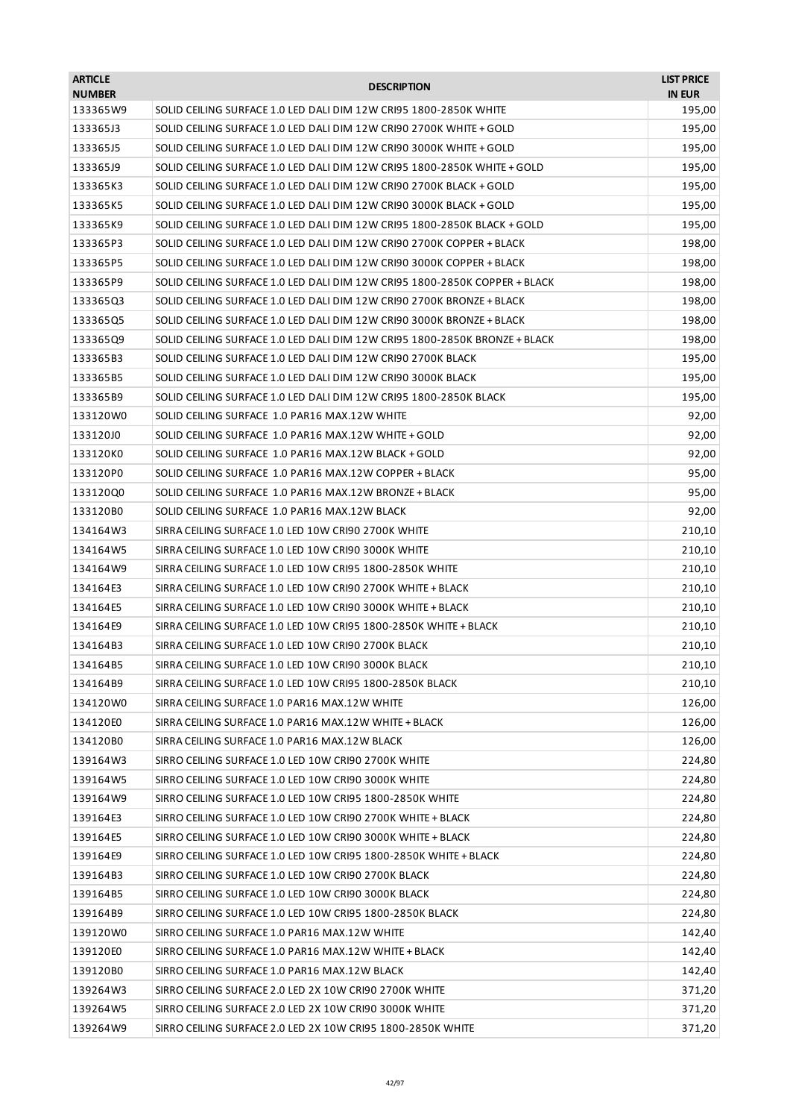| <b>ARTICLE</b><br><b>NUMBER</b> | <b>DESCRIPTION</b>                                                         | <b>LIST PRICE</b><br><b>IN EUR</b> |
|---------------------------------|----------------------------------------------------------------------------|------------------------------------|
| 133365W9                        | SOLID CEILING SURFACE 1.0 LED DALI DIM 12W CRI95 1800-2850K WHITE          | 195,00                             |
| 133365J3                        | SOLID CEILING SURFACE 1.0 LED DALI DIM 12W CRI90 2700K WHITE + GOLD        | 195,00                             |
| 133365J5                        | SOLID CEILING SURFACE 1.0 LED DALI DIM 12W CRI90 3000K WHITE + GOLD        | 195,00                             |
| 133365J9                        | SOLID CEILING SURFACE 1.0 LED DALI DIM 12W CRI95 1800-2850K WHITE + GOLD   | 195,00                             |
| 133365K3                        | SOLID CEILING SURFACE 1.0 LED DALI DIM 12W CRI90 2700K BLACK + GOLD        | 195,00                             |
| 133365K5                        | SOLID CEILING SURFACE 1.0 LED DALI DIM 12W CRI90 3000K BLACK + GOLD        | 195,00                             |
| 133365K9                        | SOLID CEILING SURFACE 1.0 LED DALI DIM 12W CRI95 1800-2850K BLACK + GOLD   | 195,00                             |
| 133365P3                        | SOLID CEILING SURFACE 1.0 LED DALI DIM 12W CRI90 2700K COPPER + BLACK      | 198,00                             |
| 133365P5                        | SOLID CEILING SURFACE 1.0 LED DALI DIM 12W CRI90 3000K COPPER + BLACK      | 198,00                             |
| 133365P9                        | SOLID CEILING SURFACE 1.0 LED DALI DIM 12W CRI95 1800-2850K COPPER + BLACK | 198,00                             |
| 133365Q3                        | SOLID CEILING SURFACE 1.0 LED DALI DIM 12W CRI90 2700K BRONZE + BLACK      | 198,00                             |
| 133365Q5                        | SOLID CEILING SURFACE 1.0 LED DALI DIM 12W CRI90 3000K BRONZE + BLACK      | 198,00                             |
| 133365Q9                        | SOLID CEILING SURFACE 1.0 LED DALI DIM 12W CRI95 1800-2850K BRONZE + BLACK | 198,00                             |
| 133365B3                        | SOLID CEILING SURFACE 1.0 LED DALI DIM 12W CRI90 2700K BLACK               | 195,00                             |
| 133365B5                        | SOLID CEILING SURFACE 1.0 LED DALI DIM 12W CRI90 3000K BLACK               | 195,00                             |
| 133365B9                        | SOLID CEILING SURFACE 1.0 LED DALI DIM 12W CRI95 1800-2850K BLACK          | 195,00                             |
| 133120W0                        | SOLID CEILING SURFACE 1.0 PAR16 MAX.12W WHITE                              | 92,00                              |
| 133120J0                        | SOLID CEILING SURFACE 1.0 PAR16 MAX.12W WHITE + GOLD                       | 92,00                              |
| 133120K0                        | SOLID CEILING SURFACE 1.0 PAR16 MAX.12W BLACK + GOLD                       | 92,00                              |
| 133120P0                        | SOLID CEILING SURFACE 1.0 PAR16 MAX.12W COPPER + BLACK                     | 95,00                              |
| 133120Q0                        | SOLID CEILING SURFACE 1.0 PAR16 MAX.12W BRONZE + BLACK                     | 95,00                              |
| 133120B0                        | SOLID CEILING SURFACE 1.0 PAR16 MAX.12W BLACK                              |                                    |
|                                 | SIRRA CEILING SURFACE 1.0 LED 10W CRI90 2700K WHITE                        | 92,00                              |
| 134164W3                        | SIRRA CEILING SURFACE 1.0 LED 10W CRI90 3000K WHITE                        | 210,10                             |
| 134164W5                        |                                                                            | 210,10                             |
| 134164W9                        | SIRRA CEILING SURFACE 1.0 LED 10W CRI95 1800-2850K WHITE                   | 210,10                             |
| 134164E3                        | SIRRA CEILING SURFACE 1.0 LED 10W CRI90 2700K WHITE + BLACK                | 210,10                             |
| 134164E5                        | SIRRA CEILING SURFACE 1.0 LED 10W CRI90 3000K WHITE + BLACK                | 210,10                             |
| 134164E9                        | SIRRA CEILING SURFACE 1.0 LED 10W CRI95 1800-2850K WHITE + BLACK           | 210,10                             |
| 134164B3                        | SIRRA CEILING SURFACE 1.0 LED 10W CRI90 2700K BLACK                        | 210,10                             |
| 134164B5                        | SIRRA CEILING SURFACE 1.0 LED 10W CRI90 3000K BLACK                        | 210,10                             |
| 134164B9                        | SIRRA CEILING SURFACE 1.0 LED 10W CRI95 1800-2850K BLACK                   | 210,10                             |
| 134120W0                        | SIRRA CEILING SURFACE 1.0 PAR16 MAX.12W WHITE                              | 126,00                             |
| 134120E0                        | SIRRA CEILING SURFACE 1.0 PAR16 MAX.12W WHITE + BLACK                      | 126,00                             |
| 134120B0                        | SIRRA CEILING SURFACE 1.0 PAR16 MAX.12W BLACK                              | 126,00                             |
| 139164W3                        | SIRRO CEILING SURFACE 1.0 LED 10W CRI90 2700K WHITE                        | 224,80                             |
| 139164W5                        | SIRRO CEILING SURFACE 1.0 LED 10W CRI90 3000K WHITE                        | 224,80                             |
| 139164W9                        | SIRRO CEILING SURFACE 1.0 LED 10W CRI95 1800-2850K WHITE                   | 224,80                             |
| 139164E3                        | SIRRO CEILING SURFACE 1.0 LED 10W CRI90 2700K WHITE + BLACK                | 224,80                             |
| 139164E5                        | SIRRO CEILING SURFACE 1.0 LED 10W CRI90 3000K WHITE + BLACK                | 224,80                             |
| 139164E9                        | SIRRO CEILING SURFACE 1.0 LED 10W CRI95 1800-2850K WHITE + BLACK           | 224,80                             |
| 139164B3                        | SIRRO CEILING SURFACE 1.0 LED 10W CRI90 2700K BLACK                        | 224,80                             |
| 139164B5                        | SIRRO CEILING SURFACE 1.0 LED 10W CRI90 3000K BLACK                        | 224,80                             |
| 139164B9                        | SIRRO CEILING SURFACE 1.0 LED 10W CRI95 1800-2850K BLACK                   | 224,80                             |
| 139120W0                        | SIRRO CEILING SURFACE 1.0 PAR16 MAX.12W WHITE                              | 142,40                             |
| 139120E0                        | SIRRO CEILING SURFACE 1.0 PAR16 MAX.12W WHITE + BLACK                      | 142,40                             |
| 139120B0                        | SIRRO CEILING SURFACE 1.0 PAR16 MAX.12W BLACK                              | 142,40                             |
| 139264W3                        | SIRRO CEILING SURFACE 2.0 LED 2X 10W CRI90 2700K WHITE                     | 371,20                             |
| 139264W5                        | SIRRO CEILING SURFACE 2.0 LED 2X 10W CRI90 3000K WHITE                     | 371,20                             |
| 139264W9                        | SIRRO CEILING SURFACE 2.0 LED 2X 10W CRI95 1800-2850K WHITE                | 371,20                             |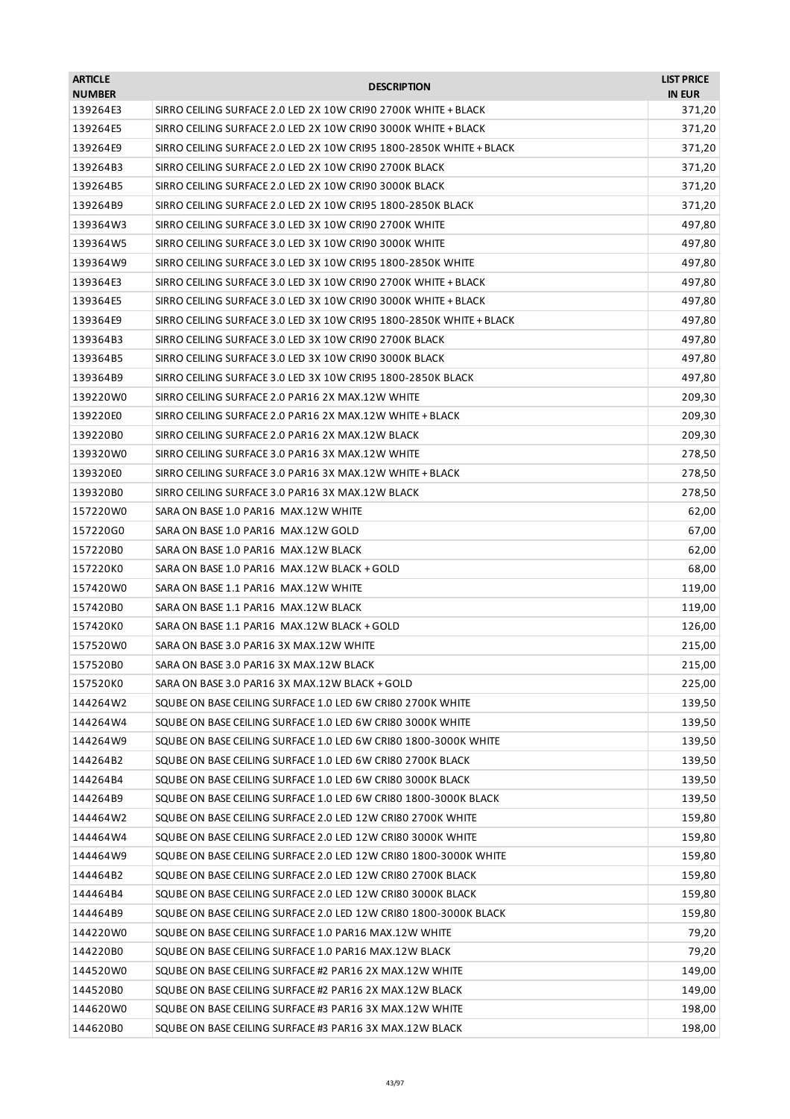| <b>ARTICLE</b><br><b>NUMBER</b> | <b>DESCRIPTION</b>                                                  | <b>LIST PRICE</b><br><b>IN EUR</b> |
|---------------------------------|---------------------------------------------------------------------|------------------------------------|
| 139264E3                        | SIRRO CEILING SURFACE 2.0 LED 2X 10W CRI90 2700K WHITE + BLACK      | 371,20                             |
| 139264E5                        | SIRRO CEILING SURFACE 2.0 LED 2X 10W CRI90 3000K WHITE + BLACK      | 371,20                             |
| 139264E9                        | SIRRO CEILING SURFACE 2.0 LED 2X 10W CRI95 1800-2850K WHITE + BLACK | 371,20                             |
| 139264B3                        | SIRRO CEILING SURFACE 2.0 LED 2X 10W CRI90 2700K BLACK              | 371,20                             |
| 139264B5                        | SIRRO CEILING SURFACE 2.0 LED 2X 10W CRI90 3000K BLACK              | 371,20                             |
| 139264B9                        | SIRRO CEILING SURFACE 2.0 LED 2X 10W CRI95 1800-2850K BLACK         | 371,20                             |
| 139364W3                        | SIRRO CEILING SURFACE 3.0 LED 3X 10W CRI90 2700K WHITE              | 497,80                             |
| 139364W5                        | SIRRO CEILING SURFACE 3.0 LED 3X 10W CRI90 3000K WHITE              | 497,80                             |
| 139364W9                        | SIRRO CEILING SURFACE 3.0 LED 3X 10W CRI95 1800-2850K WHITE         | 497,80                             |
| 139364E3                        | SIRRO CEILING SURFACE 3.0 LED 3X 10W CRI90 2700K WHITE + BLACK      | 497,80                             |
| 139364E5                        | SIRRO CEILING SURFACE 3.0 LED 3X 10W CRI90 3000K WHITE + BLACK      | 497,80                             |
| 139364E9                        | SIRRO CEILING SURFACE 3.0 LED 3X 10W CRI95 1800-2850K WHITE + BLACK | 497,80                             |
| 139364B3                        | SIRRO CEILING SURFACE 3.0 LED 3X 10W CRI90 2700K BLACK              | 497,80                             |
| 139364B5                        | SIRRO CEILING SURFACE 3.0 LED 3X 10W CRI90 3000K BLACK              | 497,80                             |
| 139364B9                        | SIRRO CEILING SURFACE 3.0 LED 3X 10W CRI95 1800-2850K BLACK         | 497,80                             |
| 139220W0                        | SIRRO CEILING SURFACE 2.0 PAR16 2X MAX.12W WHITE                    | 209,30                             |
| 139220E0                        | SIRRO CEILING SURFACE 2.0 PAR16 2X MAX.12W WHITE + BLACK            | 209,30                             |
| 139220B0                        | SIRRO CEILING SURFACE 2.0 PAR16 2X MAX.12W BLACK                    | 209,30                             |
| 139320W0                        | SIRRO CEILING SURFACE 3.0 PAR16 3X MAX.12W WHITE                    | 278,50                             |
| 139320E0                        | SIRRO CEILING SURFACE 3.0 PAR16 3X MAX.12W WHITE + BLACK            | 278,50                             |
| 139320B0                        | SIRRO CEILING SURFACE 3.0 PAR16 3X MAX.12W BLACK                    | 278,50                             |
| 157220W0                        | SARA ON BASE 1.0 PAR16 MAX.12W WHITE                                | 62,00                              |
| 157220G0                        | SARA ON BASE 1.0 PAR16 MAX.12W GOLD                                 | 67,00                              |
| 157220B0                        | SARA ON BASE 1.0 PAR16 MAX.12W BLACK                                | 62,00                              |
| 157220K0                        | SARA ON BASE 1.0 PAR16 MAX.12W BLACK + GOLD                         | 68,00                              |
| 157420W0                        | SARA ON BASE 1.1 PAR16 MAX.12W WHITE                                | 119,00                             |
| 157420B0                        | SARA ON BASE 1.1 PAR16 MAX.12W BLACK                                | 119,00                             |
| 157420K0                        | SARA ON BASE 1.1 PAR16 MAX.12W BLACK + GOLD                         | 126,00                             |
| 157520W0                        | SARA ON BASE 3.0 PAR16 3X MAX.12W WHITE                             | 215,00                             |
| 157520B0                        | SARA ON BASE 3.0 PAR16 3X MAX.12W BLACK                             | 215,00                             |
| 157520K0                        | SARA ON BASE 3.0 PAR16 3X MAX.12W BLACK + GOLD                      | 225,00                             |
| 144264W2                        | SQUBE ON BASE CEILING SURFACE 1.0 LED 6W CRI80 2700K WHITE          | 139,50                             |
| 144264W4                        | SQUBE ON BASE CEILING SURFACE 1.0 LED 6W CRI80 3000K WHITE          | 139,50                             |
| 144264W9                        | SQUBE ON BASE CEILING SURFACE 1.0 LED 6W CRI80 1800-3000K WHITE     | 139,50                             |
| 144264B2                        | SQUBE ON BASE CEILING SURFACE 1.0 LED 6W CRI80 2700K BLACK          | 139,50                             |
| 144264B4                        | SQUBE ON BASE CEILING SURFACE 1.0 LED 6W CRI80 3000K BLACK          | 139,50                             |
| 144264B9                        | SQUBE ON BASE CEILING SURFACE 1.0 LED 6W CRI80 1800-3000K BLACK     | 139,50                             |
| 144464W2                        | SQUBE ON BASE CEILING SURFACE 2.0 LED 12W CRI80 2700K WHITE         | 159,80                             |
| 144464W4                        | SQUBE ON BASE CEILING SURFACE 2.0 LED 12W CRI80 3000K WHITE         | 159,80                             |
| 144464W9                        | SQUBE ON BASE CEILING SURFACE 2.0 LED 12W CRI80 1800-3000K WHITE    | 159,80                             |
| 144464B2                        | SQUBE ON BASE CEILING SURFACE 2.0 LED 12W CRI80 2700K BLACK         | 159,80                             |
| 144464B4                        | SQUBE ON BASE CEILING SURFACE 2.0 LED 12W CRI80 3000K BLACK         | 159,80                             |
| 144464B9                        | SQUBE ON BASE CEILING SURFACE 2.0 LED 12W CRI80 1800-3000K BLACK    | 159,80                             |
| 144220W0                        | SQUBE ON BASE CEILING SURFACE 1.0 PAR16 MAX.12W WHITE               | 79,20                              |
| 144220B0                        | SQUBE ON BASE CEILING SURFACE 1.0 PAR16 MAX.12W BLACK               | 79,20                              |
| 144520W0                        | SQUBE ON BASE CEILING SURFACE #2 PAR16 2X MAX.12W WHITE             | 149,00                             |
| 144520B0                        | SQUBE ON BASE CEILING SURFACE #2 PAR16 2X MAX.12W BLACK             | 149,00                             |
| 144620W0                        | SQUBE ON BASE CEILING SURFACE #3 PAR16 3X MAX.12W WHITE             | 198,00                             |
| 144620B0                        | SQUBE ON BASE CEILING SURFACE #3 PAR16 3X MAX.12W BLACK             | 198,00                             |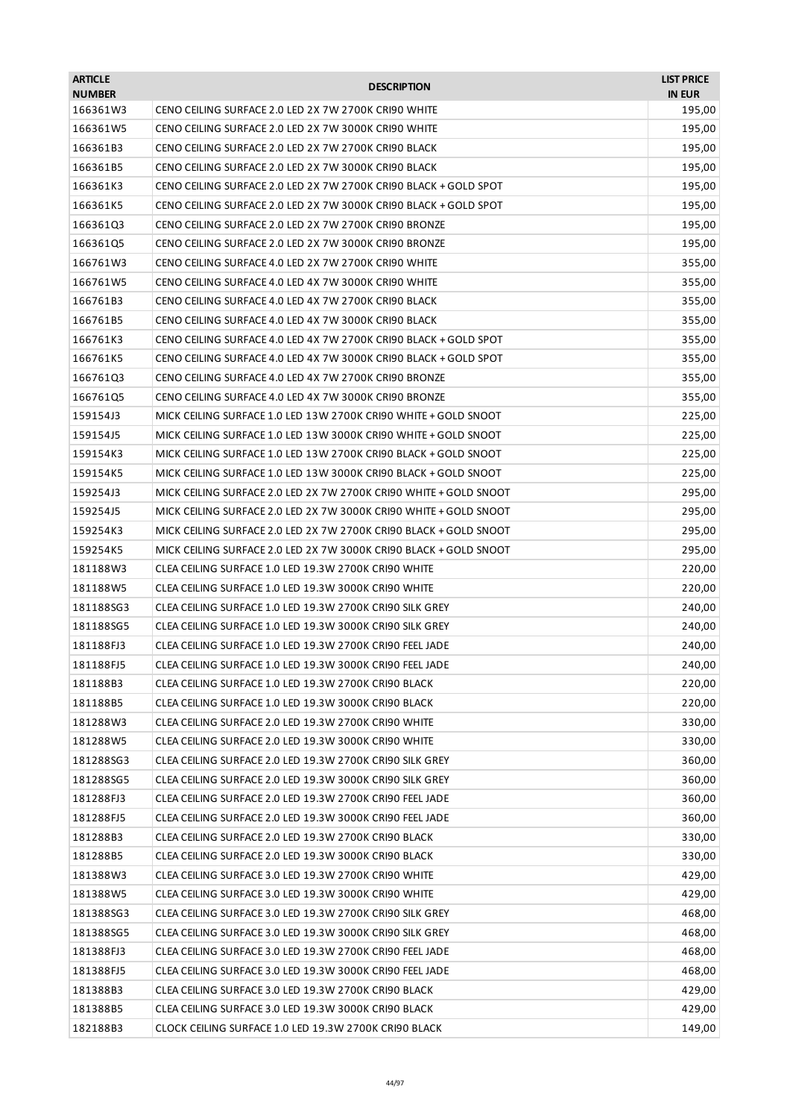| <b>ARTICLE</b><br><b>NUMBER</b> | <b>DESCRIPTION</b>                                                | <b>LIST PRICE</b><br><b>IN EUR</b> |
|---------------------------------|-------------------------------------------------------------------|------------------------------------|
| 166361W3                        | CENO CEILING SURFACE 2.0 LED 2X 7W 2700K CRI90 WHITE              | 195,00                             |
| 166361W5                        | CENO CEILING SURFACE 2.0 LED 2X 7W 3000K CRI90 WHITE              | 195,00                             |
| 166361B3                        | CENO CEILING SURFACE 2.0 LED 2X 7W 2700K CRI90 BLACK              | 195,00                             |
| 166361B5                        | CENO CEILING SURFACE 2.0 LED 2X 7W 3000K CRI90 BLACK              | 195,00                             |
| 166361K3                        | CENO CEILING SURFACE 2.0 LED 2X 7W 2700K CRI90 BLACK + GOLD SPOT  | 195,00                             |
| 166361K5                        | CENO CEILING SURFACE 2.0 LED 2X 7W 3000K CRI90 BLACK + GOLD SPOT  | 195,00                             |
| 166361Q3                        | CENO CEILING SURFACE 2.0 LED 2X 7W 2700K CRI90 BRONZE             | 195,00                             |
| 166361Q5                        | CENO CEILING SURFACE 2.0 LED 2X 7W 3000K CRI90 BRONZE             | 195,00                             |
| 166761W3                        | CENO CEILING SURFACE 4.0 LED 2X 7W 2700K CRI90 WHITE              | 355,00                             |
| 166761W5                        | CENO CEILING SURFACE 4.0 LED 4X 7W 3000K CRI90 WHITE              | 355,00                             |
| 166761B3                        | CENO CEILING SURFACE 4.0 LED 4X 7W 2700K CRI90 BLACK              | 355,00                             |
| 166761B5                        | CENO CEILING SURFACE 4.0 LED 4X 7W 3000K CRI90 BLACK              | 355,00                             |
| 166761K3                        | CENO CEILING SURFACE 4.0 LED 4X 7W 2700K CRI90 BLACK + GOLD SPOT  | 355,00                             |
| 166761K5                        | CENO CEILING SURFACE 4.0 LED 4X 7W 3000K CRI90 BLACK + GOLD SPOT  | 355,00                             |
| 166761Q3                        | CENO CEILING SURFACE 4.0 LED 4X 7W 2700K CRI90 BRONZE             | 355,00                             |
| 166761Q5                        | CENO CEILING SURFACE 4.0 LED 4X 7W 3000K CRI90 BRONZE             | 355,00                             |
| 159154J3                        | MICK CEILING SURFACE 1.0 LED 13W 2700K CRI90 WHITE + GOLD SNOOT   | 225,00                             |
| 159154J5                        | MICK CEILING SURFACE 1.0 LED 13W 3000K CRI90 WHITE + GOLD SNOOT   | 225,00                             |
| 159154K3                        | MICK CEILING SURFACE 1.0 LED 13W 2700K CRI90 BLACK + GOLD SNOOT   | 225,00                             |
| 159154K5                        | MICK CEILING SURFACE 1.0 LED 13W 3000K CRI90 BLACK + GOLD SNOOT   | 225,00                             |
| 159254J3                        | MICK CEILING SURFACE 2.0 LED 2X 7W 2700K CRI90 WHITE + GOLD SNOOT | 295,00                             |
| 159254J5                        | MICK CEILING SURFACE 2.0 LED 2X 7W 3000K CRI90 WHITE + GOLD SNOOT | 295,00                             |
| 159254K3                        | MICK CEILING SURFACE 2.0 LED 2X 7W 2700K CRI90 BLACK + GOLD SNOOT | 295,00                             |
| 159254K5                        | MICK CEILING SURFACE 2.0 LED 2X 7W 3000K CRI90 BLACK + GOLD SNOOT | 295,00                             |
| 181188W3                        | CLEA CEILING SURFACE 1.0 LED 19.3W 2700K CRI90 WHITE              | 220,00                             |
| 181188W5                        | CLEA CEILING SURFACE 1.0 LED 19.3W 3000K CRI90 WHITE              | 220,00                             |
| 181188SG3                       | CLEA CEILING SURFACE 1.0 LED 19.3W 2700K CRI90 SILK GREY          | 240,00                             |
| 181188SG5                       | CLEA CEILING SURFACE 1.0 LED 19.3W 3000K CRI90 SILK GREY          | 240,00                             |
| 181188FJ3                       | CLEA CEILING SURFACE 1.0 LED 19.3W 2700K CRI90 FEEL JADE          | 240,00                             |
| 181188FJ5                       | CLEA CEILING SURFACE 1.0 LED 19.3W 3000K CRI90 FEEL JADE          | 240,00                             |
| 181188B3                        | CLEA CEILING SURFACE 1.0 LED 19.3W 2700K CRI90 BLACK              | 220,00                             |
| 181188B5                        | CLEA CEILING SURFACE 1.0 LED 19.3W 3000K CRI90 BLACK              | 220,00                             |
| 181288W3                        | CLEA CEILING SURFACE 2.0 LED 19.3W 2700K CRI90 WHITE              | 330,00                             |
| 181288W5                        | CLEA CEILING SURFACE 2.0 LED 19.3W 3000K CRI90 WHITE              | 330,00                             |
| 181288SG3                       | CLEA CEILING SURFACE 2.0 LED 19.3W 2700K CRI90 SILK GREY          | 360,00                             |
| 181288SG5                       | CLEA CEILING SURFACE 2.0 LED 19.3W 3000K CRI90 SILK GREY          | 360,00                             |
| 181288FJ3                       | CLEA CEILING SURFACE 2.0 LED 19.3W 2700K CRI90 FEEL JADE          | 360,00                             |
| 181288FJ5                       | CLEA CEILING SURFACE 2.0 LED 19.3W 3000K CRI90 FEEL JADE          | 360,00                             |
| 181288B3                        | CLEA CEILING SURFACE 2.0 LED 19.3W 2700K CRI90 BLACK              | 330,00                             |
| 181288B5                        | CLEA CEILING SURFACE 2.0 LED 19.3W 3000K CRI90 BLACK              | 330,00                             |
| 181388W3                        | CLEA CEILING SURFACE 3.0 LED 19.3W 2700K CRI90 WHITE              | 429,00                             |
| 181388W5                        | CLEA CEILING SURFACE 3.0 LED 19.3W 3000K CRI90 WHITE              | 429,00                             |
| 181388SG3                       | CLEA CEILING SURFACE 3.0 LED 19.3W 2700K CRI90 SILK GREY          | 468,00                             |
| 181388SG5                       | CLEA CEILING SURFACE 3.0 LED 19.3W 3000K CRI90 SILK GREY          | 468,00                             |
| 181388FJ3                       | CLEA CEILING SURFACE 3.0 LED 19.3W 2700K CRI90 FEEL JADE          | 468,00                             |
| 181388FJ5                       | CLEA CEILING SURFACE 3.0 LED 19.3W 3000K CRI90 FEEL JADE          | 468,00                             |
| 181388B3                        | CLEA CEILING SURFACE 3.0 LED 19.3W 2700K CRI90 BLACK              | 429,00                             |
| 181388B5                        | CLEA CEILING SURFACE 3.0 LED 19.3W 3000K CRI90 BLACK              | 429,00                             |
| 182188B3                        | CLOCK CEILING SURFACE 1.0 LED 19.3W 2700K CRI90 BLACK             | 149,00                             |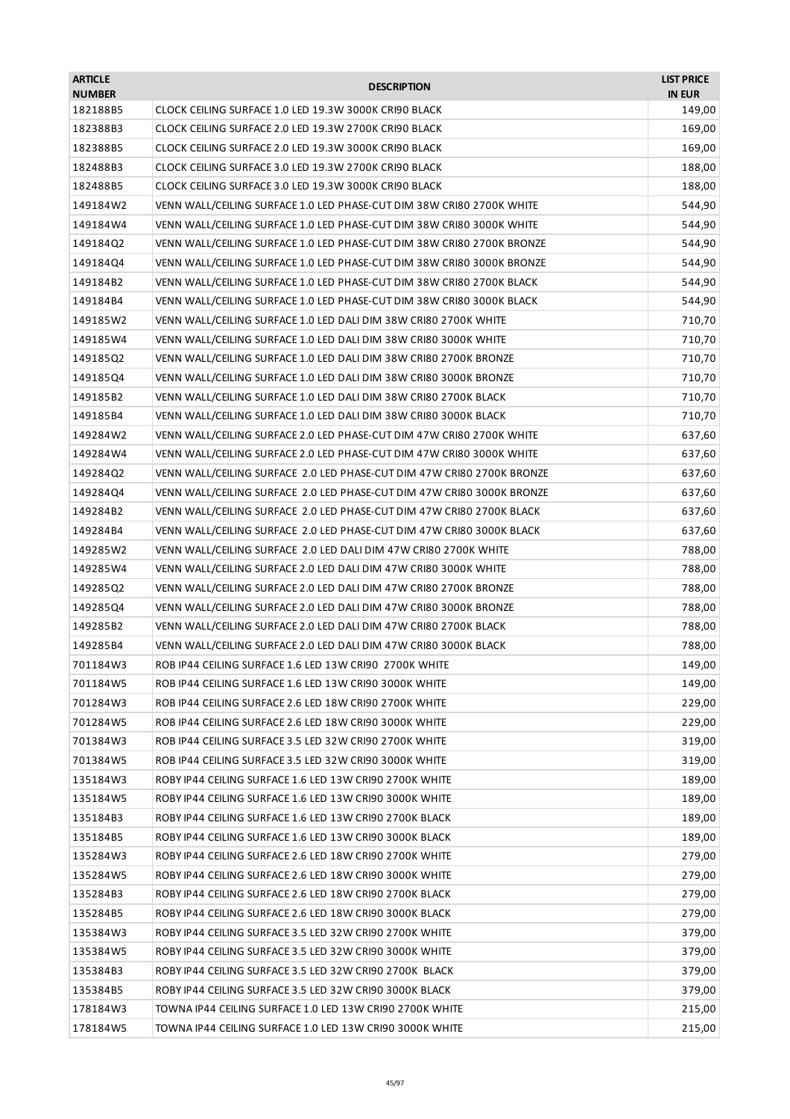| 182188B5<br>CLOCK CEILING SURFACE 1.0 LED 19.3W 3000K CRI90 BLACK<br>149,00<br>182388B3<br>CLOCK CEILING SURFACE 2.0 LED 19.3W 2700K CRI90 BLACK<br>169,00<br>182388B5<br>CLOCK CEILING SURFACE 2.0 LED 19.3W 3000K CRI90 BLACK<br>169,00<br>182488B3<br>CLOCK CEILING SURFACE 3.0 LED 19.3W 2700K CRI90 BLACK<br>188,00<br>182488B5<br>188,00<br>CLOCK CEILING SURFACE 3.0 LED 19.3W 3000K CRI90 BLACK<br>149184W2<br>VENN WALL/CEILING SURFACE 1.0 LED PHASE-CUT DIM 38W CRI80 2700K WHITE<br>544,90<br>149184W4<br>VENN WALL/CEILING SURFACE 1.0 LED PHASE-CUT DIM 38W CRI80 3000K WHITE<br>544,90<br>14918402<br>VENN WALL/CEILING SURFACE 1.0 LED PHASE-CUT DIM 38W CRI80 2700K BRONZE<br>544,90<br>149184Q4<br>VENN WALL/CEILING SURFACE 1.0 LED PHASE-CUT DIM 38W CRI80 3000K BRONZE<br>544,90<br>149184B2<br>VENN WALL/CEILING SURFACE 1.0 LED PHASE-CUT DIM 38W CRI80 2700K BLACK<br>544,90<br>149184B4<br>VENN WALL/CEILING SURFACE 1.0 LED PHASE-CUT DIM 38W CRI80 3000K BLACK<br>544,90<br>149185W2<br>VENN WALL/CEILING SURFACE 1.0 LED DALI DIM 38W CRI80 2700K WHITE<br>710,70<br>710,70<br>149185W4<br>VENN WALL/CEILING SURFACE 1.0 LED DALI DIM 38W CRI80 3000K WHITE<br>14918502<br>VENN WALL/CEILING SURFACE 1.0 LED DALI DIM 38W CRI80 2700K BRONZE<br>710,70<br>710,70<br>149185Q4<br>VENN WALL/CEILING SURFACE 1.0 LED DALI DIM 38W CRI80 3000K BRONZE<br>149185B2<br>VENN WALL/CEILING SURFACE 1.0 LED DALI DIM 38W CRI80 2700K BLACK<br>710,70<br>149185B4<br>VENN WALL/CEILING SURFACE 1.0 LED DALI DIM 38W CRI80 3000K BLACK<br>710,70<br>149284W2<br>VENN WALL/CEILING SURFACE 2.0 LED PHASE-CUT DIM 47W CRI80 2700K WHITE<br>637,60<br>149284W4<br>VENN WALL/CEILING SURFACE 2.0 LED PHASE-CUT DIM 47W CRI80 3000K WHITE<br>637,60<br>149284Q2<br>VENN WALL/CEILING SURFACE 2.0 LED PHASE-CUT DIM 47W CRI80 2700K BRONZE<br>637,60<br>149284Q4<br>VENN WALL/CEILING SURFACE 2.0 LED PHASE-CUT DIM 47W CRI80 3000K BRONZE<br>637,60<br>637,60<br>149284B2<br>VENN WALL/CEILING SURFACE 2.0 LED PHASE-CUT DIM 47W CRI80 2700K BLACK<br>149284B4<br>VENN WALL/CEILING SURFACE 2.0 LED PHASE-CUT DIM 47W CRI80 3000K BLACK<br>637,60<br>149285W2<br>VENN WALL/CEILING SURFACE 2.0 LED DALI DIM 47W CRI80 2700K WHITE<br>788,00<br>788,00<br>149285W4<br>VENN WALL/CEILING SURFACE 2.0 LED DALI DIM 47W CRI80 3000K WHITE<br>14928502<br>VENN WALL/CEILING SURFACE 2.0 LED DALI DIM 47W CRI80 2700K BRONZE<br>788,00<br>788,00<br>14928504<br>VENN WALL/CEILING SURFACE 2.0 LED DALI DIM 47W CRI80 3000K BRONZE<br>149285B2<br>VENN WALL/CEILING SURFACE 2.0 LED DALI DIM 47W CRI80 2700K BLACK<br>788,00<br>149285B4<br>VENN WALL/CEILING SURFACE 2.0 LED DALI DIM 47W CRI80 3000K BLACK<br>788,00<br>701184W3<br>ROB IP44 CEILING SURFACE 1.6 LED 13W CRI90 2700K WHITE<br>149,00<br>ROB IP44 CEILING SURFACE 1.6 LED 13W CRI90 3000K WHITE<br>149,00<br>701184W5<br>ROB IP44 CEILING SURFACE 2.6 LED 18W CRI90 2700K WHITE<br>701284W3<br>229,00<br>ROB IP44 CEILING SURFACE 2.6 LED 18W CRI90 3000K WHITE<br>701284W5<br>229,00<br>701384W3<br>ROB IP44 CEILING SURFACE 3.5 LED 32W CRI90 2700K WHITE<br>319,00<br>701384W5<br>ROB IP44 CEILING SURFACE 3.5 LED 32W CRI90 3000K WHITE<br>319,00<br>135184W3<br>ROBY IP44 CEILING SURFACE 1.6 LED 13W CRI90 2700K WHITE<br>189,00<br>189,00<br>135184W5<br>ROBY IP44 CEILING SURFACE 1.6 LED 13W CRI90 3000K WHITE<br>135184B3<br>ROBY IP44 CEILING SURFACE 1.6 LED 13W CRI90 2700K BLACK<br>189,00<br>135184B5<br>ROBY IP44 CEILING SURFACE 1.6 LED 13W CRI90 3000K BLACK<br>189,00<br>279,00<br>135284W3<br>ROBY IP44 CEILING SURFACE 2.6 LED 18W CRI90 2700K WHITE<br>135284W5<br>ROBY IP44 CEILING SURFACE 2.6 LED 18W CRI90 3000K WHITE<br>279,00<br>ROBY IP44 CEILING SURFACE 2.6 LED 18W CRI90 2700K BLACK<br>135284B3<br>279,00<br>135284B5<br>ROBY IP44 CEILING SURFACE 2.6 LED 18W CRI90 3000K BLACK<br>279,00<br>135384W3<br>ROBY IP44 CEILING SURFACE 3.5 LED 32W CRI90 2700K WHITE<br>379,00<br>ROBY IP44 CEILING SURFACE 3.5 LED 32W CRI90 3000K WHITE<br>379,00<br>135384W5<br>135384B3<br>ROBY IP44 CEILING SURFACE 3.5 LED 32W CRI90 2700K BLACK<br>379,00<br>ROBY IP44 CEILING SURFACE 3.5 LED 32W CRI90 3000K BLACK<br>379,00<br>135384B5<br>178184W3<br>TOWNA IP44 CEILING SURFACE 1.0 LED 13W CRI90 2700K WHITE<br>215,00<br>178184W5<br>TOWNA IP44 CEILING SURFACE 1.0 LED 13W CRI90 3000K WHITE<br>215,00 | <b>ARTICLE</b><br><b>NUMBER</b> | <b>DESCRIPTION</b> | <b>LIST PRICE</b><br><b>IN EUR</b> |
|-------------------------------------------------------------------------------------------------------------------------------------------------------------------------------------------------------------------------------------------------------------------------------------------------------------------------------------------------------------------------------------------------------------------------------------------------------------------------------------------------------------------------------------------------------------------------------------------------------------------------------------------------------------------------------------------------------------------------------------------------------------------------------------------------------------------------------------------------------------------------------------------------------------------------------------------------------------------------------------------------------------------------------------------------------------------------------------------------------------------------------------------------------------------------------------------------------------------------------------------------------------------------------------------------------------------------------------------------------------------------------------------------------------------------------------------------------------------------------------------------------------------------------------------------------------------------------------------------------------------------------------------------------------------------------------------------------------------------------------------------------------------------------------------------------------------------------------------------------------------------------------------------------------------------------------------------------------------------------------------------------------------------------------------------------------------------------------------------------------------------------------------------------------------------------------------------------------------------------------------------------------------------------------------------------------------------------------------------------------------------------------------------------------------------------------------------------------------------------------------------------------------------------------------------------------------------------------------------------------------------------------------------------------------------------------------------------------------------------------------------------------------------------------------------------------------------------------------------------------------------------------------------------------------------------------------------------------------------------------------------------------------------------------------------------------------------------------------------------------------------------------------------------------------------------------------------------------------------------------------------------------------------------------------------------------------------------------------------------------------------------------------------------------------------------------------------------------------------------------------------------------------------------------------------------------------------------------------------------------------------------------------------------------------------------------------------------------------------------------------------------------------------------------------------------------------------------------------------------------------------------------------------------------------------------------------------------------------------------------------------------------------------------------------------------------------------------------------------------------------------------------------------------------------------------------------------------------------------------------------------------------------------------------------------------------------------------------------------------------------------------------------------------------|---------------------------------|--------------------|------------------------------------|
|                                                                                                                                                                                                                                                                                                                                                                                                                                                                                                                                                                                                                                                                                                                                                                                                                                                                                                                                                                                                                                                                                                                                                                                                                                                                                                                                                                                                                                                                                                                                                                                                                                                                                                                                                                                                                                                                                                                                                                                                                                                                                                                                                                                                                                                                                                                                                                                                                                                                                                                                                                                                                                                                                                                                                                                                                                                                                                                                                                                                                                                                                                                                                                                                                                                                                                                                                                                                                                                                                                                                                                                                                                                                                                                                                                                                                                                                                                                                                                                                                                                                                                                                                                                                                                                                                                                                                                                                             |                                 |                    |                                    |
|                                                                                                                                                                                                                                                                                                                                                                                                                                                                                                                                                                                                                                                                                                                                                                                                                                                                                                                                                                                                                                                                                                                                                                                                                                                                                                                                                                                                                                                                                                                                                                                                                                                                                                                                                                                                                                                                                                                                                                                                                                                                                                                                                                                                                                                                                                                                                                                                                                                                                                                                                                                                                                                                                                                                                                                                                                                                                                                                                                                                                                                                                                                                                                                                                                                                                                                                                                                                                                                                                                                                                                                                                                                                                                                                                                                                                                                                                                                                                                                                                                                                                                                                                                                                                                                                                                                                                                                                             |                                 |                    |                                    |
|                                                                                                                                                                                                                                                                                                                                                                                                                                                                                                                                                                                                                                                                                                                                                                                                                                                                                                                                                                                                                                                                                                                                                                                                                                                                                                                                                                                                                                                                                                                                                                                                                                                                                                                                                                                                                                                                                                                                                                                                                                                                                                                                                                                                                                                                                                                                                                                                                                                                                                                                                                                                                                                                                                                                                                                                                                                                                                                                                                                                                                                                                                                                                                                                                                                                                                                                                                                                                                                                                                                                                                                                                                                                                                                                                                                                                                                                                                                                                                                                                                                                                                                                                                                                                                                                                                                                                                                                             |                                 |                    |                                    |
|                                                                                                                                                                                                                                                                                                                                                                                                                                                                                                                                                                                                                                                                                                                                                                                                                                                                                                                                                                                                                                                                                                                                                                                                                                                                                                                                                                                                                                                                                                                                                                                                                                                                                                                                                                                                                                                                                                                                                                                                                                                                                                                                                                                                                                                                                                                                                                                                                                                                                                                                                                                                                                                                                                                                                                                                                                                                                                                                                                                                                                                                                                                                                                                                                                                                                                                                                                                                                                                                                                                                                                                                                                                                                                                                                                                                                                                                                                                                                                                                                                                                                                                                                                                                                                                                                                                                                                                                             |                                 |                    |                                    |
|                                                                                                                                                                                                                                                                                                                                                                                                                                                                                                                                                                                                                                                                                                                                                                                                                                                                                                                                                                                                                                                                                                                                                                                                                                                                                                                                                                                                                                                                                                                                                                                                                                                                                                                                                                                                                                                                                                                                                                                                                                                                                                                                                                                                                                                                                                                                                                                                                                                                                                                                                                                                                                                                                                                                                                                                                                                                                                                                                                                                                                                                                                                                                                                                                                                                                                                                                                                                                                                                                                                                                                                                                                                                                                                                                                                                                                                                                                                                                                                                                                                                                                                                                                                                                                                                                                                                                                                                             |                                 |                    |                                    |
|                                                                                                                                                                                                                                                                                                                                                                                                                                                                                                                                                                                                                                                                                                                                                                                                                                                                                                                                                                                                                                                                                                                                                                                                                                                                                                                                                                                                                                                                                                                                                                                                                                                                                                                                                                                                                                                                                                                                                                                                                                                                                                                                                                                                                                                                                                                                                                                                                                                                                                                                                                                                                                                                                                                                                                                                                                                                                                                                                                                                                                                                                                                                                                                                                                                                                                                                                                                                                                                                                                                                                                                                                                                                                                                                                                                                                                                                                                                                                                                                                                                                                                                                                                                                                                                                                                                                                                                                             |                                 |                    |                                    |
|                                                                                                                                                                                                                                                                                                                                                                                                                                                                                                                                                                                                                                                                                                                                                                                                                                                                                                                                                                                                                                                                                                                                                                                                                                                                                                                                                                                                                                                                                                                                                                                                                                                                                                                                                                                                                                                                                                                                                                                                                                                                                                                                                                                                                                                                                                                                                                                                                                                                                                                                                                                                                                                                                                                                                                                                                                                                                                                                                                                                                                                                                                                                                                                                                                                                                                                                                                                                                                                                                                                                                                                                                                                                                                                                                                                                                                                                                                                                                                                                                                                                                                                                                                                                                                                                                                                                                                                                             |                                 |                    |                                    |
|                                                                                                                                                                                                                                                                                                                                                                                                                                                                                                                                                                                                                                                                                                                                                                                                                                                                                                                                                                                                                                                                                                                                                                                                                                                                                                                                                                                                                                                                                                                                                                                                                                                                                                                                                                                                                                                                                                                                                                                                                                                                                                                                                                                                                                                                                                                                                                                                                                                                                                                                                                                                                                                                                                                                                                                                                                                                                                                                                                                                                                                                                                                                                                                                                                                                                                                                                                                                                                                                                                                                                                                                                                                                                                                                                                                                                                                                                                                                                                                                                                                                                                                                                                                                                                                                                                                                                                                                             |                                 |                    |                                    |
|                                                                                                                                                                                                                                                                                                                                                                                                                                                                                                                                                                                                                                                                                                                                                                                                                                                                                                                                                                                                                                                                                                                                                                                                                                                                                                                                                                                                                                                                                                                                                                                                                                                                                                                                                                                                                                                                                                                                                                                                                                                                                                                                                                                                                                                                                                                                                                                                                                                                                                                                                                                                                                                                                                                                                                                                                                                                                                                                                                                                                                                                                                                                                                                                                                                                                                                                                                                                                                                                                                                                                                                                                                                                                                                                                                                                                                                                                                                                                                                                                                                                                                                                                                                                                                                                                                                                                                                                             |                                 |                    |                                    |
|                                                                                                                                                                                                                                                                                                                                                                                                                                                                                                                                                                                                                                                                                                                                                                                                                                                                                                                                                                                                                                                                                                                                                                                                                                                                                                                                                                                                                                                                                                                                                                                                                                                                                                                                                                                                                                                                                                                                                                                                                                                                                                                                                                                                                                                                                                                                                                                                                                                                                                                                                                                                                                                                                                                                                                                                                                                                                                                                                                                                                                                                                                                                                                                                                                                                                                                                                                                                                                                                                                                                                                                                                                                                                                                                                                                                                                                                                                                                                                                                                                                                                                                                                                                                                                                                                                                                                                                                             |                                 |                    |                                    |
|                                                                                                                                                                                                                                                                                                                                                                                                                                                                                                                                                                                                                                                                                                                                                                                                                                                                                                                                                                                                                                                                                                                                                                                                                                                                                                                                                                                                                                                                                                                                                                                                                                                                                                                                                                                                                                                                                                                                                                                                                                                                                                                                                                                                                                                                                                                                                                                                                                                                                                                                                                                                                                                                                                                                                                                                                                                                                                                                                                                                                                                                                                                                                                                                                                                                                                                                                                                                                                                                                                                                                                                                                                                                                                                                                                                                                                                                                                                                                                                                                                                                                                                                                                                                                                                                                                                                                                                                             |                                 |                    |                                    |
|                                                                                                                                                                                                                                                                                                                                                                                                                                                                                                                                                                                                                                                                                                                                                                                                                                                                                                                                                                                                                                                                                                                                                                                                                                                                                                                                                                                                                                                                                                                                                                                                                                                                                                                                                                                                                                                                                                                                                                                                                                                                                                                                                                                                                                                                                                                                                                                                                                                                                                                                                                                                                                                                                                                                                                                                                                                                                                                                                                                                                                                                                                                                                                                                                                                                                                                                                                                                                                                                                                                                                                                                                                                                                                                                                                                                                                                                                                                                                                                                                                                                                                                                                                                                                                                                                                                                                                                                             |                                 |                    |                                    |
|                                                                                                                                                                                                                                                                                                                                                                                                                                                                                                                                                                                                                                                                                                                                                                                                                                                                                                                                                                                                                                                                                                                                                                                                                                                                                                                                                                                                                                                                                                                                                                                                                                                                                                                                                                                                                                                                                                                                                                                                                                                                                                                                                                                                                                                                                                                                                                                                                                                                                                                                                                                                                                                                                                                                                                                                                                                                                                                                                                                                                                                                                                                                                                                                                                                                                                                                                                                                                                                                                                                                                                                                                                                                                                                                                                                                                                                                                                                                                                                                                                                                                                                                                                                                                                                                                                                                                                                                             |                                 |                    |                                    |
|                                                                                                                                                                                                                                                                                                                                                                                                                                                                                                                                                                                                                                                                                                                                                                                                                                                                                                                                                                                                                                                                                                                                                                                                                                                                                                                                                                                                                                                                                                                                                                                                                                                                                                                                                                                                                                                                                                                                                                                                                                                                                                                                                                                                                                                                                                                                                                                                                                                                                                                                                                                                                                                                                                                                                                                                                                                                                                                                                                                                                                                                                                                                                                                                                                                                                                                                                                                                                                                                                                                                                                                                                                                                                                                                                                                                                                                                                                                                                                                                                                                                                                                                                                                                                                                                                                                                                                                                             |                                 |                    |                                    |
|                                                                                                                                                                                                                                                                                                                                                                                                                                                                                                                                                                                                                                                                                                                                                                                                                                                                                                                                                                                                                                                                                                                                                                                                                                                                                                                                                                                                                                                                                                                                                                                                                                                                                                                                                                                                                                                                                                                                                                                                                                                                                                                                                                                                                                                                                                                                                                                                                                                                                                                                                                                                                                                                                                                                                                                                                                                                                                                                                                                                                                                                                                                                                                                                                                                                                                                                                                                                                                                                                                                                                                                                                                                                                                                                                                                                                                                                                                                                                                                                                                                                                                                                                                                                                                                                                                                                                                                                             |                                 |                    |                                    |
|                                                                                                                                                                                                                                                                                                                                                                                                                                                                                                                                                                                                                                                                                                                                                                                                                                                                                                                                                                                                                                                                                                                                                                                                                                                                                                                                                                                                                                                                                                                                                                                                                                                                                                                                                                                                                                                                                                                                                                                                                                                                                                                                                                                                                                                                                                                                                                                                                                                                                                                                                                                                                                                                                                                                                                                                                                                                                                                                                                                                                                                                                                                                                                                                                                                                                                                                                                                                                                                                                                                                                                                                                                                                                                                                                                                                                                                                                                                                                                                                                                                                                                                                                                                                                                                                                                                                                                                                             |                                 |                    |                                    |
|                                                                                                                                                                                                                                                                                                                                                                                                                                                                                                                                                                                                                                                                                                                                                                                                                                                                                                                                                                                                                                                                                                                                                                                                                                                                                                                                                                                                                                                                                                                                                                                                                                                                                                                                                                                                                                                                                                                                                                                                                                                                                                                                                                                                                                                                                                                                                                                                                                                                                                                                                                                                                                                                                                                                                                                                                                                                                                                                                                                                                                                                                                                                                                                                                                                                                                                                                                                                                                                                                                                                                                                                                                                                                                                                                                                                                                                                                                                                                                                                                                                                                                                                                                                                                                                                                                                                                                                                             |                                 |                    |                                    |
|                                                                                                                                                                                                                                                                                                                                                                                                                                                                                                                                                                                                                                                                                                                                                                                                                                                                                                                                                                                                                                                                                                                                                                                                                                                                                                                                                                                                                                                                                                                                                                                                                                                                                                                                                                                                                                                                                                                                                                                                                                                                                                                                                                                                                                                                                                                                                                                                                                                                                                                                                                                                                                                                                                                                                                                                                                                                                                                                                                                                                                                                                                                                                                                                                                                                                                                                                                                                                                                                                                                                                                                                                                                                                                                                                                                                                                                                                                                                                                                                                                                                                                                                                                                                                                                                                                                                                                                                             |                                 |                    |                                    |
|                                                                                                                                                                                                                                                                                                                                                                                                                                                                                                                                                                                                                                                                                                                                                                                                                                                                                                                                                                                                                                                                                                                                                                                                                                                                                                                                                                                                                                                                                                                                                                                                                                                                                                                                                                                                                                                                                                                                                                                                                                                                                                                                                                                                                                                                                                                                                                                                                                                                                                                                                                                                                                                                                                                                                                                                                                                                                                                                                                                                                                                                                                                                                                                                                                                                                                                                                                                                                                                                                                                                                                                                                                                                                                                                                                                                                                                                                                                                                                                                                                                                                                                                                                                                                                                                                                                                                                                                             |                                 |                    |                                    |
|                                                                                                                                                                                                                                                                                                                                                                                                                                                                                                                                                                                                                                                                                                                                                                                                                                                                                                                                                                                                                                                                                                                                                                                                                                                                                                                                                                                                                                                                                                                                                                                                                                                                                                                                                                                                                                                                                                                                                                                                                                                                                                                                                                                                                                                                                                                                                                                                                                                                                                                                                                                                                                                                                                                                                                                                                                                                                                                                                                                                                                                                                                                                                                                                                                                                                                                                                                                                                                                                                                                                                                                                                                                                                                                                                                                                                                                                                                                                                                                                                                                                                                                                                                                                                                                                                                                                                                                                             |                                 |                    |                                    |
|                                                                                                                                                                                                                                                                                                                                                                                                                                                                                                                                                                                                                                                                                                                                                                                                                                                                                                                                                                                                                                                                                                                                                                                                                                                                                                                                                                                                                                                                                                                                                                                                                                                                                                                                                                                                                                                                                                                                                                                                                                                                                                                                                                                                                                                                                                                                                                                                                                                                                                                                                                                                                                                                                                                                                                                                                                                                                                                                                                                                                                                                                                                                                                                                                                                                                                                                                                                                                                                                                                                                                                                                                                                                                                                                                                                                                                                                                                                                                                                                                                                                                                                                                                                                                                                                                                                                                                                                             |                                 |                    |                                    |
|                                                                                                                                                                                                                                                                                                                                                                                                                                                                                                                                                                                                                                                                                                                                                                                                                                                                                                                                                                                                                                                                                                                                                                                                                                                                                                                                                                                                                                                                                                                                                                                                                                                                                                                                                                                                                                                                                                                                                                                                                                                                                                                                                                                                                                                                                                                                                                                                                                                                                                                                                                                                                                                                                                                                                                                                                                                                                                                                                                                                                                                                                                                                                                                                                                                                                                                                                                                                                                                                                                                                                                                                                                                                                                                                                                                                                                                                                                                                                                                                                                                                                                                                                                                                                                                                                                                                                                                                             |                                 |                    |                                    |
|                                                                                                                                                                                                                                                                                                                                                                                                                                                                                                                                                                                                                                                                                                                                                                                                                                                                                                                                                                                                                                                                                                                                                                                                                                                                                                                                                                                                                                                                                                                                                                                                                                                                                                                                                                                                                                                                                                                                                                                                                                                                                                                                                                                                                                                                                                                                                                                                                                                                                                                                                                                                                                                                                                                                                                                                                                                                                                                                                                                                                                                                                                                                                                                                                                                                                                                                                                                                                                                                                                                                                                                                                                                                                                                                                                                                                                                                                                                                                                                                                                                                                                                                                                                                                                                                                                                                                                                                             |                                 |                    |                                    |
|                                                                                                                                                                                                                                                                                                                                                                                                                                                                                                                                                                                                                                                                                                                                                                                                                                                                                                                                                                                                                                                                                                                                                                                                                                                                                                                                                                                                                                                                                                                                                                                                                                                                                                                                                                                                                                                                                                                                                                                                                                                                                                                                                                                                                                                                                                                                                                                                                                                                                                                                                                                                                                                                                                                                                                                                                                                                                                                                                                                                                                                                                                                                                                                                                                                                                                                                                                                                                                                                                                                                                                                                                                                                                                                                                                                                                                                                                                                                                                                                                                                                                                                                                                                                                                                                                                                                                                                                             |                                 |                    |                                    |
|                                                                                                                                                                                                                                                                                                                                                                                                                                                                                                                                                                                                                                                                                                                                                                                                                                                                                                                                                                                                                                                                                                                                                                                                                                                                                                                                                                                                                                                                                                                                                                                                                                                                                                                                                                                                                                                                                                                                                                                                                                                                                                                                                                                                                                                                                                                                                                                                                                                                                                                                                                                                                                                                                                                                                                                                                                                                                                                                                                                                                                                                                                                                                                                                                                                                                                                                                                                                                                                                                                                                                                                                                                                                                                                                                                                                                                                                                                                                                                                                                                                                                                                                                                                                                                                                                                                                                                                                             |                                 |                    |                                    |
|                                                                                                                                                                                                                                                                                                                                                                                                                                                                                                                                                                                                                                                                                                                                                                                                                                                                                                                                                                                                                                                                                                                                                                                                                                                                                                                                                                                                                                                                                                                                                                                                                                                                                                                                                                                                                                                                                                                                                                                                                                                                                                                                                                                                                                                                                                                                                                                                                                                                                                                                                                                                                                                                                                                                                                                                                                                                                                                                                                                                                                                                                                                                                                                                                                                                                                                                                                                                                                                                                                                                                                                                                                                                                                                                                                                                                                                                                                                                                                                                                                                                                                                                                                                                                                                                                                                                                                                                             |                                 |                    |                                    |
|                                                                                                                                                                                                                                                                                                                                                                                                                                                                                                                                                                                                                                                                                                                                                                                                                                                                                                                                                                                                                                                                                                                                                                                                                                                                                                                                                                                                                                                                                                                                                                                                                                                                                                                                                                                                                                                                                                                                                                                                                                                                                                                                                                                                                                                                                                                                                                                                                                                                                                                                                                                                                                                                                                                                                                                                                                                                                                                                                                                                                                                                                                                                                                                                                                                                                                                                                                                                                                                                                                                                                                                                                                                                                                                                                                                                                                                                                                                                                                                                                                                                                                                                                                                                                                                                                                                                                                                                             |                                 |                    |                                    |
|                                                                                                                                                                                                                                                                                                                                                                                                                                                                                                                                                                                                                                                                                                                                                                                                                                                                                                                                                                                                                                                                                                                                                                                                                                                                                                                                                                                                                                                                                                                                                                                                                                                                                                                                                                                                                                                                                                                                                                                                                                                                                                                                                                                                                                                                                                                                                                                                                                                                                                                                                                                                                                                                                                                                                                                                                                                                                                                                                                                                                                                                                                                                                                                                                                                                                                                                                                                                                                                                                                                                                                                                                                                                                                                                                                                                                                                                                                                                                                                                                                                                                                                                                                                                                                                                                                                                                                                                             |                                 |                    |                                    |
|                                                                                                                                                                                                                                                                                                                                                                                                                                                                                                                                                                                                                                                                                                                                                                                                                                                                                                                                                                                                                                                                                                                                                                                                                                                                                                                                                                                                                                                                                                                                                                                                                                                                                                                                                                                                                                                                                                                                                                                                                                                                                                                                                                                                                                                                                                                                                                                                                                                                                                                                                                                                                                                                                                                                                                                                                                                                                                                                                                                                                                                                                                                                                                                                                                                                                                                                                                                                                                                                                                                                                                                                                                                                                                                                                                                                                                                                                                                                                                                                                                                                                                                                                                                                                                                                                                                                                                                                             |                                 |                    |                                    |
|                                                                                                                                                                                                                                                                                                                                                                                                                                                                                                                                                                                                                                                                                                                                                                                                                                                                                                                                                                                                                                                                                                                                                                                                                                                                                                                                                                                                                                                                                                                                                                                                                                                                                                                                                                                                                                                                                                                                                                                                                                                                                                                                                                                                                                                                                                                                                                                                                                                                                                                                                                                                                                                                                                                                                                                                                                                                                                                                                                                                                                                                                                                                                                                                                                                                                                                                                                                                                                                                                                                                                                                                                                                                                                                                                                                                                                                                                                                                                                                                                                                                                                                                                                                                                                                                                                                                                                                                             |                                 |                    |                                    |
|                                                                                                                                                                                                                                                                                                                                                                                                                                                                                                                                                                                                                                                                                                                                                                                                                                                                                                                                                                                                                                                                                                                                                                                                                                                                                                                                                                                                                                                                                                                                                                                                                                                                                                                                                                                                                                                                                                                                                                                                                                                                                                                                                                                                                                                                                                                                                                                                                                                                                                                                                                                                                                                                                                                                                                                                                                                                                                                                                                                                                                                                                                                                                                                                                                                                                                                                                                                                                                                                                                                                                                                                                                                                                                                                                                                                                                                                                                                                                                                                                                                                                                                                                                                                                                                                                                                                                                                                             |                                 |                    |                                    |
|                                                                                                                                                                                                                                                                                                                                                                                                                                                                                                                                                                                                                                                                                                                                                                                                                                                                                                                                                                                                                                                                                                                                                                                                                                                                                                                                                                                                                                                                                                                                                                                                                                                                                                                                                                                                                                                                                                                                                                                                                                                                                                                                                                                                                                                                                                                                                                                                                                                                                                                                                                                                                                                                                                                                                                                                                                                                                                                                                                                                                                                                                                                                                                                                                                                                                                                                                                                                                                                                                                                                                                                                                                                                                                                                                                                                                                                                                                                                                                                                                                                                                                                                                                                                                                                                                                                                                                                                             |                                 |                    |                                    |
|                                                                                                                                                                                                                                                                                                                                                                                                                                                                                                                                                                                                                                                                                                                                                                                                                                                                                                                                                                                                                                                                                                                                                                                                                                                                                                                                                                                                                                                                                                                                                                                                                                                                                                                                                                                                                                                                                                                                                                                                                                                                                                                                                                                                                                                                                                                                                                                                                                                                                                                                                                                                                                                                                                                                                                                                                                                                                                                                                                                                                                                                                                                                                                                                                                                                                                                                                                                                                                                                                                                                                                                                                                                                                                                                                                                                                                                                                                                                                                                                                                                                                                                                                                                                                                                                                                                                                                                                             |                                 |                    |                                    |
|                                                                                                                                                                                                                                                                                                                                                                                                                                                                                                                                                                                                                                                                                                                                                                                                                                                                                                                                                                                                                                                                                                                                                                                                                                                                                                                                                                                                                                                                                                                                                                                                                                                                                                                                                                                                                                                                                                                                                                                                                                                                                                                                                                                                                                                                                                                                                                                                                                                                                                                                                                                                                                                                                                                                                                                                                                                                                                                                                                                                                                                                                                                                                                                                                                                                                                                                                                                                                                                                                                                                                                                                                                                                                                                                                                                                                                                                                                                                                                                                                                                                                                                                                                                                                                                                                                                                                                                                             |                                 |                    |                                    |
|                                                                                                                                                                                                                                                                                                                                                                                                                                                                                                                                                                                                                                                                                                                                                                                                                                                                                                                                                                                                                                                                                                                                                                                                                                                                                                                                                                                                                                                                                                                                                                                                                                                                                                                                                                                                                                                                                                                                                                                                                                                                                                                                                                                                                                                                                                                                                                                                                                                                                                                                                                                                                                                                                                                                                                                                                                                                                                                                                                                                                                                                                                                                                                                                                                                                                                                                                                                                                                                                                                                                                                                                                                                                                                                                                                                                                                                                                                                                                                                                                                                                                                                                                                                                                                                                                                                                                                                                             |                                 |                    |                                    |
|                                                                                                                                                                                                                                                                                                                                                                                                                                                                                                                                                                                                                                                                                                                                                                                                                                                                                                                                                                                                                                                                                                                                                                                                                                                                                                                                                                                                                                                                                                                                                                                                                                                                                                                                                                                                                                                                                                                                                                                                                                                                                                                                                                                                                                                                                                                                                                                                                                                                                                                                                                                                                                                                                                                                                                                                                                                                                                                                                                                                                                                                                                                                                                                                                                                                                                                                                                                                                                                                                                                                                                                                                                                                                                                                                                                                                                                                                                                                                                                                                                                                                                                                                                                                                                                                                                                                                                                                             |                                 |                    |                                    |
|                                                                                                                                                                                                                                                                                                                                                                                                                                                                                                                                                                                                                                                                                                                                                                                                                                                                                                                                                                                                                                                                                                                                                                                                                                                                                                                                                                                                                                                                                                                                                                                                                                                                                                                                                                                                                                                                                                                                                                                                                                                                                                                                                                                                                                                                                                                                                                                                                                                                                                                                                                                                                                                                                                                                                                                                                                                                                                                                                                                                                                                                                                                                                                                                                                                                                                                                                                                                                                                                                                                                                                                                                                                                                                                                                                                                                                                                                                                                                                                                                                                                                                                                                                                                                                                                                                                                                                                                             |                                 |                    |                                    |
|                                                                                                                                                                                                                                                                                                                                                                                                                                                                                                                                                                                                                                                                                                                                                                                                                                                                                                                                                                                                                                                                                                                                                                                                                                                                                                                                                                                                                                                                                                                                                                                                                                                                                                                                                                                                                                                                                                                                                                                                                                                                                                                                                                                                                                                                                                                                                                                                                                                                                                                                                                                                                                                                                                                                                                                                                                                                                                                                                                                                                                                                                                                                                                                                                                                                                                                                                                                                                                                                                                                                                                                                                                                                                                                                                                                                                                                                                                                                                                                                                                                                                                                                                                                                                                                                                                                                                                                                             |                                 |                    |                                    |
|                                                                                                                                                                                                                                                                                                                                                                                                                                                                                                                                                                                                                                                                                                                                                                                                                                                                                                                                                                                                                                                                                                                                                                                                                                                                                                                                                                                                                                                                                                                                                                                                                                                                                                                                                                                                                                                                                                                                                                                                                                                                                                                                                                                                                                                                                                                                                                                                                                                                                                                                                                                                                                                                                                                                                                                                                                                                                                                                                                                                                                                                                                                                                                                                                                                                                                                                                                                                                                                                                                                                                                                                                                                                                                                                                                                                                                                                                                                                                                                                                                                                                                                                                                                                                                                                                                                                                                                                             |                                 |                    |                                    |
|                                                                                                                                                                                                                                                                                                                                                                                                                                                                                                                                                                                                                                                                                                                                                                                                                                                                                                                                                                                                                                                                                                                                                                                                                                                                                                                                                                                                                                                                                                                                                                                                                                                                                                                                                                                                                                                                                                                                                                                                                                                                                                                                                                                                                                                                                                                                                                                                                                                                                                                                                                                                                                                                                                                                                                                                                                                                                                                                                                                                                                                                                                                                                                                                                                                                                                                                                                                                                                                                                                                                                                                                                                                                                                                                                                                                                                                                                                                                                                                                                                                                                                                                                                                                                                                                                                                                                                                                             |                                 |                    |                                    |
|                                                                                                                                                                                                                                                                                                                                                                                                                                                                                                                                                                                                                                                                                                                                                                                                                                                                                                                                                                                                                                                                                                                                                                                                                                                                                                                                                                                                                                                                                                                                                                                                                                                                                                                                                                                                                                                                                                                                                                                                                                                                                                                                                                                                                                                                                                                                                                                                                                                                                                                                                                                                                                                                                                                                                                                                                                                                                                                                                                                                                                                                                                                                                                                                                                                                                                                                                                                                                                                                                                                                                                                                                                                                                                                                                                                                                                                                                                                                                                                                                                                                                                                                                                                                                                                                                                                                                                                                             |                                 |                    |                                    |
|                                                                                                                                                                                                                                                                                                                                                                                                                                                                                                                                                                                                                                                                                                                                                                                                                                                                                                                                                                                                                                                                                                                                                                                                                                                                                                                                                                                                                                                                                                                                                                                                                                                                                                                                                                                                                                                                                                                                                                                                                                                                                                                                                                                                                                                                                                                                                                                                                                                                                                                                                                                                                                                                                                                                                                                                                                                                                                                                                                                                                                                                                                                                                                                                                                                                                                                                                                                                                                                                                                                                                                                                                                                                                                                                                                                                                                                                                                                                                                                                                                                                                                                                                                                                                                                                                                                                                                                                             |                                 |                    |                                    |
|                                                                                                                                                                                                                                                                                                                                                                                                                                                                                                                                                                                                                                                                                                                                                                                                                                                                                                                                                                                                                                                                                                                                                                                                                                                                                                                                                                                                                                                                                                                                                                                                                                                                                                                                                                                                                                                                                                                                                                                                                                                                                                                                                                                                                                                                                                                                                                                                                                                                                                                                                                                                                                                                                                                                                                                                                                                                                                                                                                                                                                                                                                                                                                                                                                                                                                                                                                                                                                                                                                                                                                                                                                                                                                                                                                                                                                                                                                                                                                                                                                                                                                                                                                                                                                                                                                                                                                                                             |                                 |                    |                                    |
|                                                                                                                                                                                                                                                                                                                                                                                                                                                                                                                                                                                                                                                                                                                                                                                                                                                                                                                                                                                                                                                                                                                                                                                                                                                                                                                                                                                                                                                                                                                                                                                                                                                                                                                                                                                                                                                                                                                                                                                                                                                                                                                                                                                                                                                                                                                                                                                                                                                                                                                                                                                                                                                                                                                                                                                                                                                                                                                                                                                                                                                                                                                                                                                                                                                                                                                                                                                                                                                                                                                                                                                                                                                                                                                                                                                                                                                                                                                                                                                                                                                                                                                                                                                                                                                                                                                                                                                                             |                                 |                    |                                    |
|                                                                                                                                                                                                                                                                                                                                                                                                                                                                                                                                                                                                                                                                                                                                                                                                                                                                                                                                                                                                                                                                                                                                                                                                                                                                                                                                                                                                                                                                                                                                                                                                                                                                                                                                                                                                                                                                                                                                                                                                                                                                                                                                                                                                                                                                                                                                                                                                                                                                                                                                                                                                                                                                                                                                                                                                                                                                                                                                                                                                                                                                                                                                                                                                                                                                                                                                                                                                                                                                                                                                                                                                                                                                                                                                                                                                                                                                                                                                                                                                                                                                                                                                                                                                                                                                                                                                                                                                             |                                 |                    |                                    |
|                                                                                                                                                                                                                                                                                                                                                                                                                                                                                                                                                                                                                                                                                                                                                                                                                                                                                                                                                                                                                                                                                                                                                                                                                                                                                                                                                                                                                                                                                                                                                                                                                                                                                                                                                                                                                                                                                                                                                                                                                                                                                                                                                                                                                                                                                                                                                                                                                                                                                                                                                                                                                                                                                                                                                                                                                                                                                                                                                                                                                                                                                                                                                                                                                                                                                                                                                                                                                                                                                                                                                                                                                                                                                                                                                                                                                                                                                                                                                                                                                                                                                                                                                                                                                                                                                                                                                                                                             |                                 |                    |                                    |
|                                                                                                                                                                                                                                                                                                                                                                                                                                                                                                                                                                                                                                                                                                                                                                                                                                                                                                                                                                                                                                                                                                                                                                                                                                                                                                                                                                                                                                                                                                                                                                                                                                                                                                                                                                                                                                                                                                                                                                                                                                                                                                                                                                                                                                                                                                                                                                                                                                                                                                                                                                                                                                                                                                                                                                                                                                                                                                                                                                                                                                                                                                                                                                                                                                                                                                                                                                                                                                                                                                                                                                                                                                                                                                                                                                                                                                                                                                                                                                                                                                                                                                                                                                                                                                                                                                                                                                                                             |                                 |                    |                                    |
|                                                                                                                                                                                                                                                                                                                                                                                                                                                                                                                                                                                                                                                                                                                                                                                                                                                                                                                                                                                                                                                                                                                                                                                                                                                                                                                                                                                                                                                                                                                                                                                                                                                                                                                                                                                                                                                                                                                                                                                                                                                                                                                                                                                                                                                                                                                                                                                                                                                                                                                                                                                                                                                                                                                                                                                                                                                                                                                                                                                                                                                                                                                                                                                                                                                                                                                                                                                                                                                                                                                                                                                                                                                                                                                                                                                                                                                                                                                                                                                                                                                                                                                                                                                                                                                                                                                                                                                                             |                                 |                    |                                    |
|                                                                                                                                                                                                                                                                                                                                                                                                                                                                                                                                                                                                                                                                                                                                                                                                                                                                                                                                                                                                                                                                                                                                                                                                                                                                                                                                                                                                                                                                                                                                                                                                                                                                                                                                                                                                                                                                                                                                                                                                                                                                                                                                                                                                                                                                                                                                                                                                                                                                                                                                                                                                                                                                                                                                                                                                                                                                                                                                                                                                                                                                                                                                                                                                                                                                                                                                                                                                                                                                                                                                                                                                                                                                                                                                                                                                                                                                                                                                                                                                                                                                                                                                                                                                                                                                                                                                                                                                             |                                 |                    |                                    |
|                                                                                                                                                                                                                                                                                                                                                                                                                                                                                                                                                                                                                                                                                                                                                                                                                                                                                                                                                                                                                                                                                                                                                                                                                                                                                                                                                                                                                                                                                                                                                                                                                                                                                                                                                                                                                                                                                                                                                                                                                                                                                                                                                                                                                                                                                                                                                                                                                                                                                                                                                                                                                                                                                                                                                                                                                                                                                                                                                                                                                                                                                                                                                                                                                                                                                                                                                                                                                                                                                                                                                                                                                                                                                                                                                                                                                                                                                                                                                                                                                                                                                                                                                                                                                                                                                                                                                                                                             |                                 |                    |                                    |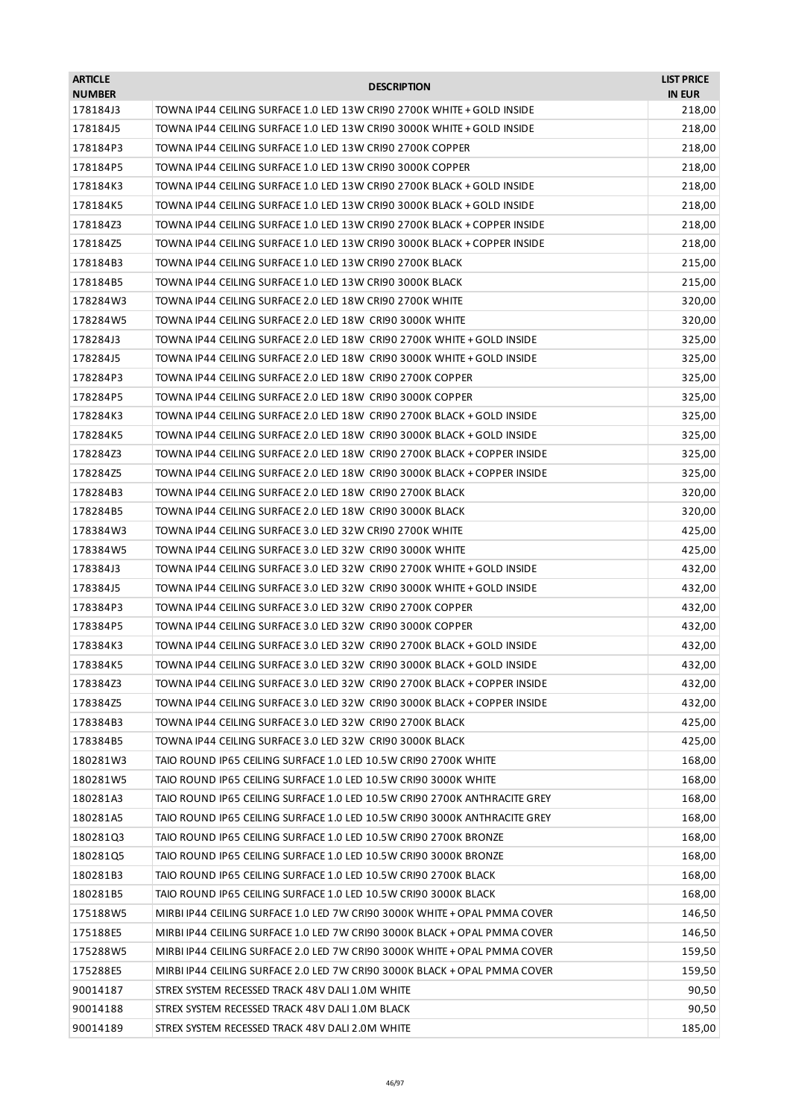| <b>ARTICLE</b><br><b>NUMBER</b> | <b>DESCRIPTION</b>                                                        | <b>LIST PRICE</b><br><b>IN EUR</b> |
|---------------------------------|---------------------------------------------------------------------------|------------------------------------|
| 178184J3                        | TOWNA IP44 CEILING SURFACE 1.0 LED 13W CRI90 2700K WHITE + GOLD INSIDE    | 218,00                             |
| 178184J5                        | TOWNA IP44 CEILING SURFACE 1.0 LED 13W CRI90 3000K WHITE + GOLD INSIDE    | 218,00                             |
| 178184P3                        | TOWNA IP44 CEILING SURFACE 1.0 LED 13W CRI90 2700K COPPER                 | 218,00                             |
| 178184P5                        | TOWNA IP44 CEILING SURFACE 1.0 LED 13W CRI90 3000K COPPER                 | 218,00                             |
| 178184K3                        | TOWNA IP44 CEILING SURFACE 1.0 LED 13W CRI90 2700K BLACK + GOLD INSIDE    | 218,00                             |
| 178184K5                        | TOWNA IP44 CEILING SURFACE 1.0 LED 13W CRI90 3000K BLACK + GOLD INSIDE    | 218,00                             |
| 178184Z3                        | TOWNA IP44 CEILING SURFACE 1.0 LED 13W CRI90 2700K BLACK + COPPER INSIDE  | 218,00                             |
| 178184Z5                        | TOWNA IP44 CEILING SURFACE 1.0 LED 13W CRI90 3000K BLACK + COPPER INSIDE  | 218,00                             |
| 178184B3                        | TOWNA IP44 CEILING SURFACE 1.0 LED 13W CRI90 2700K BLACK                  | 215,00                             |
| 178184B5                        | TOWNA IP44 CEILING SURFACE 1.0 LED 13W CRI90 3000K BLACK                  | 215,00                             |
| 178284W3                        | TOWNA IP44 CEILING SURFACE 2.0 LED 18W CRI90 2700K WHITE                  | 320,00                             |
| 178284W5                        | TOWNA IP44 CEILING SURFACE 2.0 LED 18W CRI90 3000K WHITE                  | 320,00                             |
| 178284J3                        | TOWNA IP44 CEILING SURFACE 2.0 LED 18W CRI90 2700K WHITE + GOLD INSIDE    | 325,00                             |
| 178284J5                        | TOWNA IP44 CEILING SURFACE 2.0 LED 18W CRI90 3000K WHITE + GOLD INSIDE    | 325,00                             |
| 178284P3                        | TOWNA IP44 CEILING SURFACE 2.0 LED 18W CRI90 2700K COPPER                 | 325,00                             |
| 178284P5                        | TOWNA IP44 CEILING SURFACE 2.0 LED 18W CRI90 3000K COPPER                 | 325,00                             |
| 178284K3                        | TOWNA IP44 CEILING SURFACE 2.0 LED 18W CRI90 2700K BLACK + GOLD INSIDE    | 325,00                             |
| 178284K5                        | TOWNA IP44 CEILING SURFACE 2.0 LED 18W CRI90 3000K BLACK + GOLD INSIDE    | 325,00                             |
| 178284Z3                        | TOWNA IP44 CEILING SURFACE 2.0 LED 18W CRI90 2700K BLACK + COPPER INSIDE  | 325,00                             |
| 178284Z5                        | TOWNA IP44 CEILING SURFACE 2.0 LED 18W CRI90 3000K BLACK + COPPER INSIDE  | 325,00                             |
| 178284B3                        | TOWNA IP44 CEILING SURFACE 2.0 LED 18W CRI90 2700K BLACK                  | 320,00                             |
| 178284B5                        | TOWNA IP44 CEILING SURFACE 2.0 LED 18W CRI90 3000K BLACK                  | 320,00                             |
| 178384W3                        | TOWNA IP44 CEILING SURFACE 3.0 LED 32W CRI90 2700K WHITE                  | 425,00                             |
| 178384W5                        | TOWNA IP44 CEILING SURFACE 3.0 LED 32W CRI90 3000K WHITE                  | 425,00                             |
| 178384J3                        | TOWNA IP44 CEILING SURFACE 3.0 LED 32W CRI90 2700K WHITE + GOLD INSIDE    | 432,00                             |
| 178384J5                        | TOWNA IP44 CEILING SURFACE 3.0 LED 32W CRI90 3000K WHITE + GOLD INSIDE    | 432,00                             |
| 178384P3                        | TOWNA IP44 CEILING SURFACE 3.0 LED 32W CRI90 2700K COPPER                 | 432,00                             |
| 178384P5                        | TOWNA IP44 CEILING SURFACE 3.0 LED 32W CRI90 3000K COPPER                 | 432,00                             |
| 178384K3                        | TOWNA IP44 CEILING SURFACE 3.0 LED 32W CRI90 2700K BLACK + GOLD INSIDE    | 432,00                             |
| 178384K5                        | TOWNA IP44 CEILING SURFACE 3.0 LED 32W CRI90 3000K BLACK + GOLD INSIDE    | 432,00                             |
| 178384Z3                        | TOWNA IP44 CEILING SURFACE 3.0 LED 32W CRI90 2700K BLACK + COPPER INSIDE  | 432,00                             |
| 178384Z5                        | TOWNA IP44 CEILING SURFACE 3.0 LED 32W CRI90 3000K BLACK + COPPER INSIDE  | 432,00                             |
| 178384B3                        | TOWNA IP44 CEILING SURFACE 3.0 LED 32W CRI90 2700K BLACK                  | 425,00                             |
| 178384B5                        | TOWNA IP44 CEILING SURFACE 3.0 LED 32W CRI90 3000K BLACK                  | 425,00                             |
| 180281W3                        | TAIO ROUND IP65 CEILING SURFACE 1.0 LED 10.5W CRI90 2700K WHITE           | 168,00                             |
| 180281W5                        | TAIO ROUND IP65 CEILING SURFACE 1.0 LED 10.5W CRI90 3000K WHITE           | 168,00                             |
| 180281A3                        | TAIO ROUND IP65 CEILING SURFACE 1.0 LED 10.5W CRI90 2700K ANTHRACITE GREY | 168,00                             |
| 180281A5                        | TAIO ROUND IP65 CEILING SURFACE 1.0 LED 10.5W CRI90 3000K ANTHRACITE GREY | 168,00                             |
| 180281Q3                        | TAIO ROUND IP65 CEILING SURFACE 1.0 LED 10.5W CRI90 2700K BRONZE          | 168,00                             |
| 180281Q5                        | TAIO ROUND IP65 CEILING SURFACE 1.0 LED 10.5W CRI90 3000K BRONZE          | 168,00                             |
| 180281B3                        | TAIO ROUND IP65 CEILING SURFACE 1.0 LED 10.5W CRI90 2700K BLACK           | 168,00                             |
| 180281B5                        | TAIO ROUND IP65 CEILING SURFACE 1.0 LED 10.5W CRI90 3000K BLACK           | 168,00                             |
| 175188W5                        | MIRBI IP44 CEILING SURFACE 1.0 LED 7W CRI90 3000K WHITE + OPAL PMMA COVER | 146,50                             |
|                                 | MIRBI IP44 CEILING SURFACE 1.0 LED 7W CRI90 3000K BLACK + OPAL PMMA COVER |                                    |
| 175188E5<br>175288W5            |                                                                           | 146,50                             |
|                                 | MIRBI IP44 CEILING SURFACE 2.0 LED 7W CRI90 3000K WHITE + OPAL PMMA COVER | 159,50                             |
| 175288E5                        | MIRBI IP44 CEILING SURFACE 2.0 LED 7W CRI90 3000K BLACK + OPAL PMMA COVER | 159,50                             |
| 90014187                        | STREX SYSTEM RECESSED TRACK 48V DALI 1.0M WHITE                           | 90,50                              |
| 90014188                        | STREX SYSTEM RECESSED TRACK 48V DALI 1.0M BLACK                           | 90,50                              |
| 90014189                        | STREX SYSTEM RECESSED TRACK 48V DALI 2.0M WHITE                           | 185,00                             |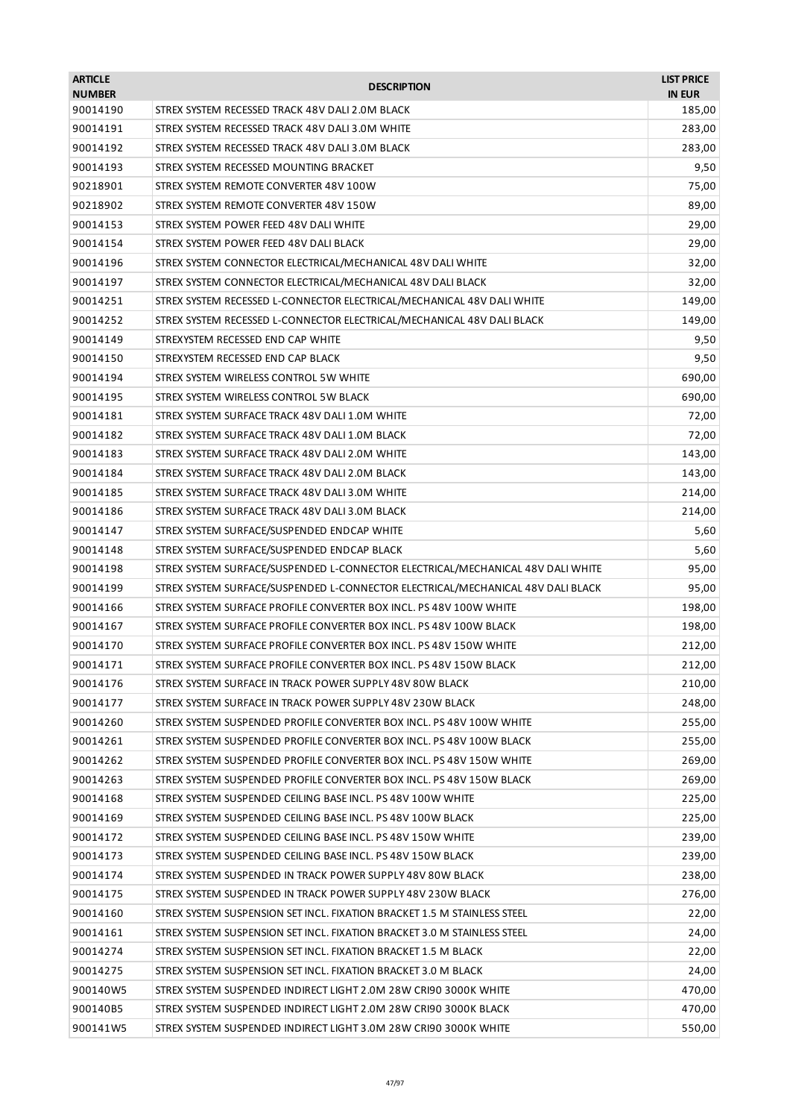| <b>ARTICLE</b><br><b>NUMBER</b> | <b>DESCRIPTION</b>                                                              | <b>LIST PRICE</b><br><b>IN EUR</b> |
|---------------------------------|---------------------------------------------------------------------------------|------------------------------------|
| 90014190                        | STREX SYSTEM RECESSED TRACK 48V DALI 2.0M BLACK                                 | 185,00                             |
| 90014191                        | STREX SYSTEM RECESSED TRACK 48V DALI 3.0M WHITE                                 | 283,00                             |
| 90014192                        | STREX SYSTEM RECESSED TRACK 48V DALI 3.0M BLACK                                 | 283,00                             |
| 90014193                        | STREX SYSTEM RECESSED MOUNTING BRACKET                                          | 9,50                               |
| 90218901                        | STREX SYSTEM REMOTE CONVERTER 48V 100W                                          | 75,00                              |
| 90218902                        | STREX SYSTEM REMOTE CONVERTER 48V 150W                                          | 89,00                              |
| 90014153                        | STREX SYSTEM POWER FEED 48V DALI WHITE                                          | 29,00                              |
| 90014154                        | STREX SYSTEM POWER FEED 48V DALI BLACK                                          | 29,00                              |
| 90014196                        | STREX SYSTEM CONNECTOR ELECTRICAL/MECHANICAL 48V DALI WHITE                     | 32,00                              |
| 90014197                        | STREX SYSTEM CONNECTOR ELECTRICAL/MECHANICAL 48V DALI BLACK                     | 32,00                              |
| 90014251                        | STREX SYSTEM RECESSED L-CONNECTOR ELECTRICAL/MECHANICAL 48V DALI WHITE          | 149,00                             |
| 90014252                        | STREX SYSTEM RECESSED L-CONNECTOR ELECTRICAL/MECHANICAL 48V DALI BLACK          | 149,00                             |
| 90014149                        | STREXYSTEM RECESSED END CAP WHITE                                               | 9,50                               |
| 90014150                        | STREXYSTEM RECESSED END CAP BLACK                                               | 9,50                               |
| 90014194                        | STREX SYSTEM WIRELESS CONTROL 5W WHITE                                          | 690,00                             |
| 90014195                        | STREX SYSTEM WIRELESS CONTROL 5W BLACK                                          | 690,00                             |
| 90014181                        | STREX SYSTEM SURFACE TRACK 48V DALI 1.0M WHITE                                  | 72,00                              |
| 90014182                        | STREX SYSTEM SURFACE TRACK 48V DALI 1.0M BLACK                                  | 72,00                              |
| 90014183                        | STREX SYSTEM SURFACE TRACK 48V DALI 2.0M WHITE                                  | 143,00                             |
| 90014184                        | STREX SYSTEM SURFACE TRACK 48V DALI 2.0M BLACK                                  | 143,00                             |
| 90014185                        | STREX SYSTEM SURFACE TRACK 48V DALI 3.0M WHITE                                  | 214,00                             |
| 90014186                        | STREX SYSTEM SURFACE TRACK 48V DALI 3.0M BLACK                                  | 214,00                             |
| 90014147                        | STREX SYSTEM SURFACE/SUSPENDED ENDCAP WHITE                                     | 5,60                               |
| 90014148                        | STREX SYSTEM SURFACE/SUSPENDED ENDCAP BLACK                                     | 5,60                               |
| 90014198                        | STREX SYSTEM SURFACE/SUSPENDED L-CONNECTOR ELECTRICAL/MECHANICAL 48V DALI WHITE | 95,00                              |
| 90014199                        | STREX SYSTEM SURFACE/SUSPENDED L-CONNECTOR ELECTRICAL/MECHANICAL 48V DALI BLACK | 95,00                              |
| 90014166                        | STREX SYSTEM SURFACE PROFILE CONVERTER BOX INCL. PS 48V 100W WHITE              | 198,00                             |
| 90014167                        | STREX SYSTEM SURFACE PROFILE CONVERTER BOX INCL. PS 48V 100W BLACK              | 198,00                             |
| 90014170                        | STREX SYSTEM SURFACE PROFILE CONVERTER BOX INCL. PS 48V 150W WHITE              | 212,00                             |
| 90014171                        | STREX SYSTEM SURFACE PROFILE CONVERTER BOX INCL. PS 48V 150W BLACK              | 212,00                             |
| 90014176                        | STREX SYSTEM SURFACE IN TRACK POWER SUPPLY 48V 80W BLACK                        | 210,00                             |
| 90014177                        | STREX SYSTEM SURFACE IN TRACK POWER SUPPLY 48V 230W BLACK                       | 248,00                             |
| 90014260                        | STREX SYSTEM SUSPENDED PROFILE CONVERTER BOX INCL. PS 48V 100W WHITE            | 255,00                             |
| 90014261                        | STREX SYSTEM SUSPENDED PROFILE CONVERTER BOX INCL. PS 48V 100W BLACK            | 255,00                             |
| 90014262                        | STREX SYSTEM SUSPENDED PROFILE CONVERTER BOX INCL. PS 48V 150W WHITE            | 269,00                             |
| 90014263                        | STREX SYSTEM SUSPENDED PROFILE CONVERTER BOX INCL. PS 48V 150W BLACK            | 269,00                             |
| 90014168                        | STREX SYSTEM SUSPENDED CEILING BASE INCL. PS 48V 100W WHITE                     | 225,00                             |
| 90014169                        | STREX SYSTEM SUSPENDED CEILING BASE INCL. PS 48V 100W BLACK                     | 225,00                             |
| 90014172                        | STREX SYSTEM SUSPENDED CEILING BASE INCL. PS 48V 150W WHITE                     | 239,00                             |
| 90014173                        | STREX SYSTEM SUSPENDED CEILING BASE INCL. PS 48V 150W BLACK                     | 239,00                             |
| 90014174                        | STREX SYSTEM SUSPENDED IN TRACK POWER SUPPLY 48V 80W BLACK                      | 238,00                             |
| 90014175                        | STREX SYSTEM SUSPENDED IN TRACK POWER SUPPLY 48V 230W BLACK                     | 276,00                             |
| 90014160                        | STREX SYSTEM SUSPENSION SET INCL. FIXATION BRACKET 1.5 M STAINLESS STEEL        | 22,00                              |
| 90014161                        | STREX SYSTEM SUSPENSION SET INCL. FIXATION BRACKET 3.0 M STAINLESS STEEL        | 24,00                              |
| 90014274                        | STREX SYSTEM SUSPENSION SET INCL. FIXATION BRACKET 1.5 M BLACK                  | 22,00                              |
| 90014275                        | STREX SYSTEM SUSPENSION SET INCL. FIXATION BRACKET 3.0 M BLACK                  | 24,00                              |
| 900140W5                        | STREX SYSTEM SUSPENDED INDIRECT LIGHT 2.0M 28W CRI90 3000K WHITE                | 470,00                             |
| 900140B5                        | STREX SYSTEM SUSPENDED INDIRECT LIGHT 2.0M 28W CRI90 3000K BLACK                | 470,00                             |
| 900141W5                        | STREX SYSTEM SUSPENDED INDIRECT LIGHT 3.0M 28W CRI90 3000K WHITE                | 550,00                             |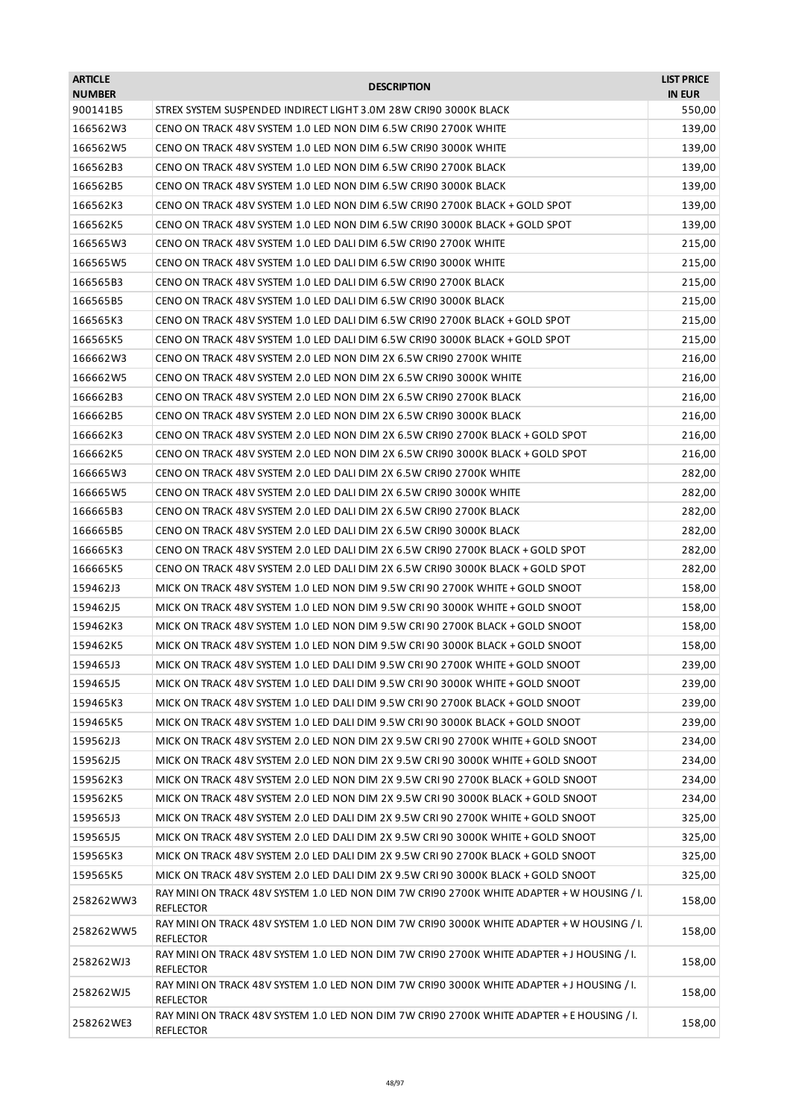| <b>ARTICLE</b><br><b>NUMBER</b> | <b>DESCRIPTION</b>                                                                                             | <b>LIST PRICE</b><br><b>IN EUR</b> |
|---------------------------------|----------------------------------------------------------------------------------------------------------------|------------------------------------|
| 900141B5                        | STREX SYSTEM SUSPENDED INDIRECT LIGHT 3.0M 28W CRI90 3000K BLACK                                               | 550,00                             |
| 166562W3                        | CENO ON TRACK 48V SYSTEM 1.0 LED NON DIM 6.5W CRI90 2700K WHITE                                                | 139,00                             |
| 166562W5                        | CENO ON TRACK 48V SYSTEM 1.0 LED NON DIM 6.5W CRI90 3000K WHITE                                                | 139,00                             |
| 166562B3                        | CENO ON TRACK 48V SYSTEM 1.0 LED NON DIM 6.5W CRI90 2700K BLACK                                                | 139,00                             |
| 166562B5                        | CENO ON TRACK 48V SYSTEM 1.0 LED NON DIM 6.5W CRI90 3000K BLACK                                                | 139,00                             |
| 166562K3                        | CENO ON TRACK 48V SYSTEM 1.0 LED NON DIM 6.5W CRI90 2700K BLACK + GOLD SPOT                                    | 139,00                             |
| 166562K5                        | CENO ON TRACK 48V SYSTEM 1.0 LED NON DIM 6.5W CRI90 3000K BLACK + GOLD SPOT                                    | 139,00                             |
| 166565W3                        | CENO ON TRACK 48V SYSTEM 1.0 LED DALI DIM 6.5W CRI90 2700K WHITE                                               | 215,00                             |
| 166565W5                        | CENO ON TRACK 48V SYSTEM 1.0 LED DALI DIM 6.5W CRI90 3000K WHITE                                               | 215,00                             |
| 166565B3                        | CENO ON TRACK 48V SYSTEM 1.0 LED DALI DIM 6.5W CRI90 2700K BLACK                                               | 215,00                             |
| 166565B5                        | CENO ON TRACK 48V SYSTEM 1.0 LED DALI DIM 6.5W CRI90 3000K BLACK                                               | 215,00                             |
| 166565K3                        | CENO ON TRACK 48V SYSTEM 1.0 LED DALI DIM 6.5W CRI90 2700K BLACK + GOLD SPOT                                   | 215,00                             |
| 166565K5                        | CENO ON TRACK 48V SYSTEM 1.0 LED DALI DIM 6.5W CRI90 3000K BLACK + GOLD SPOT                                   | 215,00                             |
| 166662W3                        | CENO ON TRACK 48V SYSTEM 2.0 LED NON DIM 2X 6.5W CRI90 2700K WHITE                                             | 216,00                             |
| 166662W5                        | CENO ON TRACK 48V SYSTEM 2.0 LED NON DIM 2X 6.5W CRI90 3000K WHITE                                             | 216,00                             |
| 166662B3                        | CENO ON TRACK 48V SYSTEM 2.0 LED NON DIM 2X 6.5W CRI90 2700K BLACK                                             | 216,00                             |
| 166662B5                        | CENO ON TRACK 48V SYSTEM 2.0 LED NON DIM 2X 6.5W CRI90 3000K BLACK                                             | 216,00                             |
| 166662K3                        | CENO ON TRACK 48V SYSTEM 2.0 LED NON DIM 2X 6.5W CRI90 2700K BLACK + GOLD SPOT                                 |                                    |
| 166662K5                        |                                                                                                                | 216,00                             |
|                                 | CENO ON TRACK 48V SYSTEM 2.0 LED NON DIM 2X 6.5W CRI90 3000K BLACK + GOLD SPOT                                 | 216,00                             |
| 166665W3                        | CENO ON TRACK 48V SYSTEM 2.0 LED DALI DIM 2X 6.5W CRI90 2700K WHITE                                            | 282,00                             |
| 166665W5                        | CENO ON TRACK 48V SYSTEM 2.0 LED DALI DIM 2X 6.5W CRI90 3000K WHITE                                            | 282,00                             |
| 166665B3                        | CENO ON TRACK 48V SYSTEM 2.0 LED DALI DIM 2X 6.5W CRI90 2700K BLACK                                            | 282,00                             |
| 166665B5                        | CENO ON TRACK 48V SYSTEM 2.0 LED DALI DIM 2X 6.5W CRI90 3000K BLACK                                            | 282,00                             |
| 166665K3                        | CENO ON TRACK 48V SYSTEM 2.0 LED DALI DIM 2X 6.5W CRI90 2700K BLACK + GOLD SPOT                                | 282,00                             |
| 166665K5                        | CENO ON TRACK 48V SYSTEM 2.0 LED DALI DIM 2X 6.5W CRI90 3000K BLACK + GOLD SPOT                                | 282,00                             |
| 159462J3                        | MICK ON TRACK 48V SYSTEM 1.0 LED NON DIM 9.5W CRI 90 2700K WHITE + GOLD SNOOT                                  | 158,00                             |
| 159462J5                        | MICK ON TRACK 48V SYSTEM 1.0 LED NON DIM 9.5W CRI 90 3000K WHITE + GOLD SNOOT                                  | 158,00                             |
| 159462K3                        | MICK ON TRACK 48V SYSTEM 1.0 LED NON DIM 9.5W CRI 90 2700K BLACK + GOLD SNOOT                                  | 158,00                             |
| 159462K5                        | MICK ON TRACK 48V SYSTEM 1.0 LED NON DIM 9.5W CRI 90 3000K BLACK + GOLD SNOOT                                  | 158,00                             |
| 159465J3                        | MICK ON TRACK 48V SYSTEM 1.0 LED DALI DIM 9.5W CRI 90 2700K WHITE + GOLD SNOOT                                 | 239,00                             |
| 159465J5                        | MICK ON TRACK 48V SYSTEM 1.0 LED DALI DIM 9.5W CRI 90 3000K WHITE + GOLD SNOOT                                 | 239,00                             |
| 159465K3                        | MICK ON TRACK 48V SYSTEM 1.0 LED DALI DIM 9.5W CRI 90 2700K BLACK + GOLD SNOOT                                 | 239,00                             |
| 159465K5                        | MICK ON TRACK 48V SYSTEM 1.0 LED DALI DIM 9.5W CRI 90 3000K BLACK + GOLD SNOOT                                 | 239,00                             |
| 159562J3                        | MICK ON TRACK 48V SYSTEM 2.0 LED NON DIM 2X 9.5W CRI 90 2700K WHITE + GOLD SNOOT                               | 234,00                             |
| 159562J5                        | MICK ON TRACK 48V SYSTEM 2.0 LED NON DIM 2X 9.5W CRI 90 3000K WHITE + GOLD SNOOT                               | 234,00                             |
| 159562K3                        | MICK ON TRACK 48V SYSTEM 2.0 LED NON DIM 2X 9.5W CRI 90 2700K BLACK + GOLD SNOOT                               | 234,00                             |
| 159562K5                        | MICK ON TRACK 48V SYSTEM 2.0 LED NON DIM 2X 9.5W CRI 90 3000K BLACK + GOLD SNOOT                               | 234,00                             |
| 159565J3                        | MICK ON TRACK 48V SYSTEM 2.0 LED DALI DIM 2X 9.5W CRI 90 2700K WHITE + GOLD SNOOT                              | 325,00                             |
| 159565J5                        | MICK ON TRACK 48V SYSTEM 2.0 LED DALI DIM 2X 9.5W CRI 90 3000K WHITE + GOLD SNOOT                              | 325,00                             |
| 159565K3                        | MICK ON TRACK 48V SYSTEM 2.0 LED DALI DIM 2X 9.5W CRI 90 2700K BLACK + GOLD SNOOT                              | 325,00                             |
| 159565K5                        | MICK ON TRACK 48V SYSTEM 2.0 LED DALI DIM 2X 9.5W CRI 90 3000K BLACK + GOLD SNOOT                              | 325,00                             |
| 258262WW3                       | RAY MINI ON TRACK 48V SYSTEM 1.0 LED NON DIM 7W CRI90 2700K WHITE ADAPTER + W HOUSING / I.<br><b>REFLECTOR</b> | 158,00                             |
| 258262WW5                       | RAY MINI ON TRACK 48V SYSTEM 1.0 LED NON DIM 7W CRI90 3000K WHITE ADAPTER + W HOUSING / I.<br><b>REFLECTOR</b> | 158,00                             |
| 258262WJ3                       | RAY MINI ON TRACK 48V SYSTEM 1.0 LED NON DIM 7W CRI90 2700K WHITE ADAPTER + J HOUSING / I.<br><b>REFLECTOR</b> | 158,00                             |
| 258262WJ5                       | RAY MINI ON TRACK 48V SYSTEM 1.0 LED NON DIM 7W CRI90 3000K WHITE ADAPTER + J HOUSING / I.<br><b>REFLECTOR</b> | 158,00                             |
| 258262WE3                       | RAY MINI ON TRACK 48V SYSTEM 1.0 LED NON DIM 7W CRI90 2700K WHITE ADAPTER + E HOUSING / I.<br><b>REFLECTOR</b> | 158,00                             |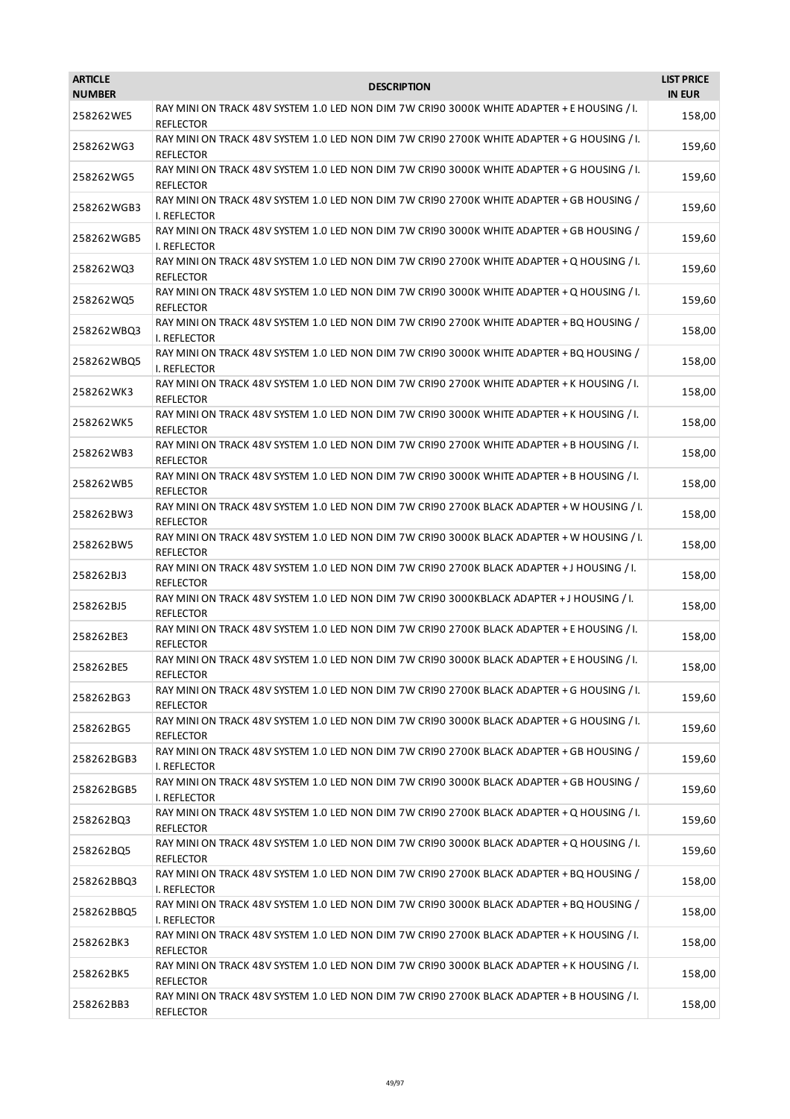| <b>ARTICLE</b><br><b>NUMBER</b> | <b>DESCRIPTION</b>                                                                                             | <b>LIST PRICE</b><br><b>IN EUR</b> |
|---------------------------------|----------------------------------------------------------------------------------------------------------------|------------------------------------|
| 258262WE5                       | RAY MINI ON TRACK 48V SYSTEM 1.0 LED NON DIM 7W CRI90 3000K WHITE ADAPTER + E HOUSING / I.<br><b>REFLECTOR</b> | 158,00                             |
| 258262WG3                       | RAY MINI ON TRACK 48V SYSTEM 1.0 LED NON DIM 7W CRI90 2700K WHITE ADAPTER + G HOUSING / I.<br><b>REFLECTOR</b> | 159,60                             |
| 258262WG5                       | RAY MINI ON TRACK 48V SYSTEM 1.0 LED NON DIM 7W CRI90 3000K WHITE ADAPTER + G HOUSING / I.<br><b>REFLECTOR</b> | 159,60                             |
| 258262WGB3                      | RAY MINI ON TRACK 48V SYSTEM 1.0 LED NON DIM 7W CRI90 2700K WHITE ADAPTER + GB HOUSING /<br>I. REFLECTOR       | 159,60                             |
| 258262WGB5                      | RAY MINI ON TRACK 48V SYSTEM 1.0 LED NON DIM 7W CRI90 3000K WHITE ADAPTER + GB HOUSING /<br>I. REFLECTOR       | 159,60                             |
| 258262WQ3                       | RAY MINI ON TRACK 48V SYSTEM 1.0 LED NON DIM 7W CRI90 2700K WHITE ADAPTER + Q HOUSING / I.<br><b>REFLECTOR</b> | 159,60                             |
| 258262WQ5                       | RAY MINI ON TRACK 48V SYSTEM 1.0 LED NON DIM 7W CRI90 3000K WHITE ADAPTER + Q HOUSING / I.<br><b>REFLECTOR</b> | 159,60                             |
| 258262WBQ3                      | RAY MINI ON TRACK 48V SYSTEM 1.0 LED NON DIM 7W CRI90 2700K WHITE ADAPTER + BQ HOUSING /<br>I. REFLECTOR       | 158,00                             |
| 258262WBQ5                      | RAY MINI ON TRACK 48V SYSTEM 1.0 LED NON DIM 7W CRI90 3000K WHITE ADAPTER + BQ HOUSING /<br>I. REFLECTOR       | 158,00                             |
| 258262WK3                       | RAY MINI ON TRACK 48V SYSTEM 1.0 LED NON DIM 7W CRI90 2700K WHITE ADAPTER + K HOUSING / I.<br><b>REFLECTOR</b> | 158,00                             |
| 258262WK5                       | RAY MINI ON TRACK 48V SYSTEM 1.0 LED NON DIM 7W CRI90 3000K WHITE ADAPTER + K HOUSING / I.<br><b>REFLECTOR</b> | 158,00                             |
| 258262WB3                       | RAY MINI ON TRACK 48V SYSTEM 1.0 LED NON DIM 7W CRI90 2700K WHITE ADAPTER + B HOUSING / I.<br><b>REFLECTOR</b> | 158,00                             |
| 258262WB5                       | RAY MINI ON TRACK 48V SYSTEM 1.0 LED NON DIM 7W CRI90 3000K WHITE ADAPTER + B HOUSING / I.<br><b>REFLECTOR</b> | 158,00                             |
| 258262BW3                       | RAY MINI ON TRACK 48V SYSTEM 1.0 LED NON DIM 7W CRI90 2700K BLACK ADAPTER + W HOUSING / I.<br><b>REFLECTOR</b> | 158,00                             |
| 258262BW5                       | RAY MINI ON TRACK 48V SYSTEM 1.0 LED NON DIM 7W CRI90 3000K BLACK ADAPTER + W HOUSING / I.<br><b>REFLECTOR</b> | 158,00                             |
| 258262BJ3                       | RAY MINI ON TRACK 48V SYSTEM 1.0 LED NON DIM 7W CRI90 2700K BLACK ADAPTER + J HOUSING / I.<br><b>REFLECTOR</b> | 158,00                             |
| 258262BJ5                       | RAY MINI ON TRACK 48V SYSTEM 1.0 LED NON DIM 7W CRI90 3000KBLACK ADAPTER + J HOUSING / I.<br><b>REFLECTOR</b>  | 158,00                             |
| 258262BE3                       | RAY MINI ON TRACK 48V SYSTEM 1.0 LED NON DIM 7W CRI90 2700K BLACK ADAPTER + E HOUSING / I.<br><b>REFLECTOR</b> | 158,00                             |
| 258262BE5                       | RAY MINI ON TRACK 48V SYSTEM 1.0 LED NON DIM 7W CRI90 3000K BLACK ADAPTER + E HOUSING / I.<br><b>REFLECTOR</b> | 158,00                             |
| 258262BG3                       | RAY MINI ON TRACK 48V SYSTEM 1.0 LED NON DIM 7W CRI90 2700K BLACK ADAPTER + G HOUSING / I.<br><b>REFLECTOR</b> | 159,60                             |
| 258262BG5                       | RAY MINI ON TRACK 48V SYSTEM 1.0 LED NON DIM 7W CRI90 3000K BLACK ADAPTER + G HOUSING / I.<br><b>REFLECTOR</b> | 159,60                             |
| 258262BGB3                      | RAY MINI ON TRACK 48V SYSTEM 1.0 LED NON DIM 7W CRI90 2700K BLACK ADAPTER + GB HOUSING /<br>I. REFLECTOR       | 159,60                             |
| 258262BGB5                      | RAY MINI ON TRACK 48V SYSTEM 1.0 LED NON DIM 7W CRI90 3000K BLACK ADAPTER + GB HOUSING /<br>I. REFLECTOR       | 159,60                             |
| 258262BQ3                       | RAY MINI ON TRACK 48V SYSTEM 1.0 LED NON DIM 7W CRI90 2700K BLACK ADAPTER + Q HOUSING / I.<br><b>REFLECTOR</b> | 159,60                             |
| 258262BQ5                       | RAY MINI ON TRACK 48V SYSTEM 1.0 LED NON DIM 7W CRI90 3000K BLACK ADAPTER + Q HOUSING / I.<br><b>REFLECTOR</b> | 159,60                             |
| 258262BBQ3                      | RAY MINI ON TRACK 48V SYSTEM 1.0 LED NON DIM 7W CRI90 2700K BLACK ADAPTER + BQ HOUSING /<br>I. REFLECTOR       | 158,00                             |
| 258262BBQ5                      | RAY MINI ON TRACK 48V SYSTEM 1.0 LED NON DIM 7W CRI90 3000K BLACK ADAPTER + BQ HOUSING /<br>I. REFLECTOR       | 158,00                             |
| 258262BK3                       | RAY MINI ON TRACK 48V SYSTEM 1.0 LED NON DIM 7W CRI90 2700K BLACK ADAPTER + K HOUSING / I.<br><b>REFLECTOR</b> | 158,00                             |
| 258262BK5                       | RAY MINI ON TRACK 48V SYSTEM 1.0 LED NON DIM 7W CRI90 3000K BLACK ADAPTER + K HOUSING / I.<br><b>REFLECTOR</b> | 158,00                             |
| 258262BB3                       | RAY MINI ON TRACK 48V SYSTEM 1.0 LED NON DIM 7W CRI90 2700K BLACK ADAPTER + B HOUSING / I.<br><b>REFLECTOR</b> | 158,00                             |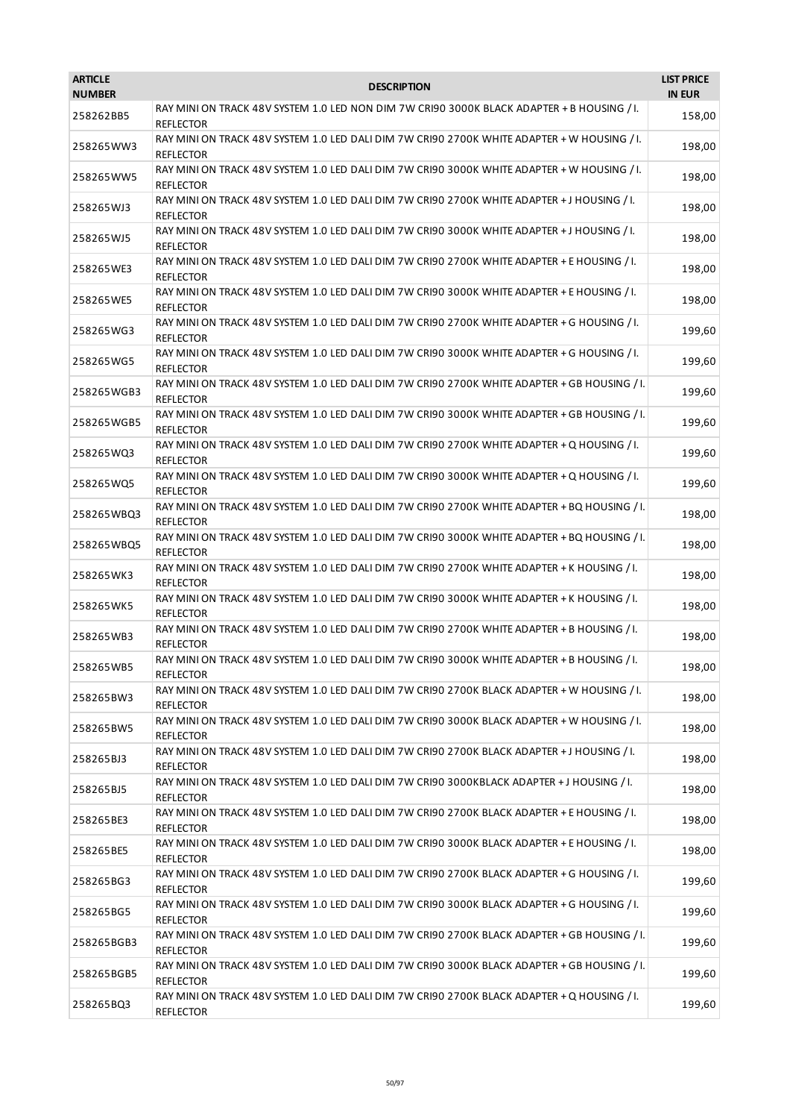| <b>ARTICLE</b><br><b>NUMBER</b> | <b>DESCRIPTION</b>                                                                                               | <b>LIST PRICE</b><br><b>IN EUR</b> |
|---------------------------------|------------------------------------------------------------------------------------------------------------------|------------------------------------|
| 258262BB5                       | RAY MINI ON TRACK 48V SYSTEM 1.0 LED NON DIM 7W CRI90 3000K BLACK ADAPTER + B HOUSING / I.<br><b>REFLECTOR</b>   | 158,00                             |
| 258265WW3                       | RAY MINI ON TRACK 48V SYSTEM 1.0 LED DALI DIM 7W CRI90 2700K WHITE ADAPTER + W HOUSING /I.<br><b>REFLECTOR</b>   | 198,00                             |
| 258265WW5                       | RAY MINI ON TRACK 48V SYSTEM 1.0 LED DALI DIM 7W CRI90 3000K WHITE ADAPTER + W HOUSING / I.<br><b>REFLECTOR</b>  | 198,00                             |
| 258265WJ3                       | RAY MINI ON TRACK 48V SYSTEM 1.0 LED DALI DIM 7W CRI90 2700K WHITE ADAPTER + J HOUSING / I.<br><b>REFLECTOR</b>  | 198,00                             |
| 258265WJ5                       | RAY MINI ON TRACK 48V SYSTEM 1.0 LED DALI DIM 7W CRI90 3000K WHITE ADAPTER + J HOUSING / I.<br><b>REFLECTOR</b>  | 198,00                             |
| 258265WE3                       | RAY MINI ON TRACK 48V SYSTEM 1.0 LED DALI DIM 7W CRI90 2700K WHITE ADAPTER + E HOUSING / I.<br><b>REFLECTOR</b>  | 198,00                             |
| 258265WE5                       | RAY MINI ON TRACK 48V SYSTEM 1.0 LED DALI DIM 7W CRI90 3000K WHITE ADAPTER + E HOUSING / I.<br><b>REFLECTOR</b>  | 198,00                             |
| 258265WG3                       | RAY MINI ON TRACK 48V SYSTEM 1.0 LED DALI DIM 7W CRI90 2700K WHITE ADAPTER + G HOUSING / I.<br><b>REFLECTOR</b>  | 199,60                             |
| 258265WG5                       | RAY MINI ON TRACK 48V SYSTEM 1.0 LED DALI DIM 7W CRI90 3000K WHITE ADAPTER + G HOUSING / I.<br><b>REFLECTOR</b>  | 199,60                             |
| 258265WGB3                      | RAY MINI ON TRACK 48V SYSTEM 1.0 LED DALI DIM 7W CRI90 2700K WHITE ADAPTER + GB HOUSING / I.<br><b>REFLECTOR</b> | 199,60                             |
| 258265WGB5                      | RAY MINI ON TRACK 48V SYSTEM 1.0 LED DALI DIM 7W CRI90 3000K WHITE ADAPTER + GB HOUSING / I.<br><b>REFLECTOR</b> | 199,60                             |
| 258265WQ3                       | RAY MINI ON TRACK 48V SYSTEM 1.0 LED DALI DIM 7W CRI90 2700K WHITE ADAPTER + Q HOUSING / I.<br><b>REFLECTOR</b>  | 199,60                             |
| 258265WQ5                       | RAY MINI ON TRACK 48V SYSTEM 1.0 LED DALI DIM 7W CRI90 3000K WHITE ADAPTER + Q HOUSING / I.<br><b>REFLECTOR</b>  | 199,60                             |
| 258265WBQ3                      | RAY MINI ON TRACK 48V SYSTEM 1.0 LED DALI DIM 7W CRI90 2700K WHITE ADAPTER + BQ HOUSING / I.<br><b>REFLECTOR</b> | 198,00                             |
| 258265WBQ5                      | RAY MINI ON TRACK 48V SYSTEM 1.0 LED DALI DIM 7W CRI90 3000K WHITE ADAPTER + BQ HOUSING / I.<br><b>REFLECTOR</b> | 198,00                             |
| 258265WK3                       | RAY MINI ON TRACK 48V SYSTEM 1.0 LED DALI DIM 7W CRI90 2700K WHITE ADAPTER + K HOUSING / I.<br><b>REFLECTOR</b>  | 198,00                             |
| 258265WK5                       | RAY MINI ON TRACK 48V SYSTEM 1.0 LED DALI DIM 7W CRI90 3000K WHITE ADAPTER + K HOUSING / I.<br><b>REFLECTOR</b>  | 198,00                             |
| 258265WB3                       | RAY MINI ON TRACK 48V SYSTEM 1.0 LED DALI DIM 7W CRI90 2700K WHITE ADAPTER + B HOUSING / I.<br><b>REFLECTOR</b>  | 198,00                             |
| 258265WB5                       | RAY MINI ON TRACK 48V SYSTEM 1.0 LED DALI DIM 7W CRI90 3000K WHITE ADAPTER + B HOUSING / I.<br><b>REFLECTOR</b>  | 198,00                             |
| 258265BW3                       | RAY MINI ON TRACK 48V SYSTEM 1.0 LED DALI DIM 7W CRI90 2700K BLACK ADAPTER + W HOUSING / I.<br><b>REFLECTOR</b>  | 198,00                             |
| 258265BW5                       | RAY MINI ON TRACK 48V SYSTEM 1.0 LED DALI DIM 7W CRI90 3000K BLACK ADAPTER + W HOUSING / I.<br><b>REFLECTOR</b>  | 198,00                             |
| 258265BJ3                       | RAY MINI ON TRACK 48V SYSTEM 1.0 LED DALI DIM 7W CRI90 2700K BLACK ADAPTER + J HOUSING / I.<br><b>REFLECTOR</b>  | 198,00                             |
| 258265BJ5                       | RAY MINI ON TRACK 48V SYSTEM 1.0 LED DALI DIM 7W CRI90 3000KBLACK ADAPTER + J HOUSING / I.<br><b>REFLECTOR</b>   | 198,00                             |
| 258265BE3                       | RAY MINI ON TRACK 48V SYSTEM 1.0 LED DALI DIM 7W CRI90 2700K BLACK ADAPTER + E HOUSING / I.<br><b>REFLECTOR</b>  | 198,00                             |
| 258265BE5                       | RAY MINI ON TRACK 48V SYSTEM 1.0 LED DALI DIM 7W CRI90 3000K BLACK ADAPTER + E HOUSING / I.<br><b>REFLECTOR</b>  | 198,00                             |
| 258265BG3                       | RAY MINI ON TRACK 48V SYSTEM 1.0 LED DALI DIM 7W CRI90 2700K BLACK ADAPTER + G HOUSING / I.<br><b>REFLECTOR</b>  | 199,60                             |
| 258265BG5                       | RAY MINI ON TRACK 48V SYSTEM 1.0 LED DALI DIM 7W CRI90 3000K BLACK ADAPTER + G HOUSING / I.<br><b>REFLECTOR</b>  | 199,60                             |
| 258265BGB3                      | RAY MINI ON TRACK 48V SYSTEM 1.0 LED DALI DIM 7W CRI90 2700K BLACK ADAPTER + GB HOUSING / I.<br><b>REFLECTOR</b> | 199,60                             |
| 258265BGB5                      | RAY MINI ON TRACK 48V SYSTEM 1.0 LED DALI DIM 7W CRI90 3000K BLACK ADAPTER + GB HOUSING / I.<br><b>REFLECTOR</b> | 199,60                             |
| 258265BQ3                       | RAY MINI ON TRACK 48V SYSTEM 1.0 LED DALI DIM 7W CRI90 2700K BLACK ADAPTER + Q HOUSING / I.<br><b>REFLECTOR</b>  | 199,60                             |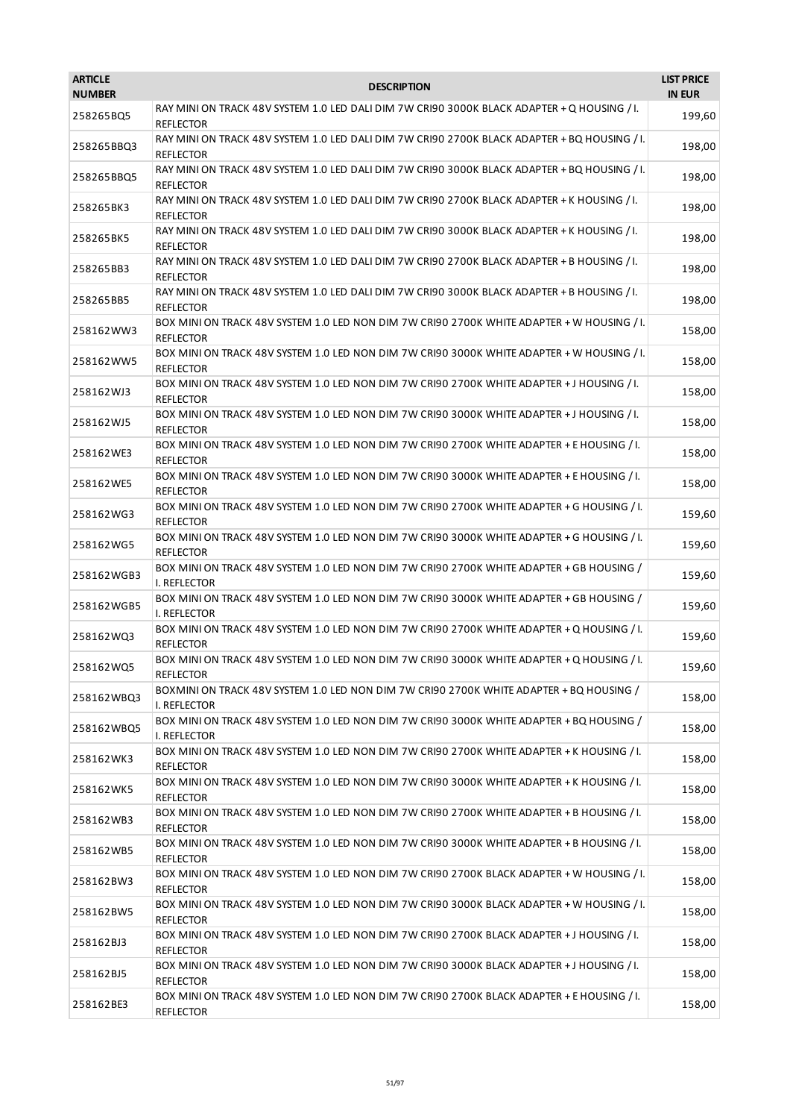| <b>ARTICLE</b><br><b>NUMBER</b> | <b>DESCRIPTION</b>                                                                                               | <b>LIST PRICE</b><br><b>IN EUR</b> |
|---------------------------------|------------------------------------------------------------------------------------------------------------------|------------------------------------|
| 258265BQ5                       | RAY MINI ON TRACK 48V SYSTEM 1.0 LED DALI DIM 7W CRI90 3000K BLACK ADAPTER + Q HOUSING / I.<br><b>REFLECTOR</b>  | 199,60                             |
| 258265BBQ3                      | RAY MINI ON TRACK 48V SYSTEM 1.0 LED DALI DIM 7W CRI90 2700K BLACK ADAPTER + BQ HOUSING / I.<br><b>REFLECTOR</b> | 198,00                             |
| 258265BBQ5                      | RAY MINI ON TRACK 48V SYSTEM 1.0 LED DALI DIM 7W CRI90 3000K BLACK ADAPTER + BQ HOUSING / I.<br><b>REFLECTOR</b> | 198,00                             |
| 258265BK3                       | RAY MINI ON TRACK 48V SYSTEM 1.0 LED DALI DIM 7W CRI90 2700K BLACK ADAPTER + K HOUSING / I.<br><b>REFLECTOR</b>  | 198,00                             |
| 258265BK5                       | RAY MINI ON TRACK 48V SYSTEM 1.0 LED DALI DIM 7W CRI90 3000K BLACK ADAPTER + K HOUSING / I.<br><b>REFLECTOR</b>  | 198,00                             |
| 258265BB3                       | RAY MINI ON TRACK 48V SYSTEM 1.0 LED DALI DIM 7W CRI90 2700K BLACK ADAPTER + B HOUSING / I.<br><b>REFLECTOR</b>  | 198,00                             |
| 258265BB5                       | RAY MINI ON TRACK 48V SYSTEM 1.0 LED DALI DIM 7W CRI90 3000K BLACK ADAPTER + B HOUSING / I.<br><b>REFLECTOR</b>  | 198,00                             |
| 258162WW3                       | BOX MINI ON TRACK 48V SYSTEM 1.0 LED NON DIM 7W CRI90 2700K WHITE ADAPTER + W HOUSING / I.<br><b>REFLECTOR</b>   | 158,00                             |
| 258162WW5                       | BOX MINI ON TRACK 48V SYSTEM 1.0 LED NON DIM 7W CRI90 3000K WHITE ADAPTER + W HOUSING / I.<br><b>REFLECTOR</b>   | 158,00                             |
| 258162WJ3                       | BOX MINI ON TRACK 48V SYSTEM 1.0 LED NON DIM 7W CRI90 2700K WHITE ADAPTER + J HOUSING / I.<br><b>REFLECTOR</b>   | 158,00                             |
| 258162WJ5                       | BOX MINI ON TRACK 48V SYSTEM 1.0 LED NON DIM 7W CRI90 3000K WHITE ADAPTER + J HOUSING / I.<br><b>REFLECTOR</b>   | 158,00                             |
| 258162WE3                       | BOX MINI ON TRACK 48V SYSTEM 1.0 LED NON DIM 7W CRI90 2700K WHITE ADAPTER + E HOUSING / I.<br><b>REFLECTOR</b>   | 158,00                             |
| 258162WE5                       | BOX MINI ON TRACK 48V SYSTEM 1.0 LED NON DIM 7W CRI90 3000K WHITE ADAPTER + E HOUSING / I.<br><b>REFLECTOR</b>   | 158,00                             |
| 258162WG3                       | BOX MINI ON TRACK 48V SYSTEM 1.0 LED NON DIM 7W CRI90 2700K WHITE ADAPTER + G HOUSING / I.<br><b>REFLECTOR</b>   | 159,60                             |
| 258162WG5                       | BOX MINI ON TRACK 48V SYSTEM 1.0 LED NON DIM 7W CRI90 3000K WHITE ADAPTER + G HOUSING / I.<br><b>REFLECTOR</b>   | 159,60                             |
| 258162WGB3                      | BOX MINI ON TRACK 48V SYSTEM 1.0 LED NON DIM 7W CRI90 2700K WHITE ADAPTER + GB HOUSING /<br>I. REFLECTOR         | 159,60                             |
| 258162WGB5                      | BOX MINI ON TRACK 48V SYSTEM 1.0 LED NON DIM 7W CRI90 3000K WHITE ADAPTER + GB HOUSING /<br>I. REFLECTOR         | 159,60                             |
| 258162WQ3                       | BOX MINI ON TRACK 48V SYSTEM 1.0 LED NON DIM 7W CRI90 2700K WHITE ADAPTER + Q HOUSING / I.<br><b>REFLECTOR</b>   | 159,60                             |
| 258162WQ5                       | BOX MINI ON TRACK 48V SYSTEM 1.0 LED NON DIM 7W CRI90 3000K WHITE ADAPTER + Q HOUSING / I.<br><b>REFLECTOR</b>   | 159,60                             |
| 258162WBQ3                      | BOXMINI ON TRACK 48V SYSTEM 1.0 LED NON DIM 7W CRI90 2700K WHITE ADAPTER + BQ HOUSING /<br>I. REFLECTOR          | 158,00                             |
| 258162WBQ5                      | BOX MINI ON TRACK 48V SYSTEM 1.0 LED NON DIM 7W CRI90 3000K WHITE ADAPTER + BQ HOUSING /<br>I. REFLECTOR         | 158,00                             |
| 258162WK3                       | BOX MINI ON TRACK 48V SYSTEM 1.0 LED NON DIM 7W CRI90 2700K WHITE ADAPTER + K HOUSING / I.<br><b>REFLECTOR</b>   | 158,00                             |
| 258162WK5                       | BOX MINI ON TRACK 48V SYSTEM 1.0 LED NON DIM 7W CRI90 3000K WHITE ADAPTER + K HOUSING / I.<br><b>REFLECTOR</b>   | 158,00                             |
| 258162WB3                       | BOX MINI ON TRACK 48V SYSTEM 1.0 LED NON DIM 7W CRI90 2700K WHITE ADAPTER + B HOUSING / I.<br><b>REFLECTOR</b>   | 158,00                             |
| 258162WB5                       | BOX MINI ON TRACK 48V SYSTEM 1.0 LED NON DIM 7W CRI90 3000K WHITE ADAPTER + B HOUSING / I.<br><b>REFLECTOR</b>   | 158,00                             |
| 258162BW3                       | BOX MINI ON TRACK 48V SYSTEM 1.0 LED NON DIM 7W CRI90 2700K BLACK ADAPTER + W HOUSING / I.<br><b>REFLECTOR</b>   | 158,00                             |
| 258162BW5                       | BOX MINI ON TRACK 48V SYSTEM 1.0 LED NON DIM 7W CRI90 3000K BLACK ADAPTER + W HOUSING / I.<br><b>REFLECTOR</b>   | 158,00                             |
| 258162BJ3                       | BOX MINI ON TRACK 48V SYSTEM 1.0 LED NON DIM 7W CRI90 2700K BLACK ADAPTER + J HOUSING / I.<br><b>REFLECTOR</b>   | 158,00                             |
| 258162BJ5                       | BOX MINI ON TRACK 48V SYSTEM 1.0 LED NON DIM 7W CRI90 3000K BLACK ADAPTER + J HOUSING / I.<br><b>REFLECTOR</b>   | 158,00                             |
| 258162BE3                       | BOX MINI ON TRACK 48V SYSTEM 1.0 LED NON DIM 7W CRI90 2700K BLACK ADAPTER + E HOUSING / I.<br><b>REFLECTOR</b>   | 158,00                             |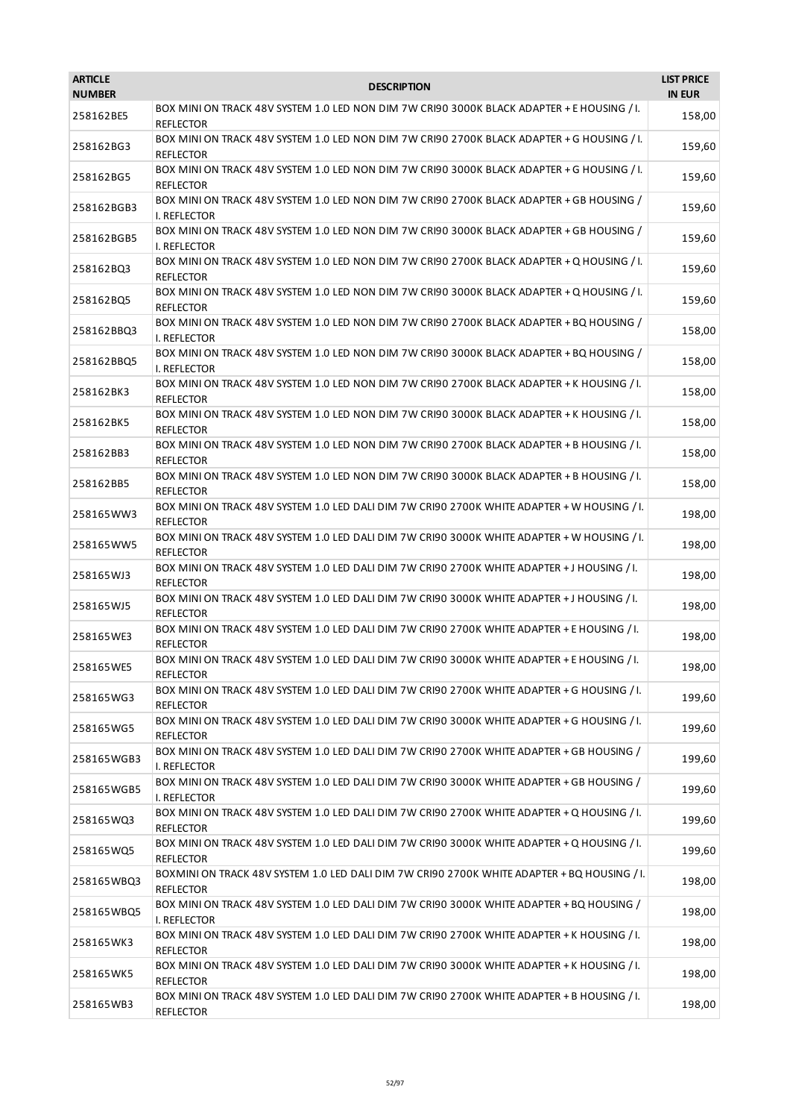| <b>ARTICLE</b><br><b>NUMBER</b> | <b>DESCRIPTION</b>                                                                                              | <b>LIST PRICE</b><br><b>IN EUR</b> |
|---------------------------------|-----------------------------------------------------------------------------------------------------------------|------------------------------------|
| 258162BE5                       | BOX MINI ON TRACK 48V SYSTEM 1.0 LED NON DIM 7W CRI90 3000K BLACK ADAPTER + E HOUSING / I.<br><b>REFLECTOR</b>  | 158,00                             |
| 258162BG3                       | BOX MINI ON TRACK 48V SYSTEM 1.0 LED NON DIM 7W CRI90 2700K BLACK ADAPTER + G HOUSING / I.<br><b>REFLECTOR</b>  | 159,60                             |
| 258162BG5                       | BOX MINI ON TRACK 48V SYSTEM 1.0 LED NON DIM 7W CRI90 3000K BLACK ADAPTER + G HOUSING / I.<br><b>REFLECTOR</b>  | 159,60                             |
| 258162BGB3                      | BOX MINI ON TRACK 48V SYSTEM 1.0 LED NON DIM 7W CRI90 2700K BLACK ADAPTER + GB HOUSING /<br>I. REFLECTOR        | 159,60                             |
| 258162BGB5                      | BOX MINI ON TRACK 48V SYSTEM 1.0 LED NON DIM 7W CRI90 3000K BLACK ADAPTER + GB HOUSING /<br>I. REFLECTOR        | 159,60                             |
| 258162BQ3                       | BOX MINI ON TRACK 48V SYSTEM 1.0 LED NON DIM 7W CRI90 2700K BLACK ADAPTER + Q HOUSING / I.<br><b>REFLECTOR</b>  | 159,60                             |
| 258162BQ5                       | BOX MINI ON TRACK 48V SYSTEM 1.0 LED NON DIM 7W CRI90 3000K BLACK ADAPTER + Q HOUSING / I.<br><b>REFLECTOR</b>  | 159,60                             |
| 258162BBQ3                      | BOX MINI ON TRACK 48V SYSTEM 1.0 LED NON DIM 7W CRI90 2700K BLACK ADAPTER + BQ HOUSING /<br>I. REFLECTOR        | 158,00                             |
| 258162BBQ5                      | BOX MINI ON TRACK 48V SYSTEM 1.0 LED NON DIM 7W CRI90 3000K BLACK ADAPTER + BQ HOUSING /<br>I. REFLECTOR        | 158,00                             |
| 258162BK3                       | BOX MINI ON TRACK 48V SYSTEM 1.0 LED NON DIM 7W CRI90 2700K BLACK ADAPTER + K HOUSING / I.<br><b>REFLECTOR</b>  | 158,00                             |
| 258162BK5                       | BOX MINI ON TRACK 48V SYSTEM 1.0 LED NON DIM 7W CRI90 3000K BLACK ADAPTER + K HOUSING / I.<br><b>REFLECTOR</b>  | 158,00                             |
| 258162BB3                       | BOX MINI ON TRACK 48V SYSTEM 1.0 LED NON DIM 7W CRI90 2700K BLACK ADAPTER + B HOUSING / I.<br><b>REFLECTOR</b>  | 158,00                             |
| 258162BB5                       | BOX MINI ON TRACK 48V SYSTEM 1.0 LED NON DIM 7W CRI90 3000K BLACK ADAPTER + B HOUSING / I.<br><b>REFLECTOR</b>  | 158,00                             |
| 258165WW3                       | BOX MINI ON TRACK 48V SYSTEM 1.0 LED DALI DIM 7W CRI90 2700K WHITE ADAPTER + W HOUSING / I.<br><b>REFLECTOR</b> | 198,00                             |
| 258165WW5                       | BOX MINI ON TRACK 48V SYSTEM 1.0 LED DALI DIM 7W CRI90 3000K WHITE ADAPTER + W HOUSING / I.<br><b>REFLECTOR</b> | 198,00                             |
| 258165WJ3                       | BOX MINI ON TRACK 48V SYSTEM 1.0 LED DALI DIM 7W CRI90 2700K WHITE ADAPTER + J HOUSING / I.<br><b>REFLECTOR</b> | 198,00                             |
| 258165WJ5                       | BOX MINI ON TRACK 48V SYSTEM 1.0 LED DALI DIM 7W CRI90 3000K WHITE ADAPTER + J HOUSING / I.<br><b>REFLECTOR</b> | 198,00                             |
| 258165WE3                       | BOX MINI ON TRACK 48V SYSTEM 1.0 LED DALI DIM 7W CRI90 2700K WHITE ADAPTER + E HOUSING / I.<br><b>REFLECTOR</b> | 198,00                             |
| 258165WE5                       | BOX MINI ON TRACK 48V SYSTEM 1.0 LED DALI DIM 7W CRI90 3000K WHITE ADAPTER + E HOUSING / I.<br><b>REFLECTOR</b> | 198,00                             |
| 258165WG3                       | BOX MINI ON TRACK 48V SYSTEM 1.0 LED DALI DIM 7W CRI90 2700K WHITE ADAPTER + G HOUSING / I.<br><b>REFLECTOR</b> | 199,60                             |
| 258165WG5                       | BOX MINI ON TRACK 48V SYSTEM 1.0 LED DALI DIM 7W CRI90 3000K WHITE ADAPTER + G HOUSING / I.<br><b>REFLECTOR</b> | 199,60                             |
| 258165WGB3                      | BOX MINI ON TRACK 48V SYSTEM 1.0 LED DALI DIM 7W CRI90 2700K WHITE ADAPTER + GB HOUSING /<br>I. REFLECTOR       | 199,60                             |
| 258165WGB5                      | BOX MINI ON TRACK 48V SYSTEM 1.0 LED DALI DIM 7W CRI90 3000K WHITE ADAPTER + GB HOUSING /<br>I. REFLECTOR       | 199,60                             |
| 258165WQ3                       | BOX MINI ON TRACK 48V SYSTEM 1.0 LED DALI DIM 7W CRI90 2700K WHITE ADAPTER + Q HOUSING / I.<br><b>REFLECTOR</b> | 199,60                             |
| 258165WQ5                       | BOX MINI ON TRACK 48V SYSTEM 1.0 LED DALI DIM 7W CRI90 3000K WHITE ADAPTER + Q HOUSING / I.<br><b>REFLECTOR</b> | 199,60                             |
| 258165WBQ3                      | BOXMINI ON TRACK 48V SYSTEM 1.0 LED DALI DIM 7W CRI90 2700K WHITE ADAPTER + BQ HOUSING / I.<br><b>REFLECTOR</b> | 198,00                             |
| 258165WBQ5                      | BOX MINI ON TRACK 48V SYSTEM 1.0 LED DALI DIM 7W CRI90 3000K WHITE ADAPTER + BQ HOUSING /<br>I. REFLECTOR       | 198,00                             |
| 258165WK3                       | BOX MINI ON TRACK 48V SYSTEM 1.0 LED DALI DIM 7W CRI90 2700K WHITE ADAPTER + K HOUSING / I.<br><b>REFLECTOR</b> | 198,00                             |
| 258165WK5                       | BOX MINI ON TRACK 48V SYSTEM 1.0 LED DALI DIM 7W CRI90 3000K WHITE ADAPTER + K HOUSING / I.<br><b>REFLECTOR</b> | 198,00                             |
| 258165WB3                       | BOX MINI ON TRACK 48V SYSTEM 1.0 LED DALI DIM 7W CRI90 2700K WHITE ADAPTER + B HOUSING / I.<br><b>REFLECTOR</b> | 198,00                             |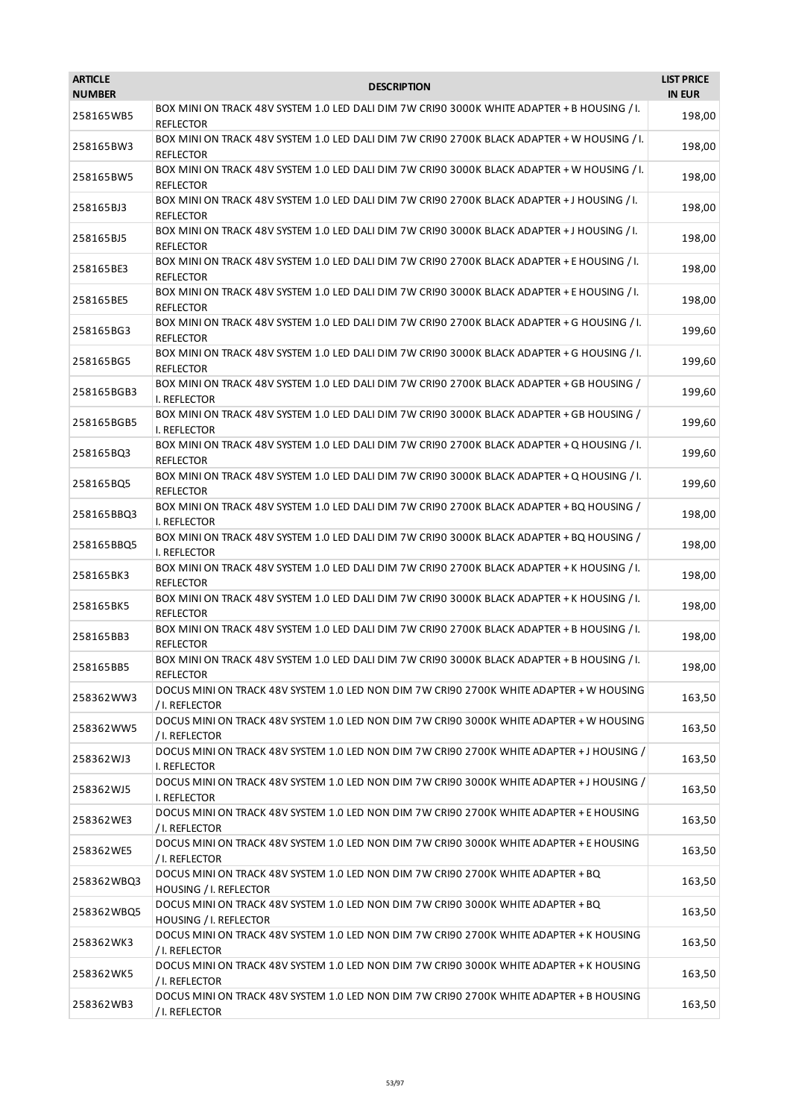| <b>ARTICLE</b><br><b>NUMBER</b> | <b>DESCRIPTION</b>                                                                                              | <b>LIST PRICE</b><br><b>IN EUR</b> |
|---------------------------------|-----------------------------------------------------------------------------------------------------------------|------------------------------------|
| 258165WB5                       | BOX MINI ON TRACK 48V SYSTEM 1.0 LED DALI DIM 7W CRI90 3000K WHITE ADAPTER + B HOUSING / I.<br><b>REFLECTOR</b> | 198,00                             |
| 258165BW3                       | BOX MINI ON TRACK 48V SYSTEM 1.0 LED DALI DIM 7W CRI90 2700K BLACK ADAPTER + W HOUSING / I.<br><b>REFLECTOR</b> | 198,00                             |
| 258165BW5                       | BOX MINI ON TRACK 48V SYSTEM 1.0 LED DALI DIM 7W CRI90 3000K BLACK ADAPTER + W HOUSING / I.<br><b>REFLECTOR</b> | 198,00                             |
| 258165BJ3                       | BOX MINI ON TRACK 48V SYSTEM 1.0 LED DALI DIM 7W CRI90 2700K BLACK ADAPTER + J HOUSING / I.<br><b>REFLECTOR</b> | 198,00                             |
| 258165BJ5                       | BOX MINI ON TRACK 48V SYSTEM 1.0 LED DALI DIM 7W CRI90 3000K BLACK ADAPTER + J HOUSING / I.<br><b>REFLECTOR</b> | 198,00                             |
| 258165BE3                       | BOX MINI ON TRACK 48V SYSTEM 1.0 LED DALI DIM 7W CRI90 2700K BLACK ADAPTER + E HOUSING / I.<br><b>REFLECTOR</b> | 198,00                             |
| 258165BE5                       | BOX MINI ON TRACK 48V SYSTEM 1.0 LED DALI DIM 7W CRI90 3000K BLACK ADAPTER + E HOUSING / I.<br><b>REFLECTOR</b> | 198,00                             |
| 258165BG3                       | BOX MINI ON TRACK 48V SYSTEM 1.0 LED DALI DIM 7W CRI90 2700K BLACK ADAPTER + G HOUSING / I.<br><b>REFLECTOR</b> | 199,60                             |
| 258165BG5                       | BOX MINI ON TRACK 48V SYSTEM 1.0 LED DALI DIM 7W CRI90 3000K BLACK ADAPTER + G HOUSING / I.<br><b>REFLECTOR</b> | 199,60                             |
| 258165BGB3                      | BOX MINI ON TRACK 48V SYSTEM 1.0 LED DALI DIM 7W CRI90 2700K BLACK ADAPTER + GB HOUSING /<br>I. REFLECTOR       | 199,60                             |
| 258165BGB5                      | BOX MINI ON TRACK 48V SYSTEM 1.0 LED DALI DIM 7W CRI90 3000K BLACK ADAPTER + GB HOUSING /<br>I. REFLECTOR       | 199,60                             |
| 258165BQ3                       | BOX MINI ON TRACK 48V SYSTEM 1.0 LED DALI DIM 7W CRI90 2700K BLACK ADAPTER + Q HOUSING / I.<br><b>REFLECTOR</b> | 199,60                             |
| 258165BQ5                       | BOX MINI ON TRACK 48V SYSTEM 1.0 LED DALI DIM 7W CRI90 3000K BLACK ADAPTER + Q HOUSING / I.<br><b>REFLECTOR</b> | 199,60                             |
| 258165BBQ3                      | BOX MINI ON TRACK 48V SYSTEM 1.0 LED DALI DIM 7W CRI90 2700K BLACK ADAPTER + BQ HOUSING /<br>I. REFLECTOR       | 198,00                             |
| 258165BBQ5                      | BOX MINI ON TRACK 48V SYSTEM 1.0 LED DALI DIM 7W CRI90 3000K BLACK ADAPTER + BQ HOUSING /<br>I. REFLECTOR       | 198,00                             |
| 258165BK3                       | BOX MINI ON TRACK 48V SYSTEM 1.0 LED DALI DIM 7W CRI90 2700K BLACK ADAPTER + K HOUSING / I.<br><b>REFLECTOR</b> | 198,00                             |
| 258165BK5                       | BOX MINI ON TRACK 48V SYSTEM 1.0 LED DALI DIM 7W CRI90 3000K BLACK ADAPTER + K HOUSING / I.<br><b>REFLECTOR</b> | 198,00                             |
| 258165BB3                       | BOX MINI ON TRACK 48V SYSTEM 1.0 LED DALI DIM 7W CRI90 2700K BLACK ADAPTER + B HOUSING / I.<br><b>REFLECTOR</b> | 198,00                             |
| 258165BB5                       | BOX MINI ON TRACK 48V SYSTEM 1.0 LED DALI DIM 7W CRI90 3000K BLACK ADAPTER + B HOUSING / I.<br><b>REFLECTOR</b> | 198,00                             |
| 258362WW3                       | DOCUS MINI ON TRACK 48V SYSTEM 1.0 LED NON DIM 7W CRI90 2700K WHITE ADAPTER + W HOUSING<br>/ I. REFLECTOR       | 163,50                             |
| 258362WW5                       | DOCUS MINI ON TRACK 48V SYSTEM 1.0 LED NON DIM 7W CRI90 3000K WHITE ADAPTER + W HOUSING<br>/ I. REFLECTOR       | 163,50                             |
| 258362WJ3                       | DOCUS MINI ON TRACK 48V SYSTEM 1.0 LED NON DIM 7W CRI90 2700K WHITE ADAPTER + J HOUSING /<br>I. REFLECTOR       | 163,50                             |
| 258362WJ5                       | DOCUS MINI ON TRACK 48V SYSTEM 1.0 LED NON DIM 7W CRI90 3000K WHITE ADAPTER + J HOUSING /<br>I. REFLECTOR       | 163,50                             |
| 258362WE3                       | DOCUS MINI ON TRACK 48V SYSTEM 1.0 LED NON DIM 7W CRI90 2700K WHITE ADAPTER + E HOUSING<br>/ I. REFLECTOR       | 163,50                             |
| 258362WE5                       | DOCUS MINI ON TRACK 48V SYSTEM 1.0 LED NON DIM 7W CRI90 3000K WHITE ADAPTER + E HOUSING<br>/ I. REFLECTOR       | 163,50                             |
| 258362WBQ3                      | DOCUS MINI ON TRACK 48V SYSTEM 1.0 LED NON DIM 7W CRI90 2700K WHITE ADAPTER + BQ<br>HOUSING / I. REFLECTOR      | 163,50                             |
| 258362WBQ5                      | DOCUS MINI ON TRACK 48V SYSTEM 1.0 LED NON DIM 7W CRI90 3000K WHITE ADAPTER + BQ<br>HOUSING / I. REFLECTOR      | 163,50                             |
| 258362WK3                       | DOCUS MINI ON TRACK 48V SYSTEM 1.0 LED NON DIM 7W CRI90 2700K WHITE ADAPTER + K HOUSING<br>/ I. REFLECTOR       | 163,50                             |
| 258362WK5                       | DOCUS MINI ON TRACK 48V SYSTEM 1.0 LED NON DIM 7W CRI90 3000K WHITE ADAPTER + K HOUSING<br>/ I. REFLECTOR       | 163,50                             |
| 258362WB3                       | DOCUS MINI ON TRACK 48V SYSTEM 1.0 LED NON DIM 7W CRI90 2700K WHITE ADAPTER + B HOUSING<br>/ I. REFLECTOR       | 163,50                             |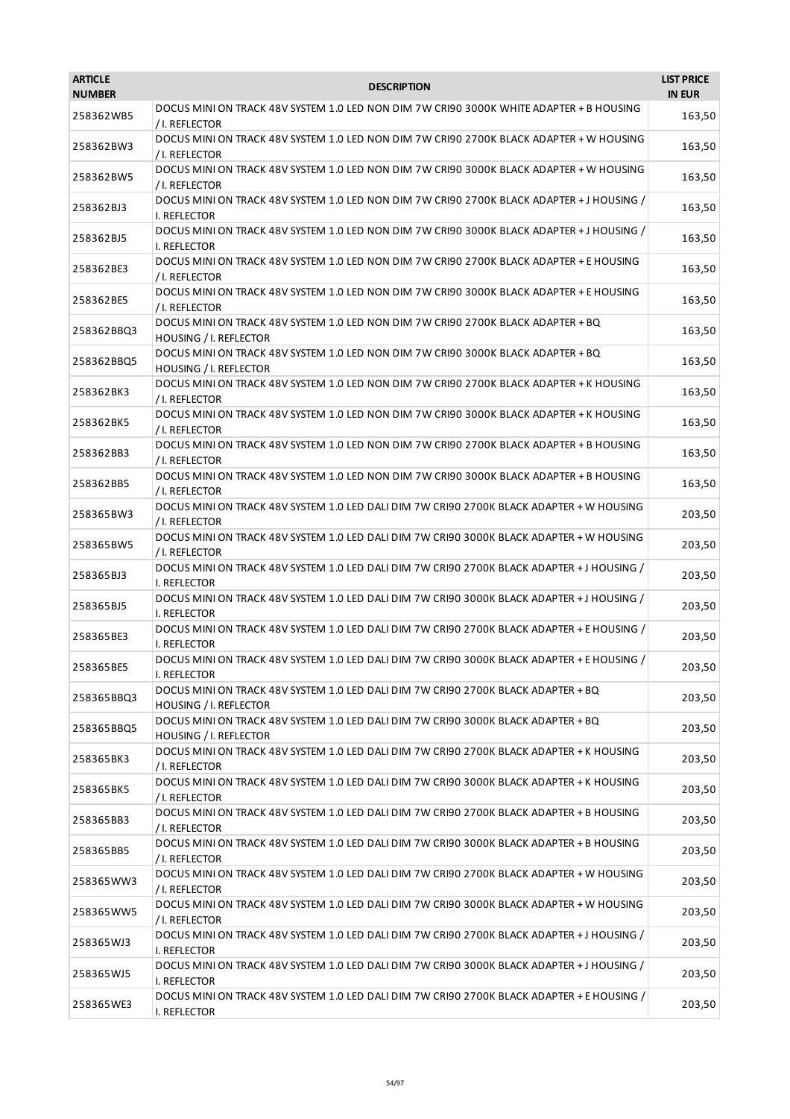| <b>ARTICLE</b><br><b>NUMBER</b> | <b>DESCRIPTION</b>                                                                                                | <b>LIST PRICE</b><br><b>IN EUR</b> |
|---------------------------------|-------------------------------------------------------------------------------------------------------------------|------------------------------------|
| 258362WB5                       | DOCUS MINI ON TRACK 48V SYSTEM 1.0 LED NON DIM 7W CRI90 3000K WHITE ADAPTER + B HOUSING<br>/ I. REFLECTOR         | 163,50                             |
| 258362BW3                       | DOCUS MINI ON TRACK 48V SYSTEM 1.0 LED NON DIM 7W CRI90 2700K BLACK ADAPTER + W HOUSING<br>/ I. REFLECTOR         | 163,50                             |
| 258362BW5                       | DOCUS MINI ON TRACK 48V SYSTEM 1.0 LED NON DIM 7W CRI90 3000K BLACK ADAPTER + W HOUSING<br>/ I. REFLECTOR         | 163,50                             |
| 258362BJ3                       | DOCUS MINI ON TRACK 48V SYSTEM 1.0 LED NON DIM 7W CRI90 2700K BLACK ADAPTER + J HOUSING /<br>I. REFLECTOR         | 163,50                             |
| 258362BJ5                       | DOCUS MINI ON TRACK 48V SYSTEM 1.0 LED NON DIM 7W CRI90 3000K BLACK ADAPTER + J HOUSING /<br>I. REFLECTOR         | 163,50                             |
| 258362BE3                       | DOCUS MINI ON TRACK 48V SYSTEM 1.0 LED NON DIM 7W CRI90 2700K BLACK ADAPTER + E HOUSING<br>/I. REFLECTOR          | 163,50                             |
| 258362BE5                       | DOCUS MINI ON TRACK 48V SYSTEM 1.0 LED NON DIM 7W CRI90 3000K BLACK ADAPTER + E HOUSING<br>/ I. REFLECTOR         | 163,50                             |
| 258362BBQ3                      | DOCUS MINI ON TRACK 48V SYSTEM 1.0 LED NON DIM 7W CRI90 2700K BLACK ADAPTER + BQ<br>HOUSING / I. REFLECTOR        | 163,50                             |
| 258362BBQ5                      | DOCUS MINI ON TRACK 48V SYSTEM 1.0 LED NON DIM 7W CRI90 3000K BLACK ADAPTER + BQ<br>HOUSING / I. REFLECTOR        | 163,50                             |
| 258362BK3                       | DOCUS MINI ON TRACK 48V SYSTEM 1.0 LED NON DIM 7W CRI90 2700K BLACK ADAPTER + K HOUSING<br>/ I. REFLECTOR         | 163,50                             |
| 258362BK5                       | DOCUS MINI ON TRACK 48V SYSTEM 1.0 LED NON DIM 7W CRI90 3000K BLACK ADAPTER + K HOUSING<br>/I. REFLECTOR          | 163,50                             |
| 258362BB3                       | DOCUS MINI ON TRACK 48V SYSTEM 1.0 LED NON DIM 7W CRI90 2700K BLACK ADAPTER + B HOUSING<br>/ I. REFLECTOR         | 163,50                             |
| 258362BB5                       | DOCUS MINI ON TRACK 48V SYSTEM 1.0 LED NON DIM 7W CRI90 3000K BLACK ADAPTER + B HOUSING<br>/ I. REFLECTOR         | 163,50                             |
| 258365BW3                       | DOCUS MINI ON TRACK 48V SYSTEM 1.0 LED DALI DIM 7W CRI90 2700K BLACK ADAPTER + W HOUSING<br>/ I. REFLECTOR        | 203,50                             |
| 258365BW5                       | DOCUS MINI ON TRACK 48V SYSTEM 1.0 LED DALI DIM 7W CRI90 3000K BLACK ADAPTER + W HOUSING<br>/ I. REFLECTOR        | 203,50                             |
| 258365BJ3                       | DOCUS MINI ON TRACK 48V SYSTEM 1.0 LED DALI DIM 7W CRI90 2700K BLACK ADAPTER + J HOUSING /<br>I. REFLECTOR        | 203,50                             |
| 258365BJ5                       | DOCUS MINI ON TRACK 48V SYSTEM 1.0 LED DALI DIM 7W CRI90 3000K BLACK ADAPTER + J HOUSING /<br><b>I. REFLECTOR</b> | 203,50                             |
| 258365BE3                       | DOCUS MINI ON TRACK 48V SYSTEM 1.0 LED DALI DIM 7W CRI90 2700K BLACK ADAPTER + E HOUSING /<br>I. REFLECTOR        | 203,50                             |
| 258365BE5                       | DOCUS MINI ON TRACK 48V SYSTEM 1.0 LED DALI DIM 7W CRI90 3000K BLACK ADAPTER + E HOUSING /<br>I. REFLECTOR        | 203,50                             |
| 258365BBQ3                      | DOCUS MINI ON TRACK 48V SYSTEM 1.0 LED DALI DIM 7W CRI90 2700K BLACK ADAPTER + BQ<br>HOUSING / I. REFLECTOR       | 203,50                             |
| 258365BBQ5                      | DOCUS MINI ON TRACK 48V SYSTEM 1.0 LED DALI DIM 7W CRI90 3000K BLACK ADAPTER + BQ<br>HOUSING / I. REFLECTOR       | 203,50                             |
| 258365BK3                       | DOCUS MINI ON TRACK 48V SYSTEM 1.0 LED DALI DIM 7W CRI90 2700K BLACK ADAPTER + K HOUSING<br>/ I. REFLECTOR        | 203,50                             |
| 258365BK5                       | DOCUS MINI ON TRACK 48V SYSTEM 1.0 LED DALI DIM 7W CRI90 3000K BLACK ADAPTER + K HOUSING<br>/ I. REFLECTOR        | 203,50                             |
| 258365BB3                       | DOCUS MINI ON TRACK 48V SYSTEM 1.0 LED DALI DIM 7W CRI90 2700K BLACK ADAPTER + B HOUSING<br>/ I. REFLECTOR        | 203,50                             |
| 258365BB5                       | DOCUS MINI ON TRACK 48V SYSTEM 1.0 LED DALI DIM 7W CRI90 3000K BLACK ADAPTER + B HOUSING<br>/ I. REFLECTOR        | 203,50                             |
| 258365WW3                       | DOCUS MINI ON TRACK 48V SYSTEM 1.0 LED DALI DIM 7W CRI90 2700K BLACK ADAPTER + W HOUSING<br>/ I. REFLECTOR        | 203,50                             |
| 258365WW5                       | DOCUS MINI ON TRACK 48V SYSTEM 1.0 LED DALI DIM 7W CRI90 3000K BLACK ADAPTER + W HOUSING<br>/ I. REFLECTOR        | 203,50                             |
| 258365WJ3                       | DOCUS MINI ON TRACK 48V SYSTEM 1.0 LED DALI DIM 7W CRI90 2700K BLACK ADAPTER + J HOUSING /<br>I. REFLECTOR        | 203,50                             |
| 258365WJ5                       | DOCUS MINI ON TRACK 48V SYSTEM 1.0 LED DALI DIM 7W CRI90 3000K BLACK ADAPTER + J HOUSING /<br>I. REFLECTOR        | 203,50                             |
| 258365WE3                       | DOCUS MINI ON TRACK 48V SYSTEM 1.0 LED DALI DIM 7W CRI90 2700K BLACK ADAPTER + E HOUSING /<br>I. REFLECTOR        | 203,50                             |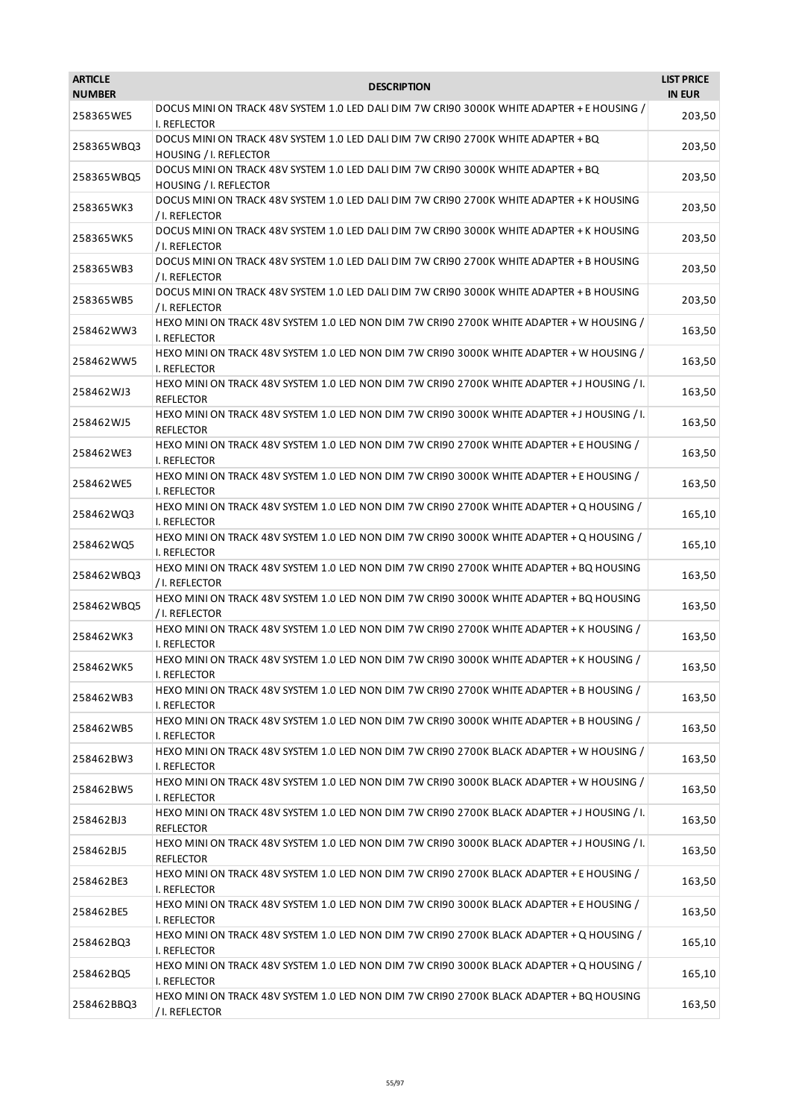| <b>ARTICLE</b><br><b>NUMBER</b> | <b>DESCRIPTION</b>                                                                                              | <b>LIST PRICE</b><br><b>IN EUR</b> |
|---------------------------------|-----------------------------------------------------------------------------------------------------------------|------------------------------------|
| 258365WE5                       | DOCUS MINI ON TRACK 48V SYSTEM 1.0 LED DALI DIM 7W CRI90 3000K WHITE ADAPTER + E HOUSING /<br>I. REFLECTOR      | 203,50                             |
| 258365WBQ3                      | DOCUS MINI ON TRACK 48V SYSTEM 1.0 LED DALI DIM 7W CRI90 2700K WHITE ADAPTER + BQ<br>HOUSING / I. REFLECTOR     | 203,50                             |
| 258365WBQ5                      | DOCUS MINI ON TRACK 48V SYSTEM 1.0 LED DALI DIM 7W CRI90 3000K WHITE ADAPTER + BQ<br>HOUSING / I. REFLECTOR     | 203,50                             |
| 258365WK3                       | DOCUS MINI ON TRACK 48V SYSTEM 1.0 LED DALI DIM 7W CRI90 2700K WHITE ADAPTER + K HOUSING<br>/ I. REFLECTOR      | 203,50                             |
| 258365WK5                       | DOCUS MINI ON TRACK 48V SYSTEM 1.0 LED DALI DIM 7W CRI90 3000K WHITE ADAPTER + K HOUSING<br>/ I. REFLECTOR      | 203,50                             |
| 258365WB3                       | DOCUS MINI ON TRACK 48V SYSTEM 1.0 LED DALI DIM 7W CRI90 2700K WHITE ADAPTER + B HOUSING<br>/ I. REFLECTOR      | 203,50                             |
| 258365WB5                       | DOCUS MINI ON TRACK 48V SYSTEM 1.0 LED DALI DIM 7W CRI90 3000K WHITE ADAPTER + B HOUSING<br>/ I. REFLECTOR      | 203,50                             |
| 258462WW3                       | HEXO MINI ON TRACK 48V SYSTEM 1.0 LED NON DIM 7W CRI90 2700K WHITE ADAPTER + W HOUSING /<br>I. REFLECTOR        | 163,50                             |
| 258462WW5                       | HEXO MINI ON TRACK 48V SYSTEM 1.0 LED NON DIM 7W CRI90 3000K WHITE ADAPTER + W HOUSING /<br>I. REFLECTOR        | 163,50                             |
| 258462WJ3                       | HEXO MINI ON TRACK 48V SYSTEM 1.0 LED NON DIM 7W CRI90 2700K WHITE ADAPTER + J HOUSING / I.<br><b>REFLECTOR</b> | 163,50                             |
| 258462WJ5                       | HEXO MINI ON TRACK 48V SYSTEM 1.0 LED NON DIM 7W CRI90 3000K WHITE ADAPTER + J HOUSING / I.<br><b>REFLECTOR</b> | 163,50                             |
| 258462WE3                       | HEXO MINI ON TRACK 48V SYSTEM 1.0 LED NON DIM 7W CRI90 2700K WHITE ADAPTER + E HOUSING /<br>I. REFLECTOR        | 163,50                             |
| 258462WE5                       | HEXO MINI ON TRACK 48V SYSTEM 1.0 LED NON DIM 7W CRI90 3000K WHITE ADAPTER + E HOUSING /<br>I. REFLECTOR        | 163,50                             |
| 258462WQ3                       | HEXO MINI ON TRACK 48V SYSTEM 1.0 LED NON DIM 7W CRI90 2700K WHITE ADAPTER + Q HOUSING /<br>I. REFLECTOR        | 165,10                             |
| 258462WQ5                       | HEXO MINI ON TRACK 48V SYSTEM 1.0 LED NON DIM 7W CRI90 3000K WHITE ADAPTER + Q HOUSING /<br>I. REFLECTOR        | 165,10                             |
| 258462WBQ3                      | HEXO MINI ON TRACK 48V SYSTEM 1.0 LED NON DIM 7W CRI90 2700K WHITE ADAPTER + BQ HOUSING<br>/ I. REFLECTOR       | 163,50                             |
| 258462WBQ5                      | HEXO MINI ON TRACK 48V SYSTEM 1.0 LED NON DIM 7W CRI90 3000K WHITE ADAPTER + BQ HOUSING<br>/ I. REFLECTOR       | 163,50                             |
| 258462WK3                       | HEXO MINI ON TRACK 48V SYSTEM 1.0 LED NON DIM 7W CRI90 2700K WHITE ADAPTER + K HOUSING /<br>I. REFLECTOR        | 163,50                             |
| 258462WK5                       | HEXO MINI ON TRACK 48V SYSTEM 1.0 LED NON DIM 7W CRI90 3000K WHITE ADAPTER + K HOUSING /<br>I. REFLECTOR        | 163,50                             |
| 258462WB3                       | HEXO MINI ON TRACK 48V SYSTEM 1.0 LED NON DIM 7W CRI90 2700K WHITE ADAPTER + B HOUSING /<br>I. REFLECTOR        | 163,50                             |
| 258462WB5                       | HEXO MINI ON TRACK 48V SYSTEM 1.0 LED NON DIM 7W CRI90 3000K WHITE ADAPTER + B HOUSING /<br>I. REFLECTOR        | 163,50                             |
| 258462BW3                       | HEXO MINI ON TRACK 48V SYSTEM 1.0 LED NON DIM 7W CRI90 2700K BLACK ADAPTER + W HOUSING /<br>I. REFLECTOR        | 163,50                             |
| 258462BW5                       | HEXO MINI ON TRACK 48V SYSTEM 1.0 LED NON DIM 7W CRI90 3000K BLACK ADAPTER + W HOUSING /<br>I. REFLECTOR        | 163,50                             |
| 258462BJ3                       | HEXO MINI ON TRACK 48V SYSTEM 1.0 LED NON DIM 7W CRI90 2700K BLACK ADAPTER + J HOUSING / I.<br><b>REFLECTOR</b> | 163,50                             |
| 258462BJ5                       | HEXO MINI ON TRACK 48V SYSTEM 1.0 LED NON DIM 7W CRI90 3000K BLACK ADAPTER +J HOUSING /I.<br><b>REFLECTOR</b>   | 163,50                             |
| 258462BE3                       | HEXO MINI ON TRACK 48V SYSTEM 1.0 LED NON DIM 7W CRI90 2700K BLACK ADAPTER + E HOUSING /<br>I. REFLECTOR        | 163,50                             |
| 258462BE5                       | HEXO MINI ON TRACK 48V SYSTEM 1.0 LED NON DIM 7W CRI90 3000K BLACK ADAPTER + E HOUSING /<br>I. REFLECTOR        | 163,50                             |
| 258462BQ3                       | HEXO MINI ON TRACK 48V SYSTEM 1.0 LED NON DIM 7W CRI90 2700K BLACK ADAPTER + Q HOUSING /<br>I. REFLECTOR        | 165,10                             |
| 258462BQ5                       | HEXO MINI ON TRACK 48V SYSTEM 1.0 LED NON DIM 7W CRI90 3000K BLACK ADAPTER + Q HOUSING /<br>I. REFLECTOR        | 165,10                             |
| 258462BBQ3                      | HEXO MINI ON TRACK 48V SYSTEM 1.0 LED NON DIM 7W CRI90 2700K BLACK ADAPTER + BQ HOUSING<br>/ I. REFLECTOR       | 163,50                             |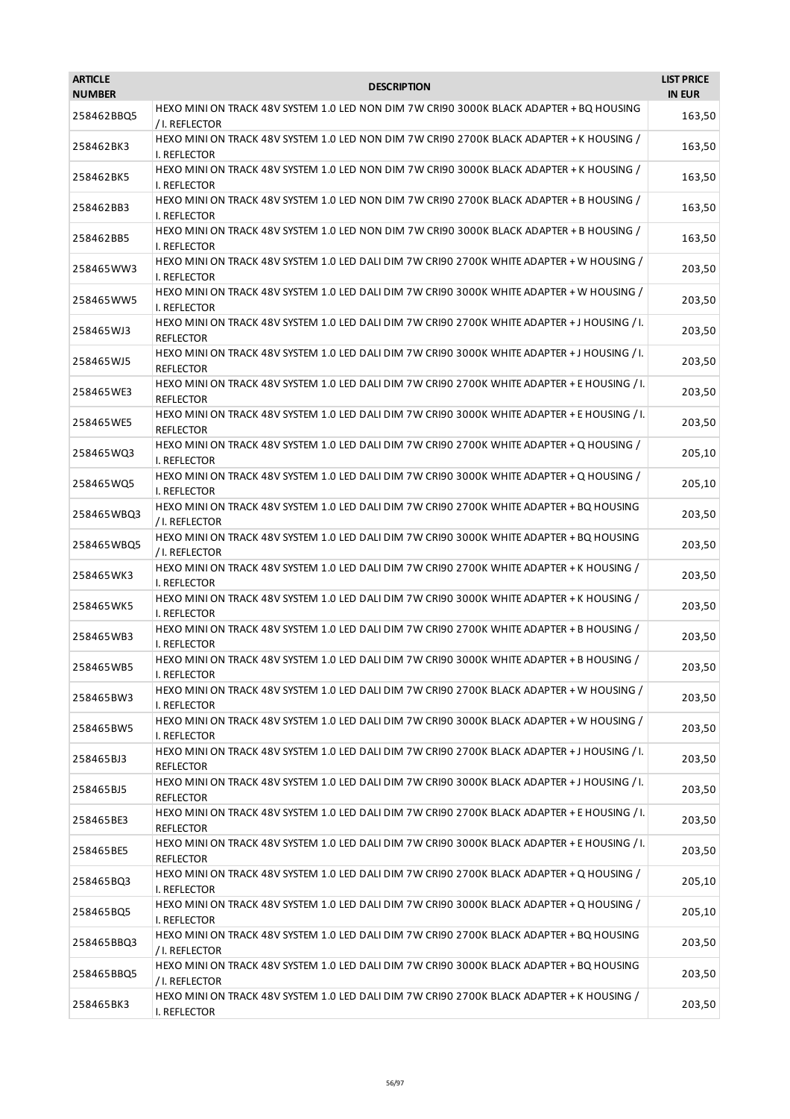| <b>ARTICLE</b><br><b>NUMBER</b> | <b>DESCRIPTION</b>                                                                                               | <b>LIST PRICE</b><br><b>IN EUR</b> |
|---------------------------------|------------------------------------------------------------------------------------------------------------------|------------------------------------|
| 258462BBQ5                      | HEXO MINI ON TRACK 48V SYSTEM 1.0 LED NON DIM 7W CRI90 3000K BLACK ADAPTER + BQ HOUSING<br>/ I. REFLECTOR        | 163,50                             |
| 258462BK3                       | HEXO MINI ON TRACK 48V SYSTEM 1.0 LED NON DIM 7W CRI90 2700K BLACK ADAPTER + K HOUSING /<br>I. REFLECTOR         | 163,50                             |
| 258462BK5                       | HEXO MINI ON TRACK 48V SYSTEM 1.0 LED NON DIM 7W CRI90 3000K BLACK ADAPTER + K HOUSING /<br>I. REFLECTOR         | 163,50                             |
| 258462BB3                       | HEXO MINI ON TRACK 48V SYSTEM 1.0 LED NON DIM 7W CRI90 2700K BLACK ADAPTER + B HOUSING /<br>I. REFLECTOR         | 163,50                             |
| 258462BB5                       | HEXO MINI ON TRACK 48V SYSTEM 1.0 LED NON DIM 7W CRI90 3000K BLACK ADAPTER + B HOUSING /<br>I. REFLECTOR         | 163,50                             |
| 258465WW3                       | HEXO MINI ON TRACK 48V SYSTEM 1.0 LED DALI DIM 7W CRI90 2700K WHITE ADAPTER + W HOUSING /<br>I. REFLECTOR        | 203,50                             |
| 258465WW5                       | HEXO MINI ON TRACK 48V SYSTEM 1.0 LED DALI DIM 7W CRI90 3000K WHITE ADAPTER + W HOUSING /<br>I. REFLECTOR        | 203,50                             |
| 258465WJ3                       | HEXO MINI ON TRACK 48V SYSTEM 1.0 LED DALI DIM 7W CRI90 2700K WHITE ADAPTER +J HOUSING / I.<br><b>REFLECTOR</b>  | 203,50                             |
| 258465WJ5                       | HEXO MINI ON TRACK 48V SYSTEM 1.0 LED DALI DIM 7W CRI90 3000K WHITE ADAPTER +J HOUSING / I.<br><b>REFLECTOR</b>  | 203,50                             |
| 258465WE3                       | HEXO MINI ON TRACK 48V SYSTEM 1.0 LED DALI DIM 7W CRI90 2700K WHITE ADAPTER + E HOUSING / I.<br><b>REFLECTOR</b> | 203,50                             |
| 258465WE5                       | HEXO MINI ON TRACK 48V SYSTEM 1.0 LED DALI DIM 7W CRI90 3000K WHITE ADAPTER + E HOUSING / I.<br><b>REFLECTOR</b> | 203,50                             |
| 258465WQ3                       | HEXO MINI ON TRACK 48V SYSTEM 1.0 LED DALI DIM 7W CRI90 2700K WHITE ADAPTER + Q HOUSING /<br>I. REFLECTOR        | 205,10                             |
| 258465WQ5                       | HEXO MINI ON TRACK 48V SYSTEM 1.0 LED DALI DIM 7W CRI90 3000K WHITE ADAPTER + Q HOUSING /<br>I. REFLECTOR        | 205,10                             |
| 258465WBQ3                      | HEXO MINI ON TRACK 48V SYSTEM 1.0 LED DALI DIM 7W CRI90 2700K WHITE ADAPTER + BQ HOUSING<br>/ I. REFLECTOR       | 203,50                             |
| 258465WBQ5                      | HEXO MINI ON TRACK 48V SYSTEM 1.0 LED DALI DIM 7W CRI90 3000K WHITE ADAPTER + BQ HOUSING<br>/ I. REFLECTOR       | 203,50                             |
| 258465WK3                       | HEXO MINI ON TRACK 48V SYSTEM 1.0 LED DALI DIM 7W CRI90 2700K WHITE ADAPTER + K HOUSING /<br>I. REFLECTOR        | 203,50                             |
| 258465WK5                       | HEXO MINI ON TRACK 48V SYSTEM 1.0 LED DALI DIM 7W CRI90 3000K WHITE ADAPTER + K HOUSING /<br>I. REFLECTOR        | 203,50                             |
| 258465WB3                       | HEXO MINI ON TRACK 48V SYSTEM 1.0 LED DALI DIM 7W CRI90 2700K WHITE ADAPTER + B HOUSING /<br>I. REFLECTOR        | 203,50                             |
| 258465WB5                       | HEXO MINI ON TRACK 48V SYSTEM 1.0 LED DALI DIM 7W CRI90 3000K WHITE ADAPTER + B HOUSING /<br>I. REFLECTOR        | 203,50                             |
| 258465BW3                       | HEXO MINI ON TRACK 48V SYSTEM 1.0 LED DALI DIM 7W CRI90 2700K BLACK ADAPTER + W HOUSING /<br>I. REFLECTOR        | 203,50                             |
| 258465BW5                       | HEXO MINI ON TRACK 48V SYSTEM 1.0 LED DALI DIM 7W CRI90 3000K BLACK ADAPTER + W HOUSING /<br>I. REFLECTOR        | 203,50                             |
| 258465BJ3                       | HEXO MINI ON TRACK 48V SYSTEM 1.0 LED DALI DIM 7W CRI90 2700K BLACK ADAPTER + J HOUSING / I.<br><b>REFLECTOR</b> | 203,50                             |
| 258465BJ5                       | HEXO MINI ON TRACK 48V SYSTEM 1.0 LED DALI DIM 7W CRI90 3000K BLACK ADAPTER + J HOUSING / I.<br><b>REFLECTOR</b> | 203,50                             |
| 258465BE3                       | HEXO MINI ON TRACK 48V SYSTEM 1.0 LED DALI DIM 7W CRI90 2700K BLACK ADAPTER + E HOUSING / I.<br><b>REFLECTOR</b> | 203,50                             |
| 258465BE5                       | HEXO MINI ON TRACK 48V SYSTEM 1.0 LED DALI DIM 7W CRI90 3000K BLACK ADAPTER + E HOUSING / I.<br><b>REFLECTOR</b> | 203,50                             |
| 258465BQ3                       | HEXO MINI ON TRACK 48V SYSTEM 1.0 LED DALI DIM 7W CRI90 2700K BLACK ADAPTER + Q HOUSING /<br>I. REFLECTOR        | 205,10                             |
| 258465BQ5                       | HEXO MINI ON TRACK 48V SYSTEM 1.0 LED DALI DIM 7W CRI90 3000K BLACK ADAPTER + Q HOUSING /<br>I. REFLECTOR        | 205,10                             |
| 258465BBQ3                      | HEXO MINI ON TRACK 48V SYSTEM 1.0 LED DALI DIM 7W CRI90 2700K BLACK ADAPTER + BQ HOUSING<br>/ I. REFLECTOR       | 203,50                             |
| 258465BBQ5                      | HEXO MINI ON TRACK 48V SYSTEM 1.0 LED DALI DIM 7W CRI90 3000K BLACK ADAPTER + BQ HOUSING<br>/ I. REFLECTOR       | 203,50                             |
| 258465BK3                       | HEXO MINI ON TRACK 48V SYSTEM 1.0 LED DALI DIM 7W CRI90 2700K BLACK ADAPTER + K HOUSING /<br>I. REFLECTOR        | 203,50                             |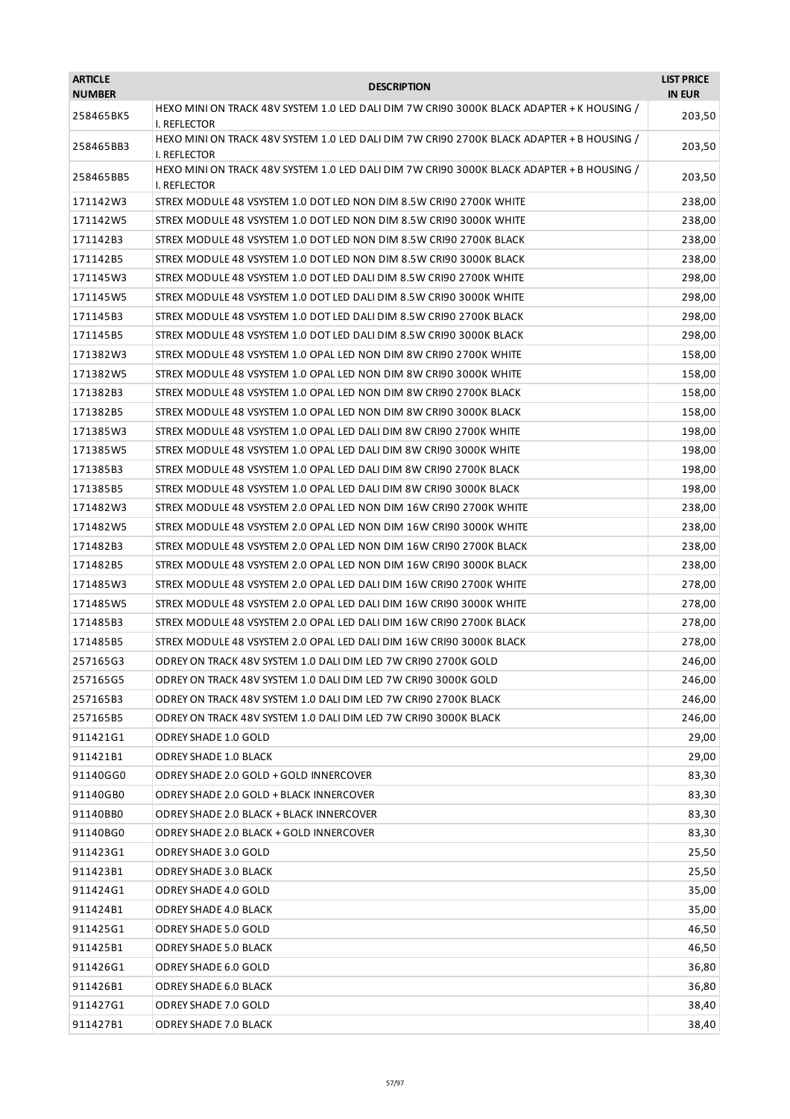| <b>ARTICLE</b><br><b>NUMBER</b> | <b>DESCRIPTION</b>                                                                                        | <b>LIST PRICE</b><br><b>IN EUR</b> |
|---------------------------------|-----------------------------------------------------------------------------------------------------------|------------------------------------|
| 258465BK5                       | HEXO MINI ON TRACK 48V SYSTEM 1.0 LED DALI DIM 7W CRI90 3000K BLACK ADAPTER + K HOUSING /<br>I. REFLECTOR | 203,50                             |
| 258465BB3                       | HEXO MINI ON TRACK 48V SYSTEM 1.0 LED DALI DIM 7W CRI90 2700K BLACK ADAPTER + B HOUSING /<br>I. REFLECTOR | 203,50                             |
| 258465BB5                       | HEXO MINI ON TRACK 48V SYSTEM 1.0 LED DALI DIM 7W CRI90 3000K BLACK ADAPTER + B HOUSING /<br>I. REFLECTOR | 203,50                             |
| 171142W3                        | STREX MODULE 48 VSYSTEM 1.0 DOT LED NON DIM 8.5W CRI90 2700K WHITE                                        | 238,00                             |
| 171142W5                        | STREX MODULE 48 VSYSTEM 1.0 DOT LED NON DIM 8.5W CRI90 3000K WHITE                                        | 238,00                             |
| 171142B3                        | STREX MODULE 48 VSYSTEM 1.0 DOT LED NON DIM 8.5W CRI90 2700K BLACK                                        | 238,00                             |
| 171142B5                        | STREX MODULE 48 VSYSTEM 1.0 DOT LED NON DIM 8.5W CRI90 3000K BLACK                                        | 238,00                             |
| 171145W3                        | STREX MODULE 48 VSYSTEM 1.0 DOT LED DALI DIM 8.5W CRI90 2700K WHITE                                       | 298,00                             |
| 171145W5                        | STREX MODULE 48 VSYSTEM 1.0 DOT LED DALI DIM 8.5W CRI90 3000K WHITE                                       | 298,00                             |
| 171145B3                        | STREX MODULE 48 VSYSTEM 1.0 DOT LED DALI DIM 8.5W CRI90 2700K BLACK                                       | 298,00                             |
| 171145B5                        | STREX MODULE 48 VSYSTEM 1.0 DOT LED DALI DIM 8.5W CRI90 3000K BLACK                                       | 298,00                             |
| 171382W3                        | STREX MODULE 48 VSYSTEM 1.0 OPAL LED NON DIM 8W CRI90 2700K WHITE                                         | 158,00                             |
| 171382W5                        | STREX MODULE 48 VSYSTEM 1.0 OPAL LED NON DIM 8W CRI90 3000K WHITE                                         | 158,00                             |
| 171382B3                        | STREX MODULE 48 VSYSTEM 1.0 OPAL LED NON DIM 8W CRI90 2700K BLACK                                         | 158,00                             |
| 171382B5                        | STREX MODULE 48 VSYSTEM 1.0 OPAL LED NON DIM 8W CRI90 3000K BLACK                                         | 158,00                             |
| 171385W3                        | STREX MODULE 48 VSYSTEM 1.0 OPAL LED DALI DIM 8W CRI90 2700K WHITE                                        | 198,00                             |
| 171385W5                        | STREX MODULE 48 VSYSTEM 1.0 OPAL LED DALI DIM 8W CRI90 3000K WHITE                                        | 198,00                             |
| 171385B3                        | STREX MODULE 48 VSYSTEM 1.0 OPAL LED DALI DIM 8W CRI90 2700K BLACK                                        | 198,00                             |
| 171385B5                        | STREX MODULE 48 VSYSTEM 1.0 OPAL LED DALI DIM 8W CRI90 3000K BLACK                                        | 198,00                             |
| 171482W3                        | STREX MODULE 48 VSYSTEM 2.0 OPAL LED NON DIM 16W CRI90 2700K WHITE                                        | 238,00                             |
| 171482W5                        | STREX MODULE 48 VSYSTEM 2.0 OPAL LED NON DIM 16W CRI90 3000K WHITE                                        | 238,00                             |
| 171482B3                        | STREX MODULE 48 VSYSTEM 2.0 OPAL LED NON DIM 16W CRI90 2700K BLACK                                        | 238,00                             |
| 171482B5                        | STREX MODULE 48 VSYSTEM 2.0 OPAL LED NON DIM 16W CRI90 3000K BLACK                                        | 238,00                             |
| 171485W3                        | STREX MODULE 48 VSYSTEM 2.0 OPAL LED DALI DIM 16W CRI90 2700K WHITE                                       | 278,00                             |
| 171485W5                        | STREX MODULE 48 VSYSTEM 2.0 OPAL LED DALI DIM 16W CRI90 3000K WHITE                                       | 278,00                             |
| 171485B3                        | STREX MODULE 48 VSYSTEM 2.0 OPAL LED DALI DIM 16W CRI90 2700K BLACK                                       | 278,00                             |
| 171485B5                        | STREX MODULE 48 VSYSTEM 2.0 OPAL LED DALI DIM 16W CRI90 3000K BLACK                                       | 278,00                             |
| 257165G3                        | ODREY ON TRACK 48V SYSTEM 1.0 DALI DIM LED 7W CRI90 2700K GOLD                                            | 246,00                             |
| 257165G5                        | ODREY ON TRACK 48V SYSTEM 1.0 DALI DIM LED 7W CRI90 3000K GOLD                                            | 246,00                             |
| 257165B3                        | ODREY ON TRACK 48V SYSTEM 1.0 DALI DIM LED 7W CRI90 2700K BLACK                                           | 246,00                             |
| 257165B5                        | ODREY ON TRACK 48V SYSTEM 1.0 DALI DIM LED 7W CRI90 3000K BLACK                                           | 246,00                             |
| 911421G1                        | ODREY SHADE 1.0 GOLD                                                                                      | 29,00                              |
| 911421B1                        | ODREY SHADE 1.0 BLACK                                                                                     | 29,00                              |
| 91140GG0                        | ODREY SHADE 2.0 GOLD + GOLD INNERCOVER                                                                    | 83,30                              |
| 91140GB0                        | ODREY SHADE 2.0 GOLD + BLACK INNERCOVER                                                                   | 83,30                              |
| 91140BB0                        | ODREY SHADE 2.0 BLACK + BLACK INNERCOVER                                                                  | 83,30                              |
| 91140BG0                        | ODREY SHADE 2.0 BLACK + GOLD INNERCOVER                                                                   | 83,30                              |
| 911423G1                        | ODREY SHADE 3.0 GOLD                                                                                      | 25,50                              |
| 911423B1                        | <b>ODREY SHADE 3.0 BLACK</b>                                                                              | 25,50                              |
| 911424G1                        | ODREY SHADE 4.0 GOLD                                                                                      | 35,00                              |
| 911424B1                        | <b>ODREY SHADE 4.0 BLACK</b>                                                                              | 35,00                              |
| 911425G1                        | <b>ODREY SHADE 5.0 GOLD</b>                                                                               | 46,50                              |
| 911425B1                        | ODREY SHADE 5.0 BLACK                                                                                     | 46,50                              |
| 911426G1                        | ODREY SHADE 6.0 GOLD                                                                                      | 36,80                              |
| 911426B1                        | ODREY SHADE 6.0 BLACK                                                                                     | 36,80                              |
| 911427G1                        | ODREY SHADE 7.0 GOLD                                                                                      | 38,40                              |
| 911427B1                        | <b>ODREY SHADE 7.0 BLACK</b>                                                                              | 38,40                              |
|                                 |                                                                                                           |                                    |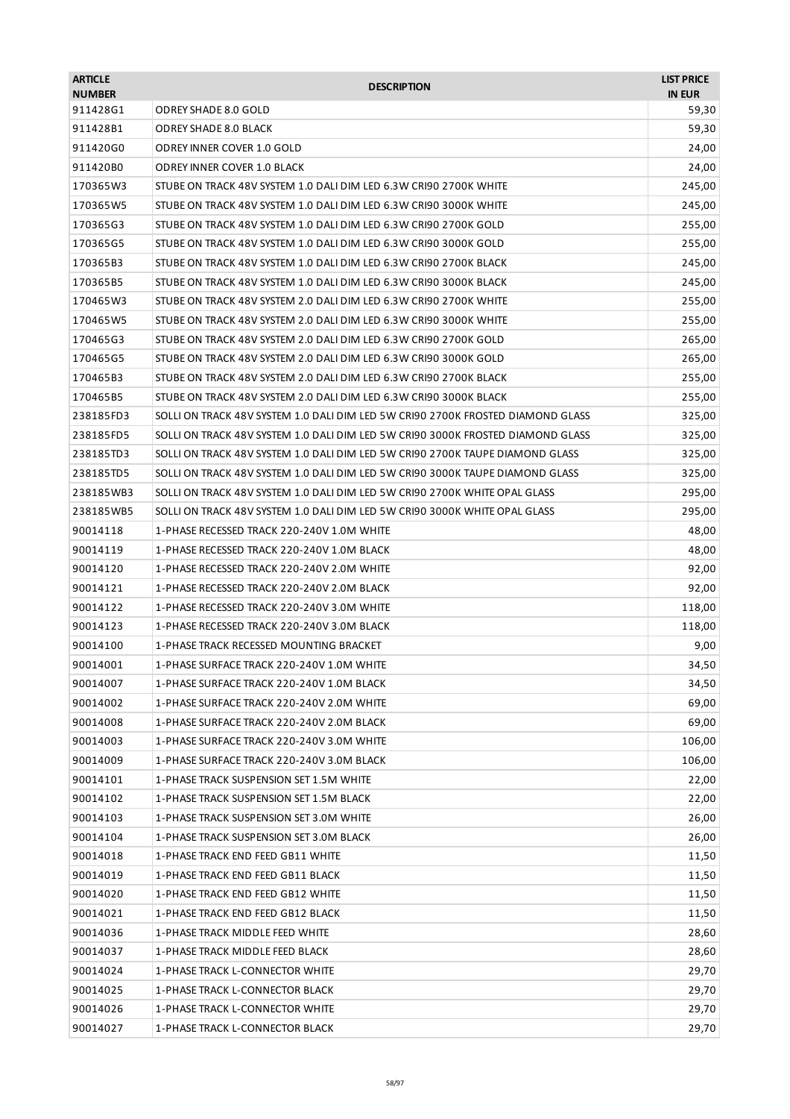| <b>ARTICLE</b> | <b>DESCRIPTION</b>                                                              | <b>LIST PRICE</b> |
|----------------|---------------------------------------------------------------------------------|-------------------|
| <b>NUMBER</b>  |                                                                                 | <b>IN EUR</b>     |
| 911428G1       | ODREY SHADE 8.0 GOLD                                                            | 59,30             |
| 911428B1       | ODREY SHADE 8.0 BLACK<br>ODREY INNER COVER 1.0 GOLD                             | 59,30             |
| 911420G0       |                                                                                 | 24,00             |
| 911420B0       | <b>ODREY INNER COVER 1.0 BLACK</b>                                              | 24,00             |
| 170365W3       | STUBE ON TRACK 48V SYSTEM 1.0 DALI DIM LED 6.3W CRI90 2700K WHITE               | 245,00            |
| 170365W5       | STUBE ON TRACK 48V SYSTEM 1.0 DALI DIM LED 6.3W CRI90 3000K WHITE               | 245,00            |
| 170365G3       | STUBE ON TRACK 48V SYSTEM 1.0 DALI DIM LED 6.3W CRI90 2700K GOLD                | 255,00            |
| 170365G5       | STUBE ON TRACK 48V SYSTEM 1.0 DALI DIM LED 6.3W CRI90 3000K GOLD                | 255,00            |
| 170365B3       | STUBE ON TRACK 48V SYSTEM 1.0 DALI DIM LED 6.3W CRI90 2700K BLACK               | 245,00            |
| 170365B5       | STUBE ON TRACK 48V SYSTEM 1.0 DALI DIM LED 6.3W CRI90 3000K BLACK               | 245,00            |
| 170465W3       | STUBE ON TRACK 48V SYSTEM 2.0 DALI DIM LED 6.3W CRI90 2700K WHITE               | 255,00            |
| 170465W5       | STUBE ON TRACK 48V SYSTEM 2.0 DALI DIM LED 6.3W CRI90 3000K WHITE               | 255,00            |
| 170465G3       | STUBE ON TRACK 48V SYSTEM 2.0 DALI DIM LED 6.3W CRI90 2700K GOLD                | 265,00            |
| 170465G5       | STUBE ON TRACK 48V SYSTEM 2.0 DALI DIM LED 6.3W CRI90 3000K GOLD                | 265,00            |
| 170465B3       | STUBE ON TRACK 48V SYSTEM 2.0 DALI DIM LED 6.3W CRI90 2700K BLACK               | 255,00            |
| 170465B5       | STUBE ON TRACK 48V SYSTEM 2.0 DALI DIM LED 6.3W CRI90 3000K BLACK               | 255,00            |
| 238185FD3      | SOLLI ON TRACK 48V SYSTEM 1.0 DALI DIM LED 5W CRI90 2700K FROSTED DIAMOND GLASS | 325,00            |
| 238185FD5      | SOLLI ON TRACK 48V SYSTEM 1.0 DALI DIM LED 5W CRI90 3000K FROSTED DIAMOND GLASS | 325,00            |
| 238185TD3      | SOLLI ON TRACK 48V SYSTEM 1.0 DALI DIM LED 5W CRI90 2700K TAUPE DIAMOND GLASS   | 325,00            |
| 238185TD5      | SOLLI ON TRACK 48V SYSTEM 1.0 DALI DIM LED 5W CRI90 3000K TAUPE DIAMOND GLASS   | 325,00            |
| 238185WB3      | SOLLI ON TRACK 48V SYSTEM 1.0 DALI DIM LED 5W CRI90 2700K WHITE OPAL GLASS      | 295,00            |
| 238185WB5      | SOLLI ON TRACK 48V SYSTEM 1.0 DALI DIM LED 5W CRI90 3000K WHITE OPAL GLASS      | 295,00            |
| 90014118       | 1-PHASE RECESSED TRACK 220-240V 1.0M WHITE                                      | 48,00             |
| 90014119       | 1-PHASE RECESSED TRACK 220-240V 1.0M BLACK                                      | 48,00             |
| 90014120       | 1-PHASE RECESSED TRACK 220-240V 2.0M WHITE                                      | 92,00             |
| 90014121       | 1-PHASE RECESSED TRACK 220-240V 2.0M BLACK                                      | 92,00             |
| 90014122       | 1-PHASE RECESSED TRACK 220-240V 3.0M WHITE                                      | 118,00            |
| 90014123       | 1-PHASE RECESSED TRACK 220-240V 3.0M BLACK                                      | 118,00            |
| 90014100       | 1-PHASE TRACK RECESSED MOUNTING BRACKET                                         | 9,00              |
| 90014001       | 1-PHASE SURFACE TRACK 220-240V 1.0M WHITE                                       | 34,50             |
| 90014007       | 1-PHASE SURFACE TRACK 220-240V 1.0M BLACK                                       | 34,50             |
| 90014002       | 1-PHASE SURFACE TRACK 220-240V 2.0M WHITE                                       | 69,00             |
| 90014008       | 1-PHASE SURFACE TRACK 220-240V 2.0M BLACK                                       | 69,00             |
| 90014003       | 1-PHASE SURFACE TRACK 220-240V 3.0M WHITE                                       | 106,00            |
| 90014009       | 1-PHASE SURFACE TRACK 220-240V 3.0M BLACK                                       | 106,00            |
| 90014101       | 1-PHASE TRACK SUSPENSION SET 1.5M WHITE                                         | 22,00             |
| 90014102       | 1-PHASE TRACK SUSPENSION SET 1.5M BLACK                                         | 22,00             |
| 90014103       | 1-PHASE TRACK SUSPENSION SET 3.0M WHITE                                         | 26,00             |
| 90014104       | 1-PHASE TRACK SUSPENSION SET 3.0M BLACK                                         | 26,00             |
| 90014018       | 1-PHASE TRACK END FEED GB11 WHITE                                               | 11,50             |
| 90014019       | 1-PHASE TRACK END FEED GB11 BLACK                                               | 11,50             |
| 90014020       | 1-PHASE TRACK END FEED GB12 WHITE                                               | 11,50             |
| 90014021       | 1-PHASE TRACK END FEED GB12 BLACK                                               | 11,50             |
| 90014036       | 1-PHASE TRACK MIDDLE FEED WHITE                                                 | 28,60             |
| 90014037       | 1-PHASE TRACK MIDDLE FEED BLACK                                                 | 28,60             |
| 90014024       | 1-PHASE TRACK L-CONNECTOR WHITE                                                 | 29,70             |
| 90014025       | 1-PHASE TRACK L-CONNECTOR BLACK                                                 | 29,70             |
| 90014026       | 1-PHASE TRACK L-CONNECTOR WHITE                                                 | 29,70             |
| 90014027       | 1-PHASE TRACK L-CONNECTOR BLACK                                                 | 29,70             |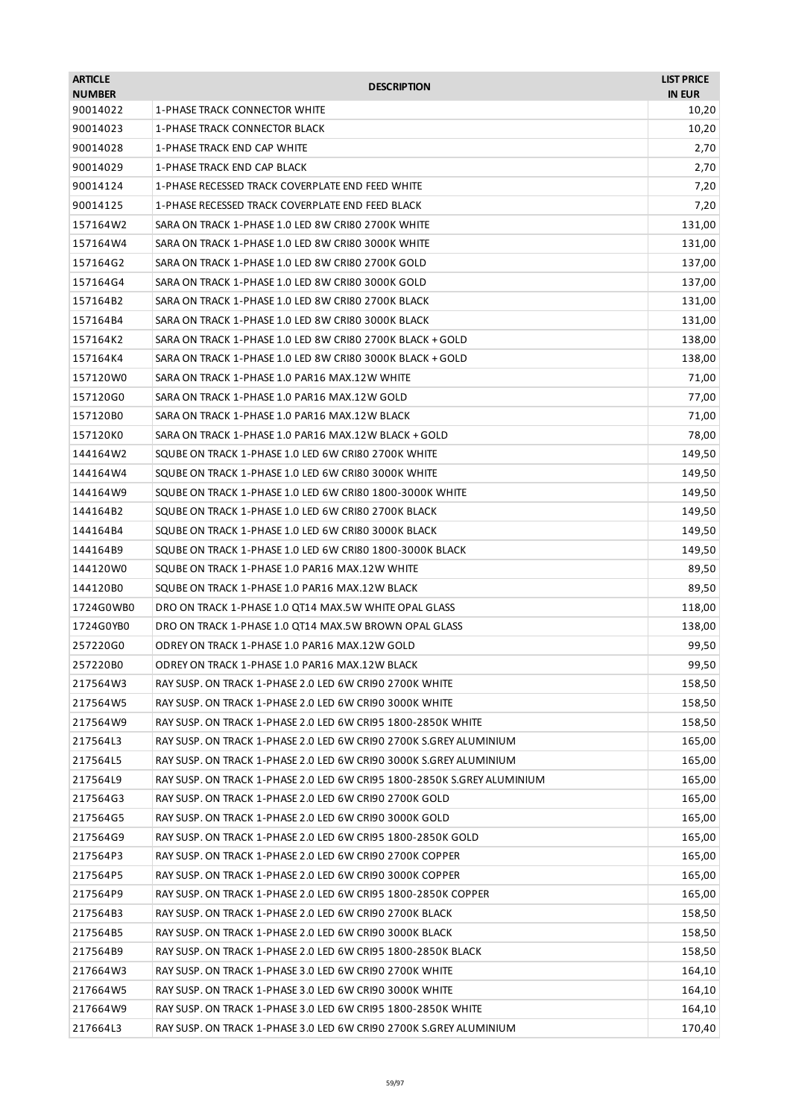| 90014022<br>1-PHASE TRACK CONNECTOR WHITE<br>10,20<br>90014023<br>10,20<br>1-PHASE TRACK CONNECTOR BLACK<br>90014028<br>1-PHASE TRACK END CAP WHITE<br>2,70<br>90014029<br>1-PHASE TRACK END CAP BLACK<br>2,70<br>90014124<br>1-PHASE RECESSED TRACK COVERPLATE END FEED WHITE<br>7,20<br>90014125<br>1-PHASE RECESSED TRACK COVERPLATE END FEED BLACK<br>7,20<br>SARA ON TRACK 1-PHASE 1.0 LED 8W CRI80 2700K WHITE<br>157164W2<br>131,00<br>157164W4<br>SARA ON TRACK 1-PHASE 1.0 LED 8W CRI80 3000K WHITE<br>131,00<br>SARA ON TRACK 1-PHASE 1.0 LED 8W CRI80 2700K GOLD<br>137,00<br>157164G2<br>157164G4<br>SARA ON TRACK 1-PHASE 1.0 LED 8W CRI80 3000K GOLD<br>137,00<br>157164B2<br>SARA ON TRACK 1-PHASE 1.0 LED 8W CRI80 2700K BLACK<br>131,00<br>SARA ON TRACK 1-PHASE 1.0 LED 8W CRI80 3000K BLACK<br>157164B4<br>131,00<br>157164K2<br>SARA ON TRACK 1-PHASE 1.0 LED 8W CRI80 2700K BLACK + GOLD<br>138,00<br>157164K4<br>SARA ON TRACK 1-PHASE 1.0 LED 8W CRI80 3000K BLACK + GOLD<br>138,00<br>157120W0<br>SARA ON TRACK 1-PHASE 1.0 PAR16 MAX.12W WHITE<br>71,00<br>157120G0<br>77,00<br>SARA ON TRACK 1-PHASE 1.0 PAR16 MAX.12W GOLD<br>157120B0<br>SARA ON TRACK 1-PHASE 1.0 PAR16 MAX.12W BLACK<br>71,00<br>157120K0<br>SARA ON TRACK 1-PHASE 1.0 PAR16 MAX.12W BLACK + GOLD<br>78,00<br>149,50<br>144164W2<br>SQUBE ON TRACK 1-PHASE 1.0 LED 6W CRI80 2700K WHITE<br>144164W4<br>SQUBE ON TRACK 1-PHASE 1.0 LED 6W CRI80 3000K WHITE<br>149,50<br>SQUBE ON TRACK 1-PHASE 1.0 LED 6W CRI80 1800-3000K WHITE<br>149,50<br>144164W9<br>SQUBE ON TRACK 1-PHASE 1.0 LED 6W CRI80 2700K BLACK<br>149,50<br>144164B2<br>144164B4<br>SQUBE ON TRACK 1-PHASE 1.0 LED 6W CRI80 3000K BLACK<br>149,50<br>149,50<br>144164B9<br>SQUBE ON TRACK 1-PHASE 1.0 LED 6W CRI80 1800-3000K BLACK<br>144120W0<br>SQUBE ON TRACK 1-PHASE 1.0 PAR16 MAX.12W WHITE<br>89,50<br>89,50<br>144120B0<br>SQUBE ON TRACK 1-PHASE 1.0 PAR16 MAX.12W BLACK<br>118,00<br>1724G0WB0<br>DRO ON TRACK 1-PHASE 1.0 QT14 MAX.5W WHITE OPAL GLASS<br>1724G0YB0<br>138,00<br>DRO ON TRACK 1-PHASE 1.0 QT14 MAX.5W BROWN OPAL GLASS<br>257220G0<br>99,50<br>ODREY ON TRACK 1-PHASE 1.0 PAR16 MAX.12W GOLD<br>99,50<br>257220B0<br>ODREY ON TRACK 1-PHASE 1.0 PAR16 MAX.12W BLACK<br>RAY SUSP. ON TRACK 1-PHASE 2.0 LED 6W CRI90 2700K WHITE<br>158,50<br>217564W3<br>217564W5<br>RAY SUSP. ON TRACK 1-PHASE 2.0 LED 6W CRI90 3000K WHITE<br>158,50<br>217564W9<br>RAY SUSP. ON TRACK 1-PHASE 2.0 LED 6W CRI95 1800-2850K WHITE<br>158,50<br>165,00<br>217564L3<br>RAY SUSP. ON TRACK 1-PHASE 2.0 LED 6W CRI90 2700K S.GREY ALUMINIUM<br>RAY SUSP. ON TRACK 1-PHASE 2.0 LED 6W CRI90 3000K S.GREY ALUMINIUM<br>165,00<br>217564L5<br>165,00<br>217564L9<br>RAY SUSP. ON TRACK 1-PHASE 2.0 LED 6W CRI95 1800-2850K S.GREY ALUMINIUM<br>165,00<br>217564G3<br>RAY SUSP. ON TRACK 1-PHASE 2.0 LED 6W CRI90 2700K GOLD<br>217564G5<br>RAY SUSP. ON TRACK 1-PHASE 2.0 LED 6W CRI90 3000K GOLD<br>165,00<br>165,00<br>217564G9<br>RAY SUSP. ON TRACK 1-PHASE 2.0 LED 6W CRI95 1800-2850K GOLD<br>165,00<br>217564P3<br>RAY SUSP. ON TRACK 1-PHASE 2.0 LED 6W CRI90 2700K COPPER<br>217564P5<br>RAY SUSP. ON TRACK 1-PHASE 2.0 LED 6W CRI90 3000K COPPER<br>165,00<br>217564P9<br>RAY SUSP. ON TRACK 1-PHASE 2.0 LED 6W CRI95 1800-2850K COPPER<br>165,00<br>217564B3<br>RAY SUSP. ON TRACK 1-PHASE 2.0 LED 6W CRI90 2700K BLACK<br>158,50<br>217564B5<br>RAY SUSP. ON TRACK 1-PHASE 2.0 LED 6W CRI90 3000K BLACK<br>158,50<br>158,50<br>217564B9<br>RAY SUSP. ON TRACK 1-PHASE 2.0 LED 6W CRI95 1800-2850K BLACK<br>217664W3<br>RAY SUSP. ON TRACK 1-PHASE 3.0 LED 6W CRI90 2700K WHITE<br>164,10<br>217664W5<br>RAY SUSP. ON TRACK 1-PHASE 3.0 LED 6W CRI90 3000K WHITE<br>164,10<br>217664W9<br>RAY SUSP. ON TRACK 1-PHASE 3.0 LED 6W CRI95 1800-2850K WHITE<br>164,10 | <b>ARTICLE</b><br><b>NUMBER</b> | <b>DESCRIPTION</b> | <b>LIST PRICE</b><br><b>IN EUR</b> |
|----------------------------------------------------------------------------------------------------------------------------------------------------------------------------------------------------------------------------------------------------------------------------------------------------------------------------------------------------------------------------------------------------------------------------------------------------------------------------------------------------------------------------------------------------------------------------------------------------------------------------------------------------------------------------------------------------------------------------------------------------------------------------------------------------------------------------------------------------------------------------------------------------------------------------------------------------------------------------------------------------------------------------------------------------------------------------------------------------------------------------------------------------------------------------------------------------------------------------------------------------------------------------------------------------------------------------------------------------------------------------------------------------------------------------------------------------------------------------------------------------------------------------------------------------------------------------------------------------------------------------------------------------------------------------------------------------------------------------------------------------------------------------------------------------------------------------------------------------------------------------------------------------------------------------------------------------------------------------------------------------------------------------------------------------------------------------------------------------------------------------------------------------------------------------------------------------------------------------------------------------------------------------------------------------------------------------------------------------------------------------------------------------------------------------------------------------------------------------------------------------------------------------------------------------------------------------------------------------------------------------------------------------------------------------------------------------------------------------------------------------------------------------------------------------------------------------------------------------------------------------------------------------------------------------------------------------------------------------------------------------------------------------------------------------------------------------------------------------------------------------------------------------------------------------------------------------------------------------------------------------------------------------------------------------------------------------------------------------------------------------------------------------------------------------------------------------------------------------------------------------------------------------------------------------------------------------------------------------------------------------------------------------------------------------------------------------------------------------------------------------------------------------------------------------------------------------------------------|---------------------------------|--------------------|------------------------------------|
|                                                                                                                                                                                                                                                                                                                                                                                                                                                                                                                                                                                                                                                                                                                                                                                                                                                                                                                                                                                                                                                                                                                                                                                                                                                                                                                                                                                                                                                                                                                                                                                                                                                                                                                                                                                                                                                                                                                                                                                                                                                                                                                                                                                                                                                                                                                                                                                                                                                                                                                                                                                                                                                                                                                                                                                                                                                                                                                                                                                                                                                                                                                                                                                                                                                                                                                                                                                                                                                                                                                                                                                                                                                                                                                                                                                                                                              |                                 |                    |                                    |
|                                                                                                                                                                                                                                                                                                                                                                                                                                                                                                                                                                                                                                                                                                                                                                                                                                                                                                                                                                                                                                                                                                                                                                                                                                                                                                                                                                                                                                                                                                                                                                                                                                                                                                                                                                                                                                                                                                                                                                                                                                                                                                                                                                                                                                                                                                                                                                                                                                                                                                                                                                                                                                                                                                                                                                                                                                                                                                                                                                                                                                                                                                                                                                                                                                                                                                                                                                                                                                                                                                                                                                                                                                                                                                                                                                                                                                              |                                 |                    |                                    |
|                                                                                                                                                                                                                                                                                                                                                                                                                                                                                                                                                                                                                                                                                                                                                                                                                                                                                                                                                                                                                                                                                                                                                                                                                                                                                                                                                                                                                                                                                                                                                                                                                                                                                                                                                                                                                                                                                                                                                                                                                                                                                                                                                                                                                                                                                                                                                                                                                                                                                                                                                                                                                                                                                                                                                                                                                                                                                                                                                                                                                                                                                                                                                                                                                                                                                                                                                                                                                                                                                                                                                                                                                                                                                                                                                                                                                                              |                                 |                    |                                    |
|                                                                                                                                                                                                                                                                                                                                                                                                                                                                                                                                                                                                                                                                                                                                                                                                                                                                                                                                                                                                                                                                                                                                                                                                                                                                                                                                                                                                                                                                                                                                                                                                                                                                                                                                                                                                                                                                                                                                                                                                                                                                                                                                                                                                                                                                                                                                                                                                                                                                                                                                                                                                                                                                                                                                                                                                                                                                                                                                                                                                                                                                                                                                                                                                                                                                                                                                                                                                                                                                                                                                                                                                                                                                                                                                                                                                                                              |                                 |                    |                                    |
|                                                                                                                                                                                                                                                                                                                                                                                                                                                                                                                                                                                                                                                                                                                                                                                                                                                                                                                                                                                                                                                                                                                                                                                                                                                                                                                                                                                                                                                                                                                                                                                                                                                                                                                                                                                                                                                                                                                                                                                                                                                                                                                                                                                                                                                                                                                                                                                                                                                                                                                                                                                                                                                                                                                                                                                                                                                                                                                                                                                                                                                                                                                                                                                                                                                                                                                                                                                                                                                                                                                                                                                                                                                                                                                                                                                                                                              |                                 |                    |                                    |
|                                                                                                                                                                                                                                                                                                                                                                                                                                                                                                                                                                                                                                                                                                                                                                                                                                                                                                                                                                                                                                                                                                                                                                                                                                                                                                                                                                                                                                                                                                                                                                                                                                                                                                                                                                                                                                                                                                                                                                                                                                                                                                                                                                                                                                                                                                                                                                                                                                                                                                                                                                                                                                                                                                                                                                                                                                                                                                                                                                                                                                                                                                                                                                                                                                                                                                                                                                                                                                                                                                                                                                                                                                                                                                                                                                                                                                              |                                 |                    |                                    |
|                                                                                                                                                                                                                                                                                                                                                                                                                                                                                                                                                                                                                                                                                                                                                                                                                                                                                                                                                                                                                                                                                                                                                                                                                                                                                                                                                                                                                                                                                                                                                                                                                                                                                                                                                                                                                                                                                                                                                                                                                                                                                                                                                                                                                                                                                                                                                                                                                                                                                                                                                                                                                                                                                                                                                                                                                                                                                                                                                                                                                                                                                                                                                                                                                                                                                                                                                                                                                                                                                                                                                                                                                                                                                                                                                                                                                                              |                                 |                    |                                    |
|                                                                                                                                                                                                                                                                                                                                                                                                                                                                                                                                                                                                                                                                                                                                                                                                                                                                                                                                                                                                                                                                                                                                                                                                                                                                                                                                                                                                                                                                                                                                                                                                                                                                                                                                                                                                                                                                                                                                                                                                                                                                                                                                                                                                                                                                                                                                                                                                                                                                                                                                                                                                                                                                                                                                                                                                                                                                                                                                                                                                                                                                                                                                                                                                                                                                                                                                                                                                                                                                                                                                                                                                                                                                                                                                                                                                                                              |                                 |                    |                                    |
|                                                                                                                                                                                                                                                                                                                                                                                                                                                                                                                                                                                                                                                                                                                                                                                                                                                                                                                                                                                                                                                                                                                                                                                                                                                                                                                                                                                                                                                                                                                                                                                                                                                                                                                                                                                                                                                                                                                                                                                                                                                                                                                                                                                                                                                                                                                                                                                                                                                                                                                                                                                                                                                                                                                                                                                                                                                                                                                                                                                                                                                                                                                                                                                                                                                                                                                                                                                                                                                                                                                                                                                                                                                                                                                                                                                                                                              |                                 |                    |                                    |
|                                                                                                                                                                                                                                                                                                                                                                                                                                                                                                                                                                                                                                                                                                                                                                                                                                                                                                                                                                                                                                                                                                                                                                                                                                                                                                                                                                                                                                                                                                                                                                                                                                                                                                                                                                                                                                                                                                                                                                                                                                                                                                                                                                                                                                                                                                                                                                                                                                                                                                                                                                                                                                                                                                                                                                                                                                                                                                                                                                                                                                                                                                                                                                                                                                                                                                                                                                                                                                                                                                                                                                                                                                                                                                                                                                                                                                              |                                 |                    |                                    |
|                                                                                                                                                                                                                                                                                                                                                                                                                                                                                                                                                                                                                                                                                                                                                                                                                                                                                                                                                                                                                                                                                                                                                                                                                                                                                                                                                                                                                                                                                                                                                                                                                                                                                                                                                                                                                                                                                                                                                                                                                                                                                                                                                                                                                                                                                                                                                                                                                                                                                                                                                                                                                                                                                                                                                                                                                                                                                                                                                                                                                                                                                                                                                                                                                                                                                                                                                                                                                                                                                                                                                                                                                                                                                                                                                                                                                                              |                                 |                    |                                    |
|                                                                                                                                                                                                                                                                                                                                                                                                                                                                                                                                                                                                                                                                                                                                                                                                                                                                                                                                                                                                                                                                                                                                                                                                                                                                                                                                                                                                                                                                                                                                                                                                                                                                                                                                                                                                                                                                                                                                                                                                                                                                                                                                                                                                                                                                                                                                                                                                                                                                                                                                                                                                                                                                                                                                                                                                                                                                                                                                                                                                                                                                                                                                                                                                                                                                                                                                                                                                                                                                                                                                                                                                                                                                                                                                                                                                                                              |                                 |                    |                                    |
|                                                                                                                                                                                                                                                                                                                                                                                                                                                                                                                                                                                                                                                                                                                                                                                                                                                                                                                                                                                                                                                                                                                                                                                                                                                                                                                                                                                                                                                                                                                                                                                                                                                                                                                                                                                                                                                                                                                                                                                                                                                                                                                                                                                                                                                                                                                                                                                                                                                                                                                                                                                                                                                                                                                                                                                                                                                                                                                                                                                                                                                                                                                                                                                                                                                                                                                                                                                                                                                                                                                                                                                                                                                                                                                                                                                                                                              |                                 |                    |                                    |
|                                                                                                                                                                                                                                                                                                                                                                                                                                                                                                                                                                                                                                                                                                                                                                                                                                                                                                                                                                                                                                                                                                                                                                                                                                                                                                                                                                                                                                                                                                                                                                                                                                                                                                                                                                                                                                                                                                                                                                                                                                                                                                                                                                                                                                                                                                                                                                                                                                                                                                                                                                                                                                                                                                                                                                                                                                                                                                                                                                                                                                                                                                                                                                                                                                                                                                                                                                                                                                                                                                                                                                                                                                                                                                                                                                                                                                              |                                 |                    |                                    |
|                                                                                                                                                                                                                                                                                                                                                                                                                                                                                                                                                                                                                                                                                                                                                                                                                                                                                                                                                                                                                                                                                                                                                                                                                                                                                                                                                                                                                                                                                                                                                                                                                                                                                                                                                                                                                                                                                                                                                                                                                                                                                                                                                                                                                                                                                                                                                                                                                                                                                                                                                                                                                                                                                                                                                                                                                                                                                                                                                                                                                                                                                                                                                                                                                                                                                                                                                                                                                                                                                                                                                                                                                                                                                                                                                                                                                                              |                                 |                    |                                    |
|                                                                                                                                                                                                                                                                                                                                                                                                                                                                                                                                                                                                                                                                                                                                                                                                                                                                                                                                                                                                                                                                                                                                                                                                                                                                                                                                                                                                                                                                                                                                                                                                                                                                                                                                                                                                                                                                                                                                                                                                                                                                                                                                                                                                                                                                                                                                                                                                                                                                                                                                                                                                                                                                                                                                                                                                                                                                                                                                                                                                                                                                                                                                                                                                                                                                                                                                                                                                                                                                                                                                                                                                                                                                                                                                                                                                                                              |                                 |                    |                                    |
|                                                                                                                                                                                                                                                                                                                                                                                                                                                                                                                                                                                                                                                                                                                                                                                                                                                                                                                                                                                                                                                                                                                                                                                                                                                                                                                                                                                                                                                                                                                                                                                                                                                                                                                                                                                                                                                                                                                                                                                                                                                                                                                                                                                                                                                                                                                                                                                                                                                                                                                                                                                                                                                                                                                                                                                                                                                                                                                                                                                                                                                                                                                                                                                                                                                                                                                                                                                                                                                                                                                                                                                                                                                                                                                                                                                                                                              |                                 |                    |                                    |
|                                                                                                                                                                                                                                                                                                                                                                                                                                                                                                                                                                                                                                                                                                                                                                                                                                                                                                                                                                                                                                                                                                                                                                                                                                                                                                                                                                                                                                                                                                                                                                                                                                                                                                                                                                                                                                                                                                                                                                                                                                                                                                                                                                                                                                                                                                                                                                                                                                                                                                                                                                                                                                                                                                                                                                                                                                                                                                                                                                                                                                                                                                                                                                                                                                                                                                                                                                                                                                                                                                                                                                                                                                                                                                                                                                                                                                              |                                 |                    |                                    |
|                                                                                                                                                                                                                                                                                                                                                                                                                                                                                                                                                                                                                                                                                                                                                                                                                                                                                                                                                                                                                                                                                                                                                                                                                                                                                                                                                                                                                                                                                                                                                                                                                                                                                                                                                                                                                                                                                                                                                                                                                                                                                                                                                                                                                                                                                                                                                                                                                                                                                                                                                                                                                                                                                                                                                                                                                                                                                                                                                                                                                                                                                                                                                                                                                                                                                                                                                                                                                                                                                                                                                                                                                                                                                                                                                                                                                                              |                                 |                    |                                    |
|                                                                                                                                                                                                                                                                                                                                                                                                                                                                                                                                                                                                                                                                                                                                                                                                                                                                                                                                                                                                                                                                                                                                                                                                                                                                                                                                                                                                                                                                                                                                                                                                                                                                                                                                                                                                                                                                                                                                                                                                                                                                                                                                                                                                                                                                                                                                                                                                                                                                                                                                                                                                                                                                                                                                                                                                                                                                                                                                                                                                                                                                                                                                                                                                                                                                                                                                                                                                                                                                                                                                                                                                                                                                                                                                                                                                                                              |                                 |                    |                                    |
|                                                                                                                                                                                                                                                                                                                                                                                                                                                                                                                                                                                                                                                                                                                                                                                                                                                                                                                                                                                                                                                                                                                                                                                                                                                                                                                                                                                                                                                                                                                                                                                                                                                                                                                                                                                                                                                                                                                                                                                                                                                                                                                                                                                                                                                                                                                                                                                                                                                                                                                                                                                                                                                                                                                                                                                                                                                                                                                                                                                                                                                                                                                                                                                                                                                                                                                                                                                                                                                                                                                                                                                                                                                                                                                                                                                                                                              |                                 |                    |                                    |
|                                                                                                                                                                                                                                                                                                                                                                                                                                                                                                                                                                                                                                                                                                                                                                                                                                                                                                                                                                                                                                                                                                                                                                                                                                                                                                                                                                                                                                                                                                                                                                                                                                                                                                                                                                                                                                                                                                                                                                                                                                                                                                                                                                                                                                                                                                                                                                                                                                                                                                                                                                                                                                                                                                                                                                                                                                                                                                                                                                                                                                                                                                                                                                                                                                                                                                                                                                                                                                                                                                                                                                                                                                                                                                                                                                                                                                              |                                 |                    |                                    |
|                                                                                                                                                                                                                                                                                                                                                                                                                                                                                                                                                                                                                                                                                                                                                                                                                                                                                                                                                                                                                                                                                                                                                                                                                                                                                                                                                                                                                                                                                                                                                                                                                                                                                                                                                                                                                                                                                                                                                                                                                                                                                                                                                                                                                                                                                                                                                                                                                                                                                                                                                                                                                                                                                                                                                                                                                                                                                                                                                                                                                                                                                                                                                                                                                                                                                                                                                                                                                                                                                                                                                                                                                                                                                                                                                                                                                                              |                                 |                    |                                    |
|                                                                                                                                                                                                                                                                                                                                                                                                                                                                                                                                                                                                                                                                                                                                                                                                                                                                                                                                                                                                                                                                                                                                                                                                                                                                                                                                                                                                                                                                                                                                                                                                                                                                                                                                                                                                                                                                                                                                                                                                                                                                                                                                                                                                                                                                                                                                                                                                                                                                                                                                                                                                                                                                                                                                                                                                                                                                                                                                                                                                                                                                                                                                                                                                                                                                                                                                                                                                                                                                                                                                                                                                                                                                                                                                                                                                                                              |                                 |                    |                                    |
|                                                                                                                                                                                                                                                                                                                                                                                                                                                                                                                                                                                                                                                                                                                                                                                                                                                                                                                                                                                                                                                                                                                                                                                                                                                                                                                                                                                                                                                                                                                                                                                                                                                                                                                                                                                                                                                                                                                                                                                                                                                                                                                                                                                                                                                                                                                                                                                                                                                                                                                                                                                                                                                                                                                                                                                                                                                                                                                                                                                                                                                                                                                                                                                                                                                                                                                                                                                                                                                                                                                                                                                                                                                                                                                                                                                                                                              |                                 |                    |                                    |
|                                                                                                                                                                                                                                                                                                                                                                                                                                                                                                                                                                                                                                                                                                                                                                                                                                                                                                                                                                                                                                                                                                                                                                                                                                                                                                                                                                                                                                                                                                                                                                                                                                                                                                                                                                                                                                                                                                                                                                                                                                                                                                                                                                                                                                                                                                                                                                                                                                                                                                                                                                                                                                                                                                                                                                                                                                                                                                                                                                                                                                                                                                                                                                                                                                                                                                                                                                                                                                                                                                                                                                                                                                                                                                                                                                                                                                              |                                 |                    |                                    |
|                                                                                                                                                                                                                                                                                                                                                                                                                                                                                                                                                                                                                                                                                                                                                                                                                                                                                                                                                                                                                                                                                                                                                                                                                                                                                                                                                                                                                                                                                                                                                                                                                                                                                                                                                                                                                                                                                                                                                                                                                                                                                                                                                                                                                                                                                                                                                                                                                                                                                                                                                                                                                                                                                                                                                                                                                                                                                                                                                                                                                                                                                                                                                                                                                                                                                                                                                                                                                                                                                                                                                                                                                                                                                                                                                                                                                                              |                                 |                    |                                    |
|                                                                                                                                                                                                                                                                                                                                                                                                                                                                                                                                                                                                                                                                                                                                                                                                                                                                                                                                                                                                                                                                                                                                                                                                                                                                                                                                                                                                                                                                                                                                                                                                                                                                                                                                                                                                                                                                                                                                                                                                                                                                                                                                                                                                                                                                                                                                                                                                                                                                                                                                                                                                                                                                                                                                                                                                                                                                                                                                                                                                                                                                                                                                                                                                                                                                                                                                                                                                                                                                                                                                                                                                                                                                                                                                                                                                                                              |                                 |                    |                                    |
|                                                                                                                                                                                                                                                                                                                                                                                                                                                                                                                                                                                                                                                                                                                                                                                                                                                                                                                                                                                                                                                                                                                                                                                                                                                                                                                                                                                                                                                                                                                                                                                                                                                                                                                                                                                                                                                                                                                                                                                                                                                                                                                                                                                                                                                                                                                                                                                                                                                                                                                                                                                                                                                                                                                                                                                                                                                                                                                                                                                                                                                                                                                                                                                                                                                                                                                                                                                                                                                                                                                                                                                                                                                                                                                                                                                                                                              |                                 |                    |                                    |
|                                                                                                                                                                                                                                                                                                                                                                                                                                                                                                                                                                                                                                                                                                                                                                                                                                                                                                                                                                                                                                                                                                                                                                                                                                                                                                                                                                                                                                                                                                                                                                                                                                                                                                                                                                                                                                                                                                                                                                                                                                                                                                                                                                                                                                                                                                                                                                                                                                                                                                                                                                                                                                                                                                                                                                                                                                                                                                                                                                                                                                                                                                                                                                                                                                                                                                                                                                                                                                                                                                                                                                                                                                                                                                                                                                                                                                              |                                 |                    |                                    |
|                                                                                                                                                                                                                                                                                                                                                                                                                                                                                                                                                                                                                                                                                                                                                                                                                                                                                                                                                                                                                                                                                                                                                                                                                                                                                                                                                                                                                                                                                                                                                                                                                                                                                                                                                                                                                                                                                                                                                                                                                                                                                                                                                                                                                                                                                                                                                                                                                                                                                                                                                                                                                                                                                                                                                                                                                                                                                                                                                                                                                                                                                                                                                                                                                                                                                                                                                                                                                                                                                                                                                                                                                                                                                                                                                                                                                                              |                                 |                    |                                    |
|                                                                                                                                                                                                                                                                                                                                                                                                                                                                                                                                                                                                                                                                                                                                                                                                                                                                                                                                                                                                                                                                                                                                                                                                                                                                                                                                                                                                                                                                                                                                                                                                                                                                                                                                                                                                                                                                                                                                                                                                                                                                                                                                                                                                                                                                                                                                                                                                                                                                                                                                                                                                                                                                                                                                                                                                                                                                                                                                                                                                                                                                                                                                                                                                                                                                                                                                                                                                                                                                                                                                                                                                                                                                                                                                                                                                                                              |                                 |                    |                                    |
|                                                                                                                                                                                                                                                                                                                                                                                                                                                                                                                                                                                                                                                                                                                                                                                                                                                                                                                                                                                                                                                                                                                                                                                                                                                                                                                                                                                                                                                                                                                                                                                                                                                                                                                                                                                                                                                                                                                                                                                                                                                                                                                                                                                                                                                                                                                                                                                                                                                                                                                                                                                                                                                                                                                                                                                                                                                                                                                                                                                                                                                                                                                                                                                                                                                                                                                                                                                                                                                                                                                                                                                                                                                                                                                                                                                                                                              |                                 |                    |                                    |
|                                                                                                                                                                                                                                                                                                                                                                                                                                                                                                                                                                                                                                                                                                                                                                                                                                                                                                                                                                                                                                                                                                                                                                                                                                                                                                                                                                                                                                                                                                                                                                                                                                                                                                                                                                                                                                                                                                                                                                                                                                                                                                                                                                                                                                                                                                                                                                                                                                                                                                                                                                                                                                                                                                                                                                                                                                                                                                                                                                                                                                                                                                                                                                                                                                                                                                                                                                                                                                                                                                                                                                                                                                                                                                                                                                                                                                              |                                 |                    |                                    |
|                                                                                                                                                                                                                                                                                                                                                                                                                                                                                                                                                                                                                                                                                                                                                                                                                                                                                                                                                                                                                                                                                                                                                                                                                                                                                                                                                                                                                                                                                                                                                                                                                                                                                                                                                                                                                                                                                                                                                                                                                                                                                                                                                                                                                                                                                                                                                                                                                                                                                                                                                                                                                                                                                                                                                                                                                                                                                                                                                                                                                                                                                                                                                                                                                                                                                                                                                                                                                                                                                                                                                                                                                                                                                                                                                                                                                                              |                                 |                    |                                    |
|                                                                                                                                                                                                                                                                                                                                                                                                                                                                                                                                                                                                                                                                                                                                                                                                                                                                                                                                                                                                                                                                                                                                                                                                                                                                                                                                                                                                                                                                                                                                                                                                                                                                                                                                                                                                                                                                                                                                                                                                                                                                                                                                                                                                                                                                                                                                                                                                                                                                                                                                                                                                                                                                                                                                                                                                                                                                                                                                                                                                                                                                                                                                                                                                                                                                                                                                                                                                                                                                                                                                                                                                                                                                                                                                                                                                                                              |                                 |                    |                                    |
|                                                                                                                                                                                                                                                                                                                                                                                                                                                                                                                                                                                                                                                                                                                                                                                                                                                                                                                                                                                                                                                                                                                                                                                                                                                                                                                                                                                                                                                                                                                                                                                                                                                                                                                                                                                                                                                                                                                                                                                                                                                                                                                                                                                                                                                                                                                                                                                                                                                                                                                                                                                                                                                                                                                                                                                                                                                                                                                                                                                                                                                                                                                                                                                                                                                                                                                                                                                                                                                                                                                                                                                                                                                                                                                                                                                                                                              |                                 |                    |                                    |
|                                                                                                                                                                                                                                                                                                                                                                                                                                                                                                                                                                                                                                                                                                                                                                                                                                                                                                                                                                                                                                                                                                                                                                                                                                                                                                                                                                                                                                                                                                                                                                                                                                                                                                                                                                                                                                                                                                                                                                                                                                                                                                                                                                                                                                                                                                                                                                                                                                                                                                                                                                                                                                                                                                                                                                                                                                                                                                                                                                                                                                                                                                                                                                                                                                                                                                                                                                                                                                                                                                                                                                                                                                                                                                                                                                                                                                              |                                 |                    |                                    |
|                                                                                                                                                                                                                                                                                                                                                                                                                                                                                                                                                                                                                                                                                                                                                                                                                                                                                                                                                                                                                                                                                                                                                                                                                                                                                                                                                                                                                                                                                                                                                                                                                                                                                                                                                                                                                                                                                                                                                                                                                                                                                                                                                                                                                                                                                                                                                                                                                                                                                                                                                                                                                                                                                                                                                                                                                                                                                                                                                                                                                                                                                                                                                                                                                                                                                                                                                                                                                                                                                                                                                                                                                                                                                                                                                                                                                                              |                                 |                    |                                    |
|                                                                                                                                                                                                                                                                                                                                                                                                                                                                                                                                                                                                                                                                                                                                                                                                                                                                                                                                                                                                                                                                                                                                                                                                                                                                                                                                                                                                                                                                                                                                                                                                                                                                                                                                                                                                                                                                                                                                                                                                                                                                                                                                                                                                                                                                                                                                                                                                                                                                                                                                                                                                                                                                                                                                                                                                                                                                                                                                                                                                                                                                                                                                                                                                                                                                                                                                                                                                                                                                                                                                                                                                                                                                                                                                                                                                                                              |                                 |                    |                                    |
|                                                                                                                                                                                                                                                                                                                                                                                                                                                                                                                                                                                                                                                                                                                                                                                                                                                                                                                                                                                                                                                                                                                                                                                                                                                                                                                                                                                                                                                                                                                                                                                                                                                                                                                                                                                                                                                                                                                                                                                                                                                                                                                                                                                                                                                                                                                                                                                                                                                                                                                                                                                                                                                                                                                                                                                                                                                                                                                                                                                                                                                                                                                                                                                                                                                                                                                                                                                                                                                                                                                                                                                                                                                                                                                                                                                                                                              |                                 |                    |                                    |
|                                                                                                                                                                                                                                                                                                                                                                                                                                                                                                                                                                                                                                                                                                                                                                                                                                                                                                                                                                                                                                                                                                                                                                                                                                                                                                                                                                                                                                                                                                                                                                                                                                                                                                                                                                                                                                                                                                                                                                                                                                                                                                                                                                                                                                                                                                                                                                                                                                                                                                                                                                                                                                                                                                                                                                                                                                                                                                                                                                                                                                                                                                                                                                                                                                                                                                                                                                                                                                                                                                                                                                                                                                                                                                                                                                                                                                              |                                 |                    |                                    |
|                                                                                                                                                                                                                                                                                                                                                                                                                                                                                                                                                                                                                                                                                                                                                                                                                                                                                                                                                                                                                                                                                                                                                                                                                                                                                                                                                                                                                                                                                                                                                                                                                                                                                                                                                                                                                                                                                                                                                                                                                                                                                                                                                                                                                                                                                                                                                                                                                                                                                                                                                                                                                                                                                                                                                                                                                                                                                                                                                                                                                                                                                                                                                                                                                                                                                                                                                                                                                                                                                                                                                                                                                                                                                                                                                                                                                                              |                                 |                    |                                    |
|                                                                                                                                                                                                                                                                                                                                                                                                                                                                                                                                                                                                                                                                                                                                                                                                                                                                                                                                                                                                                                                                                                                                                                                                                                                                                                                                                                                                                                                                                                                                                                                                                                                                                                                                                                                                                                                                                                                                                                                                                                                                                                                                                                                                                                                                                                                                                                                                                                                                                                                                                                                                                                                                                                                                                                                                                                                                                                                                                                                                                                                                                                                                                                                                                                                                                                                                                                                                                                                                                                                                                                                                                                                                                                                                                                                                                                              |                                 |                    |                                    |
|                                                                                                                                                                                                                                                                                                                                                                                                                                                                                                                                                                                                                                                                                                                                                                                                                                                                                                                                                                                                                                                                                                                                                                                                                                                                                                                                                                                                                                                                                                                                                                                                                                                                                                                                                                                                                                                                                                                                                                                                                                                                                                                                                                                                                                                                                                                                                                                                                                                                                                                                                                                                                                                                                                                                                                                                                                                                                                                                                                                                                                                                                                                                                                                                                                                                                                                                                                                                                                                                                                                                                                                                                                                                                                                                                                                                                                              |                                 |                    |                                    |
|                                                                                                                                                                                                                                                                                                                                                                                                                                                                                                                                                                                                                                                                                                                                                                                                                                                                                                                                                                                                                                                                                                                                                                                                                                                                                                                                                                                                                                                                                                                                                                                                                                                                                                                                                                                                                                                                                                                                                                                                                                                                                                                                                                                                                                                                                                                                                                                                                                                                                                                                                                                                                                                                                                                                                                                                                                                                                                                                                                                                                                                                                                                                                                                                                                                                                                                                                                                                                                                                                                                                                                                                                                                                                                                                                                                                                                              |                                 |                    |                                    |
|                                                                                                                                                                                                                                                                                                                                                                                                                                                                                                                                                                                                                                                                                                                                                                                                                                                                                                                                                                                                                                                                                                                                                                                                                                                                                                                                                                                                                                                                                                                                                                                                                                                                                                                                                                                                                                                                                                                                                                                                                                                                                                                                                                                                                                                                                                                                                                                                                                                                                                                                                                                                                                                                                                                                                                                                                                                                                                                                                                                                                                                                                                                                                                                                                                                                                                                                                                                                                                                                                                                                                                                                                                                                                                                                                                                                                                              |                                 |                    |                                    |
|                                                                                                                                                                                                                                                                                                                                                                                                                                                                                                                                                                                                                                                                                                                                                                                                                                                                                                                                                                                                                                                                                                                                                                                                                                                                                                                                                                                                                                                                                                                                                                                                                                                                                                                                                                                                                                                                                                                                                                                                                                                                                                                                                                                                                                                                                                                                                                                                                                                                                                                                                                                                                                                                                                                                                                                                                                                                                                                                                                                                                                                                                                                                                                                                                                                                                                                                                                                                                                                                                                                                                                                                                                                                                                                                                                                                                                              |                                 |                    |                                    |
| 170,40<br>217664L3<br>RAY SUSP. ON TRACK 1-PHASE 3.0 LED 6W CRI90 2700K S.GREY ALUMINIUM                                                                                                                                                                                                                                                                                                                                                                                                                                                                                                                                                                                                                                                                                                                                                                                                                                                                                                                                                                                                                                                                                                                                                                                                                                                                                                                                                                                                                                                                                                                                                                                                                                                                                                                                                                                                                                                                                                                                                                                                                                                                                                                                                                                                                                                                                                                                                                                                                                                                                                                                                                                                                                                                                                                                                                                                                                                                                                                                                                                                                                                                                                                                                                                                                                                                                                                                                                                                                                                                                                                                                                                                                                                                                                                                                     |                                 |                    |                                    |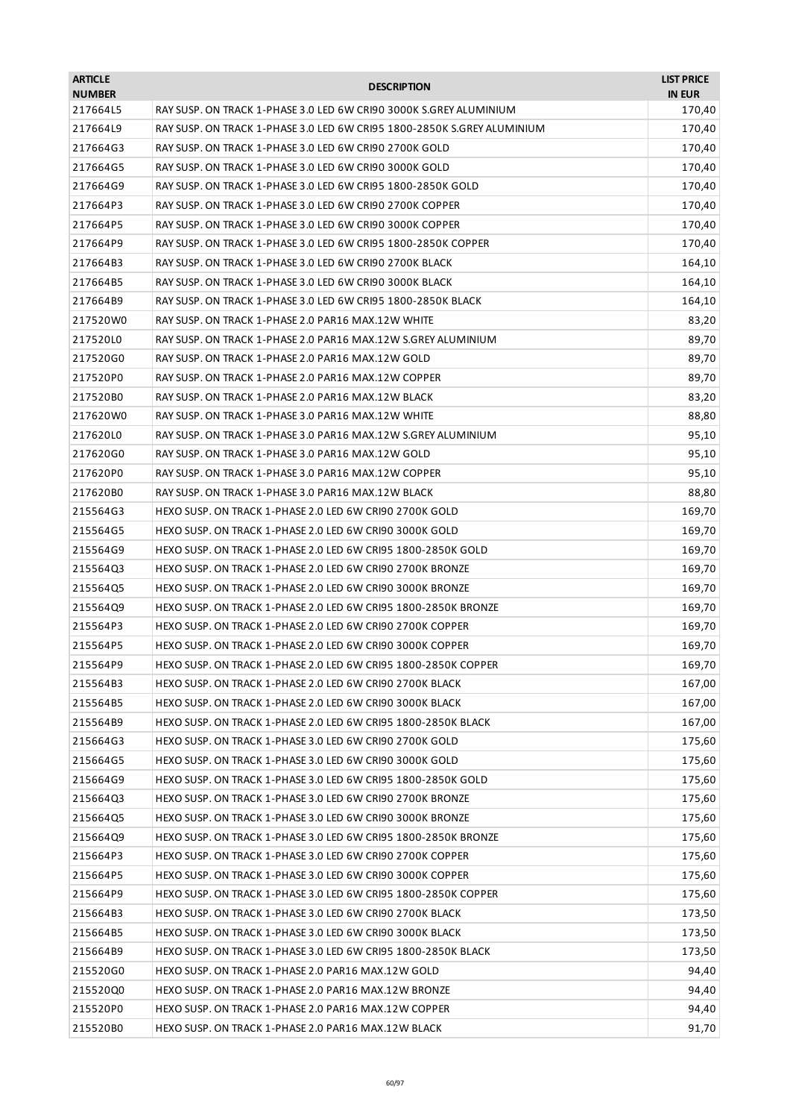| RAY SUSP. ON TRACK 1-PHASE 3.0 LED 6W CRI90 3000K S.GREY ALUMINIUM<br>217664L5<br>170,40<br>217664L9<br>RAY SUSP. ON TRACK 1-PHASE 3.0 LED 6W CRI95 1800-2850K S.GREY ALUMINIUM<br>170,40<br>217664G3<br>RAY SUSP. ON TRACK 1-PHASE 3.0 LED 6W CRI90 2700K GOLD<br>170,40<br>217664G5<br>RAY SUSP. ON TRACK 1-PHASE 3.0 LED 6W CRI90 3000K GOLD<br>170,40<br>217664G9<br>RAY SUSP. ON TRACK 1-PHASE 3.0 LED 6W CRI95 1800-2850K GOLD<br>170,40<br>217664P3<br>RAY SUSP. ON TRACK 1-PHASE 3.0 LED 6W CRI90 2700K COPPER<br>170,40<br>217664P5<br>RAY SUSP. ON TRACK 1-PHASE 3.0 LED 6W CRI90 3000K COPPER<br>170,40<br>217664P9<br>RAY SUSP. ON TRACK 1-PHASE 3.0 LED 6W CRI95 1800-2850K COPPER<br>170,40<br>217664B3<br>RAY SUSP. ON TRACK 1-PHASE 3.0 LED 6W CRI90 2700K BLACK<br>164,10<br>217664B5<br>RAY SUSP. ON TRACK 1-PHASE 3.0 LED 6W CRI90 3000K BLACK<br>164,10<br>217664B9<br>RAY SUSP. ON TRACK 1-PHASE 3.0 LED 6W CRI95 1800-2850K BLACK<br>164,10<br>217520W0<br>RAY SUSP. ON TRACK 1-PHASE 2.0 PAR16 MAX.12W WHITE<br>83,20<br>217520L0<br>RAY SUSP. ON TRACK 1-PHASE 2.0 PAR16 MAX.12W S.GREY ALUMINIUM<br>89,70<br>217520G0<br>89,70<br>RAY SUSP. ON TRACK 1-PHASE 2.0 PAR16 MAX.12W GOLD<br>217520P0<br>RAY SUSP. ON TRACK 1-PHASE 2.0 PAR16 MAX.12W COPPER<br>89,70<br>83,20<br>217520B0<br>RAY SUSP. ON TRACK 1-PHASE 2.0 PAR16 MAX.12W BLACK<br>217620W0<br>RAY SUSP. ON TRACK 1-PHASE 3.0 PAR16 MAX.12W WHITE<br>88,80<br>217620L0<br>95,10<br>RAY SUSP. ON TRACK 1-PHASE 3.0 PAR16 MAX.12W S.GREY ALUMINIUM<br>217620G0<br>95,10<br>RAY SUSP. ON TRACK 1-PHASE 3.0 PAR16 MAX.12W GOLD<br>217620P0<br>RAY SUSP. ON TRACK 1-PHASE 3.0 PAR16 MAX.12W COPPER<br>95,10<br>88,80<br>217620B0<br>RAY SUSP. ON TRACK 1-PHASE 3.0 PAR16 MAX.12W BLACK<br>169,70<br>215564G3<br>HEXO SUSP. ON TRACK 1-PHASE 2.0 LED 6W CRI90 2700K GOLD<br>215564G5<br>169,70<br>HEXO SUSP. ON TRACK 1-PHASE 2.0 LED 6W CRI90 3000K GOLD<br>169,70<br>215564G9<br>HEXO SUSP. ON TRACK 1-PHASE 2.0 LED 6W CRI95 1800-2850K GOLD<br>215564Q3<br>HEXO SUSP. ON TRACK 1-PHASE 2.0 LED 6W CRI90 2700K BRONZE<br>169,70<br>HEXO SUSP. ON TRACK 1-PHASE 2.0 LED 6W CRI90 3000K BRONZE<br>169,70<br>215564Q5<br>215564Q9<br>HEXO SUSP. ON TRACK 1-PHASE 2.0 LED 6W CRI95 1800-2850K BRONZE<br>169,70<br>169,70<br>215564P3<br>HEXO SUSP. ON TRACK 1-PHASE 2.0 LED 6W CRI90 2700K COPPER<br>215564P5<br>HEXO SUSP. ON TRACK 1-PHASE 2.0 LED 6W CRI90 3000K COPPER<br>169,70<br>215564P9<br>HEXO SUSP. ON TRACK 1-PHASE 2.0 LED 6W CRI95 1800-2850K COPPER<br>169,70<br>HEXO SUSP. ON TRACK 1-PHASE 2.0 LED 6W CRI90 2700K BLACK<br>215564B3<br>167,00<br>HEXO SUSP. ON TRACK 1-PHASE 2.0 LED 6W CRI90 3000K BLACK<br>167,00<br>215564B5<br>215564B9<br>HEXO SUSP. ON TRACK 1-PHASE 2.0 LED 6W CRI95 1800-2850K BLACK<br>167,00<br>HEXO SUSP. ON TRACK 1-PHASE 3.0 LED 6W CRI90 2700K GOLD<br>175,60<br>215664G3<br>215664G5<br>HEXO SUSP. ON TRACK 1-PHASE 3.0 LED 6W CRI90 3000K GOLD<br>175,60<br>215664G9<br>HEXO SUSP. ON TRACK 1-PHASE 3.0 LED 6W CRI95 1800-2850K GOLD<br>175,60<br>HEXO SUSP. ON TRACK 1-PHASE 3.0 LED 6W CRI90 2700K BRONZE<br>215664Q3<br>175,60<br>215664Q5<br>HEXO SUSP. ON TRACK 1-PHASE 3.0 LED 6W CRI90 3000K BRONZE<br>175,60<br>215664Q9<br>HEXO SUSP. ON TRACK 1-PHASE 3.0 LED 6W CRI95 1800-2850K BRONZE<br>175,60<br>215664P3<br>HEXO SUSP. ON TRACK 1-PHASE 3.0 LED 6W CRI90 2700K COPPER<br>175,60<br>215664P5<br>HEXO SUSP. ON TRACK 1-PHASE 3.0 LED 6W CRI90 3000K COPPER<br>175,60<br>215664P9<br>HEXO SUSP. ON TRACK 1-PHASE 3.0 LED 6W CRI95 1800-2850K COPPER<br>175,60<br>HEXO SUSP. ON TRACK 1-PHASE 3.0 LED 6W CRI90 2700K BLACK<br>215664B3<br>173,50<br>HEXO SUSP. ON TRACK 1-PHASE 3.0 LED 6W CRI90 3000K BLACK<br>173,50<br>215664B5<br>215664B9<br>HEXO SUSP. ON TRACK 1-PHASE 3.0 LED 6W CRI95 1800-2850K BLACK<br>173,50<br>215520G0<br>HEXO SUSP. ON TRACK 1-PHASE 2.0 PAR16 MAX.12W GOLD<br>94,40<br>215520Q0<br>HEXO SUSP. ON TRACK 1-PHASE 2.0 PAR16 MAX.12W BRONZE<br>94,40<br>215520P0<br>HEXO SUSP. ON TRACK 1-PHASE 2.0 PAR16 MAX.12W COPPER<br>94,40<br>91,70<br>215520B0<br>HEXO SUSP. ON TRACK 1-PHASE 2.0 PAR16 MAX.12W BLACK | <b>ARTICLE</b><br><b>NUMBER</b> | <b>DESCRIPTION</b> | <b>LIST PRICE</b><br><b>IN EUR</b> |
|--------------------------------------------------------------------------------------------------------------------------------------------------------------------------------------------------------------------------------------------------------------------------------------------------------------------------------------------------------------------------------------------------------------------------------------------------------------------------------------------------------------------------------------------------------------------------------------------------------------------------------------------------------------------------------------------------------------------------------------------------------------------------------------------------------------------------------------------------------------------------------------------------------------------------------------------------------------------------------------------------------------------------------------------------------------------------------------------------------------------------------------------------------------------------------------------------------------------------------------------------------------------------------------------------------------------------------------------------------------------------------------------------------------------------------------------------------------------------------------------------------------------------------------------------------------------------------------------------------------------------------------------------------------------------------------------------------------------------------------------------------------------------------------------------------------------------------------------------------------------------------------------------------------------------------------------------------------------------------------------------------------------------------------------------------------------------------------------------------------------------------------------------------------------------------------------------------------------------------------------------------------------------------------------------------------------------------------------------------------------------------------------------------------------------------------------------------------------------------------------------------------------------------------------------------------------------------------------------------------------------------------------------------------------------------------------------------------------------------------------------------------------------------------------------------------------------------------------------------------------------------------------------------------------------------------------------------------------------------------------------------------------------------------------------------------------------------------------------------------------------------------------------------------------------------------------------------------------------------------------------------------------------------------------------------------------------------------------------------------------------------------------------------------------------------------------------------------------------------------------------------------------------------------------------------------------------------------------------------------------------------------------------------------------------------------------------------------------------------------------------------------------------------------------------------------------------------------------------------------------------------------------------------------------------------------------------------------------------------------------------------------------------------------------------------------------------------------------------------------------------------------------------------------------------------------|---------------------------------|--------------------|------------------------------------|
|                                                                                                                                                                                                                                                                                                                                                                                                                                                                                                                                                                                                                                                                                                                                                                                                                                                                                                                                                                                                                                                                                                                                                                                                                                                                                                                                                                                                                                                                                                                                                                                                                                                                                                                                                                                                                                                                                                                                                                                                                                                                                                                                                                                                                                                                                                                                                                                                                                                                                                                                                                                                                                                                                                                                                                                                                                                                                                                                                                                                                                                                                                                                                                                                                                                                                                                                                                                                                                                                                                                                                                                                                                                                                                                                                                                                                                                                                                                                                                                                                                                                                                                                                                                      |                                 |                    |                                    |
|                                                                                                                                                                                                                                                                                                                                                                                                                                                                                                                                                                                                                                                                                                                                                                                                                                                                                                                                                                                                                                                                                                                                                                                                                                                                                                                                                                                                                                                                                                                                                                                                                                                                                                                                                                                                                                                                                                                                                                                                                                                                                                                                                                                                                                                                                                                                                                                                                                                                                                                                                                                                                                                                                                                                                                                                                                                                                                                                                                                                                                                                                                                                                                                                                                                                                                                                                                                                                                                                                                                                                                                                                                                                                                                                                                                                                                                                                                                                                                                                                                                                                                                                                                                      |                                 |                    |                                    |
|                                                                                                                                                                                                                                                                                                                                                                                                                                                                                                                                                                                                                                                                                                                                                                                                                                                                                                                                                                                                                                                                                                                                                                                                                                                                                                                                                                                                                                                                                                                                                                                                                                                                                                                                                                                                                                                                                                                                                                                                                                                                                                                                                                                                                                                                                                                                                                                                                                                                                                                                                                                                                                                                                                                                                                                                                                                                                                                                                                                                                                                                                                                                                                                                                                                                                                                                                                                                                                                                                                                                                                                                                                                                                                                                                                                                                                                                                                                                                                                                                                                                                                                                                                                      |                                 |                    |                                    |
|                                                                                                                                                                                                                                                                                                                                                                                                                                                                                                                                                                                                                                                                                                                                                                                                                                                                                                                                                                                                                                                                                                                                                                                                                                                                                                                                                                                                                                                                                                                                                                                                                                                                                                                                                                                                                                                                                                                                                                                                                                                                                                                                                                                                                                                                                                                                                                                                                                                                                                                                                                                                                                                                                                                                                                                                                                                                                                                                                                                                                                                                                                                                                                                                                                                                                                                                                                                                                                                                                                                                                                                                                                                                                                                                                                                                                                                                                                                                                                                                                                                                                                                                                                                      |                                 |                    |                                    |
|                                                                                                                                                                                                                                                                                                                                                                                                                                                                                                                                                                                                                                                                                                                                                                                                                                                                                                                                                                                                                                                                                                                                                                                                                                                                                                                                                                                                                                                                                                                                                                                                                                                                                                                                                                                                                                                                                                                                                                                                                                                                                                                                                                                                                                                                                                                                                                                                                                                                                                                                                                                                                                                                                                                                                                                                                                                                                                                                                                                                                                                                                                                                                                                                                                                                                                                                                                                                                                                                                                                                                                                                                                                                                                                                                                                                                                                                                                                                                                                                                                                                                                                                                                                      |                                 |                    |                                    |
|                                                                                                                                                                                                                                                                                                                                                                                                                                                                                                                                                                                                                                                                                                                                                                                                                                                                                                                                                                                                                                                                                                                                                                                                                                                                                                                                                                                                                                                                                                                                                                                                                                                                                                                                                                                                                                                                                                                                                                                                                                                                                                                                                                                                                                                                                                                                                                                                                                                                                                                                                                                                                                                                                                                                                                                                                                                                                                                                                                                                                                                                                                                                                                                                                                                                                                                                                                                                                                                                                                                                                                                                                                                                                                                                                                                                                                                                                                                                                                                                                                                                                                                                                                                      |                                 |                    |                                    |
|                                                                                                                                                                                                                                                                                                                                                                                                                                                                                                                                                                                                                                                                                                                                                                                                                                                                                                                                                                                                                                                                                                                                                                                                                                                                                                                                                                                                                                                                                                                                                                                                                                                                                                                                                                                                                                                                                                                                                                                                                                                                                                                                                                                                                                                                                                                                                                                                                                                                                                                                                                                                                                                                                                                                                                                                                                                                                                                                                                                                                                                                                                                                                                                                                                                                                                                                                                                                                                                                                                                                                                                                                                                                                                                                                                                                                                                                                                                                                                                                                                                                                                                                                                                      |                                 |                    |                                    |
|                                                                                                                                                                                                                                                                                                                                                                                                                                                                                                                                                                                                                                                                                                                                                                                                                                                                                                                                                                                                                                                                                                                                                                                                                                                                                                                                                                                                                                                                                                                                                                                                                                                                                                                                                                                                                                                                                                                                                                                                                                                                                                                                                                                                                                                                                                                                                                                                                                                                                                                                                                                                                                                                                                                                                                                                                                                                                                                                                                                                                                                                                                                                                                                                                                                                                                                                                                                                                                                                                                                                                                                                                                                                                                                                                                                                                                                                                                                                                                                                                                                                                                                                                                                      |                                 |                    |                                    |
|                                                                                                                                                                                                                                                                                                                                                                                                                                                                                                                                                                                                                                                                                                                                                                                                                                                                                                                                                                                                                                                                                                                                                                                                                                                                                                                                                                                                                                                                                                                                                                                                                                                                                                                                                                                                                                                                                                                                                                                                                                                                                                                                                                                                                                                                                                                                                                                                                                                                                                                                                                                                                                                                                                                                                                                                                                                                                                                                                                                                                                                                                                                                                                                                                                                                                                                                                                                                                                                                                                                                                                                                                                                                                                                                                                                                                                                                                                                                                                                                                                                                                                                                                                                      |                                 |                    |                                    |
|                                                                                                                                                                                                                                                                                                                                                                                                                                                                                                                                                                                                                                                                                                                                                                                                                                                                                                                                                                                                                                                                                                                                                                                                                                                                                                                                                                                                                                                                                                                                                                                                                                                                                                                                                                                                                                                                                                                                                                                                                                                                                                                                                                                                                                                                                                                                                                                                                                                                                                                                                                                                                                                                                                                                                                                                                                                                                                                                                                                                                                                                                                                                                                                                                                                                                                                                                                                                                                                                                                                                                                                                                                                                                                                                                                                                                                                                                                                                                                                                                                                                                                                                                                                      |                                 |                    |                                    |
|                                                                                                                                                                                                                                                                                                                                                                                                                                                                                                                                                                                                                                                                                                                                                                                                                                                                                                                                                                                                                                                                                                                                                                                                                                                                                                                                                                                                                                                                                                                                                                                                                                                                                                                                                                                                                                                                                                                                                                                                                                                                                                                                                                                                                                                                                                                                                                                                                                                                                                                                                                                                                                                                                                                                                                                                                                                                                                                                                                                                                                                                                                                                                                                                                                                                                                                                                                                                                                                                                                                                                                                                                                                                                                                                                                                                                                                                                                                                                                                                                                                                                                                                                                                      |                                 |                    |                                    |
|                                                                                                                                                                                                                                                                                                                                                                                                                                                                                                                                                                                                                                                                                                                                                                                                                                                                                                                                                                                                                                                                                                                                                                                                                                                                                                                                                                                                                                                                                                                                                                                                                                                                                                                                                                                                                                                                                                                                                                                                                                                                                                                                                                                                                                                                                                                                                                                                                                                                                                                                                                                                                                                                                                                                                                                                                                                                                                                                                                                                                                                                                                                                                                                                                                                                                                                                                                                                                                                                                                                                                                                                                                                                                                                                                                                                                                                                                                                                                                                                                                                                                                                                                                                      |                                 |                    |                                    |
|                                                                                                                                                                                                                                                                                                                                                                                                                                                                                                                                                                                                                                                                                                                                                                                                                                                                                                                                                                                                                                                                                                                                                                                                                                                                                                                                                                                                                                                                                                                                                                                                                                                                                                                                                                                                                                                                                                                                                                                                                                                                                                                                                                                                                                                                                                                                                                                                                                                                                                                                                                                                                                                                                                                                                                                                                                                                                                                                                                                                                                                                                                                                                                                                                                                                                                                                                                                                                                                                                                                                                                                                                                                                                                                                                                                                                                                                                                                                                                                                                                                                                                                                                                                      |                                 |                    |                                    |
|                                                                                                                                                                                                                                                                                                                                                                                                                                                                                                                                                                                                                                                                                                                                                                                                                                                                                                                                                                                                                                                                                                                                                                                                                                                                                                                                                                                                                                                                                                                                                                                                                                                                                                                                                                                                                                                                                                                                                                                                                                                                                                                                                                                                                                                                                                                                                                                                                                                                                                                                                                                                                                                                                                                                                                                                                                                                                                                                                                                                                                                                                                                                                                                                                                                                                                                                                                                                                                                                                                                                                                                                                                                                                                                                                                                                                                                                                                                                                                                                                                                                                                                                                                                      |                                 |                    |                                    |
|                                                                                                                                                                                                                                                                                                                                                                                                                                                                                                                                                                                                                                                                                                                                                                                                                                                                                                                                                                                                                                                                                                                                                                                                                                                                                                                                                                                                                                                                                                                                                                                                                                                                                                                                                                                                                                                                                                                                                                                                                                                                                                                                                                                                                                                                                                                                                                                                                                                                                                                                                                                                                                                                                                                                                                                                                                                                                                                                                                                                                                                                                                                                                                                                                                                                                                                                                                                                                                                                                                                                                                                                                                                                                                                                                                                                                                                                                                                                                                                                                                                                                                                                                                                      |                                 |                    |                                    |
|                                                                                                                                                                                                                                                                                                                                                                                                                                                                                                                                                                                                                                                                                                                                                                                                                                                                                                                                                                                                                                                                                                                                                                                                                                                                                                                                                                                                                                                                                                                                                                                                                                                                                                                                                                                                                                                                                                                                                                                                                                                                                                                                                                                                                                                                                                                                                                                                                                                                                                                                                                                                                                                                                                                                                                                                                                                                                                                                                                                                                                                                                                                                                                                                                                                                                                                                                                                                                                                                                                                                                                                                                                                                                                                                                                                                                                                                                                                                                                                                                                                                                                                                                                                      |                                 |                    |                                    |
|                                                                                                                                                                                                                                                                                                                                                                                                                                                                                                                                                                                                                                                                                                                                                                                                                                                                                                                                                                                                                                                                                                                                                                                                                                                                                                                                                                                                                                                                                                                                                                                                                                                                                                                                                                                                                                                                                                                                                                                                                                                                                                                                                                                                                                                                                                                                                                                                                                                                                                                                                                                                                                                                                                                                                                                                                                                                                                                                                                                                                                                                                                                                                                                                                                                                                                                                                                                                                                                                                                                                                                                                                                                                                                                                                                                                                                                                                                                                                                                                                                                                                                                                                                                      |                                 |                    |                                    |
|                                                                                                                                                                                                                                                                                                                                                                                                                                                                                                                                                                                                                                                                                                                                                                                                                                                                                                                                                                                                                                                                                                                                                                                                                                                                                                                                                                                                                                                                                                                                                                                                                                                                                                                                                                                                                                                                                                                                                                                                                                                                                                                                                                                                                                                                                                                                                                                                                                                                                                                                                                                                                                                                                                                                                                                                                                                                                                                                                                                                                                                                                                                                                                                                                                                                                                                                                                                                                                                                                                                                                                                                                                                                                                                                                                                                                                                                                                                                                                                                                                                                                                                                                                                      |                                 |                    |                                    |
|                                                                                                                                                                                                                                                                                                                                                                                                                                                                                                                                                                                                                                                                                                                                                                                                                                                                                                                                                                                                                                                                                                                                                                                                                                                                                                                                                                                                                                                                                                                                                                                                                                                                                                                                                                                                                                                                                                                                                                                                                                                                                                                                                                                                                                                                                                                                                                                                                                                                                                                                                                                                                                                                                                                                                                                                                                                                                                                                                                                                                                                                                                                                                                                                                                                                                                                                                                                                                                                                                                                                                                                                                                                                                                                                                                                                                                                                                                                                                                                                                                                                                                                                                                                      |                                 |                    |                                    |
|                                                                                                                                                                                                                                                                                                                                                                                                                                                                                                                                                                                                                                                                                                                                                                                                                                                                                                                                                                                                                                                                                                                                                                                                                                                                                                                                                                                                                                                                                                                                                                                                                                                                                                                                                                                                                                                                                                                                                                                                                                                                                                                                                                                                                                                                                                                                                                                                                                                                                                                                                                                                                                                                                                                                                                                                                                                                                                                                                                                                                                                                                                                                                                                                                                                                                                                                                                                                                                                                                                                                                                                                                                                                                                                                                                                                                                                                                                                                                                                                                                                                                                                                                                                      |                                 |                    |                                    |
|                                                                                                                                                                                                                                                                                                                                                                                                                                                                                                                                                                                                                                                                                                                                                                                                                                                                                                                                                                                                                                                                                                                                                                                                                                                                                                                                                                                                                                                                                                                                                                                                                                                                                                                                                                                                                                                                                                                                                                                                                                                                                                                                                                                                                                                                                                                                                                                                                                                                                                                                                                                                                                                                                                                                                                                                                                                                                                                                                                                                                                                                                                                                                                                                                                                                                                                                                                                                                                                                                                                                                                                                                                                                                                                                                                                                                                                                                                                                                                                                                                                                                                                                                                                      |                                 |                    |                                    |
|                                                                                                                                                                                                                                                                                                                                                                                                                                                                                                                                                                                                                                                                                                                                                                                                                                                                                                                                                                                                                                                                                                                                                                                                                                                                                                                                                                                                                                                                                                                                                                                                                                                                                                                                                                                                                                                                                                                                                                                                                                                                                                                                                                                                                                                                                                                                                                                                                                                                                                                                                                                                                                                                                                                                                                                                                                                                                                                                                                                                                                                                                                                                                                                                                                                                                                                                                                                                                                                                                                                                                                                                                                                                                                                                                                                                                                                                                                                                                                                                                                                                                                                                                                                      |                                 |                    |                                    |
|                                                                                                                                                                                                                                                                                                                                                                                                                                                                                                                                                                                                                                                                                                                                                                                                                                                                                                                                                                                                                                                                                                                                                                                                                                                                                                                                                                                                                                                                                                                                                                                                                                                                                                                                                                                                                                                                                                                                                                                                                                                                                                                                                                                                                                                                                                                                                                                                                                                                                                                                                                                                                                                                                                                                                                                                                                                                                                                                                                                                                                                                                                                                                                                                                                                                                                                                                                                                                                                                                                                                                                                                                                                                                                                                                                                                                                                                                                                                                                                                                                                                                                                                                                                      |                                 |                    |                                    |
|                                                                                                                                                                                                                                                                                                                                                                                                                                                                                                                                                                                                                                                                                                                                                                                                                                                                                                                                                                                                                                                                                                                                                                                                                                                                                                                                                                                                                                                                                                                                                                                                                                                                                                                                                                                                                                                                                                                                                                                                                                                                                                                                                                                                                                                                                                                                                                                                                                                                                                                                                                                                                                                                                                                                                                                                                                                                                                                                                                                                                                                                                                                                                                                                                                                                                                                                                                                                                                                                                                                                                                                                                                                                                                                                                                                                                                                                                                                                                                                                                                                                                                                                                                                      |                                 |                    |                                    |
|                                                                                                                                                                                                                                                                                                                                                                                                                                                                                                                                                                                                                                                                                                                                                                                                                                                                                                                                                                                                                                                                                                                                                                                                                                                                                                                                                                                                                                                                                                                                                                                                                                                                                                                                                                                                                                                                                                                                                                                                                                                                                                                                                                                                                                                                                                                                                                                                                                                                                                                                                                                                                                                                                                                                                                                                                                                                                                                                                                                                                                                                                                                                                                                                                                                                                                                                                                                                                                                                                                                                                                                                                                                                                                                                                                                                                                                                                                                                                                                                                                                                                                                                                                                      |                                 |                    |                                    |
|                                                                                                                                                                                                                                                                                                                                                                                                                                                                                                                                                                                                                                                                                                                                                                                                                                                                                                                                                                                                                                                                                                                                                                                                                                                                                                                                                                                                                                                                                                                                                                                                                                                                                                                                                                                                                                                                                                                                                                                                                                                                                                                                                                                                                                                                                                                                                                                                                                                                                                                                                                                                                                                                                                                                                                                                                                                                                                                                                                                                                                                                                                                                                                                                                                                                                                                                                                                                                                                                                                                                                                                                                                                                                                                                                                                                                                                                                                                                                                                                                                                                                                                                                                                      |                                 |                    |                                    |
|                                                                                                                                                                                                                                                                                                                                                                                                                                                                                                                                                                                                                                                                                                                                                                                                                                                                                                                                                                                                                                                                                                                                                                                                                                                                                                                                                                                                                                                                                                                                                                                                                                                                                                                                                                                                                                                                                                                                                                                                                                                                                                                                                                                                                                                                                                                                                                                                                                                                                                                                                                                                                                                                                                                                                                                                                                                                                                                                                                                                                                                                                                                                                                                                                                                                                                                                                                                                                                                                                                                                                                                                                                                                                                                                                                                                                                                                                                                                                                                                                                                                                                                                                                                      |                                 |                    |                                    |
|                                                                                                                                                                                                                                                                                                                                                                                                                                                                                                                                                                                                                                                                                                                                                                                                                                                                                                                                                                                                                                                                                                                                                                                                                                                                                                                                                                                                                                                                                                                                                                                                                                                                                                                                                                                                                                                                                                                                                                                                                                                                                                                                                                                                                                                                                                                                                                                                                                                                                                                                                                                                                                                                                                                                                                                                                                                                                                                                                                                                                                                                                                                                                                                                                                                                                                                                                                                                                                                                                                                                                                                                                                                                                                                                                                                                                                                                                                                                                                                                                                                                                                                                                                                      |                                 |                    |                                    |
|                                                                                                                                                                                                                                                                                                                                                                                                                                                                                                                                                                                                                                                                                                                                                                                                                                                                                                                                                                                                                                                                                                                                                                                                                                                                                                                                                                                                                                                                                                                                                                                                                                                                                                                                                                                                                                                                                                                                                                                                                                                                                                                                                                                                                                                                                                                                                                                                                                                                                                                                                                                                                                                                                                                                                                                                                                                                                                                                                                                                                                                                                                                                                                                                                                                                                                                                                                                                                                                                                                                                                                                                                                                                                                                                                                                                                                                                                                                                                                                                                                                                                                                                                                                      |                                 |                    |                                    |
|                                                                                                                                                                                                                                                                                                                                                                                                                                                                                                                                                                                                                                                                                                                                                                                                                                                                                                                                                                                                                                                                                                                                                                                                                                                                                                                                                                                                                                                                                                                                                                                                                                                                                                                                                                                                                                                                                                                                                                                                                                                                                                                                                                                                                                                                                                                                                                                                                                                                                                                                                                                                                                                                                                                                                                                                                                                                                                                                                                                                                                                                                                                                                                                                                                                                                                                                                                                                                                                                                                                                                                                                                                                                                                                                                                                                                                                                                                                                                                                                                                                                                                                                                                                      |                                 |                    |                                    |
|                                                                                                                                                                                                                                                                                                                                                                                                                                                                                                                                                                                                                                                                                                                                                                                                                                                                                                                                                                                                                                                                                                                                                                                                                                                                                                                                                                                                                                                                                                                                                                                                                                                                                                                                                                                                                                                                                                                                                                                                                                                                                                                                                                                                                                                                                                                                                                                                                                                                                                                                                                                                                                                                                                                                                                                                                                                                                                                                                                                                                                                                                                                                                                                                                                                                                                                                                                                                                                                                                                                                                                                                                                                                                                                                                                                                                                                                                                                                                                                                                                                                                                                                                                                      |                                 |                    |                                    |
|                                                                                                                                                                                                                                                                                                                                                                                                                                                                                                                                                                                                                                                                                                                                                                                                                                                                                                                                                                                                                                                                                                                                                                                                                                                                                                                                                                                                                                                                                                                                                                                                                                                                                                                                                                                                                                                                                                                                                                                                                                                                                                                                                                                                                                                                                                                                                                                                                                                                                                                                                                                                                                                                                                                                                                                                                                                                                                                                                                                                                                                                                                                                                                                                                                                                                                                                                                                                                                                                                                                                                                                                                                                                                                                                                                                                                                                                                                                                                                                                                                                                                                                                                                                      |                                 |                    |                                    |
|                                                                                                                                                                                                                                                                                                                                                                                                                                                                                                                                                                                                                                                                                                                                                                                                                                                                                                                                                                                                                                                                                                                                                                                                                                                                                                                                                                                                                                                                                                                                                                                                                                                                                                                                                                                                                                                                                                                                                                                                                                                                                                                                                                                                                                                                                                                                                                                                                                                                                                                                                                                                                                                                                                                                                                                                                                                                                                                                                                                                                                                                                                                                                                                                                                                                                                                                                                                                                                                                                                                                                                                                                                                                                                                                                                                                                                                                                                                                                                                                                                                                                                                                                                                      |                                 |                    |                                    |
|                                                                                                                                                                                                                                                                                                                                                                                                                                                                                                                                                                                                                                                                                                                                                                                                                                                                                                                                                                                                                                                                                                                                                                                                                                                                                                                                                                                                                                                                                                                                                                                                                                                                                                                                                                                                                                                                                                                                                                                                                                                                                                                                                                                                                                                                                                                                                                                                                                                                                                                                                                                                                                                                                                                                                                                                                                                                                                                                                                                                                                                                                                                                                                                                                                                                                                                                                                                                                                                                                                                                                                                                                                                                                                                                                                                                                                                                                                                                                                                                                                                                                                                                                                                      |                                 |                    |                                    |
|                                                                                                                                                                                                                                                                                                                                                                                                                                                                                                                                                                                                                                                                                                                                                                                                                                                                                                                                                                                                                                                                                                                                                                                                                                                                                                                                                                                                                                                                                                                                                                                                                                                                                                                                                                                                                                                                                                                                                                                                                                                                                                                                                                                                                                                                                                                                                                                                                                                                                                                                                                                                                                                                                                                                                                                                                                                                                                                                                                                                                                                                                                                                                                                                                                                                                                                                                                                                                                                                                                                                                                                                                                                                                                                                                                                                                                                                                                                                                                                                                                                                                                                                                                                      |                                 |                    |                                    |
|                                                                                                                                                                                                                                                                                                                                                                                                                                                                                                                                                                                                                                                                                                                                                                                                                                                                                                                                                                                                                                                                                                                                                                                                                                                                                                                                                                                                                                                                                                                                                                                                                                                                                                                                                                                                                                                                                                                                                                                                                                                                                                                                                                                                                                                                                                                                                                                                                                                                                                                                                                                                                                                                                                                                                                                                                                                                                                                                                                                                                                                                                                                                                                                                                                                                                                                                                                                                                                                                                                                                                                                                                                                                                                                                                                                                                                                                                                                                                                                                                                                                                                                                                                                      |                                 |                    |                                    |
|                                                                                                                                                                                                                                                                                                                                                                                                                                                                                                                                                                                                                                                                                                                                                                                                                                                                                                                                                                                                                                                                                                                                                                                                                                                                                                                                                                                                                                                                                                                                                                                                                                                                                                                                                                                                                                                                                                                                                                                                                                                                                                                                                                                                                                                                                                                                                                                                                                                                                                                                                                                                                                                                                                                                                                                                                                                                                                                                                                                                                                                                                                                                                                                                                                                                                                                                                                                                                                                                                                                                                                                                                                                                                                                                                                                                                                                                                                                                                                                                                                                                                                                                                                                      |                                 |                    |                                    |
|                                                                                                                                                                                                                                                                                                                                                                                                                                                                                                                                                                                                                                                                                                                                                                                                                                                                                                                                                                                                                                                                                                                                                                                                                                                                                                                                                                                                                                                                                                                                                                                                                                                                                                                                                                                                                                                                                                                                                                                                                                                                                                                                                                                                                                                                                                                                                                                                                                                                                                                                                                                                                                                                                                                                                                                                                                                                                                                                                                                                                                                                                                                                                                                                                                                                                                                                                                                                                                                                                                                                                                                                                                                                                                                                                                                                                                                                                                                                                                                                                                                                                                                                                                                      |                                 |                    |                                    |
|                                                                                                                                                                                                                                                                                                                                                                                                                                                                                                                                                                                                                                                                                                                                                                                                                                                                                                                                                                                                                                                                                                                                                                                                                                                                                                                                                                                                                                                                                                                                                                                                                                                                                                                                                                                                                                                                                                                                                                                                                                                                                                                                                                                                                                                                                                                                                                                                                                                                                                                                                                                                                                                                                                                                                                                                                                                                                                                                                                                                                                                                                                                                                                                                                                                                                                                                                                                                                                                                                                                                                                                                                                                                                                                                                                                                                                                                                                                                                                                                                                                                                                                                                                                      |                                 |                    |                                    |
|                                                                                                                                                                                                                                                                                                                                                                                                                                                                                                                                                                                                                                                                                                                                                                                                                                                                                                                                                                                                                                                                                                                                                                                                                                                                                                                                                                                                                                                                                                                                                                                                                                                                                                                                                                                                                                                                                                                                                                                                                                                                                                                                                                                                                                                                                                                                                                                                                                                                                                                                                                                                                                                                                                                                                                                                                                                                                                                                                                                                                                                                                                                                                                                                                                                                                                                                                                                                                                                                                                                                                                                                                                                                                                                                                                                                                                                                                                                                                                                                                                                                                                                                                                                      |                                 |                    |                                    |
|                                                                                                                                                                                                                                                                                                                                                                                                                                                                                                                                                                                                                                                                                                                                                                                                                                                                                                                                                                                                                                                                                                                                                                                                                                                                                                                                                                                                                                                                                                                                                                                                                                                                                                                                                                                                                                                                                                                                                                                                                                                                                                                                                                                                                                                                                                                                                                                                                                                                                                                                                                                                                                                                                                                                                                                                                                                                                                                                                                                                                                                                                                                                                                                                                                                                                                                                                                                                                                                                                                                                                                                                                                                                                                                                                                                                                                                                                                                                                                                                                                                                                                                                                                                      |                                 |                    |                                    |
|                                                                                                                                                                                                                                                                                                                                                                                                                                                                                                                                                                                                                                                                                                                                                                                                                                                                                                                                                                                                                                                                                                                                                                                                                                                                                                                                                                                                                                                                                                                                                                                                                                                                                                                                                                                                                                                                                                                                                                                                                                                                                                                                                                                                                                                                                                                                                                                                                                                                                                                                                                                                                                                                                                                                                                                                                                                                                                                                                                                                                                                                                                                                                                                                                                                                                                                                                                                                                                                                                                                                                                                                                                                                                                                                                                                                                                                                                                                                                                                                                                                                                                                                                                                      |                                 |                    |                                    |
|                                                                                                                                                                                                                                                                                                                                                                                                                                                                                                                                                                                                                                                                                                                                                                                                                                                                                                                                                                                                                                                                                                                                                                                                                                                                                                                                                                                                                                                                                                                                                                                                                                                                                                                                                                                                                                                                                                                                                                                                                                                                                                                                                                                                                                                                                                                                                                                                                                                                                                                                                                                                                                                                                                                                                                                                                                                                                                                                                                                                                                                                                                                                                                                                                                                                                                                                                                                                                                                                                                                                                                                                                                                                                                                                                                                                                                                                                                                                                                                                                                                                                                                                                                                      |                                 |                    |                                    |
|                                                                                                                                                                                                                                                                                                                                                                                                                                                                                                                                                                                                                                                                                                                                                                                                                                                                                                                                                                                                                                                                                                                                                                                                                                                                                                                                                                                                                                                                                                                                                                                                                                                                                                                                                                                                                                                                                                                                                                                                                                                                                                                                                                                                                                                                                                                                                                                                                                                                                                                                                                                                                                                                                                                                                                                                                                                                                                                                                                                                                                                                                                                                                                                                                                                                                                                                                                                                                                                                                                                                                                                                                                                                                                                                                                                                                                                                                                                                                                                                                                                                                                                                                                                      |                                 |                    |                                    |
|                                                                                                                                                                                                                                                                                                                                                                                                                                                                                                                                                                                                                                                                                                                                                                                                                                                                                                                                                                                                                                                                                                                                                                                                                                                                                                                                                                                                                                                                                                                                                                                                                                                                                                                                                                                                                                                                                                                                                                                                                                                                                                                                                                                                                                                                                                                                                                                                                                                                                                                                                                                                                                                                                                                                                                                                                                                                                                                                                                                                                                                                                                                                                                                                                                                                                                                                                                                                                                                                                                                                                                                                                                                                                                                                                                                                                                                                                                                                                                                                                                                                                                                                                                                      |                                 |                    |                                    |
|                                                                                                                                                                                                                                                                                                                                                                                                                                                                                                                                                                                                                                                                                                                                                                                                                                                                                                                                                                                                                                                                                                                                                                                                                                                                                                                                                                                                                                                                                                                                                                                                                                                                                                                                                                                                                                                                                                                                                                                                                                                                                                                                                                                                                                                                                                                                                                                                                                                                                                                                                                                                                                                                                                                                                                                                                                                                                                                                                                                                                                                                                                                                                                                                                                                                                                                                                                                                                                                                                                                                                                                                                                                                                                                                                                                                                                                                                                                                                                                                                                                                                                                                                                                      |                                 |                    |                                    |
|                                                                                                                                                                                                                                                                                                                                                                                                                                                                                                                                                                                                                                                                                                                                                                                                                                                                                                                                                                                                                                                                                                                                                                                                                                                                                                                                                                                                                                                                                                                                                                                                                                                                                                                                                                                                                                                                                                                                                                                                                                                                                                                                                                                                                                                                                                                                                                                                                                                                                                                                                                                                                                                                                                                                                                                                                                                                                                                                                                                                                                                                                                                                                                                                                                                                                                                                                                                                                                                                                                                                                                                                                                                                                                                                                                                                                                                                                                                                                                                                                                                                                                                                                                                      |                                 |                    |                                    |
|                                                                                                                                                                                                                                                                                                                                                                                                                                                                                                                                                                                                                                                                                                                                                                                                                                                                                                                                                                                                                                                                                                                                                                                                                                                                                                                                                                                                                                                                                                                                                                                                                                                                                                                                                                                                                                                                                                                                                                                                                                                                                                                                                                                                                                                                                                                                                                                                                                                                                                                                                                                                                                                                                                                                                                                                                                                                                                                                                                                                                                                                                                                                                                                                                                                                                                                                                                                                                                                                                                                                                                                                                                                                                                                                                                                                                                                                                                                                                                                                                                                                                                                                                                                      |                                 |                    |                                    |
|                                                                                                                                                                                                                                                                                                                                                                                                                                                                                                                                                                                                                                                                                                                                                                                                                                                                                                                                                                                                                                                                                                                                                                                                                                                                                                                                                                                                                                                                                                                                                                                                                                                                                                                                                                                                                                                                                                                                                                                                                                                                                                                                                                                                                                                                                                                                                                                                                                                                                                                                                                                                                                                                                                                                                                                                                                                                                                                                                                                                                                                                                                                                                                                                                                                                                                                                                                                                                                                                                                                                                                                                                                                                                                                                                                                                                                                                                                                                                                                                                                                                                                                                                                                      |                                 |                    |                                    |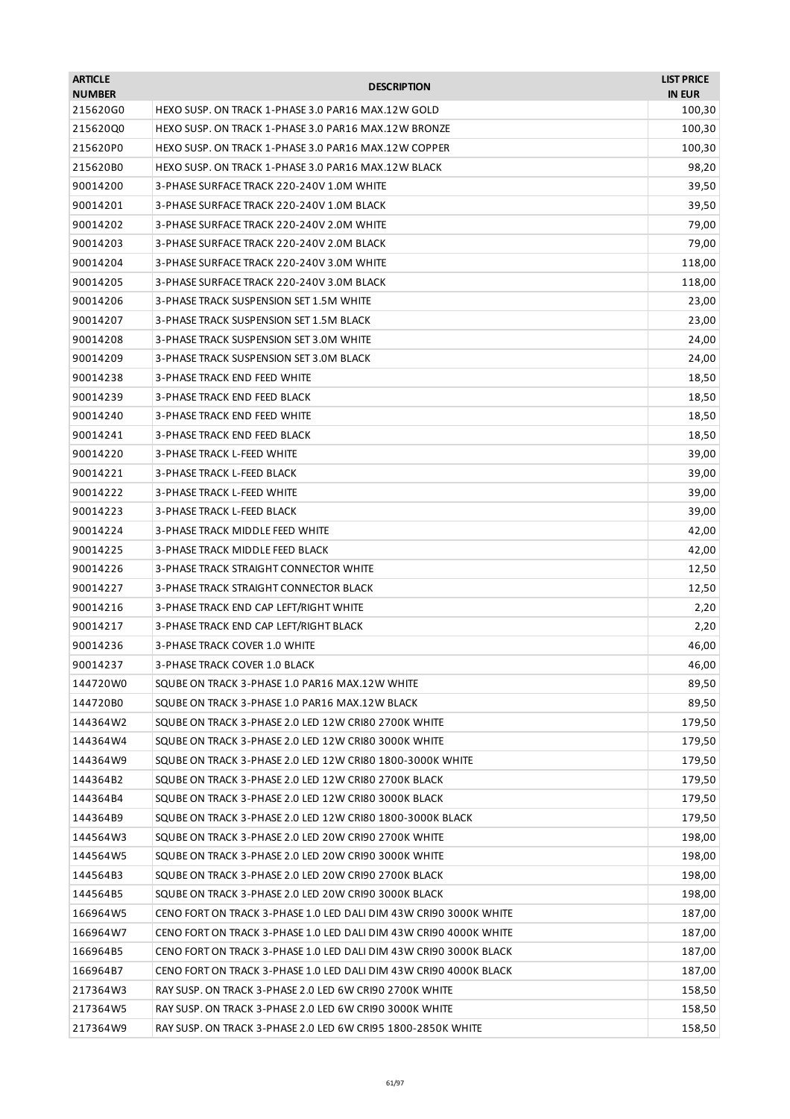| <b>ARTICLE</b><br><b>NUMBER</b> | <b>DESCRIPTION</b>                                                | <b>LIST PRICE</b><br><b>IN EUR</b> |
|---------------------------------|-------------------------------------------------------------------|------------------------------------|
| 215620G0                        | HEXO SUSP. ON TRACK 1-PHASE 3.0 PAR16 MAX.12W GOLD                | 100,30                             |
| 215620Q0                        | HEXO SUSP. ON TRACK 1-PHASE 3.0 PAR16 MAX.12W BRONZE              | 100,30                             |
| 215620P0                        | HEXO SUSP. ON TRACK 1-PHASE 3.0 PAR16 MAX.12W COPPER              | 100,30                             |
| 215620B0                        | HEXO SUSP. ON TRACK 1-PHASE 3.0 PAR16 MAX.12W BLACK               | 98,20                              |
| 90014200                        | 3-PHASE SURFACE TRACK 220-240V 1.0M WHITE                         | 39,50                              |
| 90014201                        | 3-PHASE SURFACE TRACK 220-240V 1.0M BLACK                         | 39,50                              |
| 90014202                        | 3-PHASE SURFACE TRACK 220-240V 2.0M WHITE                         | 79,00                              |
| 90014203                        | 3-PHASE SURFACE TRACK 220-240V 2.0M BLACK                         | 79,00                              |
| 90014204                        | 3-PHASE SURFACE TRACK 220-240V 3.0M WHITE                         | 118,00                             |
| 90014205                        | 3-PHASE SURFACE TRACK 220-240V 3.0M BLACK                         | 118,00                             |
| 90014206                        | 3-PHASE TRACK SUSPENSION SET 1.5M WHITE                           | 23,00                              |
| 90014207                        | 3-PHASE TRACK SUSPENSION SET 1.5M BLACK                           | 23,00                              |
| 90014208                        | 3-PHASE TRACK SUSPENSION SET 3.0M WHITE                           | 24,00                              |
| 90014209                        | 3-PHASE TRACK SUSPENSION SET 3.0M BLACK                           | 24,00                              |
| 90014238                        | 3-PHASE TRACK END FEED WHITE                                      | 18,50                              |
| 90014239                        | 3-PHASE TRACK END FEED BLACK                                      | 18,50                              |
| 90014240                        | <b>3-PHASE TRACK END FEED WHITE</b>                               | 18,50                              |
| 90014241                        | <b>3-PHASE TRACK END FEED BLACK</b>                               | 18,50                              |
| 90014220                        | 3-PHASE TRACK L-FEED WHITE                                        | 39,00                              |
| 90014221                        | 3-PHASE TRACK L-FEED BLACK                                        | 39,00                              |
| 90014222                        | 3-PHASE TRACK L-FEED WHITE                                        | 39,00                              |
| 90014223                        | 3-PHASE TRACK L-FEED BLACK                                        | 39,00                              |
| 90014224                        | 3-PHASE TRACK MIDDLE FEED WHITE                                   | 42,00                              |
| 90014225                        | 3-PHASE TRACK MIDDLE FEED BLACK                                   | 42,00                              |
| 90014226                        | 3-PHASE TRACK STRAIGHT CONNECTOR WHITE                            | 12,50                              |
| 90014227                        | 3-PHASE TRACK STRAIGHT CONNECTOR BLACK                            | 12,50                              |
| 90014216                        | 3-PHASE TRACK END CAP LEFT/RIGHT WHITE                            | 2,20                               |
| 90014217                        | 3-PHASE TRACK END CAP LEFT/RIGHT BLACK                            | 2,20                               |
| 90014236                        | 3-PHASE TRACK COVER 1.0 WHITE                                     | 46,00                              |
| 90014237                        | 3-PHASE TRACK COVER 1.0 BLACK                                     | 46,00                              |
| 144720W0                        | SQUBE ON TRACK 3-PHASE 1.0 PAR16 MAX.12W WHITE                    | 89,50                              |
| 144720B0                        | SQUBE ON TRACK 3-PHASE 1.0 PAR16 MAX.12W BLACK                    | 89,50                              |
| 144364W2                        | SQUBE ON TRACK 3-PHASE 2.0 LED 12W CRI80 2700K WHITE              | 179,50                             |
| 144364W4                        | SQUBE ON TRACK 3-PHASE 2.0 LED 12W CRI80 3000K WHITE              | 179,50                             |
| 144364W9                        | SQUBE ON TRACK 3-PHASE 2.0 LED 12W CRI80 1800-3000K WHITE         | 179,50                             |
| 144364B2                        | SQUBE ON TRACK 3-PHASE 2.0 LED 12W CRI80 2700K BLACK              | 179,50                             |
| 144364B4                        | SQUBE ON TRACK 3-PHASE 2.0 LED 12W CRI80 3000K BLACK              | 179,50                             |
| 144364B9                        | SQUBE ON TRACK 3-PHASE 2.0 LED 12W CRI80 1800-3000K BLACK         | 179,50                             |
| 144564W3                        | SQUBE ON TRACK 3-PHASE 2.0 LED 20W CRI90 2700K WHITE              | 198,00                             |
| 144564W5                        | SQUBE ON TRACK 3-PHASE 2.0 LED 20W CRI90 3000K WHITE              | 198,00                             |
| 144564B3                        | SQUBE ON TRACK 3-PHASE 2.0 LED 20W CRI90 2700K BLACK              | 198,00                             |
| 144564B5                        | SQUBE ON TRACK 3-PHASE 2.0 LED 20W CRI90 3000K BLACK              | 198,00                             |
| 166964W5                        | CENO FORT ON TRACK 3-PHASE 1.0 LED DALI DIM 43W CRI90 3000K WHITE | 187,00                             |
| 166964W7                        | CENO FORT ON TRACK 3-PHASE 1.0 LED DALI DIM 43W CRI90 4000K WHITE | 187,00                             |
| 166964B5                        | CENO FORT ON TRACK 3-PHASE 1.0 LED DALI DIM 43W CRI90 3000K BLACK | 187,00                             |
| 166964B7                        | CENO FORT ON TRACK 3-PHASE 1.0 LED DALI DIM 43W CRI90 4000K BLACK | 187,00                             |
| 217364W3                        | RAY SUSP. ON TRACK 3-PHASE 2.0 LED 6W CRI90 2700K WHITE           | 158,50                             |
| 217364W5                        | RAY SUSP. ON TRACK 3-PHASE 2.0 LED 6W CRI90 3000K WHITE           | 158,50                             |
| 217364W9                        | RAY SUSP. ON TRACK 3-PHASE 2.0 LED 6W CRI95 1800-2850K WHITE      | 158,50                             |
|                                 |                                                                   |                                    |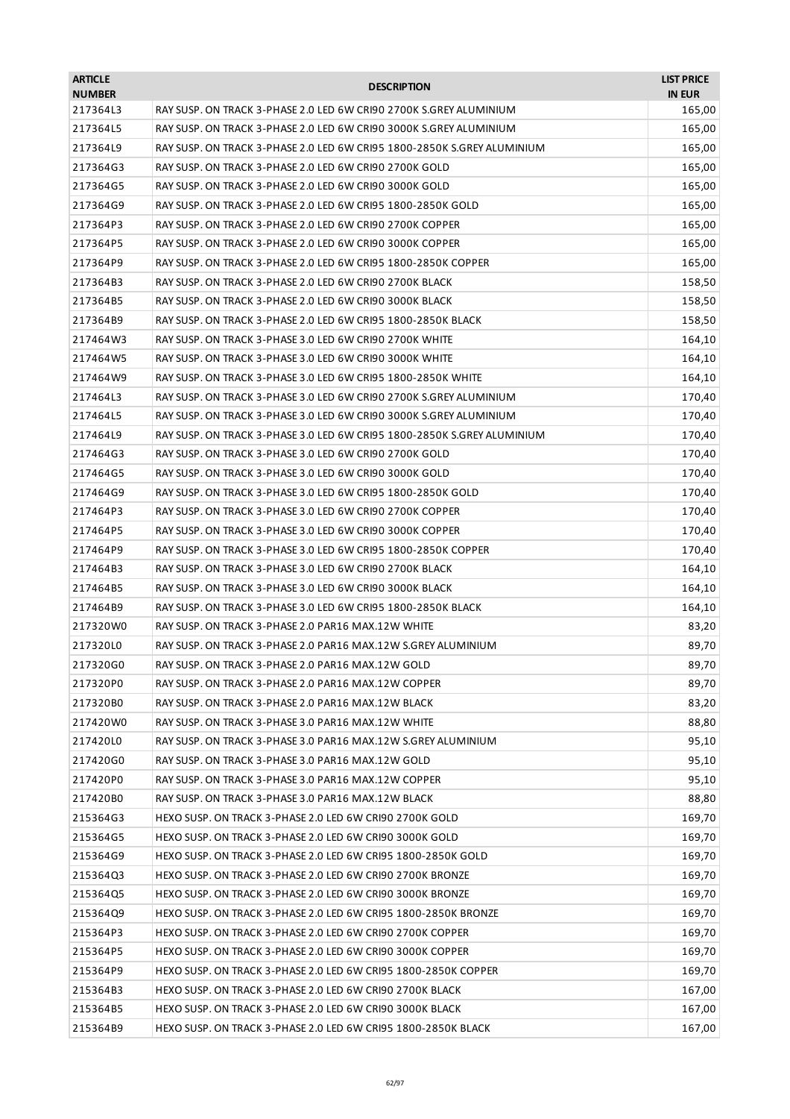| <b>ARTICLE</b><br><b>NUMBER</b> | <b>DESCRIPTION</b>                                                                                                  | <b>LIST PRICE</b><br><b>IN EUR</b> |
|---------------------------------|---------------------------------------------------------------------------------------------------------------------|------------------------------------|
| 217364L3                        | RAY SUSP. ON TRACK 3-PHASE 2.0 LED 6W CRI90 2700K S.GREY ALUMINIUM                                                  | 165,00                             |
| 217364L5                        | RAY SUSP. ON TRACK 3-PHASE 2.0 LED 6W CRI90 3000K S.GREY ALUMINIUM                                                  | 165,00                             |
| 217364L9                        | RAY SUSP. ON TRACK 3-PHASE 2.0 LED 6W CRI95 1800-2850K S.GREY ALUMINIUM                                             | 165,00                             |
| 217364G3                        | RAY SUSP. ON TRACK 3-PHASE 2.0 LED 6W CRI90 2700K GOLD                                                              | 165,00                             |
| 217364G5                        | RAY SUSP. ON TRACK 3-PHASE 2.0 LED 6W CRI90 3000K GOLD                                                              | 165,00                             |
| 217364G9                        | RAY SUSP. ON TRACK 3-PHASE 2.0 LED 6W CRI95 1800-2850K GOLD                                                         | 165,00                             |
| 217364P3                        | RAY SUSP. ON TRACK 3-PHASE 2.0 LED 6W CRI90 2700K COPPER                                                            | 165,00                             |
| 217364P5                        | RAY SUSP. ON TRACK 3-PHASE 2.0 LED 6W CRI90 3000K COPPER                                                            | 165,00                             |
| 217364P9                        | RAY SUSP. ON TRACK 3-PHASE 2.0 LED 6W CRI95 1800-2850K COPPER                                                       | 165,00                             |
| 217364B3                        | RAY SUSP. ON TRACK 3-PHASE 2.0 LED 6W CRI90 2700K BLACK                                                             | 158,50                             |
| 217364B5                        | RAY SUSP. ON TRACK 3-PHASE 2.0 LED 6W CRI90 3000K BLACK                                                             | 158,50                             |
| 217364B9                        | RAY SUSP. ON TRACK 3-PHASE 2.0 LED 6W CRI95 1800-2850K BLACK                                                        | 158,50                             |
| 217464W3                        | RAY SUSP. ON TRACK 3-PHASE 3.0 LED 6W CRI90 2700K WHITE                                                             | 164,10                             |
| 217464W5                        | RAY SUSP. ON TRACK 3-PHASE 3.0 LED 6W CRI90 3000K WHITE                                                             | 164,10                             |
| 217464W9                        | RAY SUSP. ON TRACK 3-PHASE 3.0 LED 6W CRI95 1800-2850K WHITE                                                        | 164,10                             |
| 217464L3                        | RAY SUSP. ON TRACK 3-PHASE 3.0 LED 6W CRI90 2700K S.GREY ALUMINIUM                                                  | 170,40                             |
| 217464L5                        | RAY SUSP. ON TRACK 3-PHASE 3.0 LED 6W CRI90 3000K S.GREY ALUMINIUM                                                  | 170,40                             |
| 217464L9                        | RAY SUSP. ON TRACK 3-PHASE 3.0 LED 6W CRI95 1800-2850K S.GREY ALUMINIUM                                             | 170,40                             |
| 217464G3                        | RAY SUSP. ON TRACK 3-PHASE 3.0 LED 6W CRI90 2700K GOLD                                                              | 170,40                             |
| 217464G5                        | RAY SUSP. ON TRACK 3-PHASE 3.0 LED 6W CRI90 3000K GOLD                                                              | 170,40                             |
| 217464G9                        | RAY SUSP. ON TRACK 3-PHASE 3.0 LED 6W CRI95 1800-2850K GOLD                                                         | 170,40                             |
| 217464P3                        | RAY SUSP. ON TRACK 3-PHASE 3.0 LED 6W CRI90 2700K COPPER                                                            | 170,40                             |
| 217464P5                        | RAY SUSP. ON TRACK 3-PHASE 3.0 LED 6W CRI90 3000K COPPER                                                            | 170,40                             |
| 217464P9                        | RAY SUSP. ON TRACK 3-PHASE 3.0 LED 6W CRI95 1800-2850K COPPER                                                       | 170,40                             |
| 217464B3                        | RAY SUSP. ON TRACK 3-PHASE 3.0 LED 6W CRI90 2700K BLACK                                                             | 164,10                             |
| 217464B5                        | RAY SUSP. ON TRACK 3-PHASE 3.0 LED 6W CRI90 3000K BLACK                                                             | 164,10                             |
| 217464B9                        | RAY SUSP. ON TRACK 3-PHASE 3.0 LED 6W CRI95 1800-2850K BLACK                                                        | 164,10                             |
| 217320W0                        | RAY SUSP. ON TRACK 3-PHASE 2.0 PAR16 MAX.12W WHITE                                                                  | 83,20                              |
| 217320L0                        | RAY SUSP. ON TRACK 3-PHASE 2.0 PAR16 MAX.12W S.GREY ALUMINIUM                                                       | 89,70                              |
| 217320G0                        | RAY SUSP. ON TRACK 3-PHASE 2.0 PAR16 MAX.12W GOLD                                                                   | 89,70                              |
|                                 | RAY SUSP. ON TRACK 3-PHASE 2.0 PAR16 MAX.12W COPPER                                                                 | 89,70                              |
| 217320P0<br>217320B0            |                                                                                                                     | 83,20                              |
|                                 | RAY SUSP. ON TRACK 3-PHASE 2.0 PAR16 MAX.12W BLACK                                                                  |                                    |
| 217420W0                        | RAY SUSP. ON TRACK 3-PHASE 3.0 PAR16 MAX.12W WHITE<br>RAY SUSP. ON TRACK 3-PHASE 3.0 PAR16 MAX.12W S.GREY ALUMINIUM | 88,80                              |
| 217420L0                        |                                                                                                                     | 95,10                              |
| 217420G0                        | RAY SUSP. ON TRACK 3-PHASE 3.0 PAR16 MAX.12W GOLD                                                                   | 95,10                              |
| 217420P0<br>217420B0            | RAY SUSP. ON TRACK 3-PHASE 3.0 PAR16 MAX.12W COPPER                                                                 | 95,10                              |
|                                 | RAY SUSP. ON TRACK 3-PHASE 3.0 PAR16 MAX.12W BLACK                                                                  | 88,80                              |
| 215364G3                        | HEXO SUSP. ON TRACK 3-PHASE 2.0 LED 6W CRI90 2700K GOLD                                                             | 169,70                             |
| 215364G5                        | HEXO SUSP. ON TRACK 3-PHASE 2.0 LED 6W CRI90 3000K GOLD                                                             | 169,70                             |
| 215364G9                        | HEXO SUSP. ON TRACK 3-PHASE 2.0 LED 6W CRI95 1800-2850K GOLD                                                        | 169,70                             |
| 215364Q3                        | HEXO SUSP. ON TRACK 3-PHASE 2.0 LED 6W CRI90 2700K BRONZE                                                           | 169,70                             |
| 215364Q5                        | HEXO SUSP. ON TRACK 3-PHASE 2.0 LED 6W CRI90 3000K BRONZE                                                           | 169,70                             |
| 215364Q9                        | HEXO SUSP. ON TRACK 3-PHASE 2.0 LED 6W CRI95 1800-2850K BRONZE                                                      | 169,70                             |
| 215364P3                        | HEXO SUSP. ON TRACK 3-PHASE 2.0 LED 6W CRI90 2700K COPPER                                                           | 169,70                             |
| 215364P5                        | HEXO SUSP. ON TRACK 3-PHASE 2.0 LED 6W CRI90 3000K COPPER                                                           | 169,70                             |
| 215364P9                        | HEXO SUSP. ON TRACK 3-PHASE 2.0 LED 6W CRI95 1800-2850K COPPER                                                      | 169,70                             |
| 215364B3                        | HEXO SUSP. ON TRACK 3-PHASE 2.0 LED 6W CRI90 2700K BLACK                                                            | 167,00                             |
| 215364B5                        | HEXO SUSP. ON TRACK 3-PHASE 2.0 LED 6W CRI90 3000K BLACK                                                            | 167,00                             |
| 215364B9                        | HEXO SUSP. ON TRACK 3-PHASE 2.0 LED 6W CRI95 1800-2850K BLACK                                                       | 167,00                             |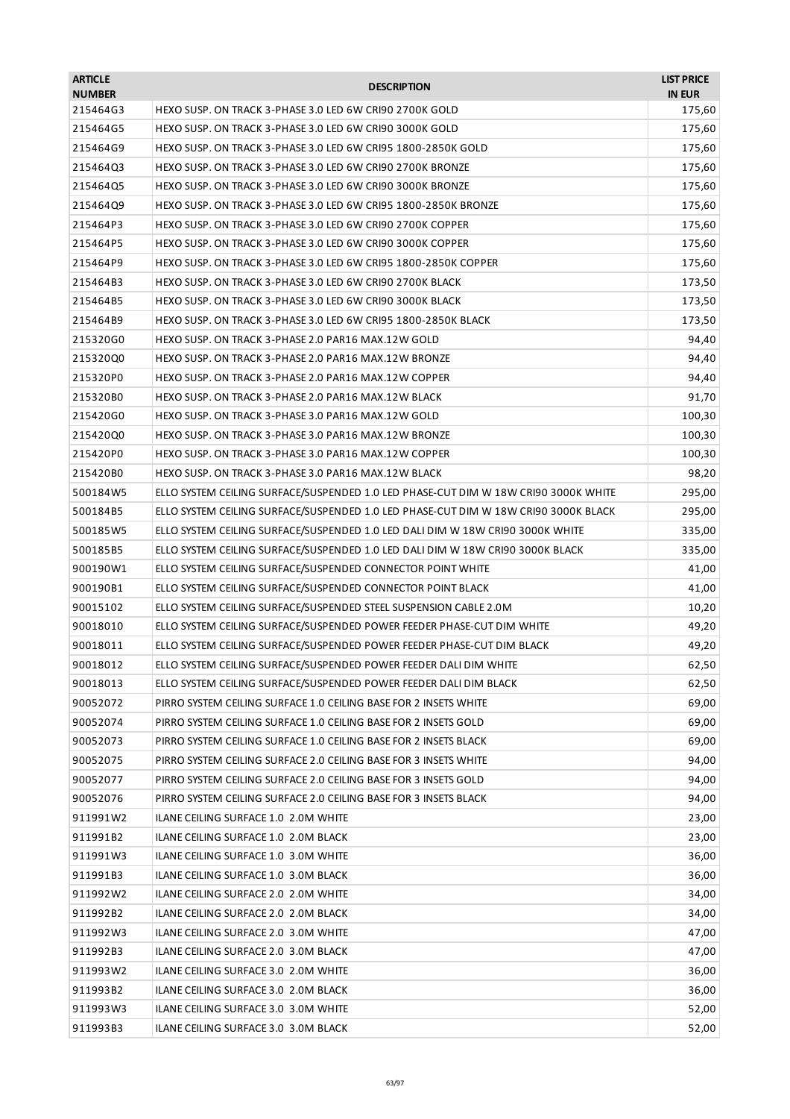| <b>ARTICLE</b><br><b>NUMBER</b> | <b>DESCRIPTION</b>                                                                  | <b>LIST PRICE</b><br><b>IN EUR</b> |
|---------------------------------|-------------------------------------------------------------------------------------|------------------------------------|
| 215464G3                        | HEXO SUSP. ON TRACK 3-PHASE 3.0 LED 6W CRI90 2700K GOLD                             | 175,60                             |
| 215464G5                        | HEXO SUSP. ON TRACK 3-PHASE 3.0 LED 6W CRI90 3000K GOLD                             | 175,60                             |
| 215464G9                        | HEXO SUSP. ON TRACK 3-PHASE 3.0 LED 6W CRI95 1800-2850K GOLD                        | 175,60                             |
| 215464Q3                        | HEXO SUSP. ON TRACK 3-PHASE 3.0 LED 6W CRI90 2700K BRONZE                           | 175,60                             |
| 215464Q5                        | HEXO SUSP. ON TRACK 3-PHASE 3.0 LED 6W CRI90 3000K BRONZE                           | 175,60                             |
| 215464Q9                        | HEXO SUSP. ON TRACK 3-PHASE 3.0 LED 6W CRI95 1800-2850K BRONZE                      | 175,60                             |
| 215464P3                        | HEXO SUSP. ON TRACK 3-PHASE 3.0 LED 6W CRI90 2700K COPPER                           | 175,60                             |
| 215464P5                        | HEXO SUSP. ON TRACK 3-PHASE 3.0 LED 6W CRI90 3000K COPPER                           | 175,60                             |
| 215464P9                        | HEXO SUSP. ON TRACK 3-PHASE 3.0 LED 6W CRI95 1800-2850K COPPER                      | 175,60                             |
| 215464B3                        | HEXO SUSP. ON TRACK 3-PHASE 3.0 LED 6W CRI90 2700K BLACK                            | 173,50                             |
| 215464B5                        | HEXO SUSP. ON TRACK 3-PHASE 3.0 LED 6W CRI90 3000K BLACK                            | 173,50                             |
| 215464B9                        | HEXO SUSP. ON TRACK 3-PHASE 3.0 LED 6W CRI95 1800-2850K BLACK                       | 173,50                             |
| 215320G0                        | HEXO SUSP. ON TRACK 3-PHASE 2.0 PAR16 MAX.12W GOLD                                  | 94,40                              |
| 215320Q0                        | HEXO SUSP. ON TRACK 3-PHASE 2.0 PAR16 MAX.12W BRONZE                                | 94,40                              |
| 215320P0                        | HEXO SUSP. ON TRACK 3-PHASE 2.0 PAR16 MAX.12W COPPER                                | 94,40                              |
| 215320B0                        | HEXO SUSP. ON TRACK 3-PHASE 2.0 PAR16 MAX.12W BLACK                                 | 91,70                              |
| 215420G0                        | HEXO SUSP. ON TRACK 3-PHASE 3.0 PAR16 MAX.12W GOLD                                  | 100,30                             |
| 215420Q0                        | HEXO SUSP. ON TRACK 3-PHASE 3.0 PAR16 MAX.12W BRONZE                                | 100,30                             |
| 215420P0                        | HEXO SUSP. ON TRACK 3-PHASE 3.0 PAR16 MAX.12W COPPER                                | 100,30                             |
| 215420B0                        | HEXO SUSP. ON TRACK 3-PHASE 3.0 PAR16 MAX.12W BLACK                                 | 98,20                              |
| 500184W5                        | ELLO SYSTEM CEILING SURFACE/SUSPENDED 1.0 LED PHASE-CUT DIM W 18W CRI90 3000K WHITE | 295,00                             |
| 500184B5                        | ELLO SYSTEM CEILING SURFACE/SUSPENDED 1.0 LED PHASE-CUT DIM W 18W CRI90 3000K BLACK | 295,00                             |
| 500185W5                        | ELLO SYSTEM CEILING SURFACE/SUSPENDED 1.0 LED DALI DIM W 18W CRI90 3000K WHITE      | 335,00                             |
| 500185B5                        | ELLO SYSTEM CEILING SURFACE/SUSPENDED 1.0 LED DALI DIM W 18W CRI90 3000K BLACK      | 335,00                             |
| 900190W1                        | ELLO SYSTEM CEILING SURFACE/SUSPENDED CONNECTOR POINT WHITE                         | 41,00                              |
| 900190B1                        | ELLO SYSTEM CEILING SURFACE/SUSPENDED CONNECTOR POINT BLACK                         | 41,00                              |
| 90015102                        | ELLO SYSTEM CEILING SURFACE/SUSPENDED STEEL SUSPENSION CABLE 2.0M                   | 10,20                              |
| 90018010                        | ELLO SYSTEM CEILING SURFACE/SUSPENDED POWER FEEDER PHASE-CUT DIM WHITE              | 49,20                              |
| 90018011                        | ELLO SYSTEM CEILING SURFACE/SUSPENDED POWER FEEDER PHASE-CUT DIM BLACK              | 49,20                              |
| 90018012                        | ELLO SYSTEM CEILING SURFACE/SUSPENDED POWER FEEDER DALI DIM WHITE                   | 62,50                              |
| 90018013                        | ELLO SYSTEM CEILING SURFACE/SUSPENDED POWER FEEDER DALI DIM BLACK                   | 62,50                              |
| 90052072                        | PIRRO SYSTEM CEILING SURFACE 1.0 CEILING BASE FOR 2 INSETS WHITE                    | 69,00                              |
|                                 | PIRRO SYSTEM CEILING SURFACE 1.0 CEILING BASE FOR 2 INSETS GOLD                     |                                    |
| 90052074                        | PIRRO SYSTEM CEILING SURFACE 1.0 CEILING BASE FOR 2 INSETS BLACK                    | 69,00                              |
| 90052073                        |                                                                                     | 69,00<br>94,00                     |
| 90052075                        | PIRRO SYSTEM CEILING SURFACE 2.0 CEILING BASE FOR 3 INSETS WHITE                    |                                    |
| 90052077<br>90052076            | PIRRO SYSTEM CEILING SURFACE 2.0 CEILING BASE FOR 3 INSETS GOLD                     | 94,00<br>94,00                     |
|                                 | PIRRO SYSTEM CEILING SURFACE 2.0 CEILING BASE FOR 3 INSETS BLACK                    |                                    |
| 911991W2                        | ILANE CEILING SURFACE 1.0 2.0M WHITE                                                | 23,00                              |
| 911991B2                        | ILANE CEILING SURFACE 1.0 2.0M BLACK                                                | 23,00                              |
| 911991W3                        | ILANE CEILING SURFACE 1.0 3.0M WHITE                                                | 36,00                              |
| 911991B3                        | ILANE CEILING SURFACE 1.0 3.0M BLACK                                                | 36,00                              |
| 911992W2                        | ILANE CEILING SURFACE 2.0 2.0M WHITE                                                | 34,00                              |
| 911992B2                        | ILANE CEILING SURFACE 2.0 2.0M BLACK                                                | 34,00                              |
| 911992W3                        | ILANE CEILING SURFACE 2.0 3.0M WHITE                                                | 47,00                              |
| 911992B3                        | ILANE CEILING SURFACE 2.0 3.0M BLACK                                                | 47,00                              |
| 911993W2                        | ILANE CEILING SURFACE 3.0 2.0M WHITE                                                | 36,00                              |
| 911993B2                        | ILANE CEILING SURFACE 3.0 2.0M BLACK                                                | 36,00                              |
| 911993W3                        | ILANE CEILING SURFACE 3.0 3.0M WHITE                                                | 52,00                              |
| 911993B3                        | ILANE CEILING SURFACE 3.0 3.0M BLACK                                                | 52,00                              |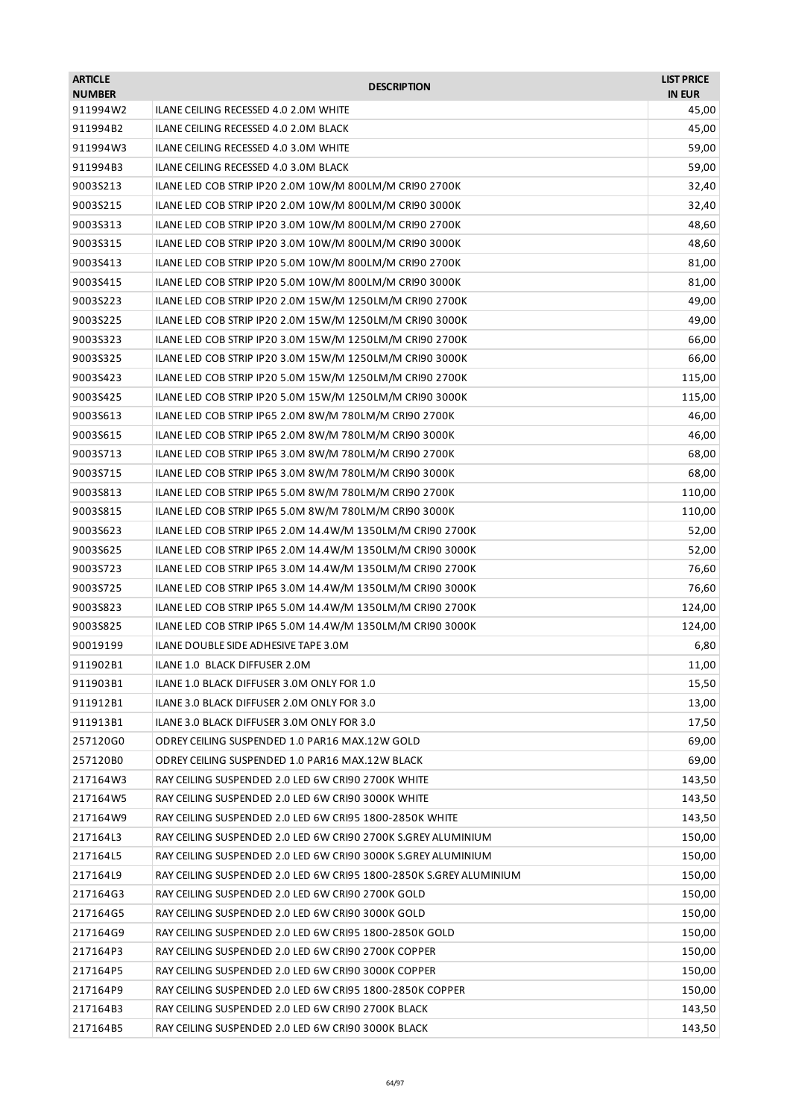| <b>ARTICLE</b><br><b>NUMBER</b> | <b>DESCRIPTION</b>                                                 | <b>LIST PRICE</b><br><b>IN EUR</b> |
|---------------------------------|--------------------------------------------------------------------|------------------------------------|
| 911994W2                        | ILANE CEILING RECESSED 4.0 2.0M WHITE                              | 45,00                              |
| 911994B2                        | ILANE CEILING RECESSED 4.0 2.0M BLACK                              | 45,00                              |
| 911994W3                        | ILANE CEILING RECESSED 4.0 3.0M WHITE                              | 59,00                              |
| 911994B3                        | ILANE CEILING RECESSED 4.0 3.0M BLACK                              | 59,00                              |
| 9003S213                        | ILANE LED COB STRIP IP20 2.0M 10W/M 800LM/M CRI90 2700K            | 32,40                              |
| 9003S215                        | ILANE LED COB STRIP IP20 2.0M 10W/M 800LM/M CRI90 3000K            | 32,40                              |
| 90035313                        | ILANE LED COB STRIP IP20 3.0M 10W/M 800LM/M CRI90 2700K            | 48,60                              |
| 9003S315                        | ILANE LED COB STRIP IP20 3.0M 10W/M 800LM/M CRI90 3000K            | 48,60                              |
| 9003S413                        | ILANE LED COB STRIP IP20 5.0M 10W/M 800LM/M CRI90 2700K            | 81,00                              |
| 9003S415                        | ILANE LED COB STRIP IP20 5.0M 10W/M 800LM/M CRI90 3000K            | 81,00                              |
| 9003S223                        | ILANE LED COB STRIP IP20 2.0M 15W/M 1250LM/M CRI90 2700K           | 49,00                              |
| 9003S225                        | ILANE LED COB STRIP IP20 2.0M 15W/M 1250LM/M CRI90 3000K           | 49,00                              |
| 9003S323                        | ILANE LED COB STRIP IP20 3.0M 15W/M 1250LM/M CRI90 2700K           | 66,00                              |
| 9003S325                        | ILANE LED COB STRIP IP20 3.0M 15W/M 1250LM/M CRI90 3000K           | 66,00                              |
| 9003S423                        | ILANE LED COB STRIP IP20 5.0M 15W/M 1250LM/M CRI90 2700K           | 115,00                             |
| 9003S425                        | ILANE LED COB STRIP IP20 5.0M 15W/M 1250LM/M CRI90 3000K           | 115,00                             |
| 90035613                        | ILANE LED COB STRIP IP65 2.0M 8W/M 780LM/M CRI90 2700K             | 46,00                              |
| 9003S615                        | ILANE LED COB STRIP IP65 2.0M 8W/M 780LM/M CRI90 3000K             | 46,00                              |
| 9003S713                        | ILANE LED COB STRIP IP65 3.0M 8W/M 780LM/M CRI90 2700K             | 68,00                              |
| 90035715                        | ILANE LED COB STRIP IP65 3.0M 8W/M 780LM/M CRI90 3000K             | 68,00                              |
| 90035813                        | ILANE LED COB STRIP IP65 5.0M 8W/M 780LM/M CRI90 2700K             | 110,00                             |
| 90035815                        | ILANE LED COB STRIP IP65 5.0M 8W/M 780LM/M CRI90 3000K             | 110,00                             |
| 90035623                        | ILANE LED COB STRIP IP65 2.0M 14.4W/M 1350LM/M CRI90 2700K         | 52,00                              |
| 90035625                        | ILANE LED COB STRIP IP65 2.0M 14.4W/M 1350LM/M CRI90 3000K         | 52,00                              |
| 90035723                        | ILANE LED COB STRIP IP65 3.0M 14.4W/M 1350LM/M CRI90 2700K         | 76,60                              |
| 90035725                        | ILANE LED COB STRIP IP65 3.0M 14.4W/M 1350LM/M CRI90 3000K         | 76,60                              |
| 9003S823                        | ILANE LED COB STRIP IP65 5.0M 14.4W/M 1350LM/M CRI90 2700K         | 124,00                             |
| 90035825                        | ILANE LED COB STRIP IP65 5.0M 14.4W/M 1350LM/M CRI90 3000K         | 124,00                             |
| 90019199                        | ILANE DOUBLE SIDE ADHESIVE TAPE 3.0M                               | 6,80                               |
| 911902B1                        | ILANE 1.0 BLACK DIFFUSER 2.0M                                      | 11,00                              |
| 911903B1                        | ILANE 1.0 BLACK DIFFUSER 3.0M ONLY FOR 1.0                         | 15,50                              |
| 911912B1                        | ILANE 3.0 BLACK DIFFUSER 2.0M ONLY FOR 3.0                         | 13,00                              |
| 911913B1                        | ILANE 3.0 BLACK DIFFUSER 3.0M ONLY FOR 3.0                         | 17,50                              |
| 257120G0                        | ODREY CEILING SUSPENDED 1.0 PAR16 MAX.12W GOLD                     | 69,00                              |
| 257120B0                        | ODREY CEILING SUSPENDED 1.0 PAR16 MAX.12W BLACK                    | 69,00                              |
| 217164W3                        | RAY CEILING SUSPENDED 2.0 LED 6W CRI90 2700K WHITE                 | 143,50                             |
| 217164W5                        | RAY CEILING SUSPENDED 2.0 LED 6W CRI90 3000K WHITE                 | 143,50                             |
| 217164W9                        | RAY CEILING SUSPENDED 2.0 LED 6W CRI95 1800-2850K WHITE            | 143,50                             |
| 217164L3                        | RAY CEILING SUSPENDED 2.0 LED 6W CRI90 2700K S.GREY ALUMINIUM      | 150,00                             |
| 217164L5                        | RAY CEILING SUSPENDED 2.0 LED 6W CRI90 3000K S.GREY ALUMINIUM      | 150,00                             |
| 217164L9                        | RAY CEILING SUSPENDED 2.0 LED 6W CRI95 1800-2850K S.GREY ALUMINIUM | 150,00                             |
| 217164G3                        | RAY CEILING SUSPENDED 2.0 LED 6W CRI90 2700K GOLD                  | 150,00                             |
| 217164G5                        | RAY CEILING SUSPENDED 2.0 LED 6W CRI90 3000K GOLD                  | 150,00                             |
| 217164G9                        | RAY CEILING SUSPENDED 2.0 LED 6W CRI95 1800-2850K GOLD             | 150,00                             |
| 217164P3                        | RAY CEILING SUSPENDED 2.0 LED 6W CRI90 2700K COPPER                | 150,00                             |
| 217164P5                        | RAY CEILING SUSPENDED 2.0 LED 6W CRI90 3000K COPPER                | 150,00                             |
| 217164P9                        | RAY CEILING SUSPENDED 2.0 LED 6W CRI95 1800-2850K COPPER           | 150,00                             |
| 217164B3                        | RAY CEILING SUSPENDED 2.0 LED 6W CRI90 2700K BLACK                 | 143,50                             |
| 217164B5                        | RAY CEILING SUSPENDED 2.0 LED 6W CRI90 3000K BLACK                 | 143,50                             |
|                                 |                                                                    |                                    |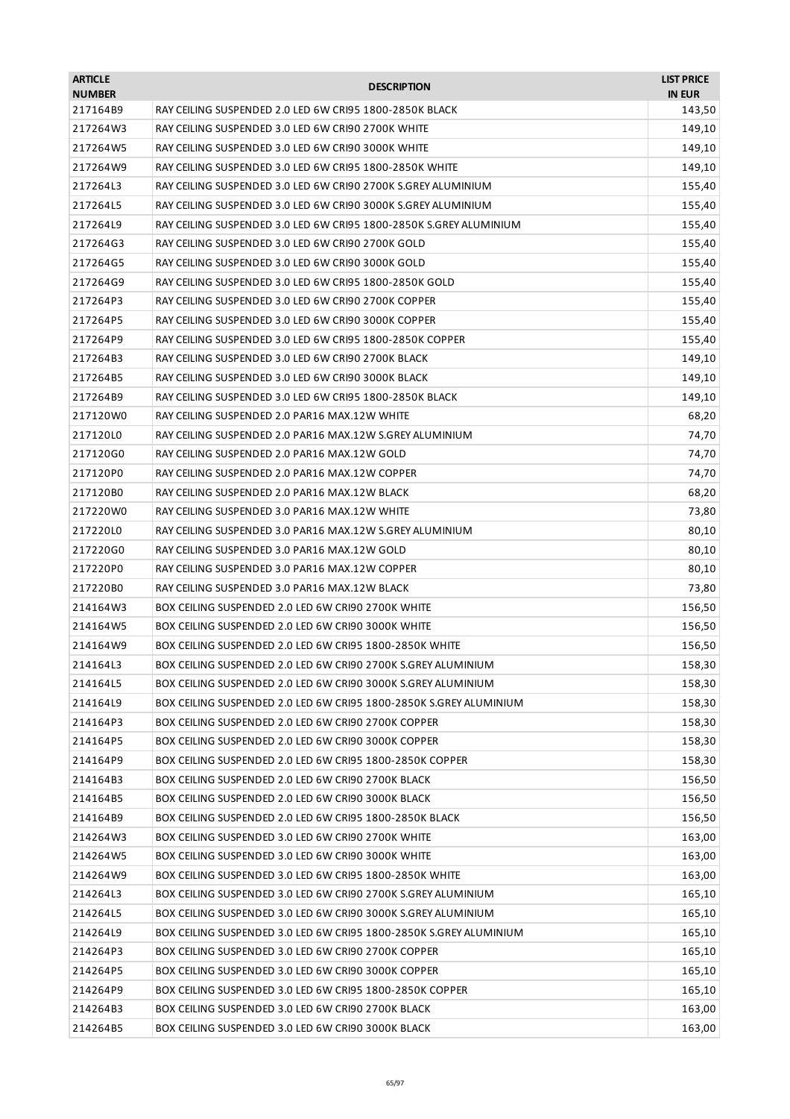| <b>ARTICLE</b><br><b>NUMBER</b> | <b>DESCRIPTION</b>                                                 | <b>LIST PRICE</b><br><b>IN EUR</b> |
|---------------------------------|--------------------------------------------------------------------|------------------------------------|
| 217164B9                        | RAY CEILING SUSPENDED 2.0 LED 6W CRI95 1800-2850K BLACK            | 143,50                             |
| 217264W3                        | RAY CEILING SUSPENDED 3.0 LED 6W CRI90 2700K WHITE                 | 149,10                             |
| 217264W5                        | RAY CEILING SUSPENDED 3.0 LED 6W CRI90 3000K WHITE                 | 149,10                             |
| 217264W9                        | RAY CEILING SUSPENDED 3.0 LED 6W CRI95 1800-2850K WHITE            | 149,10                             |
| 217264L3                        | RAY CEILING SUSPENDED 3.0 LED 6W CRI90 2700K S.GREY ALUMINIUM      | 155,40                             |
| 217264L5                        | RAY CEILING SUSPENDED 3.0 LED 6W CRI90 3000K S.GREY ALUMINIUM      | 155,40                             |
| 217264L9                        | RAY CEILING SUSPENDED 3.0 LED 6W CRI95 1800-2850K S.GREY ALUMINIUM | 155,40                             |
| 217264G3                        | RAY CEILING SUSPENDED 3.0 LED 6W CRI90 2700K GOLD                  | 155,40                             |
| 217264G5                        | RAY CEILING SUSPENDED 3.0 LED 6W CRI90 3000K GOLD                  | 155,40                             |
| 217264G9                        | RAY CEILING SUSPENDED 3.0 LED 6W CRI95 1800-2850K GOLD             | 155,40                             |
| 217264P3                        | RAY CEILING SUSPENDED 3.0 LED 6W CRI90 2700K COPPER                | 155,40                             |
| 217264P5                        | RAY CEILING SUSPENDED 3.0 LED 6W CRI90 3000K COPPER                | 155,40                             |
| 217264P9                        | RAY CEILING SUSPENDED 3.0 LED 6W CRI95 1800-2850K COPPER           | 155,40                             |
| 217264B3                        | RAY CEILING SUSPENDED 3.0 LED 6W CRI90 2700K BLACK                 | 149,10                             |
| 217264B5                        | RAY CEILING SUSPENDED 3.0 LED 6W CRI90 3000K BLACK                 | 149,10                             |
| 217264B9                        | RAY CEILING SUSPENDED 3.0 LED 6W CRI95 1800-2850K BLACK            | 149,10                             |
| 217120W0                        | RAY CEILING SUSPENDED 2.0 PAR16 MAX.12W WHITE                      | 68,20                              |
| 217120L0                        | RAY CEILING SUSPENDED 2.0 PAR16 MAX.12W S.GREY ALUMINIUM           | 74,70                              |
| 217120G0                        | RAY CEILING SUSPENDED 2.0 PAR16 MAX.12W GOLD                       | 74,70                              |
| 217120P0                        | RAY CEILING SUSPENDED 2.0 PAR16 MAX.12W COPPER                     | 74,70                              |
| 217120B0                        | RAY CEILING SUSPENDED 2.0 PAR16 MAX.12W BLACK                      | 68,20                              |
| 217220W0                        | RAY CEILING SUSPENDED 3.0 PAR16 MAX.12W WHITE                      | 73,80                              |
| 217220L0                        | RAY CEILING SUSPENDED 3.0 PAR16 MAX.12W S.GREY ALUMINIUM           | 80,10                              |
| 217220G0                        | RAY CEILING SUSPENDED 3.0 PAR16 MAX.12W GOLD                       | 80,10                              |
| 217220P0                        | RAY CEILING SUSPENDED 3.0 PAR16 MAX.12W COPPER                     | 80,10                              |
| 217220B0                        | RAY CEILING SUSPENDED 3.0 PAR16 MAX.12W BLACK                      | 73,80                              |
| 214164W3                        | BOX CEILING SUSPENDED 2.0 LED 6W CRI90 2700K WHITE                 | 156,50                             |
| 214164W5                        | BOX CEILING SUSPENDED 2.0 LED 6W CRI90 3000K WHITE                 | 156,50                             |
| 214164W9                        | BOX CEILING SUSPENDED 2.0 LED 6W CRI95 1800-2850K WHITE            | 156,50                             |
| 214164L3                        | BOX CEILING SUSPENDED 2.0 LED 6W CRI90 2700K S.GREY ALUMINIUM      | 158,30                             |
| 214164L5                        | BOX CEILING SUSPENDED 2.0 LED 6W CRI90 3000K S.GREY ALUMINIUM      | 158,30                             |
| 214164L9                        | BOX CEILING SUSPENDED 2.0 LED 6W CRI95 1800-2850K S.GREY ALUMINIUM | 158,30                             |
| 214164P3                        | BOX CEILING SUSPENDED 2.0 LED 6W CRI90 2700K COPPER                | 158,30                             |
| 214164P5                        | BOX CEILING SUSPENDED 2.0 LED 6W CRI90 3000K COPPER                | 158,30                             |
| 214164P9                        | BOX CEILING SUSPENDED 2.0 LED 6W CRI95 1800-2850K COPPER           | 158,30                             |
| 214164B3                        | BOX CEILING SUSPENDED 2.0 LED 6W CRI90 2700K BLACK                 | 156,50                             |
| 214164B5                        | BOX CEILING SUSPENDED 2.0 LED 6W CRI90 3000K BLACK                 | 156,50                             |
| 214164B9                        | BOX CEILING SUSPENDED 2.0 LED 6W CRI95 1800-2850K BLACK            | 156,50                             |
| 214264W3                        | BOX CEILING SUSPENDED 3.0 LED 6W CRI90 2700K WHITE                 | 163,00                             |
| 214264W5                        | BOX CEILING SUSPENDED 3.0 LED 6W CRI90 3000K WHITE                 | 163,00                             |
| 214264W9                        | BOX CEILING SUSPENDED 3.0 LED 6W CRI95 1800-2850K WHITE            | 163,00                             |
| 214264L3                        | BOX CEILING SUSPENDED 3.0 LED 6W CRI90 2700K S.GREY ALUMINIUM      | 165,10                             |
| 214264L5                        | BOX CEILING SUSPENDED 3.0 LED 6W CRI90 3000K S.GREY ALUMINIUM      | 165,10                             |
| 214264L9                        | BOX CEILING SUSPENDED 3.0 LED 6W CRI95 1800-2850K S.GREY ALUMINIUM | 165,10                             |
| 214264P3                        | BOX CEILING SUSPENDED 3.0 LED 6W CRI90 2700K COPPER                | 165,10                             |
| 214264P5                        | BOX CEILING SUSPENDED 3.0 LED 6W CRI90 3000K COPPER                | 165,10                             |
| 214264P9                        | BOX CEILING SUSPENDED 3.0 LED 6W CRI95 1800-2850K COPPER           | 165,10                             |
| 214264B3                        | BOX CEILING SUSPENDED 3.0 LED 6W CRI90 2700K BLACK                 | 163,00                             |
| 214264B5                        | BOX CEILING SUSPENDED 3.0 LED 6W CRI90 3000K BLACK                 | 163,00                             |
|                                 |                                                                    |                                    |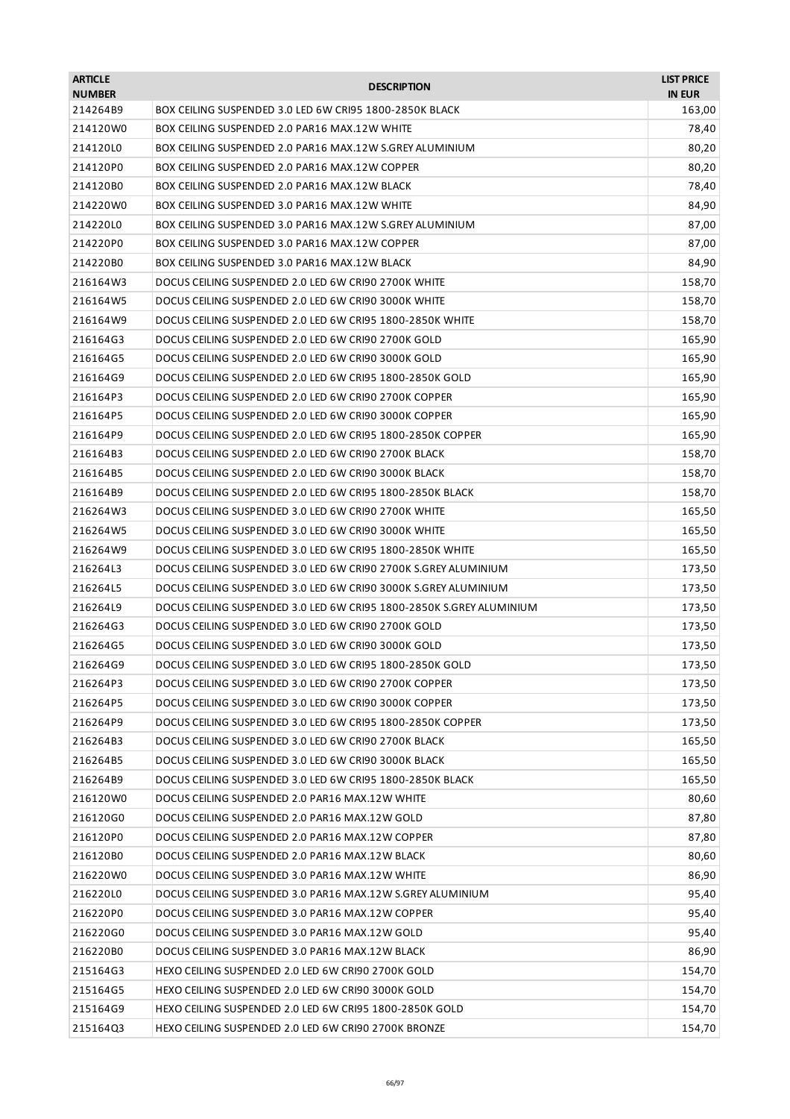| <b>ARTICLE</b><br><b>NUMBER</b> | <b>DESCRIPTION</b>                                                   | <b>LIST PRICE</b><br><b>IN EUR</b> |
|---------------------------------|----------------------------------------------------------------------|------------------------------------|
| 214264B9                        | BOX CEILING SUSPENDED 3.0 LED 6W CRI95 1800-2850K BLACK              | 163,00                             |
| 214120W0                        | BOX CEILING SUSPENDED 2.0 PAR16 MAX.12W WHITE                        | 78,40                              |
| 214120L0                        | BOX CEILING SUSPENDED 2.0 PAR16 MAX.12W S.GREY ALUMINIUM             | 80,20                              |
| 214120P0                        | BOX CEILING SUSPENDED 2.0 PAR16 MAX.12W COPPER                       | 80,20                              |
| 214120B0                        | BOX CEILING SUSPENDED 2.0 PAR16 MAX.12W BLACK                        | 78,40                              |
| 214220W0                        | BOX CEILING SUSPENDED 3.0 PAR16 MAX.12W WHITE                        | 84,90                              |
| 214220L0                        | BOX CEILING SUSPENDED 3.0 PAR16 MAX.12W S.GREY ALUMINIUM             | 87,00                              |
| 214220P0                        | BOX CEILING SUSPENDED 3.0 PAR16 MAX.12W COPPER                       | 87,00                              |
| 214220B0                        | BOX CEILING SUSPENDED 3.0 PAR16 MAX.12W BLACK                        | 84,90                              |
| 216164W3                        | DOCUS CEILING SUSPENDED 2.0 LED 6W CRI90 2700K WHITE                 | 158,70                             |
| 216164W5                        | DOCUS CEILING SUSPENDED 2.0 LED 6W CRI90 3000K WHITE                 | 158,70                             |
| 216164W9                        | DOCUS CEILING SUSPENDED 2.0 LED 6W CRI95 1800-2850K WHITE            | 158,70                             |
| 216164G3                        | DOCUS CEILING SUSPENDED 2.0 LED 6W CRI90 2700K GOLD                  | 165,90                             |
| 216164G5                        | DOCUS CEILING SUSPENDED 2.0 LED 6W CRI90 3000K GOLD                  | 165,90                             |
| 216164G9                        | DOCUS CEILING SUSPENDED 2.0 LED 6W CRI95 1800-2850K GOLD             | 165,90                             |
| 216164P3                        | DOCUS CEILING SUSPENDED 2.0 LED 6W CRI90 2700K COPPER                | 165,90                             |
| 216164P5                        | DOCUS CEILING SUSPENDED 2.0 LED 6W CRI90 3000K COPPER                | 165,90                             |
| 216164P9                        | DOCUS CEILING SUSPENDED 2.0 LED 6W CRI95 1800-2850K COPPER           | 165,90                             |
| 216164B3                        | DOCUS CEILING SUSPENDED 2.0 LED 6W CRI90 2700K BLACK                 | 158,70                             |
| 216164B5                        | DOCUS CEILING SUSPENDED 2.0 LED 6W CRI90 3000K BLACK                 | 158,70                             |
| 216164B9                        | DOCUS CEILING SUSPENDED 2.0 LED 6W CRI95 1800-2850K BLACK            | 158,70                             |
| 216264W3                        | DOCUS CEILING SUSPENDED 3.0 LED 6W CRI90 2700K WHITE                 | 165,50                             |
| 216264W5                        | DOCUS CEILING SUSPENDED 3.0 LED 6W CRI90 3000K WHITE                 | 165,50                             |
| 216264W9                        | DOCUS CEILING SUSPENDED 3.0 LED 6W CRI95 1800-2850K WHITE            | 165,50                             |
| 216264L3                        | DOCUS CEILING SUSPENDED 3.0 LED 6W CRI90 2700K S.GREY ALUMINIUM      | 173,50                             |
| 216264L5                        | DOCUS CEILING SUSPENDED 3.0 LED 6W CRI90 3000K S.GREY ALUMINIUM      | 173,50                             |
| 216264L9                        | DOCUS CEILING SUSPENDED 3.0 LED 6W CRI95 1800-2850K S.GREY ALUMINIUM | 173,50                             |
| 216264G3                        | DOCUS CEILING SUSPENDED 3.0 LED 6W CRI90 2700K GOLD                  | 173,50                             |
| 216264G5                        | DOCUS CEILING SUSPENDED 3.0 LED 6W CRI90 3000K GOLD                  | 173,50                             |
| 216264G9                        | DOCUS CEILING SUSPENDED 3.0 LED 6W CRI95 1800-2850K GOLD             | 173,50                             |
| 216264P3                        | DOCUS CEILING SUSPENDED 3.0 LED 6W CRI90 2700K COPPER                | 173,50                             |
| 216264P5                        | DOCUS CEILING SUSPENDED 3.0 LED 6W CRI90 3000K COPPER                | 173,50                             |
| 216264P9                        | DOCUS CEILING SUSPENDED 3.0 LED 6W CRI95 1800-2850K COPPER           | 173,50                             |
| 216264B3                        | DOCUS CEILING SUSPENDED 3.0 LED 6W CRI90 2700K BLACK                 | 165,50                             |
| 216264B5                        | DOCUS CEILING SUSPENDED 3.0 LED 6W CRI90 3000K BLACK                 | 165,50                             |
| 216264B9                        | DOCUS CEILING SUSPENDED 3.0 LED 6W CRI95 1800-2850K BLACK            | 165,50                             |
| 216120W0                        | DOCUS CEILING SUSPENDED 2.0 PAR16 MAX.12W WHITE                      | 80,60                              |
| 216120G0                        | DOCUS CEILING SUSPENDED 2.0 PAR16 MAX.12W GOLD                       | 87,80                              |
| 216120P0                        | DOCUS CEILING SUSPENDED 2.0 PAR16 MAX.12W COPPER                     | 87,80                              |
| 216120B0                        | DOCUS CEILING SUSPENDED 2.0 PAR16 MAX.12W BLACK                      | 80,60                              |
| 216220W0                        | DOCUS CEILING SUSPENDED 3.0 PAR16 MAX.12W WHITE                      | 86,90                              |
| 216220L0                        | DOCUS CEILING SUSPENDED 3.0 PAR16 MAX.12W S.GREY ALUMINIUM           | 95,40                              |
| 216220P0                        | DOCUS CEILING SUSPENDED 3.0 PAR16 MAX.12W COPPER                     | 95,40                              |
| 216220G0                        | DOCUS CEILING SUSPENDED 3.0 PAR16 MAX.12W GOLD                       | 95,40                              |
| 216220B0                        | DOCUS CEILING SUSPENDED 3.0 PAR16 MAX.12W BLACK                      | 86,90                              |
| 215164G3                        | HEXO CEILING SUSPENDED 2.0 LED 6W CRI90 2700K GOLD                   | 154,70                             |
| 215164G5                        | HEXO CEILING SUSPENDED 2.0 LED 6W CRI90 3000K GOLD                   | 154,70                             |
| 215164G9                        | HEXO CEILING SUSPENDED 2.0 LED 6W CRI95 1800-2850K GOLD              | 154,70                             |
| 215164Q3                        | HEXO CEILING SUSPENDED 2.0 LED 6W CRI90 2700K BRONZE                 | 154,70                             |
|                                 |                                                                      |                                    |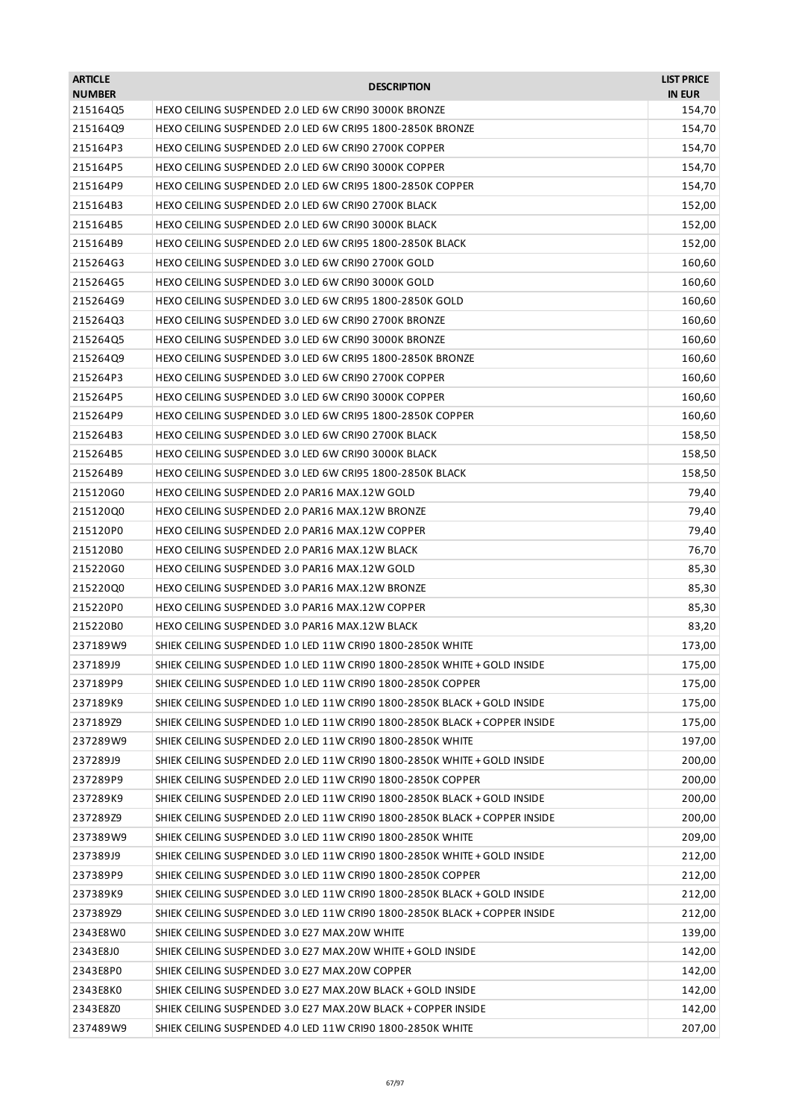| <b>ARTICLE</b><br><b>NUMBER</b> | <b>DESCRIPTION</b>                                                                                            | <b>LIST PRICE</b><br><b>IN EUR</b> |
|---------------------------------|---------------------------------------------------------------------------------------------------------------|------------------------------------|
| 215164Q5                        | HEXO CEILING SUSPENDED 2.0 LED 6W CRI90 3000K BRONZE                                                          | 154,70                             |
| 215164Q9                        | HEXO CEILING SUSPENDED 2.0 LED 6W CRI95 1800-2850K BRONZE                                                     | 154,70                             |
| 215164P3                        | HEXO CEILING SUSPENDED 2.0 LED 6W CRI90 2700K COPPER                                                          | 154,70                             |
| 215164P5                        | HEXO CEILING SUSPENDED 2.0 LED 6W CRI90 3000K COPPER                                                          | 154,70                             |
| 215164P9                        | HEXO CEILING SUSPENDED 2.0 LED 6W CRI95 1800-2850K COPPER                                                     | 154,70                             |
| 215164B3                        | HEXO CEILING SUSPENDED 2.0 LED 6W CRI90 2700K BLACK                                                           | 152,00                             |
| 215164B5                        | HEXO CEILING SUSPENDED 2.0 LED 6W CRI90 3000K BLACK                                                           | 152,00                             |
| 215164B9                        | HEXO CEILING SUSPENDED 2.0 LED 6W CRI95 1800-2850K BLACK                                                      | 152,00                             |
| 215264G3                        | HEXO CEILING SUSPENDED 3.0 LED 6W CRI90 2700K GOLD                                                            | 160,60                             |
| 215264G5                        | HEXO CEILING SUSPENDED 3.0 LED 6W CRI90 3000K GOLD                                                            | 160,60                             |
| 215264G9                        | HEXO CEILING SUSPENDED 3.0 LED 6W CRI95 1800-2850K GOLD                                                       | 160,60                             |
| 215264Q3                        | HEXO CEILING SUSPENDED 3.0 LED 6W CRI90 2700K BRONZE                                                          | 160,60                             |
| 215264Q5                        | HEXO CEILING SUSPENDED 3.0 LED 6W CRI90 3000K BRONZE                                                          | 160,60                             |
| 21526409                        | HEXO CEILING SUSPENDED 3.0 LED 6W CRI95 1800-2850K BRONZE                                                     | 160,60                             |
| 215264P3                        | HEXO CEILING SUSPENDED 3.0 LED 6W CRI90 2700K COPPER                                                          | 160,60                             |
| 215264P5                        | HEXO CEILING SUSPENDED 3.0 LED 6W CRI90 3000K COPPER                                                          | 160,60                             |
| 215264P9                        | HEXO CEILING SUSPENDED 3.0 LED 6W CRI95 1800-2850K COPPER                                                     | 160,60                             |
| 215264B3                        | HEXO CEILING SUSPENDED 3.0 LED 6W CRI90 2700K BLACK                                                           | 158,50                             |
| 215264B5                        | HEXO CEILING SUSPENDED 3.0 LED 6W CRI90 3000K BLACK                                                           | 158,50                             |
| 215264B9                        | HEXO CEILING SUSPENDED 3.0 LED 6W CRI95 1800-2850K BLACK                                                      | 158,50                             |
| 215120G0                        | HEXO CEILING SUSPENDED 2.0 PAR16 MAX.12W GOLD                                                                 | 79,40                              |
| 215120Q0                        | HEXO CEILING SUSPENDED 2.0 PAR16 MAX.12W BRONZE                                                               | 79,40                              |
| 215120P0                        | HEXO CEILING SUSPENDED 2.0 PAR16 MAX.12W COPPER                                                               | 79,40                              |
| 215120B0                        | HEXO CEILING SUSPENDED 2.0 PAR16 MAX.12W BLACK                                                                | 76,70                              |
| 215220G0                        | HEXO CEILING SUSPENDED 3.0 PAR16 MAX.12W GOLD                                                                 | 85,30                              |
| 215220Q0                        | HEXO CEILING SUSPENDED 3.0 PAR16 MAX.12W BRONZE                                                               | 85,30                              |
| 215220P0                        | HEXO CEILING SUSPENDED 3.0 PAR16 MAX.12W COPPER                                                               | 85,30                              |
| 215220B0                        | HEXO CEILING SUSPENDED 3.0 PAR16 MAX.12W BLACK                                                                | 83,20                              |
| 237189W9                        | SHIEK CEILING SUSPENDED 1.0 LED 11W CRI90 1800-2850K WHITE                                                    | 173,00                             |
| 237189J9                        | SHIEK CEILING SUSPENDED 1.0 LED 11W CRI90 1800-2850K WHITE + GOLD INSIDE                                      | 175,00                             |
| 237189P9                        | SHIEK CEILING SUSPENDED 1.0 LED 11W CRI90 1800-2850K COPPER                                                   | 175,00                             |
| 237189K9                        | SHIEK CEILING SUSPENDED 1.0 LED 11W CRI90 1800-2850K BLACK + GOLD INSIDE                                      | 175,00                             |
| 237189Z9                        | SHIEK CEILING SUSPENDED 1.0 LED 11W CRI90 1800-2850K BLACK + COPPER INSIDE                                    | 175,00                             |
| 237289W9                        | SHIEK CEILING SUSPENDED 2.0 LED 11W CRI90 1800-2850K WHITE                                                    | 197,00                             |
| 237289J9                        | SHIEK CEILING SUSPENDED 2.0 LED 11W CRI90 1800-2850K WHITE + GOLD INSIDE                                      | 200,00                             |
| 237289P9                        | SHIEK CEILING SUSPENDED 2.0 LED 11W CRI90 1800-2850K COPPER                                                   | 200,00                             |
| 237289K9                        | SHIEK CEILING SUSPENDED 2.0 LED 11W CRI90 1800-2850K BLACK + GOLD INSIDE                                      | 200,00                             |
| 237289Z9                        | SHIEK CEILING SUSPENDED 2.0 LED 11W CRI90 1800-2850K BLACK + COPPER INSIDE                                    | 200,00                             |
| 237389W9                        | SHIEK CEILING SUSPENDED 3.0 LED 11W CRI90 1800-2850K WHITE                                                    | 209,00                             |
| 237389J9                        | SHIEK CEILING SUSPENDED 3.0 LED 11W CRI90 1800-2850K WHITE + GOLD INSIDE                                      | 212,00                             |
| 237389P9                        | SHIEK CEILING SUSPENDED 3.0 LED 11W CRI90 1800-2850K COPPER                                                   | 212,00                             |
| 237389K9                        | SHIEK CEILING SUSPENDED 3.0 LED 11W CRI90 1800-2850K BLACK + GOLD INSIDE                                      | 212,00                             |
| 237389Z9                        | SHIEK CEILING SUSPENDED 3.0 LED 11W CRI90 1800-2850K BLACK + COPPER INSIDE                                    | 212,00                             |
| 2343E8W0                        | SHIEK CEILING SUSPENDED 3.0 E27 MAX.20W WHITE                                                                 | 139,00                             |
| 2343E8J0                        | SHIEK CEILING SUSPENDED 3.0 E27 MAX.20W WHITE + GOLD INSIDE                                                   | 142,00                             |
|                                 |                                                                                                               |                                    |
| 2343E8P0                        | SHIEK CEILING SUSPENDED 3.0 E27 MAX.20W COPPER<br>SHIEK CEILING SUSPENDED 3.0 E27 MAX.20W BLACK + GOLD INSIDE | 142,00                             |
| 2343E8K0                        |                                                                                                               | 142,00                             |
| 2343E8Z0                        | SHIEK CEILING SUSPENDED 3.0 E27 MAX.20W BLACK + COPPER INSIDE                                                 | 142,00                             |
| 237489W9                        | SHIEK CEILING SUSPENDED 4.0 LED 11W CRI90 1800-2850K WHITE                                                    | 207,00                             |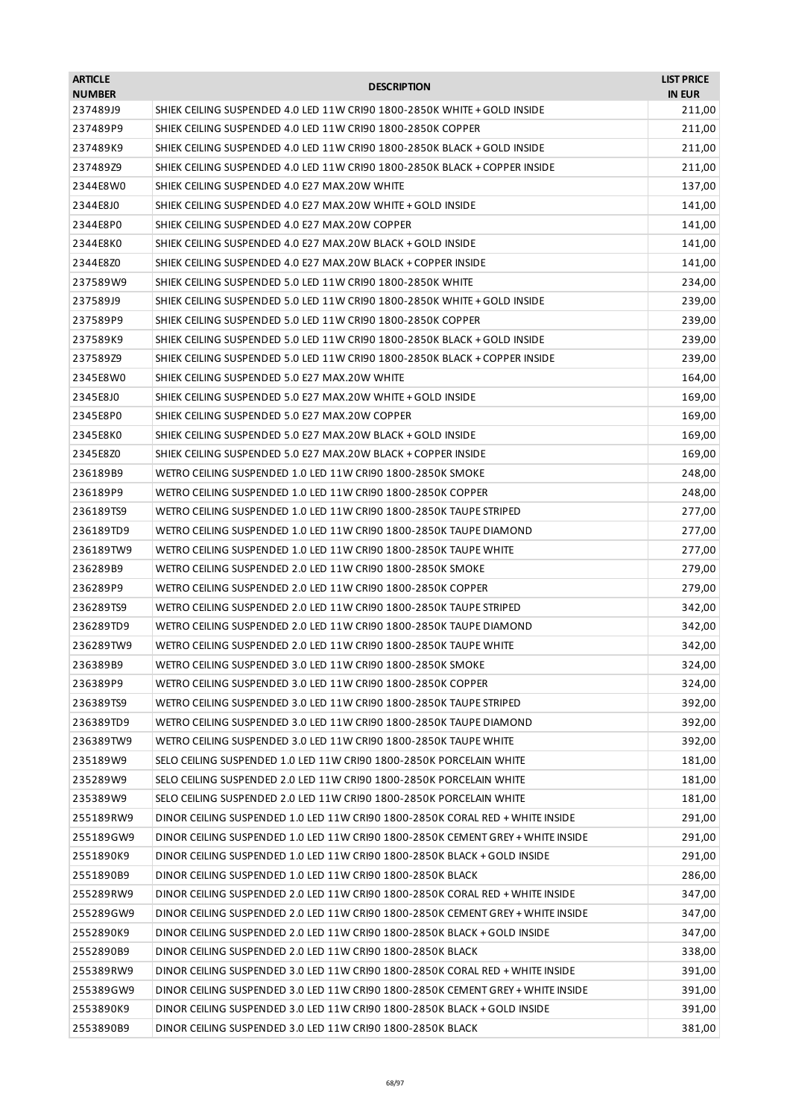| <b>ARTICLE</b><br><b>NUMBER</b> | <b>DESCRIPTION</b>                                                              | <b>LIST PRICE</b><br><b>IN EUR</b> |
|---------------------------------|---------------------------------------------------------------------------------|------------------------------------|
| 237489J9                        | SHIEK CEILING SUSPENDED 4.0 LED 11W CRI90 1800-2850K WHITE + GOLD INSIDE        | 211,00                             |
| 237489P9                        | SHIEK CEILING SUSPENDED 4.0 LED 11W CRI90 1800-2850K COPPER                     | 211,00                             |
| 237489K9                        | SHIEK CEILING SUSPENDED 4.0 LED 11W CRI90 1800-2850K BLACK + GOLD INSIDE        | 211,00                             |
| 237489Z9                        | SHIEK CEILING SUSPENDED 4.0 LED 11W CRI90 1800-2850K BLACK + COPPER INSIDE      | 211,00                             |
| 2344E8W0                        | SHIEK CEILING SUSPENDED 4.0 E27 MAX.20W WHITE                                   | 137,00                             |
| 2344E8J0                        | SHIEK CEILING SUSPENDED 4.0 E27 MAX.20W WHITE + GOLD INSIDE                     | 141,00                             |
| 2344E8P0                        | SHIEK CEILING SUSPENDED 4.0 E27 MAX.20W COPPER                                  | 141,00                             |
| 2344E8K0                        | SHIEK CEILING SUSPENDED 4.0 E27 MAX.20W BLACK + GOLD INSIDE                     | 141,00                             |
| 2344E8Z0                        | SHIEK CEILING SUSPENDED 4.0 E27 MAX.20W BLACK + COPPER INSIDE                   | 141,00                             |
| 237589W9                        | SHIEK CEILING SUSPENDED 5.0 LED 11W CRI90 1800-2850K WHITE                      | 234,00                             |
| 237589J9                        | SHIEK CEILING SUSPENDED 5.0 LED 11W CRI90 1800-2850K WHITE + GOLD INSIDE        | 239,00                             |
| 237589P9                        | SHIEK CEILING SUSPENDED 5.0 LED 11W CRI90 1800-2850K COPPER                     | 239,00                             |
| 237589K9                        | SHIEK CEILING SUSPENDED 5.0 LED 11W CRI90 1800-2850K BLACK + GOLD INSIDE        | 239,00                             |
| 237589Z9                        | SHIEK CEILING SUSPENDED 5.0 LED 11W CRI90 1800-2850K BLACK + COPPER INSIDE      | 239,00                             |
| 2345E8W0                        | SHIEK CEILING SUSPENDED 5.0 E27 MAX.20W WHITE                                   | 164,00                             |
| 2345E8J0                        | SHIEK CEILING SUSPENDED 5.0 E27 MAX.20W WHITE + GOLD INSIDE                     | 169,00                             |
| 2345E8P0                        | SHIEK CEILING SUSPENDED 5.0 E27 MAX.20W COPPER                                  | 169,00                             |
| 2345E8K0                        | SHIEK CEILING SUSPENDED 5.0 E27 MAX.20W BLACK + GOLD INSIDE                     | 169,00                             |
| 2345E8Z0                        | SHIEK CEILING SUSPENDED 5.0 E27 MAX.20W BLACK + COPPER INSIDE                   | 169,00                             |
| 236189B9                        | WETRO CEILING SUSPENDED 1.0 LED 11W CRI90 1800-2850K SMOKE                      | 248,00                             |
| 236189P9                        | WETRO CEILING SUSPENDED 1.0 LED 11W CRI90 1800-2850K COPPER                     | 248,00                             |
| 236189TS9                       | WETRO CEILING SUSPENDED 1.0 LED 11W CRI90 1800-2850K TAUPE STRIPED              | 277,00                             |
| 236189TD9                       | WETRO CEILING SUSPENDED 1.0 LED 11W CRI90 1800-2850K TAUPE DIAMOND              | 277,00                             |
| 236189TW9                       | WETRO CEILING SUSPENDED 1.0 LED 11W CRI90 1800-2850K TAUPE WHITE                | 277,00                             |
| 236289B9                        | WETRO CEILING SUSPENDED 2.0 LED 11W CRI90 1800-2850K SMOKE                      | 279,00                             |
| 236289P9                        | WETRO CEILING SUSPENDED 2.0 LED 11W CRI90 1800-2850K COPPER                     | 279,00                             |
| 236289TS9                       | WETRO CEILING SUSPENDED 2.0 LED 11W CRI90 1800-2850K TAUPE STRIPED              | 342,00                             |
| 236289TD9                       | WETRO CEILING SUSPENDED 2.0 LED 11W CRI90 1800-2850K TAUPE DIAMOND              | 342,00                             |
| 236289TW9                       | WETRO CEILING SUSPENDED 2.0 LED 11W CRI90 1800-2850K TAUPE WHITE                | 342,00                             |
| 236389B9                        | WETRO CEILING SUSPENDED 3.0 LED 11W CRI90 1800-2850K SMOKE                      | 324,00                             |
| 236389P9                        | WETRO CEILING SUSPENDED 3.0 LED 11W CRI90 1800-2850K COPPER                     | 324,00                             |
| 236389TS9                       | WETRO CEILING SUSPENDED 3.0 LED 11W CRI90 1800-2850K TAUPE STRIPED              | 392,00                             |
| 236389TD9                       | WETRO CEILING SUSPENDED 3.0 LED 11W CRI90 1800-2850K TAUPE DIAMOND              | 392,00                             |
| 236389TW9                       | WETRO CEILING SUSPENDED 3.0 LED 11W CRI90 1800-2850K TAUPE WHITE                | 392,00                             |
| 235189W9                        | SELO CEILING SUSPENDED 1.0 LED 11W CRI90 1800-2850K PORCELAIN WHITE             | 181,00                             |
| 235289W9                        | SELO CEILING SUSPENDED 2.0 LED 11W CRI90 1800-2850K PORCELAIN WHITE             | 181,00                             |
| 235389W9                        | SELO CEILING SUSPENDED 2.0 LED 11W CRI90 1800-2850K PORCELAIN WHITE             | 181,00                             |
| 255189RW9                       | DINOR CEILING SUSPENDED 1.0 LED 11W CRI90 1800-2850K CORAL RED + WHITE INSIDE   | 291,00                             |
| 255189GW9                       | DINOR CEILING SUSPENDED 1.0 LED 11W CRI90 1800-2850K CEMENT GREY + WHITE INSIDE | 291,00                             |
| 2551890K9                       | DINOR CEILING SUSPENDED 1.0 LED 11W CRI90 1800-2850K BLACK + GOLD INSIDE        | 291,00                             |
| 2551890B9                       | DINOR CEILING SUSPENDED 1.0 LED 11W CRI90 1800-2850K BLACK                      | 286,00                             |
| 255289RW9                       | DINOR CEILING SUSPENDED 2.0 LED 11W CRI90 1800-2850K CORAL RED + WHITE INSIDE   | 347,00                             |
| 255289GW9                       | DINOR CEILING SUSPENDED 2.0 LED 11W CRI90 1800-2850K CEMENT GREY + WHITE INSIDE | 347,00                             |
| 2552890K9                       | DINOR CEILING SUSPENDED 2.0 LED 11W CRI90 1800-2850K BLACK + GOLD INSIDE        | 347,00                             |
| 2552890B9                       | DINOR CEILING SUSPENDED 2.0 LED 11W CRI90 1800-2850K BLACK                      | 338,00                             |
| 255389RW9                       | DINOR CEILING SUSPENDED 3.0 LED 11W CRI90 1800-2850K CORAL RED + WHITE INSIDE   | 391,00                             |
| 255389GW9                       | DINOR CEILING SUSPENDED 3.0 LED 11W CRI90 1800-2850K CEMENT GREY + WHITE INSIDE | 391,00                             |
| 2553890K9                       | DINOR CEILING SUSPENDED 3.0 LED 11W CRI90 1800-2850K BLACK + GOLD INSIDE        | 391,00                             |
| 2553890B9                       | DINOR CEILING SUSPENDED 3.0 LED 11W CRI90 1800-2850K BLACK                      | 381,00                             |
|                                 |                                                                                 |                                    |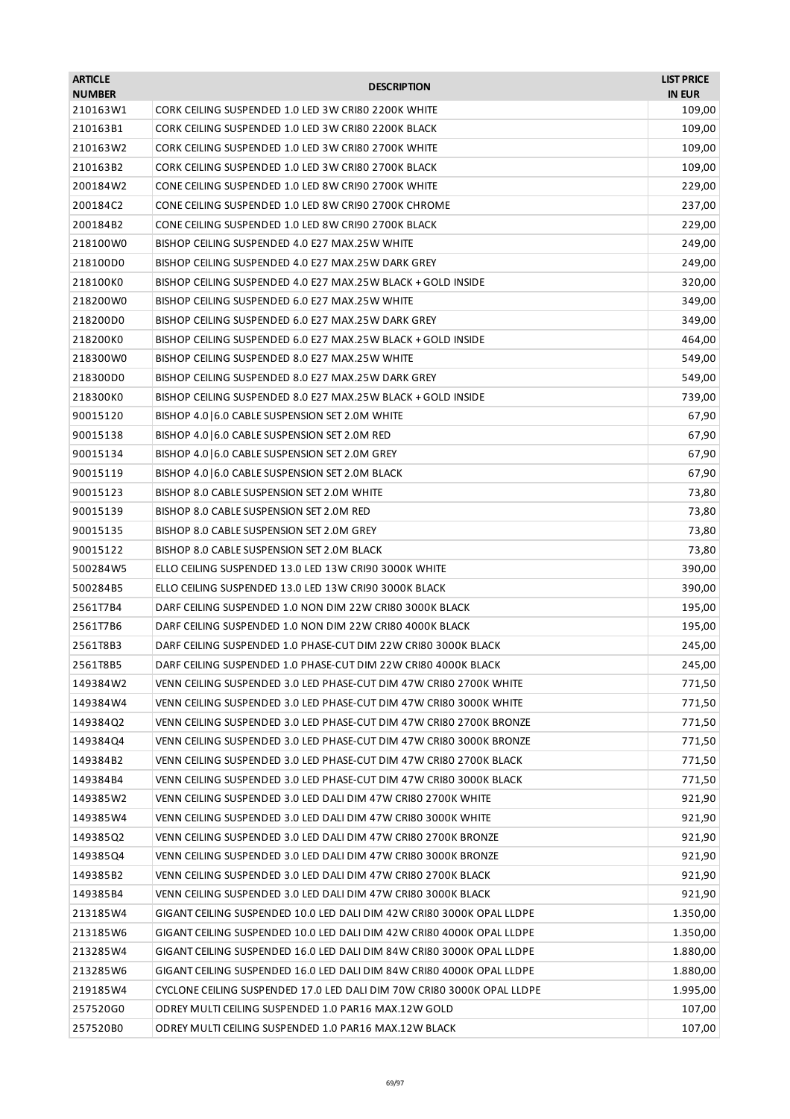| <b>ARTICLE</b><br><b>NUMBER</b> | <b>DESCRIPTION</b>                                                     | <b>LIST PRICE</b><br><b>IN EUR</b> |
|---------------------------------|------------------------------------------------------------------------|------------------------------------|
| 210163W1                        | CORK CEILING SUSPENDED 1.0 LED 3W CRI80 2200K WHITE                    | 109,00                             |
| 210163B1                        | CORK CEILING SUSPENDED 1.0 LED 3W CRI80 2200K BLACK                    | 109,00                             |
| 210163W2                        | CORK CEILING SUSPENDED 1.0 LED 3W CRI80 2700K WHITE                    | 109,00                             |
| 210163B2                        | CORK CEILING SUSPENDED 1.0 LED 3W CRI80 2700K BLACK                    | 109,00                             |
| 200184W2                        | CONE CEILING SUSPENDED 1.0 LED 8W CRI90 2700K WHITE                    | 229,00                             |
| 200184C2                        | CONE CEILING SUSPENDED 1.0 LED 8W CRI90 2700K CHROME                   | 237,00                             |
| 200184B2                        | CONE CEILING SUSPENDED 1.0 LED 8W CRI90 2700K BLACK                    | 229,00                             |
| 218100W0                        | BISHOP CEILING SUSPENDED 4.0 E27 MAX.25W WHITE                         | 249,00                             |
| 218100D0                        | BISHOP CEILING SUSPENDED 4.0 E27 MAX.25W DARK GREY                     | 249,00                             |
| 218100K0                        | BISHOP CEILING SUSPENDED 4.0 E27 MAX.25W BLACK + GOLD INSIDE           | 320,00                             |
| 218200W0                        | BISHOP CEILING SUSPENDED 6.0 E27 MAX.25W WHITE                         | 349,00                             |
| 218200D0                        | BISHOP CEILING SUSPENDED 6.0 E27 MAX.25W DARK GREY                     | 349,00                             |
| 218200K0                        | BISHOP CEILING SUSPENDED 6.0 E27 MAX.25W BLACK + GOLD INSIDE           | 464,00                             |
| 218300W0                        | BISHOP CEILING SUSPENDED 8.0 E27 MAX.25W WHITE                         | 549,00                             |
| 218300D0                        | BISHOP CEILING SUSPENDED 8.0 E27 MAX.25W DARK GREY                     | 549,00                             |
| 218300K0                        | BISHOP CEILING SUSPENDED 8.0 E27 MAX.25W BLACK + GOLD INSIDE           | 739,00                             |
| 90015120                        | BISHOP 4.0 6.0 CABLE SUSPENSION SET 2.0M WHITE                         | 67,90                              |
| 90015138                        | BISHOP 4.0   6.0 CABLE SUSPENSION SET 2.0M RED                         | 67,90                              |
| 90015134                        | BISHOP 4.0 6.0 CABLE SUSPENSION SET 2.0M GREY                          | 67,90                              |
| 90015119                        | BISHOP 4.0 6.0 CABLE SUSPENSION SET 2.0M BLACK                         | 67,90                              |
| 90015123                        | BISHOP 8.0 CABLE SUSPENSION SET 2.0M WHITE                             | 73,80                              |
| 90015139                        | BISHOP 8.0 CABLE SUSPENSION SET 2.0M RED                               | 73,80                              |
| 90015135                        | BISHOP 8.0 CABLE SUSPENSION SET 2.0M GREY                              | 73,80                              |
| 90015122                        | BISHOP 8.0 CABLE SUSPENSION SET 2.0M BLACK                             | 73,80                              |
| 500284W5                        | ELLO CEILING SUSPENDED 13.0 LED 13W CRI90 3000K WHITE                  | 390,00                             |
| 500284B5                        | ELLO CEILING SUSPENDED 13.0 LED 13W CRI90 3000K BLACK                  | 390,00                             |
| 2561T7B4                        | DARF CEILING SUSPENDED 1.0 NON DIM 22W CRI80 3000K BLACK               | 195,00                             |
| 2561T7B6                        | DARF CEILING SUSPENDED 1.0 NON DIM 22W CRI80 4000K BLACK               | 195,00                             |
| 2561T8B3                        | DARF CEILING SUSPENDED 1.0 PHASE-CUT DIM 22W CRI80 3000K BLACK         | 245,00                             |
| 2561T8B5                        | DARF CEILING SUSPENDED 1.0 PHASE-CUT DIM 22W CRI80 4000K BLACK         | 245,00                             |
| 149384W2                        | VENN CEILING SUSPENDED 3.0 LED PHASE-CUT DIM 47W CRI80 2700K WHITE     | 771,50                             |
| 149384W4                        | VENN CEILING SUSPENDED 3.0 LED PHASE-CUT DIM 47W CRI80 3000K WHITE     | 771,50                             |
| 149384Q2                        | VENN CEILING SUSPENDED 3.0 LED PHASE-CUT DIM 47W CRI80 2700K BRONZE    | 771,50                             |
| 149384Q4                        | VENN CEILING SUSPENDED 3.0 LED PHASE-CUT DIM 47W CRI80 3000K BRONZE    | 771,50                             |
| 149384B2                        | VENN CEILING SUSPENDED 3.0 LED PHASE-CUT DIM 47W CRI80 2700K BLACK     | 771,50                             |
| 149384B4                        | VENN CEILING SUSPENDED 3.0 LED PHASE-CUT DIM 47W CRI80 3000K BLACK     | 771,50                             |
| 149385W2                        | VENN CEILING SUSPENDED 3.0 LED DALI DIM 47W CRI80 2700K WHITE          | 921,90                             |
| 149385W4                        | VENN CEILING SUSPENDED 3.0 LED DALI DIM 47W CRI80 3000K WHITE          | 921,90                             |
| 149385Q2                        | VENN CEILING SUSPENDED 3.0 LED DALI DIM 47W CRI80 2700K BRONZE         | 921,90                             |
| 149385Q4                        | VENN CEILING SUSPENDED 3.0 LED DALI DIM 47W CRI80 3000K BRONZE         | 921,90                             |
| 149385B2                        | VENN CEILING SUSPENDED 3.0 LED DALI DIM 47W CRI80 2700K BLACK          | 921,90                             |
| 149385B4                        | VENN CEILING SUSPENDED 3.0 LED DALI DIM 47W CRI80 3000K BLACK          | 921,90                             |
| 213185W4                        | GIGANT CEILING SUSPENDED 10.0 LED DALI DIM 42W CRI80 3000K OPAL LLDPE  | 1.350,00                           |
| 213185W6                        | GIGANT CEILING SUSPENDED 10.0 LED DALI DIM 42W CRI80 4000K OPAL LLDPE  | 1.350,00                           |
| 213285W4                        | GIGANT CEILING SUSPENDED 16.0 LED DALI DIM 84W CRI80 3000K OPAL LLDPE  | 1.880,00                           |
| 213285W6                        | GIGANT CEILING SUSPENDED 16.0 LED DALI DIM 84W CRI80 4000K OPAL LLDPE  | 1.880,00                           |
| 219185W4                        | CYCLONE CEILING SUSPENDED 17.0 LED DALI DIM 70W CRI80 3000K OPAL LLDPE | 1.995,00                           |
| 257520G0                        | ODREY MULTI CEILING SUSPENDED 1.0 PAR16 MAX.12W GOLD                   | 107,00                             |
| 257520B0                        | ODREY MULTI CEILING SUSPENDED 1.0 PAR16 MAX.12W BLACK                  | 107,00                             |
|                                 |                                                                        |                                    |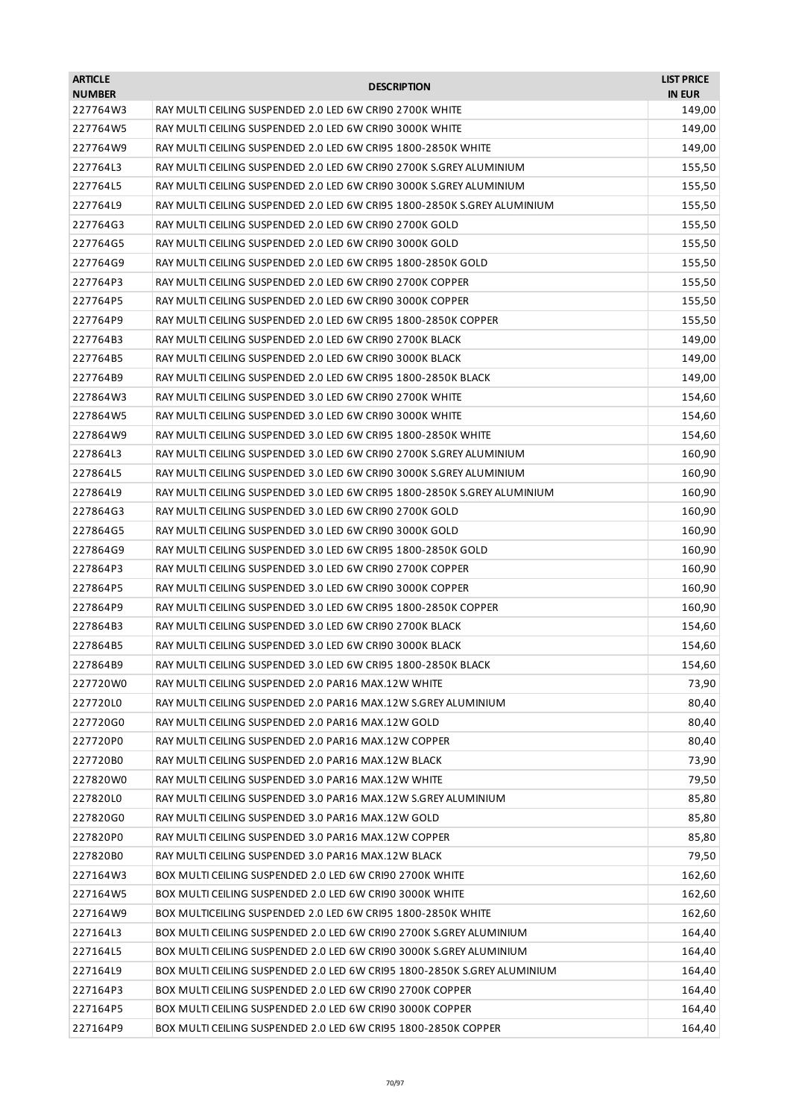| <b>ARTICLE</b><br><b>NUMBER</b> | <b>DESCRIPTION</b>                                                                                         | <b>LIST PRICE</b><br><b>IN EUR</b> |
|---------------------------------|------------------------------------------------------------------------------------------------------------|------------------------------------|
| 227764W3                        | RAY MULTI CEILING SUSPENDED 2.0 LED 6W CRI90 2700K WHITE                                                   | 149,00                             |
| 227764W5                        | RAY MULTI CEILING SUSPENDED 2.0 LED 6W CRI90 3000K WHITE                                                   | 149,00                             |
| 227764W9                        | RAY MULTI CEILING SUSPENDED 2.0 LED 6W CRI95 1800-2850K WHITE                                              | 149,00                             |
| 227764L3                        | RAY MULTI CEILING SUSPENDED 2.0 LED 6W CRI90 2700K S.GREY ALUMINIUM                                        | 155,50                             |
| 227764L5                        | RAY MULTI CEILING SUSPENDED 2.0 LED 6W CRI90 3000K S.GREY ALUMINIUM                                        | 155,50                             |
| 227764L9                        | RAY MULTI CEILING SUSPENDED 2.0 LED 6W CRI95 1800-2850K S.GREY ALUMINIUM                                   | 155,50                             |
| 227764G3                        | RAY MULTI CEILING SUSPENDED 2.0 LED 6W CRI90 2700K GOLD                                                    | 155,50                             |
| 227764G5                        | RAY MULTI CEILING SUSPENDED 2.0 LED 6W CRI90 3000K GOLD                                                    | 155,50                             |
| 227764G9                        | RAY MULTI CEILING SUSPENDED 2.0 LED 6W CRI95 1800-2850K GOLD                                               | 155,50                             |
| 227764P3                        | RAY MULTI CEILING SUSPENDED 2.0 LED 6W CRI90 2700K COPPER                                                  | 155,50                             |
| 227764P5                        | RAY MULTI CEILING SUSPENDED 2.0 LED 6W CRI90 3000K COPPER                                                  | 155,50                             |
| 227764P9                        | RAY MULTI CEILING SUSPENDED 2.0 LED 6W CRI95 1800-2850K COPPER                                             | 155,50                             |
| 227764B3                        | RAY MULTI CEILING SUSPENDED 2.0 LED 6W CRI90 2700K BLACK                                                   | 149,00                             |
| 227764B5                        | RAY MULTI CEILING SUSPENDED 2.0 LED 6W CRI90 3000K BLACK                                                   | 149,00                             |
| 227764B9                        | RAY MULTI CEILING SUSPENDED 2.0 LED 6W CRI95 1800-2850K BLACK                                              | 149,00                             |
| 227864W3                        | RAY MULTI CEILING SUSPENDED 3.0 LED 6W CRI90 2700K WHITE                                                   | 154,60                             |
| 227864W5                        | RAY MULTI CEILING SUSPENDED 3.0 LED 6W CRI90 3000K WHITE                                                   | 154,60                             |
| 227864W9                        | RAY MULTI CEILING SUSPENDED 3.0 LED 6W CRI95 1800-2850K WHITE                                              | 154,60                             |
| 227864L3                        | RAY MULTI CEILING SUSPENDED 3.0 LED 6W CRI90 2700K S.GREY ALUMINIUM                                        | 160,90                             |
| 227864L5                        | RAY MULTI CEILING SUSPENDED 3.0 LED 6W CRI90 3000K S.GREY ALUMINIUM                                        | 160,90                             |
| 227864L9                        | RAY MULTI CEILING SUSPENDED 3.0 LED 6W CRI95 1800-2850K S.GREY ALUMINIUM                                   | 160,90                             |
| 227864G3                        | RAY MULTI CEILING SUSPENDED 3.0 LED 6W CRI90 2700K GOLD                                                    | 160,90                             |
| 227864G5                        | RAY MULTI CEILING SUSPENDED 3.0 LED 6W CRI90 3000K GOLD                                                    | 160,90                             |
| 227864G9                        | RAY MULTI CEILING SUSPENDED 3.0 LED 6W CRI95 1800-2850K GOLD                                               | 160,90                             |
| 227864P3                        | RAY MULTI CEILING SUSPENDED 3.0 LED 6W CRI90 2700K COPPER                                                  | 160,90                             |
| 227864P5                        | RAY MULTI CEILING SUSPENDED 3.0 LED 6W CRI90 3000K COPPER                                                  | 160,90                             |
| 227864P9                        | RAY MULTI CEILING SUSPENDED 3.0 LED 6W CRI95 1800-2850K COPPER                                             | 160,90                             |
| 227864B3                        | RAY MULTI CEILING SUSPENDED 3.0 LED 6W CRI90 2700K BLACK                                                   | 154,60                             |
| 227864B5                        | RAY MULTI CEILING SUSPENDED 3.0 LED 6W CRI90 3000K BLACK                                                   | 154,60                             |
| 227864B9                        | RAY MULTI CEILING SUSPENDED 3.0 LED 6W CRI95 1800-2850K BLACK                                              | 154,60                             |
| 227720W0                        | RAY MULTI CEILING SUSPENDED 2.0 PAR16 MAX.12W WHITE                                                        | 73,90                              |
|                                 | RAY MULTI CEILING SUSPENDED 2.0 PAR16 MAX.12W S.GREY ALUMINIUM                                             | 80,40                              |
| 227720L0                        |                                                                                                            |                                    |
| 227720G0                        | RAY MULTI CEILING SUSPENDED 2.0 PAR16 MAX.12W GOLD<br>RAY MULTI CEILING SUSPENDED 2.0 PAR16 MAX.12W COPPER | 80,40                              |
| 227720P0                        |                                                                                                            | 80,40                              |
| 227720B0                        | RAY MULTI CEILING SUSPENDED 2.0 PAR16 MAX.12W BLACK                                                        | 73,90                              |
| 227820W0                        | RAY MULTI CEILING SUSPENDED 3.0 PAR16 MAX.12W WHITE                                                        | 79,50                              |
| 227820L0                        | RAY MULTI CEILING SUSPENDED 3.0 PAR16 MAX.12W S.GREY ALUMINIUM                                             | 85,80                              |
| 227820G0                        | RAY MULTI CEILING SUSPENDED 3.0 PAR16 MAX.12W GOLD                                                         | 85,80                              |
| 227820P0                        | RAY MULTI CEILING SUSPENDED 3.0 PAR16 MAX.12W COPPER                                                       | 85,80                              |
| 227820B0                        | RAY MULTI CEILING SUSPENDED 3.0 PAR16 MAX.12W BLACK                                                        | 79,50                              |
| 227164W3                        | BOX MULTI CEILING SUSPENDED 2.0 LED 6W CRI90 2700K WHITE                                                   | 162,60                             |
| 227164W5                        | BOX MULTI CEILING SUSPENDED 2.0 LED 6W CRI90 3000K WHITE                                                   | 162,60                             |
| 227164W9                        | BOX MULTICEILING SUSPENDED 2.0 LED 6W CRI95 1800-2850K WHITE                                               | 162,60                             |
| 227164L3                        | BOX MULTI CEILING SUSPENDED 2.0 LED 6W CRI90 2700K S.GREY ALUMINIUM                                        | 164,40                             |
| 227164L5                        | BOX MULTI CEILING SUSPENDED 2.0 LED 6W CRI90 3000K S.GREY ALUMINIUM                                        | 164,40                             |
| 227164L9                        | BOX MULTI CEILING SUSPENDED 2.0 LED 6W CRI95 1800-2850K S.GREY ALUMINIUM                                   | 164,40                             |
| 227164P3                        | BOX MULTI CEILING SUSPENDED 2.0 LED 6W CRI90 2700K COPPER                                                  | 164,40                             |
| 227164P5                        | BOX MULTI CEILING SUSPENDED 2.0 LED 6W CRI90 3000K COPPER                                                  | 164,40                             |
| 227164P9                        | BOX MULTI CEILING SUSPENDED 2.0 LED 6W CRI95 1800-2850K COPPER                                             | 164,40                             |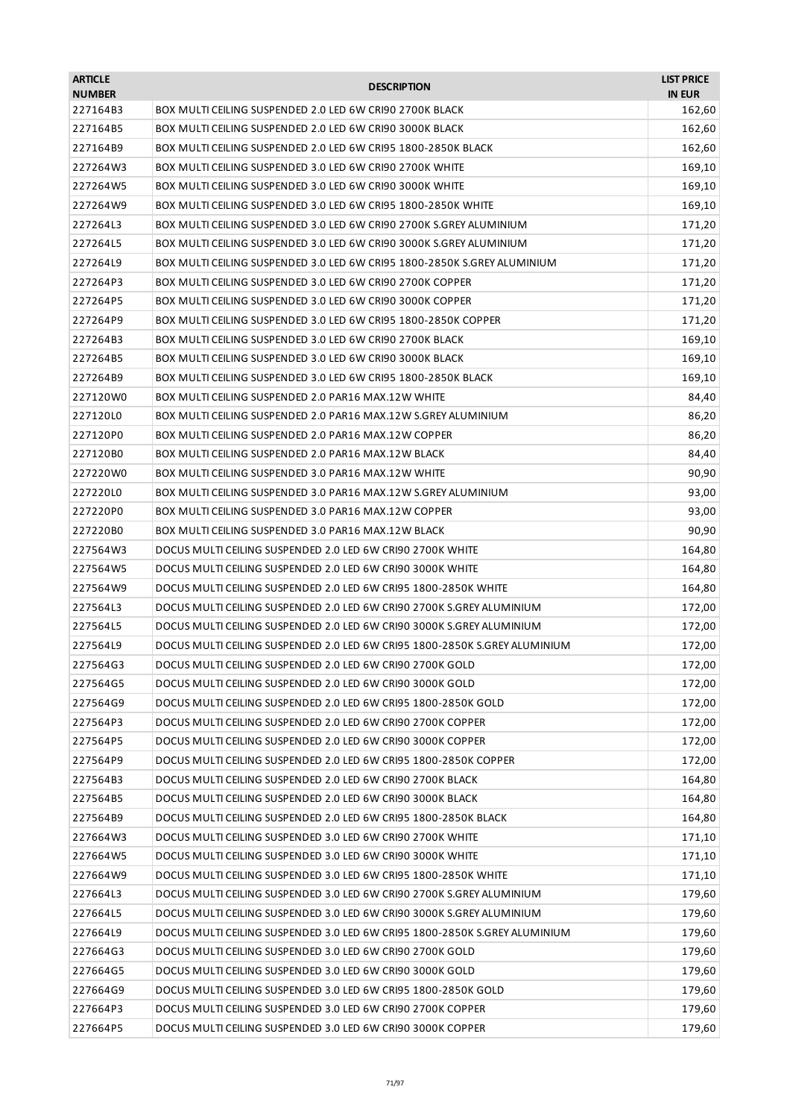| <b>ARTICLE</b><br><b>NUMBER</b> | <b>DESCRIPTION</b>                                                         | <b>LIST PRICE</b><br><b>IN EUR</b> |
|---------------------------------|----------------------------------------------------------------------------|------------------------------------|
| 227164B3                        | BOX MULTI CEILING SUSPENDED 2.0 LED 6W CRI90 2700K BLACK                   | 162,60                             |
| 227164B5                        | BOX MULTI CEILING SUSPENDED 2.0 LED 6W CRI90 3000K BLACK                   | 162,60                             |
| 227164B9                        | BOX MULTI CEILING SUSPENDED 2.0 LED 6W CRI95 1800-2850K BLACK              | 162,60                             |
| 227264W3                        | BOX MULTI CEILING SUSPENDED 3.0 LED 6W CRI90 2700K WHITE                   | 169,10                             |
| 227264W5                        | BOX MULTI CEILING SUSPENDED 3.0 LED 6W CRI90 3000K WHITE                   | 169,10                             |
| 227264W9                        | BOX MULTI CEILING SUSPENDED 3.0 LED 6W CRI95 1800-2850K WHITE              | 169,10                             |
| 227264L3                        | BOX MULTI CEILING SUSPENDED 3.0 LED 6W CRI90 2700K S.GREY ALUMINIUM        | 171,20                             |
| 227264L5                        | BOX MULTI CEILING SUSPENDED 3.0 LED 6W CRI90 3000K S.GREY ALUMINIUM        | 171,20                             |
| 227264L9                        | BOX MULTI CEILING SUSPENDED 3.0 LED 6W CRI95 1800-2850K S.GREY ALUMINIUM   | 171,20                             |
| 227264P3                        | BOX MULTI CEILING SUSPENDED 3.0 LED 6W CRI90 2700K COPPER                  | 171,20                             |
| 227264P5                        | BOX MULTI CEILING SUSPENDED 3.0 LED 6W CRI90 3000K COPPER                  | 171,20                             |
| 227264P9                        | BOX MULTI CEILING SUSPENDED 3.0 LED 6W CRI95 1800-2850K COPPER             | 171,20                             |
| 227264B3                        | BOX MULTI CEILING SUSPENDED 3.0 LED 6W CRI90 2700K BLACK                   | 169,10                             |
| 227264B5                        | BOX MULTI CEILING SUSPENDED 3.0 LED 6W CRI90 3000K BLACK                   | 169,10                             |
| 227264B9                        | BOX MULTI CEILING SUSPENDED 3.0 LED 6W CRI95 1800-2850K BLACK              | 169,10                             |
| 227120W0                        | BOX MULTI CEILING SUSPENDED 2.0 PAR16 MAX.12W WHITE                        | 84,40                              |
| 227120L0                        | BOX MULTI CEILING SUSPENDED 2.0 PAR16 MAX.12W S.GREY ALUMINIUM             | 86,20                              |
| 227120P0                        | BOX MULTI CEILING SUSPENDED 2.0 PAR16 MAX.12W COPPER                       | 86,20                              |
| 227120B0                        | BOX MULTI CEILING SUSPENDED 2.0 PAR16 MAX.12W BLACK                        | 84,40                              |
| 227220W0                        | BOX MULTI CEILING SUSPENDED 3.0 PAR16 MAX.12W WHITE                        | 90,90                              |
| 227220L0                        | BOX MULTI CEILING SUSPENDED 3.0 PAR16 MAX.12W S.GREY ALUMINIUM             | 93,00                              |
| 227220P0                        | BOX MULTI CEILING SUSPENDED 3.0 PAR16 MAX.12W COPPER                       | 93,00                              |
| 227220B0                        | BOX MULTI CEILING SUSPENDED 3.0 PAR16 MAX.12W BLACK                        | 90,90                              |
| 227564W3                        | DOCUS MULTI CEILING SUSPENDED 2.0 LED 6W CRI90 2700K WHITE                 | 164,80                             |
| 227564W5                        | DOCUS MULTI CEILING SUSPENDED 2.0 LED 6W CRI90 3000K WHITE                 | 164,80                             |
| 227564W9                        | DOCUS MULTI CEILING SUSPENDED 2.0 LED 6W CRI95 1800-2850K WHITE            | 164,80                             |
| 227564L3                        | DOCUS MULTI CEILING SUSPENDED 2.0 LED 6W CRI90 2700K S.GREY ALUMINIUM      | 172,00                             |
| 227564L5                        | DOCUS MULTI CEILING SUSPENDED 2.0 LED 6W CRI90 3000K S.GREY ALUMINIUM      | 172,00                             |
| 227564L9                        | DOCUS MULTI CEILING SUSPENDED 2.0 LED 6W CRI95 1800-2850K S.GREY ALUMINIUM | 172,00                             |
| 227564G3                        | DOCUS MULTI CEILING SUSPENDED 2.0 LED 6W CRI90 2700K GOLD                  | 172,00                             |
| 227564G5                        | DOCUS MULTI CEILING SUSPENDED 2.0 LED 6W CRI90 3000K GOLD                  | 172,00                             |
| 227564G9                        | DOCUS MULTI CEILING SUSPENDED 2.0 LED 6W CRI95 1800-2850K GOLD             | 172,00                             |
| 227564P3                        | DOCUS MULTI CEILING SUSPENDED 2.0 LED 6W CRI90 2700K COPPER                | 172,00                             |
| 227564P5                        | DOCUS MULTI CEILING SUSPENDED 2.0 LED 6W CRI90 3000K COPPER                | 172,00                             |
| 227564P9                        | DOCUS MULTI CEILING SUSPENDED 2.0 LED 6W CRI95 1800-2850K COPPER           | 172,00                             |
| 227564B3                        | DOCUS MULTI CEILING SUSPENDED 2.0 LED 6W CRI90 2700K BLACK                 | 164,80                             |
| 227564B5                        | DOCUS MULTI CEILING SUSPENDED 2.0 LED 6W CRI90 3000K BLACK                 | 164,80                             |
| 227564B9                        | DOCUS MULTI CEILING SUSPENDED 2.0 LED 6W CRI95 1800-2850K BLACK            | 164,80                             |
| 227664W3                        | DOCUS MULTI CEILING SUSPENDED 3.0 LED 6W CRI90 2700K WHITE                 | 171,10                             |
| 227664W5                        | DOCUS MULTI CEILING SUSPENDED 3.0 LED 6W CRI90 3000K WHITE                 | 171,10                             |
| 227664W9                        | DOCUS MULTI CEILING SUSPENDED 3.0 LED 6W CRI95 1800-2850K WHITE            | 171,10                             |
| 227664L3                        | DOCUS MULTI CEILING SUSPENDED 3.0 LED 6W CRI90 2700K S.GREY ALUMINIUM      | 179,60                             |
| 227664L5                        | DOCUS MULTI CEILING SUSPENDED 3.0 LED 6W CRI90 3000K S.GREY ALUMINIUM      | 179,60                             |
| 227664L9                        | DOCUS MULTI CEILING SUSPENDED 3.0 LED 6W CRI95 1800-2850K S.GREY ALUMINIUM | 179,60                             |
| 227664G3                        | DOCUS MULTI CEILING SUSPENDED 3.0 LED 6W CRI90 2700K GOLD                  | 179,60                             |
| 227664G5                        | DOCUS MULTI CEILING SUSPENDED 3.0 LED 6W CRI90 3000K GOLD                  | 179,60                             |
| 227664G9                        | DOCUS MULTI CEILING SUSPENDED 3.0 LED 6W CRI95 1800-2850K GOLD             | 179,60                             |
| 227664P3                        | DOCUS MULTI CEILING SUSPENDED 3.0 LED 6W CRI90 2700K COPPER                | 179,60                             |
|                                 |                                                                            |                                    |
| 227664P5                        | DOCUS MULTI CEILING SUSPENDED 3.0 LED 6W CRI90 3000K COPPER                | 179,60                             |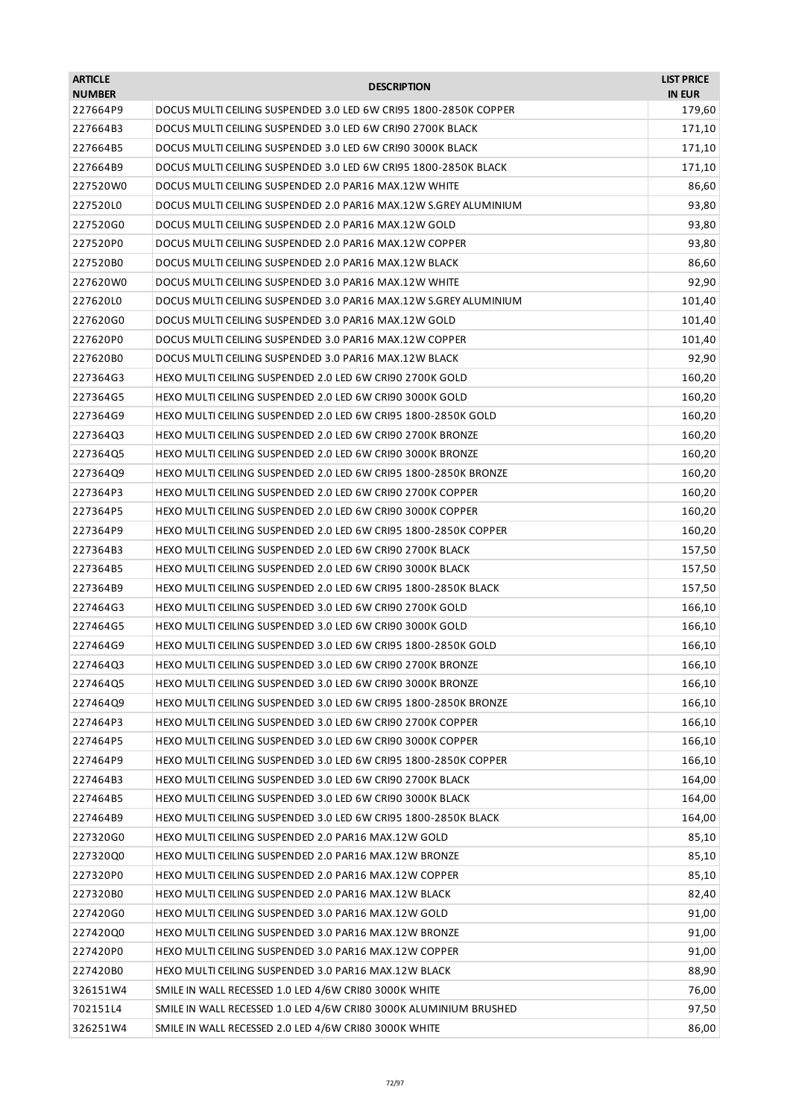| <b>ARTICLE</b><br><b>NUMBER</b> | <b>DESCRIPTION</b>                                                | <b>LIST PRICE</b><br><b>IN EUR</b> |
|---------------------------------|-------------------------------------------------------------------|------------------------------------|
| 227664P9                        | DOCUS MULTI CEILING SUSPENDED 3.0 LED 6W CRI95 1800-2850K COPPER  | 179,60                             |
| 227664B3                        | DOCUS MULTI CEILING SUSPENDED 3.0 LED 6W CRI90 2700K BLACK        | 171,10                             |
| 227664B5                        | DOCUS MULTI CEILING SUSPENDED 3.0 LED 6W CRI90 3000K BLACK        | 171,10                             |
| 227664B9                        | DOCUS MULTI CEILING SUSPENDED 3.0 LED 6W CRI95 1800-2850K BLACK   | 171,10                             |
| 227520W0                        | DOCUS MULTI CEILING SUSPENDED 2.0 PAR16 MAX.12W WHITE             | 86,60                              |
| 227520L0                        | DOCUS MULTI CEILING SUSPENDED 2.0 PAR16 MAX.12W S.GREY ALUMINIUM  | 93,80                              |
| 227520G0                        | DOCUS MULTI CEILING SUSPENDED 2.0 PAR16 MAX.12W GOLD              | 93,80                              |
| 227520P0                        | DOCUS MULTI CEILING SUSPENDED 2.0 PAR16 MAX.12W COPPER            | 93,80                              |
| 227520B0                        | DOCUS MULTI CEILING SUSPENDED 2.0 PAR16 MAX.12W BLACK             | 86,60                              |
| 227620W0                        | DOCUS MULTI CEILING SUSPENDED 3.0 PAR16 MAX.12W WHITE             | 92,90                              |
| 227620L0                        | DOCUS MULTI CEILING SUSPENDED 3.0 PAR16 MAX.12W S.GREY ALUMINIUM  | 101,40                             |
| 227620G0                        | DOCUS MULTI CEILING SUSPENDED 3.0 PAR16 MAX.12W GOLD              | 101,40                             |
| 227620P0                        | DOCUS MULTI CEILING SUSPENDED 3.0 PAR16 MAX.12W COPPER            | 101,40                             |
| 227620B0                        | DOCUS MULTI CEILING SUSPENDED 3.0 PAR16 MAX.12W BLACK             | 92,90                              |
| 227364G3                        | HEXO MULTI CEILING SUSPENDED 2.0 LED 6W CRI90 2700K GOLD          | 160,20                             |
| 227364G5                        | HEXO MULTI CEILING SUSPENDED 2.0 LED 6W CRI90 3000K GOLD          | 160,20                             |
| 227364G9                        | HEXO MULTI CEILING SUSPENDED 2.0 LED 6W CRI95 1800-2850K GOLD     | 160,20                             |
| 227364Q3                        | HEXO MULTI CEILING SUSPENDED 2.0 LED 6W CRI90 2700K BRONZE        | 160,20                             |
| 227364Q5                        | HEXO MULTI CEILING SUSPENDED 2.0 LED 6W CRI90 3000K BRONZE        | 160,20                             |
| 227364Q9                        | HEXO MULTI CEILING SUSPENDED 2.0 LED 6W CRI95 1800-2850K BRONZE   | 160,20                             |
| 227364P3                        | HEXO MULTI CEILING SUSPENDED 2.0 LED 6W CRI90 2700K COPPER        | 160,20                             |
| 227364P5                        | HEXO MULTI CEILING SUSPENDED 2.0 LED 6W CRI90 3000K COPPER        | 160,20                             |
| 227364P9                        | HEXO MULTI CEILING SUSPENDED 2.0 LED 6W CRI95 1800-2850K COPPER   | 160,20                             |
| 227364B3                        | HEXO MULTI CEILING SUSPENDED 2.0 LED 6W CRI90 2700K BLACK         | 157,50                             |
| 227364B5                        | HEXO MULTI CEILING SUSPENDED 2.0 LED 6W CRI90 3000K BLACK         | 157,50                             |
| 227364B9                        | HEXO MULTI CEILING SUSPENDED 2.0 LED 6W CRI95 1800-2850K BLACK    | 157,50                             |
| 227464G3                        | HEXO MULTI CEILING SUSPENDED 3.0 LED 6W CRI90 2700K GOLD          | 166,10                             |
| 227464G5                        | HEXO MULTI CEILING SUSPENDED 3.0 LED 6W CRI90 3000K GOLD          | 166,10                             |
| 227464G9                        | HEXO MULTI CEILING SUSPENDED 3.0 LED 6W CRI95 1800-2850K GOLD     | 166,10                             |
| 227464Q3                        | HEXO MULTI CEILING SUSPENDED 3.0 LED 6W CRI90 2700K BRONZE        | 166,10                             |
| 227464Q5                        | HEXO MULTI CEILING SUSPENDED 3.0 LED 6W CRI90 3000K BRONZE        | 166,10                             |
| 227464Q9                        | HEXO MULTI CEILING SUSPENDED 3.0 LED 6W CRI95 1800-2850K BRONZE   | 166,10                             |
| 227464P3                        | HEXO MULTI CEILING SUSPENDED 3.0 LED 6W CRI90 2700K COPPER        | 166,10                             |
| 227464P5                        | HEXO MULTI CEILING SUSPENDED 3.0 LED 6W CRI90 3000K COPPER        | 166,10                             |
| 227464P9                        | HEXO MULTI CEILING SUSPENDED 3.0 LED 6W CRI95 1800-2850K COPPER   | 166,10                             |
| 227464B3                        | HEXO MULTI CEILING SUSPENDED 3.0 LED 6W CRI90 2700K BLACK         | 164,00                             |
| 227464B5                        | HEXO MULTI CEILING SUSPENDED 3.0 LED 6W CRI90 3000K BLACK         | 164,00                             |
| 227464B9                        | HEXO MULTI CEILING SUSPENDED 3.0 LED 6W CRI95 1800-2850K BLACK    | 164,00                             |
| 227320G0                        | HEXO MULTI CEILING SUSPENDED 2.0 PAR16 MAX.12W GOLD               | 85,10                              |
| 227320Q0                        | HEXO MULTI CEILING SUSPENDED 2.0 PAR16 MAX.12W BRONZE             | 85,10                              |
| 227320P0                        | HEXO MULTI CEILING SUSPENDED 2.0 PAR16 MAX.12W COPPER             | 85,10                              |
| 227320B0                        | HEXO MULTI CEILING SUSPENDED 2.0 PAR16 MAX.12W BLACK              | 82,40                              |
| 227420G0                        | HEXO MULTI CEILING SUSPENDED 3.0 PAR16 MAX.12W GOLD               | 91,00                              |
| 227420Q0                        | HEXO MULTI CEILING SUSPENDED 3.0 PAR16 MAX.12W BRONZE             | 91,00                              |
| 227420P0                        | HEXO MULTI CEILING SUSPENDED 3.0 PAR16 MAX.12W COPPER             | 91,00                              |
| 227420B0                        | HEXO MULTI CEILING SUSPENDED 3.0 PAR16 MAX.12W BLACK              | 88,90                              |
| 326151W4                        | SMILE IN WALL RECESSED 1.0 LED 4/6W CRI80 3000K WHITE             | 76,00                              |
| 702151L4                        | SMILE IN WALL RECESSED 1.0 LED 4/6W CRI80 3000K ALUMINIUM BRUSHED | 97,50                              |
| 326251W4                        | SMILE IN WALL RECESSED 2.0 LED 4/6W CRI80 3000K WHITE             | 86,00                              |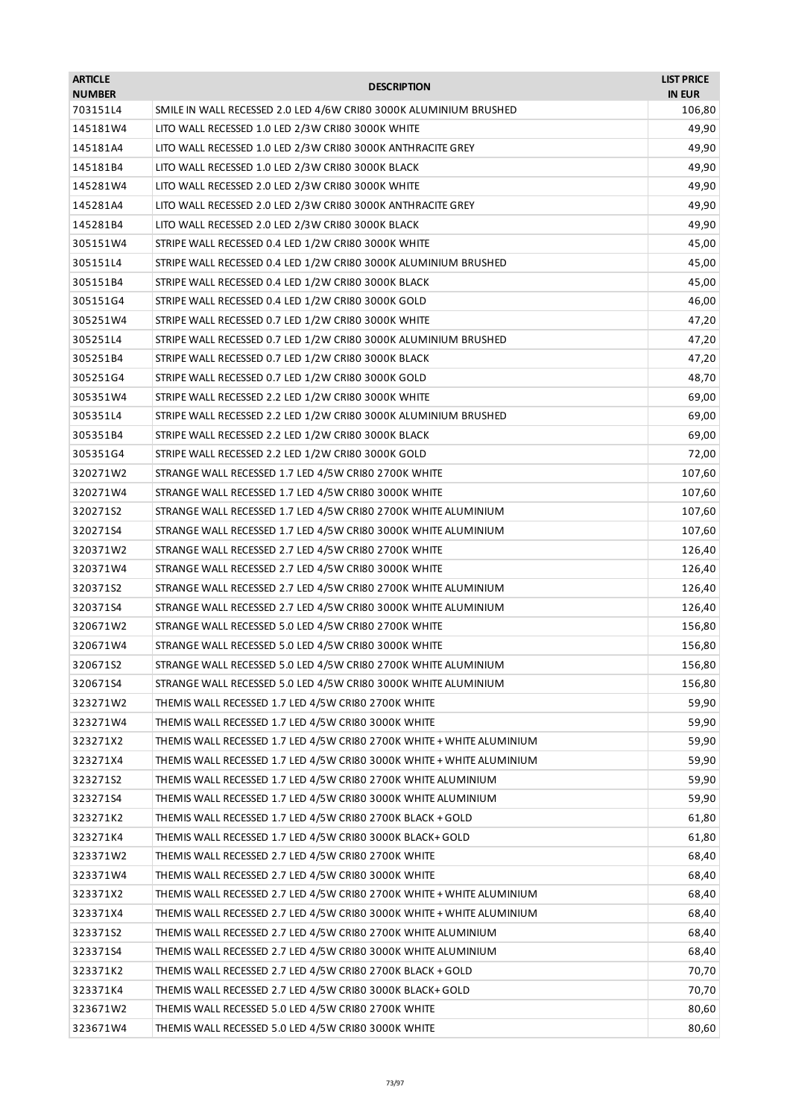| <b>ARTICLE</b><br><b>NUMBER</b> | <b>DESCRIPTION</b>                                                    | <b>LIST PRICE</b><br><b>IN EUR</b> |
|---------------------------------|-----------------------------------------------------------------------|------------------------------------|
| 703151L4                        | SMILE IN WALL RECESSED 2.0 LED 4/6W CRI80 3000K ALUMINIUM BRUSHED     | 106,80                             |
| 145181W4                        | LITO WALL RECESSED 1.0 LED 2/3W CRI80 3000K WHITE                     | 49,90                              |
| 145181A4                        | LITO WALL RECESSED 1.0 LED 2/3W CRI80 3000K ANTHRACITE GREY           | 49,90                              |
| 145181B4                        | LITO WALL RECESSED 1.0 LED 2/3W CRI80 3000K BLACK                     | 49,90                              |
| 145281W4                        | LITO WALL RECESSED 2.0 LED 2/3W CRI80 3000K WHITE                     | 49,90                              |
| 145281A4                        | LITO WALL RECESSED 2.0 LED 2/3W CRI80 3000K ANTHRACITE GREY           | 49,90                              |
| 145281B4                        | LITO WALL RECESSED 2.0 LED 2/3W CRI80 3000K BLACK                     | 49,90                              |
| 305151W4                        | STRIPE WALL RECESSED 0.4 LED 1/2W CRI80 3000K WHITE                   | 45,00                              |
| 305151L4                        | STRIPE WALL RECESSED 0.4 LED 1/2W CRI80 3000K ALUMINIUM BRUSHED       | 45,00                              |
| 305151B4                        | STRIPE WALL RECESSED 0.4 LED 1/2W CRI80 3000K BLACK                   | 45,00                              |
| 305151G4                        | STRIPE WALL RECESSED 0.4 LED 1/2W CRI80 3000K GOLD                    | 46,00                              |
| 305251W4                        | STRIPE WALL RECESSED 0.7 LED 1/2W CRI80 3000K WHITE                   | 47,20                              |
| 305251L4                        | STRIPE WALL RECESSED 0.7 LED 1/2W CRI80 3000K ALUMINIUM BRUSHED       | 47,20                              |
| 305251B4                        | STRIPE WALL RECESSED 0.7 LED 1/2W CRI80 3000K BLACK                   | 47,20                              |
| 305251G4                        | STRIPE WALL RECESSED 0.7 LED 1/2W CRI80 3000K GOLD                    | 48,70                              |
| 305351W4                        | STRIPE WALL RECESSED 2.2 LED 1/2W CRI80 3000K WHITE                   | 69,00                              |
| 305351L4                        | STRIPE WALL RECESSED 2.2 LED 1/2W CRI80 3000K ALUMINIUM BRUSHED       | 69,00                              |
| 305351B4                        | STRIPE WALL RECESSED 2.2 LED 1/2W CRI80 3000K BLACK                   | 69,00                              |
| 305351G4                        | STRIPE WALL RECESSED 2.2 LED 1/2W CRI80 3000K GOLD                    | 72,00                              |
| 320271W2                        | STRANGE WALL RECESSED 1.7 LED 4/5W CRI80 2700K WHITE                  | 107,60                             |
| 320271W4                        | STRANGE WALL RECESSED 1.7 LED 4/5W CRI80 3000K WHITE                  | 107,60                             |
| 32027152                        | STRANGE WALL RECESSED 1.7 LED 4/5W CRI80 2700K WHITE ALUMINIUM        | 107,60                             |
| 320271S4                        | STRANGE WALL RECESSED 1.7 LED 4/5W CRI80 3000K WHITE ALUMINIUM        | 107,60                             |
| 320371W2                        | STRANGE WALL RECESSED 2.7 LED 4/5W CRI80 2700K WHITE                  | 126,40                             |
| 320371W4                        | STRANGE WALL RECESSED 2.7 LED 4/5W CRI80 3000K WHITE                  | 126,40                             |
| 320371S2                        | STRANGE WALL RECESSED 2.7 LED 4/5W CRI80 2700K WHITE ALUMINIUM        | 126,40                             |
| 320371S4                        | STRANGE WALL RECESSED 2.7 LED 4/5W CRI80 3000K WHITE ALUMINIUM        | 126,40                             |
| 320671W2                        | STRANGE WALL RECESSED 5.0 LED 4/5W CRI80 2700K WHITE                  | 156,80                             |
| 320671W4                        | STRANGE WALL RECESSED 5.0 LED 4/5W CRI80 3000K WHITE                  | 156,80                             |
| 320671S2                        | STRANGE WALL RECESSED 5.0 LED 4/5W CRI80 2700K WHITE ALUMINIUM        | 156,80                             |
| 320671S4                        | STRANGE WALL RECESSED 5.0 LED 4/5W CRI80 3000K WHITE ALUMINIUM        | 156,80                             |
| 323271W2                        | THEMIS WALL RECESSED 1.7 LED 4/5W CRI80 2700K WHITE                   | 59,90                              |
| 323271W4                        | THEMIS WALL RECESSED 1.7 LED 4/5W CRI80 3000K WHITE                   | 59,90                              |
| 323271X2                        | THEMIS WALL RECESSED 1.7 LED 4/5W CRI80 2700K WHITE + WHITE ALUMINIUM | 59,90                              |
| 323271X4                        | THEMIS WALL RECESSED 1.7 LED 4/5W CRI80 3000K WHITE + WHITE ALUMINIUM | 59,90                              |
| 32327152                        | THEMIS WALL RECESSED 1.7 LED 4/5W CRI80 2700K WHITE ALUMINIUM         | 59,90                              |
| 323271S4                        | THEMIS WALL RECESSED 1.7 LED 4/5W CRI80 3000K WHITE ALUMINIUM         | 59,90                              |
| 323271K2                        | THEMIS WALL RECESSED 1.7 LED 4/5W CRI80 2700K BLACK + GOLD            | 61,80                              |
| 323271K4                        | THEMIS WALL RECESSED 1.7 LED 4/5W CRI80 3000K BLACK+ GOLD             | 61,80                              |
| 323371W2                        | THEMIS WALL RECESSED 2.7 LED 4/5W CRI80 2700K WHITE                   | 68,40                              |
| 323371W4                        | THEMIS WALL RECESSED 2.7 LED 4/5W CRI80 3000K WHITE                   | 68,40                              |
| 323371X2                        | THEMIS WALL RECESSED 2.7 LED 4/5W CRI80 2700K WHITE + WHITE ALUMINIUM | 68,40                              |
| 323371X4                        | THEMIS WALL RECESSED 2.7 LED 4/5W CRI80 3000K WHITE + WHITE ALUMINIUM | 68,40                              |
| 323371S2                        | THEMIS WALL RECESSED 2.7 LED 4/5W CRI80 2700K WHITE ALUMINIUM         | 68,40                              |
| 323371S4                        | THEMIS WALL RECESSED 2.7 LED 4/5W CRI80 3000K WHITE ALUMINIUM         | 68,40                              |
| 323371K2                        | THEMIS WALL RECESSED 2.7 LED 4/5W CRI80 2700K BLACK + GOLD            | 70,70                              |
| 323371K4                        | THEMIS WALL RECESSED 2.7 LED 4/5W CRI80 3000K BLACK+ GOLD             | 70,70                              |
| 323671W2                        | THEMIS WALL RECESSED 5.0 LED 4/5W CRI80 2700K WHITE                   | 80,60                              |
| 323671W4                        | THEMIS WALL RECESSED 5.0 LED 4/5W CRI80 3000K WHITE                   | 80,60                              |
|                                 |                                                                       |                                    |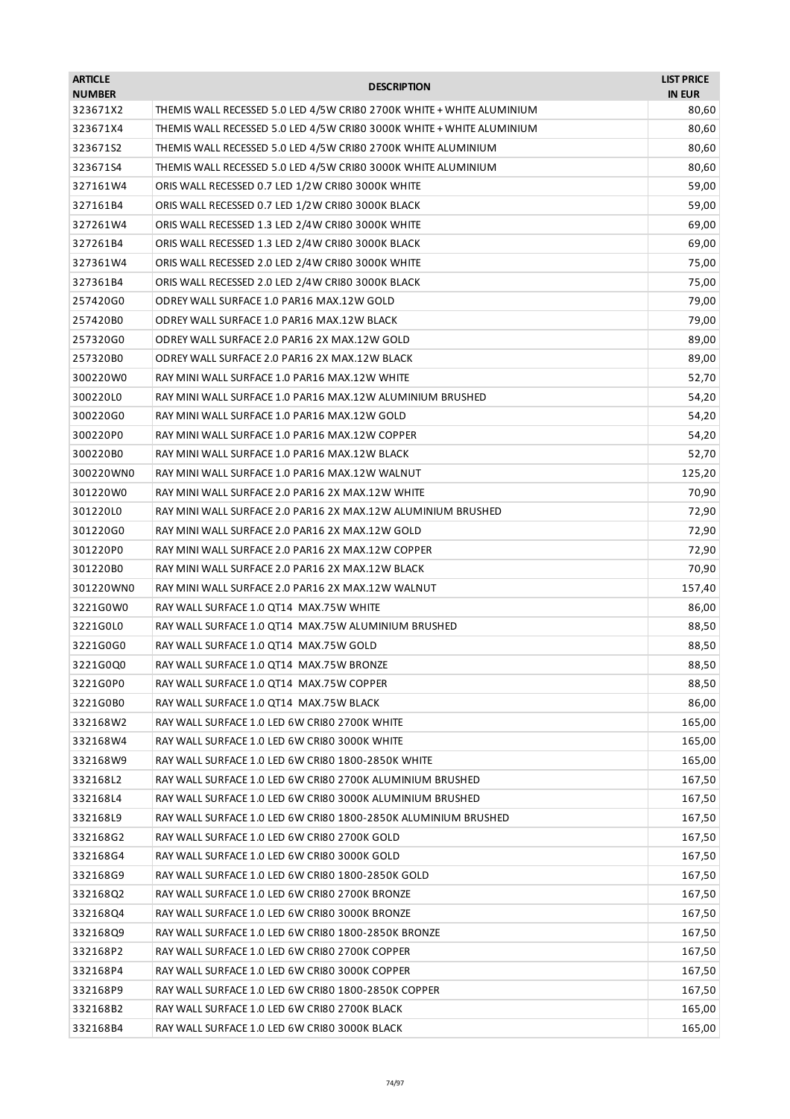| <b>ARTICLE</b><br><b>NUMBER</b> | <b>DESCRIPTION</b>                                                    | <b>LIST PRICE</b><br><b>IN EUR</b> |
|---------------------------------|-----------------------------------------------------------------------|------------------------------------|
| 323671X2                        | THEMIS WALL RECESSED 5.0 LED 4/5W CRI80 2700K WHITE + WHITE ALUMINIUM | 80,60                              |
| 323671X4                        | THEMIS WALL RECESSED 5.0 LED 4/5W CRI80 3000K WHITE + WHITE ALUMINIUM | 80,60                              |
| 323671S2                        | THEMIS WALL RECESSED 5.0 LED 4/5W CRI80 2700K WHITE ALUMINIUM         | 80,60                              |
| 323671S4                        | THEMIS WALL RECESSED 5.0 LED 4/5W CRI80 3000K WHITE ALUMINIUM         | 80,60                              |
| 327161W4                        | ORIS WALL RECESSED 0.7 LED 1/2W CRI80 3000K WHITE                     | 59,00                              |
| 327161B4                        | ORIS WALL RECESSED 0.7 LED 1/2W CRI80 3000K BLACK                     | 59,00                              |
| 327261W4                        | ORIS WALL RECESSED 1.3 LED 2/4W CRI80 3000K WHITE                     | 69,00                              |
| 327261B4                        | ORIS WALL RECESSED 1.3 LED 2/4W CRI80 3000K BLACK                     | 69,00                              |
| 327361W4                        | ORIS WALL RECESSED 2.0 LED 2/4W CRI80 3000K WHITE                     | 75,00                              |
| 327361B4                        | ORIS WALL RECESSED 2.0 LED 2/4W CRI80 3000K BLACK                     | 75,00                              |
| 257420G0                        | ODREY WALL SURFACE 1.0 PAR16 MAX.12W GOLD                             | 79,00                              |
| 257420B0                        | ODREY WALL SURFACE 1.0 PAR16 MAX.12W BLACK                            | 79,00                              |
| 257320G0                        | ODREY WALL SURFACE 2.0 PAR16 2X MAX.12W GOLD                          | 89,00                              |
| 257320B0                        | ODREY WALL SURFACE 2.0 PAR16 2X MAX.12W BLACK                         | 89,00                              |
| 300220W0                        | RAY MINI WALL SURFACE 1.0 PAR16 MAX.12W WHITE                         | 52,70                              |
| 300220L0                        | RAY MINI WALL SURFACE 1.0 PAR16 MAX.12W ALUMINIUM BRUSHED             | 54,20                              |
| 300220G0                        | RAY MINI WALL SURFACE 1.0 PAR16 MAX.12W GOLD                          | 54,20                              |
| 300220P0                        | RAY MINI WALL SURFACE 1.0 PAR16 MAX.12W COPPER                        | 54,20                              |
| 300220B0                        | RAY MINI WALL SURFACE 1.0 PAR16 MAX.12W BLACK                         | 52,70                              |
| 300220WN0                       | RAY MINI WALL SURFACE 1.0 PAR16 MAX.12W WALNUT                        | 125,20                             |
| 301220W0                        | RAY MINI WALL SURFACE 2.0 PAR16 2X MAX.12W WHITE                      | 70,90                              |
| 301220L0                        | RAY MINI WALL SURFACE 2.0 PAR16 2X MAX.12W ALUMINIUM BRUSHED          | 72,90                              |
| 301220G0                        | RAY MINI WALL SURFACE 2.0 PAR16 2X MAX.12W GOLD                       | 72,90                              |
| 301220P0                        | RAY MINI WALL SURFACE 2.0 PAR16 2X MAX.12W COPPER                     | 72,90                              |
| 301220B0                        | RAY MINI WALL SURFACE 2.0 PAR16 2X MAX.12W BLACK                      | 70,90                              |
| 301220WN0                       | RAY MINI WALL SURFACE 2.0 PAR16 2X MAX.12W WALNUT                     | 157,40                             |
| 3221G0W0                        | RAY WALL SURFACE 1.0 QT14 MAX.75W WHITE                               | 86,00                              |
| 3221G0L0                        | RAY WALL SURFACE 1.0 QT14 MAX.75W ALUMINIUM BRUSHED                   | 88,50                              |
| 3221G0G0                        | RAY WALL SURFACE 1.0 QT14 MAX.75W GOLD                                | 88,50                              |
| 3221G0Q0                        | RAY WALL SURFACE 1.0 QT14 MAX.75W BRONZE                              | 88,50                              |
| 3221G0P0                        | RAY WALL SURFACE 1.0 QT14 MAX.75W COPPER                              | 88,50                              |
| 3221G0B0                        | RAY WALL SURFACE 1.0 QT14 MAX.75W BLACK                               | 86,00                              |
| 332168W2                        | RAY WALL SURFACE 1.0 LED 6W CRI80 2700K WHITE                         | 165,00                             |
| 332168W4                        | RAY WALL SURFACE 1.0 LED 6W CRI80 3000K WHITE                         | 165,00                             |
| 332168W9                        | RAY WALL SURFACE 1.0 LED 6W CRI80 1800-2850K WHITE                    | 165,00                             |
| 332168L2                        | RAY WALL SURFACE 1.0 LED 6W CRI80 2700K ALUMINIUM BRUSHED             | 167,50                             |
| 332168L4                        | RAY WALL SURFACE 1.0 LED 6W CRI80 3000K ALUMINIUM BRUSHED             | 167,50                             |
| 332168L9                        | RAY WALL SURFACE 1.0 LED 6W CRI80 1800-2850K ALUMINIUM BRUSHED        | 167,50                             |
| 332168G2                        | RAY WALL SURFACE 1.0 LED 6W CRI80 2700K GOLD                          | 167,50                             |
| 332168G4                        | RAY WALL SURFACE 1.0 LED 6W CRI80 3000K GOLD                          | 167,50                             |
| 332168G9                        | RAY WALL SURFACE 1.0 LED 6W CRI80 1800-2850K GOLD                     | 167,50                             |
| 332168Q2                        | RAY WALL SURFACE 1.0 LED 6W CRI80 2700K BRONZE                        | 167,50                             |
| 332168Q4                        | RAY WALL SURFACE 1.0 LED 6W CRI80 3000K BRONZE                        | 167,50                             |
| 332168Q9                        | RAY WALL SURFACE 1.0 LED 6W CRI80 1800-2850K BRONZE                   | 167,50                             |
| 332168P2                        | RAY WALL SURFACE 1.0 LED 6W CRI80 2700K COPPER                        | 167,50                             |
| 332168P4                        | RAY WALL SURFACE 1.0 LED 6W CRI80 3000K COPPER                        | 167,50                             |
| 332168P9                        | RAY WALL SURFACE 1.0 LED 6W CRI80 1800-2850K COPPER                   | 167,50                             |
| 332168B2                        | RAY WALL SURFACE 1.0 LED 6W CRI80 2700K BLACK                         | 165,00                             |
| 332168B4                        | RAY WALL SURFACE 1.0 LED 6W CRI80 3000K BLACK                         | 165,00                             |
|                                 |                                                                       |                                    |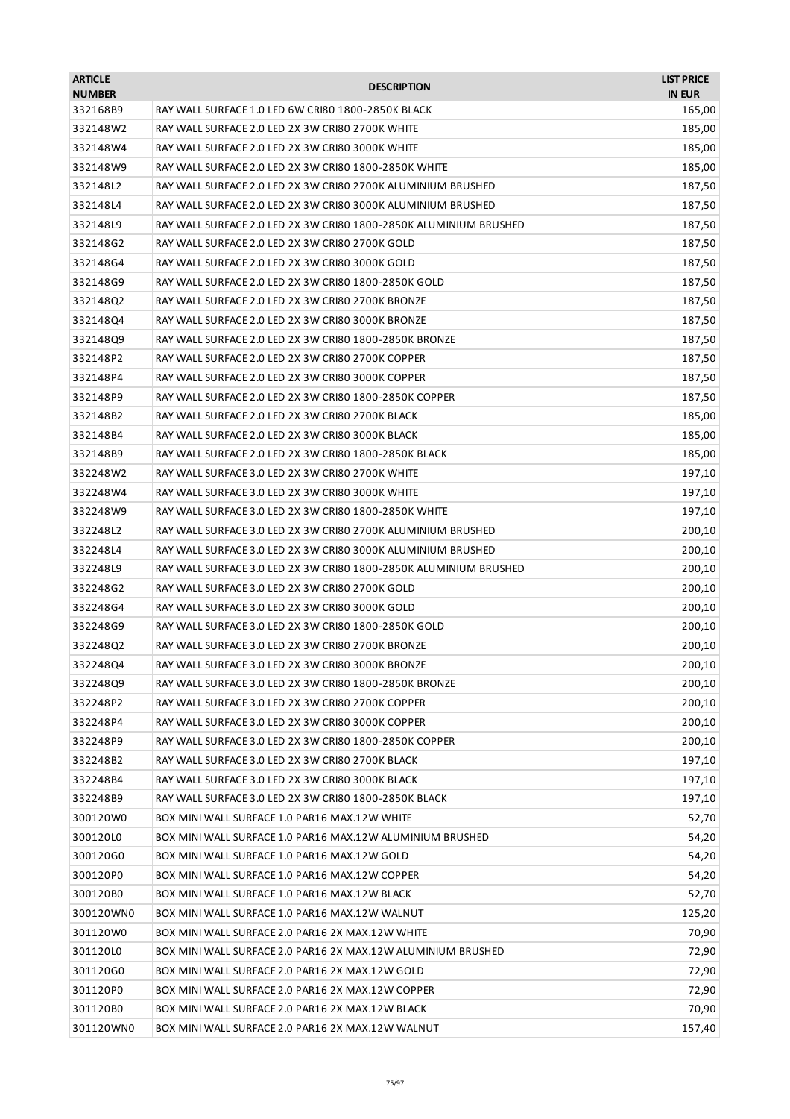| <b>ARTICLE</b><br><b>NUMBER</b> | <b>DESCRIPTION</b>                                                | <b>LIST PRICE</b><br><b>IN EUR</b> |
|---------------------------------|-------------------------------------------------------------------|------------------------------------|
| 332168B9                        | RAY WALL SURFACE 1.0 LED 6W CRI80 1800-2850K BLACK                | 165,00                             |
| 332148W2                        | RAY WALL SURFACE 2.0 LED 2X 3W CRI80 2700K WHITE                  | 185,00                             |
| 332148W4                        | RAY WALL SURFACE 2.0 LED 2X 3W CRI80 3000K WHITE                  | 185,00                             |
| 332148W9                        | RAY WALL SURFACE 2.0 LED 2X 3W CRI80 1800-2850K WHITE             | 185,00                             |
| 332148L2                        | RAY WALL SURFACE 2.0 LED 2X 3W CRI80 2700K ALUMINIUM BRUSHED      | 187,50                             |
| 332148L4                        | RAY WALL SURFACE 2.0 LED 2X 3W CRI80 3000K ALUMINIUM BRUSHED      | 187,50                             |
| 332148L9                        | RAY WALL SURFACE 2.0 LED 2X 3W CRI80 1800-2850K ALUMINIUM BRUSHED | 187,50                             |
| 332148G2                        | RAY WALL SURFACE 2.0 LED 2X 3W CRI80 2700K GOLD                   | 187,50                             |
| 332148G4                        | RAY WALL SURFACE 2.0 LED 2X 3W CRI80 3000K GOLD                   | 187,50                             |
| 332148G9                        | RAY WALL SURFACE 2.0 LED 2X 3W CRI80 1800-2850K GOLD              | 187,50                             |
| 332148Q2                        | RAY WALL SURFACE 2.0 LED 2X 3W CRI80 2700K BRONZE                 | 187,50                             |
| 332148Q4                        | RAY WALL SURFACE 2.0 LED 2X 3W CRI80 3000K BRONZE                 | 187,50                             |
| 33214809                        | RAY WALL SURFACE 2.0 LED 2X 3W CRI80 1800-2850K BRONZE            | 187,50                             |
| 332148P2                        | RAY WALL SURFACE 2.0 LED 2X 3W CRI80 2700K COPPER                 | 187,50                             |
| 332148P4                        | RAY WALL SURFACE 2.0 LED 2X 3W CRI80 3000K COPPER                 | 187,50                             |
| 332148P9                        | RAY WALL SURFACE 2.0 LED 2X 3W CRI80 1800-2850K COPPER            | 187,50                             |
| 332148B2                        | RAY WALL SURFACE 2.0 LED 2X 3W CRI80 2700K BLACK                  | 185,00                             |
| 332148B4                        | RAY WALL SURFACE 2.0 LED 2X 3W CRI80 3000K BLACK                  | 185,00                             |
| 332148B9                        | RAY WALL SURFACE 2.0 LED 2X 3W CRI80 1800-2850K BLACK             | 185,00                             |
| 332248W2                        | RAY WALL SURFACE 3.0 LED 2X 3W CRI80 2700K WHITE                  | 197,10                             |
| 332248W4                        | RAY WALL SURFACE 3.0 LED 2X 3W CRI80 3000K WHITE                  | 197,10                             |
| 332248W9                        | RAY WALL SURFACE 3.0 LED 2X 3W CRI80 1800-2850K WHITE             | 197,10                             |
| 332248L2                        | RAY WALL SURFACE 3.0 LED 2X 3W CRI80 2700K ALUMINIUM BRUSHED      | 200,10                             |
| 332248L4                        | RAY WALL SURFACE 3.0 LED 2X 3W CRI80 3000K ALUMINIUM BRUSHED      | 200,10                             |
| 332248L9                        | RAY WALL SURFACE 3.0 LED 2X 3W CRI80 1800-2850K ALUMINIUM BRUSHED | 200,10                             |
| 332248G2                        | RAY WALL SURFACE 3.0 LED 2X 3W CRI80 2700K GOLD                   | 200,10                             |
| 332248G4                        | RAY WALL SURFACE 3.0 LED 2X 3W CRI80 3000K GOLD                   | 200,10                             |
| 332248G9                        | RAY WALL SURFACE 3.0 LED 2X 3W CRI80 1800-2850K GOLD              | 200,10                             |
| 332248Q2                        | RAY WALL SURFACE 3.0 LED 2X 3W CRI80 2700K BRONZE                 | 200,10                             |
| 332248Q4                        | RAY WALL SURFACE 3.0 LED 2X 3W CRI80 3000K BRONZE                 |                                    |
| 332248Q9                        | RAY WALL SURFACE 3.0 LED 2X 3W CRI80 1800-2850K BRONZE            | 200,10                             |
|                                 |                                                                   | 200,10                             |
| 332248P2                        | RAY WALL SURFACE 3.0 LED 2X 3W CRI80 2700K COPPER                 | 200,10                             |
| 332248P4                        | RAY WALL SURFACE 3.0 LED 2X 3W CRI80 3000K COPPER                 | 200,10                             |
| 332248P9                        | RAY WALL SURFACE 3.0 LED 2X 3W CRI80 1800-2850K COPPER            | 200,10                             |
| 332248B2                        | RAY WALL SURFACE 3.0 LED 2X 3W CRI80 2700K BLACK                  | 197,10                             |
| 332248B4                        | RAY WALL SURFACE 3.0 LED 2X 3W CRI80 3000K BLACK                  | 197,10                             |
| 332248B9                        | RAY WALL SURFACE 3.0 LED 2X 3W CRI80 1800-2850K BLACK             | 197,10                             |
| 300120W0                        | BOX MINI WALL SURFACE 1.0 PAR16 MAX.12W WHITE                     | 52,70                              |
| 300120L0                        | BOX MINI WALL SURFACE 1.0 PAR16 MAX.12W ALUMINIUM BRUSHED         | 54,20                              |
| 300120G0                        | BOX MINI WALL SURFACE 1.0 PAR16 MAX.12W GOLD                      | 54,20                              |
| 300120P0                        | BOX MINI WALL SURFACE 1.0 PAR16 MAX.12W COPPER                    | 54,20                              |
| 300120B0                        | BOX MINI WALL SURFACE 1.0 PAR16 MAX.12W BLACK                     | 52,70                              |
| 300120WN0                       | BOX MINI WALL SURFACE 1.0 PAR16 MAX.12W WALNUT                    | 125,20                             |
| 301120W0                        | BOX MINI WALL SURFACE 2.0 PAR16 2X MAX.12W WHITE                  | 70,90                              |
| 301120L0                        | BOX MINI WALL SURFACE 2.0 PAR16 2X MAX.12W ALUMINIUM BRUSHED      | 72,90                              |
| 301120G0                        | BOX MINI WALL SURFACE 2.0 PAR16 2X MAX.12W GOLD                   | 72,90                              |
| 301120P0                        | BOX MINI WALL SURFACE 2.0 PAR16 2X MAX.12W COPPER                 | 72,90                              |
| 301120B0                        | BOX MINI WALL SURFACE 2.0 PAR16 2X MAX.12W BLACK                  | 70,90                              |
| 301120WN0                       | BOX MINI WALL SURFACE 2.0 PAR16 2X MAX.12W WALNUT                 | 157,40                             |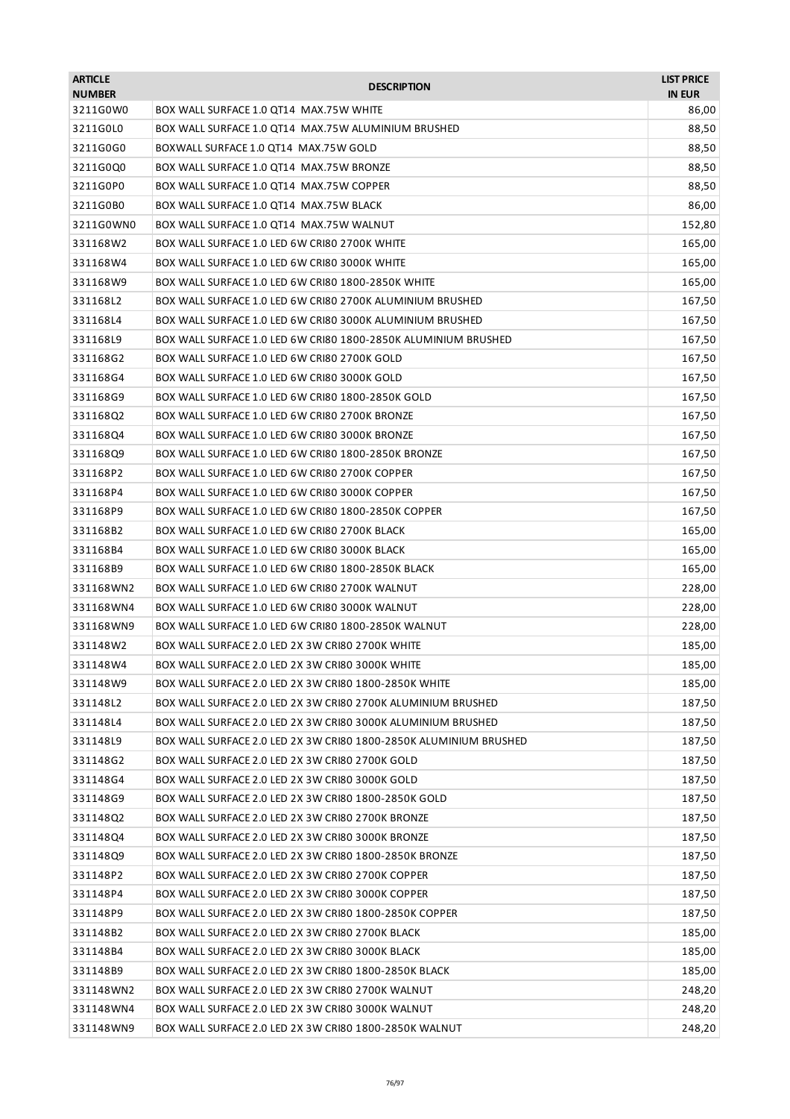| <b>ARTICLE</b><br><b>NUMBER</b> | <b>DESCRIPTION</b>                                                | <b>LIST PRICE</b><br><b>IN EUR</b> |
|---------------------------------|-------------------------------------------------------------------|------------------------------------|
| 3211G0W0                        | BOX WALL SURFACE 1.0 QT14 MAX.75W WHITE                           | 86,00                              |
| 3211G0L0                        | BOX WALL SURFACE 1.0 QT14 MAX.75W ALUMINIUM BRUSHED               | 88,50                              |
| 3211G0G0                        | BOXWALL SURFACE 1.0 QT14 MAX.75W GOLD                             | 88,50                              |
| 3211G0Q0                        | BOX WALL SURFACE 1.0 QT14 MAX.75W BRONZE                          | 88,50                              |
| 3211G0P0                        | BOX WALL SURFACE 1.0 QT14 MAX.75W COPPER                          | 88,50                              |
| 3211G0B0                        | BOX WALL SURFACE 1.0 QT14 MAX.75W BLACK                           | 86,00                              |
| 3211G0WN0                       | BOX WALL SURFACE 1.0 QT14 MAX.75W WALNUT                          | 152,80                             |
| 331168W2                        | BOX WALL SURFACE 1.0 LED 6W CRI80 2700K WHITE                     | 165,00                             |
| 331168W4                        | BOX WALL SURFACE 1.0 LED 6W CRI80 3000K WHITE                     | 165,00                             |
| 331168W9                        | BOX WALL SURFACE 1.0 LED 6W CRI80 1800-2850K WHITE                | 165,00                             |
| 331168L2                        | BOX WALL SURFACE 1.0 LED 6W CRI80 2700K ALUMINIUM BRUSHED         | 167,50                             |
| 331168L4                        | BOX WALL SURFACE 1.0 LED 6W CRI80 3000K ALUMINIUM BRUSHED         | 167,50                             |
| 331168L9                        | BOX WALL SURFACE 1.0 LED 6W CRI80 1800-2850K ALUMINIUM BRUSHED    | 167,50                             |
| 331168G2                        | BOX WALL SURFACE 1.0 LED 6W CRI80 2700K GOLD                      | 167,50                             |
| 331168G4                        | BOX WALL SURFACE 1.0 LED 6W CRI80 3000K GOLD                      | 167,50                             |
| 331168G9                        | BOX WALL SURFACE 1.0 LED 6W CRI80 1800-2850K GOLD                 | 167,50                             |
| 33116802                        | BOX WALL SURFACE 1.0 LED 6W CRI80 2700K BRONZE                    | 167,50                             |
| 331168Q4                        | BOX WALL SURFACE 1.0 LED 6W CRI80 3000K BRONZE                    | 167,50                             |
| 331168Q9                        | BOX WALL SURFACE 1.0 LED 6W CRI80 1800-2850K BRONZE               | 167,50                             |
| 331168P2                        | BOX WALL SURFACE 1.0 LED 6W CRI80 2700K COPPER                    | 167,50                             |
| 331168P4                        | BOX WALL SURFACE 1.0 LED 6W CRI80 3000K COPPER                    | 167,50                             |
| 331168P9                        | BOX WALL SURFACE 1.0 LED 6W CRI80 1800-2850K COPPER               | 167,50                             |
| 331168B2                        | BOX WALL SURFACE 1.0 LED 6W CRI80 2700K BLACK                     | 165,00                             |
| 331168B4                        | BOX WALL SURFACE 1.0 LED 6W CRI80 3000K BLACK                     | 165,00                             |
| 331168B9                        | BOX WALL SURFACE 1.0 LED 6W CRI80 1800-2850K BLACK                | 165,00                             |
| 331168WN2                       | BOX WALL SURFACE 1.0 LED 6W CRI80 2700K WALNUT                    | 228,00                             |
| 331168WN4                       | BOX WALL SURFACE 1.0 LED 6W CRI80 3000K WALNUT                    | 228,00                             |
| 331168WN9                       | BOX WALL SURFACE 1.0 LED 6W CRI80 1800-2850K WALNUT               | 228,00                             |
| 331148W2                        | BOX WALL SURFACE 2.0 LED 2X 3W CRI80 2700K WHITE                  | 185,00                             |
| 331148W4                        | BOX WALL SURFACE 2.0 LED 2X 3W CRI80 3000K WHITE                  | 185,00                             |
| 331148W9                        | BOX WALL SURFACE 2.0 LED 2X 3W CRI80 1800-2850K WHITE             | 185,00                             |
| 331148L2                        | BOX WALL SURFACE 2.0 LED 2X 3W CRI80 2700K ALUMINIUM BRUSHED      | 187,50                             |
| 331148L4                        | BOX WALL SURFACE 2.0 LED 2X 3W CRI80 3000K ALUMINIUM BRUSHED      | 187,50                             |
| 331148L9                        | BOX WALL SURFACE 2.0 LED 2X 3W CRI80 1800-2850K ALUMINIUM BRUSHED | 187,50                             |
| 331148G2                        | BOX WALL SURFACE 2.0 LED 2X 3W CRI80 2700K GOLD                   | 187,50                             |
| 331148G4                        | BOX WALL SURFACE 2.0 LED 2X 3W CRI80 3000K GOLD                   | 187,50                             |
| 331148G9                        | BOX WALL SURFACE 2.0 LED 2X 3W CRI80 1800-2850K GOLD              | 187,50                             |
| 331148Q2                        | BOX WALL SURFACE 2.0 LED 2X 3W CRI80 2700K BRONZE                 | 187,50                             |
| 331148Q4                        | BOX WALL SURFACE 2.0 LED 2X 3W CRI80 3000K BRONZE                 | 187,50                             |
| 331148Q9                        | BOX WALL SURFACE 2.0 LED 2X 3W CRI80 1800-2850K BRONZE            | 187,50                             |
| 331148P2                        | BOX WALL SURFACE 2.0 LED 2X 3W CRI80 2700K COPPER                 | 187,50                             |
| 331148P4                        | BOX WALL SURFACE 2.0 LED 2X 3W CRI80 3000K COPPER                 | 187,50                             |
| 331148P9                        | BOX WALL SURFACE 2.0 LED 2X 3W CRI80 1800-2850K COPPER            | 187,50                             |
| 331148B2                        | BOX WALL SURFACE 2.0 LED 2X 3W CRI80 2700K BLACK                  | 185,00                             |
| 331148B4                        | BOX WALL SURFACE 2.0 LED 2X 3W CRI80 3000K BLACK                  | 185,00                             |
| 331148B9                        | BOX WALL SURFACE 2.0 LED 2X 3W CRI80 1800-2850K BLACK             | 185,00                             |
| 331148WN2                       | BOX WALL SURFACE 2.0 LED 2X 3W CRI80 2700K WALNUT                 | 248,20                             |
| 331148WN4                       | BOX WALL SURFACE 2.0 LED 2X 3W CRI80 3000K WALNUT                 | 248,20                             |
| 331148WN9                       | BOX WALL SURFACE 2.0 LED 2X 3W CRI80 1800-2850K WALNUT            | 248,20                             |
|                                 |                                                                   |                                    |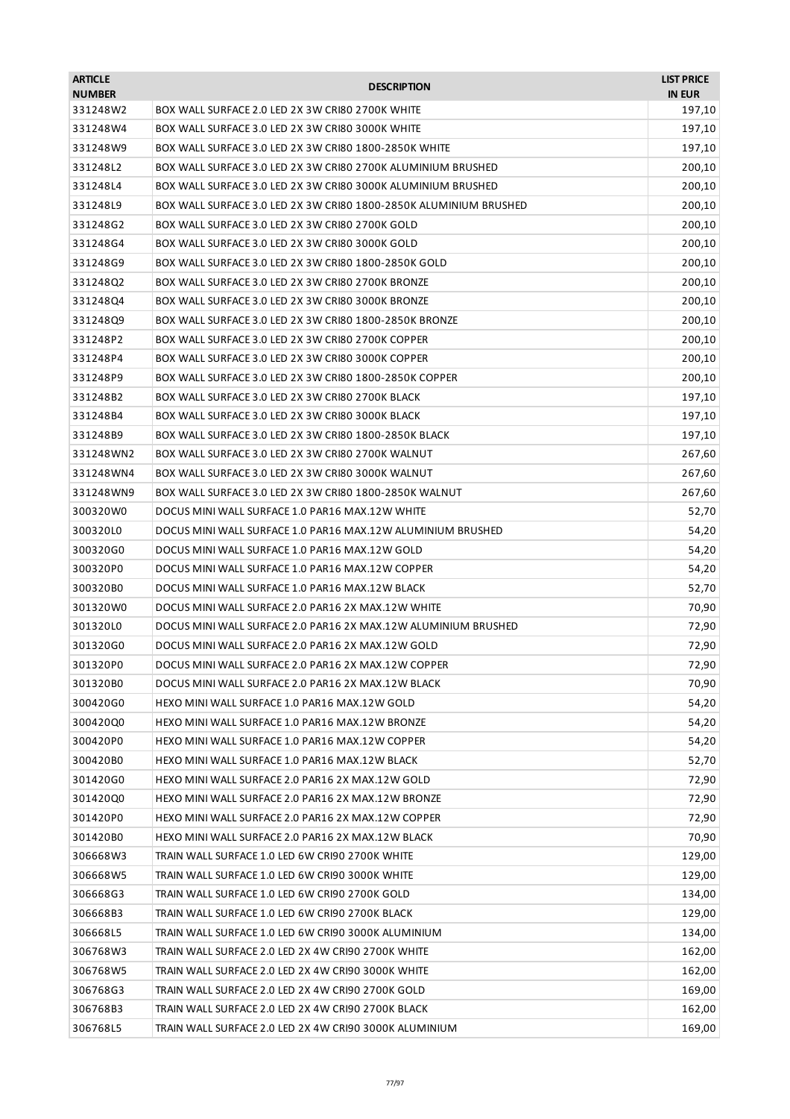| <b>ARTICLE</b><br><b>NUMBER</b> | <b>DESCRIPTION</b>                                                | <b>LIST PRICE</b><br><b>IN EUR</b> |
|---------------------------------|-------------------------------------------------------------------|------------------------------------|
| 331248W2                        | BOX WALL SURFACE 2.0 LED 2X 3W CRI80 2700K WHITE                  | 197,10                             |
| 331248W4                        | BOX WALL SURFACE 3.0 LED 2X 3W CRI80 3000K WHITE                  | 197,10                             |
| 331248W9                        | BOX WALL SURFACE 3.0 LED 2X 3W CRI80 1800-2850K WHITE             | 197,10                             |
| 331248L2                        | BOX WALL SURFACE 3.0 LED 2X 3W CRI80 2700K ALUMINIUM BRUSHED      | 200,10                             |
| 331248L4                        | BOX WALL SURFACE 3.0 LED 2X 3W CRI80 3000K ALUMINIUM BRUSHED      | 200,10                             |
| 331248L9                        | BOX WALL SURFACE 3.0 LED 2X 3W CRI80 1800-2850K ALUMINIUM BRUSHED | 200,10                             |
| 331248G2                        | BOX WALL SURFACE 3.0 LED 2X 3W CRI80 2700K GOLD                   | 200,10                             |
| 331248G4                        | BOX WALL SURFACE 3.0 LED 2X 3W CRI80 3000K GOLD                   | 200,10                             |
| 331248G9                        | BOX WALL SURFACE 3.0 LED 2X 3W CRI80 1800-2850K GOLD              | 200,10                             |
| 331248Q2                        | BOX WALL SURFACE 3.0 LED 2X 3W CRI80 2700K BRONZE                 | 200,10                             |
| 331248Q4                        | BOX WALL SURFACE 3.0 LED 2X 3W CRI80 3000K BRONZE                 | 200,10                             |
| 331248Q9                        | BOX WALL SURFACE 3.0 LED 2X 3W CRI80 1800-2850K BRONZE            | 200,10                             |
| 331248P2                        | BOX WALL SURFACE 3.0 LED 2X 3W CRI80 2700K COPPER                 | 200,10                             |
| 331248P4                        | BOX WALL SURFACE 3.0 LED 2X 3W CRI80 3000K COPPER                 | 200,10                             |
| 331248P9                        | BOX WALL SURFACE 3.0 LED 2X 3W CRI80 1800-2850K COPPER            | 200,10                             |
| 331248B2                        | BOX WALL SURFACE 3.0 LED 2X 3W CRI80 2700K BLACK                  | 197,10                             |
| 331248B4                        | BOX WALL SURFACE 3.0 LED 2X 3W CRI80 3000K BLACK                  | 197,10                             |
| 331248B9                        | BOX WALL SURFACE 3.0 LED 2X 3W CRI80 1800-2850K BLACK             | 197,10                             |
| 331248WN2                       | BOX WALL SURFACE 3.0 LED 2X 3W CRI80 2700K WALNUT                 | 267,60                             |
| 331248WN4                       | BOX WALL SURFACE 3.0 LED 2X 3W CRI80 3000K WALNUT                 | 267,60                             |
| 331248WN9                       | BOX WALL SURFACE 3.0 LED 2X 3W CRI80 1800-2850K WALNUT            | 267,60                             |
| 300320W0                        | DOCUS MINI WALL SURFACE 1.0 PAR16 MAX.12W WHITE                   | 52,70                              |
| 300320L0                        | DOCUS MINI WALL SURFACE 1.0 PAR16 MAX.12W ALUMINIUM BRUSHED       | 54,20                              |
| 300320G0                        | DOCUS MINI WALL SURFACE 1.0 PAR16 MAX.12W GOLD                    | 54,20                              |
| 300320P0                        | DOCUS MINI WALL SURFACE 1.0 PAR16 MAX.12W COPPER                  | 54,20                              |
| 300320B0                        | DOCUS MINI WALL SURFACE 1.0 PAR16 MAX.12W BLACK                   | 52,70                              |
| 301320W0                        | DOCUS MINI WALL SURFACE 2.0 PAR16 2X MAX.12W WHITE                | 70,90                              |
| 301320L0                        | DOCUS MINI WALL SURFACE 2.0 PAR16 2X MAX.12W ALUMINIUM BRUSHED    | 72,90                              |
| 301320G0                        | DOCUS MINI WALL SURFACE 2.0 PAR16 2X MAX.12W GOLD                 | 72,90                              |
| 301320P0                        | DOCUS MINI WALL SURFACE 2.0 PAR16 2X MAX.12W COPPER               | 72,90                              |
| 301320B0                        | DOCUS MINI WALL SURFACE 2.0 PAR16 2X MAX.12W BLACK                | 70,90                              |
| 300420G0                        | HEXO MINI WALL SURFACE 1.0 PAR16 MAX.12W GOLD                     | 54,20                              |
| 300420Q0                        | HEXO MINI WALL SURFACE 1.0 PAR16 MAX.12W BRONZE                   | 54,20                              |
| 300420P0                        | HEXO MINI WALL SURFACE 1.0 PAR16 MAX.12W COPPER                   | 54,20                              |
| 300420B0                        | HEXO MINI WALL SURFACE 1.0 PAR16 MAX.12W BLACK                    | 52,70                              |
| 301420G0                        | HEXO MINI WALL SURFACE 2.0 PAR16 2X MAX.12W GOLD                  | 72,90                              |
| 301420Q0                        | HEXO MINI WALL SURFACE 2.0 PAR16 2X MAX.12W BRONZE                | 72,90                              |
| 301420P0                        | HEXO MINI WALL SURFACE 2.0 PAR16 2X MAX.12W COPPER                | 72,90                              |
| 301420B0                        | HEXO MINI WALL SURFACE 2.0 PAR16 2X MAX.12W BLACK                 | 70,90                              |
| 306668W3                        | TRAIN WALL SURFACE 1.0 LED 6W CRI90 2700K WHITE                   | 129,00                             |
| 306668W5                        | TRAIN WALL SURFACE 1.0 LED 6W CRI90 3000K WHITE                   | 129,00                             |
| 306668G3                        | TRAIN WALL SURFACE 1.0 LED 6W CRI90 2700K GOLD                    | 134,00                             |
| 306668B3                        | TRAIN WALL SURFACE 1.0 LED 6W CRI90 2700K BLACK                   | 129,00                             |
| 306668L5                        | TRAIN WALL SURFACE 1.0 LED 6W CRI90 3000K ALUMINIUM               | 134,00                             |
| 306768W3                        | TRAIN WALL SURFACE 2.0 LED 2X 4W CRI90 2700K WHITE                | 162,00                             |
| 306768W5                        | TRAIN WALL SURFACE 2.0 LED 2X 4W CRI90 3000K WHITE                | 162,00                             |
| 306768G3                        | TRAIN WALL SURFACE 2.0 LED 2X 4W CRI90 2700K GOLD                 | 169,00                             |
| 306768B3                        | TRAIN WALL SURFACE 2.0 LED 2X 4W CRI90 2700K BLACK                | 162,00                             |
| 306768L5                        | TRAIN WALL SURFACE 2.0 LED 2X 4W CRI90 3000K ALUMINIUM            | 169,00                             |
|                                 |                                                                   |                                    |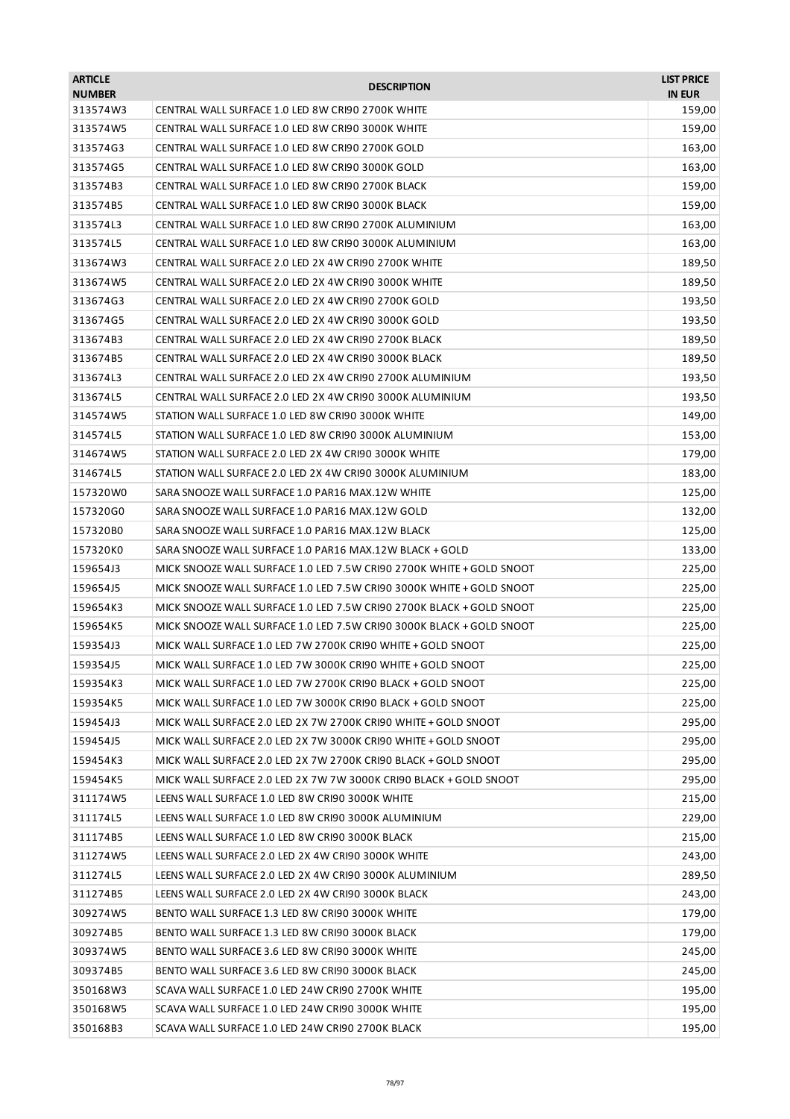| <b>ARTICLE</b><br><b>NUMBER</b> | <b>DESCRIPTION</b>                                                   | <b>LIST PRICE</b><br><b>IN EUR</b> |
|---------------------------------|----------------------------------------------------------------------|------------------------------------|
| 313574W3                        | CENTRAL WALL SURFACE 1.0 LED 8W CRI90 2700K WHITE                    | 159,00                             |
| 313574W5                        | CENTRAL WALL SURFACE 1.0 LED 8W CRI90 3000K WHITE                    | 159,00                             |
| 313574G3                        | CENTRAL WALL SURFACE 1.0 LED 8W CRI90 2700K GOLD                     | 163,00                             |
| 313574G5                        | CENTRAL WALL SURFACE 1.0 LED 8W CRI90 3000K GOLD                     | 163,00                             |
| 313574B3                        | CENTRAL WALL SURFACE 1.0 LED 8W CRI90 2700K BLACK                    | 159,00                             |
| 313574B5                        | CENTRAL WALL SURFACE 1.0 LED 8W CRI90 3000K BLACK                    | 159,00                             |
| 313574L3                        | CENTRAL WALL SURFACE 1.0 LED 8W CRI90 2700K ALUMINIUM                | 163,00                             |
| 313574L5                        | CENTRAL WALL SURFACE 1.0 LED 8W CRI90 3000K ALUMINIUM                | 163,00                             |
| 313674W3                        | CENTRAL WALL SURFACE 2.0 LED 2X 4W CRI90 2700K WHITE                 | 189,50                             |
| 313674W5                        | CENTRAL WALL SURFACE 2.0 LED 2X 4W CRI90 3000K WHITE                 | 189,50                             |
| 313674G3                        | CENTRAL WALL SURFACE 2.0 LED 2X 4W CRI90 2700K GOLD                  | 193,50                             |
| 313674G5                        | CENTRAL WALL SURFACE 2.0 LED 2X 4W CRI90 3000K GOLD                  | 193,50                             |
| 313674B3                        | CENTRAL WALL SURFACE 2.0 LED 2X 4W CRI90 2700K BLACK                 | 189,50                             |
| 313674B5                        | CENTRAL WALL SURFACE 2.0 LED 2X 4W CRI90 3000K BLACK                 | 189,50                             |
| 313674L3                        | CENTRAL WALL SURFACE 2.0 LED 2X 4W CRI90 2700K ALUMINIUM             | 193,50                             |
| 313674L5                        | CENTRAL WALL SURFACE 2.0 LED 2X 4W CRI90 3000K ALUMINIUM             | 193,50                             |
| 314574W5                        | STATION WALL SURFACE 1.0 LED 8W CRI90 3000K WHITE                    | 149,00                             |
| 314574L5                        | STATION WALL SURFACE 1.0 LED 8W CRI90 3000K ALUMINIUM                | 153,00                             |
| 314674W5                        | STATION WALL SURFACE 2.0 LED 2X 4W CRI90 3000K WHITE                 | 179,00                             |
| 314674L5                        | STATION WALL SURFACE 2.0 LED 2X 4W CRI90 3000K ALUMINIUM             | 183,00                             |
| 157320W0                        | SARA SNOOZE WALL SURFACE 1.0 PAR16 MAX.12W WHITE                     | 125,00                             |
| 157320G0                        | SARA SNOOZE WALL SURFACE 1.0 PAR16 MAX.12W GOLD                      | 132,00                             |
| 157320B0                        | SARA SNOOZE WALL SURFACE 1.0 PAR16 MAX.12W BLACK                     | 125,00                             |
| 157320K0                        | SARA SNOOZE WALL SURFACE 1.0 PAR16 MAX.12W BLACK + GOLD              | 133,00                             |
| 159654J3                        | MICK SNOOZE WALL SURFACE 1.0 LED 7.5W CRI90 2700K WHITE + GOLD SNOOT | 225,00                             |
| 159654J5                        | MICK SNOOZE WALL SURFACE 1.0 LED 7.5W CRI90 3000K WHITE + GOLD SNOOT | 225,00                             |
| 159654K3                        | MICK SNOOZE WALL SURFACE 1.0 LED 7.5W CRI90 2700K BLACK + GOLD SNOOT | 225,00                             |
| 159654K5                        | MICK SNOOZE WALL SURFACE 1.0 LED 7.5W CRI90 3000K BLACK + GOLD SNOOT | 225,00                             |
| 159354J3                        | MICK WALL SURFACE 1.0 LED 7W 2700K CRI90 WHITE + GOLD SNOOT          | 225,00                             |
| 159354J5                        | MICK WALL SURFACE 1.0 LED 7W 3000K CRI90 WHITE + GOLD SNOOT          | 225,00                             |
| 159354K3                        | MICK WALL SURFACE 1.0 LED 7W 2700K CRI90 BLACK + GOLD SNOOT          | 225,00                             |
| 159354K5                        | MICK WALL SURFACE 1.0 LED 7W 3000K CRI90 BLACK + GOLD SNOOT          | 225,00                             |
| 159454J3                        | MICK WALL SURFACE 2.0 LED 2X 7W 2700K CRI90 WHITE + GOLD SNOOT       | 295,00                             |
| 159454J5                        | MICK WALL SURFACE 2.0 LED 2X 7W 3000K CRI90 WHITE + GOLD SNOOT       | 295,00                             |
| 159454K3                        | MICK WALL SURFACE 2.0 LED 2X 7W 2700K CRI90 BLACK + GOLD SNOOT       | 295,00                             |
| 159454K5                        | MICK WALL SURFACE 2.0 LED 2X 7W 7W 3000K CRI90 BLACK + GOLD SNOOT    | 295,00                             |
| 311174W5                        | LEENS WALL SURFACE 1.0 LED 8W CRI90 3000K WHITE                      | 215,00                             |
| 311174L5                        | LEENS WALL SURFACE 1.0 LED 8W CRI90 3000K ALUMINIUM                  | 229,00                             |
| 311174B5                        | LEENS WALL SURFACE 1.0 LED 8W CRI90 3000K BLACK                      | 215,00                             |
| 311274W5                        | LEENS WALL SURFACE 2.0 LED 2X 4W CRI90 3000K WHITE                   | 243,00                             |
| 311274L5                        | LEENS WALL SURFACE 2.0 LED 2X 4W CRI90 3000K ALUMINIUM               | 289,50                             |
| 311274B5                        | LEENS WALL SURFACE 2.0 LED 2X 4W CRI90 3000K BLACK                   | 243,00                             |
| 309274W5                        | BENTO WALL SURFACE 1.3 LED 8W CRI90 3000K WHITE                      | 179,00                             |
| 309274B5                        | BENTO WALL SURFACE 1.3 LED 8W CRI90 3000K BLACK                      | 179,00                             |
| 309374W5                        | BENTO WALL SURFACE 3.6 LED 8W CRI90 3000K WHITE                      | 245,00                             |
| 309374B5                        | BENTO WALL SURFACE 3.6 LED 8W CRI90 3000K BLACK                      | 245,00                             |
| 350168W3                        | SCAVA WALL SURFACE 1.0 LED 24W CRI90 2700K WHITE                     | 195,00                             |
| 350168W5                        | SCAVA WALL SURFACE 1.0 LED 24W CRI90 3000K WHITE                     | 195,00                             |
| 350168B3                        | SCAVA WALL SURFACE 1.0 LED 24W CRI90 2700K BLACK                     | 195,00                             |
|                                 |                                                                      |                                    |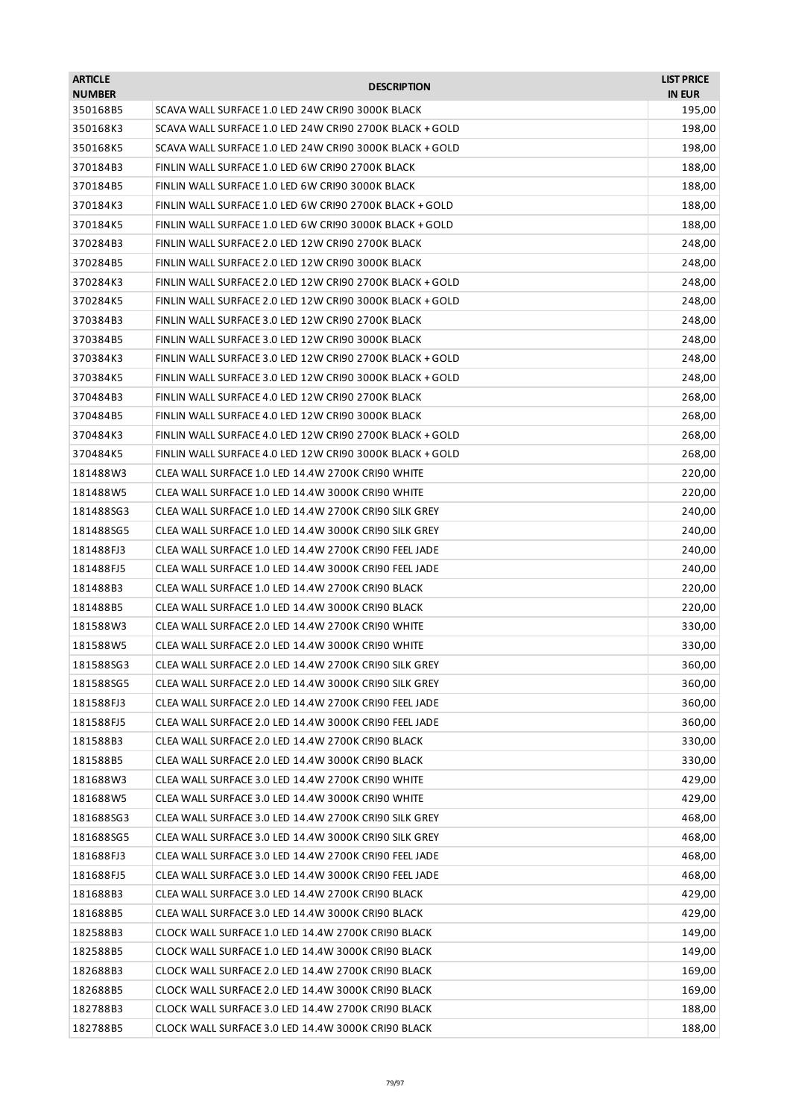| <b>ARTICLE</b><br><b>NUMBER</b> | <b>DESCRIPTION</b>                                       | <b>LIST PRICE</b><br><b>IN EUR</b> |
|---------------------------------|----------------------------------------------------------|------------------------------------|
| 350168B5                        | SCAVA WALL SURFACE 1.0 LED 24W CRI90 3000K BLACK         | 195,00                             |
| 350168K3                        | SCAVA WALL SURFACE 1.0 LED 24W CRI90 2700K BLACK + GOLD  | 198,00                             |
| 350168K5                        | SCAVA WALL SURFACE 1.0 LED 24W CRI90 3000K BLACK + GOLD  | 198,00                             |
| 370184B3                        | FINLIN WALL SURFACE 1.0 LED 6W CRI90 2700K BLACK         | 188,00                             |
| 370184B5                        | FINLIN WALL SURFACE 1.0 LED 6W CRI90 3000K BLACK         | 188,00                             |
| 370184K3                        | FINLIN WALL SURFACE 1.0 LED 6W CRI90 2700K BLACK + GOLD  | 188,00                             |
| 370184K5                        | FINLIN WALL SURFACE 1.0 LED 6W CRI90 3000K BLACK + GOLD  | 188,00                             |
| 370284B3                        | FINLIN WALL SURFACE 2.0 LED 12W CRI90 2700K BLACK        | 248,00                             |
| 370284B5                        | FINLIN WALL SURFACE 2.0 LED 12W CRI90 3000K BLACK        | 248,00                             |
| 370284K3                        | FINLIN WALL SURFACE 2.0 LED 12W CRI90 2700K BLACK + GOLD | 248,00                             |
| 370284K5                        | FINLIN WALL SURFACE 2.0 LED 12W CRI90 3000K BLACK + GOLD | 248,00                             |
| 370384B3                        | FINLIN WALL SURFACE 3.0 LED 12W CRI90 2700K BLACK        | 248,00                             |
| 370384B5                        | FINLIN WALL SURFACE 3.0 LED 12W CRI90 3000K BLACK        | 248,00                             |
| 370384K3                        | FINLIN WALL SURFACE 3.0 LED 12W CRI90 2700K BLACK + GOLD | 248,00                             |
| 370384K5                        | FINLIN WALL SURFACE 3.0 LED 12W CRI90 3000K BLACK + GOLD | 248,00                             |
| 370484B3                        | FINLIN WALL SURFACE 4.0 LED 12W CRI90 2700K BLACK        | 268,00                             |
| 370484B5                        | FINLIN WALL SURFACE 4.0 LED 12W CRI90 3000K BLACK        | 268,00                             |
| 370484K3                        | FINLIN WALL SURFACE 4.0 LED 12W CRI90 2700K BLACK + GOLD | 268,00                             |
| 370484K5                        | FINLIN WALL SURFACE 4.0 LED 12W CRI90 3000K BLACK + GOLD | 268,00                             |
| 181488W3                        | CLEA WALL SURFACE 1.0 LED 14.4W 2700K CRI90 WHITE        | 220,00                             |
| 181488W5                        | CLEA WALL SURFACE 1.0 LED 14.4W 3000K CRI90 WHITE        | 220,00                             |
| 181488SG3                       | CLEA WALL SURFACE 1.0 LED 14.4W 2700K CRI90 SILK GREY    | 240,00                             |
| 181488SG5                       | CLEA WALL SURFACE 1.0 LED 14.4W 3000K CRI90 SILK GREY    | 240,00                             |
| 181488FJ3                       | CLEA WALL SURFACE 1.0 LED 14.4W 2700K CRI90 FEEL JADE    | 240,00                             |
| 181488FJ5                       | CLEA WALL SURFACE 1.0 LED 14.4W 3000K CRI90 FEEL JADE    | 240,00                             |
| 181488B3                        | CLEA WALL SURFACE 1.0 LED 14.4W 2700K CRI90 BLACK        | 220,00                             |
| 181488B5                        | CLEA WALL SURFACE 1.0 LED 14.4W 3000K CRI90 BLACK        | 220,00                             |
| 181588W3                        | CLEA WALL SURFACE 2.0 LED 14.4W 2700K CRI90 WHITE        | 330,00                             |
| 181588W5                        | CLEA WALL SURFACE 2.0 LED 14.4W 3000K CRI90 WHITE        | 330,00                             |
| 181588SG3                       | CLEA WALL SURFACE 2.0 LED 14.4W 2700K CRI90 SILK GREY    | 360,00                             |
| 181588SG5                       | CLEA WALL SURFACE 2.0 LED 14.4W 3000K CRI90 SILK GREY    | 360,00                             |
| 181588FJ3                       | CLEA WALL SURFACE 2.0 LED 14.4W 2700K CRI90 FEEL JADE    | 360,00                             |
| 181588FJ5                       | CLEA WALL SURFACE 2.0 LED 14.4W 3000K CRI90 FEEL JADE    | 360,00                             |
| 181588B3                        | CLEA WALL SURFACE 2.0 LED 14.4W 2700K CRI90 BLACK        | 330,00                             |
| 181588B5                        | CLEA WALL SURFACE 2.0 LED 14.4W 3000K CRI90 BLACK        | 330,00                             |
| 181688W3                        | CLEA WALL SURFACE 3.0 LED 14.4W 2700K CRI90 WHITE        | 429,00                             |
| 181688W5                        | CLEA WALL SURFACE 3.0 LED 14.4W 3000K CRI90 WHITE        | 429,00                             |
| 181688SG3                       | CLEA WALL SURFACE 3.0 LED 14.4W 2700K CRI90 SILK GREY    | 468,00                             |
| 181688SG5                       | CLEA WALL SURFACE 3.0 LED 14.4W 3000K CRI90 SILK GREY    | 468,00                             |
| 181688FJ3                       | CLEA WALL SURFACE 3.0 LED 14.4W 2700K CRI90 FEEL JADE    | 468,00                             |
| 181688FJ5                       | CLEA WALL SURFACE 3.0 LED 14.4W 3000K CRI90 FEEL JADE    | 468,00                             |
| 181688B3                        | CLEA WALL SURFACE 3.0 LED 14.4W 2700K CRI90 BLACK        | 429,00                             |
| 181688B5                        | CLEA WALL SURFACE 3.0 LED 14.4W 3000K CRI90 BLACK        | 429,00                             |
| 182588B3                        | CLOCK WALL SURFACE 1.0 LED 14.4W 2700K CRI90 BLACK       | 149,00                             |
| 182588B5                        | CLOCK WALL SURFACE 1.0 LED 14.4W 3000K CRI90 BLACK       | 149,00                             |
| 182688B3                        | CLOCK WALL SURFACE 2.0 LED 14.4W 2700K CRI90 BLACK       | 169,00                             |
|                                 |                                                          | 169,00                             |
| 182688B5                        | CLOCK WALL SURFACE 2.0 LED 14.4W 3000K CRI90 BLACK       |                                    |
| 182788B3                        | CLOCK WALL SURFACE 3.0 LED 14.4W 2700K CRI90 BLACK       | 188,00                             |
| 182788B5                        | CLOCK WALL SURFACE 3.0 LED 14.4W 3000K CRI90 BLACK       | 188,00                             |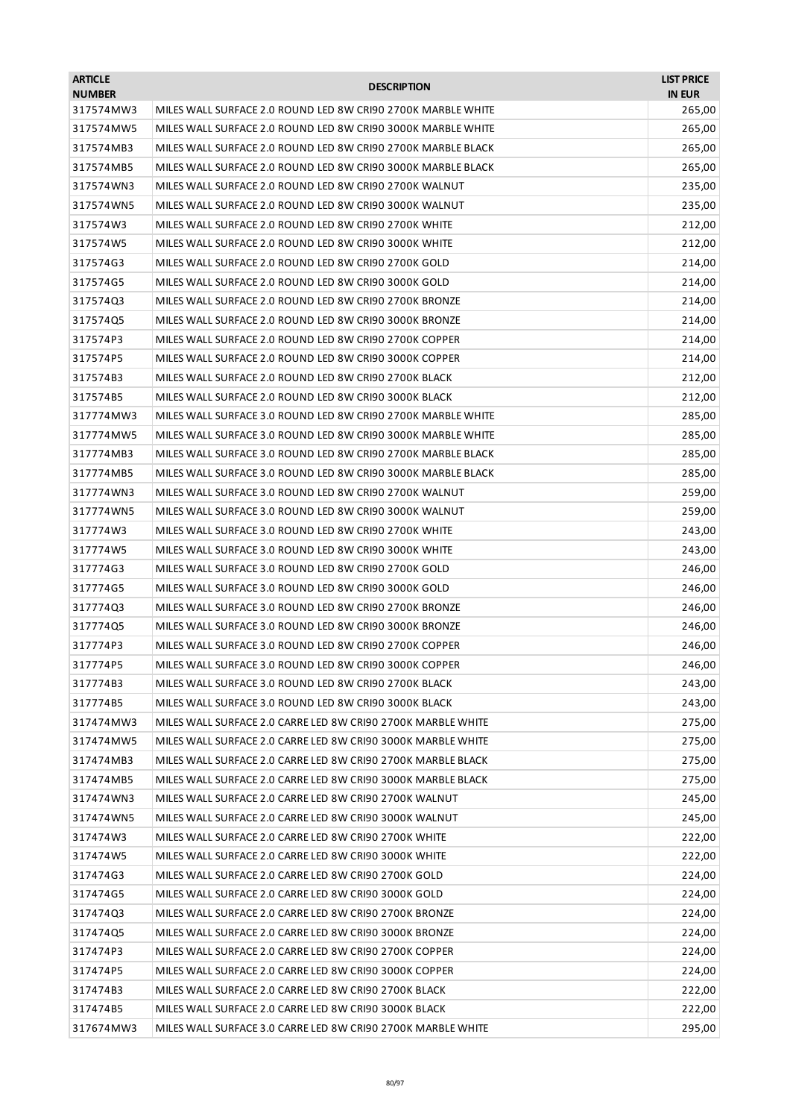| <b>ARTICLE</b><br><b>NUMBER</b> | <b>DESCRIPTION</b>                                           | <b>LIST PRICE</b><br><b>IN EUR</b> |
|---------------------------------|--------------------------------------------------------------|------------------------------------|
| 317574MW3                       | MILES WALL SURFACE 2.0 ROUND LED 8W CRI90 2700K MARBLE WHITE | 265,00                             |
| 317574MW5                       | MILES WALL SURFACE 2.0 ROUND LED 8W CRI90 3000K MARBLE WHITE | 265,00                             |
| 317574MB3                       | MILES WALL SURFACE 2.0 ROUND LED 8W CRI90 2700K MARBLE BLACK | 265,00                             |
| 317574MB5                       | MILES WALL SURFACE 2.0 ROUND LED 8W CRI90 3000K MARBLE BLACK | 265,00                             |
| 317574WN3                       | MILES WALL SURFACE 2.0 ROUND LED 8W CRI90 2700K WALNUT       | 235,00                             |
| 317574WN5                       | MILES WALL SURFACE 2.0 ROUND LED 8W CRI90 3000K WALNUT       | 235,00                             |
| 317574W3                        | MILES WALL SURFACE 2.0 ROUND LED 8W CRI90 2700K WHITE        | 212,00                             |
| 317574W5                        | MILES WALL SURFACE 2.0 ROUND LED 8W CRI90 3000K WHITE        | 212,00                             |
| 317574G3                        | MILES WALL SURFACE 2.0 ROUND LED 8W CRI90 2700K GOLD         | 214,00                             |
| 317574G5                        | MILES WALL SURFACE 2.0 ROUND LED 8W CRI90 3000K GOLD         | 214,00                             |
| 317574Q3                        | MILES WALL SURFACE 2.0 ROUND LED 8W CRI90 2700K BRONZE       | 214,00                             |
| 31757405                        | MILES WALL SURFACE 2.0 ROUND LED 8W CRI90 3000K BRONZE       | 214,00                             |
| 317574P3                        | MILES WALL SURFACE 2.0 ROUND LED 8W CRI90 2700K COPPER       | 214,00                             |
| 317574P5                        | MILES WALL SURFACE 2.0 ROUND LED 8W CRI90 3000K COPPER       | 214,00                             |
| 317574B3                        | MILES WALL SURFACE 2.0 ROUND LED 8W CRI90 2700K BLACK        | 212,00                             |
| 317574B5                        | MILES WALL SURFACE 2.0 ROUND LED 8W CRI90 3000K BLACK        | 212,00                             |
| 317774MW3                       | MILES WALL SURFACE 3.0 ROUND LED 8W CRI90 2700K MARBLE WHITE | 285,00                             |
| 317774MW5                       | MILES WALL SURFACE 3.0 ROUND LED 8W CRI90 3000K MARBLE WHITE | 285,00                             |
| 317774MB3                       | MILES WALL SURFACE 3.0 ROUND LED 8W CRI90 2700K MARBLE BLACK | 285,00                             |
| 317774MB5                       | MILES WALL SURFACE 3.0 ROUND LED 8W CRI90 3000K MARBLE BLACK | 285,00                             |
| 317774WN3                       | MILES WALL SURFACE 3.0 ROUND LED 8W CRI90 2700K WALNUT       | 259,00                             |
| 317774WN5                       | MILES WALL SURFACE 3.0 ROUND LED 8W CRI90 3000K WALNUT       | 259,00                             |
| 317774W3                        | MILES WALL SURFACE 3.0 ROUND LED 8W CRI90 2700K WHITE        | 243,00                             |
| 317774W5                        | MILES WALL SURFACE 3.0 ROUND LED 8W CRI90 3000K WHITE        | 243,00                             |
| 317774G3                        | MILES WALL SURFACE 3.0 ROUND LED 8W CRI90 2700K GOLD         | 246,00                             |
| 317774G5                        | MILES WALL SURFACE 3.0 ROUND LED 8W CRI90 3000K GOLD         | 246,00                             |
| 317774Q3                        | MILES WALL SURFACE 3.0 ROUND LED 8W CRI90 2700K BRONZE       | 246,00                             |
| 317774Q5                        | MILES WALL SURFACE 3.0 ROUND LED 8W CRI90 3000K BRONZE       | 246,00                             |
| 317774P3                        | MILES WALL SURFACE 3.0 ROUND LED 8W CRI90 2700K COPPER       | 246,00                             |
| 317774P5                        | MILES WALL SURFACE 3.0 ROUND LED 8W CRI90 3000K COPPER       | 246,00                             |
| 317774B3                        | MILES WALL SURFACE 3.0 ROUND LED 8W CRI90 2700K BLACK        | 243,00                             |
| 317774B5                        | MILES WALL SURFACE 3.0 ROUND LED 8W CRI90 3000K BLACK        | 243,00                             |
| 317474MW3                       | MILES WALL SURFACE 2.0 CARRE LED 8W CRI90 2700K MARBLE WHITE | 275,00                             |
| 317474MW5                       | MILES WALL SURFACE 2.0 CARRE LED 8W CRI90 3000K MARBLE WHITE | 275,00                             |
| 317474MB3                       | MILES WALL SURFACE 2.0 CARRE LED 8W CRI90 2700K MARBLE BLACK | 275,00                             |
| 317474MB5                       | MILES WALL SURFACE 2.0 CARRE LED 8W CRI90 3000K MARBLE BLACK | 275,00                             |
| 317474WN3                       | MILES WALL SURFACE 2.0 CARRE LED 8W CRI90 2700K WALNUT       | 245,00                             |
| 317474WN5                       | MILES WALL SURFACE 2.0 CARRE LED 8W CRI90 3000K WALNUT       | 245,00                             |
| 317474W3                        | MILES WALL SURFACE 2.0 CARRE LED 8W CRI90 2700K WHITE        | 222,00                             |
| 317474W5                        | MILES WALL SURFACE 2.0 CARRE LED 8W CRI90 3000K WHITE        | 222,00                             |
| 317474G3                        | MILES WALL SURFACE 2.0 CARRE LED 8W CRI90 2700K GOLD         | 224,00                             |
| 317474G5                        | MILES WALL SURFACE 2.0 CARRE LED 8W CRI90 3000K GOLD         | 224,00                             |
| 317474Q3                        | MILES WALL SURFACE 2.0 CARRE LED 8W CRI90 2700K BRONZE       | 224,00                             |
| 317474Q5                        | MILES WALL SURFACE 2.0 CARRE LED 8W CRI90 3000K BRONZE       | 224,00                             |
| 317474P3                        | MILES WALL SURFACE 2.0 CARRE LED 8W CRI90 2700K COPPER       | 224,00                             |
| 317474P5                        | MILES WALL SURFACE 2.0 CARRE LED 8W CRI90 3000K COPPER       | 224,00                             |
| 317474B3                        | MILES WALL SURFACE 2.0 CARRE LED 8W CRI90 2700K BLACK        | 222,00                             |
| 317474B5                        | MILES WALL SURFACE 2.0 CARRE LED 8W CRI90 3000K BLACK        | 222,00                             |
|                                 |                                                              |                                    |
| 317674MW3                       | MILES WALL SURFACE 3.0 CARRE LED 8W CRI90 2700K MARBLE WHITE | 295,00                             |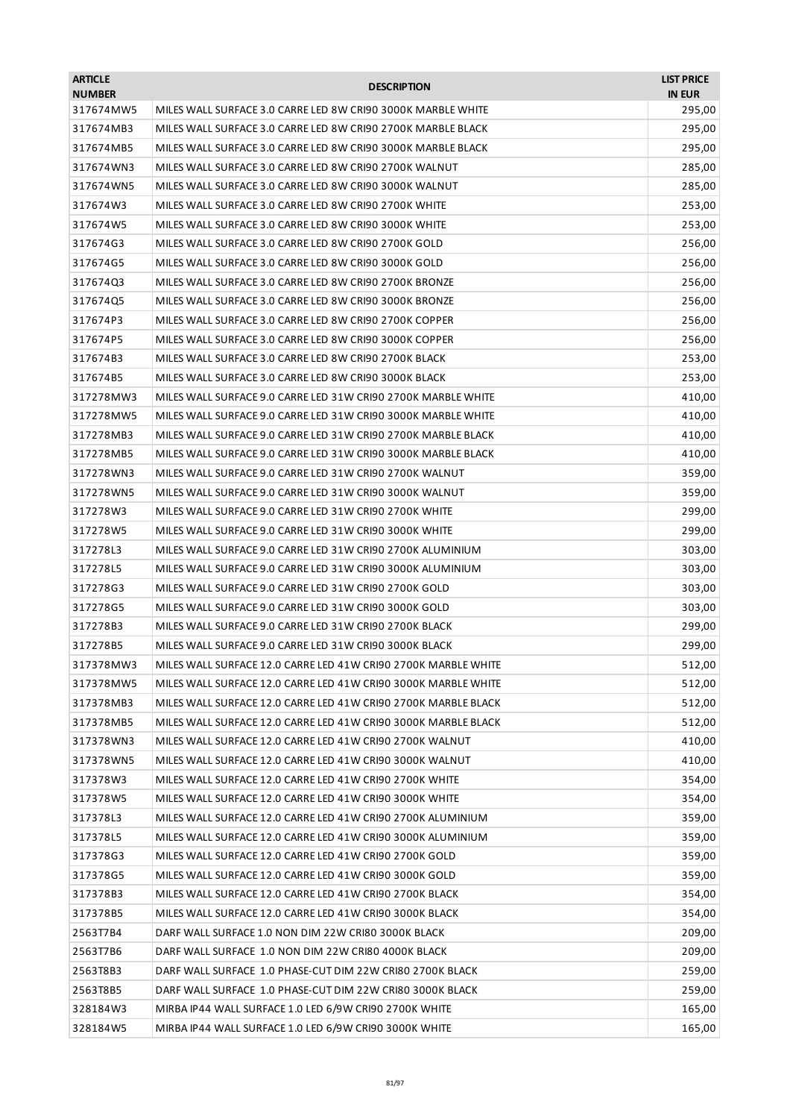| <b>ARTICLE</b><br><b>NUMBER</b> | <b>DESCRIPTION</b>                                                                                                  | <b>LIST PRICE</b><br><b>IN EUR</b> |
|---------------------------------|---------------------------------------------------------------------------------------------------------------------|------------------------------------|
| 317674MW5                       | MILES WALL SURFACE 3.0 CARRE LED 8W CRI90 3000K MARBLE WHITE                                                        | 295,00                             |
| 317674MB3                       | MILES WALL SURFACE 3.0 CARRE LED 8W CRI90 2700K MARBLE BLACK                                                        | 295,00                             |
| 317674MB5                       | MILES WALL SURFACE 3.0 CARRE LED 8W CRI90 3000K MARBLE BLACK                                                        | 295,00                             |
| 317674WN3                       | MILES WALL SURFACE 3.0 CARRE LED 8W CRI90 2700K WALNUT                                                              | 285,00                             |
| 317674WN5                       | MILES WALL SURFACE 3.0 CARRE LED 8W CRI90 3000K WALNUT                                                              | 285,00                             |
| 317674W3                        | MILES WALL SURFACE 3.0 CARRE LED 8W CRI90 2700K WHITE                                                               | 253,00                             |
| 317674W5                        | MILES WALL SURFACE 3.0 CARRE LED 8W CRI90 3000K WHITE                                                               | 253,00                             |
| 317674G3                        | MILES WALL SURFACE 3.0 CARRE LED 8W CRI90 2700K GOLD                                                                | 256,00                             |
| 317674G5                        | MILES WALL SURFACE 3.0 CARRE LED 8W CRI90 3000K GOLD                                                                | 256,00                             |
| 317674Q3                        | MILES WALL SURFACE 3.0 CARRE LED 8W CRI90 2700K BRONZE                                                              | 256,00                             |
| 317674Q5                        | MILES WALL SURFACE 3.0 CARRE LED 8W CRI90 3000K BRONZE                                                              | 256,00                             |
| 317674P3                        | MILES WALL SURFACE 3.0 CARRE LED 8W CRI90 2700K COPPER                                                              | 256,00                             |
| 317674P5                        | MILES WALL SURFACE 3.0 CARRE LED 8W CRI90 3000K COPPER                                                              | 256,00                             |
| 317674B3                        | MILES WALL SURFACE 3.0 CARRE LED 8W CRI90 2700K BLACK                                                               | 253,00                             |
| 317674B5                        | MILES WALL SURFACE 3.0 CARRE LED 8W CRI90 3000K BLACK                                                               | 253,00                             |
| 317278MW3                       | MILES WALL SURFACE 9.0 CARRE LED 31W CRI90 2700K MARBLE WHITE                                                       | 410,00                             |
| 317278MW5                       | MILES WALL SURFACE 9.0 CARRE LED 31W CRI90 3000K MARBLE WHITE                                                       | 410,00                             |
| 317278MB3                       | MILES WALL SURFACE 9.0 CARRE LED 31W CRI90 2700K MARBLE BLACK                                                       | 410,00                             |
| 317278MB5                       | MILES WALL SURFACE 9.0 CARRE LED 31W CRI90 3000K MARBLE BLACK                                                       | 410,00                             |
| 317278WN3                       | MILES WALL SURFACE 9.0 CARRE LED 31W CRI90 2700K WALNUT                                                             | 359,00                             |
| 317278WN5                       | MILES WALL SURFACE 9.0 CARRE LED 31W CRI90 3000K WALNUT                                                             | 359,00                             |
| 317278W3                        | MILES WALL SURFACE 9.0 CARRE LED 31W CRI90 2700K WHITE                                                              | 299,00                             |
| 317278W5                        | MILES WALL SURFACE 9.0 CARRE LED 31W CRI90 3000K WHITE                                                              | 299,00                             |
| 317278L3                        | MILES WALL SURFACE 9.0 CARRE LED 31W CRI90 2700K ALUMINIUM                                                          | 303,00                             |
| 317278L5                        | MILES WALL SURFACE 9.0 CARRE LED 31W CRI90 3000K ALUMINIUM                                                          | 303,00                             |
| 317278G3                        | MILES WALL SURFACE 9.0 CARRE LED 31W CRI90 2700K GOLD                                                               | 303,00                             |
| 317278G5                        | MILES WALL SURFACE 9.0 CARRE LED 31W CRI90 3000K GOLD                                                               | 303,00                             |
| 317278B3                        | MILES WALL SURFACE 9.0 CARRE LED 31W CRI90 2700K BLACK                                                              | 299,00                             |
| 317278B5                        | MILES WALL SURFACE 9.0 CARRE LED 31W CRI90 3000K BLACK                                                              | 299,00                             |
| 317378MW3                       | MILES WALL SURFACE 12.0 CARRE LED 41W CRI90 2700K MARBLE WHITE                                                      | 512,00                             |
| 317378MW5                       | MILES WALL SURFACE 12.0 CARRE LED 41W CRI90 3000K MARBLE WHITE                                                      | 512,00                             |
|                                 | MILES WALL SURFACE 12.0 CARRE LED 41W CRI90 2700K MARBLE BLACK                                                      |                                    |
| 317378MB3<br>317378MB5          | MILES WALL SURFACE 12.0 CARRE LED 41W CRI90 3000K MARBLE BLACK                                                      | 512,00                             |
|                                 |                                                                                                                     | 512,00<br>410,00                   |
| 317378WN3                       | MILES WALL SURFACE 12.0 CARRE LED 41W CRI90 2700K WALNUT                                                            | 410,00                             |
| 317378WN5<br>317378W3           | MILES WALL SURFACE 12.0 CARRE LED 41W CRI90 3000K WALNUT<br>MILES WALL SURFACE 12.0 CARRE LED 41W CRI90 2700K WHITE | 354,00                             |
| 317378W5                        | MILES WALL SURFACE 12.0 CARRE LED 41W CRI90 3000K WHITE                                                             | 354,00                             |
| 317378L3                        | MILES WALL SURFACE 12.0 CARRE LED 41W CRI90 2700K ALUMINIUM                                                         | 359,00                             |
|                                 |                                                                                                                     | 359,00                             |
| 317378L5                        | MILES WALL SURFACE 12.0 CARRE LED 41W CRI90 3000K ALUMINIUM                                                         |                                    |
| 317378G3                        | MILES WALL SURFACE 12.0 CARRE LED 41W CRI90 2700K GOLD                                                              | 359,00                             |
| 317378G5                        | MILES WALL SURFACE 12.0 CARRE LED 41W CRI90 3000K GOLD                                                              | 359,00                             |
| 317378B3                        | MILES WALL SURFACE 12.0 CARRE LED 41W CRI90 2700K BLACK                                                             | 354,00                             |
| 317378B5                        | MILES WALL SURFACE 12.0 CARRE LED 41W CRI90 3000K BLACK                                                             | 354,00                             |
| 2563T7B4                        | DARF WALL SURFACE 1.0 NON DIM 22W CRI80 3000K BLACK                                                                 | 209,00                             |
| 2563T7B6                        | DARF WALL SURFACE 1.0 NON DIM 22W CRI80 4000K BLACK                                                                 | 209,00                             |
| 2563T8B3                        | DARF WALL SURFACE 1.0 PHASE-CUT DIM 22W CRI80 2700K BLACK                                                           | 259,00                             |
| 2563T8B5                        | DARF WALL SURFACE 1.0 PHASE-CUT DIM 22W CRI80 3000K BLACK                                                           | 259,00                             |
| 328184W3                        | MIRBA IP44 WALL SURFACE 1.0 LED 6/9W CRI90 2700K WHITE                                                              | 165,00                             |
| 328184W5                        | MIRBA IP44 WALL SURFACE 1.0 LED 6/9W CRI90 3000K WHITE                                                              | 165,00                             |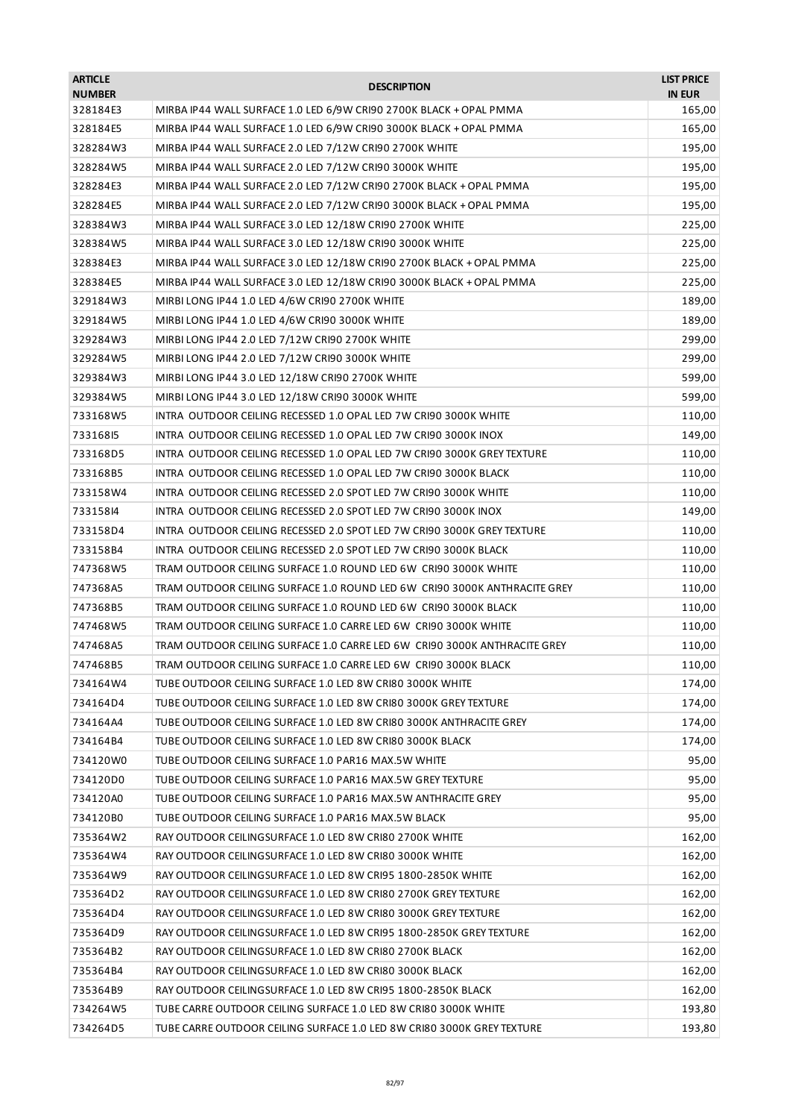| <b>ARTICLE</b><br><b>NUMBER</b> | <b>DESCRIPTION</b>                                                        | <b>LIST PRICE</b><br><b>IN EUR</b> |
|---------------------------------|---------------------------------------------------------------------------|------------------------------------|
| 328184E3                        | MIRBA IP44 WALL SURFACE 1.0 LED 6/9W CRI90 2700K BLACK + OPAL PMMA        | 165,00                             |
| 328184E5                        | MIRBA IP44 WALL SURFACE 1.0 LED 6/9W CRI90 3000K BLACK + OPAL PMMA        | 165,00                             |
| 328284W3                        | MIRBA IP44 WALL SURFACE 2.0 LED 7/12W CRI90 2700K WHITE                   | 195,00                             |
| 328284W5                        | MIRBA IP44 WALL SURFACE 2.0 LED 7/12W CRI90 3000K WHITE                   | 195,00                             |
| 328284E3                        | MIRBA IP44 WALL SURFACE 2.0 LED 7/12W CRI90 2700K BLACK + OPAL PMMA       | 195,00                             |
| 328284E5                        | MIRBA IP44 WALL SURFACE 2.0 LED 7/12W CRI90 3000K BLACK + OPAL PMMA       | 195,00                             |
| 328384W3                        | MIRBA IP44 WALL SURFACE 3.0 LED 12/18W CRI90 2700K WHITE                  | 225,00                             |
| 328384W5                        | MIRBA IP44 WALL SURFACE 3.0 LED 12/18W CRI90 3000K WHITE                  | 225,00                             |
| 328384E3                        | MIRBA IP44 WALL SURFACE 3.0 LED 12/18W CRI90 2700K BLACK + OPAL PMMA      | 225,00                             |
| 328384E5                        | MIRBA IP44 WALL SURFACE 3.0 LED 12/18W CRI90 3000K BLACK + OPAL PMMA      | 225,00                             |
| 329184W3                        | MIRBI LONG IP44 1.0 LED 4/6W CRI90 2700K WHITE                            | 189,00                             |
| 329184W5                        | MIRBI LONG IP44 1.0 LED 4/6W CRI90 3000K WHITE                            | 189,00                             |
| 329284W3                        | MIRBI LONG IP44 2.0 LED 7/12W CRI90 2700K WHITE                           | 299,00                             |
| 329284W5                        | MIRBI LONG IP44 2.0 LED 7/12W CRI90 3000K WHITE                           | 299,00                             |
| 329384W3                        | MIRBI LONG IP44 3.0 LED 12/18W CRI90 2700K WHITE                          | 599,00                             |
| 329384W5                        | MIRBI LONG IP44 3.0 LED 12/18W CRI90 3000K WHITE                          | 599,00                             |
| 733168W5                        | INTRA OUTDOOR CEILING RECESSED 1.0 OPAL LED 7W CRI90 3000K WHITE          | 110,00                             |
| 73316815                        | INTRA OUTDOOR CEILING RECESSED 1.0 OPAL LED 7W CRI90 3000K INOX           | 149,00                             |
| 733168D5                        | INTRA OUTDOOR CEILING RECESSED 1.0 OPAL LED 7W CRI90 3000K GREY TEXTURE   | 110,00                             |
| 733168B5                        | INTRA OUTDOOR CEILING RECESSED 1.0 OPAL LED 7W CRI90 3000K BLACK          | 110,00                             |
| 733158W4                        | INTRA OUTDOOR CEILING RECESSED 2.0 SPOT LED 7W CRI90 3000K WHITE          | 110,00                             |
| 73315814                        | INTRA OUTDOOR CEILING RECESSED 2.0 SPOT LED 7W CRI90 3000K INOX           | 149,00                             |
| 733158D4                        | INTRA OUTDOOR CEILING RECESSED 2.0 SPOT LED 7W CRI90 3000K GREY TEXTURE   | 110,00                             |
| 733158B4                        | INTRA OUTDOOR CEILING RECESSED 2.0 SPOT LED 7W CRI90 3000K BLACK          | 110,00                             |
| 747368W5                        | TRAM OUTDOOR CEILING SURFACE 1.0 ROUND LED 6W CRI90 3000K WHITE           | 110,00                             |
| 747368A5                        | TRAM OUTDOOR CEILING SURFACE 1.0 ROUND LED 6W CRI90 3000K ANTHRACITE GREY | 110,00                             |
| 747368B5                        | TRAM OUTDOOR CEILING SURFACE 1.0 ROUND LED 6W CRI90 3000K BLACK           | 110,00                             |
| 747468W5                        | TRAM OUTDOOR CEILING SURFACE 1.0 CARRE LED 6W CRI90 3000K WHITE           | 110,00                             |
| 747468A5                        | TRAM OUTDOOR CEILING SURFACE 1.0 CARRE LED 6W CRI90 3000K ANTHRACITE GREY | 110,00                             |
| 747468B5                        | TRAM OUTDOOR CEILING SURFACE 1.0 CARRE LED 6W CRI90 3000K BLACK           | 110,00                             |
| 734164W4                        | TUBE OUTDOOR CEILING SURFACE 1.0 LED 8W CRI80 3000K WHITE                 | 174,00                             |
| 734164D4                        | TUBE OUTDOOR CEILING SURFACE 1.0 LED 8W CRI80 3000K GREY TEXTURE          | 174,00                             |
| 734164A4                        | TUBE OUTDOOR CEILING SURFACE 1.0 LED 8W CRI80 3000K ANTHRACITE GREY       | 174,00                             |
| 734164B4                        | TUBE OUTDOOR CEILING SURFACE 1.0 LED 8W CRI80 3000K BLACK                 | 174,00                             |
| 734120W0                        | TUBE OUTDOOR CEILING SURFACE 1.0 PAR16 MAX.5W WHITE                       | 95,00                              |
| 734120D0                        | TUBE OUTDOOR CEILING SURFACE 1.0 PAR16 MAX.5W GREY TEXTURE                | 95,00                              |
| 734120A0                        | TUBE OUTDOOR CEILING SURFACE 1.0 PAR16 MAX.5W ANTHRACITE GREY             | 95,00                              |
| 734120B0                        | TUBE OUTDOOR CEILING SURFACE 1.0 PAR16 MAX.5W BLACK                       | 95,00                              |
| 735364W2                        | RAY OUTDOOR CEILINGSURFACE 1.0 LED 8W CRI80 2700K WHITE                   | 162,00                             |
| 735364W4                        | RAY OUTDOOR CEILINGSURFACE 1.0 LED 8W CRI80 3000K WHITE                   | 162,00                             |
| 735364W9                        | RAY OUTDOOR CEILINGSURFACE 1.0 LED 8W CRI95 1800-2850K WHITE              | 162,00                             |
| 735364D2                        | RAY OUTDOOR CEILINGSURFACE 1.0 LED 8W CRI80 2700K GREY TEXTURE            | 162,00                             |
| 735364D4                        | RAY OUTDOOR CEILINGSURFACE 1.0 LED 8W CRI80 3000K GREY TEXTURE            | 162,00                             |
| 735364D9                        | RAY OUTDOOR CEILINGSURFACE 1.0 LED 8W CRI95 1800-2850K GREY TEXTURE       | 162,00                             |
| 735364B2                        | RAY OUTDOOR CEILINGSURFACE 1.0 LED 8W CRI80 2700K BLACK                   | 162,00                             |
| 735364B4                        | RAY OUTDOOR CEILINGSURFACE 1.0 LED 8W CRI80 3000K BLACK                   | 162,00                             |
| 735364B9                        | RAY OUTDOOR CEILINGSURFACE 1.0 LED 8W CRI95 1800-2850K BLACK              | 162,00                             |
| 734264W5                        | TUBE CARRE OUTDOOR CEILING SURFACE 1.0 LED 8W CRI80 3000K WHITE           | 193,80                             |
| 734264D5                        | TUBE CARRE OUTDOOR CEILING SURFACE 1.0 LED 8W CRI80 3000K GREY TEXTURE    | 193,80                             |
|                                 |                                                                           |                                    |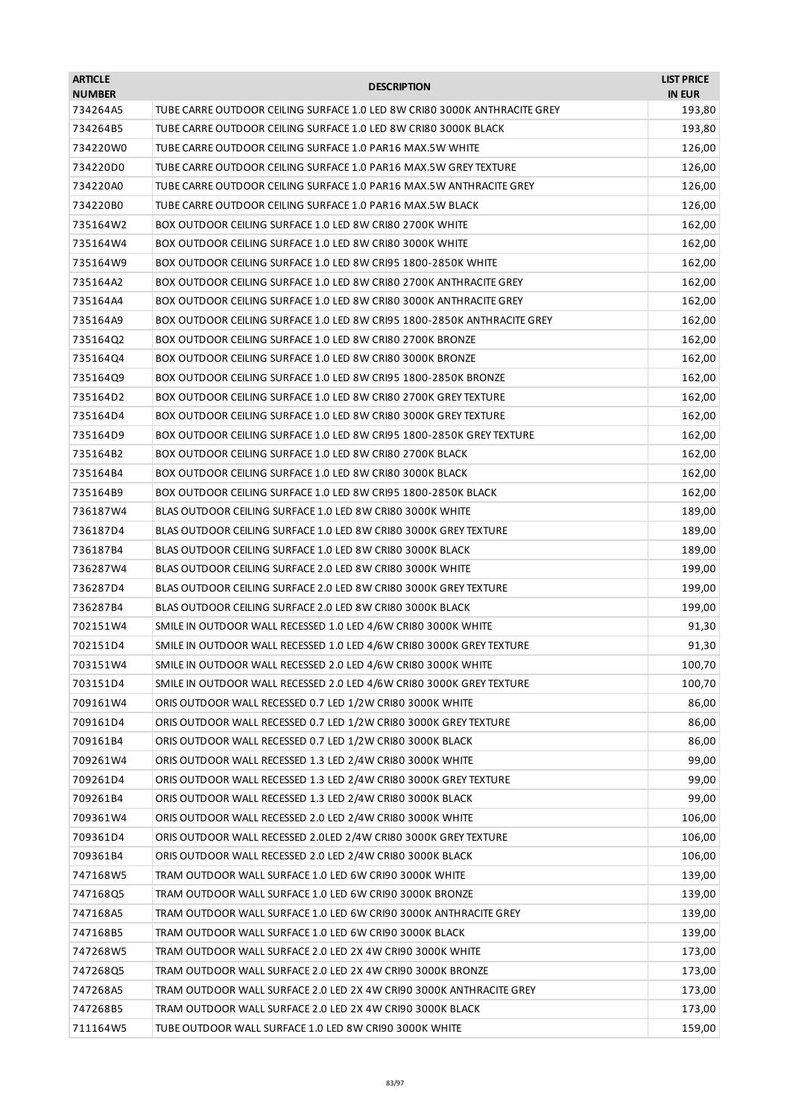| TUBE CARRE OUTDOOR CEILING SURFACE 1.0 LED 8W CRI80 3000K ANTHRACITE GREY<br>734264A5<br>193,80<br>TUBE CARRE OUTDOOR CEILING SURFACE 1.0 LED 8W CRI80 3000K BLACK<br>193,80<br>734264B5<br>734220W0<br>TUBE CARRE OUTDOOR CEILING SURFACE 1.0 PAR16 MAX.5W WHITE<br>126,00<br>734220D0<br>TUBE CARRE OUTDOOR CEILING SURFACE 1.0 PAR16 MAX.5W GREY TEXTURE<br>126,00<br>734220A0<br>TUBE CARRE OUTDOOR CEILING SURFACE 1.0 PAR16 MAX.5W ANTHRACITE GREY<br>126,00<br>734220B0<br>TUBE CARRE OUTDOOR CEILING SURFACE 1.0 PAR16 MAX.5W BLACK<br>126,00<br>162,00<br>BOX OUTDOOR CEILING SURFACE 1.0 LED 8W CRI80 2700K WHITE<br>735164W2<br>BOX OUTDOOR CEILING SURFACE 1.0 LED 8W CRI80 3000K WHITE<br>162,00<br>735164W4<br>735164W9<br>BOX OUTDOOR CEILING SURFACE 1.0 LED 8W CRI95 1800-2850K WHITE<br>162,00<br>735164A2<br>BOX OUTDOOR CEILING SURFACE 1.0 LED 8W CRI80 2700K ANTHRACITE GREY<br>BOX OUTDOOR CEILING SURFACE 1.0 LED 8W CRI80 3000K ANTHRACITE GREY<br>162,00<br>735164A4<br>BOX OUTDOOR CEILING SURFACE 1.0 LED 8W CRI95 1800-2850K ANTHRACITE GREY<br>162,00<br>735164A9<br>735164Q2<br>BOX OUTDOOR CEILING SURFACE 1.0 LED 8W CRI80 2700K BRONZE<br>162,00<br>73516404<br>BOX OUTDOOR CEILING SURFACE 1.0 LED 8W CRI80 3000K BRONZE<br>162,00<br>73516409<br>BOX OUTDOOR CEILING SURFACE 1.0 LED 8W CRI95 1800-2850K BRONZE<br>BOX OUTDOOR CEILING SURFACE 1.0 LED 8W CRI80 2700K GREY TEXTURE<br>162,00<br>735164D2<br>162,00<br>BOX OUTDOOR CEILING SURFACE 1.0 LED 8W CRI80 3000K GREY TEXTURE<br>735164D4<br>735164D9<br>BOX OUTDOOR CEILING SURFACE 1.0 LED 8W CRI95 1800-2850K GREY TEXTURE<br>162,00<br>735164B2<br>BOX OUTDOOR CEILING SURFACE 1.0 LED 8W CRI80 2700K BLACK<br>162,00<br>735164B4<br>BOX OUTDOOR CEILING SURFACE 1.0 LED 8W CRI80 3000K BLACK<br>BOX OUTDOOR CEILING SURFACE 1.0 LED 8W CRI95 1800-2850K BLACK<br>162,00<br>735164B9<br>736187W4<br>BLAS OUTDOOR CEILING SURFACE 1.0 LED 8W CRI80 3000K WHITE<br>189,00<br>736187D4<br>189,00<br>BLAS OUTDOOR CEILING SURFACE 1.0 LED 8W CRI80 3000K GREY TEXTURE<br>736187B4<br>BLAS OUTDOOR CEILING SURFACE 1.0 LED 8W CRI80 3000K BLACK<br>189,00<br>736287W4<br>BLAS OUTDOOR CEILING SURFACE 2.0 LED 8W CRI80 3000K WHITE<br>199,00<br>736287D4<br>BLAS OUTDOOR CEILING SURFACE 2.0 LED 8W CRI80 3000K GREY TEXTURE<br>199,00<br>736287B4<br>BLAS OUTDOOR CEILING SURFACE 2.0 LED 8W CRI80 3000K BLACK<br>199,00<br>702151W4<br>SMILE IN OUTDOOR WALL RECESSED 1.0 LED 4/6W CRI80 3000K WHITE<br>702151D4<br>SMILE IN OUTDOOR WALL RECESSED 1.0 LED 4/6W CRI80 3000K GREY TEXTURE<br>SMILE IN OUTDOOR WALL RECESSED 2.0 LED 4/6W CRI80 3000K WHITE<br>703151W4<br>SMILE IN OUTDOOR WALL RECESSED 2.0 LED 4/6W CRI80 3000K GREY TEXTURE<br>703151D4<br>ORIS OUTDOOR WALL RECESSED 0.7 LED 1/2W CRI80 3000K WHITE<br>709161W4<br>709161D4<br>ORIS OUTDOOR WALL RECESSED 0.7 LED 1/2W CRI80 3000K GREY TEXTURE<br>709161B4<br>ORIS OUTDOOR WALL RECESSED 0.7 LED 1/2W CRI80 3000K BLACK<br>709261W4<br>ORIS OUTDOOR WALL RECESSED 1.3 LED 2/4W CRI80 3000K WHITE<br>709261D4<br>ORIS OUTDOOR WALL RECESSED 1.3 LED 2/4W CRI80 3000K GREY TEXTURE<br>ORIS OUTDOOR WALL RECESSED 1.3 LED 2/4W CRI80 3000K BLACK<br>709261B4<br>709361W4<br>ORIS OUTDOOR WALL RECESSED 2.0 LED 2/4W CRI80 3000K WHITE<br>ORIS OUTDOOR WALL RECESSED 2.0LED 2/4W CRI80 3000K GREY TEXTURE<br>709361D4<br>709361B4<br>ORIS OUTDOOR WALL RECESSED 2.0 LED 2/4W CRI80 3000K BLACK<br>747168W5<br>TRAM OUTDOOR WALL SURFACE 1.0 LED 6W CRI90 3000K WHITE<br>TRAM OUTDOOR WALL SURFACE 1.0 LED 6W CRI90 3000K BRONZE<br>747168Q5<br>747168A5<br>TRAM OUTDOOR WALL SURFACE 1.0 LED 6W CRI90 3000K ANTHRACITE GREY<br>TRAM OUTDOOR WALL SURFACE 1.0 LED 6W CRI90 3000K BLACK<br>139,00<br>747168B5<br>747268W5<br>TRAM OUTDOOR WALL SURFACE 2.0 LED 2X 4W CRI90 3000K WHITE<br>747268Q5<br>TRAM OUTDOOR WALL SURFACE 2.0 LED 2X 4W CRI90 3000K BRONZE<br>173,00<br>747268A5<br>TRAM OUTDOOR WALL SURFACE 2.0 LED 2X 4W CRI90 3000K ANTHRACITE GREY<br>747268B5<br>TRAM OUTDOOR WALL SURFACE 2.0 LED 2X 4W CRI90 3000K BLACK<br>711164W5<br>TUBE OUTDOOR WALL SURFACE 1.0 LED 8W CRI90 3000K WHITE | <b>ARTICLE</b><br><b>NUMBER</b> | <b>DESCRIPTION</b> | <b>LIST PRICE</b><br><b>IN EUR</b> |
|-------------------------------------------------------------------------------------------------------------------------------------------------------------------------------------------------------------------------------------------------------------------------------------------------------------------------------------------------------------------------------------------------------------------------------------------------------------------------------------------------------------------------------------------------------------------------------------------------------------------------------------------------------------------------------------------------------------------------------------------------------------------------------------------------------------------------------------------------------------------------------------------------------------------------------------------------------------------------------------------------------------------------------------------------------------------------------------------------------------------------------------------------------------------------------------------------------------------------------------------------------------------------------------------------------------------------------------------------------------------------------------------------------------------------------------------------------------------------------------------------------------------------------------------------------------------------------------------------------------------------------------------------------------------------------------------------------------------------------------------------------------------------------------------------------------------------------------------------------------------------------------------------------------------------------------------------------------------------------------------------------------------------------------------------------------------------------------------------------------------------------------------------------------------------------------------------------------------------------------------------------------------------------------------------------------------------------------------------------------------------------------------------------------------------------------------------------------------------------------------------------------------------------------------------------------------------------------------------------------------------------------------------------------------------------------------------------------------------------------------------------------------------------------------------------------------------------------------------------------------------------------------------------------------------------------------------------------------------------------------------------------------------------------------------------------------------------------------------------------------------------------------------------------------------------------------------------------------------------------------------------------------------------------------------------------------------------------------------------------------------------------------------------------------------------------------------------------------------------------------------------------------------------------------------------------------------------------------------------------------------------------------------------------------------------------------------------------------------------------------------------------------------------------------------------------------------------------------------------------------------------------------------------------------------------------------------------------------------------------------------------------------------------------------------------------------------------------------------------------------------------------------------------------------------|---------------------------------|--------------------|------------------------------------|
|                                                                                                                                                                                                                                                                                                                                                                                                                                                                                                                                                                                                                                                                                                                                                                                                                                                                                                                                                                                                                                                                                                                                                                                                                                                                                                                                                                                                                                                                                                                                                                                                                                                                                                                                                                                                                                                                                                                                                                                                                                                                                                                                                                                                                                                                                                                                                                                                                                                                                                                                                                                                                                                                                                                                                                                                                                                                                                                                                                                                                                                                                                                                                                                                                                                                                                                                                                                                                                                                                                                                                                                                                                                                                                                                                                                                                                                                                                                                                                                                                                                                                                                                                                         |                                 |                    |                                    |
|                                                                                                                                                                                                                                                                                                                                                                                                                                                                                                                                                                                                                                                                                                                                                                                                                                                                                                                                                                                                                                                                                                                                                                                                                                                                                                                                                                                                                                                                                                                                                                                                                                                                                                                                                                                                                                                                                                                                                                                                                                                                                                                                                                                                                                                                                                                                                                                                                                                                                                                                                                                                                                                                                                                                                                                                                                                                                                                                                                                                                                                                                                                                                                                                                                                                                                                                                                                                                                                                                                                                                                                                                                                                                                                                                                                                                                                                                                                                                                                                                                                                                                                                                                         |                                 |                    |                                    |
|                                                                                                                                                                                                                                                                                                                                                                                                                                                                                                                                                                                                                                                                                                                                                                                                                                                                                                                                                                                                                                                                                                                                                                                                                                                                                                                                                                                                                                                                                                                                                                                                                                                                                                                                                                                                                                                                                                                                                                                                                                                                                                                                                                                                                                                                                                                                                                                                                                                                                                                                                                                                                                                                                                                                                                                                                                                                                                                                                                                                                                                                                                                                                                                                                                                                                                                                                                                                                                                                                                                                                                                                                                                                                                                                                                                                                                                                                                                                                                                                                                                                                                                                                                         |                                 |                    |                                    |
|                                                                                                                                                                                                                                                                                                                                                                                                                                                                                                                                                                                                                                                                                                                                                                                                                                                                                                                                                                                                                                                                                                                                                                                                                                                                                                                                                                                                                                                                                                                                                                                                                                                                                                                                                                                                                                                                                                                                                                                                                                                                                                                                                                                                                                                                                                                                                                                                                                                                                                                                                                                                                                                                                                                                                                                                                                                                                                                                                                                                                                                                                                                                                                                                                                                                                                                                                                                                                                                                                                                                                                                                                                                                                                                                                                                                                                                                                                                                                                                                                                                                                                                                                                         |                                 |                    |                                    |
|                                                                                                                                                                                                                                                                                                                                                                                                                                                                                                                                                                                                                                                                                                                                                                                                                                                                                                                                                                                                                                                                                                                                                                                                                                                                                                                                                                                                                                                                                                                                                                                                                                                                                                                                                                                                                                                                                                                                                                                                                                                                                                                                                                                                                                                                                                                                                                                                                                                                                                                                                                                                                                                                                                                                                                                                                                                                                                                                                                                                                                                                                                                                                                                                                                                                                                                                                                                                                                                                                                                                                                                                                                                                                                                                                                                                                                                                                                                                                                                                                                                                                                                                                                         |                                 |                    |                                    |
|                                                                                                                                                                                                                                                                                                                                                                                                                                                                                                                                                                                                                                                                                                                                                                                                                                                                                                                                                                                                                                                                                                                                                                                                                                                                                                                                                                                                                                                                                                                                                                                                                                                                                                                                                                                                                                                                                                                                                                                                                                                                                                                                                                                                                                                                                                                                                                                                                                                                                                                                                                                                                                                                                                                                                                                                                                                                                                                                                                                                                                                                                                                                                                                                                                                                                                                                                                                                                                                                                                                                                                                                                                                                                                                                                                                                                                                                                                                                                                                                                                                                                                                                                                         |                                 |                    |                                    |
| 162,00<br>162,00<br>162,00<br>91,30<br>91,30<br>100,70<br>86,00<br>86,00<br>86,00<br>99,00<br>99,00<br>99,00<br>106,00<br>139,00<br>139,00<br>139,00<br>173,00<br>173,00<br>173,00<br>159,00                                                                                                                                                                                                                                                                                                                                                                                                                                                                                                                                                                                                                                                                                                                                                                                                                                                                                                                                                                                                                                                                                                                                                                                                                                                                                                                                                                                                                                                                                                                                                                                                                                                                                                                                                                                                                                                                                                                                                                                                                                                                                                                                                                                                                                                                                                                                                                                                                                                                                                                                                                                                                                                                                                                                                                                                                                                                                                                                                                                                                                                                                                                                                                                                                                                                                                                                                                                                                                                                                                                                                                                                                                                                                                                                                                                                                                                                                                                                                                            |                                 |                    |                                    |
|                                                                                                                                                                                                                                                                                                                                                                                                                                                                                                                                                                                                                                                                                                                                                                                                                                                                                                                                                                                                                                                                                                                                                                                                                                                                                                                                                                                                                                                                                                                                                                                                                                                                                                                                                                                                                                                                                                                                                                                                                                                                                                                                                                                                                                                                                                                                                                                                                                                                                                                                                                                                                                                                                                                                                                                                                                                                                                                                                                                                                                                                                                                                                                                                                                                                                                                                                                                                                                                                                                                                                                                                                                                                                                                                                                                                                                                                                                                                                                                                                                                                                                                                                                         |                                 |                    |                                    |
|                                                                                                                                                                                                                                                                                                                                                                                                                                                                                                                                                                                                                                                                                                                                                                                                                                                                                                                                                                                                                                                                                                                                                                                                                                                                                                                                                                                                                                                                                                                                                                                                                                                                                                                                                                                                                                                                                                                                                                                                                                                                                                                                                                                                                                                                                                                                                                                                                                                                                                                                                                                                                                                                                                                                                                                                                                                                                                                                                                                                                                                                                                                                                                                                                                                                                                                                                                                                                                                                                                                                                                                                                                                                                                                                                                                                                                                                                                                                                                                                                                                                                                                                                                         |                                 |                    |                                    |
|                                                                                                                                                                                                                                                                                                                                                                                                                                                                                                                                                                                                                                                                                                                                                                                                                                                                                                                                                                                                                                                                                                                                                                                                                                                                                                                                                                                                                                                                                                                                                                                                                                                                                                                                                                                                                                                                                                                                                                                                                                                                                                                                                                                                                                                                                                                                                                                                                                                                                                                                                                                                                                                                                                                                                                                                                                                                                                                                                                                                                                                                                                                                                                                                                                                                                                                                                                                                                                                                                                                                                                                                                                                                                                                                                                                                                                                                                                                                                                                                                                                                                                                                                                         |                                 |                    |                                    |
|                                                                                                                                                                                                                                                                                                                                                                                                                                                                                                                                                                                                                                                                                                                                                                                                                                                                                                                                                                                                                                                                                                                                                                                                                                                                                                                                                                                                                                                                                                                                                                                                                                                                                                                                                                                                                                                                                                                                                                                                                                                                                                                                                                                                                                                                                                                                                                                                                                                                                                                                                                                                                                                                                                                                                                                                                                                                                                                                                                                                                                                                                                                                                                                                                                                                                                                                                                                                                                                                                                                                                                                                                                                                                                                                                                                                                                                                                                                                                                                                                                                                                                                                                                         |                                 |                    |                                    |
|                                                                                                                                                                                                                                                                                                                                                                                                                                                                                                                                                                                                                                                                                                                                                                                                                                                                                                                                                                                                                                                                                                                                                                                                                                                                                                                                                                                                                                                                                                                                                                                                                                                                                                                                                                                                                                                                                                                                                                                                                                                                                                                                                                                                                                                                                                                                                                                                                                                                                                                                                                                                                                                                                                                                                                                                                                                                                                                                                                                                                                                                                                                                                                                                                                                                                                                                                                                                                                                                                                                                                                                                                                                                                                                                                                                                                                                                                                                                                                                                                                                                                                                                                                         |                                 |                    |                                    |
|                                                                                                                                                                                                                                                                                                                                                                                                                                                                                                                                                                                                                                                                                                                                                                                                                                                                                                                                                                                                                                                                                                                                                                                                                                                                                                                                                                                                                                                                                                                                                                                                                                                                                                                                                                                                                                                                                                                                                                                                                                                                                                                                                                                                                                                                                                                                                                                                                                                                                                                                                                                                                                                                                                                                                                                                                                                                                                                                                                                                                                                                                                                                                                                                                                                                                                                                                                                                                                                                                                                                                                                                                                                                                                                                                                                                                                                                                                                                                                                                                                                                                                                                                                         |                                 |                    |                                    |
|                                                                                                                                                                                                                                                                                                                                                                                                                                                                                                                                                                                                                                                                                                                                                                                                                                                                                                                                                                                                                                                                                                                                                                                                                                                                                                                                                                                                                                                                                                                                                                                                                                                                                                                                                                                                                                                                                                                                                                                                                                                                                                                                                                                                                                                                                                                                                                                                                                                                                                                                                                                                                                                                                                                                                                                                                                                                                                                                                                                                                                                                                                                                                                                                                                                                                                                                                                                                                                                                                                                                                                                                                                                                                                                                                                                                                                                                                                                                                                                                                                                                                                                                                                         |                                 |                    |                                    |
|                                                                                                                                                                                                                                                                                                                                                                                                                                                                                                                                                                                                                                                                                                                                                                                                                                                                                                                                                                                                                                                                                                                                                                                                                                                                                                                                                                                                                                                                                                                                                                                                                                                                                                                                                                                                                                                                                                                                                                                                                                                                                                                                                                                                                                                                                                                                                                                                                                                                                                                                                                                                                                                                                                                                                                                                                                                                                                                                                                                                                                                                                                                                                                                                                                                                                                                                                                                                                                                                                                                                                                                                                                                                                                                                                                                                                                                                                                                                                                                                                                                                                                                                                                         |                                 |                    |                                    |
|                                                                                                                                                                                                                                                                                                                                                                                                                                                                                                                                                                                                                                                                                                                                                                                                                                                                                                                                                                                                                                                                                                                                                                                                                                                                                                                                                                                                                                                                                                                                                                                                                                                                                                                                                                                                                                                                                                                                                                                                                                                                                                                                                                                                                                                                                                                                                                                                                                                                                                                                                                                                                                                                                                                                                                                                                                                                                                                                                                                                                                                                                                                                                                                                                                                                                                                                                                                                                                                                                                                                                                                                                                                                                                                                                                                                                                                                                                                                                                                                                                                                                                                                                                         |                                 |                    |                                    |
|                                                                                                                                                                                                                                                                                                                                                                                                                                                                                                                                                                                                                                                                                                                                                                                                                                                                                                                                                                                                                                                                                                                                                                                                                                                                                                                                                                                                                                                                                                                                                                                                                                                                                                                                                                                                                                                                                                                                                                                                                                                                                                                                                                                                                                                                                                                                                                                                                                                                                                                                                                                                                                                                                                                                                                                                                                                                                                                                                                                                                                                                                                                                                                                                                                                                                                                                                                                                                                                                                                                                                                                                                                                                                                                                                                                                                                                                                                                                                                                                                                                                                                                                                                         |                                 |                    |                                    |
|                                                                                                                                                                                                                                                                                                                                                                                                                                                                                                                                                                                                                                                                                                                                                                                                                                                                                                                                                                                                                                                                                                                                                                                                                                                                                                                                                                                                                                                                                                                                                                                                                                                                                                                                                                                                                                                                                                                                                                                                                                                                                                                                                                                                                                                                                                                                                                                                                                                                                                                                                                                                                                                                                                                                                                                                                                                                                                                                                                                                                                                                                                                                                                                                                                                                                                                                                                                                                                                                                                                                                                                                                                                                                                                                                                                                                                                                                                                                                                                                                                                                                                                                                                         |                                 |                    |                                    |
|                                                                                                                                                                                                                                                                                                                                                                                                                                                                                                                                                                                                                                                                                                                                                                                                                                                                                                                                                                                                                                                                                                                                                                                                                                                                                                                                                                                                                                                                                                                                                                                                                                                                                                                                                                                                                                                                                                                                                                                                                                                                                                                                                                                                                                                                                                                                                                                                                                                                                                                                                                                                                                                                                                                                                                                                                                                                                                                                                                                                                                                                                                                                                                                                                                                                                                                                                                                                                                                                                                                                                                                                                                                                                                                                                                                                                                                                                                                                                                                                                                                                                                                                                                         |                                 |                    |                                    |
|                                                                                                                                                                                                                                                                                                                                                                                                                                                                                                                                                                                                                                                                                                                                                                                                                                                                                                                                                                                                                                                                                                                                                                                                                                                                                                                                                                                                                                                                                                                                                                                                                                                                                                                                                                                                                                                                                                                                                                                                                                                                                                                                                                                                                                                                                                                                                                                                                                                                                                                                                                                                                                                                                                                                                                                                                                                                                                                                                                                                                                                                                                                                                                                                                                                                                                                                                                                                                                                                                                                                                                                                                                                                                                                                                                                                                                                                                                                                                                                                                                                                                                                                                                         |                                 |                    |                                    |
|                                                                                                                                                                                                                                                                                                                                                                                                                                                                                                                                                                                                                                                                                                                                                                                                                                                                                                                                                                                                                                                                                                                                                                                                                                                                                                                                                                                                                                                                                                                                                                                                                                                                                                                                                                                                                                                                                                                                                                                                                                                                                                                                                                                                                                                                                                                                                                                                                                                                                                                                                                                                                                                                                                                                                                                                                                                                                                                                                                                                                                                                                                                                                                                                                                                                                                                                                                                                                                                                                                                                                                                                                                                                                                                                                                                                                                                                                                                                                                                                                                                                                                                                                                         |                                 |                    |                                    |
|                                                                                                                                                                                                                                                                                                                                                                                                                                                                                                                                                                                                                                                                                                                                                                                                                                                                                                                                                                                                                                                                                                                                                                                                                                                                                                                                                                                                                                                                                                                                                                                                                                                                                                                                                                                                                                                                                                                                                                                                                                                                                                                                                                                                                                                                                                                                                                                                                                                                                                                                                                                                                                                                                                                                                                                                                                                                                                                                                                                                                                                                                                                                                                                                                                                                                                                                                                                                                                                                                                                                                                                                                                                                                                                                                                                                                                                                                                                                                                                                                                                                                                                                                                         |                                 |                    |                                    |
|                                                                                                                                                                                                                                                                                                                                                                                                                                                                                                                                                                                                                                                                                                                                                                                                                                                                                                                                                                                                                                                                                                                                                                                                                                                                                                                                                                                                                                                                                                                                                                                                                                                                                                                                                                                                                                                                                                                                                                                                                                                                                                                                                                                                                                                                                                                                                                                                                                                                                                                                                                                                                                                                                                                                                                                                                                                                                                                                                                                                                                                                                                                                                                                                                                                                                                                                                                                                                                                                                                                                                                                                                                                                                                                                                                                                                                                                                                                                                                                                                                                                                                                                                                         |                                 |                    |                                    |
|                                                                                                                                                                                                                                                                                                                                                                                                                                                                                                                                                                                                                                                                                                                                                                                                                                                                                                                                                                                                                                                                                                                                                                                                                                                                                                                                                                                                                                                                                                                                                                                                                                                                                                                                                                                                                                                                                                                                                                                                                                                                                                                                                                                                                                                                                                                                                                                                                                                                                                                                                                                                                                                                                                                                                                                                                                                                                                                                                                                                                                                                                                                                                                                                                                                                                                                                                                                                                                                                                                                                                                                                                                                                                                                                                                                                                                                                                                                                                                                                                                                                                                                                                                         |                                 |                    |                                    |
|                                                                                                                                                                                                                                                                                                                                                                                                                                                                                                                                                                                                                                                                                                                                                                                                                                                                                                                                                                                                                                                                                                                                                                                                                                                                                                                                                                                                                                                                                                                                                                                                                                                                                                                                                                                                                                                                                                                                                                                                                                                                                                                                                                                                                                                                                                                                                                                                                                                                                                                                                                                                                                                                                                                                                                                                                                                                                                                                                                                                                                                                                                                                                                                                                                                                                                                                                                                                                                                                                                                                                                                                                                                                                                                                                                                                                                                                                                                                                                                                                                                                                                                                                                         |                                 |                    |                                    |
|                                                                                                                                                                                                                                                                                                                                                                                                                                                                                                                                                                                                                                                                                                                                                                                                                                                                                                                                                                                                                                                                                                                                                                                                                                                                                                                                                                                                                                                                                                                                                                                                                                                                                                                                                                                                                                                                                                                                                                                                                                                                                                                                                                                                                                                                                                                                                                                                                                                                                                                                                                                                                                                                                                                                                                                                                                                                                                                                                                                                                                                                                                                                                                                                                                                                                                                                                                                                                                                                                                                                                                                                                                                                                                                                                                                                                                                                                                                                                                                                                                                                                                                                                                         |                                 |                    |                                    |
|                                                                                                                                                                                                                                                                                                                                                                                                                                                                                                                                                                                                                                                                                                                                                                                                                                                                                                                                                                                                                                                                                                                                                                                                                                                                                                                                                                                                                                                                                                                                                                                                                                                                                                                                                                                                                                                                                                                                                                                                                                                                                                                                                                                                                                                                                                                                                                                                                                                                                                                                                                                                                                                                                                                                                                                                                                                                                                                                                                                                                                                                                                                                                                                                                                                                                                                                                                                                                                                                                                                                                                                                                                                                                                                                                                                                                                                                                                                                                                                                                                                                                                                                                                         |                                 |                    |                                    |
|                                                                                                                                                                                                                                                                                                                                                                                                                                                                                                                                                                                                                                                                                                                                                                                                                                                                                                                                                                                                                                                                                                                                                                                                                                                                                                                                                                                                                                                                                                                                                                                                                                                                                                                                                                                                                                                                                                                                                                                                                                                                                                                                                                                                                                                                                                                                                                                                                                                                                                                                                                                                                                                                                                                                                                                                                                                                                                                                                                                                                                                                                                                                                                                                                                                                                                                                                                                                                                                                                                                                                                                                                                                                                                                                                                                                                                                                                                                                                                                                                                                                                                                                                                         |                                 |                    |                                    |
|                                                                                                                                                                                                                                                                                                                                                                                                                                                                                                                                                                                                                                                                                                                                                                                                                                                                                                                                                                                                                                                                                                                                                                                                                                                                                                                                                                                                                                                                                                                                                                                                                                                                                                                                                                                                                                                                                                                                                                                                                                                                                                                                                                                                                                                                                                                                                                                                                                                                                                                                                                                                                                                                                                                                                                                                                                                                                                                                                                                                                                                                                                                                                                                                                                                                                                                                                                                                                                                                                                                                                                                                                                                                                                                                                                                                                                                                                                                                                                                                                                                                                                                                                                         |                                 |                    |                                    |
| 106,00<br>106,00                                                                                                                                                                                                                                                                                                                                                                                                                                                                                                                                                                                                                                                                                                                                                                                                                                                                                                                                                                                                                                                                                                                                                                                                                                                                                                                                                                                                                                                                                                                                                                                                                                                                                                                                                                                                                                                                                                                                                                                                                                                                                                                                                                                                                                                                                                                                                                                                                                                                                                                                                                                                                                                                                                                                                                                                                                                                                                                                                                                                                                                                                                                                                                                                                                                                                                                                                                                                                                                                                                                                                                                                                                                                                                                                                                                                                                                                                                                                                                                                                                                                                                                                                        |                                 |                    | 100,70                             |
|                                                                                                                                                                                                                                                                                                                                                                                                                                                                                                                                                                                                                                                                                                                                                                                                                                                                                                                                                                                                                                                                                                                                                                                                                                                                                                                                                                                                                                                                                                                                                                                                                                                                                                                                                                                                                                                                                                                                                                                                                                                                                                                                                                                                                                                                                                                                                                                                                                                                                                                                                                                                                                                                                                                                                                                                                                                                                                                                                                                                                                                                                                                                                                                                                                                                                                                                                                                                                                                                                                                                                                                                                                                                                                                                                                                                                                                                                                                                                                                                                                                                                                                                                                         |                                 |                    |                                    |
|                                                                                                                                                                                                                                                                                                                                                                                                                                                                                                                                                                                                                                                                                                                                                                                                                                                                                                                                                                                                                                                                                                                                                                                                                                                                                                                                                                                                                                                                                                                                                                                                                                                                                                                                                                                                                                                                                                                                                                                                                                                                                                                                                                                                                                                                                                                                                                                                                                                                                                                                                                                                                                                                                                                                                                                                                                                                                                                                                                                                                                                                                                                                                                                                                                                                                                                                                                                                                                                                                                                                                                                                                                                                                                                                                                                                                                                                                                                                                                                                                                                                                                                                                                         |                                 |                    |                                    |
|                                                                                                                                                                                                                                                                                                                                                                                                                                                                                                                                                                                                                                                                                                                                                                                                                                                                                                                                                                                                                                                                                                                                                                                                                                                                                                                                                                                                                                                                                                                                                                                                                                                                                                                                                                                                                                                                                                                                                                                                                                                                                                                                                                                                                                                                                                                                                                                                                                                                                                                                                                                                                                                                                                                                                                                                                                                                                                                                                                                                                                                                                                                                                                                                                                                                                                                                                                                                                                                                                                                                                                                                                                                                                                                                                                                                                                                                                                                                                                                                                                                                                                                                                                         |                                 |                    |                                    |
|                                                                                                                                                                                                                                                                                                                                                                                                                                                                                                                                                                                                                                                                                                                                                                                                                                                                                                                                                                                                                                                                                                                                                                                                                                                                                                                                                                                                                                                                                                                                                                                                                                                                                                                                                                                                                                                                                                                                                                                                                                                                                                                                                                                                                                                                                                                                                                                                                                                                                                                                                                                                                                                                                                                                                                                                                                                                                                                                                                                                                                                                                                                                                                                                                                                                                                                                                                                                                                                                                                                                                                                                                                                                                                                                                                                                                                                                                                                                                                                                                                                                                                                                                                         |                                 |                    |                                    |
|                                                                                                                                                                                                                                                                                                                                                                                                                                                                                                                                                                                                                                                                                                                                                                                                                                                                                                                                                                                                                                                                                                                                                                                                                                                                                                                                                                                                                                                                                                                                                                                                                                                                                                                                                                                                                                                                                                                                                                                                                                                                                                                                                                                                                                                                                                                                                                                                                                                                                                                                                                                                                                                                                                                                                                                                                                                                                                                                                                                                                                                                                                                                                                                                                                                                                                                                                                                                                                                                                                                                                                                                                                                                                                                                                                                                                                                                                                                                                                                                                                                                                                                                                                         |                                 |                    |                                    |
|                                                                                                                                                                                                                                                                                                                                                                                                                                                                                                                                                                                                                                                                                                                                                                                                                                                                                                                                                                                                                                                                                                                                                                                                                                                                                                                                                                                                                                                                                                                                                                                                                                                                                                                                                                                                                                                                                                                                                                                                                                                                                                                                                                                                                                                                                                                                                                                                                                                                                                                                                                                                                                                                                                                                                                                                                                                                                                                                                                                                                                                                                                                                                                                                                                                                                                                                                                                                                                                                                                                                                                                                                                                                                                                                                                                                                                                                                                                                                                                                                                                                                                                                                                         |                                 |                    |                                    |
|                                                                                                                                                                                                                                                                                                                                                                                                                                                                                                                                                                                                                                                                                                                                                                                                                                                                                                                                                                                                                                                                                                                                                                                                                                                                                                                                                                                                                                                                                                                                                                                                                                                                                                                                                                                                                                                                                                                                                                                                                                                                                                                                                                                                                                                                                                                                                                                                                                                                                                                                                                                                                                                                                                                                                                                                                                                                                                                                                                                                                                                                                                                                                                                                                                                                                                                                                                                                                                                                                                                                                                                                                                                                                                                                                                                                                                                                                                                                                                                                                                                                                                                                                                         |                                 |                    |                                    |
|                                                                                                                                                                                                                                                                                                                                                                                                                                                                                                                                                                                                                                                                                                                                                                                                                                                                                                                                                                                                                                                                                                                                                                                                                                                                                                                                                                                                                                                                                                                                                                                                                                                                                                                                                                                                                                                                                                                                                                                                                                                                                                                                                                                                                                                                                                                                                                                                                                                                                                                                                                                                                                                                                                                                                                                                                                                                                                                                                                                                                                                                                                                                                                                                                                                                                                                                                                                                                                                                                                                                                                                                                                                                                                                                                                                                                                                                                                                                                                                                                                                                                                                                                                         |                                 |                    |                                    |
|                                                                                                                                                                                                                                                                                                                                                                                                                                                                                                                                                                                                                                                                                                                                                                                                                                                                                                                                                                                                                                                                                                                                                                                                                                                                                                                                                                                                                                                                                                                                                                                                                                                                                                                                                                                                                                                                                                                                                                                                                                                                                                                                                                                                                                                                                                                                                                                                                                                                                                                                                                                                                                                                                                                                                                                                                                                                                                                                                                                                                                                                                                                                                                                                                                                                                                                                                                                                                                                                                                                                                                                                                                                                                                                                                                                                                                                                                                                                                                                                                                                                                                                                                                         |                                 |                    |                                    |
|                                                                                                                                                                                                                                                                                                                                                                                                                                                                                                                                                                                                                                                                                                                                                                                                                                                                                                                                                                                                                                                                                                                                                                                                                                                                                                                                                                                                                                                                                                                                                                                                                                                                                                                                                                                                                                                                                                                                                                                                                                                                                                                                                                                                                                                                                                                                                                                                                                                                                                                                                                                                                                                                                                                                                                                                                                                                                                                                                                                                                                                                                                                                                                                                                                                                                                                                                                                                                                                                                                                                                                                                                                                                                                                                                                                                                                                                                                                                                                                                                                                                                                                                                                         |                                 |                    |                                    |
|                                                                                                                                                                                                                                                                                                                                                                                                                                                                                                                                                                                                                                                                                                                                                                                                                                                                                                                                                                                                                                                                                                                                                                                                                                                                                                                                                                                                                                                                                                                                                                                                                                                                                                                                                                                                                                                                                                                                                                                                                                                                                                                                                                                                                                                                                                                                                                                                                                                                                                                                                                                                                                                                                                                                                                                                                                                                                                                                                                                                                                                                                                                                                                                                                                                                                                                                                                                                                                                                                                                                                                                                                                                                                                                                                                                                                                                                                                                                                                                                                                                                                                                                                                         |                                 |                    |                                    |
|                                                                                                                                                                                                                                                                                                                                                                                                                                                                                                                                                                                                                                                                                                                                                                                                                                                                                                                                                                                                                                                                                                                                                                                                                                                                                                                                                                                                                                                                                                                                                                                                                                                                                                                                                                                                                                                                                                                                                                                                                                                                                                                                                                                                                                                                                                                                                                                                                                                                                                                                                                                                                                                                                                                                                                                                                                                                                                                                                                                                                                                                                                                                                                                                                                                                                                                                                                                                                                                                                                                                                                                                                                                                                                                                                                                                                                                                                                                                                                                                                                                                                                                                                                         |                                 |                    |                                    |
|                                                                                                                                                                                                                                                                                                                                                                                                                                                                                                                                                                                                                                                                                                                                                                                                                                                                                                                                                                                                                                                                                                                                                                                                                                                                                                                                                                                                                                                                                                                                                                                                                                                                                                                                                                                                                                                                                                                                                                                                                                                                                                                                                                                                                                                                                                                                                                                                                                                                                                                                                                                                                                                                                                                                                                                                                                                                                                                                                                                                                                                                                                                                                                                                                                                                                                                                                                                                                                                                                                                                                                                                                                                                                                                                                                                                                                                                                                                                                                                                                                                                                                                                                                         |                                 |                    |                                    |
|                                                                                                                                                                                                                                                                                                                                                                                                                                                                                                                                                                                                                                                                                                                                                                                                                                                                                                                                                                                                                                                                                                                                                                                                                                                                                                                                                                                                                                                                                                                                                                                                                                                                                                                                                                                                                                                                                                                                                                                                                                                                                                                                                                                                                                                                                                                                                                                                                                                                                                                                                                                                                                                                                                                                                                                                                                                                                                                                                                                                                                                                                                                                                                                                                                                                                                                                                                                                                                                                                                                                                                                                                                                                                                                                                                                                                                                                                                                                                                                                                                                                                                                                                                         |                                 |                    |                                    |
|                                                                                                                                                                                                                                                                                                                                                                                                                                                                                                                                                                                                                                                                                                                                                                                                                                                                                                                                                                                                                                                                                                                                                                                                                                                                                                                                                                                                                                                                                                                                                                                                                                                                                                                                                                                                                                                                                                                                                                                                                                                                                                                                                                                                                                                                                                                                                                                                                                                                                                                                                                                                                                                                                                                                                                                                                                                                                                                                                                                                                                                                                                                                                                                                                                                                                                                                                                                                                                                                                                                                                                                                                                                                                                                                                                                                                                                                                                                                                                                                                                                                                                                                                                         |                                 |                    |                                    |
|                                                                                                                                                                                                                                                                                                                                                                                                                                                                                                                                                                                                                                                                                                                                                                                                                                                                                                                                                                                                                                                                                                                                                                                                                                                                                                                                                                                                                                                                                                                                                                                                                                                                                                                                                                                                                                                                                                                                                                                                                                                                                                                                                                                                                                                                                                                                                                                                                                                                                                                                                                                                                                                                                                                                                                                                                                                                                                                                                                                                                                                                                                                                                                                                                                                                                                                                                                                                                                                                                                                                                                                                                                                                                                                                                                                                                                                                                                                                                                                                                                                                                                                                                                         |                                 |                    |                                    |
|                                                                                                                                                                                                                                                                                                                                                                                                                                                                                                                                                                                                                                                                                                                                                                                                                                                                                                                                                                                                                                                                                                                                                                                                                                                                                                                                                                                                                                                                                                                                                                                                                                                                                                                                                                                                                                                                                                                                                                                                                                                                                                                                                                                                                                                                                                                                                                                                                                                                                                                                                                                                                                                                                                                                                                                                                                                                                                                                                                                                                                                                                                                                                                                                                                                                                                                                                                                                                                                                                                                                                                                                                                                                                                                                                                                                                                                                                                                                                                                                                                                                                                                                                                         |                                 |                    |                                    |
|                                                                                                                                                                                                                                                                                                                                                                                                                                                                                                                                                                                                                                                                                                                                                                                                                                                                                                                                                                                                                                                                                                                                                                                                                                                                                                                                                                                                                                                                                                                                                                                                                                                                                                                                                                                                                                                                                                                                                                                                                                                                                                                                                                                                                                                                                                                                                                                                                                                                                                                                                                                                                                                                                                                                                                                                                                                                                                                                                                                                                                                                                                                                                                                                                                                                                                                                                                                                                                                                                                                                                                                                                                                                                                                                                                                                                                                                                                                                                                                                                                                                                                                                                                         |                                 |                    |                                    |
|                                                                                                                                                                                                                                                                                                                                                                                                                                                                                                                                                                                                                                                                                                                                                                                                                                                                                                                                                                                                                                                                                                                                                                                                                                                                                                                                                                                                                                                                                                                                                                                                                                                                                                                                                                                                                                                                                                                                                                                                                                                                                                                                                                                                                                                                                                                                                                                                                                                                                                                                                                                                                                                                                                                                                                                                                                                                                                                                                                                                                                                                                                                                                                                                                                                                                                                                                                                                                                                                                                                                                                                                                                                                                                                                                                                                                                                                                                                                                                                                                                                                                                                                                                         |                                 |                    |                                    |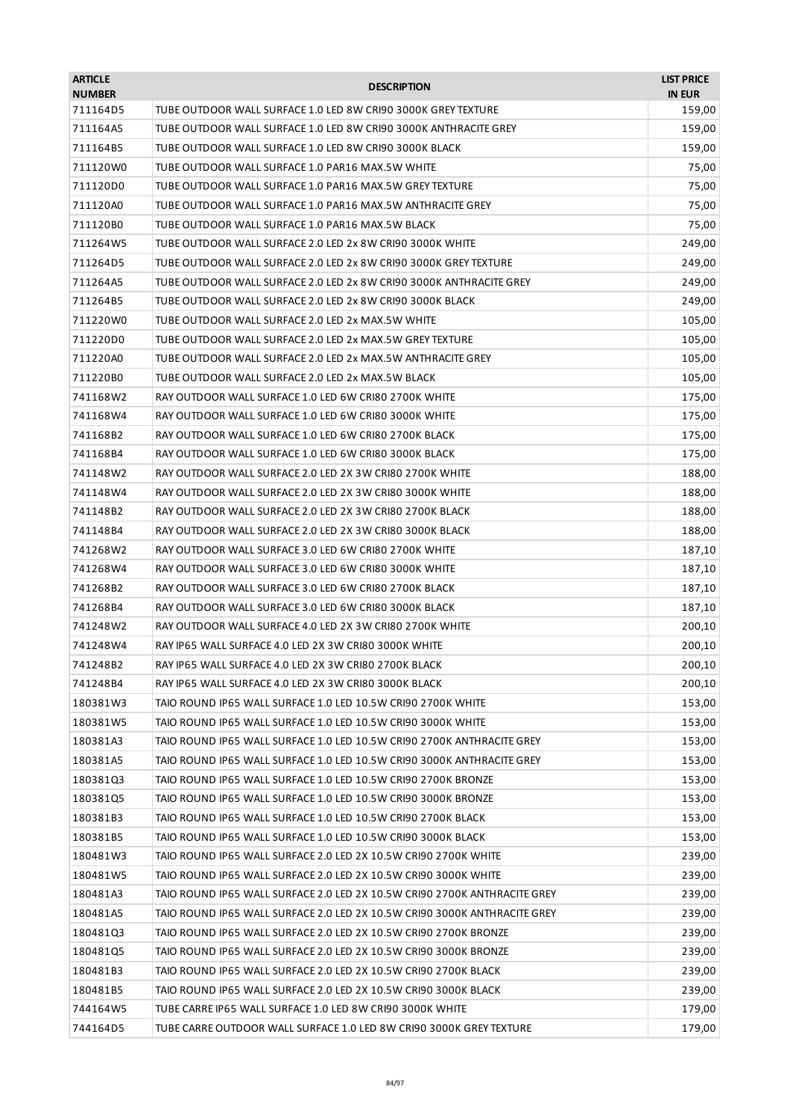| TUBE OUTDOOR WALL SURFACE 1.0 LED 8W CRI90 3000K GREY TEXTURE<br>711164D5<br>159,00<br>711164A5<br>TUBE OUTDOOR WALL SURFACE 1.0 LED 8W CRI90 3000K ANTHRACITE GREY<br>159,00<br>711164B5<br>TUBE OUTDOOR WALL SURFACE 1.0 LED 8W CRI90 3000K BLACK<br>159,00<br>711120W0<br>TUBE OUTDOOR WALL SURFACE 1.0 PAR16 MAX.5W WHITE<br>75,00<br>711120D0<br>TUBE OUTDOOR WALL SURFACE 1.0 PAR16 MAX.5W GREY TEXTURE<br>75,00<br>711120A0<br>TUBE OUTDOOR WALL SURFACE 1.0 PAR16 MAX.5W ANTHRACITE GREY<br>75,00<br>711120B0<br>TUBE OUTDOOR WALL SURFACE 1.0 PAR16 MAX.5W BLACK<br>75,00<br>711264W5<br>TUBE OUTDOOR WALL SURFACE 2.0 LED 2x 8W CRI90 3000K WHITE<br>249,00 |
|-----------------------------------------------------------------------------------------------------------------------------------------------------------------------------------------------------------------------------------------------------------------------------------------------------------------------------------------------------------------------------------------------------------------------------------------------------------------------------------------------------------------------------------------------------------------------------------------------------------------------------------------------------------------------|
|                                                                                                                                                                                                                                                                                                                                                                                                                                                                                                                                                                                                                                                                       |
|                                                                                                                                                                                                                                                                                                                                                                                                                                                                                                                                                                                                                                                                       |
|                                                                                                                                                                                                                                                                                                                                                                                                                                                                                                                                                                                                                                                                       |
|                                                                                                                                                                                                                                                                                                                                                                                                                                                                                                                                                                                                                                                                       |
|                                                                                                                                                                                                                                                                                                                                                                                                                                                                                                                                                                                                                                                                       |
|                                                                                                                                                                                                                                                                                                                                                                                                                                                                                                                                                                                                                                                                       |
|                                                                                                                                                                                                                                                                                                                                                                                                                                                                                                                                                                                                                                                                       |
|                                                                                                                                                                                                                                                                                                                                                                                                                                                                                                                                                                                                                                                                       |
| 711264D5<br>TUBE OUTDOOR WALL SURFACE 2.0 LED 2x 8W CRI90 3000K GREY TEXTURE<br>249,00                                                                                                                                                                                                                                                                                                                                                                                                                                                                                                                                                                                |
| 711264A5<br>TUBE OUTDOOR WALL SURFACE 2.0 LED 2x 8W CRI90 3000K ANTHRACITE GREY<br>249,00                                                                                                                                                                                                                                                                                                                                                                                                                                                                                                                                                                             |
| 249,00<br>711264B5<br>TUBE OUTDOOR WALL SURFACE 2.0 LED 2x 8W CRI90 3000K BLACK                                                                                                                                                                                                                                                                                                                                                                                                                                                                                                                                                                                       |
| 711220W0<br>TUBE OUTDOOR WALL SURFACE 2.0 LED 2x MAX.5W WHITE<br>105,00                                                                                                                                                                                                                                                                                                                                                                                                                                                                                                                                                                                               |
| 711220D0<br>TUBE OUTDOOR WALL SURFACE 2.0 LED 2x MAX.5W GREY TEXTURE<br>105,00                                                                                                                                                                                                                                                                                                                                                                                                                                                                                                                                                                                        |
| 711220A0<br>TUBE OUTDOOR WALL SURFACE 2.0 LED 2x MAX.5W ANTHRACITE GREY<br>105,00                                                                                                                                                                                                                                                                                                                                                                                                                                                                                                                                                                                     |
| 711220B0<br>TUBE OUTDOOR WALL SURFACE 2.0 LED 2x MAX.5W BLACK<br>105,00                                                                                                                                                                                                                                                                                                                                                                                                                                                                                                                                                                                               |
| 741168W2<br>RAY OUTDOOR WALL SURFACE 1.0 LED 6W CRI80 2700K WHITE<br>175,00                                                                                                                                                                                                                                                                                                                                                                                                                                                                                                                                                                                           |
| 741168W4<br>RAY OUTDOOR WALL SURFACE 1.0 LED 6W CRI80 3000K WHITE<br>175,00                                                                                                                                                                                                                                                                                                                                                                                                                                                                                                                                                                                           |
| 741168B2<br>RAY OUTDOOR WALL SURFACE 1.0 LED 6W CRI80 2700K BLACK<br>175,00                                                                                                                                                                                                                                                                                                                                                                                                                                                                                                                                                                                           |
| 741168B4<br>RAY OUTDOOR WALL SURFACE 1.0 LED 6W CRI80 3000K BLACK<br>175,00                                                                                                                                                                                                                                                                                                                                                                                                                                                                                                                                                                                           |
| 741148W2<br>RAY OUTDOOR WALL SURFACE 2.0 LED 2X 3W CRI80 2700K WHITE<br>188,00                                                                                                                                                                                                                                                                                                                                                                                                                                                                                                                                                                                        |
| RAY OUTDOOR WALL SURFACE 2.0 LED 2X 3W CRI80 3000K WHITE<br>188,00<br>741148W4                                                                                                                                                                                                                                                                                                                                                                                                                                                                                                                                                                                        |
| 188,00<br>741148B2<br>RAY OUTDOOR WALL SURFACE 2.0 LED 2X 3W CRI80 2700K BLACK                                                                                                                                                                                                                                                                                                                                                                                                                                                                                                                                                                                        |
| 741148B4<br>RAY OUTDOOR WALL SURFACE 2.0 LED 2X 3W CRI80 3000K BLACK<br>188,00                                                                                                                                                                                                                                                                                                                                                                                                                                                                                                                                                                                        |
| 741268W2<br>RAY OUTDOOR WALL SURFACE 3.0 LED 6W CRI80 2700K WHITE<br>187,10                                                                                                                                                                                                                                                                                                                                                                                                                                                                                                                                                                                           |
| 741268W4<br>RAY OUTDOOR WALL SURFACE 3.0 LED 6W CRI80 3000K WHITE<br>187,10                                                                                                                                                                                                                                                                                                                                                                                                                                                                                                                                                                                           |
| RAY OUTDOOR WALL SURFACE 3.0 LED 6W CRI80 2700K BLACK<br>741268B2<br>187,10                                                                                                                                                                                                                                                                                                                                                                                                                                                                                                                                                                                           |
| 187,10<br>741268B4<br>RAY OUTDOOR WALL SURFACE 3.0 LED 6W CRI80 3000K BLACK                                                                                                                                                                                                                                                                                                                                                                                                                                                                                                                                                                                           |
| 741248W2<br>RAY OUTDOOR WALL SURFACE 4.0 LED 2X 3W CRI80 2700K WHITE<br>200,10                                                                                                                                                                                                                                                                                                                                                                                                                                                                                                                                                                                        |
| 741248W4<br>RAY IP65 WALL SURFACE 4.0 LED 2X 3W CRI80 3000K WHITE<br>200,10                                                                                                                                                                                                                                                                                                                                                                                                                                                                                                                                                                                           |
| 741248B2<br>RAY IP65 WALL SURFACE 4.0 LED 2X 3W CRI80 2700K BLACK<br>200,10                                                                                                                                                                                                                                                                                                                                                                                                                                                                                                                                                                                           |
| RAY IP65 WALL SURFACE 4.0 LED 2X 3W CRI80 3000K BLACK<br>200,10<br>741248B4                                                                                                                                                                                                                                                                                                                                                                                                                                                                                                                                                                                           |
| 180381W3<br>TAIO ROUND IP65 WALL SURFACE 1.0 LED 10.5W CRI90 2700K WHITE<br>153,00                                                                                                                                                                                                                                                                                                                                                                                                                                                                                                                                                                                    |
| 180381W5<br>TAIO ROUND IP65 WALL SURFACE 1.0 LED 10.5W CRI90 3000K WHITE<br>153,00                                                                                                                                                                                                                                                                                                                                                                                                                                                                                                                                                                                    |
| 180381A3<br>153,00<br>TAIO ROUND IP65 WALL SURFACE 1.0 LED 10.5W CRI90 2700K ANTHRACITE GREY                                                                                                                                                                                                                                                                                                                                                                                                                                                                                                                                                                          |
| 180381A5<br>TAIO ROUND IP65 WALL SURFACE 1.0 LED 10.5W CRI90 3000K ANTHRACITE GREY<br>153,00                                                                                                                                                                                                                                                                                                                                                                                                                                                                                                                                                                          |
| 180381Q3<br>TAIO ROUND IP65 WALL SURFACE 1.0 LED 10.5W CRI90 2700K BRONZE<br>153,00                                                                                                                                                                                                                                                                                                                                                                                                                                                                                                                                                                                   |
| 180381Q5<br>TAIO ROUND IP65 WALL SURFACE 1.0 LED 10.5W CRI90 3000K BRONZE<br>153,00                                                                                                                                                                                                                                                                                                                                                                                                                                                                                                                                                                                   |
| 180381B3<br>TAIO ROUND IP65 WALL SURFACE 1.0 LED 10.5W CRI90 2700K BLACK<br>153,00                                                                                                                                                                                                                                                                                                                                                                                                                                                                                                                                                                                    |
| 180381B5<br>TAIO ROUND IP65 WALL SURFACE 1.0 LED 10.5W CRI90 3000K BLACK<br>153,00                                                                                                                                                                                                                                                                                                                                                                                                                                                                                                                                                                                    |
| 180481W3<br>TAIO ROUND IP65 WALL SURFACE 2.0 LED 2X 10.5W CRI90 2700K WHITE<br>239,00                                                                                                                                                                                                                                                                                                                                                                                                                                                                                                                                                                                 |
| 180481W5<br>TAIO ROUND IP65 WALL SURFACE 2.0 LED 2X 10.5W CRI90 3000K WHITE<br>239,00                                                                                                                                                                                                                                                                                                                                                                                                                                                                                                                                                                                 |
| 180481A3<br>TAIO ROUND IP65 WALL SURFACE 2.0 LED 2X 10.5W CRI90 2700K ANTHRACITE GREY<br>239,00                                                                                                                                                                                                                                                                                                                                                                                                                                                                                                                                                                       |
| 180481A5<br>TAIO ROUND IP65 WALL SURFACE 2.0 LED 2X 10.5W CRI90 3000K ANTHRACITE GREY<br>239,00                                                                                                                                                                                                                                                                                                                                                                                                                                                                                                                                                                       |
| 180481Q3<br>TAIO ROUND IP65 WALL SURFACE 2.0 LED 2X 10.5W CRI90 2700K BRONZE<br>239,00                                                                                                                                                                                                                                                                                                                                                                                                                                                                                                                                                                                |
| 180481Q5<br>TAIO ROUND IP65 WALL SURFACE 2.0 LED 2X 10.5W CRI90 3000K BRONZE<br>239,00                                                                                                                                                                                                                                                                                                                                                                                                                                                                                                                                                                                |
| 180481B3<br>TAIO ROUND IP65 WALL SURFACE 2.0 LED 2X 10.5W CRI90 2700K BLACK<br>239,00                                                                                                                                                                                                                                                                                                                                                                                                                                                                                                                                                                                 |
| 180481B5<br>TAIO ROUND IP65 WALL SURFACE 2.0 LED 2X 10.5W CRI90 3000K BLACK<br>239,00                                                                                                                                                                                                                                                                                                                                                                                                                                                                                                                                                                                 |
| 744164W5<br>TUBE CARRE IP65 WALL SURFACE 1.0 LED 8W CRI90 3000K WHITE<br>179,00                                                                                                                                                                                                                                                                                                                                                                                                                                                                                                                                                                                       |
| 179,00<br>744164D5<br>TUBE CARRE OUTDOOR WALL SURFACE 1.0 LED 8W CRI90 3000K GREY TEXTURE                                                                                                                                                                                                                                                                                                                                                                                                                                                                                                                                                                             |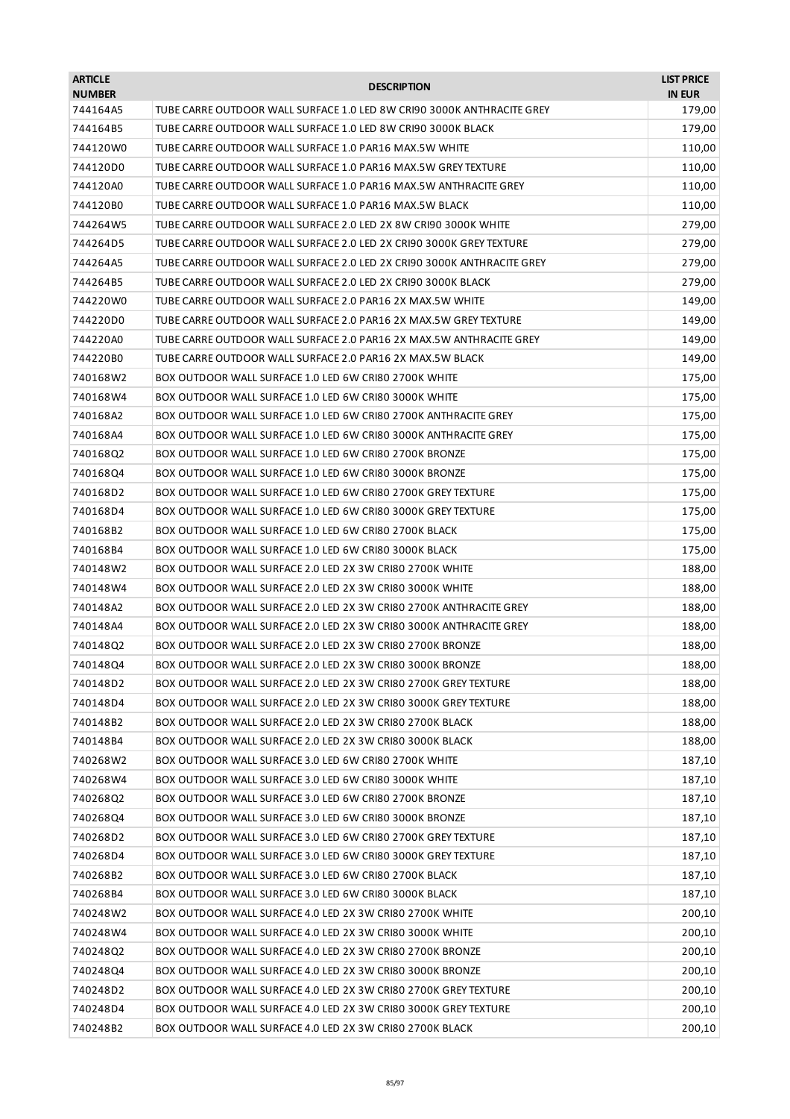| <b>ARTICLE</b><br><b>NUMBER</b> | <b>DESCRIPTION</b>                                                     | <b>LIST PRICE</b><br><b>IN EUR</b> |
|---------------------------------|------------------------------------------------------------------------|------------------------------------|
| 744164A5                        | TUBE CARRE OUTDOOR WALL SURFACE 1.0 LED 8W CRI90 3000K ANTHRACITE GREY | 179,00                             |
| 744164B5                        | TUBE CARRE OUTDOOR WALL SURFACE 1.0 LED 8W CRI90 3000K BLACK           | 179,00                             |
| 744120W0                        | TUBE CARRE OUTDOOR WALL SURFACE 1.0 PAR16 MAX.5W WHITE                 | 110,00                             |
| 744120D0                        | TUBE CARRE OUTDOOR WALL SURFACE 1.0 PAR16 MAX.5W GREY TEXTURE          | 110,00                             |
| 744120A0                        | TUBE CARRE OUTDOOR WALL SURFACE 1.0 PAR16 MAX.5W ANTHRACITE GREY       | 110,00                             |
| 744120B0                        | TUBE CARRE OUTDOOR WALL SURFACE 1.0 PAR16 MAX.5W BLACK                 | 110,00                             |
| 744264W5                        | TUBE CARRE OUTDOOR WALL SURFACE 2.0 LED 2X 8W CRI90 3000K WHITE        | 279,00                             |
| 744264D5                        | TUBE CARRE OUTDOOR WALL SURFACE 2.0 LED 2X CRI90 3000K GREY TEXTURE    | 279,00                             |
| 744264A5                        | TUBE CARRE OUTDOOR WALL SURFACE 2.0 LED 2X CRI90 3000K ANTHRACITE GREY | 279,00                             |
| 744264B5                        | TUBE CARRE OUTDOOR WALL SURFACE 2.0 LED 2X CRI90 3000K BLACK           | 279,00                             |
| 744220W0                        | TUBE CARRE OUTDOOR WALL SURFACE 2.0 PAR16 2X MAX.5W WHITE              | 149,00                             |
| 744220D0                        | TUBE CARRE OUTDOOR WALL SURFACE 2.0 PAR16 2X MAX.5W GREY TEXTURE       | 149,00                             |
| 744220A0                        | TUBE CARRE OUTDOOR WALL SURFACE 2.0 PAR16 2X MAX.5W ANTHRACITE GREY    | 149,00                             |
| 744220B0                        | TUBE CARRE OUTDOOR WALL SURFACE 2.0 PAR16 2X MAX.5W BLACK              | 149,00                             |
| 740168W2                        | BOX OUTDOOR WALL SURFACE 1.0 LED 6W CRI80 2700K WHITE                  | 175,00                             |
| 740168W4                        | BOX OUTDOOR WALL SURFACE 1.0 LED 6W CRI80 3000K WHITE                  | 175,00                             |
| 740168A2                        | BOX OUTDOOR WALL SURFACE 1.0 LED 6W CRI80 2700K ANTHRACITE GREY        | 175,00                             |
| 740168A4                        | BOX OUTDOOR WALL SURFACE 1.0 LED 6W CRI80 3000K ANTHRACITE GREY        | 175,00                             |
| 740168Q2                        | BOX OUTDOOR WALL SURFACE 1.0 LED 6W CRI80 2700K BRONZE                 | 175,00                             |
| 740168Q4                        | BOX OUTDOOR WALL SURFACE 1.0 LED 6W CRI80 3000K BRONZE                 | 175,00                             |
| 740168D2                        | BOX OUTDOOR WALL SURFACE 1.0 LED 6W CRI80 2700K GREY TEXTURE           | 175,00                             |
| 740168D4                        | BOX OUTDOOR WALL SURFACE 1.0 LED 6W CRI80 3000K GREY TEXTURE           | 175,00                             |
| 740168B2                        | BOX OUTDOOR WALL SURFACE 1.0 LED 6W CRI80 2700K BLACK                  | 175,00                             |
| 740168B4                        | BOX OUTDOOR WALL SURFACE 1.0 LED 6W CRI80 3000K BLACK                  | 175,00                             |
| 740148W2                        | BOX OUTDOOR WALL SURFACE 2.0 LED 2X 3W CRI80 2700K WHITE               | 188,00                             |
| 740148W4                        | BOX OUTDOOR WALL SURFACE 2.0 LED 2X 3W CRI80 3000K WHITE               | 188,00                             |
| 740148A2                        | BOX OUTDOOR WALL SURFACE 2.0 LED 2X 3W CRI80 2700K ANTHRACITE GREY     | 188,00                             |
| 740148A4                        | BOX OUTDOOR WALL SURFACE 2.0 LED 2X 3W CRI80 3000K ANTHRACITE GREY     | 188,00                             |
| 740148Q2                        | BOX OUTDOOR WALL SURFACE 2.0 LED 2X 3W CRI80 2700K BRONZE              | 188,00                             |
| 740148Q4                        | BOX OUTDOOR WALL SURFACE 2.0 LED 2X 3W CRI80 3000K BRONZE              | 188,00                             |
| 740148D2                        | BOX OUTDOOR WALL SURFACE 2.0 LED 2X 3W CRI80 2700K GREY TEXTURE        | 188,00                             |
| 740148D4                        | BOX OUTDOOR WALL SURFACE 2.0 LED 2X 3W CRI80 3000K GREY TEXTURE        | 188,00                             |
| 740148B2                        | BOX OUTDOOR WALL SURFACE 2.0 LED 2X 3W CRI80 2700K BLACK               | 188,00                             |
| 740148B4                        | BOX OUTDOOR WALL SURFACE 2.0 LED 2X 3W CRI80 3000K BLACK               | 188,00                             |
| 740268W2                        | BOX OUTDOOR WALL SURFACE 3.0 LED 6W CRI80 2700K WHITE                  | 187,10                             |
| 740268W4                        | BOX OUTDOOR WALL SURFACE 3.0 LED 6W CRI80 3000K WHITE                  | 187,10                             |
| 740268Q2                        | BOX OUTDOOR WALL SURFACE 3.0 LED 6W CRI80 2700K BRONZE                 | 187,10                             |
| 740268Q4                        | BOX OUTDOOR WALL SURFACE 3.0 LED 6W CRI80 3000K BRONZE                 | 187,10                             |
| 740268D2                        | BOX OUTDOOR WALL SURFACE 3.0 LED 6W CRI80 2700K GREY TEXTURE           | 187,10                             |
| 740268D4                        | BOX OUTDOOR WALL SURFACE 3.0 LED 6W CRI80 3000K GREY TEXTURE           | 187,10                             |
| 740268B2                        | BOX OUTDOOR WALL SURFACE 3.0 LED 6W CRI80 2700K BLACK                  | 187,10                             |
| 740268B4                        | BOX OUTDOOR WALL SURFACE 3.0 LED 6W CRI80 3000K BLACK                  | 187,10                             |
| 740248W2                        | BOX OUTDOOR WALL SURFACE 4.0 LED 2X 3W CRI80 2700K WHITE               | 200,10                             |
| 740248W4                        | BOX OUTDOOR WALL SURFACE 4.0 LED 2X 3W CRI80 3000K WHITE               | 200,10                             |
| 740248Q2                        | BOX OUTDOOR WALL SURFACE 4.0 LED 2X 3W CRI80 2700K BRONZE              | 200,10                             |
| 740248Q4                        | BOX OUTDOOR WALL SURFACE 4.0 LED 2X 3W CRI80 3000K BRONZE              | 200,10                             |
| 740248D2                        | BOX OUTDOOR WALL SURFACE 4.0 LED 2X 3W CRI80 2700K GREY TEXTURE        | 200,10                             |
| 740248D4                        | BOX OUTDOOR WALL SURFACE 4.0 LED 2X 3W CRI80 3000K GREY TEXTURE        | 200,10                             |
| 740248B2                        | BOX OUTDOOR WALL SURFACE 4.0 LED 2X 3W CRI80 2700K BLACK               | 200,10                             |
|                                 |                                                                        |                                    |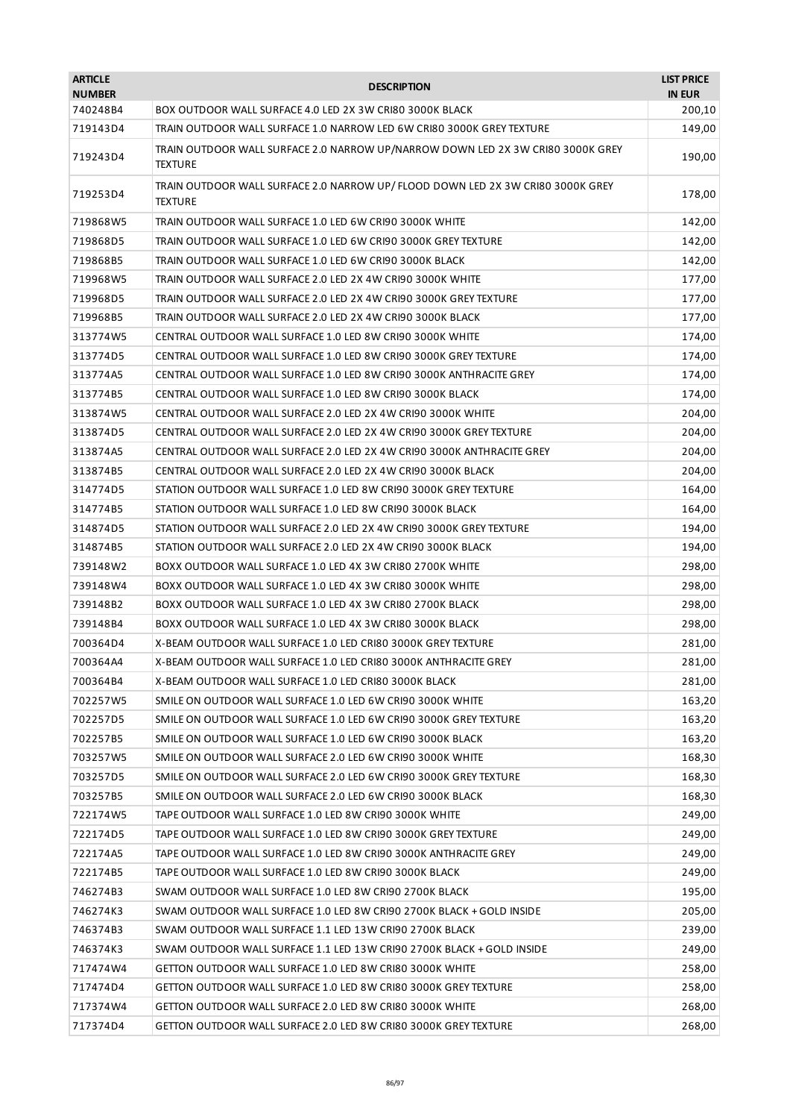| <b>ARTICLE</b><br><b>NUMBER</b> | <b>DESCRIPTION</b>                                                                                | <b>LIST PRICE</b><br><b>IN EUR</b> |
|---------------------------------|---------------------------------------------------------------------------------------------------|------------------------------------|
| 740248B4                        | BOX OUTDOOR WALL SURFACE 4.0 LED 2X 3W CRI80 3000K BLACK                                          | 200,10                             |
| 719143D4                        | TRAIN OUTDOOR WALL SURFACE 1.0 NARROW LED 6W CRI80 3000K GREY TEXTURE                             | 149,00                             |
| 719243D4                        | TRAIN OUTDOOR WALL SURFACE 2.0 NARROW UP/NARROW DOWN LED 2X 3W CRI80 3000K GREY<br><b>TEXTURE</b> | 190,00                             |
| 719253D4                        | TRAIN OUTDOOR WALL SURFACE 2.0 NARROW UP/FLOOD DOWN LED 2X 3W CRI80 3000K GREY<br><b>TEXTURE</b>  | 178,00                             |
| 719868W5                        | TRAIN OUTDOOR WALL SURFACE 1.0 LED 6W CRI90 3000K WHITE                                           | 142,00                             |
| 719868D5                        | TRAIN OUTDOOR WALL SURFACE 1.0 LED 6W CRI90 3000K GREY TEXTURE                                    | 142,00                             |
| 719868B5                        | TRAIN OUTDOOR WALL SURFACE 1.0 LED 6W CRI90 3000K BLACK                                           | 142,00                             |
| 719968W5                        | TRAIN OUTDOOR WALL SURFACE 2.0 LED 2X 4W CRI90 3000K WHITE                                        | 177,00                             |
| 719968D5                        | TRAIN OUTDOOR WALL SURFACE 2.0 LED 2X 4W CRI90 3000K GREY TEXTURE                                 | 177,00                             |
| 719968B5                        | TRAIN OUTDOOR WALL SURFACE 2.0 LED 2X 4W CRI90 3000K BLACK                                        | 177,00                             |
| 313774W5                        | CENTRAL OUTDOOR WALL SURFACE 1.0 LED 8W CRI90 3000K WHITE                                         | 174,00                             |
| 313774D5                        | CENTRAL OUTDOOR WALL SURFACE 1.0 LED 8W CRI90 3000K GREY TEXTURE                                  | 174,00                             |
| 313774A5                        | CENTRAL OUTDOOR WALL SURFACE 1.0 LED 8W CRI90 3000K ANTHRACITE GREY                               | 174,00                             |
| 313774B5                        | CENTRAL OUTDOOR WALL SURFACE 1.0 LED 8W CRI90 3000K BLACK                                         | 174,00                             |
| 313874W5                        | CENTRAL OUTDOOR WALL SURFACE 2.0 LED 2X 4W CRI90 3000K WHITE                                      | 204,00                             |
| 313874D5                        | CENTRAL OUTDOOR WALL SURFACE 2.0 LED 2X 4W CRI90 3000K GREY TEXTURE                               | 204,00                             |
| 313874A5                        | CENTRAL OUTDOOR WALL SURFACE 2.0 LED 2X 4W CRI90 3000K ANTHRACITE GREY                            | 204,00                             |
| 313874B5                        | CENTRAL OUTDOOR WALL SURFACE 2.0 LED 2X 4W CRI90 3000K BLACK                                      | 204,00                             |
| 314774D5                        | STATION OUTDOOR WALL SURFACE 1.0 LED 8W CRI90 3000K GREY TEXTURE                                  | 164,00                             |
| 314774B5                        | STATION OUTDOOR WALL SURFACE 1.0 LED 8W CRI90 3000K BLACK                                         | 164,00                             |
| 314874D5                        | STATION OUTDOOR WALL SURFACE 2.0 LED 2X 4W CRI90 3000K GREY TEXTURE                               | 194,00                             |
| 314874B5                        | STATION OUTDOOR WALL SURFACE 2.0 LED 2X 4W CRI90 3000K BLACK                                      | 194,00                             |
| 739148W2                        | BOXX OUTDOOR WALL SURFACE 1.0 LED 4X 3W CRI80 2700K WHITE                                         | 298,00                             |
| 739148W4                        | BOXX OUTDOOR WALL SURFACE 1.0 LED 4X 3W CRI80 3000K WHITE                                         | 298,00                             |
| 739148B2                        | BOXX OUTDOOR WALL SURFACE 1.0 LED 4X 3W CRI80 2700K BLACK                                         | 298,00                             |
| 739148B4                        | BOXX OUTDOOR WALL SURFACE 1.0 LED 4X 3W CRI80 3000K BLACK                                         | 298,00                             |
| 700364D4                        | X-BEAM OUTDOOR WALL SURFACE 1.0 LED CRI80 3000K GREY TEXTURE                                      | 281,00                             |
| 700364A4                        | X-BEAM OUTDOOR WALL SURFACE 1.0 LED CRI80 3000K ANTHRACITE GREY                                   | 281,00                             |
| 700364B4                        | X-BEAM OUTDOOR WALL SURFACE 1.0 LED CRI80 3000K BLACK                                             | 281,00                             |
| 702257W5                        | SMILE ON OUTDOOR WALL SURFACE 1.0 LED 6W CRI90 3000K WHITE                                        | 163,20                             |
| 702257D5                        | SMILE ON OUTDOOR WALL SURFACE 1.0 LED 6W CRI90 3000K GREY TEXTURE                                 | 163,20                             |
| 702257B5                        | SMILE ON OUTDOOR WALL SURFACE 1.0 LED 6W CRI90 3000K BLACK                                        | 163,20                             |
| 703257W5                        | SMILE ON OUTDOOR WALL SURFACE 2.0 LED 6W CRI90 3000K WHITE                                        | 168,30                             |
| 703257D5                        | SMILE ON OUTDOOR WALL SURFACE 2.0 LED 6W CRI90 3000K GREY TEXTURE                                 | 168,30                             |
| 703257B5                        | SMILE ON OUTDOOR WALL SURFACE 2.0 LED 6W CRI90 3000K BLACK                                        | 168,30                             |
| 722174W5                        | TAPE OUTDOOR WALL SURFACE 1.0 LED 8W CRI90 3000K WHITE                                            | 249,00                             |
| 722174D5                        | TAPE OUTDOOR WALL SURFACE 1.0 LED 8W CRI90 3000K GREY TEXTURE                                     | 249,00                             |
| 722174A5                        | TAPE OUTDOOR WALL SURFACE 1.0 LED 8W CRI90 3000K ANTHRACITE GREY                                  | 249,00                             |
| 722174B5                        | TAPE OUTDOOR WALL SURFACE 1.0 LED 8W CRI90 3000K BLACK                                            | 249,00                             |
| 746274B3                        | SWAM OUTDOOR WALL SURFACE 1.0 LED 8W CRI90 2700K BLACK                                            | 195,00                             |
| 746274K3                        | SWAM OUTDOOR WALL SURFACE 1.0 LED 8W CRI90 2700K BLACK + GOLD INSIDE                              | 205,00                             |
| 746374B3                        | SWAM OUTDOOR WALL SURFACE 1.1 LED 13W CRI90 2700K BLACK                                           | 239,00                             |
| 746374K3                        | SWAM OUTDOOR WALL SURFACE 1.1 LED 13W CRI90 2700K BLACK + GOLD INSIDE                             | 249,00                             |
| 717474W4                        | GETTON OUTDOOR WALL SURFACE 1.0 LED 8W CRI80 3000K WHITE                                          | 258,00                             |
| 717474D4                        | GETTON OUTDOOR WALL SURFACE 1.0 LED 8W CRI80 3000K GREY TEXTURE                                   | 258,00                             |
| 717374W4                        | GETTON OUTDOOR WALL SURFACE 2.0 LED 8W CRI80 3000K WHITE                                          | 268,00                             |
| 717374D4                        | GETTON OUTDOOR WALL SURFACE 2.0 LED 8W CRI80 3000K GREY TEXTURE                                   | 268,00                             |
|                                 |                                                                                                   |                                    |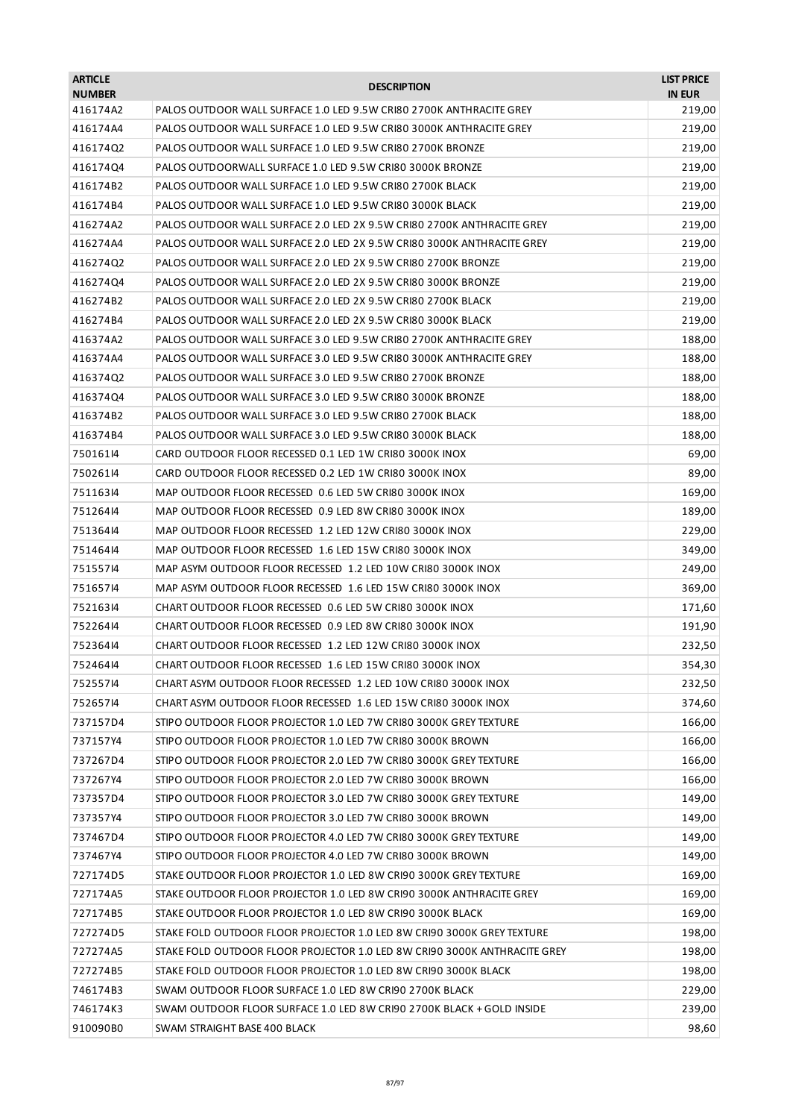| <b>ARTICLE</b><br><b>NUMBER</b> | <b>DESCRIPTION</b>                                                        | <b>LIST PRICE</b><br><b>IN EUR</b> |
|---------------------------------|---------------------------------------------------------------------------|------------------------------------|
| 416174A2                        | PALOS OUTDOOR WALL SURFACE 1.0 LED 9.5W CRI80 2700K ANTHRACITE GREY       | 219,00                             |
| 416174A4                        | PALOS OUTDOOR WALL SURFACE 1.0 LED 9.5W CRI80 3000K ANTHRACITE GREY       | 219,00                             |
| 416174Q2                        | PALOS OUTDOOR WALL SURFACE 1.0 LED 9.5W CRI80 2700K BRONZE                | 219,00                             |
| 416174Q4                        | PALOS OUTDOORWALL SURFACE 1.0 LED 9.5W CRI80 3000K BRONZE                 | 219,00                             |
| 416174B2                        | PALOS OUTDOOR WALL SURFACE 1.0 LED 9.5W CRI80 2700K BLACK                 | 219,00                             |
| 416174B4                        | PALOS OUTDOOR WALL SURFACE 1.0 LED 9.5W CRI80 3000K BLACK                 | 219,00                             |
| 416274A2                        | PALOS OUTDOOR WALL SURFACE 2.0 LED 2X 9.5W CRI80 2700K ANTHRACITE GREY    | 219,00                             |
| 416274A4                        | PALOS OUTDOOR WALL SURFACE 2.0 LED 2X 9.5W CRI80 3000K ANTHRACITE GREY    | 219,00                             |
| 416274Q2                        | PALOS OUTDOOR WALL SURFACE 2.0 LED 2X 9.5W CRI80 2700K BRONZE             | 219,00                             |
| 416274Q4                        | PALOS OUTDOOR WALL SURFACE 2.0 LED 2X 9.5W CRI80 3000K BRONZE             | 219,00                             |
| 416274B2                        | PALOS OUTDOOR WALL SURFACE 2.0 LED 2X 9.5W CRI80 2700K BLACK              | 219,00                             |
| 416274B4                        | PALOS OUTDOOR WALL SURFACE 2.0 LED 2X 9.5W CRI80 3000K BLACK              | 219,00                             |
| 416374A2                        | PALOS OUTDOOR WALL SURFACE 3.0 LED 9.5W CRI80 2700K ANTHRACITE GREY       | 188,00                             |
| 416374A4                        | PALOS OUTDOOR WALL SURFACE 3.0 LED 9.5W CRI80 3000K ANTHRACITE GREY       | 188,00                             |
| 416374Q2                        | PALOS OUTDOOR WALL SURFACE 3.0 LED 9.5W CRI80 2700K BRONZE                | 188,00                             |
| 41637404                        | PALOS OUTDOOR WALL SURFACE 3.0 LED 9.5W CRI80 3000K BRONZE                | 188,00                             |
| 416374B2                        | PALOS OUTDOOR WALL SURFACE 3.0 LED 9.5W CRI80 2700K BLACK                 | 188,00                             |
| 416374B4                        | PALOS OUTDOOR WALL SURFACE 3.0 LED 9.5W CRI80 3000K BLACK                 | 188,00                             |
| 75016114                        | CARD OUTDOOR FLOOR RECESSED 0.1 LED 1W CRI80 3000K INOX                   | 69,00                              |
| 75026114                        | CARD OUTDOOR FLOOR RECESSED 0.2 LED 1W CRI80 3000K INOX                   | 89,00                              |
| 75116314                        | MAP OUTDOOR FLOOR RECESSED 0.6 LED 5W CRI80 3000K INOX                    | 169,00                             |
| 75126414                        | MAP OUTDOOR FLOOR RECESSED 0.9 LED 8W CRI80 3000K INOX                    | 189,00                             |
| 75136414                        | MAP OUTDOOR FLOOR RECESSED 1.2 LED 12W CRI80 3000K INOX                   | 229,00                             |
| 75146414                        | MAP OUTDOOR FLOOR RECESSED 1.6 LED 15W CRI80 3000K INOX                   | 349,00                             |
| 75155714                        | MAP ASYM OUTDOOR FLOOR RECESSED 1.2 LED 10W CRI80 3000K INOX              | 249,00                             |
| 75165714                        | MAP ASYM OUTDOOR FLOOR RECESSED 1.6 LED 15W CRI80 3000K INOX              | 369,00                             |
| 75216314                        | CHART OUTDOOR FLOOR RECESSED 0.6 LED 5W CRI80 3000K INOX                  | 171,60                             |
| 75226414                        | CHART OUTDOOR FLOOR RECESSED 0.9 LED 8W CRI80 3000K INOX                  | 191,90                             |
| 75236414                        | CHART OUTDOOR FLOOR RECESSED 1.2 LED 12W CRI80 3000K INOX                 |                                    |
|                                 |                                                                           | 232,50                             |
| 75246414                        | CHART OUTDOOR FLOOR RECESSED 1.6 LED 15W CRI80 3000K INOX                 | 354,30                             |
| 75255714                        | CHART ASYM OUTDOOR FLOOR RECESSED 1.2 LED 10W CRI80 3000K INOX            | 232,50                             |
| 75265714                        | CHART ASYM OUTDOOR FLOOR RECESSED 1.6 LED 15W CRI80 3000K INOX            | 374,60                             |
| 737157D4                        | STIPO OUTDOOR FLOOR PROJECTOR 1.0 LED 7W CRI80 3000K GREY TEXTURE         | 166,00                             |
| 737157Y4                        | STIPO OUTDOOR FLOOR PROJECTOR 1.0 LED 7W CRI80 3000K BROWN                | 166,00                             |
| 737267D4                        | STIPO OUTDOOR FLOOR PROJECTOR 2.0 LED 7W CRI80 3000K GREY TEXTURE         | 166,00                             |
| 737267Y4                        | STIPO OUTDOOR FLOOR PROJECTOR 2.0 LED 7W CRI80 3000K BROWN                | 166,00                             |
| 737357D4                        | STIPO OUTDOOR FLOOR PROJECTOR 3.0 LED 7W CRI80 3000K GREY TEXTURE         | 149,00                             |
| 737357Y4                        | STIPO OUTDOOR FLOOR PROJECTOR 3.0 LED 7W CRI80 3000K BROWN                | 149,00                             |
| 737467D4                        | STIPO OUTDOOR FLOOR PROJECTOR 4.0 LED 7W CRI80 3000K GREY TEXTURE         | 149,00                             |
| 737467Y4                        | STIPO OUTDOOR FLOOR PROJECTOR 4.0 LED 7W CRI80 3000K BROWN                | 149,00                             |
| 727174D5                        | STAKE OUTDOOR FLOOR PROJECTOR 1.0 LED 8W CRI90 3000K GREY TEXTURE         | 169,00                             |
| 727174A5                        | STAKE OUTDOOR FLOOR PROJECTOR 1.0 LED 8W CRI90 3000K ANTHRACITE GREY      | 169,00                             |
| 727174B5                        | STAKE OUTDOOR FLOOR PROJECTOR 1.0 LED 8W CRI90 3000K BLACK                | 169,00                             |
| 727274D5                        | STAKE FOLD OUTDOOR FLOOR PROJECTOR 1.0 LED 8W CRI90 3000K GREY TEXTURE    | 198,00                             |
| 727274A5                        | STAKE FOLD OUTDOOR FLOOR PROJECTOR 1.0 LED 8W CRI90 3000K ANTHRACITE GREY | 198,00                             |
| 727274B5                        | STAKE FOLD OUTDOOR FLOOR PROJECTOR 1.0 LED 8W CRI90 3000K BLACK           | 198,00                             |
| 746174B3                        | SWAM OUTDOOR FLOOR SURFACE 1.0 LED 8W CRI90 2700K BLACK                   | 229,00                             |
| 746174K3                        | SWAM OUTDOOR FLOOR SURFACE 1.0 LED 8W CRI90 2700K BLACK + GOLD INSIDE     | 239,00                             |
| 910090B0                        | SWAM STRAIGHT BASE 400 BLACK                                              | 98,60                              |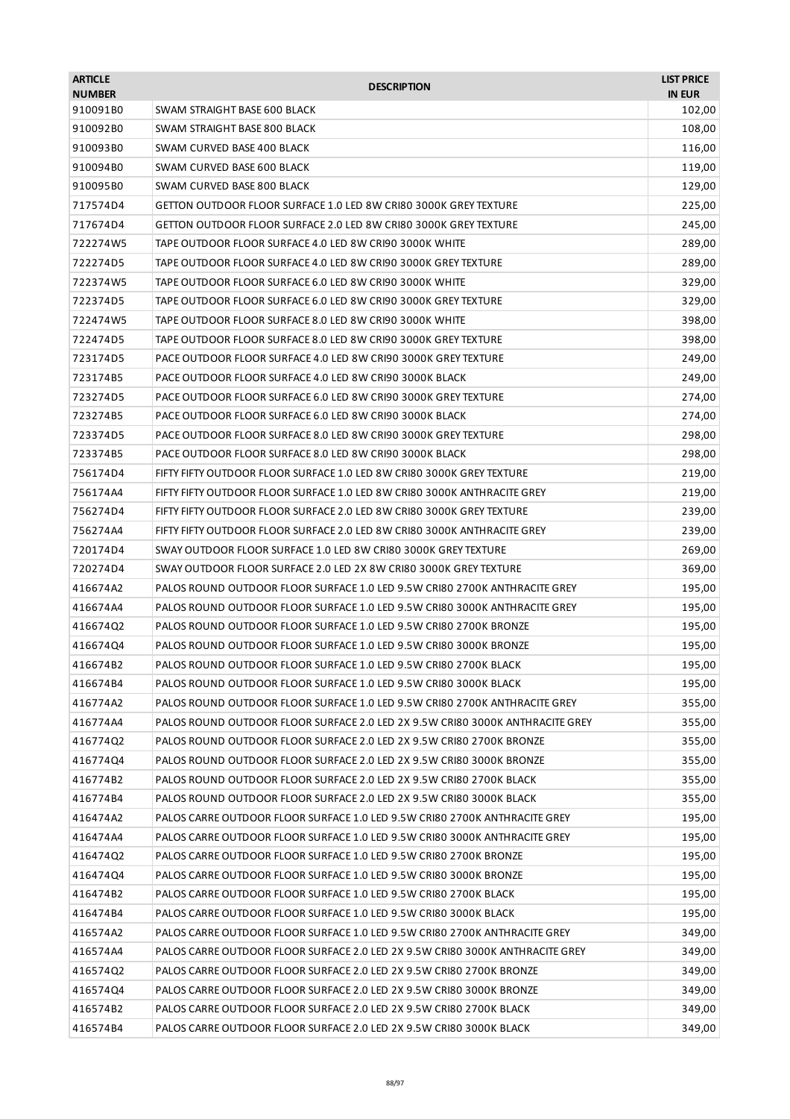| <b>ARTICLE</b><br><b>NUMBER</b> | <b>DESCRIPTION</b>                                                            | <b>LIST PRICE</b><br><b>IN EUR</b> |
|---------------------------------|-------------------------------------------------------------------------------|------------------------------------|
| 910091B0                        | SWAM STRAIGHT BASE 600 BLACK                                                  | 102,00                             |
| 910092B0                        | SWAM STRAIGHT BASE 800 BLACK                                                  | 108,00                             |
| 910093B0                        | SWAM CURVED BASE 400 BLACK                                                    | 116,00                             |
| 910094B0                        | SWAM CURVED BASE 600 BLACK                                                    | 119,00                             |
| 910095B0                        | SWAM CURVED BASE 800 BLACK                                                    | 129,00                             |
| 717574D4                        | GETTON OUTDOOR FLOOR SURFACE 1.0 LED 8W CRI80 3000K GREY TEXTURE              | 225,00                             |
| 717674D4                        | GETTON OUTDOOR FLOOR SURFACE 2.0 LED 8W CRI80 3000K GREY TEXTURE              | 245,00                             |
| 722274W5                        | TAPE OUTDOOR FLOOR SURFACE 4.0 LED 8W CRI90 3000K WHITE                       | 289,00                             |
| 722274D5                        | TAPE OUTDOOR FLOOR SURFACE 4.0 LED 8W CRI90 3000K GREY TEXTURE                | 289,00                             |
| 722374W5                        | TAPE OUTDOOR FLOOR SURFACE 6.0 LED 8W CRI90 3000K WHITE                       | 329,00                             |
| 722374D5                        | TAPE OUTDOOR FLOOR SURFACE 6.0 LED 8W CRI90 3000K GREY TEXTURE                | 329,00                             |
| 722474W5                        | TAPE OUTDOOR FLOOR SURFACE 8.0 LED 8W CRI90 3000K WHITE                       | 398,00                             |
| 722474D5                        | TAPE OUTDOOR FLOOR SURFACE 8.0 LED 8W CRI90 3000K GREY TEXTURE                | 398,00                             |
| 723174D5                        | PACE OUTDOOR FLOOR SURFACE 4.0 LED 8W CRI90 3000K GREY TEXTURE                | 249,00                             |
| 723174B5                        | PACE OUTDOOR FLOOR SURFACE 4.0 LED 8W CRI90 3000K BLACK                       | 249,00                             |
| 723274D5                        | PACE OUTDOOR FLOOR SURFACE 6.0 LED 8W CRI90 3000K GREY TEXTURE                | 274,00                             |
| 723274B5                        | PACE OUTDOOR FLOOR SURFACE 6.0 LED 8W CRI90 3000K BLACK                       | 274,00                             |
| 723374D5                        | PACE OUTDOOR FLOOR SURFACE 8.0 LED 8W CRI90 3000K GREY TEXTURE                | 298,00                             |
| 723374B5                        | PACE OUTDOOR FLOOR SURFACE 8.0 LED 8W CRI90 3000K BLACK                       | 298,00                             |
| 756174D4                        | FIFTY FIFTY OUTDOOR FLOOR SURFACE 1.0 LED 8W CRI80 3000K GREY TEXTURE         | 219,00                             |
| 756174A4                        | FIFTY FIFTY OUTDOOR FLOOR SURFACE 1.0 LED 8W CRI80 3000K ANTHRACITE GREY      | 219,00                             |
| 756274D4                        | FIFTY FIFTY OUTDOOR FLOOR SURFACE 2.0 LED 8W CRI80 3000K GREY TEXTURE         | 239,00                             |
| 756274A4                        | FIFTY FIFTY OUTDOOR FLOOR SURFACE 2.0 LED 8W CRI80 3000K ANTHRACITE GREY      | 239,00                             |
| 720174D4                        | SWAY OUTDOOR FLOOR SURFACE 1.0 LED 8W CRI80 3000K GREY TEXTURE                | 269,00                             |
| 720274D4                        | SWAY OUTDOOR FLOOR SURFACE 2.0 LED 2X 8W CRI80 3000K GREY TEXTURE             | 369,00                             |
| 416674A2                        | PALOS ROUND OUTDOOR FLOOR SURFACE 1.0 LED 9.5W CRI80 2700K ANTHRACITE GREY    | 195,00                             |
| 416674A4                        | PALOS ROUND OUTDOOR FLOOR SURFACE 1.0 LED 9.5W CRI80 3000K ANTHRACITE GREY    | 195,00                             |
| 41667402                        | PALOS ROUND OUTDOOR FLOOR SURFACE 1.0 LED 9.5W CRI80 2700K BRONZE             | 195,00                             |
| 41667404                        | PALOS ROUND OUTDOOR FLOOR SURFACE 1.0 LED 9.5W CRI80 3000K BRONZE             | 195,00                             |
|                                 |                                                                               |                                    |
| 416674B2                        | PALOS ROUND OUTDOOR FLOOR SURFACE 1.0 LED 9.5W CRI80 2700K BLACK              | 195,00                             |
| 416674B4                        | PALOS ROUND OUTDOOR FLOOR SURFACE 1.0 LED 9.5W CRI80 3000K BLACK              | 195,00                             |
| 416774A2                        | PALOS ROUND OUTDOOR FLOOR SURFACE 1.0 LED 9.5W CRI80 2700K ANTHRACITE GREY    | 355,00                             |
| 416774A4                        | PALOS ROUND OUTDOOR FLOOR SURFACE 2.0 LED 2X 9.5W CRI80 3000K ANTHRACITE GREY | 355,00                             |
| 416774Q2                        | PALOS ROUND OUTDOOR FLOOR SURFACE 2.0 LED 2X 9.5W CRI80 2700K BRONZE          | 355,00                             |
| 416774Q4                        | PALOS ROUND OUTDOOR FLOOR SURFACE 2.0 LED 2X 9.5W CRI80 3000K BRONZE          | 355,00                             |
| 416774B2                        | PALOS ROUND OUTDOOR FLOOR SURFACE 2.0 LED 2X 9.5W CRI80 2700K BLACK           | 355,00                             |
| 416774B4                        | PALOS ROUND OUTDOOR FLOOR SURFACE 2.0 LED 2X 9.5W CRI80 3000K BLACK           | 355,00                             |
| 416474A2                        | PALOS CARRE OUTDOOR FLOOR SURFACE 1.0 LED 9.5W CRI80 2700K ANTHRACITE GREY    | 195,00                             |
| 416474A4                        | PALOS CARRE OUTDOOR FLOOR SURFACE 1.0 LED 9.5W CRI80 3000K ANTHRACITE GREY    | 195,00                             |
| 416474Q2                        | PALOS CARRE OUTDOOR FLOOR SURFACE 1.0 LED 9.5W CRI80 2700K BRONZE             | 195,00                             |
| 416474Q4                        | PALOS CARRE OUTDOOR FLOOR SURFACE 1.0 LED 9.5W CRI80 3000K BRONZE             | 195,00                             |
| 416474B2                        | PALOS CARRE OUTDOOR FLOOR SURFACE 1.0 LED 9.5W CRI80 2700K BLACK              | 195,00                             |
| 416474B4                        | PALOS CARRE OUTDOOR FLOOR SURFACE 1.0 LED 9.5W CRI80 3000K BLACK              | 195,00                             |
| 416574A2                        | PALOS CARRE OUTDOOR FLOOR SURFACE 1.0 LED 9.5W CRI80 2700K ANTHRACITE GREY    | 349,00                             |
| 416574A4                        | PALOS CARRE OUTDOOR FLOOR SURFACE 2.0 LED 2X 9.5W CRI80 3000K ANTHRACITE GREY | 349,00                             |
| 416574Q2                        | PALOS CARRE OUTDOOR FLOOR SURFACE 2.0 LED 2X 9.5W CRI80 2700K BRONZE          | 349,00                             |
| 416574Q4                        | PALOS CARRE OUTDOOR FLOOR SURFACE 2.0 LED 2X 9.5W CRI80 3000K BRONZE          | 349,00                             |
| 416574B2                        | PALOS CARRE OUTDOOR FLOOR SURFACE 2.0 LED 2X 9.5W CRI80 2700K BLACK           | 349,00                             |
| 416574B4                        | PALOS CARRE OUTDOOR FLOOR SURFACE 2.0 LED 2X 9.5W CRI80 3000K BLACK           | 349,00                             |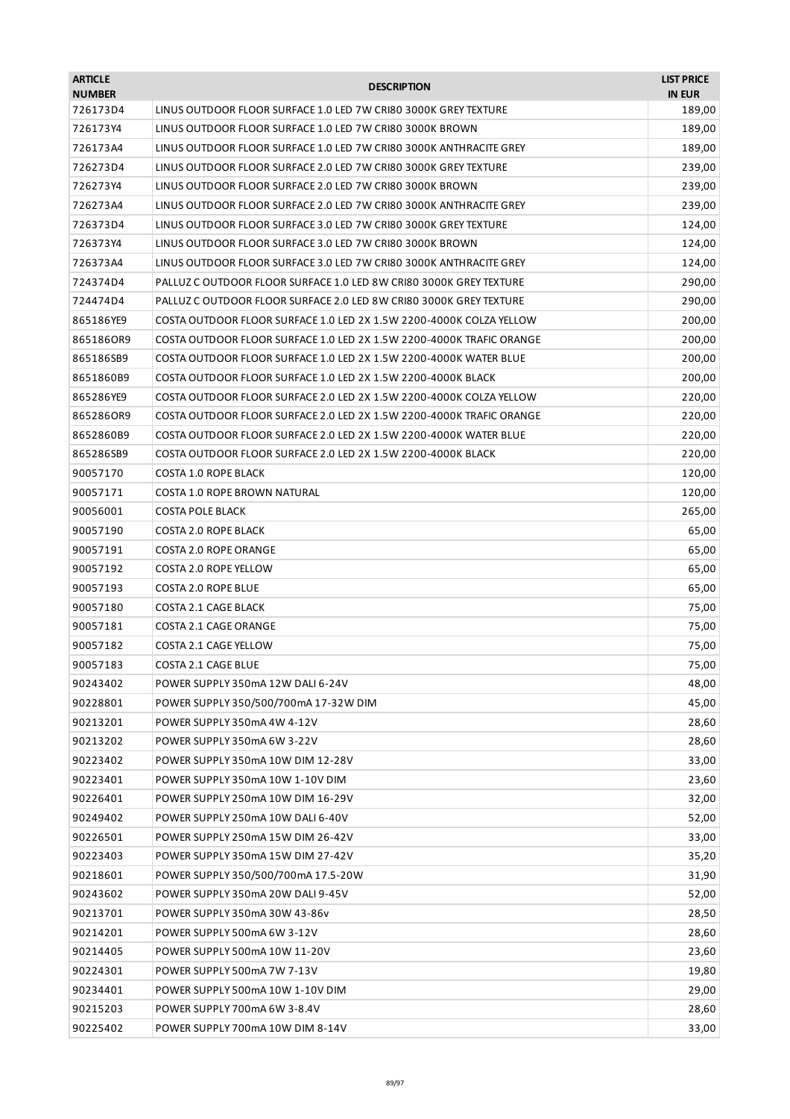| <b>ARTICLE</b><br><b>NUMBER</b> | <b>DESCRIPTION</b>                                                   | <b>LIST PRICE</b><br><b>IN EUR</b> |
|---------------------------------|----------------------------------------------------------------------|------------------------------------|
| 726173D4                        | LINUS OUTDOOR FLOOR SURFACE 1.0 LED 7W CRI80 3000K GREY TEXTURE      | 189,00                             |
| 726173Y4                        | LINUS OUTDOOR FLOOR SURFACE 1.0 LED 7W CRI80 3000K BROWN             | 189,00                             |
| 726173A4                        | LINUS OUTDOOR FLOOR SURFACE 1.0 LED 7W CRI80 3000K ANTHRACITE GREY   | 189,00                             |
| 726273D4                        | LINUS OUTDOOR FLOOR SURFACE 2.0 LED 7W CRI80 3000K GREY TEXTURE      | 239,00                             |
| 726273Y4                        | LINUS OUTDOOR FLOOR SURFACE 2.0 LED 7W CRI80 3000K BROWN             | 239,00                             |
| 726273A4                        | LINUS OUTDOOR FLOOR SURFACE 2.0 LED 7W CRI80 3000K ANTHRACITE GREY   | 239,00                             |
| 726373D4                        | LINUS OUTDOOR FLOOR SURFACE 3.0 LED 7W CRI80 3000K GREY TEXTURE      | 124,00                             |
| 726373Y4                        | LINUS OUTDOOR FLOOR SURFACE 3.0 LED 7W CRI80 3000K BROWN             | 124,00                             |
| 726373A4                        | LINUS OUTDOOR FLOOR SURFACE 3.0 LED 7W CRI80 3000K ANTHRACITE GREY   | 124,00                             |
| 724374D4                        | PALLUZ C OUTDOOR FLOOR SURFACE 1.0 LED 8W CRI80 3000K GREY TEXTURE   | 290,00                             |
| 724474D4                        | PALLUZ C OUTDOOR FLOOR SURFACE 2.0 LED 8W CRI80 3000K GREY TEXTURE   | 290,00                             |
| 865186YE9                       | COSTA OUTDOOR FLOOR SURFACE 1.0 LED 2X 1.5W 2200-4000K COLZA YELLOW  | 200,00                             |
| 865186OR9                       | COSTA OUTDOOR FLOOR SURFACE 1.0 LED 2X 1.5W 2200-4000K TRAFIC ORANGE | 200,00                             |
| 865186SB9                       | COSTA OUTDOOR FLOOR SURFACE 1.0 LED 2X 1.5W 2200-4000K WATER BLUE    | 200,00                             |
| 8651860B9                       | COSTA OUTDOOR FLOOR SURFACE 1.0 LED 2X 1.5W 2200-4000K BLACK         | 200,00                             |
| 865286YE9                       | COSTA OUTDOOR FLOOR SURFACE 2.0 LED 2X 1.5W 2200-4000K COLZA YELLOW  | 220,00                             |
| 865286OR9                       | COSTA OUTDOOR FLOOR SURFACE 2.0 LED 2X 1.5W 2200-4000K TRAFIC ORANGE | 220,00                             |
| 8652860B9                       | COSTA OUTDOOR FLOOR SURFACE 2.0 LED 2X 1.5W 2200-4000K WATER BLUE    | 220,00                             |
| 865286SB9                       | COSTA OUTDOOR FLOOR SURFACE 2.0 LED 2X 1.5W 2200-4000K BLACK         | 220,00                             |
| 90057170                        | <b>COSTA 1.0 ROPE BLACK</b>                                          | 120,00                             |
| 90057171                        | COSTA 1.0 ROPE BROWN NATURAL                                         | 120,00                             |
| 90056001                        | <b>COSTA POLE BLACK</b>                                              | 265,00                             |
| 90057190                        | <b>COSTA 2.0 ROPE BLACK</b>                                          | 65,00                              |
| 90057191                        | <b>COSTA 2.0 ROPE ORANGE</b>                                         | 65,00                              |
| 90057192                        | COSTA 2.0 ROPE YELLOW                                                | 65,00                              |
| 90057193                        | <b>COSTA 2.0 ROPE BLUE</b>                                           | 65,00                              |
| 90057180                        | COSTA 2.1 CAGE BLACK                                                 | 75,00                              |
| 90057181                        | COSTA 2.1 CAGE ORANGE                                                | 75,00                              |
| 90057182                        | COSTA 2.1 CAGE YELLOW                                                | 75,00                              |
| 90057183                        | COSTA 2.1 CAGE BLUE                                                  | 75,00                              |
| 90243402                        | POWER SUPPLY 350mA 12W DALI 6-24V                                    | 48,00                              |
| 90228801                        | POWER SUPPLY 350/500/700mA 17-32W DIM                                | 45,00                              |
| 90213201                        | POWER SUPPLY 350mA 4W 4-12V                                          | 28,60                              |
| 90213202                        | POWER SUPPLY 350mA 6W 3-22V                                          | 28,60                              |
| 90223402                        | POWER SUPPLY 350mA 10W DIM 12-28V                                    | 33,00                              |
| 90223401                        | POWER SUPPLY 350mA 10W 1-10V DIM                                     | 23,60                              |
| 90226401                        | POWER SUPPLY 250mA 10W DIM 16-29V                                    | 32,00                              |
| 90249402                        | POWER SUPPLY 250mA 10W DALI 6-40V                                    | 52,00                              |
| 90226501                        | POWER SUPPLY 250mA 15W DIM 26-42V                                    | 33,00                              |
| 90223403                        | POWER SUPPLY 350mA 15W DIM 27-42V                                    | 35,20                              |
| 90218601                        | POWER SUPPLY 350/500/700mA 17.5-20W                                  | 31,90                              |
| 90243602                        | POWER SUPPLY 350mA 20W DALI 9-45V                                    | 52,00                              |
| 90213701                        | POWER SUPPLY 350mA 30W 43-86v                                        | 28,50                              |
| 90214201                        | POWER SUPPLY 500mA 6W 3-12V                                          | 28,60                              |
| 90214405                        | POWER SUPPLY 500mA 10W 11-20V                                        | 23,60                              |
| 90224301                        | POWER SUPPLY 500mA 7W 7-13V                                          | 19,80                              |
| 90234401                        | POWER SUPPLY 500mA 10W 1-10V DIM                                     | 29,00                              |
| 90215203                        | POWER SUPPLY 700mA 6W 3-8.4V                                         | 28,60                              |
| 90225402                        | POWER SUPPLY 700mA 10W DIM 8-14V                                     | 33,00                              |
|                                 |                                                                      |                                    |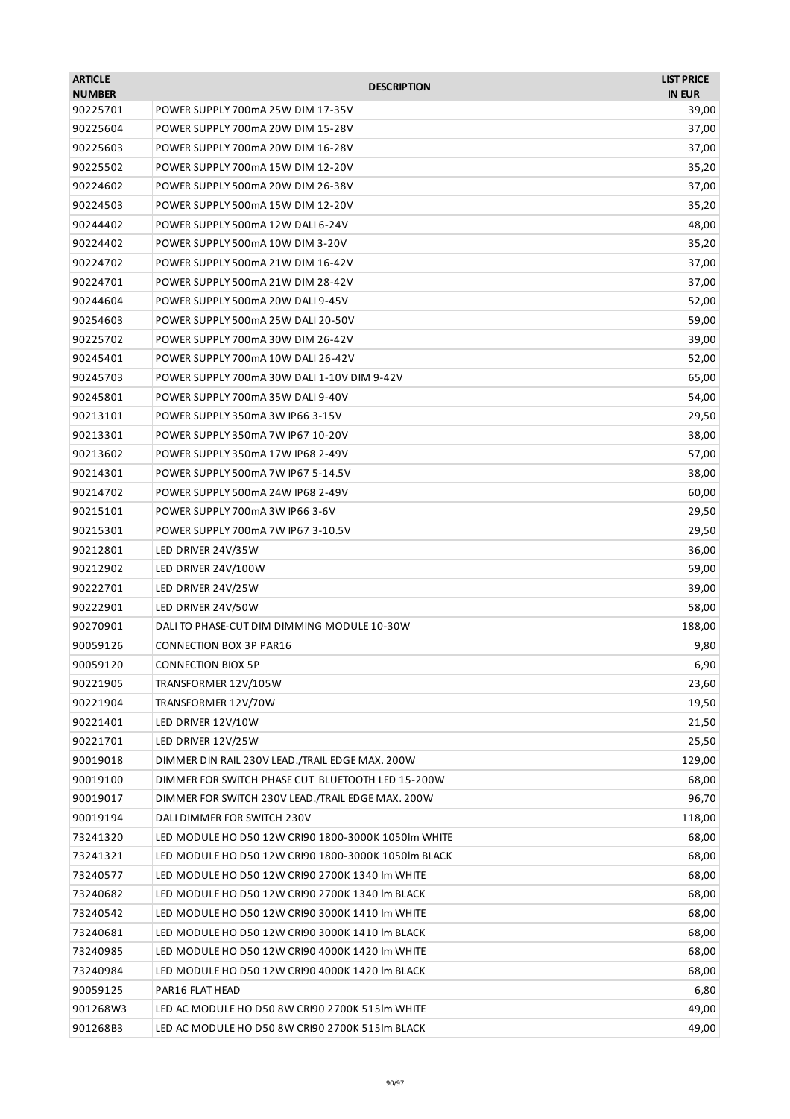| 90225701<br>POWER SUPPLY 700mA 25W DIM 17-35V<br>39,00<br>90225604<br>POWER SUPPLY 700mA 20W DIM 15-28V<br>37,00<br>90225603<br>POWER SUPPLY 700mA 20W DIM 16-28V<br>37,00<br>90225502<br>POWER SUPPLY 700mA 15W DIM 12-20V<br>35,20<br>90224602<br>POWER SUPPLY 500mA 20W DIM 26-38V<br>37,00<br>90224503<br>POWER SUPPLY 500mA 15W DIM 12-20V<br>35,20<br>90244402<br>POWER SUPPLY 500mA 12W DALI 6-24V<br>48,00<br>90224402<br>POWER SUPPLY 500mA 10W DIM 3-20V<br>35,20<br>90224702<br>POWER SUPPLY 500mA 21W DIM 16-42V<br>37,00<br>90224701<br>POWER SUPPLY 500mA 21W DIM 28-42V<br>37,00<br>90244604<br>POWER SUPPLY 500mA 20W DALI 9-45V<br>52,00<br>90254603<br>POWER SUPPLY 500mA 25W DALI 20-50V<br>59,00<br>90225702<br>POWER SUPPLY 700mA 30W DIM 26-42V<br>39,00<br>90245401<br>POWER SUPPLY 700mA 10W DALI 26-42V<br>52,00<br>90245703<br>POWER SUPPLY 700mA 30W DALI 1-10V DIM 9-42V<br>65,00<br>90245801<br>POWER SUPPLY 700mA 35W DALI 9-40V<br>54,00<br>90213101<br>POWER SUPPLY 350mA 3W IP66 3-15V<br>29,50<br>90213301<br>POWER SUPPLY 350mA 7W IP67 10-20V<br>38,00<br>90213602<br>POWER SUPPLY 350mA 17W IP68 2-49V<br>57,00<br>90214301<br>POWER SUPPLY 500mA 7W IP67 5-14.5V<br>38,00<br>90214702<br>POWER SUPPLY 500mA 24W IP68 2-49V<br>60,00<br>90215101<br>POWER SUPPLY 700mA 3W IP66 3-6V<br>29,50<br>90215301<br>POWER SUPPLY 700mA 7W IP67 3-10.5V<br>29,50<br>90212801<br>LED DRIVER 24V/35W<br>36,00<br>90212902<br>LED DRIVER 24V/100W<br>59,00<br>90222701<br>LED DRIVER 24V/25W<br>39,00<br>90222901<br>LED DRIVER 24V/50W<br>58,00<br>188,00<br>90270901<br>DALI TO PHASE-CUT DIM DIMMING MODULE 10-30W<br>90059126<br><b>CONNECTION BOX 3P PAR16</b><br>9,80<br>90059120<br>6,90<br><b>CONNECTION BIOX 5P</b><br>TRANSFORMER 12V/105W<br>23,60<br>90221905<br>TRANSFORMER 12V/70W<br>19,50<br>90221904<br>LED DRIVER 12V/10W<br>21,50<br>90221401<br>90221701<br>LED DRIVER 12V/25W<br>25,50<br>90019018<br>DIMMER DIN RAIL 230V LEAD./TRAIL EDGE MAX. 200W<br>129,00<br>68,00<br>90019100<br>DIMMER FOR SWITCH PHASE CUT BLUETOOTH LED 15-200W<br>96,70<br>90019017<br>DIMMER FOR SWITCH 230V LEAD. TRAIL EDGE MAX. 200W<br>DALI DIMMER FOR SWITCH 230V<br>118,00<br>90019194<br>68,00<br>73241320<br>LED MODULE HO D50 12W CRI90 1800-3000K 1050lm WHITE<br>68,00<br>73241321<br>LED MODULE HO D50 12W CRI90 1800-3000K 1050lm BLACK<br>68,00<br>73240577<br>LED MODULE HO D50 12W CRI90 2700K 1340 Im WHITE<br>LED MODULE HO D50 12W CRI90 2700K 1340 Im BLACK<br>68,00<br>73240682<br>68,00<br>73240542<br>LED MODULE HO D50 12W CRI90 3000K 1410 Im WHITE<br>68,00<br>73240681<br>LED MODULE HO D50 12W CRI90 3000K 1410 lm BLACK<br>LED MODULE HO D50 12W CRI90 4000K 1420 Im WHITE<br>68,00<br>73240985<br>73240984<br>LED MODULE HO D50 12W CRI90 4000K 1420 lm BLACK<br>68,00<br>6,80<br>90059125<br>PAR16 FLAT HEAD<br>LED AC MODULE HO D50 8W CRI90 2700K 515Im WHITE<br>49,00<br>901268W3<br>49,00<br>901268B3<br>LED AC MODULE HO D50 8W CRI90 2700K 515lm BLACK | <b>ARTICLE</b><br><b>NUMBER</b> | <b>DESCRIPTION</b> | <b>LIST PRICE</b><br><b>IN EUR</b> |
|-----------------------------------------------------------------------------------------------------------------------------------------------------------------------------------------------------------------------------------------------------------------------------------------------------------------------------------------------------------------------------------------------------------------------------------------------------------------------------------------------------------------------------------------------------------------------------------------------------------------------------------------------------------------------------------------------------------------------------------------------------------------------------------------------------------------------------------------------------------------------------------------------------------------------------------------------------------------------------------------------------------------------------------------------------------------------------------------------------------------------------------------------------------------------------------------------------------------------------------------------------------------------------------------------------------------------------------------------------------------------------------------------------------------------------------------------------------------------------------------------------------------------------------------------------------------------------------------------------------------------------------------------------------------------------------------------------------------------------------------------------------------------------------------------------------------------------------------------------------------------------------------------------------------------------------------------------------------------------------------------------------------------------------------------------------------------------------------------------------------------------------------------------------------------------------------------------------------------------------------------------------------------------------------------------------------------------------------------------------------------------------------------------------------------------------------------------------------------------------------------------------------------------------------------------------------------------------------------------------------------------------------------------------------------------------------------------------------------------------------------------------------------------------------------------------------------------------------------------------------------------------------------------------------------------------------------------------------------------------------------------------------------|---------------------------------|--------------------|------------------------------------|
|                                                                                                                                                                                                                                                                                                                                                                                                                                                                                                                                                                                                                                                                                                                                                                                                                                                                                                                                                                                                                                                                                                                                                                                                                                                                                                                                                                                                                                                                                                                                                                                                                                                                                                                                                                                                                                                                                                                                                                                                                                                                                                                                                                                                                                                                                                                                                                                                                                                                                                                                                                                                                                                                                                                                                                                                                                                                                                                                                                                                                       |                                 |                    |                                    |
|                                                                                                                                                                                                                                                                                                                                                                                                                                                                                                                                                                                                                                                                                                                                                                                                                                                                                                                                                                                                                                                                                                                                                                                                                                                                                                                                                                                                                                                                                                                                                                                                                                                                                                                                                                                                                                                                                                                                                                                                                                                                                                                                                                                                                                                                                                                                                                                                                                                                                                                                                                                                                                                                                                                                                                                                                                                                                                                                                                                                                       |                                 |                    |                                    |
|                                                                                                                                                                                                                                                                                                                                                                                                                                                                                                                                                                                                                                                                                                                                                                                                                                                                                                                                                                                                                                                                                                                                                                                                                                                                                                                                                                                                                                                                                                                                                                                                                                                                                                                                                                                                                                                                                                                                                                                                                                                                                                                                                                                                                                                                                                                                                                                                                                                                                                                                                                                                                                                                                                                                                                                                                                                                                                                                                                                                                       |                                 |                    |                                    |
|                                                                                                                                                                                                                                                                                                                                                                                                                                                                                                                                                                                                                                                                                                                                                                                                                                                                                                                                                                                                                                                                                                                                                                                                                                                                                                                                                                                                                                                                                                                                                                                                                                                                                                                                                                                                                                                                                                                                                                                                                                                                                                                                                                                                                                                                                                                                                                                                                                                                                                                                                                                                                                                                                                                                                                                                                                                                                                                                                                                                                       |                                 |                    |                                    |
|                                                                                                                                                                                                                                                                                                                                                                                                                                                                                                                                                                                                                                                                                                                                                                                                                                                                                                                                                                                                                                                                                                                                                                                                                                                                                                                                                                                                                                                                                                                                                                                                                                                                                                                                                                                                                                                                                                                                                                                                                                                                                                                                                                                                                                                                                                                                                                                                                                                                                                                                                                                                                                                                                                                                                                                                                                                                                                                                                                                                                       |                                 |                    |                                    |
|                                                                                                                                                                                                                                                                                                                                                                                                                                                                                                                                                                                                                                                                                                                                                                                                                                                                                                                                                                                                                                                                                                                                                                                                                                                                                                                                                                                                                                                                                                                                                                                                                                                                                                                                                                                                                                                                                                                                                                                                                                                                                                                                                                                                                                                                                                                                                                                                                                                                                                                                                                                                                                                                                                                                                                                                                                                                                                                                                                                                                       |                                 |                    |                                    |
|                                                                                                                                                                                                                                                                                                                                                                                                                                                                                                                                                                                                                                                                                                                                                                                                                                                                                                                                                                                                                                                                                                                                                                                                                                                                                                                                                                                                                                                                                                                                                                                                                                                                                                                                                                                                                                                                                                                                                                                                                                                                                                                                                                                                                                                                                                                                                                                                                                                                                                                                                                                                                                                                                                                                                                                                                                                                                                                                                                                                                       |                                 |                    |                                    |
|                                                                                                                                                                                                                                                                                                                                                                                                                                                                                                                                                                                                                                                                                                                                                                                                                                                                                                                                                                                                                                                                                                                                                                                                                                                                                                                                                                                                                                                                                                                                                                                                                                                                                                                                                                                                                                                                                                                                                                                                                                                                                                                                                                                                                                                                                                                                                                                                                                                                                                                                                                                                                                                                                                                                                                                                                                                                                                                                                                                                                       |                                 |                    |                                    |
|                                                                                                                                                                                                                                                                                                                                                                                                                                                                                                                                                                                                                                                                                                                                                                                                                                                                                                                                                                                                                                                                                                                                                                                                                                                                                                                                                                                                                                                                                                                                                                                                                                                                                                                                                                                                                                                                                                                                                                                                                                                                                                                                                                                                                                                                                                                                                                                                                                                                                                                                                                                                                                                                                                                                                                                                                                                                                                                                                                                                                       |                                 |                    |                                    |
|                                                                                                                                                                                                                                                                                                                                                                                                                                                                                                                                                                                                                                                                                                                                                                                                                                                                                                                                                                                                                                                                                                                                                                                                                                                                                                                                                                                                                                                                                                                                                                                                                                                                                                                                                                                                                                                                                                                                                                                                                                                                                                                                                                                                                                                                                                                                                                                                                                                                                                                                                                                                                                                                                                                                                                                                                                                                                                                                                                                                                       |                                 |                    |                                    |
|                                                                                                                                                                                                                                                                                                                                                                                                                                                                                                                                                                                                                                                                                                                                                                                                                                                                                                                                                                                                                                                                                                                                                                                                                                                                                                                                                                                                                                                                                                                                                                                                                                                                                                                                                                                                                                                                                                                                                                                                                                                                                                                                                                                                                                                                                                                                                                                                                                                                                                                                                                                                                                                                                                                                                                                                                                                                                                                                                                                                                       |                                 |                    |                                    |
|                                                                                                                                                                                                                                                                                                                                                                                                                                                                                                                                                                                                                                                                                                                                                                                                                                                                                                                                                                                                                                                                                                                                                                                                                                                                                                                                                                                                                                                                                                                                                                                                                                                                                                                                                                                                                                                                                                                                                                                                                                                                                                                                                                                                                                                                                                                                                                                                                                                                                                                                                                                                                                                                                                                                                                                                                                                                                                                                                                                                                       |                                 |                    |                                    |
|                                                                                                                                                                                                                                                                                                                                                                                                                                                                                                                                                                                                                                                                                                                                                                                                                                                                                                                                                                                                                                                                                                                                                                                                                                                                                                                                                                                                                                                                                                                                                                                                                                                                                                                                                                                                                                                                                                                                                                                                                                                                                                                                                                                                                                                                                                                                                                                                                                                                                                                                                                                                                                                                                                                                                                                                                                                                                                                                                                                                                       |                                 |                    |                                    |
|                                                                                                                                                                                                                                                                                                                                                                                                                                                                                                                                                                                                                                                                                                                                                                                                                                                                                                                                                                                                                                                                                                                                                                                                                                                                                                                                                                                                                                                                                                                                                                                                                                                                                                                                                                                                                                                                                                                                                                                                                                                                                                                                                                                                                                                                                                                                                                                                                                                                                                                                                                                                                                                                                                                                                                                                                                                                                                                                                                                                                       |                                 |                    |                                    |
|                                                                                                                                                                                                                                                                                                                                                                                                                                                                                                                                                                                                                                                                                                                                                                                                                                                                                                                                                                                                                                                                                                                                                                                                                                                                                                                                                                                                                                                                                                                                                                                                                                                                                                                                                                                                                                                                                                                                                                                                                                                                                                                                                                                                                                                                                                                                                                                                                                                                                                                                                                                                                                                                                                                                                                                                                                                                                                                                                                                                                       |                                 |                    |                                    |
|                                                                                                                                                                                                                                                                                                                                                                                                                                                                                                                                                                                                                                                                                                                                                                                                                                                                                                                                                                                                                                                                                                                                                                                                                                                                                                                                                                                                                                                                                                                                                                                                                                                                                                                                                                                                                                                                                                                                                                                                                                                                                                                                                                                                                                                                                                                                                                                                                                                                                                                                                                                                                                                                                                                                                                                                                                                                                                                                                                                                                       |                                 |                    |                                    |
|                                                                                                                                                                                                                                                                                                                                                                                                                                                                                                                                                                                                                                                                                                                                                                                                                                                                                                                                                                                                                                                                                                                                                                                                                                                                                                                                                                                                                                                                                                                                                                                                                                                                                                                                                                                                                                                                                                                                                                                                                                                                                                                                                                                                                                                                                                                                                                                                                                                                                                                                                                                                                                                                                                                                                                                                                                                                                                                                                                                                                       |                                 |                    |                                    |
|                                                                                                                                                                                                                                                                                                                                                                                                                                                                                                                                                                                                                                                                                                                                                                                                                                                                                                                                                                                                                                                                                                                                                                                                                                                                                                                                                                                                                                                                                                                                                                                                                                                                                                                                                                                                                                                                                                                                                                                                                                                                                                                                                                                                                                                                                                                                                                                                                                                                                                                                                                                                                                                                                                                                                                                                                                                                                                                                                                                                                       |                                 |                    |                                    |
|                                                                                                                                                                                                                                                                                                                                                                                                                                                                                                                                                                                                                                                                                                                                                                                                                                                                                                                                                                                                                                                                                                                                                                                                                                                                                                                                                                                                                                                                                                                                                                                                                                                                                                                                                                                                                                                                                                                                                                                                                                                                                                                                                                                                                                                                                                                                                                                                                                                                                                                                                                                                                                                                                                                                                                                                                                                                                                                                                                                                                       |                                 |                    |                                    |
|                                                                                                                                                                                                                                                                                                                                                                                                                                                                                                                                                                                                                                                                                                                                                                                                                                                                                                                                                                                                                                                                                                                                                                                                                                                                                                                                                                                                                                                                                                                                                                                                                                                                                                                                                                                                                                                                                                                                                                                                                                                                                                                                                                                                                                                                                                                                                                                                                                                                                                                                                                                                                                                                                                                                                                                                                                                                                                                                                                                                                       |                                 |                    |                                    |
|                                                                                                                                                                                                                                                                                                                                                                                                                                                                                                                                                                                                                                                                                                                                                                                                                                                                                                                                                                                                                                                                                                                                                                                                                                                                                                                                                                                                                                                                                                                                                                                                                                                                                                                                                                                                                                                                                                                                                                                                                                                                                                                                                                                                                                                                                                                                                                                                                                                                                                                                                                                                                                                                                                                                                                                                                                                                                                                                                                                                                       |                                 |                    |                                    |
|                                                                                                                                                                                                                                                                                                                                                                                                                                                                                                                                                                                                                                                                                                                                                                                                                                                                                                                                                                                                                                                                                                                                                                                                                                                                                                                                                                                                                                                                                                                                                                                                                                                                                                                                                                                                                                                                                                                                                                                                                                                                                                                                                                                                                                                                                                                                                                                                                                                                                                                                                                                                                                                                                                                                                                                                                                                                                                                                                                                                                       |                                 |                    |                                    |
|                                                                                                                                                                                                                                                                                                                                                                                                                                                                                                                                                                                                                                                                                                                                                                                                                                                                                                                                                                                                                                                                                                                                                                                                                                                                                                                                                                                                                                                                                                                                                                                                                                                                                                                                                                                                                                                                                                                                                                                                                                                                                                                                                                                                                                                                                                                                                                                                                                                                                                                                                                                                                                                                                                                                                                                                                                                                                                                                                                                                                       |                                 |                    |                                    |
|                                                                                                                                                                                                                                                                                                                                                                                                                                                                                                                                                                                                                                                                                                                                                                                                                                                                                                                                                                                                                                                                                                                                                                                                                                                                                                                                                                                                                                                                                                                                                                                                                                                                                                                                                                                                                                                                                                                                                                                                                                                                                                                                                                                                                                                                                                                                                                                                                                                                                                                                                                                                                                                                                                                                                                                                                                                                                                                                                                                                                       |                                 |                    |                                    |
|                                                                                                                                                                                                                                                                                                                                                                                                                                                                                                                                                                                                                                                                                                                                                                                                                                                                                                                                                                                                                                                                                                                                                                                                                                                                                                                                                                                                                                                                                                                                                                                                                                                                                                                                                                                                                                                                                                                                                                                                                                                                                                                                                                                                                                                                                                                                                                                                                                                                                                                                                                                                                                                                                                                                                                                                                                                                                                                                                                                                                       |                                 |                    |                                    |
|                                                                                                                                                                                                                                                                                                                                                                                                                                                                                                                                                                                                                                                                                                                                                                                                                                                                                                                                                                                                                                                                                                                                                                                                                                                                                                                                                                                                                                                                                                                                                                                                                                                                                                                                                                                                                                                                                                                                                                                                                                                                                                                                                                                                                                                                                                                                                                                                                                                                                                                                                                                                                                                                                                                                                                                                                                                                                                                                                                                                                       |                                 |                    |                                    |
|                                                                                                                                                                                                                                                                                                                                                                                                                                                                                                                                                                                                                                                                                                                                                                                                                                                                                                                                                                                                                                                                                                                                                                                                                                                                                                                                                                                                                                                                                                                                                                                                                                                                                                                                                                                                                                                                                                                                                                                                                                                                                                                                                                                                                                                                                                                                                                                                                                                                                                                                                                                                                                                                                                                                                                                                                                                                                                                                                                                                                       |                                 |                    |                                    |
|                                                                                                                                                                                                                                                                                                                                                                                                                                                                                                                                                                                                                                                                                                                                                                                                                                                                                                                                                                                                                                                                                                                                                                                                                                                                                                                                                                                                                                                                                                                                                                                                                                                                                                                                                                                                                                                                                                                                                                                                                                                                                                                                                                                                                                                                                                                                                                                                                                                                                                                                                                                                                                                                                                                                                                                                                                                                                                                                                                                                                       |                                 |                    |                                    |
|                                                                                                                                                                                                                                                                                                                                                                                                                                                                                                                                                                                                                                                                                                                                                                                                                                                                                                                                                                                                                                                                                                                                                                                                                                                                                                                                                                                                                                                                                                                                                                                                                                                                                                                                                                                                                                                                                                                                                                                                                                                                                                                                                                                                                                                                                                                                                                                                                                                                                                                                                                                                                                                                                                                                                                                                                                                                                                                                                                                                                       |                                 |                    |                                    |
|                                                                                                                                                                                                                                                                                                                                                                                                                                                                                                                                                                                                                                                                                                                                                                                                                                                                                                                                                                                                                                                                                                                                                                                                                                                                                                                                                                                                                                                                                                                                                                                                                                                                                                                                                                                                                                                                                                                                                                                                                                                                                                                                                                                                                                                                                                                                                                                                                                                                                                                                                                                                                                                                                                                                                                                                                                                                                                                                                                                                                       |                                 |                    |                                    |
|                                                                                                                                                                                                                                                                                                                                                                                                                                                                                                                                                                                                                                                                                                                                                                                                                                                                                                                                                                                                                                                                                                                                                                                                                                                                                                                                                                                                                                                                                                                                                                                                                                                                                                                                                                                                                                                                                                                                                                                                                                                                                                                                                                                                                                                                                                                                                                                                                                                                                                                                                                                                                                                                                                                                                                                                                                                                                                                                                                                                                       |                                 |                    |                                    |
|                                                                                                                                                                                                                                                                                                                                                                                                                                                                                                                                                                                                                                                                                                                                                                                                                                                                                                                                                                                                                                                                                                                                                                                                                                                                                                                                                                                                                                                                                                                                                                                                                                                                                                                                                                                                                                                                                                                                                                                                                                                                                                                                                                                                                                                                                                                                                                                                                                                                                                                                                                                                                                                                                                                                                                                                                                                                                                                                                                                                                       |                                 |                    |                                    |
|                                                                                                                                                                                                                                                                                                                                                                                                                                                                                                                                                                                                                                                                                                                                                                                                                                                                                                                                                                                                                                                                                                                                                                                                                                                                                                                                                                                                                                                                                                                                                                                                                                                                                                                                                                                                                                                                                                                                                                                                                                                                                                                                                                                                                                                                                                                                                                                                                                                                                                                                                                                                                                                                                                                                                                                                                                                                                                                                                                                                                       |                                 |                    |                                    |
|                                                                                                                                                                                                                                                                                                                                                                                                                                                                                                                                                                                                                                                                                                                                                                                                                                                                                                                                                                                                                                                                                                                                                                                                                                                                                                                                                                                                                                                                                                                                                                                                                                                                                                                                                                                                                                                                                                                                                                                                                                                                                                                                                                                                                                                                                                                                                                                                                                                                                                                                                                                                                                                                                                                                                                                                                                                                                                                                                                                                                       |                                 |                    |                                    |
|                                                                                                                                                                                                                                                                                                                                                                                                                                                                                                                                                                                                                                                                                                                                                                                                                                                                                                                                                                                                                                                                                                                                                                                                                                                                                                                                                                                                                                                                                                                                                                                                                                                                                                                                                                                                                                                                                                                                                                                                                                                                                                                                                                                                                                                                                                                                                                                                                                                                                                                                                                                                                                                                                                                                                                                                                                                                                                                                                                                                                       |                                 |                    |                                    |
|                                                                                                                                                                                                                                                                                                                                                                                                                                                                                                                                                                                                                                                                                                                                                                                                                                                                                                                                                                                                                                                                                                                                                                                                                                                                                                                                                                                                                                                                                                                                                                                                                                                                                                                                                                                                                                                                                                                                                                                                                                                                                                                                                                                                                                                                                                                                                                                                                                                                                                                                                                                                                                                                                                                                                                                                                                                                                                                                                                                                                       |                                 |                    |                                    |
|                                                                                                                                                                                                                                                                                                                                                                                                                                                                                                                                                                                                                                                                                                                                                                                                                                                                                                                                                                                                                                                                                                                                                                                                                                                                                                                                                                                                                                                                                                                                                                                                                                                                                                                                                                                                                                                                                                                                                                                                                                                                                                                                                                                                                                                                                                                                                                                                                                                                                                                                                                                                                                                                                                                                                                                                                                                                                                                                                                                                                       |                                 |                    |                                    |
|                                                                                                                                                                                                                                                                                                                                                                                                                                                                                                                                                                                                                                                                                                                                                                                                                                                                                                                                                                                                                                                                                                                                                                                                                                                                                                                                                                                                                                                                                                                                                                                                                                                                                                                                                                                                                                                                                                                                                                                                                                                                                                                                                                                                                                                                                                                                                                                                                                                                                                                                                                                                                                                                                                                                                                                                                                                                                                                                                                                                                       |                                 |                    |                                    |
|                                                                                                                                                                                                                                                                                                                                                                                                                                                                                                                                                                                                                                                                                                                                                                                                                                                                                                                                                                                                                                                                                                                                                                                                                                                                                                                                                                                                                                                                                                                                                                                                                                                                                                                                                                                                                                                                                                                                                                                                                                                                                                                                                                                                                                                                                                                                                                                                                                                                                                                                                                                                                                                                                                                                                                                                                                                                                                                                                                                                                       |                                 |                    |                                    |
|                                                                                                                                                                                                                                                                                                                                                                                                                                                                                                                                                                                                                                                                                                                                                                                                                                                                                                                                                                                                                                                                                                                                                                                                                                                                                                                                                                                                                                                                                                                                                                                                                                                                                                                                                                                                                                                                                                                                                                                                                                                                                                                                                                                                                                                                                                                                                                                                                                                                                                                                                                                                                                                                                                                                                                                                                                                                                                                                                                                                                       |                                 |                    |                                    |
|                                                                                                                                                                                                                                                                                                                                                                                                                                                                                                                                                                                                                                                                                                                                                                                                                                                                                                                                                                                                                                                                                                                                                                                                                                                                                                                                                                                                                                                                                                                                                                                                                                                                                                                                                                                                                                                                                                                                                                                                                                                                                                                                                                                                                                                                                                                                                                                                                                                                                                                                                                                                                                                                                                                                                                                                                                                                                                                                                                                                                       |                                 |                    |                                    |
|                                                                                                                                                                                                                                                                                                                                                                                                                                                                                                                                                                                                                                                                                                                                                                                                                                                                                                                                                                                                                                                                                                                                                                                                                                                                                                                                                                                                                                                                                                                                                                                                                                                                                                                                                                                                                                                                                                                                                                                                                                                                                                                                                                                                                                                                                                                                                                                                                                                                                                                                                                                                                                                                                                                                                                                                                                                                                                                                                                                                                       |                                 |                    |                                    |
|                                                                                                                                                                                                                                                                                                                                                                                                                                                                                                                                                                                                                                                                                                                                                                                                                                                                                                                                                                                                                                                                                                                                                                                                                                                                                                                                                                                                                                                                                                                                                                                                                                                                                                                                                                                                                                                                                                                                                                                                                                                                                                                                                                                                                                                                                                                                                                                                                                                                                                                                                                                                                                                                                                                                                                                                                                                                                                                                                                                                                       |                                 |                    |                                    |
|                                                                                                                                                                                                                                                                                                                                                                                                                                                                                                                                                                                                                                                                                                                                                                                                                                                                                                                                                                                                                                                                                                                                                                                                                                                                                                                                                                                                                                                                                                                                                                                                                                                                                                                                                                                                                                                                                                                                                                                                                                                                                                                                                                                                                                                                                                                                                                                                                                                                                                                                                                                                                                                                                                                                                                                                                                                                                                                                                                                                                       |                                 |                    |                                    |
|                                                                                                                                                                                                                                                                                                                                                                                                                                                                                                                                                                                                                                                                                                                                                                                                                                                                                                                                                                                                                                                                                                                                                                                                                                                                                                                                                                                                                                                                                                                                                                                                                                                                                                                                                                                                                                                                                                                                                                                                                                                                                                                                                                                                                                                                                                                                                                                                                                                                                                                                                                                                                                                                                                                                                                                                                                                                                                                                                                                                                       |                                 |                    |                                    |
|                                                                                                                                                                                                                                                                                                                                                                                                                                                                                                                                                                                                                                                                                                                                                                                                                                                                                                                                                                                                                                                                                                                                                                                                                                                                                                                                                                                                                                                                                                                                                                                                                                                                                                                                                                                                                                                                                                                                                                                                                                                                                                                                                                                                                                                                                                                                                                                                                                                                                                                                                                                                                                                                                                                                                                                                                                                                                                                                                                                                                       |                                 |                    |                                    |
|                                                                                                                                                                                                                                                                                                                                                                                                                                                                                                                                                                                                                                                                                                                                                                                                                                                                                                                                                                                                                                                                                                                                                                                                                                                                                                                                                                                                                                                                                                                                                                                                                                                                                                                                                                                                                                                                                                                                                                                                                                                                                                                                                                                                                                                                                                                                                                                                                                                                                                                                                                                                                                                                                                                                                                                                                                                                                                                                                                                                                       |                                 |                    |                                    |
|                                                                                                                                                                                                                                                                                                                                                                                                                                                                                                                                                                                                                                                                                                                                                                                                                                                                                                                                                                                                                                                                                                                                                                                                                                                                                                                                                                                                                                                                                                                                                                                                                                                                                                                                                                                                                                                                                                                                                                                                                                                                                                                                                                                                                                                                                                                                                                                                                                                                                                                                                                                                                                                                                                                                                                                                                                                                                                                                                                                                                       |                                 |                    |                                    |
|                                                                                                                                                                                                                                                                                                                                                                                                                                                                                                                                                                                                                                                                                                                                                                                                                                                                                                                                                                                                                                                                                                                                                                                                                                                                                                                                                                                                                                                                                                                                                                                                                                                                                                                                                                                                                                                                                                                                                                                                                                                                                                                                                                                                                                                                                                                                                                                                                                                                                                                                                                                                                                                                                                                                                                                                                                                                                                                                                                                                                       |                                 |                    |                                    |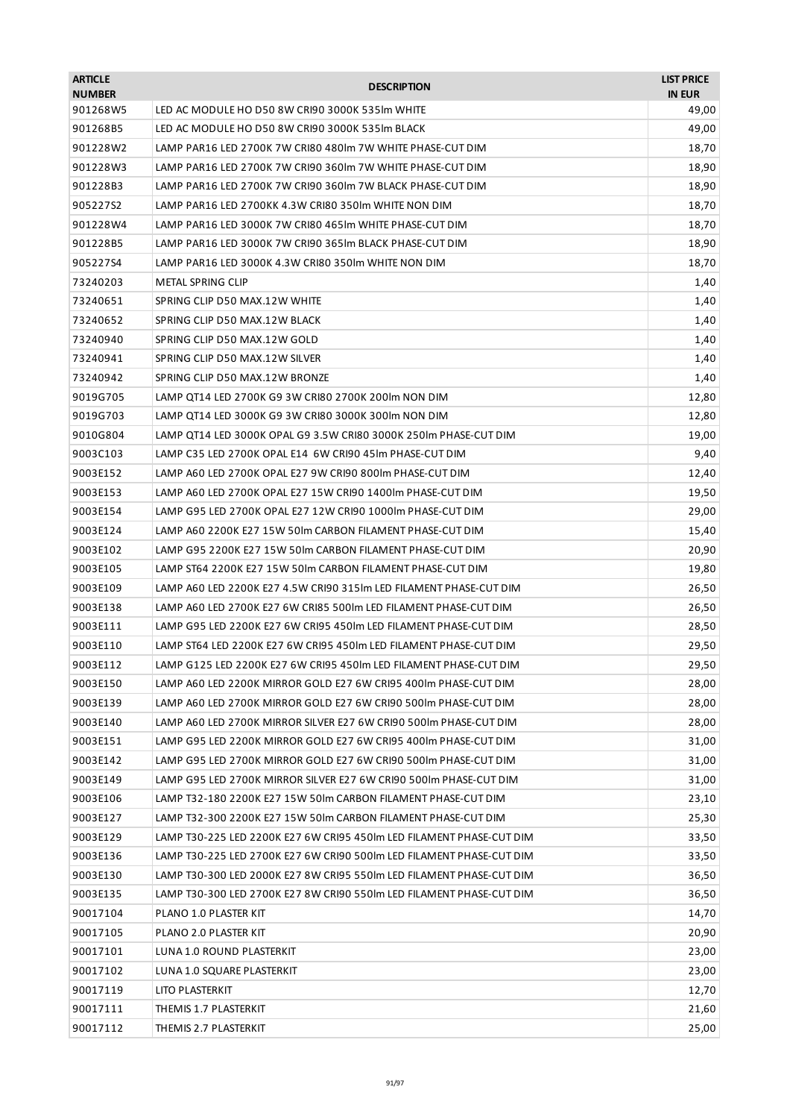| <b>ARTICLE</b><br><b>NUMBER</b> | <b>DESCRIPTION</b>                                                   | <b>LIST PRICE</b><br><b>IN EUR</b> |
|---------------------------------|----------------------------------------------------------------------|------------------------------------|
| 901268W5                        | LED AC MODULE HO D50 8W CRI90 3000K 535Im WHITE                      | 49,00                              |
| 901268B5                        | LED AC MODULE HO D50 8W CRI90 3000K 535Im BLACK                      | 49,00                              |
| 901228W2                        | LAMP PAR16 LED 2700K 7W CRI80 480lm 7W WHITE PHASE-CUT DIM           | 18,70                              |
| 901228W3                        | LAMP PAR16 LED 2700K 7W CRI90 360lm 7W WHITE PHASE-CUT DIM           | 18,90                              |
| 901228B3                        | LAMP PAR16 LED 2700K 7W CRI90 360lm 7W BLACK PHASE-CUT DIM           | 18,90                              |
| 905227S2                        | LAMP PAR16 LED 2700KK 4.3W CRI80 350lm WHITE NON DIM                 | 18,70                              |
| 901228W4                        | LAMP PAR16 LED 3000K 7W CRI80 465Im WHITE PHASE-CUT DIM              | 18,70                              |
| 901228B5                        | LAMP PAR16 LED 3000K 7W CRI90 365Im BLACK PHASE-CUT DIM              | 18,90                              |
| 905227S4                        | LAMP PAR16 LED 3000K 4.3W CRI80 350lm WHITE NON DIM                  | 18,70                              |
| 73240203                        | METAL SPRING CLIP                                                    | 1,40                               |
| 73240651                        | SPRING CLIP D50 MAX.12W WHITE                                        | 1,40                               |
| 73240652                        | SPRING CLIP D50 MAX.12W BLACK                                        | 1,40                               |
| 73240940                        | SPRING CLIP D50 MAX.12W GOLD                                         | 1,40                               |
| 73240941                        | SPRING CLIP D50 MAX.12W SILVER                                       | 1,40                               |
| 73240942                        | SPRING CLIP D50 MAX.12W BRONZE                                       | 1,40                               |
| 9019G705                        | LAMP QT14 LED 2700K G9 3W CRI80 2700K 200lm NON DIM                  | 12,80                              |
| 9019G703                        | LAMP QT14 LED 3000K G9 3W CRI80 3000K 300lm NON DIM                  | 12,80                              |
| 9010G804                        | LAMP QT14 LED 3000K OPAL G9 3.5W CRI80 3000K 250lm PHASE-CUT DIM     | 19,00                              |
| 9003C103                        | LAMP C35 LED 2700K OPAL E14 6W CRI90 45lm PHASE-CUT DIM              | 9,40                               |
| 9003E152                        | LAMP A60 LED 2700K OPAL E27 9W CRI90 800lm PHASE-CUT DIM             | 12,40                              |
| 9003E153                        | LAMP A60 LED 2700K OPAL E27 15W CRI90 1400lm PHASE-CUT DIM           | 19,50                              |
| 9003E154                        | LAMP G95 LED 2700K OPAL E27 12W CRI90 1000lm PHASE-CUT DIM           | 29,00                              |
| 9003E124                        | LAMP A60 2200K E27 15W 50lm CARBON FILAMENT PHASE-CUT DIM            | 15,40                              |
| 9003E102                        | LAMP G95 2200K E27 15W 50lm CARBON FILAMENT PHASE-CUT DIM            | 20,90                              |
| 9003E105                        | LAMP ST64 2200K E27 15W 50lm CARBON FILAMENT PHASE-CUT DIM           | 19,80                              |
| 9003E109                        | LAMP A60 LED 2200K E27 4.5W CRI90 315lm LED FILAMENT PHASE-CUT DIM   | 26,50                              |
| 9003E138                        | LAMP A60 LED 2700K E27 6W CRI85 500lm LED FILAMENT PHASE-CUT DIM     | 26,50                              |
| 9003E111                        | LAMP G95 LED 2200K E27 6W CRI95 450lm LED FILAMENT PHASE-CUT DIM     | 28,50                              |
| 9003E110                        | LAMP ST64 LED 2200K E27 6W CRI95 450lm LED FILAMENT PHASE-CUT DIM    | 29,50                              |
| 9003E112                        | LAMP G125 LED 2200K E27 6W CRI95 450lm LED FILAMENT PHASE-CUT DIM    | 29,50                              |
| 9003E150                        | LAMP A60 LED 2200K MIRROR GOLD E27 6W CRI95 400lm PHASE-CUT DIM      | 28,00                              |
| 9003E139                        | LAMP A60 LED 2700K MIRROR GOLD E27 6W CRI90 500Im PHASE-CUT DIM      | 28,00                              |
| 9003E140                        | LAMP A60 LED 2700K MIRROR SILVER E27 6W CRI90 500lm PHASE-CUT DIM    | 28,00                              |
| 9003E151                        | LAMP G95 LED 2200K MIRROR GOLD E27 6W CRI95 400lm PHASE-CUT DIM      | 31,00                              |
| 9003E142                        | LAMP G95 LED 2700K MIRROR GOLD E27 6W CRI90 500lm PHASE-CUT DIM      | 31,00                              |
| 9003E149                        | LAMP G95 LED 2700K MIRROR SILVER E27 6W CRI90 500lm PHASE-CUT DIM    | 31,00                              |
| 9003E106                        | LAMP T32-180 2200K E27 15W 50lm CARBON FILAMENT PHASE-CUT DIM        | 23,10                              |
| 9003E127                        | LAMP T32-300 2200K E27 15W 50lm CARBON FILAMENT PHASE-CUT DIM        | 25,30                              |
| 9003E129                        | LAMP T30-225 LED 2200K E27 6W CRI95 450lm LED FILAMENT PHASE-CUT DIM | 33,50                              |
| 9003E136                        | LAMP T30-225 LED 2700K E27 6W CRI90 500lm LED FILAMENT PHASE-CUT DIM | 33,50                              |
| 9003E130                        | LAMP T30-300 LED 2000K E27 8W CRI95 550lm LED FILAMENT PHASE-CUT DIM | 36,50                              |
| 9003E135                        | LAMP T30-300 LED 2700K E27 8W CRI90 550lm LED FILAMENT PHASE-CUT DIM | 36,50                              |
| 90017104                        | PLANO 1.0 PLASTER KIT                                                | 14,70                              |
| 90017105                        | PLANO 2.0 PLASTER KIT                                                | 20,90                              |
| 90017101                        | LUNA 1.0 ROUND PLASTERKIT                                            | 23,00                              |
| 90017102                        | LUNA 1.0 SQUARE PLASTERKIT                                           | 23,00                              |
| 90017119                        | LITO PLASTERKIT                                                      | 12,70                              |
| 90017111                        | THEMIS 1.7 PLASTERKIT                                                | 21,60                              |
| 90017112                        | THEMIS 2.7 PLASTERKIT                                                | 25,00                              |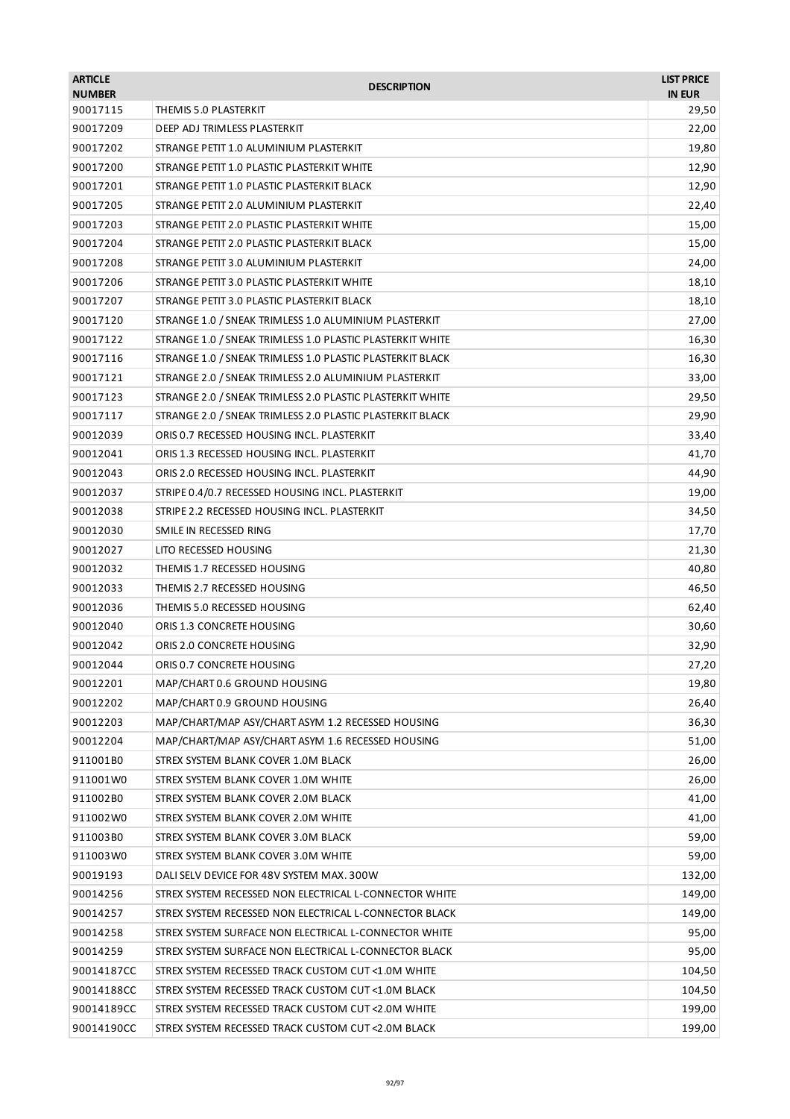| <b>ARTICLE</b> | <b>DESCRIPTION</b>                                        | <b>LIST PRICE</b> |
|----------------|-----------------------------------------------------------|-------------------|
| <b>NUMBER</b>  |                                                           | <b>IN EUR</b>     |
| 90017115       | THEMIS 5.0 PLASTERKIT<br>DEEP ADJ TRIMLESS PLASTERKIT     | 29,50             |
| 90017209       |                                                           | 22,00             |
| 90017202       | STRANGE PETIT 1.0 ALUMINIUM PLASTERKIT                    | 19,80             |
| 90017200       | STRANGE PETIT 1.0 PLASTIC PLASTERKIT WHITE                | 12,90             |
| 90017201       | STRANGE PETIT 1.0 PLASTIC PLASTERKIT BLACK                | 12,90             |
| 90017205       | STRANGE PETIT 2.0 ALUMINIUM PLASTERKIT                    | 22,40             |
| 90017203       | STRANGE PETIT 2.0 PLASTIC PLASTERKIT WHITE                | 15,00             |
| 90017204       | STRANGE PETIT 2.0 PLASTIC PLASTERKIT BLACK                | 15,00             |
| 90017208       | STRANGE PETIT 3.0 ALUMINIUM PLASTERKIT                    | 24,00             |
| 90017206       | STRANGE PETIT 3.0 PLASTIC PLASTERKIT WHITE                | 18,10             |
| 90017207       | STRANGE PETIT 3.0 PLASTIC PLASTERKIT BLACK                | 18,10             |
| 90017120       | STRANGE 1.0 / SNEAK TRIMLESS 1.0 ALUMINIUM PLASTERKIT     | 27,00             |
| 90017122       | STRANGE 1.0 / SNEAK TRIMLESS 1.0 PLASTIC PLASTERKIT WHITE | 16,30             |
| 90017116       | STRANGE 1.0 / SNEAK TRIMLESS 1.0 PLASTIC PLASTERKIT BLACK | 16,30             |
| 90017121       | STRANGE 2.0 / SNEAK TRIMLESS 2.0 ALUMINIUM PLASTERKIT     | 33,00             |
| 90017123       | STRANGE 2.0 / SNEAK TRIMLESS 2.0 PLASTIC PLASTERKIT WHITE | 29,50             |
| 90017117       | STRANGE 2.0 / SNEAK TRIMLESS 2.0 PLASTIC PLASTERKIT BLACK | 29,90             |
| 90012039       | ORIS 0.7 RECESSED HOUSING INCL. PLASTERKIT                | 33,40             |
| 90012041       | ORIS 1.3 RECESSED HOUSING INCL. PLASTERKIT                | 41,70             |
| 90012043       | ORIS 2.0 RECESSED HOUSING INCL. PLASTERKIT                | 44,90             |
| 90012037       | STRIPE 0.4/0.7 RECESSED HOUSING INCL. PLASTERKIT          | 19,00             |
| 90012038       | STRIPE 2.2 RECESSED HOUSING INCL. PLASTERKIT              | 34,50             |
| 90012030       | SMILE IN RECESSED RING                                    | 17,70             |
| 90012027       | LITO RECESSED HOUSING                                     | 21,30             |
| 90012032       | THEMIS 1.7 RECESSED HOUSING                               | 40,80             |
| 90012033       | THEMIS 2.7 RECESSED HOUSING                               | 46,50             |
| 90012036       | THEMIS 5.0 RECESSED HOUSING                               | 62,40             |
| 90012040       | ORIS 1.3 CONCRETE HOUSING                                 | 30,60             |
| 90012042       | ORIS 2.0 CONCRETE HOUSING                                 | 32,90             |
| 90012044       | ORIS 0.7 CONCRETE HOUSING                                 | 27,20             |
| 90012201       | MAP/CHART 0.6 GROUND HOUSING                              | 19,80             |
| 90012202       | MAP/CHART 0.9 GROUND HOUSING                              | 26,40             |
| 90012203       | MAP/CHART/MAP ASY/CHART ASYM 1.2 RECESSED HOUSING         | 36,30             |
| 90012204       | MAP/CHART/MAP ASY/CHART ASYM 1.6 RECESSED HOUSING         | 51,00             |
| 911001B0       | STREX SYSTEM BLANK COVER 1.0M BLACK                       | 26,00             |
| 911001W0       | STREX SYSTEM BLANK COVER 1.0M WHITE                       | 26,00             |
| 911002B0       | STREX SYSTEM BLANK COVER 2.0M BLACK                       | 41,00             |
| 911002W0       | STREX SYSTEM BLANK COVER 2.0M WHITE                       | 41,00             |
| 911003B0       | STREX SYSTEM BLANK COVER 3.0M BLACK                       | 59,00             |
| 911003W0       | STREX SYSTEM BLANK COVER 3.0M WHITE                       | 59,00             |
| 90019193       | DALI SELV DEVICE FOR 48V SYSTEM MAX. 300W                 | 132,00            |
| 90014256       | STREX SYSTEM RECESSED NON ELECTRICAL L-CONNECTOR WHITE    | 149,00            |
| 90014257       | STREX SYSTEM RECESSED NON ELECTRICAL L-CONNECTOR BLACK    | 149,00            |
| 90014258       | STREX SYSTEM SURFACE NON ELECTRICAL L-CONNECTOR WHITE     | 95,00             |
| 90014259       | STREX SYSTEM SURFACE NON ELECTRICAL L-CONNECTOR BLACK     | 95,00             |
| 90014187CC     | STREX SYSTEM RECESSED TRACK CUSTOM CUT <1.0M WHITE        | 104,50            |
| 90014188CC     | STREX SYSTEM RECESSED TRACK CUSTOM CUT <1.0M BLACK        | 104,50            |
| 90014189CC     | STREX SYSTEM RECESSED TRACK CUSTOM CUT < 2.0M WHITE       | 199,00            |
| 90014190CC     | STREX SYSTEM RECESSED TRACK CUSTOM CUT < 2.0M BLACK       | 199,00            |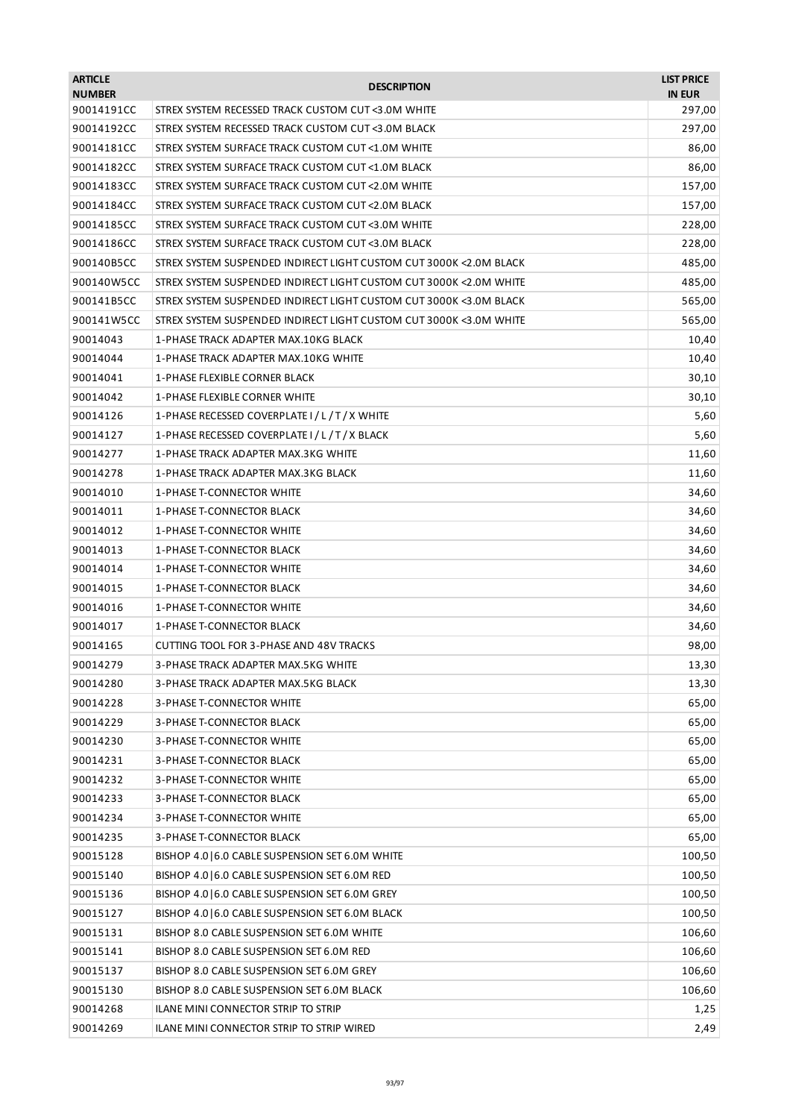| <b>ARTICLE</b><br><b>NUMBER</b> | <b>DESCRIPTION</b>                                                  | <b>LIST PRICE</b><br><b>IN EUR</b> |
|---------------------------------|---------------------------------------------------------------------|------------------------------------|
| 90014191CC                      | STREX SYSTEM RECESSED TRACK CUSTOM CUT < 3.0M WHITE                 | 297,00                             |
| 90014192CC                      | STREX SYSTEM RECESSED TRACK CUSTOM CUT < 3.0M BLACK                 | 297,00                             |
| 90014181CC                      | STREX SYSTEM SURFACE TRACK CUSTOM CUT <1.0M WHITE                   | 86,00                              |
| 90014182CC                      | STREX SYSTEM SURFACE TRACK CUSTOM CUT <1.0M BLACK                   | 86,00                              |
| 90014183CC                      | STREX SYSTEM SURFACE TRACK CUSTOM CUT < 2.0M WHITE                  | 157,00                             |
| 90014184CC                      | STREX SYSTEM SURFACE TRACK CUSTOM CUT < 2.0M BLACK                  | 157,00                             |
| 90014185CC                      | STREX SYSTEM SURFACE TRACK CUSTOM CUT < 3.0M WHITE                  | 228,00                             |
| 90014186CC                      | STREX SYSTEM SURFACE TRACK CUSTOM CUT <3.0M BLACK                   | 228,00                             |
| 900140B5CC                      | STREX SYSTEM SUSPENDED INDIRECT LIGHT CUSTOM CUT 3000K < 2.0M BLACK | 485,00                             |
| 900140W5CC                      | STREX SYSTEM SUSPENDED INDIRECT LIGHT CUSTOM CUT 3000K < 2.0M WHITE | 485,00                             |
| 900141B5CC                      | STREX SYSTEM SUSPENDED INDIRECT LIGHT CUSTOM CUT 3000K <3.0M BLACK  | 565,00                             |
| 900141W5CC                      | STREX SYSTEM SUSPENDED INDIRECT LIGHT CUSTOM CUT 3000K <3.0M WHITE  | 565,00                             |
| 90014043                        | 1-PHASE TRACK ADAPTER MAX.10KG BLACK                                | 10,40                              |
| 90014044                        | 1-PHASE TRACK ADAPTER MAX.10KG WHITE                                | 10,40                              |
| 90014041                        | 1-PHASE FLEXIBLE CORNER BLACK                                       | 30,10                              |
| 90014042                        | <b>1-PHASE FLEXIBLE CORNER WHITE</b>                                | 30,10                              |
| 90014126                        | 1-PHASE RECESSED COVERPLATE I / L / T / X WHITE                     | 5,60                               |
| 90014127                        | 1-PHASE RECESSED COVERPLATE I / L / T / X BLACK                     | 5,60                               |
| 90014277                        | 1-PHASE TRACK ADAPTER MAX.3KG WHITE                                 | 11,60                              |
| 90014278                        | 1-PHASE TRACK ADAPTER MAX.3KG BLACK                                 | 11,60                              |
| 90014010                        | 1-PHASE T-CONNECTOR WHITE                                           | 34,60                              |
| 90014011                        | 1-PHASE T-CONNECTOR BLACK                                           | 34,60                              |
| 90014012                        | 1-PHASE T-CONNECTOR WHITE                                           | 34,60                              |
| 90014013                        | 1-PHASE T-CONNECTOR BLACK                                           | 34,60                              |
| 90014014                        | 1-PHASE T-CONNECTOR WHITE                                           | 34,60                              |
| 90014015                        | 1-PHASE T-CONNECTOR BLACK                                           | 34,60                              |
| 90014016                        | 1-PHASE T-CONNECTOR WHITE                                           | 34,60                              |
| 90014017                        | 1-PHASE T-CONNECTOR BLACK                                           | 34,60                              |
| 90014165                        | CUTTING TOOL FOR 3-PHASE AND 48V TRACKS                             | 98,00                              |
| 90014279                        | 3-PHASE TRACK ADAPTER MAX.5KG WHITE                                 | 13,30                              |
| 90014280                        | 3-PHASE TRACK ADAPTER MAX.5KG BLACK                                 | 13,30                              |
| 90014228                        | 3-PHASE T-CONNECTOR WHITE                                           | 65,00                              |
| 90014229                        | 3-PHASE T-CONNECTOR BLACK                                           | 65,00                              |
| 90014230                        | 3-PHASE T-CONNECTOR WHITE                                           | 65,00                              |
| 90014231                        | 3-PHASE T-CONNECTOR BLACK                                           | 65,00                              |
| 90014232                        | 3-PHASE T-CONNECTOR WHITE                                           | 65,00                              |
| 90014233                        | 3-PHASE T-CONNECTOR BLACK                                           | 65,00                              |
| 90014234                        | 3-PHASE T-CONNECTOR WHITE                                           | 65,00                              |
| 90014235                        | 3-PHASE T-CONNECTOR BLACK                                           | 65,00                              |
| 90015128                        | BISHOP 4.0 6.0 CABLE SUSPENSION SET 6.0M WHITE                      | 100,50                             |
| 90015140                        | BISHOP 4.0   6.0 CABLE SUSPENSION SET 6.0M RED                      | 100,50                             |
| 90015136                        | BISHOP 4.0   6.0 CABLE SUSPENSION SET 6.0M GREY                     | 100,50                             |
| 90015127                        | BISHOP 4.0 6.0 CABLE SUSPENSION SET 6.0M BLACK                      | 100,50                             |
| 90015131                        | BISHOP 8.0 CABLE SUSPENSION SET 6.0M WHITE                          | 106,60                             |
| 90015141                        | BISHOP 8.0 CABLE SUSPENSION SET 6.0M RED                            | 106,60                             |
| 90015137                        | BISHOP 8.0 CABLE SUSPENSION SET 6.0M GREY                           | 106,60                             |
| 90015130                        | BISHOP 8.0 CABLE SUSPENSION SET 6.0M BLACK                          | 106,60                             |
| 90014268                        | ILANE MINI CONNECTOR STRIP TO STRIP                                 | 1,25                               |
| 90014269                        | ILANE MINI CONNECTOR STRIP TO STRIP WIRED                           | 2,49                               |
|                                 |                                                                     |                                    |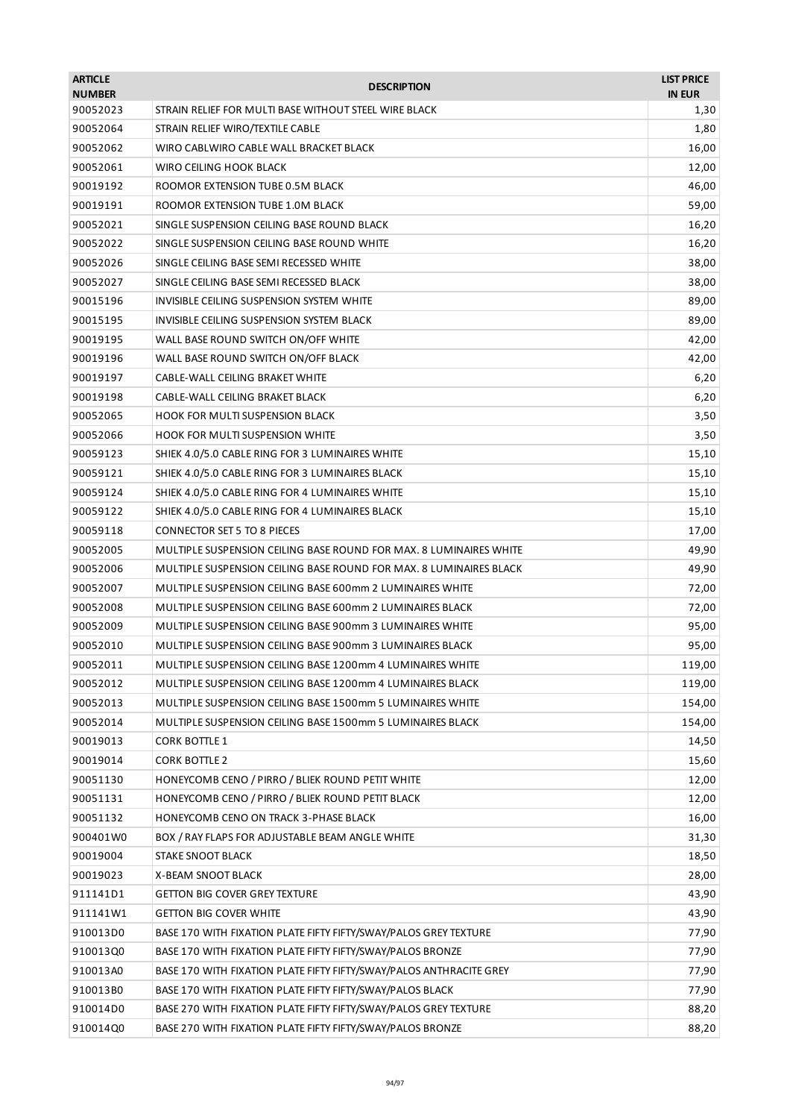| <b>ARTICLE</b>       | <b>DESCRIPTION</b>                                                                    | <b>LIST PRICE</b> |
|----------------------|---------------------------------------------------------------------------------------|-------------------|
| <b>NUMBER</b>        | STRAIN RELIEF FOR MULTI BASE WITHOUT STEEL WIRE BLACK                                 | <b>IN EUR</b>     |
| 90052023             |                                                                                       | 1,30              |
| 90052064             | STRAIN RELIEF WIRO/TEXTILE CABLE                                                      | 1,80              |
| 90052062<br>90052061 | WIRO CABLWIRO CABLE WALL BRACKET BLACK<br>WIRO CEILING HOOK BLACK                     | 16,00<br>12,00    |
| 90019192             | ROOMOR EXTENSION TUBE 0.5M BLACK                                                      |                   |
| 90019191             | ROOMOR EXTENSION TUBE 1.0M BLACK                                                      | 46,00<br>59,00    |
| 90052021             | SINGLE SUSPENSION CEILING BASE ROUND BLACK                                            |                   |
|                      |                                                                                       | 16,20             |
| 90052022             | SINGLE SUSPENSION CEILING BASE ROUND WHITE<br>SINGLE CEILING BASE SEMI RECESSED WHITE | 16,20             |
| 90052026             |                                                                                       | 38,00             |
| 90052027             | SINGLE CEILING BASE SEMI RECESSED BLACK                                               | 38,00             |
| 90015196             | INVISIBLE CEILING SUSPENSION SYSTEM WHITE                                             | 89,00             |
| 90015195             | INVISIBLE CEILING SUSPENSION SYSTEM BLACK                                             | 89,00             |
| 90019195             | WALL BASE ROUND SWITCH ON/OFF WHITE                                                   | 42,00             |
| 90019196             | WALL BASE ROUND SWITCH ON/OFF BLACK                                                   | 42,00             |
| 90019197             | CABLE-WALL CEILING BRAKET WHITE                                                       | 6,20              |
| 90019198             | CABLE-WALL CEILING BRAKET BLACK                                                       | 6,20              |
| 90052065             | <b>HOOK FOR MULTI SUSPENSION BLACK</b>                                                | 3,50              |
| 90052066             | <b>HOOK FOR MULTI SUSPENSION WHITE</b>                                                | 3,50              |
| 90059123             | SHIEK 4.0/5.0 CABLE RING FOR 3 LUMINAIRES WHITE                                       | 15,10             |
| 90059121             | SHIEK 4.0/5.0 CABLE RING FOR 3 LUMINAIRES BLACK                                       | 15,10             |
| 90059124             | SHIEK 4.0/5.0 CABLE RING FOR 4 LUMINAIRES WHITE                                       | 15,10             |
| 90059122             | SHIEK 4.0/5.0 CABLE RING FOR 4 LUMINAIRES BLACK                                       | 15,10             |
| 90059118             | <b>CONNECTOR SET 5 TO 8 PIECES</b>                                                    | 17,00             |
| 90052005             | MULTIPLE SUSPENSION CEILING BASE ROUND FOR MAX. 8 LUMINAIRES WHITE                    | 49,90             |
| 90052006             | MULTIPLE SUSPENSION CEILING BASE ROUND FOR MAX. 8 LUMINAIRES BLACK                    | 49,90             |
| 90052007             | MULTIPLE SUSPENSION CEILING BASE 600mm 2 LUMINAIRES WHITE                             | 72,00             |
| 90052008             | MULTIPLE SUSPENSION CEILING BASE 600mm 2 LUMINAIRES BLACK                             | 72,00             |
| 90052009             | MULTIPLE SUSPENSION CEILING BASE 900mm 3 LUMINAIRES WHITE                             | 95,00             |
| 90052010             | MULTIPLE SUSPENSION CEILING BASE 900mm 3 LUMINAIRES BLACK                             | 95,00             |
| 90052011             | MULTIPLE SUSPENSION CEILING BASE 1200mm 4 LUMINAIRES WHITE                            | 119,00            |
| 90052012             | MULTIPLE SUSPENSION CEILING BASE 1200mm 4 LUMINAIRES BLACK                            | 119,00            |
| 90052013             | MULTIPLE SUSPENSION CEILING BASE 1500mm 5 LUMINAIRES WHITE                            | 154,00            |
| 90052014             | MULTIPLE SUSPENSION CEILING BASE 1500mm 5 LUMINAIRES BLACK                            | 154,00            |
| 90019013             | CORK BOTTLE 1                                                                         | 14,50             |
| 90019014             | <b>CORK BOTTLE 2</b>                                                                  | 15,60             |
| 90051130             | HONEYCOMB CENO / PIRRO / BLIEK ROUND PETIT WHITE                                      | 12,00             |
| 90051131             | HONEYCOMB CENO / PIRRO / BLIEK ROUND PETIT BLACK                                      | 12,00             |
| 90051132             | HONEYCOMB CENO ON TRACK 3-PHASE BLACK                                                 | 16,00             |
| 900401W0             | BOX / RAY FLAPS FOR ADJUSTABLE BEAM ANGLE WHITE                                       | 31,30             |
| 90019004             | <b>STAKE SNOOT BLACK</b>                                                              | 18,50             |
| 90019023             | X-BEAM SNOOT BLACK                                                                    | 28,00             |
| 911141D1             | <b>GETTON BIG COVER GREY TEXTURE</b>                                                  | 43,90             |
| 911141W1             | <b>GETTON BIG COVER WHITE</b>                                                         | 43,90             |
| 910013D0             | BASE 170 WITH FIXATION PLATE FIFTY FIFTY/SWAY/PALOS GREY TEXTURE                      | 77,90             |
| 910013Q0             | BASE 170 WITH FIXATION PLATE FIFTY FIFTY/SWAY/PALOS BRONZE                            | 77,90             |
| 910013A0             | BASE 170 WITH FIXATION PLATE FIFTY FIFTY/SWAY/PALOS ANTHRACITE GREY                   | 77,90             |
| 910013B0             | BASE 170 WITH FIXATION PLATE FIFTY FIFTY/SWAY/PALOS BLACK                             | 77,90             |
| 910014D0             | BASE 270 WITH FIXATION PLATE FIFTY FIFTY/SWAY/PALOS GREY TEXTURE                      | 88,20             |
| 910014Q0             | BASE 270 WITH FIXATION PLATE FIFTY FIFTY/SWAY/PALOS BRONZE                            | 88,20             |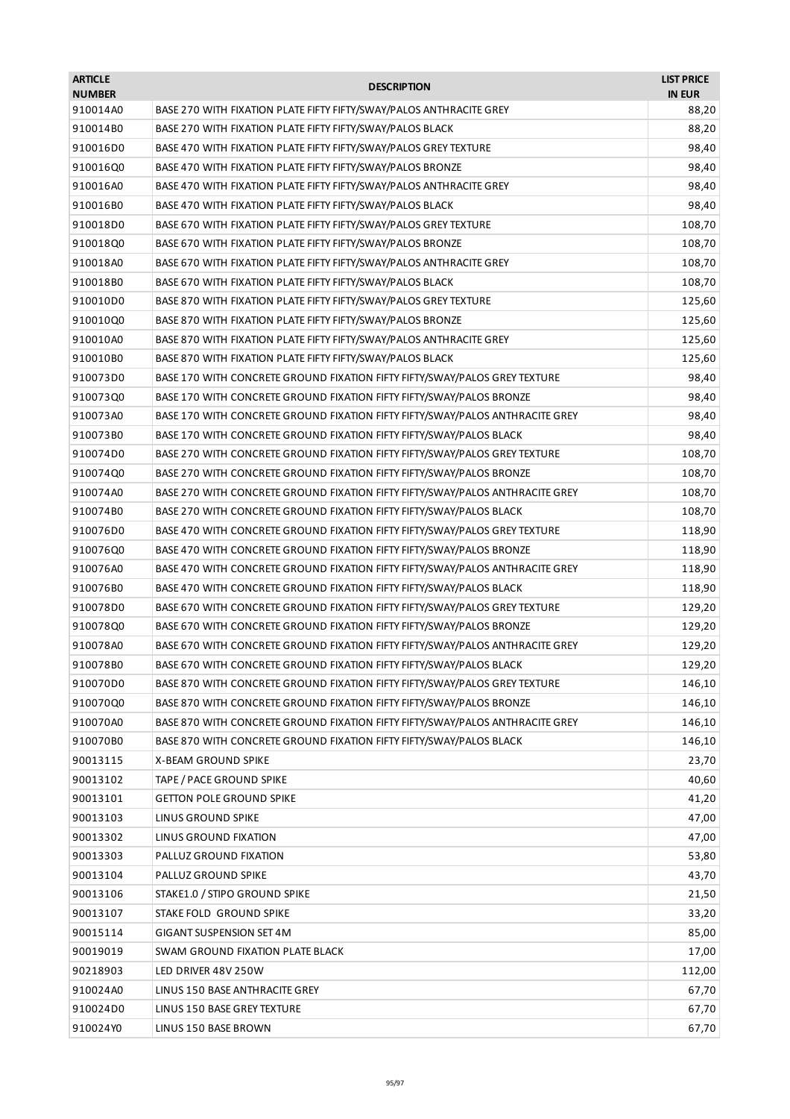| <b>ARTICLE</b><br><b>NUMBER</b> | <b>DESCRIPTION</b>                                                            | <b>LIST PRICE</b><br><b>IN EUR</b> |
|---------------------------------|-------------------------------------------------------------------------------|------------------------------------|
| 910014A0                        | BASE 270 WITH FIXATION PLATE FIFTY FIFTY/SWAY/PALOS ANTHRACITE GREY           | 88,20                              |
| 910014B0                        | BASE 270 WITH FIXATION PLATE FIFTY FIFTY/SWAY/PALOS BLACK                     | 88,20                              |
| 910016D0                        | BASE 470 WITH FIXATION PLATE FIFTY FIFTY/SWAY/PALOS GREY TEXTURE              | 98,40                              |
| 910016Q0                        | BASE 470 WITH FIXATION PLATE FIFTY FIFTY/SWAY/PALOS BRONZE                    | 98,40                              |
| 910016A0                        | BASE 470 WITH FIXATION PLATE FIFTY FIFTY/SWAY/PALOS ANTHRACITE GREY           | 98,40                              |
| 910016B0                        | BASE 470 WITH FIXATION PLATE FIFTY FIFTY/SWAY/PALOS BLACK                     | 98,40                              |
| 910018D0                        | BASE 670 WITH FIXATION PLATE FIFTY FIFTY/SWAY/PALOS GREY TEXTURE              | 108,70                             |
| 910018Q0                        | BASE 670 WITH FIXATION PLATE FIFTY FIFTY/SWAY/PALOS BRONZE                    | 108,70                             |
| 910018A0                        | BASE 670 WITH FIXATION PLATE FIFTY FIFTY/SWAY/PALOS ANTHRACITE GREY           | 108,70                             |
| 910018B0                        | BASE 670 WITH FIXATION PLATE FIFTY FIFTY/SWAY/PALOS BLACK                     | 108,70                             |
| 910010D0                        | BASE 870 WITH FIXATION PLATE FIFTY FIFTY/SWAY/PALOS GREY TEXTURE              | 125,60                             |
| 910010Q0                        | BASE 870 WITH FIXATION PLATE FIFTY FIFTY/SWAY/PALOS BRONZE                    | 125,60                             |
| 910010A0                        | BASE 870 WITH FIXATION PLATE FIFTY FIFTY/SWAY/PALOS ANTHRACITE GREY           | 125,60                             |
| 910010B0                        | BASE 870 WITH FIXATION PLATE FIFTY FIFTY/SWAY/PALOS BLACK                     | 125,60                             |
| 910073D0                        | BASE 170 WITH CONCRETE GROUND FIXATION FIFTY FIFTY/SWAY/PALOS GREY TEXTURE    | 98,40                              |
| 910073Q0                        | BASE 170 WITH CONCRETE GROUND FIXATION FIFTY FIFTY/SWAY/PALOS BRONZE          | 98,40                              |
| 910073A0                        | BASE 170 WITH CONCRETE GROUND FIXATION FIFTY FIFTY/SWAY/PALOS ANTHRACITE GREY | 98,40                              |
| 910073B0                        | BASE 170 WITH CONCRETE GROUND FIXATION FIFTY FIFTY/SWAY/PALOS BLACK           | 98,40                              |
| 910074D0                        | BASE 270 WITH CONCRETE GROUND FIXATION FIFTY FIFTY/SWAY/PALOS GREY TEXTURE    | 108,70                             |
| 910074Q0                        | BASE 270 WITH CONCRETE GROUND FIXATION FIFTY FIFTY/SWAY/PALOS BRONZE          | 108,70                             |
| 910074A0                        | BASE 270 WITH CONCRETE GROUND FIXATION FIFTY FIFTY/SWAY/PALOS ANTHRACITE GREY | 108,70                             |
| 910074B0                        | BASE 270 WITH CONCRETE GROUND FIXATION FIFTY FIFTY/SWAY/PALOS BLACK           | 108,70                             |
| 910076D0                        | BASE 470 WITH CONCRETE GROUND FIXATION FIFTY FIFTY/SWAY/PALOS GREY TEXTURE    | 118,90                             |
| 910076Q0                        | BASE 470 WITH CONCRETE GROUND FIXATION FIFTY FIFTY/SWAY/PALOS BRONZE          | 118,90                             |
| 910076A0                        | BASE 470 WITH CONCRETE GROUND FIXATION FIFTY FIFTY/SWAY/PALOS ANTHRACITE GREY | 118,90                             |
| 910076B0                        |                                                                               |                                    |
|                                 | BASE 470 WITH CONCRETE GROUND FIXATION FIFTY FIFTY/SWAY/PALOS BLACK           | 118,90                             |
| 910078D0                        | BASE 670 WITH CONCRETE GROUND FIXATION FIFTY FIFTY/SWAY/PALOS GREY TEXTURE    | 129,20                             |
| 910078Q0                        | BASE 670 WITH CONCRETE GROUND FIXATION FIFTY FIFTY/SWAY/PALOS BRONZE          | 129,20                             |
| 910078A0                        | BASE 670 WITH CONCRETE GROUND FIXATION FIFTY FIFTY/SWAY/PALOS ANTHRACITE GREY | 129,20                             |
| 910078B0                        | BASE 670 WITH CONCRETE GROUND FIXATION FIFTY FIFTY/SWAY/PALOS BLACK           | 129,20                             |
| 910070D0                        | BASE 870 WITH CONCRETE GROUND FIXATION FIFTY FIFTY/SWAY/PALOS GREY TEXTURE    | 146,10                             |
| 910070Q0                        | BASE 870 WITH CONCRETE GROUND FIXATION FIFTY FIFTY/SWAY/PALOS BRONZE          | 146,10                             |
| 910070A0                        | BASE 870 WITH CONCRETE GROUND FIXATION FIFTY FIFTY/SWAY/PALOS ANTHRACITE GREY | 146,10                             |
| 910070B0                        | BASE 870 WITH CONCRETE GROUND FIXATION FIFTY FIFTY/SWAY/PALOS BLACK           | 146,10                             |
| 90013115                        | <b>X-BEAM GROUND SPIKE</b>                                                    | 23,70                              |
| 90013102                        | TAPE / PACE GROUND SPIKE                                                      | 40,60                              |
| 90013101                        | <b>GETTON POLE GROUND SPIKE</b>                                               | 41,20                              |
| 90013103                        | <b>LINUS GROUND SPIKE</b>                                                     | 47,00                              |
| 90013302                        | LINUS GROUND FIXATION                                                         | 47,00                              |
| 90013303                        | PALLUZ GROUND FIXATION                                                        | 53,80                              |
| 90013104                        | PALLUZ GROUND SPIKE                                                           | 43,70                              |
| 90013106                        | STAKE1.0 / STIPO GROUND SPIKE                                                 | 21,50                              |
| 90013107                        | STAKE FOLD GROUND SPIKE                                                       | 33,20                              |
| 90015114                        | <b>GIGANT SUSPENSION SET 4M</b>                                               | 85,00                              |
| 90019019                        | SWAM GROUND FIXATION PLATE BLACK                                              | 17,00                              |
| 90218903                        | LED DRIVER 48V 250W                                                           | 112,00                             |
| 910024A0                        | LINUS 150 BASE ANTHRACITE GREY                                                | 67,70                              |
| 910024D0                        | LINUS 150 BASE GREY TEXTURE                                                   | 67,70                              |
| 910024Y0                        | LINUS 150 BASE BROWN                                                          | 67,70                              |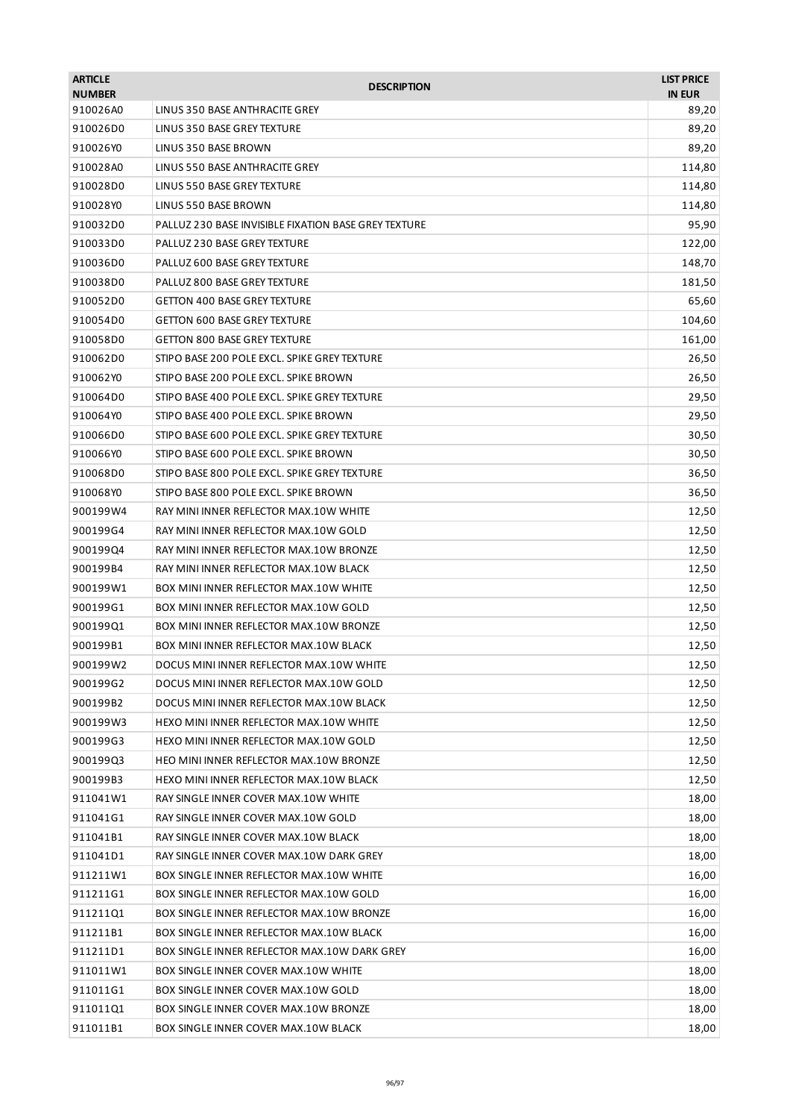| <b>ARTICLE</b> | <b>DESCRIPTION</b>                                   | <b>LIST PRICE</b> |
|----------------|------------------------------------------------------|-------------------|
| <b>NUMBER</b>  |                                                      | <b>IN EUR</b>     |
| 910026A0       | LINUS 350 BASE ANTHRACITE GREY                       | 89,20             |
| 910026D0       | LINUS 350 BASE GREY TEXTURE                          | 89,20             |
| 910026Y0       | LINUS 350 BASE BROWN                                 | 89,20             |
| 910028A0       | LINUS 550 BASE ANTHRACITE GREY                       | 114,80            |
| 910028D0       | LINUS 550 BASE GREY TEXTURE                          | 114,80            |
| 910028Y0       | LINUS 550 BASE BROWN                                 | 114,80            |
| 910032D0       | PALLUZ 230 BASE INVISIBLE FIXATION BASE GREY TEXTURE | 95,90             |
| 910033D0       | PALLUZ 230 BASE GREY TEXTURE                         | 122,00            |
| 910036D0       | PALLUZ 600 BASE GREY TEXTURE                         | 148,70            |
| 910038D0       | PALLUZ 800 BASE GREY TEXTURE                         | 181,50            |
| 910052D0       | <b>GETTON 400 BASE GREY TEXTURE</b>                  | 65,60             |
| 910054D0       | <b>GETTON 600 BASE GREY TEXTURE</b>                  | 104,60            |
| 910058D0       | <b>GETTON 800 BASE GREY TEXTURE</b>                  | 161,00            |
| 910062D0       | STIPO BASE 200 POLE EXCL. SPIKE GREY TEXTURE         | 26,50             |
| 910062Y0       | STIPO BASE 200 POLE EXCL. SPIKE BROWN                | 26,50             |
| 910064D0       | STIPO BASE 400 POLE EXCL. SPIKE GREY TEXTURE         | 29,50             |
| 910064Y0       | STIPO BASE 400 POLE EXCL. SPIKE BROWN                | 29,50             |
| 910066D0       | STIPO BASE 600 POLE EXCL. SPIKE GREY TEXTURE         | 30,50             |
| 910066Y0       | STIPO BASE 600 POLE EXCL. SPIKE BROWN                | 30,50             |
| 910068D0       | STIPO BASE 800 POLE EXCL. SPIKE GREY TEXTURE         | 36,50             |
| 910068Y0       | STIPO BASE 800 POLE EXCL. SPIKE BROWN                | 36,50             |
| 900199W4       | RAY MINI INNER REFLECTOR MAX.10W WHITE               | 12,50             |
| 900199G4       | RAY MINI INNER REFLECTOR MAX.10W GOLD                | 12,50             |
| 900199Q4       | RAY MINI INNER REFLECTOR MAX.10W BRONZE              | 12,50             |
| 900199B4       | RAY MINI INNER REFLECTOR MAX.10W BLACK               | 12,50             |
| 900199W1       | BOX MINI INNER REFLECTOR MAX.10W WHITE               | 12,50             |
| 900199G1       | BOX MINI INNER REFLECTOR MAX.10W GOLD                | 12,50             |
| 900199Q1       | BOX MINI INNER REFLECTOR MAX.10W BRONZE              | 12,50             |
| 900199B1       | BOX MINI INNER REFLECTOR MAX.10W BLACK               | 12,50             |
| 900199W2       | DOCUS MINI INNER REFLECTOR MAX.10W WHITE             | 12,50             |
| 900199G2       | DOCUS MINI INNER REFLECTOR MAX.10W GOLD              | 12,50             |
| 900199B2       | DOCUS MINI INNER REFLECTOR MAX.10W BLACK             | 12,50             |
| 900199W3       | HEXO MINI INNER REFLECTOR MAX.10W WHITE              | 12,50             |
| 900199G3       | HEXO MINI INNER REFLECTOR MAX.10W GOLD               | 12,50             |
| 900199Q3       | HEO MINI INNER REFLECTOR MAX.10W BRONZE              | 12,50             |
| 900199B3       | HEXO MINI INNER REFLECTOR MAX.10W BLACK              | 12,50             |
| 911041W1       | RAY SINGLE INNER COVER MAX.10W WHITE                 | 18,00             |
| 911041G1       | RAY SINGLE INNER COVER MAX.10W GOLD                  | 18,00             |
| 911041B1       | RAY SINGLE INNER COVER MAX.10W BLACK                 | 18,00             |
| 911041D1       | RAY SINGLE INNER COVER MAX.10W DARK GREY             | 18,00             |
| 911211W1       | BOX SINGLE INNER REFLECTOR MAX.10W WHITE             | 16,00             |
| 911211G1       | BOX SINGLE INNER REFLECTOR MAX.10W GOLD              | 16,00             |
| 911211Q1       | BOX SINGLE INNER REFLECTOR MAX.10W BRONZE            | 16,00             |
| 911211B1       | BOX SINGLE INNER REFLECTOR MAX.10W BLACK             | 16,00             |
| 911211D1       | BOX SINGLE INNER REFLECTOR MAX.10W DARK GREY         | 16,00             |
| 911011W1       | BOX SINGLE INNER COVER MAX.10W WHITE                 | 18,00             |
| 911011G1       | BOX SINGLE INNER COVER MAX.10W GOLD                  | 18,00             |
| 911011Q1       | BOX SINGLE INNER COVER MAX.10W BRONZE                | 18,00             |
| 911011B1       | BOX SINGLE INNER COVER MAX.10W BLACK                 | 18,00             |
|                |                                                      |                   |